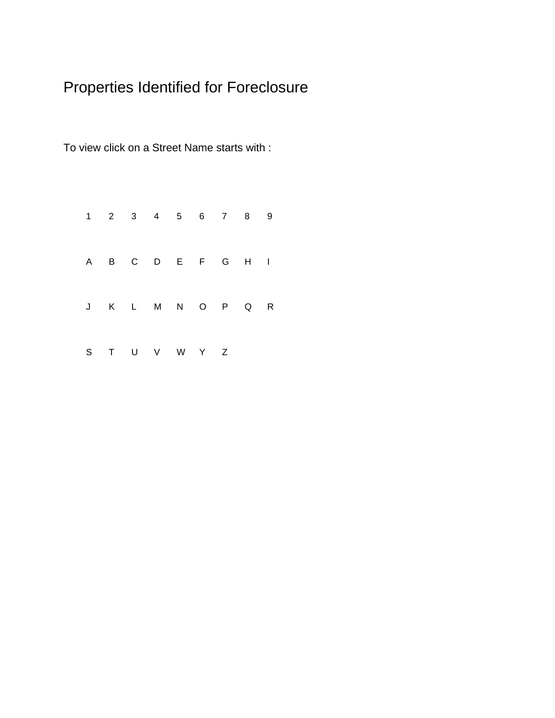# Properties Identified for Foreclosure

To view click on a Street Name starts with :

|  |  |               |  | 1 2 3 4 5 6 7 8 9 |  |
|--|--|---------------|--|-------------------|--|
|  |  |               |  | A B C D E F G H I |  |
|  |  |               |  | J K L M N O P Q R |  |
|  |  | S T U V W Y Z |  |                   |  |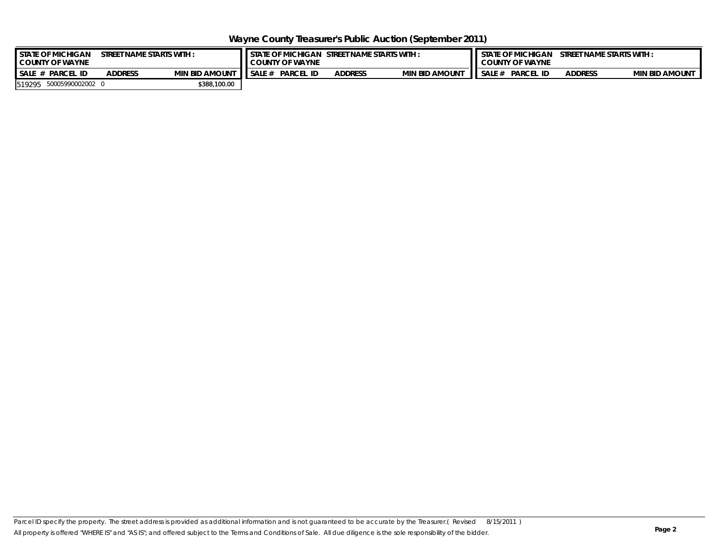**Wayne County Treasurer's Public Auction (September 2011)**

| <b>STATE OF MICHIGAN</b><br><b>COUNTY OF WAYNE</b> | T NAME STARTS WITH :  | <b>I</b> STATE OF MICHIGAN<br><b>STREET</b><br>t name starts with :<br><b>COUNTY OF WAYNE</b> |                       |                |                       |        | STREET NAME STARTS WITH:<br><b>STATE OF MICHIGAN</b><br><b>COUNTY OF WAYNE</b> |                |                       |  |  |
|----------------------------------------------------|-----------------------|-----------------------------------------------------------------------------------------------|-----------------------|----------------|-----------------------|--------|--------------------------------------------------------------------------------|----------------|-----------------------|--|--|
| SALE #<br><b>PARCEL ID</b>                         | <b>MIN BID AMOUNT</b> | <b>SALE</b>                                                                                   | <b>PARCEL</b><br>. ID | <b>ADDRESS</b> | <b>MIN BID AMOUNT</b> | SALE # | <b>PARCEL</b>                                                                  | <b>ADDRESS</b> | <b>MIN BID AMOUNT</b> |  |  |
| 50005990002002 0<br>519295                         | \$388,100.00          |                                                                                               |                       |                |                       |        |                                                                                |                |                       |  |  |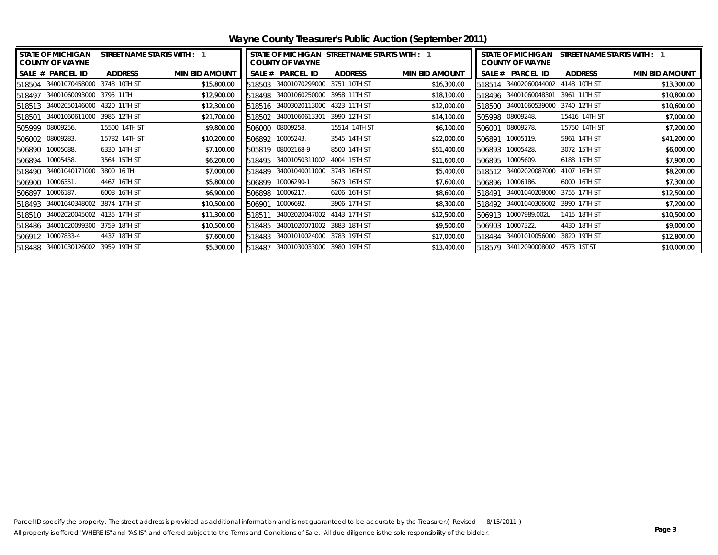| I STATE OF MICHIGAN<br><b>COUNTY OF WAYNE</b> | STREET NAME STARTS WITH : 1 | STATE OF MICHIGAN STREET NAME STARTS WITH : 1<br><b>COUNTY OF WAYNE</b> |                |                       | <b>STATE OF MICHIGAN</b><br>STREET NAME STARTS WITH : 1<br><b>COUNTY OF WAYNE</b> |                                   |                |                       |
|-----------------------------------------------|-----------------------------|-------------------------------------------------------------------------|----------------|-----------------------|-----------------------------------------------------------------------------------|-----------------------------------|----------------|-----------------------|
| <b>SALE # PARCEL ID</b><br><b>ADDRESS</b>     | <b>MIN BID AMOUNT</b>       | SALE # PARCEL ID                                                        | <b>ADDRESS</b> | <b>MIN BID AMOUNT</b> |                                                                                   | SALE # PARCEL ID                  | <b>ADDRESS</b> | <b>MIN BID AMOUNT</b> |
| 34001070458000<br>3748 10TH ST<br>518504      | \$15,800.00<br>518503       | 34001070299000                                                          | 3751 10TH ST   | \$16,300.00           |                                                                                   | 518514 34002060044002             | 4148 10TH ST   | \$13,300.00           |
| 34001060093000 3795 11TH<br>518497            | \$12,900.00<br>518498       | 34001060250000                                                          | 3958 11TH ST   | \$18,100.00           |                                                                                   | 518496 34001060048301             | 3961 11TH ST   | \$10,800.00           |
| 4320 11TH ST<br>34002050146000<br>518513      | \$12,300.00<br>518516       | 34003020113000                                                          | 4323 11TH ST   | \$12,000.00           | 518500                                                                            | 34001060539000                    | 3740 12TH ST   | \$10,600.00           |
| 3986 12TH ST<br>34001060611000<br>518501      | \$21,700.00<br>518502       | 34001060613301                                                          | 3990 12TH ST   | \$14,100.00           |                                                                                   | 505998 08009248.                  | 15416 14TH ST  | \$7,000.00            |
| 505999 08009256.<br>15500 14TH ST             | \$9,800.00<br>506000        | 08009258.                                                               | 15514 14TH ST  | \$6,100.00            | 506001                                                                            | 08009278.                         | 15750 14TH ST  | \$7,200.00            |
| 506002 08009283.<br>15782 14TH ST             | \$10,200.00<br>506892       | 10005243.                                                               | 3545 14TH ST   | \$22,000.00           | 506891                                                                            | 10005119.                         | 5961 14TH ST   | \$41,200.00           |
| 10005088.<br>6330 14TH ST<br>506890           | \$7,100.00<br>505819        | 08002168-9                                                              | 8500 14TH ST   | \$51,400.00           | 506893                                                                            | 10005428.                         | 3072 15TH ST   | \$6,000.00            |
| 10005458.<br>3564 15TH ST<br>506894           | \$6,200.00<br>518495        | 34001050311002                                                          | 4004 15TH ST   | \$11,600.00           | 506895                                                                            | 10005609.                         | 6188 15TH ST   | \$7,900.00            |
| 34001040171000<br>3800 16 TH<br>518490        | \$7,000.00<br>518489        | 34001040011000                                                          | 3743 16TH ST   | \$5,400.00            | 518512                                                                            | 34002020087000                    | 4107 16TH ST   | \$8,200.00            |
| 506900 10006351.<br>4467 16TH ST              | \$5,800.00<br>506899        | 10006290-1                                                              | 5673 16TH ST   | \$7,600.00            |                                                                                   | 506896 10006186.                  | 6000 16TH ST   | \$7,300.00            |
| 10006187.<br>6008 16TH ST<br>506897           | \$6,900.00<br>506898        | 10006217.                                                               | 6206 16TH ST   | \$8,600.00            | 518491                                                                            | 34001040208000                    | 3755 17TH ST   | \$12,500.00           |
| 34001040348002 3874 17TH ST<br>518493         | \$10,500.00<br>506901       | 10006692.                                                               | 3906 17TH ST   | \$8,300.00            | 518492                                                                            | 34001040306002 3990 17TH ST       |                | \$7,200.00            |
| 34002020045002 4135 17TH ST<br>518510         | \$11,300.00<br>518511       | 34002020047002 4143 17TH ST                                             |                | \$12,500.00           |                                                                                   | 506913 10007989.002L              | 1415 18TH ST   | \$10,500.00           |
| 34001020099300<br>3759 18TH ST<br>518486      | \$10,500.00<br>518485       | 34001020071002                                                          | 3883 18TH ST   | \$9,500.00            | 506903                                                                            | 10007322.                         | 4430 18TH ST   | \$9,000.00            |
| 506912 10007833-4<br>4437 18TH ST             | \$7,600.00<br>518483        | 34001010024000                                                          | 3783 19TH ST   | \$17,000.00           | 518484                                                                            | 34001010056000                    | 3820 19TH ST   | \$12,800.00           |
| 518488 34001030126002 3959 19TH ST            | \$5,300.00<br>518487        | 34001030033000                                                          | 3980 19TH ST   | \$13,400.00           |                                                                                   | 518579 34012090008002 4573 1ST ST |                | \$10,000.00           |

<span id="page-2-0"></span>**Wayne County Treasurer's Public Auction (September 2011)**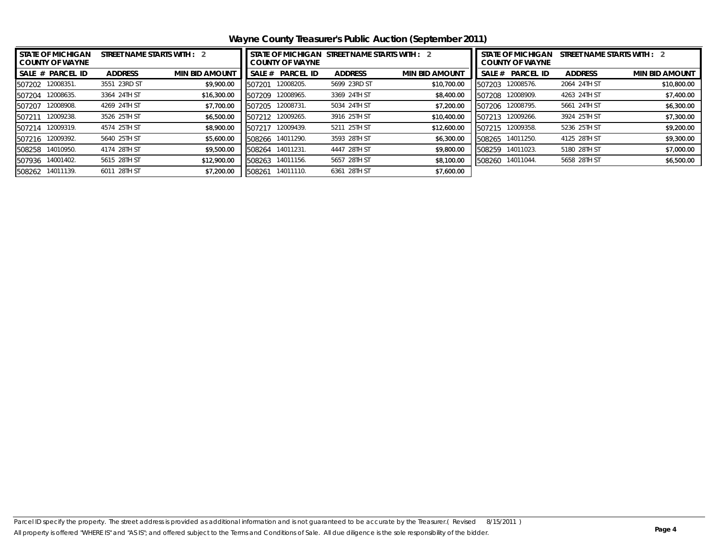<span id="page-3-0"></span>**Wayne County Treasurer's Public Auction (September 2011)**

| <b>STATE OF MICHIGAN</b><br><b>COUNTY OF WAYNE</b> | STREET NAME STARTS WITH : 2 |                       |        |                  | STREET NAME STARTS WITH : 2 |                       | <b>STATE OF MICHIGAN</b><br>STREET NAME STARTS WITH : 2<br><b>COUNTY OF WAYNE</b> |                  |                |                       |
|----------------------------------------------------|-----------------------------|-----------------------|--------|------------------|-----------------------------|-----------------------|-----------------------------------------------------------------------------------|------------------|----------------|-----------------------|
| SALE # PARCEL ID                                   | <b>ADDRESS</b>              | <b>MIN BID AMOUNT</b> | SALE # | <b>PARCEL ID</b> | <b>ADDRESS</b>              | <b>MIN BID AMOUNT</b> | SALE #                                                                            | <b>PARCEL ID</b> | <b>ADDRESS</b> | <b>MIN BID AMOUNT</b> |
| 12008351.<br>507202                                | 3551 23RD ST                | \$9,900.00            | 507201 | 12008205.        | 5699 23RD ST                | \$10,700.00           | 507203                                                                            | 12008576.        | 2064 24TH ST   | \$10,800.00           |
| 12008635.<br>507204                                | 3364 24TH ST                | \$16,300.00           | 507209 | 12008965.        | 3369 24TH ST                | \$8,400.00            | 507208                                                                            | 12008909.        | 4263 24TH ST   | \$7,400.00            |
| 12008908.<br>507207                                | 4269 24TH ST                | \$7,700.00            | 507205 | 12008731.        | 5034 24TH ST                | \$7,200.00            | 507206                                                                            | 12008795.        | 5661 24TH ST   | \$6,300.00            |
| 12009238.<br>507211                                | 3526 25TH ST                | \$6,500.00            | 507212 | 12009265.        | 3916 25TH ST                | \$10,400.00           | 507213                                                                            | 12009266.        | 3924 25TH ST   | \$7,300.00            |
| 12009319.<br>507214                                | 4574 25TH ST                | \$8,900.00            | 507217 | 12009439.        | 5211 25TH ST                | \$12,600.00           | 507215                                                                            | 12009358.        | 5236 25TH ST   | \$9,200.00            |
| 12009392.<br>507216                                | 5640 25TH ST                | \$5,600.00            | 508266 | 14011290.        | 3593 28TH ST                | \$6,300.00            | 508265                                                                            | 14011250.        | 4125 28TH ST   | \$9,300.00            |
| 14010950.<br>508258                                | 4174 28TH ST                | \$9,500.00            | 508264 | 14011231.        | 4447 28TH ST                | \$9,800.00            | 508259                                                                            | 14011023.        | 5180 28TH ST   | \$7,000.00            |
| 14001402.<br>507936                                | 5615 28TH ST                | \$12,900.00           | 508263 | 14011156.        | 5657 28TH ST                | \$8,100.00            | 508260                                                                            | 14011044.        | 5658 28TH ST   | \$6,500.00            |
| 14011139.<br>508262                                | 6011 28TH ST                | \$7,200.00            | 508261 | 14011110.        | 6361 28TH ST                | \$7,600.00            |                                                                                   |                  |                |                       |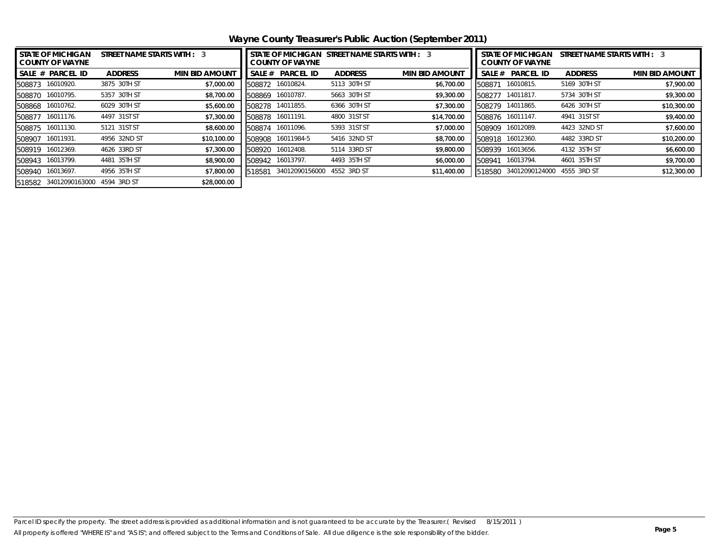<span id="page-4-0"></span>**Wayne County Treasurer's Public Auction (September 2011)**

| I STATE OF MICHIGAN<br><b>COUNTY OF WAYNE</b> | STREET NAME STARTS WITH : 3 |                       |        |                  |                | STATE OF MICHIGAN STREET NAME STARTS WITH : 3 | <b>STATE OF MICHIGAN</b><br>STREET NAME STARTS WITH : 3<br><b>COUNTY OF WAYNE</b> |                       |                |                       |  |
|-----------------------------------------------|-----------------------------|-----------------------|--------|------------------|----------------|-----------------------------------------------|-----------------------------------------------------------------------------------|-----------------------|----------------|-----------------------|--|
| ISALE # PARCEL ID                             | <b>ADDRESS</b>              | <b>MIN BID AMOUNT</b> | SALE # | <b>PARCEL ID</b> | <b>ADDRESS</b> | <b>MIN BID AMOUNT</b>                         | SALE #                                                                            | <b>PARCEL ID</b>      | <b>ADDRESS</b> | <b>MIN BID AMOUNT</b> |  |
| 508873 16010920.                              | 3875 30TH ST                | \$7,000.00            | 508872 | 16010824.        | 5113 30TH ST   | \$6,700.00                                    | 508871                                                                            | 16010815.             | 5169 30TH ST   | \$7,900.00            |  |
| 508870 16010795.                              | 5357 30TH ST                | \$8,700.00            | 508869 | 16010787.        | 5663 30TH ST   | \$9,300.00                                    | 508277                                                                            | 14011817.             | 5734 30TH ST   | \$9,300.00            |  |
| 508868 16010762.                              | 6029 30TH ST                | \$5,600.00            | 508278 | 14011855.        | 6366 30TH ST   | \$7,300.00                                    | 508279                                                                            | 14011865.             | 6426 30TH ST   | \$10,300.00           |  |
| 508877 16011176.                              | 4497 31ST ST                | \$7,300.00            | 508878 | 16011191.        | 4800 31ST ST   | \$14,700.00                                   |                                                                                   | 508876 16011147.      | 4941 31ST ST   | \$9,400.00            |  |
| 508875 16011130.                              | 5121 31ST ST                | \$8,600.00            | 508874 | 16011096.        | 5393 31ST ST   | \$7,000.00                                    | 508909                                                                            | 16012089.             | 4423 32ND ST   | \$7,600.00            |  |
| 508907 16011931.                              | 4956 32ND ST                | \$10,100.00           | 508908 | 16011984-5       | 5416 32ND ST   | \$8,700.00                                    |                                                                                   | 508918 16012360.      | 4482 33RD ST   | \$10,200.00           |  |
| 508919 16012369.                              | 4626 33RD ST                | \$7,300.00            | 508920 | 16012408.        | 5114 33RD ST   | \$9,800.00                                    | 508939                                                                            | 16013656.             | 4132 35TH ST   | \$6,600.00            |  |
| 508943 16013799.                              | 4481 35TH ST                | \$8,900.00            | 508942 | 16013797.        | 4493 35TH ST   | \$6,000.00                                    |                                                                                   | 508941 16013794.      | 4601 35TH ST   | \$9,700.00            |  |
| 508940 16013697.                              | 4956 35TH ST                | \$7,800.00            | 518581 | 34012090156000   | 4552 3RD ST    | \$11,400.00                                   |                                                                                   | 518580 34012090124000 | 4555 3RD ST    | \$12,300.00           |  |
| 518582 34012090163000                         | 4594 3RD ST                 | \$28,000.00           |        |                  |                |                                               |                                                                                   |                       |                |                       |  |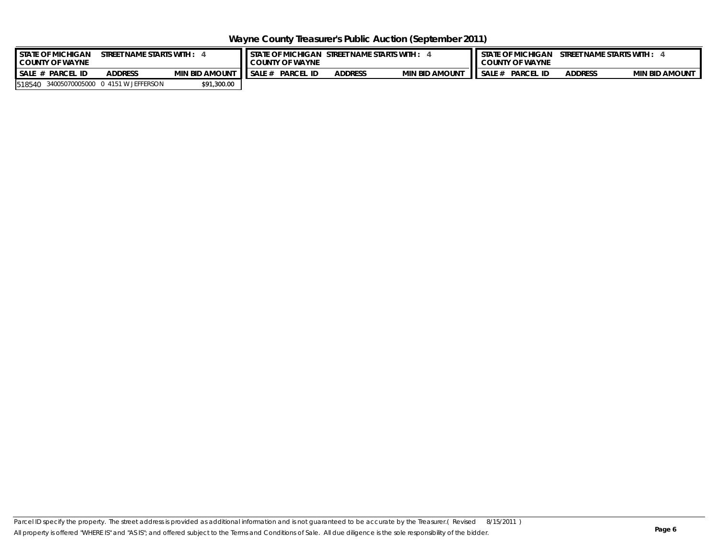<span id="page-5-0"></span>**Wayne County Treasurer's Public Auction (September 2011)**

| <b>I</b> STATE OF MICHIGAN<br><b>COUNTY OF WAYNE</b> | 'T NAME STARTS WITH :                | I STATE OF MICHIGAN STREET NAME STARTS WITH :<br><b>COUNTY OF WAYNE</b> |       |                  |                |                       | STREET NAME STARTS WITH :<br><b>STATE OF MICHIGAN</b><br><b>COUNTY OF WAYNE</b> |                  |                |                       |  |
|------------------------------------------------------|--------------------------------------|-------------------------------------------------------------------------|-------|------------------|----------------|-----------------------|---------------------------------------------------------------------------------|------------------|----------------|-----------------------|--|
| $SALE_n$<br>PARCEL<br>. ID                           | <b>ADDRESS</b>                       | <b>MIN BID AMOUNT</b>                                                   | SALE# | <b>PARCEL ID</b> | <b>ADDRESS</b> | <b>MIN BID AMOUNT</b> | SALE #                                                                          | <b>PARCEL ID</b> | <b>ADDRESS</b> | <b>MIN BID AMOUNT</b> |  |
| 518540                                               | 34005070005000  0   4151 W JEFFERSON | \$91,300.00                                                             |       |                  |                |                       |                                                                                 |                  |                |                       |  |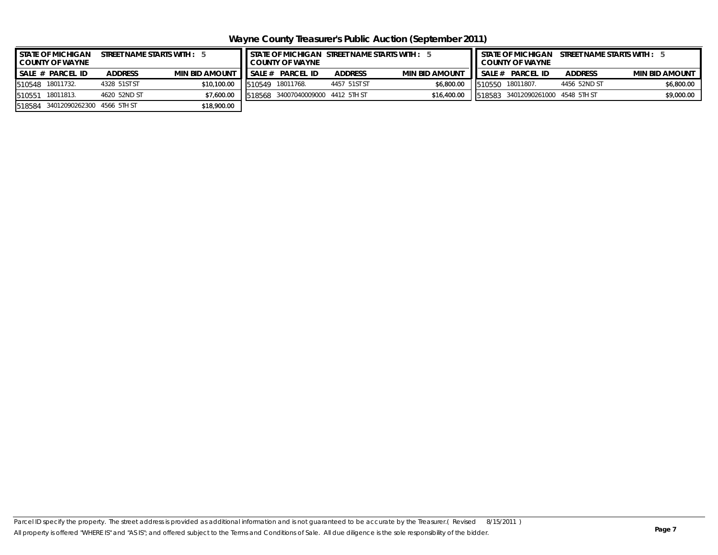<span id="page-6-0"></span>**Wayne County Treasurer's Public Auction (September 2011)**

| <b>STATE OF MICHIGAN</b><br><b>COUNTY OF WAYNE</b> | STREET NAME STARTS WITH : 5 |                       |        |                                   |                | STATE OF MICHIGAN STREET NAME STARTS WITH : 5 | STATE OF MICHIGAN STREET NAME STARTS WITH : 5<br><b>COUNTY OF WAYNE</b> |                                   |                |                       |
|----------------------------------------------------|-----------------------------|-----------------------|--------|-----------------------------------|----------------|-----------------------------------------------|-------------------------------------------------------------------------|-----------------------------------|----------------|-----------------------|
| SALE # PARCEL ID                                   | <b>ADDRESS</b>              | <b>MIN BID AMOUNT</b> | SALE#  | <b>PARCEL ID</b>                  | <b>ADDRESS</b> | <b>MIN BID AMOUNT</b>                         |                                                                         | SALE # PARCEL ID                  | <b>ADDRESS</b> | <b>MIN BID AMOUNT</b> |
| 18011732.<br>510548                                | 4328 51ST ST                | \$10,100.00           | 510549 | 18011768.                         | 4457 51ST ST   | \$6,800.00                                    |                                                                         | 1510550 18011807.                 | 4456 52ND ST   | \$6,800.00            |
| 18011813.<br>510551                                | 4620 52ND ST                | \$7,600.00            |        | 518568 34007040009000 4412 5TH ST |                | \$16,400.00                                   |                                                                         | 518583 34012090261000 4548 5TH ST |                | \$9,000.00            |
| 2 34012090262300 4566 5TH ST<br>518584             |                             | \$18,900.00           |        |                                   |                |                                               |                                                                         |                                   |                |                       |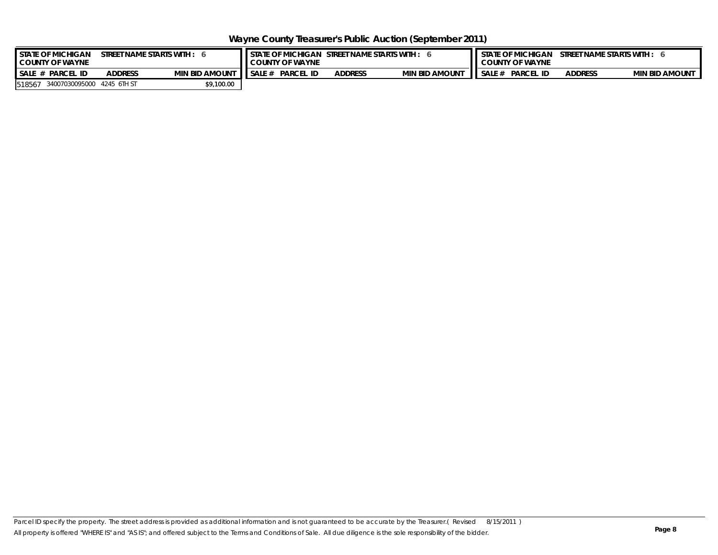<span id="page-7-0"></span>**Wayne County Treasurer's Public Auction (September 2011)**

| <b>I STATE OF MICHIGAN</b><br><b>COUNTY OF WAYNE</b> | T NAME STARTS WITH : | <b>STATE OF MICHIGAN</b><br>$\,$ STREET NAME STARTS WITH :<br><b>COUNTY OF WAYNE</b> |        |                  |                |                       | STREET NAME STARTS WITH:<br><b>STATE OF MICHIGAN</b><br><b>COUNTY OF WAYNE</b> |                  |                |                       |  |
|------------------------------------------------------|----------------------|--------------------------------------------------------------------------------------|--------|------------------|----------------|-----------------------|--------------------------------------------------------------------------------|------------------|----------------|-----------------------|--|
| $SALE_n$<br><b>PARCE</b><br>- ID                     | <b>ADDRESS</b>       | <b>MIN BID AMOUNT</b>                                                                | SALE # | <b>PARCEL ID</b> | <b>ADDRESS</b> | <b>MIN BID AMOUNT</b> | SALE #                                                                         | <b>PARCEL ID</b> | <b>ADDRESS</b> | <b>MIN BID AMOUNT</b> |  |
| 34007030095000 4245 6TH ST<br>518567                 |                      | \$9,100.00                                                                           |        |                  |                |                       |                                                                                |                  |                |                       |  |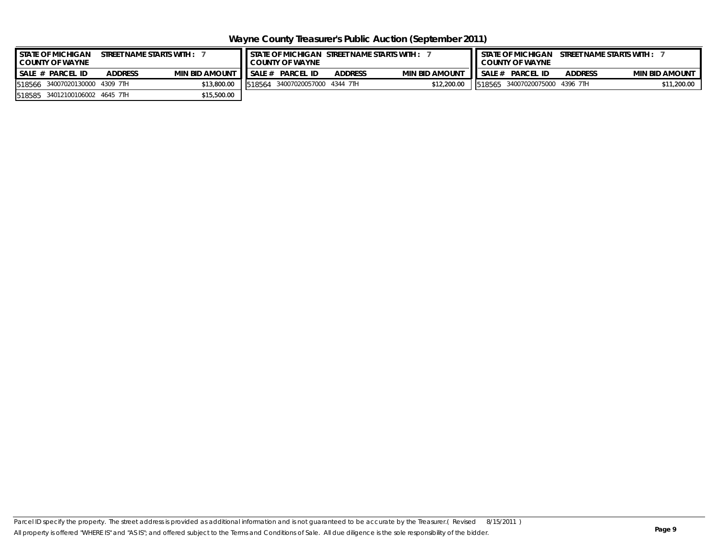<span id="page-8-0"></span>**Wayne County Treasurer's Public Auction (September 2011)**

|                    | <b>I</b> STATE OF MICHIGAN<br>STREET NAME STARTS WITH :<br><b>COUNTY OF WAYNE</b> |                |                       |        | STATE OF MICHIGAN STREET NAME STARTS WITH :<br><b>I</b> COUNTY OF WAYNE |                |                       | <b>STATE OF MICHIGAN</b><br>STREET NAME STARTS WITH :<br><b>COUNTY OF WAYNE</b> |                                 |                |                       |
|--------------------|-----------------------------------------------------------------------------------|----------------|-----------------------|--------|-------------------------------------------------------------------------|----------------|-----------------------|---------------------------------------------------------------------------------|---------------------------------|----------------|-----------------------|
| $SALE$ # PARCEL ID |                                                                                   | <b>ADDRESS</b> | <b>MIN BID AMOUNT</b> | SALE # | <b>PARCEL ID</b>                                                        | <b>ADDRESS</b> | <b>MIN BID AMOUNT</b> | SALE#                                                                           | <b>PARCEL ID</b>                | <b>ADDRESS</b> | <b>MIN BID AMOUNT</b> |
| 518566             | 34007020130000 4309 7TH                                                           |                | \$13,800.00           | 518564 | 34007020057000 4344 7TH                                                 |                | \$12,200.00           |                                                                                 | 1518565 34007020075000 4396 7TH |                | \$11,200.00           |
|                    | 518585 34012100106002 4645 7TH                                                    |                | \$15,500.00           |        |                                                                         |                |                       |                                                                                 |                                 |                |                       |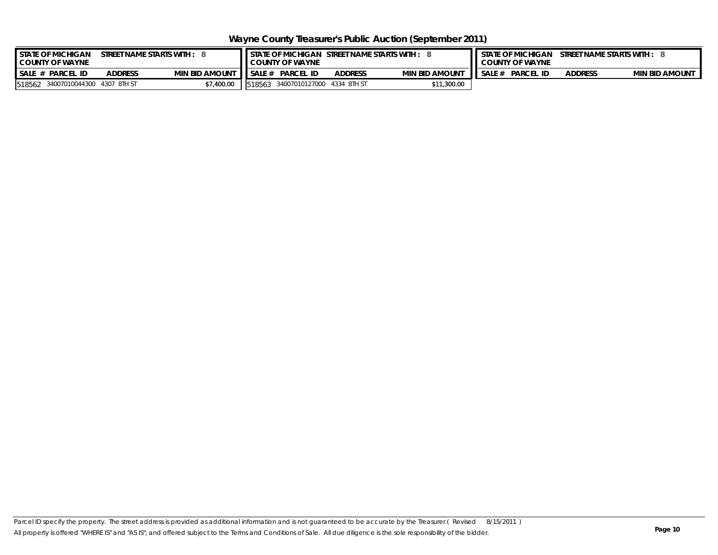<span id="page-9-0"></span>**Wayne County Treasurer's Public Auction (September 2011)**

| <b>I</b> STATE OF MICHIGAN<br>STREET NAME STARTS WITH :<br><b>COUNTY OF WAYNE</b> |                       | <b>I</b> I STATE OF MICHIGAN STREET NAME STARTS WITH :<br><b>COUNTY OF WAYNE</b> |                            |                |                       |        | STREET NAME STARTS WITH :<br><b>STATE OF MICHIGAN</b><br><b>COUNTY OF WAYNE</b> |                |                       |  |
|-----------------------------------------------------------------------------------|-----------------------|----------------------------------------------------------------------------------|----------------------------|----------------|-----------------------|--------|---------------------------------------------------------------------------------|----------------|-----------------------|--|
| $SALE$ #<br><b>ADDRESS</b><br><b>PARCEL ID</b>                                    | <b>MIN BID AMOUNT</b> | SALE#                                                                            | <b>PARCEL ID</b>           | <b>ADDRESS</b> | <b>MIN BID AMOUNT</b> | SALE # | <b>PARCEL ID</b>                                                                | <b>ADDRESS</b> | <b>MIN BID AMOUNT</b> |  |
| 34007010044300 4307 8TH ST<br>518562                                              | 7,400.00              | 518563                                                                           | 34007010127000 4334 8TH ST |                | \$11,300.00           |        |                                                                                 |                |                       |  |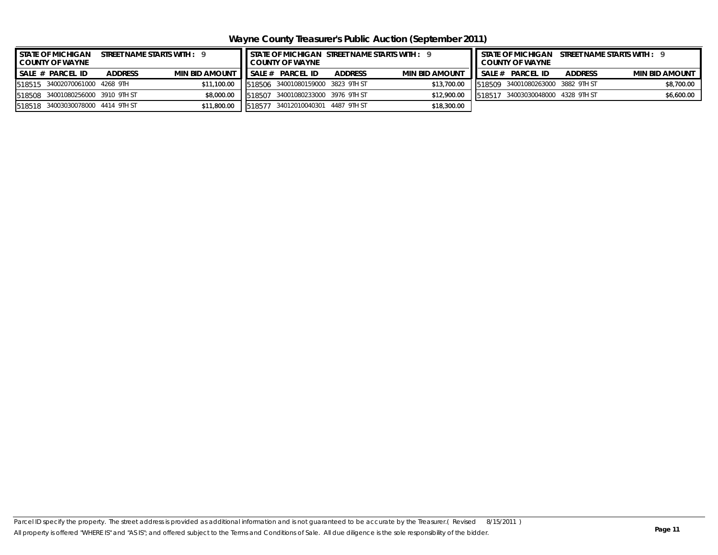<span id="page-10-0"></span>**Wayne County Treasurer's Public Auction (September 2011)**

| I STATE OF MICHIGAN<br><b>COUNTY OF WAYNE</b> |                | STREET NAME STARTS WITH : 9 |        | LCOUNTY OF WAYNE                  |                | STATE OF MICHIGAN STREET NAME STARTS WITH : 9 | <b>I</b> STATE OF MICHIGAN<br>STREET NAME STARTS WITH : 9<br><b>COUNTY OF WAYNE</b> |                                   |                |                       |
|-----------------------------------------------|----------------|-----------------------------|--------|-----------------------------------|----------------|-----------------------------------------------|-------------------------------------------------------------------------------------|-----------------------------------|----------------|-----------------------|
| $SALE \# PARCEL ID$                           | <b>ADDRESS</b> | <b>MIN BID AMOUNT</b>       |        | ISALE# PARCEL ID                  | <b>ADDRESS</b> | <b>MIN BID AMOUNT</b>                         |                                                                                     | SALE# PARCEL ID                   | <b>ADDRESS</b> | <b>MIN BID AMOUNT</b> |
| 518515 34002070061000 4268 9TH                |                | \$11,100.00                 |        | 518506 34001080159000 3823 9TH ST |                | \$13,700.00                                   |                                                                                     | 518509 34001080263000 3882 9TH ST |                | \$8,700.00            |
| 518508 34001080256000 3910 9TH ST             |                | \$8,000.00                  | 518507 | 34001080233000 3976 9TH ST        |                | \$12,900.00                                   |                                                                                     | 518517 34003030048000 4328 9TH ST |                | \$6,600.00            |
| 518518 34003030078000 4414 9TH ST             |                | \$11,800.00                 |        | 518577 34012010040301 4487 9TH ST |                | \$18,300.00                                   |                                                                                     |                                   |                |                       |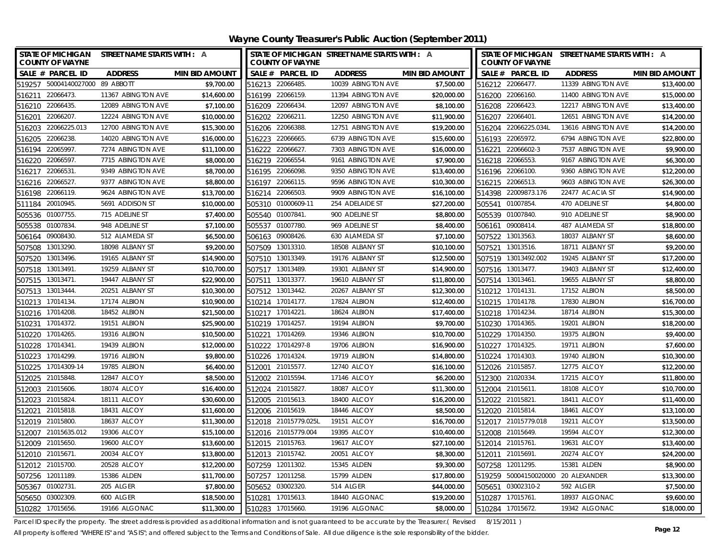<span id="page-11-0"></span>

| <b>STATE OF MICHIGAN</b><br><b>COUNTY OF WAYNE</b> | STREET NAME STARTS WITH : A |                       | <b>COUNTY OF WAYNE</b> | STATE OF MICHIGAN STREET NAME STARTS WITH : A |                       | STATE OF MICHIGAN STREET NAME STARTS WITH : A<br><b>COUNTY OF WAYNE</b> |                    |                       |
|----------------------------------------------------|-----------------------------|-----------------------|------------------------|-----------------------------------------------|-----------------------|-------------------------------------------------------------------------|--------------------|-----------------------|
| SALE # PARCEL ID                                   | <b>ADDRESS</b>              | <b>MIN BID AMOUNT</b> | SALE # PARCEL ID       | <b>ADDRESS</b>                                | <b>MIN BID AMOUNT</b> | SALE # PARCEL ID                                                        | <b>ADDRESS</b>     | <b>MIN BID AMOUNT</b> |
| 519257 50004140027000 89 ABBOTT                    |                             | \$9,700.00            | 516213 22066485.       | 10039 ABINGTON AVE                            | \$7,500.00            | 516212 22066477.                                                        | 11339 ABINGTON AVE | \$13,400.00           |
| 516211 22066473.                                   | 11367 ABINGTON AVE          | \$14,600.00           | 516199 22066159.       | 11394 ABINGTON AVE                            | \$20,000.00           | 516200 22066160.                                                        | 11400 ABINGTON AVE | \$15,000.00           |
| 516210 22066435.                                   | 12089 ABINGTON AVE          | \$7,100.00            | 516209 22066434.       | 12097 ABINGTON AVE                            | \$8,100.00            | 516208 22066423.                                                        | 12217 ABINGTON AVE | \$13,400.00           |
| 516201 22066207.                                   | 12224 ABINGTON AVE          | \$10,000.00           | 516202 22066211.       | 12250 ABINGTON AVE                            | \$11,900.00           | 516207 22066401.                                                        | 12651 ABINGTON AVE | \$14,200.00           |
| 516203 22066225.013                                | 12700 ABINGTON AVE          | \$15,300.00           | 516206 22066388.       | 12751 ABINGTON AVE                            | \$19,200.00           | 516204 22066225.034L                                                    | 13616 ABINGTON AVE | \$14,200.00           |
| 22066238<br>516205                                 | 14020 ABINGTON AVE          | \$16,000.00           | 516223 22066665.       | 6739 ABINGTON AVE                             | \$15,600.00           | 516193 22065972.                                                        | 6794 ABINGTON AVE  | \$22,800.00           |
| 516194<br>22065997                                 | 7274 ABINGTON AVE           | \$11,100.00           | 516222 22066627.       | 7303 ABINGTON AVE                             | \$16,000.00           | 516221 22066602-3                                                       | 7537 ABINGTON AVE  | \$9,900.00            |
| 516220 22066597.                                   | 7715 ABINGTON AVE           | \$8,000.00            | 516219 22066554.       | 9161 ABINGTON AVE                             | \$7,900.00            | 516218 22066553.                                                        | 9167 ABINGTON AVE  | \$6,300.00            |
| 22066531<br>516217                                 | 9349 ABINGTON AVE           | \$8,700.00            | 516195 22066098.       | 9350 ABINGTON AVE                             | \$13,400.00           | 516196 22066100.                                                        | 9360 ABINGTON AVE  | \$12,200.00           |
| 516216 22066527.                                   | 9377 ABINGTON AVE           | \$8,800.00            | 516197 22066115.       | 9596 ABINGTON AVE                             | \$10,300.00           | 516215 22066513.                                                        | 9603 ABINGTON AVE  | \$26,300.00           |
| 516198 22066119.                                   | 9624 ABINGTON AVE           | \$13,700.00           | 516214 22066503.       | 9909 ABINGTON AVE                             | \$16,100.00           | 514398 22009873.176                                                     | 22477 ACACIA ST    | \$14,900.00           |
| 511184 20010945.                                   | 5691 ADDISON ST             | \$10,000.00           | 505310 01000609-11     | 254 ADELAIDE ST                               | \$27,200.00           | 505541 01007854.                                                        | 470 ADELINE ST     | \$4,800.00            |
| 01007755.<br>505536                                | 715 ADELINE ST              | \$7,400.00            | 505540 01007841        | 900 ADELINE ST                                | \$8,800.00            | 505539 01007840.                                                        | 910 ADELINE ST     | \$8,900.00            |
| 01007834<br>505538                                 | 948 ADELINE ST              | \$7,100.00            | 505537 01007780.       | 969 ADELINE ST                                | \$8,400.00            | 506161 09008414.                                                        | 487 ALAMEDA ST     | \$18,800.00           |
| 09008430.<br>506164                                | 512 ALAMEDA ST              | \$6,500.00            | 506163 09008426.       | 630 ALAMEDA ST                                | \$7,100.00            | 507522 13013563.                                                        | 18037 ALBANY ST    | \$8,600.00            |
| 13013290.<br>507508                                | 18098 ALBANY ST             | \$9,200.00            | 507509 13013310.       | 18508 ALBANY ST                               | \$10,100.00           | 507521 13013516.                                                        | 18711 ALBANY ST    | \$9,200.00            |
| 13013496.<br>507520                                | 19165 ALBANY ST             | \$14,900.00           | 507510 13013349.       | 19176 ALBANY ST                               | \$12,500.00           | 507519 13013492.002                                                     | 19245 ALBANY ST    | \$17,200.00           |
| 13013491.<br>507518                                | 19259 ALBANY ST             | \$10,700.00           | 507517 13013489.       | 19301 ALBANY ST                               | \$14,900.00           | 507516 13013477.                                                        | 19403 ALBANY ST    | \$12,400.00           |
| 507515 13013471.                                   | 19447 ALBANY ST             | \$22,900.00           | 507511 13013377.       | 19610 ALBANY ST                               | \$11,800.00           | 507514 13013461.                                                        | 19655 ALBANY ST    | \$8,800.00            |
| 507513 13013444.                                   | 20251 ALBANY ST             | \$10,300.00           | 507512 13013442.       | 20267 ALBANY ST                               | \$12,300.00           | 510212 17014131.                                                        | 17152 ALBION       | \$8,500.00            |
| 17014134<br>510213                                 | 17174 ALBION                | \$10,900.00           | 510214 17014177.       | 17824 ALBION                                  | \$12,400.00           | 510215 17014178.                                                        | 17830 ALBION       | \$16,700.00           |
| 510216 17014208.                                   | 18452 ALBION                | \$21,500.00           | 510217 17014221        | 18624 ALBION                                  | \$17,400.00           | 510218 17014234                                                         | 18714 ALBION       | \$15,300.00           |
| 17014372.<br>510231                                | 19151 ALBION                | \$25,900.00           | 510219 17014257.       | 19194 ALBION                                  | \$9,700.00            | 510230 17014365.                                                        | 19201 ALBION       | \$18,200.00           |
| 510220 17014265.                                   | 19316 ALBION                | \$10,500.00           | 510221 17014269.       | 19346 ALBION                                  | \$10,700.00           | 510229 17014350                                                         | 19375 ALBION       | \$9,400.00            |
| 510228<br>17014341.                                | 19439 ALBION                | \$12,000.00           | 510222 17014297-8      | 19706 ALBION                                  | \$16,900.00           | 510227 17014325.                                                        | 19711 ALBION       | \$7,600.00            |
| 510223 17014299.                                   | 19716 ALBION                | \$9,800.00            | 510226 17014324.       | 19719 ALBION                                  | \$14,800.00           | 510224 17014303.                                                        | 19740 ALBION       | \$10,300.00           |
| 510225 17014309-14                                 | 19785 ALBION                | \$6,400.00            | 512001 21015577.       | 12740 ALCOY                                   | \$16,100.00           | 512026 21015857.                                                        | 12775 ALCOY        | \$12,200.00           |
| 512025 21015848.                                   | 12847 ALCOY                 | \$8,500.00            | 512002 21015594.       | 17146 ALCOY                                   | \$6,200.00            | 512300 21020334                                                         | 17215 ALCOY        | \$11,800.00           |
| 512003 21015606.                                   | 18074 ALCOY                 | \$16,400.00           | 512024 21015827.       | 18087 ALCOY                                   | \$11,300.00           | 512004 21015611.                                                        | 18108 ALCOY        | \$10,700.00           |
| 512023 21015824.                                   | 18111 ALCOY                 | \$30,600.00           | 512005 21015613.       | 18400 ALCOY                                   | \$16,200.00           | 512022 21015821.                                                        | 18411 ALCOY        | \$11,400.00           |
| 512021 21015818.                                   | 18431 ALCOY                 | \$11,600.00           | 512006 21015619.       | 18446 ALCOY                                   | \$8,500.00            | 512020 21015814.                                                        | 18461 ALCOY        | \$13,100.00           |
| 512019 21015800.                                   | 18637 ALCOY                 | \$11,300.00           | 512018 21015779.025L   | 19151 ALCOY                                   | \$16,700.00           | 512017 21015779.018                                                     | 19211 ALCOY        | \$13,500.00           |
| 512007 21015635.012                                | 19306 ALCOY                 | \$15,100.00           | 512016 21015779.004    | 19395 ALCOY                                   | \$10,400.00           | 512008 21015649.                                                        | 19594 ALCOY        | \$12,300.00           |
| 512009 21015650.                                   | 19600 ALCOY                 | \$13,600.00           | 512015 21015763.       | 19617 ALCOY                                   | \$27,100.00           | 512014 21015761.                                                        | 19631 ALCOY        | \$13,400.00           |
| 512010 21015671                                    | 20034 ALCOY                 | \$13,800.00           | 512013 21015742.       | 20051 ALCOY                                   | \$8,300.00            | 512011 21015691.                                                        | 20274 ALCOY        | \$24,200.00           |
| 512012 21015700.                                   | 20528 ALCOY                 | \$12,200.00           | 507259 12011302.       | 15345 ALDEN                                   | \$9,300.00            | 507258 12011295.                                                        | 15381 ALDEN        | \$8,900.00            |
| 507256 12011189.                                   | 15386 ALDEN                 | \$11,700.00           | 507257 12011258.       | 15799 ALDEN                                   | \$17,800.00           | 519259 50004150020000 20 ALEXANDER                                      |                    | \$13,300.00           |
| 505367 01002731.                                   | 205 ALGER                   | \$7,800.00            | 505652 03002320.       | 514 ALGER                                     | \$44,000.00           | 505651 03002310-2                                                       | 592 ALGER          | \$7,500.00            |
| 505650 03002309.                                   | 600 ALGER                   | \$18,500.00           | 510281 17015613.       | 18440 ALGONAC                                 | \$19,200.00           | 510287 17015761.                                                        | 18937 ALGONAC      | \$9,600.00            |
| 510282 17015656.                                   | 19166 ALGONAC               | \$11,300.00           | 510283 17015660.       | 19196 ALGONAC                                 | \$8,000.00            | 510284 17015672.                                                        | 19342 ALGONAC      | \$18,000.00           |

Parcel ID specify the property. The street address is provided as additional information and is not guaranteed to be accurate by the Treasurer.(Revised 8/15/2011)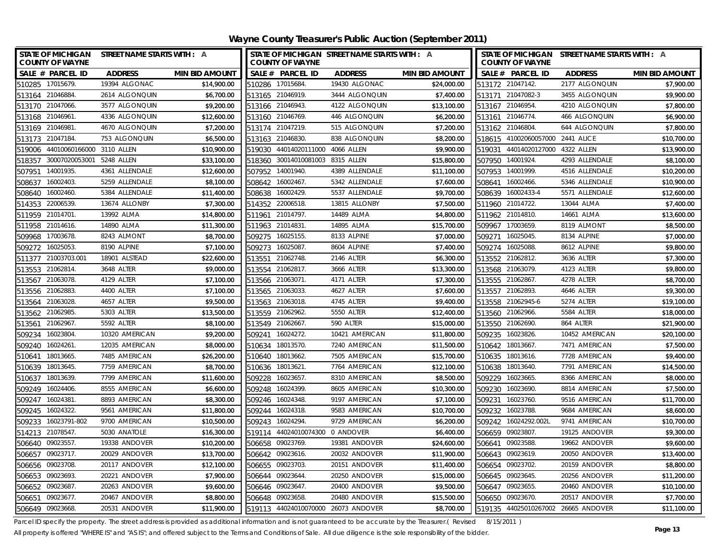| STATE OF MICHIGAN STREET NAME STARTS WITH : A<br><b>COUNTY OF WAYNE</b> |                |                       | STATE OF MICHIGAN STREET NAME STARTS WITH : A<br><b>COUNTY OF WAYNE</b> |                |                       | STATE OF MICHIGAN STREET NAME STARTS WITH : A<br><b>COUNTY OF WAYNE</b> |                   |                       |  |
|-------------------------------------------------------------------------|----------------|-----------------------|-------------------------------------------------------------------------|----------------|-----------------------|-------------------------------------------------------------------------|-------------------|-----------------------|--|
| SALE # PARCEL ID                                                        | <b>ADDRESS</b> | <b>MIN BID AMOUNT</b> | SALE # PARCEL ID                                                        | <b>ADDRESS</b> | <b>MIN BID AMOUNT</b> | SALE # PARCEL ID                                                        | <b>ADDRESS</b>    | <b>MIN BID AMOUNT</b> |  |
| 510285 17015679.                                                        | 19394 ALGONAC  | \$14,900.00           | 510286 17015684                                                         | 19430 ALGONAC  | \$24,000.00           | 513172 21047142.                                                        | 2177 ALGONQUIN    | \$7,900.00            |  |
| 513164 21046884                                                         | 2614 ALGONQUIN | \$6,700.00            | 513165 21046919.                                                        | 3444 ALGONQUIN | \$7,400.00            | 513171 21047082-3                                                       | 3455 ALGONQUIN    | \$9,900.00            |  |
| 513170 21047066.                                                        | 3577 ALGONQUIN | \$9,200.00            | 513166 21046943.                                                        | 4122 ALGONQUIN | \$13,100.00           | 513167 21046954.                                                        | 4210 ALGONQUIN    | \$7,800.00            |  |
| 513168 21046961.                                                        | 4336 ALGONQUIN | \$12,600.00           | 513160 21046769                                                         | 446 ALGONQUIN  | \$6,200.00            | 513161 21046774.                                                        | 466 ALGONQUIN     | \$6,900.00            |  |
| 513169 21046981                                                         | 4670 ALGONQUIN | \$7,200.00            | 513174 21047219.                                                        | 515 ALGONQUIN  | \$7,200.00            | 513162 21046804                                                         | 644 ALGONQUIN     | \$7,800.00            |  |
| 513173 21047184                                                         | 753 ALGONQUIN  | \$6,500.00            | 513163 21046830.                                                        | 838 ALGONQUIN  | \$8,200.00            | 518615 41002060057000                                                   | <b>2441 ALICE</b> | \$10,700.00           |  |
| 519006 44010060166000 3110 ALLEN                                        |                | \$10,900.00           | 44014020111000 4066 ALLEN<br>519030                                     |                | \$9,900.00            | 519031 44014020127000 4322 ALLEN                                        |                   | \$13,900.00           |  |
| 30007020053001 5248 ALLEN<br>518357                                     |                | \$33,100.00           | 518360 30014010081003 8315 ALLEN                                        |                | \$15,800.00           | 507950 14001924.                                                        | 4293 ALLENDALE    | \$8,100.00            |  |
| 14001935<br>507951                                                      | 4361 ALLENDALE | \$12,600.00           | 507952 14001940.                                                        | 4389 ALLENDALE | \$11,100.00           | 507953 14001999.                                                        | 4516 ALLENDALE    | \$10,200.00           |  |
| 16002403<br>508637                                                      | 5259 ALLENDALE | \$8,100.00            | 508642 16002467.                                                        | 5342 ALLENDALE | \$7,600.00            | 16002466.<br>508641                                                     | 5346 ALLENDALE    | \$10,900.00           |  |
| 16002460.<br>508640                                                     | 5384 ALLENDALE | \$11,400.00           | 16002429.<br>508638                                                     | 5537 ALLENDALE | \$9,700.00            | 508639 16002433-4                                                       | 5571 ALLENDALE    | \$12,600.00           |  |
| 514353 22006539.                                                        | 13674 ALLONBY  | \$7,300.00            | 514352 22006518.                                                        | 13815 ALLONBY  | \$7,500.00            | 511960 21014722.                                                        | 13044 ALMA        | \$7,400.00            |  |
| 21014701<br>511959                                                      | 13992 ALMA     | \$14,800.00           | 21014797<br>511961                                                      | 14489 ALMA     | \$4,800.00            | 511962 21014810.                                                        | 14661 ALMA        | \$13,600.00           |  |
| 511958<br>21014616.                                                     | 14890 ALMA     | \$11,300.00           | 21014831.<br>511963                                                     | 14895 ALMA     | \$15,700.00           | 17003659.<br>509967                                                     | 8119 ALMONT       | \$8,500.00            |  |
| 17003678.<br>509968                                                     | 8243 ALMONT    | \$8,700.00            | 16025155.<br>509275                                                     | 8133 ALPINE    | \$7,000.00            | 16025045.<br>509271                                                     | 8134 ALPINE       | \$7,000.00            |  |
| 16025053<br>509272                                                      | 8190 ALPINE    | \$7,100.00            | 509273 16025087                                                         | 8604 ALPINE    | \$7,400.00            | 509274 16025088.                                                        | 8612 ALPINE       | \$9,800.00            |  |
| 21003703.001<br>511377                                                  | 18901 ALSTEAD  | \$22,600.00           | 21062748.<br>513551                                                     | 2146 ALTER     | \$6,300.00            | 513552 21062812.                                                        | 3636 ALTER        | \$7,300.00            |  |
| 513553 21062814                                                         | 3648 ALTER     | \$9,000.00            | 513554 21062817.                                                        | 3666 ALTER     | \$13,300.00           | 513568 21063079.                                                        | 4123 ALTER        | \$9,800.00            |  |
| 513567 21063078.                                                        | 4129 ALTER     | \$7,100.00            | 513566 21063071                                                         | 4171 ALTER     | \$7,300.00            | 513555 21062867.                                                        | 4278 ALTER        | \$8,700.00            |  |
| 513556 21062883.                                                        | 4400 ALTER     | \$7,100.00            | 513565 21063033                                                         | 4627 ALTER     | \$7,600.00            | 513557 21062893.                                                        | 4646 ALTER        | \$9,300.00            |  |
| 21063028<br>513564                                                      | 4657 ALTER     | \$9,500.00            | 513563 21063018                                                         | 4745 ALTER     | \$9,400.00            | 513558 21062945-6                                                       | 5274 ALTER        | \$19,100.00           |  |
| 513562 21062985.                                                        | 5303 ALTER     | \$13,500.00           | 513559 21062962                                                         | 5550 ALTER     | \$12,400.00           | 513560 21062966.                                                        | 5584 ALTER        | \$18,000.00           |  |
| 513561 21062967.                                                        | 5592 ALTER     | \$8,100.00            | 513549 21062667                                                         | 590 ALTER      | \$15,000.00           | 513550 21062690.                                                        | 864 ALTER         | \$21,900.00           |  |
| 16023804<br>509234                                                      | 10320 AMERICAN | \$9,200.00            | 509241 16024272                                                         | 10421 AMERICAN | \$11,800.00           | 16023826.<br>509235                                                     | 10452 AMERICAN    | \$20,100.00           |  |
| 16024261.<br>509240                                                     | 12035 AMERICAN | \$8,000.00            | 510634 18013570.                                                        | 7240 AMERICAN  | \$11,500.00           | 18013667.<br>510642                                                     | 7471 AMERICAN     | \$7,500.00            |  |
| 510641<br>18013665                                                      | 7485 AMERICAN  | \$26,200.00           | 510640 18013662                                                         | 7505 AMERICAN  | \$15,700.00           | 510635 18013616.                                                        | 7728 AMERICAN     | \$9,400.00            |  |
| 510639<br>18013645                                                      | 7759 AMERICAN  | \$8,700.00            | 510636 18013621                                                         | 7764 AMERICAN  | \$12,100.00           | 510638 18013640.                                                        | 7791 AMERICAN     | \$14,500.00           |  |
| 510637<br>18013639                                                      | 7799 AMERICAN  | \$11,600.00           | 509228<br>16023657                                                      | 8310 AMERICAN  | \$8,500.00            | 509229 16023665.                                                        | 8366 AMERICAN     | \$8,000.00            |  |
| 509249<br>16024406                                                      | 8555 AMERICAN  | \$6,600.00            | 509248<br>16024399                                                      | 8605 AMERICAN  | \$10,300.00           | 509230<br>16023690.                                                     | 8814 AMERICAN     | \$7,500.00            |  |
| 509247<br>16024381                                                      | 8893 AMERICAN  | \$8,300.00            | 509246<br>16024348.                                                     | 9197 AMERICAN  | \$7,100.00            | 509231 16023760.                                                        | 9516 AMERICAN     | \$11,700.00           |  |
| 16024322.<br>509245                                                     | 9561 AMERICAN  | \$11,800.00           | 509244 16024318.                                                        | 9583 AMERICAN  | \$10,700.00           | 509232 16023788.                                                        | 9684 AMERICAN     | \$8,600.00            |  |
| 16023791-802<br>509233                                                  | 9700 AMERICAN  | \$10,500.00           | 16024294.<br>509243                                                     | 9729 AMERICAN  | \$6,200.00            | 16024292.002L<br>509242                                                 | 9741 AMERICAN     | \$10,700.00           |  |
| 514213 21078547                                                         | 5030 ANATOLE   | \$16,300.00           | 519114 44024010074300 0 ANDOVER                                         |                | \$6,400.00            | 506659 09023807.                                                        | 19125 ANDOVER     | \$9,300.00            |  |
| 506640 09023557                                                         | 19338 ANDOVER  | \$10,200.00           | 506658 09023769.                                                        | 19381 ANDOVER  | \$24,600.00           | 09023588.<br>506641                                                     | 19662 ANDOVER     | \$9,600.00            |  |
| 506657 09023717.                                                        | 20029 ANDOVER  | \$13,700.00           | 506642 09023616.                                                        | 20032 ANDOVER  | \$11,900.00           | 506643 09023619.                                                        | 20050 ANDOVER     | \$13,400.00           |  |
| 09023708<br>506656                                                      | 20117 ANDOVER  | \$12,100.00           | 09023703<br>506655                                                      | 20151 ANDOVER  | \$11,400.00           | 506654 09023702.                                                        | 20159 ANDOVER     | \$8,800.00            |  |
| 506653 09023693.                                                        | 20221 ANDOVER  | \$7,900.00            | 506644 09023644                                                         | 20250 ANDOVER  | \$15,000.00           | 506645 09023645.                                                        | 20256 ANDOVER     | \$11,200.00           |  |
| 506652 09023687                                                         | 20263 ANDOVER  | \$9,600.00            | 506646 09023647.                                                        | 20400 ANDOVER  | \$9,500.00            | 506647 09023655.                                                        | 20460 ANDOVER     | \$10,100.00           |  |
| 506651 09023677                                                         | 20467 ANDOVER  | \$8,800.00            | 506648 09023658                                                         | 20480 ANDOVER  | \$15,500.00           | 506650 09023670.                                                        | 20517 ANDOVER     | \$7,700.00            |  |
| 506649 09023668                                                         | 20531 ANDOVER  | \$11,900.00           | 519113 44024010070000 26073 ANDOVER                                     |                | \$8,700.00            | 519135 44025010267002 26665 ANDOVER                                     |                   | \$11,100.00           |  |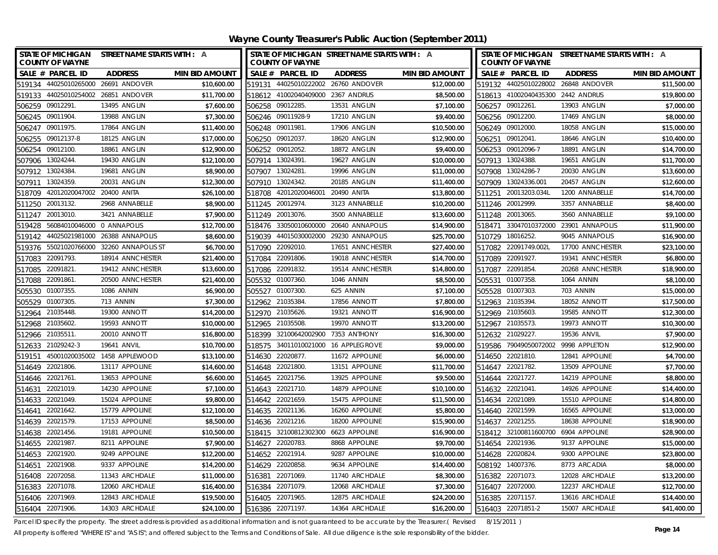| STATE OF MICHIGAN STREET NAME STARTS WITH : A<br><b>COUNTY OF WAYNE</b> |                                |                       |                  | <b>COUNTY OF WAYNE</b>              | STATE OF MICHIGAN STREET NAME STARTS WITH : A |                       |        | <b>COUNTY OF WAYNE</b>              | STATE OF MICHIGAN STREET NAME STARTS WITH : A |                       |
|-------------------------------------------------------------------------|--------------------------------|-----------------------|------------------|-------------------------------------|-----------------------------------------------|-----------------------|--------|-------------------------------------|-----------------------------------------------|-----------------------|
| SALE # PARCEL ID                                                        | <b>ADDRESS</b>                 | <b>MIN BID AMOUNT</b> |                  | SALE # PARCEL ID                    | <b>ADDRESS</b>                                | <b>MIN BID AMOUNT</b> |        | SALE # PARCEL ID                    | <b>ADDRESS</b>                                | <b>MIN BID AMOUNT</b> |
| 519134 44025010265000                                                   | 26691 ANDOVER                  | \$10,600.00           |                  |                                     | 519131 44025010222002 26760 ANDOVER           | \$12,000.00           |        |                                     | 519132 44025010228002 26848 ANDOVER           | \$11,500.00           |
| 519133 44025010254002 26851 ANDOVER                                     |                                | \$11,700.00           |                  | 518612 41002040409000 2367 ANDRUS   |                                               | \$8,500.00            |        | 518613 41002040435300 2442 ANDRUS   |                                               | \$19,800.00           |
| 506259 09012291                                                         | 13495 ANGLIN                   | \$7,600.00            | 506258 09012285. |                                     | 13531 ANGLIN                                  | \$7,100.00            |        | 506257 09012261.                    | 13903 ANGLIN                                  | \$7,000.00            |
| 506245 09011904.                                                        | 13988 ANGLIN                   | \$7,300.00            |                  | 506246 09011928-9                   | 17210 ANGLIN                                  | \$9,400.00            |        | 506256 09012200.                    | 17469 ANGLIN                                  | \$8,000.00            |
| 506247 09011975.                                                        | 17864 ANGLIN                   | \$11,400.00           | 506248 09011981. |                                     | 17906 ANGLIN                                  | \$10,500.00           |        | 506249 09012000.                    | 18058 ANGLIN                                  | \$15,000.00           |
| 506255<br>09012137-8                                                    | 18125 ANGLIN                   | \$17,000.00           | 506250 09012037  |                                     | 18620 ANGLIN                                  | \$12,900.00           |        | 506251 09012041                     | 18646 ANGLIN                                  | \$10,400.00           |
| 506254<br>09012100                                                      | 18861 ANGLIN                   | \$12,900.00           | 506252 09012052. |                                     | 18872 ANGLIN                                  | \$9,400.00            |        | 506253 09012096-7                   | 18891 ANGLIN                                  | \$14,700.00           |
| 507906 13024244.                                                        | 19430 ANGLIN                   | \$12,100.00           | 507914 13024391. |                                     | 19627 ANGLIN                                  | \$10,000.00           |        | 507913 13024388.                    | 19651 ANGLIN                                  | \$11,700.00           |
| 507912 13024384.                                                        | 19681 ANGLIN                   | \$8,900.00            | 507907 13024281. |                                     | 19996 ANGLIN                                  | \$11,000.00           |        | 507908 13024286-7                   | 20030 ANGLIN                                  | \$13,600.00           |
| 13024359.<br>507911                                                     | 20031 ANGLIN                   | \$12,300.00           | 507910           | 13024342.                           | 20185 ANGLIN                                  | \$11,400.00           |        | 507909 13024336.001                 | 20457 ANGLIN                                  | \$12,600.00           |
| 42012020047002 20400 ANITA<br>518709                                    |                                | \$26,100.00           | 518708           | 42012020046001                      | 20490 ANITA                                   | \$13,800.00           |        | 511251 20013203.034L                | 1200 ANNABELLE                                | \$14,700.00           |
| 20013132<br>511250                                                      | 2968 ANNABELLE                 | \$8,900.00            | 511245 20012974. |                                     | 3123 ANNABELLE                                | \$10,200.00           |        | 511246 20012999.                    | 3357 ANNABELLE                                | \$8,400.00            |
| 20013010<br>511247                                                      | 3421 ANNABELLE                 | \$7,900.00            | 511249 20013076. |                                     | 3500 ANNABELLE                                | \$13,600.00           |        | 511248 20013065.                    | 3560 ANNABELLE                                | \$9,100.00            |
| 56084010046000 0 ANNAPOLIS<br>519428                                    |                                | \$12,700.00           | 518476           | 33050010600000                      | 20640 ANNAPOLIS                               | \$14,900.00           | 518471 | 33047010372000                      | 23901 ANNAPOLIS                               | \$11,900.00           |
| 519142                                                                  | 44025021981000 26388 ANNAPOLIS | \$8,600.00            | 519039           |                                     | 44015030002000 29230 ANNAPOLIS                | \$25,700.00           |        | 510729 18016252.                    | 9045 ANNAPOLIS                                | \$16,900.00           |
| 519376 55021020766000 32260 ANNAPOLIS ST                                |                                | \$6,700.00            | 517090           | 22092010.                           | 17651 ANNCHESTER                              | \$27,400.00           |        | 517082 22091749.002L                | 17700 ANNCHESTER                              | \$23,100.00           |
| 22091793.<br>517083                                                     | 18914 ANNCHESTER               | \$21,400.00           | 517084           | 22091806                            | 19018 ANNCHESTER                              | \$14,700.00           | 517089 | 22091927                            | 19341 ANNCHESTER                              | \$6,800.00            |
| 22091821<br>517085                                                      | 19412 ANNCHESTER               | \$13,600.00           | 517086           | 22091832.                           | 19514 ANNCHESTER                              | \$14,800.00           | 517087 | 22091854.                           | 20268 ANNCHESTER                              | \$18,900.00           |
| 22091861<br>517088                                                      | 20500 ANNCHESTER               | \$21,400.00           | 505532 01007360. |                                     | <b>1046 ANNIN</b>                             | \$8,500.00            | 505531 | 01007358.                           | 1064 ANNIN                                    | \$8,100.00            |
| 505530 01007355                                                         | <b>1086 ANNIN</b>              | \$6,900.00            | 505527           | 01007300                            | 625 ANNIN                                     | \$7,100.00            |        | 505528 01007303.                    | 703 ANNIN                                     | \$15,000.00           |
| 01007305<br>505529                                                      | 713 ANNIN                      | \$7,300.00            | 512962           | 21035384                            | 17856 ANNOTT                                  | \$7,800.00            |        | 512963 21035394.                    | 18052 ANNOTT                                  | \$17,500.00           |
| 21035448.<br>512964                                                     | 19300 ANNOTT                   | \$14,200.00           | 512970           | 21035626                            | 19321 ANNOTT                                  | \$16,900.00           |        | 512969 21035603                     | 19585 ANNOTT                                  | \$12,300.00           |
| 512968 21035602.                                                        | 19593 ANNOTT                   | \$10,000.00           | 512965 21035508. |                                     | 19970 ANNOTT                                  | \$13,200.00           |        | 512967 21035573.                    | 19973 ANNOTT                                  | \$10,300.00           |
| 512966 21035511.                                                        | 20010 ANNOTT                   | \$16,800.00           |                  | 518399 32100642002900 7353 ANTHONY  |                                               | \$16,300.00           |        | 512632 21029227                     | 19536 ANVIL                                   | \$7,900.00            |
| 512633 21029242-3                                                       | 19641 ANVIL                    | \$10,700.00           |                  |                                     | 518575 34011010021000 16 APPLEGROVE           | \$9,000.00            |        | 519586 79049050072002 9998 APPLETON |                                               | \$12,900.00           |
| 519151                                                                  | 45001020035002 1458 APPLEWOOD  | \$13,100.00           | 514630 22020877. |                                     | 11672 APPOLINE                                | \$6,000.00            |        | 514650 22021810.                    | 12841 APPOLINE                                | \$4,700.00            |
| 514649 22021806.                                                        | 13117 APPOLINE                 | \$14,600.00           | 514648 22021800. |                                     | 13151 APPOLINE                                | \$11,700.00           |        | 514647 22021782.                    | 13509 APPOLINE                                | \$7,700.00            |
| 514646 22021761                                                         | 13653 APPOLINE                 | \$6,600.00            | 514645 22021756. |                                     | 13925 APPOLINE                                | \$9,500.00            |        | 514644 22021727.                    | 14219 APPOLINE                                | \$8,800.00            |
| 22021019<br>514631                                                      | 14230 APPOLINE                 | \$7,100.00            | 514643 22021710  |                                     | 14879 APPOLINE                                | \$10,100.00           |        | 514632 22021041                     | 14926 APPOLINE                                | \$14,400.00           |
| 514633 22021049.                                                        | 15024 APPOLINE                 | \$9,800.00            | 514642 22021659  |                                     | 15475 APPOLINE                                | \$11,500.00           |        | 514634 22021089.                    | 15510 APPOLINE                                | \$14,800.00           |
| 22021642<br>514641                                                      | 15779 APPOLINE                 | \$12,100.00           | 514635 22021136. |                                     | 16260 APPOLINE                                | \$5,800.00            |        | 514640 22021599.                    | 16565 APPOLINE                                | \$13,000.00           |
| 22021579<br>514639                                                      | 17153 APPOLINE                 | \$8,500.00            | 514636 22021216. |                                     | 18200 APPOLINE                                | \$15,900.00           |        | 514637 22021255                     | 18638 APPOLINE                                | \$18,900.00           |
| 22021456.<br>514638                                                     | 19181 APPOLINE                 | \$10,500.00           |                  | 518415 32100812302300 6623 APPOLINE |                                               | \$16,900.00           |        | 518412 32100811600700 6904 APPOLINE |                                               | \$28,900.00           |
| 514655 22021987                                                         | 8211 APPOLINE                  | \$7,900.00            | 514627 22020783. |                                     | 8868 APPOLINE                                 | \$9,700.00            |        | 514654 22021936.                    | 9137 APPOLINE                                 | \$15,000.00           |
| 514653 22021920.                                                        | 9249 APPOLINE                  | \$12,200.00           | 514652 22021914. |                                     | 9287 APPOLINE                                 | \$10,000.00           |        | 514628 22020824.                    | 9300 APPOLINE                                 | \$23,800.00           |
| 22021908<br>514651                                                      | 9337 APPOLINE                  | \$14,200.00           | 514629 22020858  |                                     | 9634 APPOLINE                                 | \$14,400.00           |        | 508192 14007376.                    | 8773 ARCADIA                                  | \$8,000.00            |
| 22072058<br>516408                                                      | 11343 ARCHDALE                 | \$11,000.00           | 516381           | 22071069.                           | 11740 ARCHDALE                                | \$8,300.00            |        | 516382 22071073.                    | 12028 ARCHDALE                                | \$13,200.00           |
| 516383<br>22071078                                                      | 12060 ARCHDALE                 | \$16,400.00           | 516384           | 22071079.                           | 12068 ARCHDALE                                | \$7,300.00            |        | 516407 22072000.                    | 12237 ARCHDALE                                | \$12,700.00           |
| 516406 22071969                                                         | 12843 ARCHDALE                 | \$19,500.00           | 516405 22071965. |                                     | 12875 ARCHDALE                                | \$24,200.00           |        | 516385 22071157.                    | 13616 ARCHDALE                                | \$14,400.00           |
| 516404 22071906.                                                        | 14303 ARCHDALE                 | \$24,100.00           | 516386 22071197. |                                     | 14364 ARCHDALE                                | \$16,200.00           |        | 516403 22071851-2                   | 15007 ARCHDALE                                | \$41,400.00           |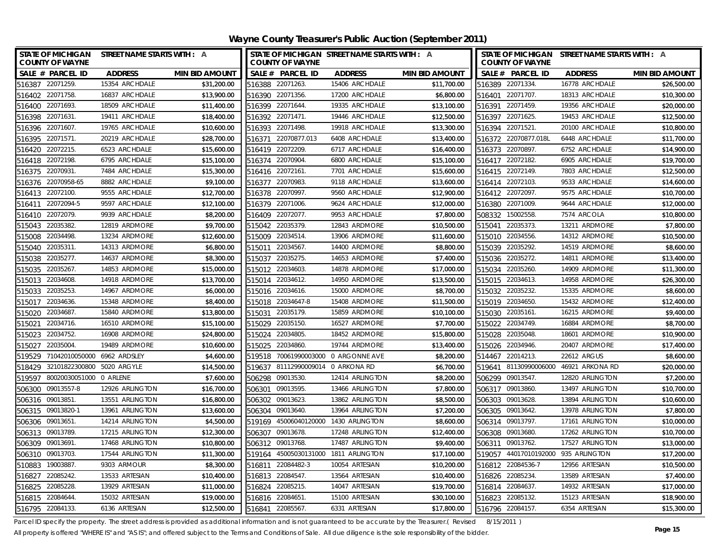| <b>STATE OF MICHIGAN</b><br><b>COUNTY OF WAYNE</b> | STREET NAME STARTS WITH : A |                       | STATE OF MICHIGAN STREET NAME STARTS WITH : A<br><b>COUNTY OF WAYNE</b> |                              |                       | STATE OF MICHIGAN STREET NAME STARTS WITH : A<br><b>COUNTY OF WAYNE</b> |                 |                       |  |
|----------------------------------------------------|-----------------------------|-----------------------|-------------------------------------------------------------------------|------------------------------|-----------------------|-------------------------------------------------------------------------|-----------------|-----------------------|--|
| SALE # PARCEL ID                                   | <b>ADDRESS</b>              | <b>MIN BID AMOUNT</b> | SALE # PARCEL ID                                                        | <b>ADDRESS</b>               | <b>MIN BID AMOUNT</b> | SALE # PARCEL ID                                                        | <b>ADDRESS</b>  | <b>MIN BID AMOUNT</b> |  |
| 516387 22071259.                                   | 15354 ARCHDALE              | \$31,200.00           | 516388 22071263.                                                        | 15406 ARCHDALE               | \$11,700.00           | 516389 22071334.                                                        | 16778 ARCHDALE  | \$26,500.00           |  |
| 22071758<br>516402                                 | 16837 ARCHDALE              | \$13,900.00           | 22071356<br>516390                                                      | 17200 ARCHDALE               | \$6,800.00            | 22071707.<br>516401                                                     | 18313 ARCHDALE  | \$10,300.00           |  |
| 516400 22071693.                                   | 18509 ARCHDALE              | \$11,400.00           | 516399 22071644.                                                        | 19335 ARCHDALE               | \$13,100.00           | 22071459.<br>516391                                                     | 19356 ARCHDALE  | \$20,000.00           |  |
| 516398 22071631                                    | 19411 ARCHDALE              | \$18,400.00           | 516392 22071471                                                         | 19446 ARCHDALE               | \$12,500.00           | 516397 22071625.                                                        | 19453 ARCHDALE  | \$12,500.00           |  |
| 516396 22071607                                    | 19765 ARCHDALE              | \$10,600.00           | 516393 22071498                                                         | 19918 ARCHDALE               | \$13,300.00           | 516394 22071521.                                                        | 20100 ARCHDALE  | \$10,800.00           |  |
| 22071571.<br>516395                                | 20219 ARCHDALE              | \$28,700.00           | 22070877.013<br>516371                                                  | 6408 ARCHDALE                | \$13,400.00           | 516372 22070877.018L                                                    | 6448 ARCHDALE   | \$11,700.00           |  |
| 516420 22072215.                                   | 6523 ARCHDALE               | \$15,600.00           | 516419 22072209.                                                        | 6717 ARCHDALE                | \$16,400.00           | 516373 22070897.                                                        | 6752 ARCHDALE   | \$14,900.00           |  |
| 516418 22072198.                                   | 6795 ARCHDALE               | \$15,100.00           | 516374 22070904                                                         | 6800 ARCHDALE                | \$15,100.00           | 516417 22072182.                                                        | 6905 ARCHDALE   | \$19,700.00           |  |
| 516375 22070931                                    | 7484 ARCHDALE               | \$15,300.00           | 516416 22072161                                                         | 7701 ARCHDALE                | \$15,600.00           | 516415 22072149.                                                        | 7803 ARCHDALE   | \$12,500.00           |  |
| 516376 22070958-65                                 | 8882 ARCHDALE               | \$9,100.00            | 516377 22070983.                                                        | 9118 ARCHDALE                | \$13,600.00           | 516414 22072103.                                                        | 9533 ARCHDALE   | \$14,600.00           |  |
| 516413 22072100.                                   | 9555 ARCHDALE               | \$12,700.00           | 516378 22070997                                                         | 9560 ARCHDALE                | \$12,900.00           | 516412 22072097.                                                        | 9575 ARCHDALE   | \$10,700.00           |  |
| 516411 22072094-5                                  | 9597 ARCHDALE               | \$12,100.00           | 516379 22071006.                                                        | 9624 ARCHDALE                | \$12,000.00           | 516380 22071009.                                                        | 9644 ARCHDALE   | \$12,000.00           |  |
| 22072079.<br>516410                                | 9939 ARCHDALE               | \$8,200.00            | 516409 22072077.                                                        | 9953 ARCHDALE                | \$7,800.00            | 508332 15002558.                                                        | 7574 ARCOLA     | \$10,800.00           |  |
| 22035382.<br>515043                                | 12819 ARDMORE               | \$9,700.00            | 22035379<br>515042                                                      | 12843 ARDMORE                | \$10,500.00           | 515041 22035373.                                                        | 13211 ARDMORE   | \$7,800.00            |  |
| 22034498<br>515008                                 | 13234 ARDMORE               | \$12,600.00           | 22034514<br>515009                                                      | 13906 ARDMORE                | \$11,600.00           | 515010 22034556.                                                        | 14312 ARDMORE   | \$10,500.00           |  |
| 515040 22035311                                    | 14313 ARDMORE               | \$6,800.00            | 22034567.<br>515011                                                     | 14400 ARDMORE                | \$8,800.00            | 515039 22035292.                                                        | 14519 ARDMORE   | \$8,600.00            |  |
| 22035277<br>515038                                 | 14637 ARDMORE               | \$8,300.00            | 22035275<br>515037                                                      | 14653 ARDMORE                | \$7,400.00            | 515036 22035272.                                                        | 14811 ARDMORE   | \$13,400.00           |  |
| 22035267.<br>515035                                | 14853 ARDMORE               | \$15,000.00           | 515012 22034603                                                         | 14878 ARDMORE                | \$17,000.00           | 515034 22035260.                                                        | 14909 ARDMORE   | \$11,300.00           |  |
| 22034608<br>515013                                 | 14918 ARDMORE               | \$13,700.00           | 515014 22034612.                                                        | 14950 ARDMORE                | \$13,500.00           | 515015 22034613.                                                        | 14958 ARDMORE   | \$26,300.00           |  |
| 22035253<br>515033                                 | 14967 ARDMORE               | \$6,000.00            | 515016 22034616.                                                        | 15000 ARDMORE                | \$8,700.00            | 515032 22035232.                                                        | 15335 ARDMORE   | \$8,600.00            |  |
| 22034636<br>515017                                 | 15348 ARDMORE               | \$8,400.00            | 22034647-8<br>515018                                                    | 15408 ARDMORE                | \$11,500.00           | 515019 22034650.                                                        | 15432 ARDMORE   | \$12,400.00           |  |
| 22034687<br>515020                                 | 15840 ARDMORE               | \$13,800.00           | 22035179.<br>515031                                                     | 15859 ARDMORE                | \$10,100.00           | 22035161.<br>515030                                                     | 16215 ARDMORE   | \$9,400.00            |  |
| 22034716.<br>515021                                | 16510 ARDMORE               | \$15,100.00           | 22035150.<br>515029                                                     | 16527 ARDMORE                | \$7,700.00            | 515022 22034749.                                                        | 16884 ARDMORE   | \$8,700.00            |  |
| 22034752<br>515023                                 | 16908 ARDMORE               | \$24,800.00           | 22034805<br>515024                                                      | 18452 ARDMORE                | \$15,800.00           | 515028<br>22035048.                                                     | 18601 ARDMORE   | \$10,900.00           |  |
| 22035004<br>515027                                 | 19489 ARDMORE               | \$10,600.00           | 22034860.<br>515025                                                     | 19744 ARDMORE                | \$13,400.00           | 22034946.<br>515026                                                     | 20407 ARDMORE   | \$17,400.00           |  |
| 71042010050000 6962 ARDSLEY<br>519529              |                             | \$4,600.00            | 519518                                                                  | 70061990003000 0 ARGONNE AVE | \$8,200.00            | 514467<br>22014213.                                                     | 22612 ARGUS     | \$8,600.00            |  |
| 518429 32101822300800 5020 ARGYLE                  |                             | \$14,500.00           | 519637 81112990009014 0 ARKONA RD                                       |                              | \$6,700.00            | 81130990006000<br>519641                                                | 46921 ARKONA RD | \$20,000.00           |  |
| 80020030051000 0 ARLENE<br>519597                  |                             | \$7,600.00            | 09013530<br>506298                                                      | 12414 ARLINGTON              | \$8,200.00            | 506299 09013547.                                                        | 12820 ARLINGTON | \$7,200.00            |  |
| 506300<br>09013557-8                               | 12926 ARLINGTON             | \$16,700.00           | 09013595.<br>506301                                                     | 13466 ARLINGTON              | \$7,800.00            | 506317 09013860.                                                        | 13497 ARLINGTON | \$10,700.00           |  |
| 506316 09013851                                    | 13551 ARLINGTON             | \$16,800.00           | 506302 09013623                                                         | 13862 ARLINGTON              | \$8,500.00            | 506303 09013628.                                                        | 13894 ARLINGTON | \$10,600.00           |  |
| 506315 09013820-1                                  | 13961 ARLINGTON             | \$13,600.00           | 506304 09013640.                                                        | 13964 ARLINGTON              | \$7,200.00            | 506305 09013642.                                                        | 13978 ARLINGTON | \$7,800.00            |  |
| 506306 09013651                                    | 14214 ARLINGTON             | \$4,500.00            | 519169 45006040120000 1430 ARLINGTON                                    |                              | \$8,600.00            | 506314 09013797.                                                        | 17161 ARLINGTON | \$10,000.00           |  |
| 506313 09013789.                                   | 17215 ARLINGTON             | \$12,300.00           | 506307 09013678.                                                        | 17248 ARLINGTON              | \$12,400.00           | 506308 09013680.                                                        | 17262 ARLINGTON | \$10,700.00           |  |
| 506309 09013691                                    | 17468 ARLINGTON             | \$10,800.00           | 506312 09013768.                                                        | 17487 ARLINGTON              | \$9,400.00            | 506311 09013762.                                                        | 17527 ARLINGTON | \$13,000.00           |  |
| 506310 09013703.                                   | 17544 ARLINGTON             | \$11,300.00           | 519164 45005030131000 1811 ARLINGTON                                    |                              | \$17,100.00           | 519057 44017010192000 935 ARLINGTON                                     |                 | \$17,200.00           |  |
| 19003887<br>510883                                 | 9303 ARMOUR                 | \$8,300.00            | 516811 22084482-3                                                       | 10054 ARTESIAN               | \$10,200.00           | 516812 22084536-7                                                       | 12956 ARTESIAN  | \$10,500.00           |  |
| 22085242<br>516827                                 | 13533 ARTESIAN              | \$10,400.00           | 516813 22084547.                                                        | 13564 ARTESIAN               | \$10,400.00           | 516826 22085234.                                                        | 13589 ARTESIAN  | \$7,400.00            |  |
| 22085228<br>516825                                 | 13929 ARTESIAN              | \$11,000.00           | 516824 22085215.                                                        | 14047 ARTESIAN               | \$19,700.00           | 516814 22084637.                                                        | 14932 ARTESIAN  | \$17,000.00           |  |
| 516815 22084644                                    | 15032 ARTESIAN              | \$19,000.00           | 516816 22084651                                                         | 15100 ARTESIAN               | \$30,100.00           | 516823 22085132.                                                        | 15123 ARTESIAN  | \$18,900.00           |  |
| 516795 22084133.                                   | 6136 ARTESIAN               | \$12,500.00           | 516841 22085567                                                         | 6331 ARTESIAN                | \$17,800.00           | 516796 22084157.                                                        | 6354 ARTESIAN   | \$15,300.00           |  |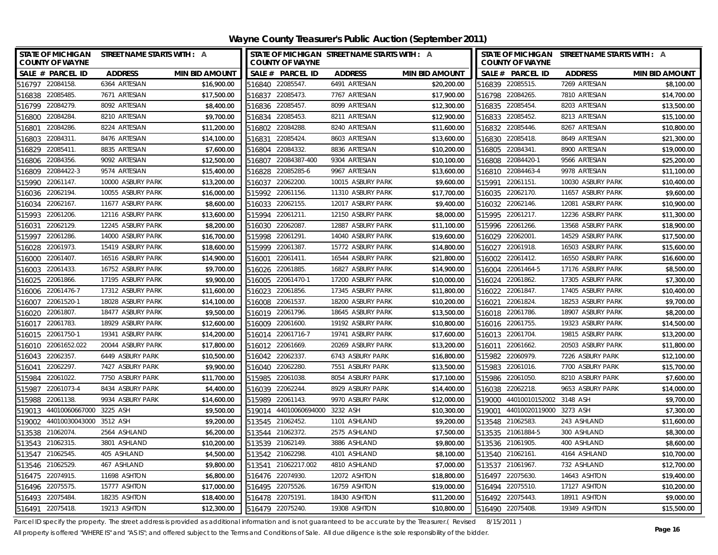| <b>STATE OF MICHIGAN</b><br><b>COUNTY OF WAYNE</b> | STREET NAME STARTS WITH : A |                       | <b>COUNTY OF WAYNE</b> | STATE OF MICHIGAN STREET NAME STARTS WITH : A |                       | STATE OF MICHIGAN STREET NAME STARTS WITH : A<br><b>COUNTY OF WAYNE</b> |                   |                       |
|----------------------------------------------------|-----------------------------|-----------------------|------------------------|-----------------------------------------------|-----------------------|-------------------------------------------------------------------------|-------------------|-----------------------|
| SALE # PARCEL ID                                   | <b>ADDRESS</b>              | <b>MIN BID AMOUNT</b> | SALE # PARCEL ID       | <b>ADDRESS</b>                                | <b>MIN BID AMOUNT</b> | SALE # PARCEL ID                                                        | <b>ADDRESS</b>    | <b>MIN BID AMOUNT</b> |
| 516797 22084158.                                   | 6364 ARTESIAN               | \$16,900.00           | 516840 22085547.       | 6491 ARTESIAN                                 | \$20,200.00           | 516839 22085515.                                                        | 7269 ARTESIAN     | \$8,100.00            |
| 516838 22085485.                                   | 7671 ARTESIAN               | \$17,500.00           | 516837 22085473.       | 7767 ARTESIAN                                 | \$17,900.00           | 516798 22084265.                                                        | 7810 ARTESIAN     | \$14,700.00           |
| 516799 22084279.                                   | 8092 ARTESIAN               | \$8,400.00            | 516836 22085457.       | 8099 ARTESIAN                                 | \$12,300.00           | 516835 22085454                                                         | 8203 ARTESIAN     | \$13,500.00           |
| 516800 22084284.                                   | 8210 ARTESIAN               | \$9,700.00            | 516834 22085453.       | 8211 ARTESIAN                                 | \$12,900.00           | 516833 22085452.                                                        | 8213 ARTESIAN     | \$15,100.00           |
| 22084286<br>516801                                 | 8224 ARTESIAN               | \$11,200.00           | 516802 22084288.       | 8240 ARTESIAN                                 | \$11,600.00           | 516832 22085446.                                                        | 8267 ARTESIAN     | \$10,800.00           |
| 22084311<br>516803                                 | 8476 ARTESIAN               | \$14,100.00           | 22085424.<br>516831    | 8603 ARTESIAN                                 | \$13,600.00           | 516830 22085418.                                                        | 8649 ARTESIAN     | \$21,300.00           |
| 516829<br>22085411                                 | 8835 ARTESIAN               | \$7,600.00            | 516804<br>22084332.    | 8836 ARTESIAN                                 | \$10,200.00           | 516805 22084341.                                                        | 8900 ARTESIAN     | \$19,000.00           |
| 516806 22084356.                                   | 9092 ARTESIAN               | \$12,500.00           | 516807 22084387-400    | 9304 ARTESIAN                                 | \$10,100.00           | 516808 22084420-1                                                       | 9566 ARTESIAN     | \$25,200.00           |
| 22084422-3<br>516809                               | 9574 ARTESIAN               | \$15,400.00           | 22085285-6<br>516828   | 9967 ARTESIAN                                 | \$13,600.00           | 516810 22084463-4                                                       | 9978 ARTESIAN     | \$11,100.00           |
| 22061147<br>515990                                 | 10000 ASBURY PARK           | \$13,200.00           | 516037 22062200.       | 10015 ASBURY PARK                             | \$9,600.00            | 515991 22061151.                                                        | 10030 ASBURY PARK | \$10,400.00           |
| 516036 22062194.                                   | 10055 ASBURY PARK           | \$16,000.00           | 515992 22061156.       | 11310 ASBURY PARK                             | \$17,700.00           | 516035 22062170.                                                        | 11657 ASBURY PARK | \$9,600.00            |
| 22062167<br>516034                                 | 11677 ASBURY PARK           | \$8,600.00            | 516033 22062155.       | 12017 ASBURY PARK                             | \$9,400.00            | 516032 22062146.                                                        | 12081 ASBURY PARK | \$10,900.00           |
| 22061206<br>515993                                 | 12116 ASBURY PARK           | \$13,600.00           | 515994<br>22061211.    | 12150 ASBURY PARK                             | \$8,000.00            | 515995 22061217.                                                        | 12236 ASBURY PARK | \$11,300.00           |
| 22062129<br>516031                                 | 12245 ASBURY PARK           | \$8,200.00            | 22062087.<br>516030    | 12887 ASBURY PARK                             | \$11,100.00           | 515996 22061266.                                                        | 13568 ASBURY PARK | \$18,900.00           |
| 22061286<br>515997                                 | 14000 ASBURY PARK           | \$16,700.00           | 515998<br>22061291.    | 14040 ASBURY PARK                             | \$19,600.00           | 516029 22062001.                                                        | 14529 ASBURY PARK | \$17,500.00           |
| 22061973.<br>516028                                | 15419 ASBURY PARK           | \$18,600.00           | 22061387.<br>515999    | 15772 ASBURY PARK                             | \$14,800.00           | 516027 22061918.                                                        | 16503 ASBURY PARK | \$15,600.00           |
| 22061407<br>516000                                 | 16516 ASBURY PARK           | \$14,900.00           | 22061411.<br>516001    | 16544 ASBURY PARK                             | \$21,800.00           | 22061412.<br>516002                                                     | 16550 ASBURY PARK | \$16,600.00           |
| 22061433.<br>516003                                | 16752 ASBURY PARK           | \$9,700.00            | 22061885.<br>516026    | 16827 ASBURY PARK                             | \$14,900.00           | 22061464-5<br>516004                                                    | 17176 ASBURY PARK | \$8,500.00            |
| 22061866<br>516025                                 | 17195 ASBURY PARK           | \$9,900.00            | 516005 22061470-1      | 17200 ASBURY PARK                             | \$10,000.00           | 516024 22061862.                                                        | 17305 ASBURY PARK | \$7,300.00            |
| 22061476-7<br>516006                               | 17312 ASBURY PARK           | \$11,600.00           | 22061856.<br>516023    | 17345 ASBURY PARK                             | \$11,800.00           | 516022 22061847.                                                        | 17405 ASBURY PARK | \$10,400.00           |
| 22061520-1<br>516007                               | 18028 ASBURY PARK           | \$14,100.00           | 22061537.<br>516008    | 18200 ASBURY PARK                             | \$10,200.00           | 22061824<br>516021                                                      | 18253 ASBURY PARK | \$9,700.00            |
| 22061807<br>516020                                 | 18477 ASBURY PARK           | \$9,500.00            | 516019 22061796.       | 18645 ASBURY PARK                             | \$13,500.00           | 22061786.<br>516018                                                     | 18907 ASBURY PARK | \$8,200.00            |
| 516017 22061783.                                   | 18929 ASBURY PARK           | \$12,600.00           | 22061600<br>516009     | 19192 ASBURY PARK                             | \$10,800.00           | 516016 22061755.                                                        | 19323 ASBURY PARK | \$14,500.00           |
| 516015 22061750-1                                  | 19341 ASBURY PARK           | \$14,200.00           | 516014 22061716-7      | 19741 ASBURY PARK                             | \$17,600.00           | 516013 22061704                                                         | 19815 ASBURY PARK | \$13,200.00           |
| 516010 22061652.022                                | 20044 ASBURY PARK           | \$17,800.00           | 516012 22061669.       | 20269 ASBURY PARK                             | \$13,200.00           | 516011 22061662.                                                        | 20503 ASBURY PARK | \$11,800.00           |
| 516043 22062357                                    | 6449 ASBURY PARK            | \$10,500.00           | 516042 22062337.       | 6743 ASBURY PARK                              | \$16,800.00           | 515982 22060979.                                                        | 7226 ASBURY PARK  | \$12,100.00           |
| 22062297<br>516041                                 | 7427 ASBURY PARK            | \$9,900.00            | 516040 22062280.       | 7551 ASBURY PARK                              | \$13,500.00           | 515983 22061016.                                                        | 7700 ASBURY PARK  | \$15,700.00           |
| 22061022<br>515984                                 | 7750 ASBURY PARK            | \$11,700.00           | 515985 22061038.       | 8054 ASBURY PARK                              | \$17,100.00           | 515986 22061050.                                                        | 8210 ASBURY PARK  | \$7,600.00            |
| 515987<br>22061073-4                               | 8434 ASBURY PARK            | \$4,400.00            | 516039 22062244.       | 8929 ASBURY PARK                              | \$14,400.00           | 516038 22062218.                                                        | 9653 ASBURY PARK  | \$14,000.00           |
| 515988 22061138.                                   | 9934 ASBURY PARK            | \$14,600.00           | 515989 22061143.       | 9970 ASBURY PARK                              | \$12,000.00           | 519000 44010010152002                                                   | 3148 ASH          | \$9,700.00            |
| 519013 44010060667000 3225 ASH                     |                             | \$9,500.00            | 519014 44010060694000  | 3232 ASH                                      | \$10,300.00           | 519001 44010020119000 3273 ASH                                          |                   | \$7,300.00            |
| 519002 44010030043000 3512 ASH                     |                             | \$9,200.00            | 513545 21062452.       | 1101 ASHLAND                                  | \$9,200.00            | 513548 21062583                                                         | 243 ASHLAND       | \$11,600.00           |
| 513538 21062074.                                   | 2564 ASHLAND                | \$6,200.00            | 513544 21062372.       | 2575 ASHLAND                                  | \$7,500.00            | 513535 21061884-5                                                       | 300 ASHLAND       | \$8,300.00            |
| 513543 21062315.                                   | 3801 ASHLAND                | \$10,200.00           | 513539 21062149.       | 3886 ASHLAND                                  | \$9,800.00            | 513536 21061905.                                                        | 400 ASHLAND       | \$8,600.00            |
| 513547 21062545.                                   | 405 ASHLAND                 | \$4,500.00            | 513542 21062298.       | 4101 ASHLAND                                  | \$8,100.00            | 513540 21062161.                                                        | 4164 ASHLAND      | \$10,700.00           |
| 513546 21062529.                                   | 467 ASHLAND                 | \$9,800.00            | 513541 21062217.002    | 4810 ASHLAND                                  | \$7,000.00            | 513537 21061967                                                         | 732 ASHLAND       | \$12,700.00           |
| 516475 22074915.                                   | 11698 ASHTON                | \$6,800.00            | 516476 22074930.       | 12072 ASHTON                                  | \$18,800.00           | 22075630.<br>516497                                                     | 14643 ASHTON      | \$19,400.00           |
| 516496 22075575.                                   | 15777 ASHTON                | \$17,000.00           | 516495 22075526.       | 16759 ASHTON                                  | \$19,000.00           | 516494 22075510.                                                        | 17127 ASHTON      | \$10,200.00           |
| 516493 22075484.                                   | 18235 ASHTON                | \$18,400.00           | 516478 22075191.       | 18430 ASHTON                                  | \$11,200.00           | 516492 22075443.                                                        | 18911 ASHTON      | \$9,000.00            |
| 516491 22075418.                                   | 19213 ASHTON                | \$12,300.00           | 516479 22075240.       | 19308 ASHTON                                  | \$10,800.00           | 516490 22075408.                                                        | 19349 ASHTON      | \$15,500.00           |

Parcel ID specify the property. The street address is provided as additional information and is not guaranteed to be accurate by the Treasurer.( Revised 8/15/2011 )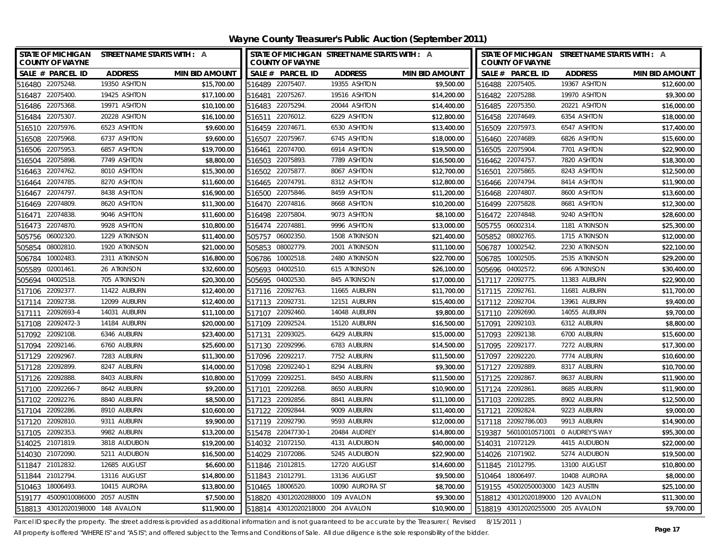| STATE OF MICHIGAN STREET NAME STARTS WITH : A<br><b>COUNTY OF WAYNE</b> |                |                       | STATE OF MICHIGAN STREET NAME STARTS WITH : A<br><b>COUNTY OF WAYNE</b> |                 |                       | STATE OF MICHIGAN STREET NAME STARTS WITH : A<br><b>COUNTY OF WAYNE</b> |                |                       |
|-------------------------------------------------------------------------|----------------|-----------------------|-------------------------------------------------------------------------|-----------------|-----------------------|-------------------------------------------------------------------------|----------------|-----------------------|
| SALE # PARCEL ID                                                        | <b>ADDRESS</b> | <b>MIN BID AMOUNT</b> | SALE # PARCEL ID                                                        | <b>ADDRESS</b>  | <b>MIN BID AMOUNT</b> | SALE # PARCEL ID                                                        | <b>ADDRESS</b> | <b>MIN BID AMOUNT</b> |
| 516480 22075248.                                                        | 19350 ASHTON   | \$15,700.00           | 516489 22075407                                                         | 19355 ASHTON    | \$9,500.00            | 516488 22075405.                                                        | 19367 ASHTON   | \$12,600.00           |
| 516487 22075400.                                                        | 19425 ASHTON   | \$17,100.00           | 516481 22075267.                                                        | 19516 ASHTON    | \$14,200.00           | 516482 22075288.                                                        | 19970 ASHTON   | \$9,300.00            |
| 516486 22075368.                                                        | 19971 ASHTON   | \$10,100.00           | 516483 22075294.                                                        | 20044 ASHTON    | \$14,400.00           | 516485 22075350.                                                        | 20221 ASHTON   | \$16,000.00           |
| 516484 22075307.                                                        | 20228 ASHTON   | \$16,100.00           | 516511 22076012.                                                        | 6229 ASHTON     | \$12,800.00           | 516458 22074649.                                                        | 6354 ASHTON    | \$18,000.00           |
| 516510 22075976.                                                        | 6523 ASHTON    | \$9,600.00            | 516459 22074671                                                         | 6530 ASHTON     | \$13,400.00           | 516509 22075973.                                                        | 6547 ASHTON    | \$17,400.00           |
| 22075968<br>516508                                                      | 6737 ASHTON    | \$9,600.00            | 22075967<br>516507                                                      | 6745 ASHTON     | \$18,000.00           | 516460 22074689.                                                        | 6826 ASHTON    | \$15,600.00           |
| 22075953.<br>516506                                                     | 6857 ASHTON    | \$19,700.00           | 22074700.<br>516461                                                     | 6914 ASHTON     | \$19,500.00           | 516505 22075904.                                                        | 7701 ASHTON    | \$22,900.00           |
| 22075898<br>516504                                                      | 7749 ASHTON    | \$8,800.00            | 516503 22075893.                                                        | 7789 ASHTON     | \$16,500.00           | 516462 22074757.                                                        | 7820 ASHTON    | \$18,300.00           |
| 22074762<br>516463                                                      | 8010 ASHTON    | \$15,300.00           | 22075877.<br>516502                                                     | 8067 ASHTON     | \$12,700.00           | 22075865.<br>516501                                                     | 8243 ASHTON    | \$12,500.00           |
| 22074785.<br>516464                                                     | 8270 ASHTON    | \$11,600.00           | 22074791<br>516465                                                      | 8312 ASHTON     | \$12,800.00           | 516466 22074794.                                                        | 8414 ASHTON    | \$11,900.00           |
| 22074797<br>516467                                                      | 8438 ASHTON    | \$16,900.00           | 516500<br>22075846.                                                     | 8459 ASHTON     | \$11,200.00           | 516468 22074807.                                                        | 8600 ASHTON    | \$13,600.00           |
| 516469 22074809.                                                        | 8620 ASHTON    | \$11,300.00           | 516470 22074816.                                                        | 8668 ASHTON     | \$10,200.00           | 516499 22075828.                                                        | 8681 ASHTON    | \$12,300.00           |
| 22074838<br>516471                                                      | 9046 ASHTON    | \$11,600.00           | 22075804<br>516498                                                      | 9073 ASHTON     | \$8,100.00            | 516472 22074848.                                                        | 9240 ASHTON    | \$28,600.00           |
| 22074870<br>516473                                                      | 9928 ASHTON    | \$10,800.00           | 22074881<br>516474                                                      | 9996 ASHTON     | \$13,000.00           | 06002314.<br>505755                                                     | 1181 ATKINSON  | \$25,300.00           |
| 06002320<br>505756                                                      | 1229 ATKINSON  | \$11,400.00           | 06002350.<br>505757                                                     | 1508 ATKINSON   | \$21,400.00           | 505852 08002765.                                                        | 1715 ATKINSON  | \$12,000.00           |
| 08002810<br>505854                                                      | 1920 ATKINSON  | \$21,000.00           | 08002779<br>505853                                                      | 2001 ATKINSON   | \$11,100.00           | 10002542.<br>506787                                                     | 2230 ATKINSON  | \$22,100.00           |
| 10002483.<br>506784                                                     | 2311 ATKINSON  | \$16,800.00           | 10002518.<br>506786                                                     | 2480 ATKINSON   | \$22,700.00           | 10002505.<br>506785                                                     | 2535 ATKINSON  | \$29,200.00           |
| 02001461<br>505589                                                      | 26 ATKINSON    | \$32,600.00           | 04002510<br>505693                                                      | 615 ATKINSON    | \$26,100.00           | 505696 04002572.                                                        | 696 ATKINSON   | \$30,400.00           |
| 505694 04002518.                                                        | 705 ATKINSON   | \$20,300.00           | 505695 04002530.                                                        | 845 ATKINSON    | \$17,000.00           | 517117 22092775.                                                        | 11383 AUBURN   | \$22,900.00           |
| 517106 22092377.                                                        | 11422 AUBURN   | \$12,400.00           | 517116 22092763                                                         | 11665 AUBURN    | \$11,700.00           | 517115 22092761                                                         | 11681 AUBURN   | \$11,700.00           |
| 22092738<br>517114                                                      | 12099 AUBURN   | \$12,400.00           | 517113 22092731                                                         | 12151 AUBURN    | \$15,400.00           | 517112 22092704.                                                        | 13961 AUBURN   | \$9,400.00            |
| 22092693-4<br>517111                                                    | 14031 AUBURN   | \$11,100.00           | 517107 22092460.                                                        | 14048 AUBURN    | \$9,800.00            | 517110 22092690.                                                        | 14055 AUBURN   | \$9,700.00            |
| 517108 22092472-3                                                       | 14184 AUBURN   | \$20,000.00           | 517109 22092524.                                                        | 15120 AUBURN    | \$16,500.00           | 517091 22092103.                                                        | 6312 AUBURN    | \$8,800.00            |
| 22092108<br>517092                                                      | 6346 AUBURN    | \$23,400.00           | 22093025<br>517131                                                      | 6429 AUBURN     | \$15,000.00           | 517093 22092138.                                                        | 6700 AUBURN    | \$15,600.00           |
| 22092146.<br>517094                                                     | 6760 AUBURN    | \$25,600.00           | 517130 22092996.                                                        | 6783 AUBURN     | \$14,500.00           | 517095 22092177.                                                        | 7272 AUBURN    | \$17,300.00           |
| 517129 22092967.                                                        | 7283 AUBURN    | \$11,300.00           | 517096 22092217.                                                        | 7752 AUBURN     | \$11,500.00           | 517097 22092220.                                                        | 7774 AUBURN    | \$10,600.00           |
| 517128 22092899                                                         | 8247 AUBURN    | \$14,000.00           | 517098 22092240-1                                                       | 8294 AUBURN     | \$9,300.00            | 517127 22092889.                                                        | 8317 AUBURN    | \$10,700.00           |
| 517126 22092888.                                                        | 8403 AUBURN    | \$10,800.00           | 517099 22092251                                                         | 8450 AUBURN     | \$11,500.00           | 517125 22092867.                                                        | 8637 AUBURN    | \$11,900.00           |
| 517100<br>22092266-7                                                    | 8642 AUBURN    | \$9,200.00            | 517101<br>22092268.                                                     | 8650 AUBURN     | \$10,900.00           | 517124 22092861.                                                        | 8685 AUBURN    | \$11,900.00           |
| 517102 22092276.                                                        | 8840 AUBURN    | \$8,500.00            | 517123<br>22092856.                                                     | 8841 AUBURN     | \$11,100.00           | 517103 22092285.                                                        | 8902 AUBURN    | \$12,500.00           |
| 22092286<br>517104                                                      | 8910 AUBURN    | \$10,600.00           | 517122 22092844.                                                        | 9009 AUBURN     | \$11,400.00           | 517121 22092824.                                                        | 9223 AUBURN    | \$9,000.00            |
| 22092810<br>517120                                                      | 9311 AUBURN    | \$9,900.00            | 517119 22092790.                                                        | 9593 AUBURN     | \$12,000.00           | 517118 22092786.003                                                     | 9913 AUBURN    | \$14,900.00           |
| 22092353<br>517105                                                      | 9982 AUBURN    | \$13,200.00           | 515478<br>22047730-1                                                    | 20484 AUDREY    | \$14,800.00           | 519387 56010010571001                                                   | 0 AUDREY'S WAY | \$95,300.00           |
| 514025 21071819.                                                        | 3818 AUDUBON   | \$19,200.00           | 514032 21072150.                                                        | 4131 AUDUBON    | \$40,000.00           | 514031 21072129.                                                        | 4415 AUDUBON   | \$22,000.00           |
| 514030 21072090                                                         | 5211 AUDUBON   | \$16,500.00           | 514029 21072086                                                         | 5245 AUDUBON    | \$22,900.00           | 514026 21071902.                                                        | 5274 AUDUBON   | \$19,500.00           |
| 21012832<br>511847                                                      | 12685 AUGUST   | \$6,600.00            | 511846 21012815.                                                        | 12720 AUGUST    | \$14,600.00           | 511845 21012795.                                                        | 13100 AUGUST   | \$10,800.00           |
| 511844 21012794                                                         | 13116 AUGUST   | \$14,800.00           | 511843 21012791                                                         | 13136 AUGUST    | \$9,500.00            | 510464 18006497.                                                        | 10408 AURORA   | \$8,000.00            |
| 510463 18006493.                                                        | 10415 AURORA   | \$13,800.00           | 510465 18006520.                                                        | 10090 AURORA ST | \$8,700.00            | 519155 45002050003000 1423 AUSTIN                                       |                | \$25,100.00           |
| 519177 45009010086000 2057 AUSTIN                                       |                | \$7,500.00            | 43012020288000 109 AVALON<br>518820                                     |                 | \$9,300.00            | 518812 43012020189000 120 AVALON                                        |                | \$11,300.00           |
| 518813 43012020198000 148 AVALON                                        |                | \$11,900.00           | 518814 43012020218000 204 AVALON                                        |                 | \$10,900.00           | 518819 43012020255000 205 AVALON                                        |                | \$9,700.00            |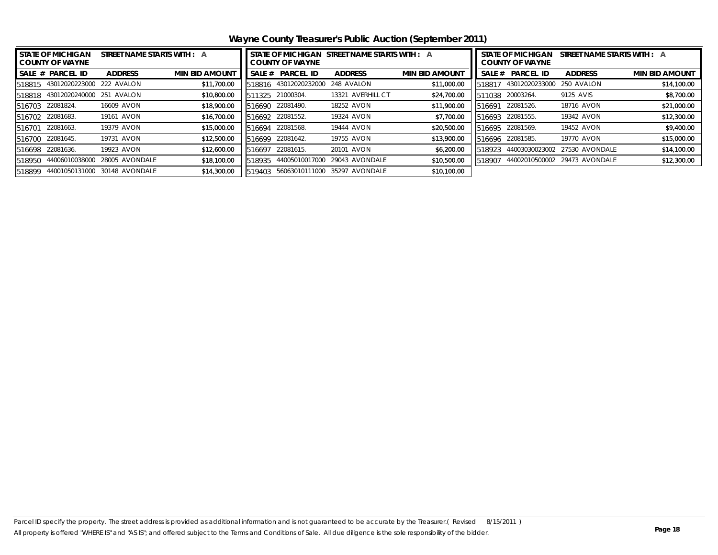**Wayne County Treasurer's Public Auction (September 2011)**

| <b><i>STATE OF MICHIGAN</i></b><br>STREET NAME STARTS WITH : A<br><b>COUNTY OF WAYNE</b> |                                  |                |                       | STATE OF MICHIGAN STREET NAME STARTS WITH : A<br><b>COUNTY OF WAYNE</b> |                  |                   |                       | <b>STATE OF MICHIGAN</b><br>STREET NAME STARTS WITH : A<br><b>COUNTY OF WAYNE</b> |                  |                               |                       |
|------------------------------------------------------------------------------------------|----------------------------------|----------------|-----------------------|-------------------------------------------------------------------------|------------------|-------------------|-----------------------|-----------------------------------------------------------------------------------|------------------|-------------------------------|-----------------------|
|                                                                                          | <b>SALE # PARCEL ID</b>          | <b>ADDRESS</b> | <b>MIN BID AMOUNT</b> | SALE #                                                                  | <b>PARCEL ID</b> | <b>ADDRESS</b>    | <b>MIN BID AMOUNT</b> | SALE #                                                                            | <b>PARCEL ID</b> | <b>ADDRESS</b>                | <b>MIN BID AMOUNT</b> |
|                                                                                          | 518815 43012020223000 222 AVALON |                | \$11,700.00           | 518816                                                                  | 43012020232000   | 248 AVALON        | \$11,000.00           | 518817                                                                            | 43012020233000   | 250 AVALON                    | \$14,100.00           |
|                                                                                          | 518818 43012020240000            | 251 AVALON     | \$10,800.00           | 1325                                                                    | 21000304.        | 13321 AVERHILL CT | \$24,700.00           |                                                                                   | 511038 20003264. | 9125 AVIS                     | \$8,700.00            |
|                                                                                          | 516703 22081824.                 | 16609 AVON     | \$18,900.00           | 516690                                                                  | 22081490.        | 18252 AVON        | \$11,900.00           | 516691                                                                            | 22081526.        | 18716 AVON                    | \$21,000.00           |
|                                                                                          | 516702 22081683.                 | 19161 AVON     | \$16,700.00           | 516692                                                                  | 22081552.        | 19324 AVON        | \$7,700.00            |                                                                                   | 516693 22081555. | 19342 AVON                    | \$12,300.00           |
| 516701                                                                                   | 22081663.                        | 19379 AVON     | \$15,000.00           | 516694                                                                  | 22081568.        | 19444 AVON        | \$20,500.00           |                                                                                   | 516695 22081569. | 19452 AVON                    | \$9,400.00            |
| 516700                                                                                   | 22081645.                        | 19731 AVON     | \$12,500.00           | 516699                                                                  | 22081642.        | 19755 AVON        | \$13,900.00           |                                                                                   | 516696 22081585. | 19770 AVON                    | \$15,000.00           |
| 516698                                                                                   | 22081636.                        | 19923 AVON     | \$12,600.00           | 516697                                                                  | 22081615.        | 20101 AVON        | \$6,200.00            | 518923                                                                            | 44003030023002   | 27530 AVONDALE                | \$14,100.00           |
| 518950                                                                                   | 44006010038000                   | 28005 AVONDALE | \$18,100.00           | 518935                                                                  | 44005010017000   | 29043 AVONDALE    | \$10,500.00           | 518907                                                                            |                  | 44002010500002 29473 AVONDALE | \$12,300.00           |
| 518899                                                                                   | 44001050131000                   | 30148 AVONDALE | \$14,300.00           | 519403                                                                  | 56063010111000   | 35297 AVONDALE    | \$10,100.00           |                                                                                   |                  |                               |                       |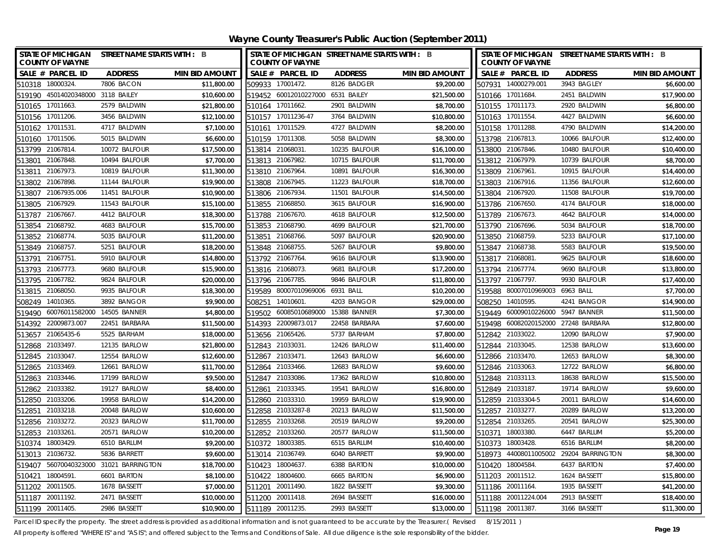<span id="page-18-0"></span>**Wayne County Treasurer's Public Auction (September 2011)**

| <b>STATE OF MICHIGAN</b><br><b>COUNTY OF WAYNE</b> | STREET NAME STARTS WITH : B     |                       |                  | <b>COUNTY OF WAYNE</b>            | STATE OF MICHIGAN STREET NAME STARTS WITH : B |                       | STATE OF MICHIGAN STREET NAME STARTS WITH : B<br><b>COUNTY OF WAYNE</b> |                       |                                        |                       |
|----------------------------------------------------|---------------------------------|-----------------------|------------------|-----------------------------------|-----------------------------------------------|-----------------------|-------------------------------------------------------------------------|-----------------------|----------------------------------------|-----------------------|
| SALE # PARCEL ID                                   | <b>ADDRESS</b>                  | <b>MIN BID AMOUNT</b> |                  | SALE # PARCEL ID                  | <b>ADDRESS</b>                                | <b>MIN BID AMOUNT</b> |                                                                         | SALE # PARCEL ID      | <b>ADDRESS</b>                         | <b>MIN BID AMOUNT</b> |
| 510318 18000324.                                   | 7806 BACON                      | \$11,800.00           | 509933 17001472. |                                   | 8126 BADGER                                   | \$9,200.00            |                                                                         | 507931 14000279.001   | 3943 BAGLEY                            | \$6,600.00            |
| 519190 45014020348000 3118 BAILEY                  |                                 | \$10,600.00           |                  | 519452 60012010227000 6531 BAILEY |                                               | \$21,500.00           | 510166 17011684.                                                        |                       | 2451 BALDWIN                           | \$17,900.00           |
| 510165 17011663.                                   | 2579 BALDWIN                    | \$21,800.00           | 510164 17011662. |                                   | 2901 BALDWIN                                  | \$8,700.00            | 510155 17011173.                                                        |                       | 2920 BALDWIN                           | \$6,800.00            |
| 510156 17011206.                                   | 3456 BALDWIN                    | \$12,100.00           |                  | 510157 17011236-47                | 3764 BALDWIN                                  | \$10,800.00           | 510163 17011554.                                                        |                       | 4427 BALDWIN                           | \$6,600.00            |
| 510162 17011531                                    | 4717 BALDWIN                    | \$7,100.00            | 510161 17011529. |                                   | 4727 BALDWIN                                  | \$8,200.00            | 510158 17011288.                                                        |                       | 4790 BALDWIN                           | \$14,200.00           |
| 17011506.<br>510160                                | 5015 BALDWIN                    | \$6,600.00            | 510159 17011308  |                                   | 5058 BALDWIN                                  | \$8,300.00            | 513798 21067813.                                                        |                       | 10066 BALFOUR                          | \$12,400.00           |
| 513799 21067814.                                   | 10072 BALFOUR                   | \$17,500.00           | 513814 21068031  |                                   | 10235 BALFOUR                                 | \$16,100.00           | 513800 21067846.                                                        |                       | 10480 BALFOUR                          | \$10,400.00           |
| 21067848.<br>513801                                | 10494 BALFOUR                   | \$7,700.00            | 513813 21067982. |                                   | 10715 BALFOUR                                 | \$11,700.00           | 513812 21067979.                                                        |                       | 10739 BALFOUR                          | \$8,700.00            |
| 21067973<br>513811                                 | 10819 BALFOUR                   | \$11,300.00           | 513810 21067964  |                                   | 10891 BALFOUR                                 | \$16,300.00           | 513809 21067961                                                         |                       | 10915 BALFOUR                          | \$14,400.00           |
| 21067898<br>513802                                 | 11144 BALFOUR                   | \$19,900.00           | 513808 21067945. |                                   | 11223 BALFOUR                                 | \$18,700.00           | 513803 21067916.                                                        |                       | 11356 BALFOUR                          | \$12,600.00           |
| 513807 21067935.006                                | 11451 BALFOUR                   | \$10,900.00           | 513806 21067934. |                                   | 11501 BALFOUR                                 | \$14,500.00           | 513804 21067920.                                                        |                       | 11508 BALFOUR                          | \$19,700.00           |
| 513805 21067929.                                   | 11543 BALFOUR                   | \$15,100.00           | 513855 21068850. |                                   | 3615 BALFOUR                                  | \$16,900.00           | 513786 21067650.                                                        |                       | 4174 BALFOUR                           | \$18,000.00           |
| 21067667<br>513787                                 | 4412 BALFOUR                    | \$18,300.00           | 513788 21067670. |                                   | 4618 BALFOUR                                  | \$12,500.00           | 513789 21067673.                                                        |                       | 4642 BALFOUR                           | \$14,000.00           |
| 21068792<br>513854                                 | 4683 BALFOUR                    | \$15,700.00           | 513853 21068790. |                                   | 4699 BALFOUR                                  | \$21,700.00           | 513790 21067696.                                                        |                       | 5034 BALFOUR                           | \$18,700.00           |
| 21068774.<br>513852                                | 5035 BALFOUR                    | \$11,200.00           | 513851           | 21068766.                         | 5097 BALFOUR                                  | \$20,900.00           | 513850 21068759.                                                        |                       | 5233 BALFOUR                           | \$17,100.00           |
| 513849 21068757.                                   | 5251 BALFOUR                    | \$18,200.00           | 513848           | 21068755                          | 5267 BALFOUR                                  | \$9,800.00            | 513847 21068738.                                                        |                       | 5583 BALFOUR                           | \$19,500.00           |
| 21067751<br>513791                                 | 5910 BALFOUR                    | \$14,800.00           | 513792           | 21067764                          | 9616 BALFOUR                                  | \$13,900.00           | 513817                                                                  | 21068081              | 9625 BALFOUR                           | \$18,600.00           |
| 513793 21067773.                                   | 9680 BALFOUR                    | \$15,900.00           | 513816 21068073  |                                   | 9681 BALFOUR                                  | \$17,200.00           | 513794 21067774.                                                        |                       | 9690 BALFOUR                           | \$13,800.00           |
| 513795 21067782.                                   | 9824 BALFOUR                    | \$20,000.00           | 513796 21067785. |                                   | 9846 BALFOUR                                  | \$11,800.00           | 513797 21067797.                                                        |                       | 9930 BALFOUR                           | \$17,400.00           |
| 513815 21068050.                                   | 9935 BALFOUR                    | \$18,300.00           |                  | 519589 80007010969006 6931 BALL   |                                               | \$10,200.00           |                                                                         | 519588 80007010969003 | 6963 BALL                              | \$7,700.00            |
| 14010365<br>508249                                 | 3892 BANGOR                     | \$9,900.00            | 508251           | 14010601                          | 4203 BANGOR                                   | \$29,000.00           |                                                                         | 508250 14010595.      | 4241 BANGOR                            | \$14,900.00           |
| 519490 60076011582000 14505 BANNER                 |                                 | \$4,800.00            | 519502           |                                   | 60085010689000 15388 BANNER                   | \$7,300.00            |                                                                         | 519449 60009010226000 | 5947 BANNER                            | \$11,500.00           |
| 514392 22009873.007                                | 22451 BARBARA                   | \$11,500.00           |                  | 514393 22009873.017               | 22458 BARBARA                                 | \$7,600.00            |                                                                         | 519498 60082020152000 | 27248 BARBARA                          | \$12,800.00           |
| 513657 21065435-6                                  | 5525 BARHAM                     | \$18,000.00           | 513656 21065426. |                                   | 5737 BARHAM                                   | \$7,800.00            | 512842 21033022.                                                        |                       | 12090 BARLOW                           | \$7,900.00            |
| 512868 21033497.                                   | 12135 BARLOW                    | \$21,800.00           | 512843 21033031  |                                   | 12426 BARLOW                                  | \$11,400.00           | 512844 21033045.                                                        |                       | 12538 BARLOW                           | \$13,600.00           |
| 512845 21033047                                    | 12554 BARLOW                    | \$12,600.00           | 512867 21033471  |                                   | 12643 BARLOW                                  | \$6,600.00            | 512866 21033470.                                                        |                       | 12653 BARLOW                           | \$8,300.00            |
| 512865 21033469.                                   | 12661 BARLOW                    | \$11,700.00           | 512864 21033466. |                                   | 12683 BARLOW                                  | \$9,600.00            | 512846 21033063.                                                        |                       | 12722 BARLOW                           | \$6,800.00            |
| 512863 21033446.                                   | 17199 BARLOW                    | \$9,500.00            | 512847 21033086  |                                   | 17362 BARLOW                                  | \$10,800.00           | 512848 21033113.                                                        |                       | 18638 BARLOW                           | \$15,500.00           |
| 512862 21033382.                                   | 19127 BARLOW                    | \$8,400.00            | 512861 21033345. |                                   | 19541 BARLOW                                  | \$16,800.00           | 512849 21033187.                                                        |                       | 19714 BARLOW                           | \$9,600.00            |
| 512850 21033206.                                   | 19958 BARLOW                    | \$14,200.00           | 512860 21033310. |                                   | 19959 BARLOW                                  | \$19,900.00           |                                                                         | 512859 21033304-5     | 20011 BARLOW                           | \$14,600.00           |
| 512851 21033218.                                   | 20048 BARLOW                    | \$10,600.00           |                  | 512858 21033287-8                 | 20213 BARLOW                                  | \$11,500.00           |                                                                         | 512857 21033277.      | 20289 BARLOW                           | \$13,200.00           |
| 512856 21033272.                                   | 20323 BARLOW                    | \$11,700.00           | 512855 21033268  |                                   | 20519 BARLOW                                  | \$9,200.00            |                                                                         | 512854 21033265.      | 20541 BARLOW                           | \$25,300.00           |
| 512853 21033261.                                   | 20571 BARLOW                    | \$10,200.00           | 512852 21033260. |                                   | 20577 BARLOW                                  | \$11,500.00           | 510371 18003380.                                                        |                       | 6447 BARLUM                            | \$5,200.00            |
| 510374 18003429.                                   | 6510 BARLUM                     | \$9,200.00            | 510372 18003385  |                                   | 6515 BARLUM                                   | \$10,400.00           | 510373 18003428.                                                        |                       | 6516 BARLUM                            | \$8,200.00            |
| 513013 21036732.                                   | 5836 BARRETT                    | \$9,600.00            | 513014 21036749  |                                   | 6040 BARRETT                                  | \$9,900.00            |                                                                         |                       | 518973 44008011005002 29204 BARRINGTON | \$8,300.00            |
| 519407                                             | 56070040323000 31021 BARRINGTON | \$18,700.00           | 510423           | 18004637                          | 6388 BARTON                                   | \$10,000.00           | 510420 18004584                                                         |                       | 6437 BARTON                            | \$7,400.00            |
| 18004591<br>510421                                 | 6601 BARTON                     | \$8,100.00            | 510422           | 18004600.                         | 6665 BARTON                                   | \$6,900.00            |                                                                         | 511203 20011512.      | 1624 BASSETT                           | \$15,800.00           |
| 20011505<br>511202                                 | 1678 BASSETT                    | \$7,000.00            | 511201           | 20011490.                         | 1822 BASSETT                                  | \$9,300.00            | 511186 20011164.                                                        |                       | 1935 BASSETT                           | \$41,200.00           |
| 511187 20011192.                                   | 2471 BASSETT                    | \$10,000.00           | 511200           | 20011418.                         | 2694 BASSETT                                  | \$16,000.00           |                                                                         | 511188 20011224.004   | 2913 BASSETT                           | \$18,400.00           |
| 511199 20011405.                                   | 2986 BASSETT                    | \$10,900.00           | 511189 20011235. |                                   | 2993 BASSETT                                  | \$13,000.00           | 511198 20011387.                                                        |                       | 3166 BASSETT                           | \$11,300.00           |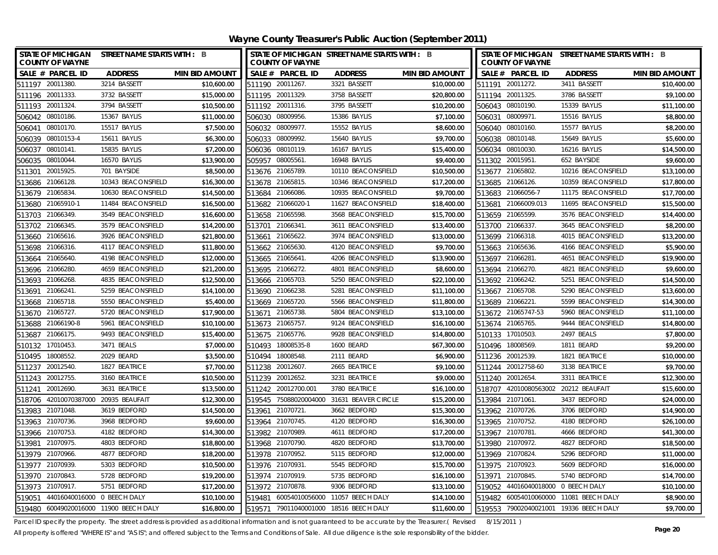**Wayne County Treasurer's Public Auction (September 2011)**

| <b>STATE OF MICHIGAN</b><br><b>COUNTY OF WAYNE</b> | STREET NAME STARTS WITH : B |                       |                 | <b>COUNTY OF WAYNE</b> | STATE OF MICHIGAN STREET NAME STARTS WITH : B |                       |                  | <b>COUNTY OF WAYNE</b>             | STATE OF MICHIGAN STREET NAME STARTS WITH : B |                       |
|----------------------------------------------------|-----------------------------|-----------------------|-----------------|------------------------|-----------------------------------------------|-----------------------|------------------|------------------------------------|-----------------------------------------------|-----------------------|
| SALE # PARCEL ID                                   | <b>ADDRESS</b>              | <b>MIN BID AMOUNT</b> |                 | SALE # PARCEL ID       | <b>ADDRESS</b>                                | <b>MIN BID AMOUNT</b> |                  | SALE # PARCEL ID                   | <b>ADDRESS</b>                                | <b>MIN BID AMOUNT</b> |
| 511197 20011380.                                   | 3214 BASSETT                | \$10,600.00           |                 | 511190 20011267.       | 3321 BASSETT                                  | \$10,000.00           |                  | 511191 20011272.                   | 3411 BASSETT                                  | \$10,400.00           |
| 511196 20011333.                                   | 3732 BASSETT                | \$15,000.00           |                 | 511195 20011329        | 3758 BASSETT                                  | \$20,800.00           | 511194 20011325. |                                    | 3786 BASSETT                                  | \$9,100.00            |
| 511193 20011324.                                   | 3794 BASSETT                | \$10,500.00           |                 | 511192 20011316.       | 3795 BASSETT                                  | \$10,200.00           | 506043 08010190. |                                    | 15339 BAYLIS                                  | \$11,100.00           |
| 506042 08010186.                                   | 15367 BAYLIS                | \$11,000.00           |                 | 506030 08009956.       | 15386 BAYLIS                                  | \$7,100.00            |                  | 506031 08009971.                   | 15516 BAYLIS                                  | \$8,800.00            |
| 08010170.<br>506041                                | 15517 BAYLIS                | \$7,500.00            |                 | 506032 08009977.       | 15552 BAYLIS                                  | \$8,600.00            |                  | 506040 08010160.                   | 15577 BAYLIS                                  | \$8,200.00            |
| 08010153-4<br>506039                               | 15611 BAYLIS                | \$6,300.00            | 506033          | 08009992               | 15640 BAYLIS                                  | \$9,700.00            | 506038           | 08010148.                          | 15649 BAYLIS                                  | \$5,600.00            |
| 08010141.<br>506037                                | 15835 BAYLIS                | \$7,200.00            |                 | 506036 08010119.       | 16167 BAYLIS                                  | \$15,400.00           |                  | 506034 08010030.                   | 16216 BAYLIS                                  | \$14,500.00           |
| 08010044.<br>506035                                | 16570 BAYLIS                | \$13,900.00           |                 | 505957 08005561.       | 16948 BAYLIS                                  | \$9,400.00            | 511302 20015951. |                                    | 652 BAYSIDE                                   | \$9,600.00            |
| 20015925.<br>511301                                | 701 BAYSIDE                 | \$8,500.00            |                 | 513676 21065789.       | 10110 BEACONSFIELD                            | \$10,500.00           | 513677 21065802. |                                    | 10216 BEACONSFIELD                            | \$13,100.00           |
| 21066128.<br>513686                                | 10343 BEACONSFIELD          | \$16,300.00           |                 | 513678 21065815.       | 10346 BEACONSFIELD                            | \$17,200.00           | 513685 21066126. |                                    | 10359 BEACONSFIELD                            | \$17,800.00           |
| 513679 21065834.                                   | 10630 BEACONSFIELD          | \$14,500.00           |                 | 513684 21066086.       | 10935 BEACONSFIELD                            | \$9,700.00            |                  | 513683 21066056-7                  | 11175 BEACONSFIELD                            | \$17,700.00           |
| 513680 21065910-1                                  | 11484 BEACONSFIELD          | \$16,500.00           |                 | 513682 21066020-       | 11627 BEACONSFIELD                            | \$18,400.00           |                  | 513681 21066009.013                | 11695 BEACONSFIELD                            | \$15,500.00           |
| 21066349.<br>513703                                | 3549 BEACONSFIELD           | \$16,600.00           |                 | 513658 21065598.       | 3568 BEACONSFIELD                             | \$15,700.00           | 513659 21065599. |                                    | 3576 BEACONSFIELD                             | \$14,400.00           |
| 21066345.<br>513702                                | 3579 BEACONSFIELD           | \$14,200.00           | 513701          | 21066341               | 3611 BEACONSFIELD                             | \$13,400.00           | 513700           | 21066337                           | 3645 BEACONSFIELD                             | \$8,200.00            |
| 21065616.<br>513660                                | 3926 BEACONSFIELD           | \$21,800.00           | 513661          | 21065622               | 3974 BEACONSFIELD                             | \$13,000.00           | 513699 21066318. |                                    | 4015 BEACONSFIELD                             | \$13,200.00           |
| 21066316.<br>513698                                | 4117 BEACONSFIELD           | \$11,800.00           |                 | 513662 21065630.       | 4120 BEACONSFIELD                             | \$9,700.00            | 513663 21065636. |                                    | 4166 BEACONSFIELD                             | \$5,900.00            |
| 21065640.<br>513664                                | 4198 BEACONSFIELD           | \$12,000.00           |                 | 513665 21065641.       | 4206 BEACONSFIELD                             | \$13,900.00           | 513697           | 21066281                           | 4651 BEACONSFIELD                             | \$19,900.00           |
| 513696 21066280                                    | 4659 BEACONSFIELD           | \$21,200.00           |                 | 513695 21066272.       | 4801 BEACONSFIELD                             | \$8,600.00            | 513694 21066270. |                                    | 4821 BEACONSFIELD                             | \$9,600.00            |
| 513693 21066268.                                   | 4835 BEACONSFIELD           | \$12,500.00           |                 | 513666 21065703.       | 5250 BEACONSFIELD                             | \$22,100.00           | 513692 21066242. |                                    | 5251 BEACONSFIELD                             | \$14,500.00           |
| 21066241.<br>513691                                | 5259 BEACONSFIELD           | \$14,100.00           |                 | 513690 21066238.       | 5281 BEACONSFIELD                             | \$11,100.00           | 513667 21065708. |                                    | 5290 BEACONSFIELD                             | \$13,600.00           |
| 21065718.<br>513668                                | 5550 BEACONSFIELD           | \$5,400.00            |                 | 513669 21065720.       | 5566 BEACONSFIELD                             | \$11,800.00           | 513689 21066221. |                                    | 5599 BEACONSFIELD                             | \$14,300.00           |
| 513670 21065727.                                   | 5720 BEACONSFIELD           | \$17,900.00           |                 | 513671 21065738.       | 5804 BEACONSFIELD                             | \$13,100.00           |                  | 513672 21065747-53                 | 5960 BEACONSFIELD                             | \$11,100.00           |
| 513688 21066190-8                                  | 5961 BEACONSFIELD           | \$10,100.00           |                 | 513673 21065757.       | 9124 BEACONSFIELD                             | \$16,100.00           | 513674 21065765. |                                    | 9444 BEACONSFIELD                             | \$14,800.00           |
| 513687 21066175.                                   | 9493 BEACONSFIELD           | \$15,400.00           |                 | 513675 21065776.       | 9928 BEACONSFIELD                             | \$14,800.00           | 510133 17010503. |                                    | 2497 BEALS                                    | \$7,800.00            |
| 510132 17010453.                                   | 3471 BEALS                  | \$7,000.00            |                 | 510493 18008535-8      | 1600 BEARD                                    | \$67,300.00           | 510496 18008569. |                                    | 1811 BEARD                                    | \$9,200.00            |
| 510495 18008552.                                   | 2029 BEARD                  | \$3,500.00            |                 | 510494 18008548        | 2111 BEARD                                    | \$6,900.00            | 511236 20012539. |                                    | 1821 BEATRICE                                 | \$10,000.00           |
| 511237 20012540.                                   | 1827 BEATRICE               | \$7,700.00            |                 | 511238 20012607        | 2665 BEATRICE                                 | \$9,100.00            |                  | 511244 20012758-60                 | 3138 BEATRICE                                 | \$9,700.00            |
| 511243 20012755.                                   | 3160 BEATRICE               | \$10,500.00           |                 | 511239 20012652        | 3231 BEATRICE                                 | \$9,000.00            | 511240 20012654. |                                    | 3311 BEATRICE                                 | \$12,300.00           |
| 20012690<br>511241                                 | 3631 BEATRICE               | \$13,500.00           |                 | 511242 20012700.001    | 3780 BEATRICE                                 | \$16,100.00           |                  | 518707 42010080563002              | 20212 BEAUFAIT                                | \$15,600.00           |
| 518706 42010070387000 20935 BEAUFAIT               |                             | \$12,300.00           |                 |                        | 519545 75088020004000 31631 BEAVER CIRCLE     | \$15,200.00           | 513984 21071061  |                                    | 3437 BEDFORD                                  | \$24,000.00           |
| 513983 21071048.                                   | 3619 BEDFORD                | \$14,500.00           |                 | 513961 21070721.       | 3662 BEDFORD                                  | \$15,300.00           | 513962 21070726. |                                    | 3706 BEDFORD                                  | \$14,900.00           |
| 513963 21070736.                                   | 3968 BEDFORD                | \$9,600.00            |                 | 513964 21070745.       | 4120 BEDFORD                                  | \$16,300.00           | 513965 21070752. |                                    | 4180 BEDFORD                                  | \$26,100.00           |
| 513966 21070753.                                   | 4182 BEDFORD                | \$14,300.00           |                 | 513982 21070989        | 4611 BEDFORD                                  | \$17,200.00           | 513967 21070781. |                                    | 4666 BEDFORD                                  | \$41,300.00           |
| 513981 21070975.                                   | 4803 BEDFORD                | \$18,800.00           |                 | 513968 21070790        | 4820 BEDFORD                                  | \$13,700.00           | 513980 21070972. |                                    | 4827 BEDFORD                                  | \$18,500.00           |
| 513979 21070966.                                   | 4877 BEDFORD                | \$18,200.00           |                 | 513978 21070952.       | 5115 BEDFORD                                  | \$12,000.00           | 513969 21070824  |                                    | 5296 BEDFORD                                  | \$11,000.00           |
| 21070939.<br>513977                                | 5303 BEDFORD                | \$10,500.00           | 513976 21070931 |                        | 5545 BEDFORD                                  | \$15,700.00           | 513975 21070923. |                                    | 5609 BEDFORD                                  | \$16,000.00           |
| 513970 21070843.                                   | 5728 BEDFORD                | \$19,200.00           |                 | 513974 21070919.       | 5735 BEDFORD                                  | \$16,100.00           | 513971           | 21070845.                          | 5740 BEDFORD                                  | \$14,700.00           |
| 513973 21070917.                                   | 5751 BEDFORD                | \$17,200.00           |                 | 513972 21070878.       | 9306 BEDFORD                                  | \$13,100.00           |                  | 519052 44016040018000 0 BEECH DALY |                                               | \$10,100.00           |
| 44016040016000 0 BEECH DALY<br>519051              |                             | \$10,100.00           | 519481          |                        | 60054010056000 11057 BEECH DALY               | \$14,100.00           |                  |                                    | 519482 60054010060000 11081 BEECH DALY        | \$8,900.00            |
| 519480 60049020016000 11900 BEECH DALY             |                             | \$16,800.00           | 519571          |                        | 79011040001000 18516 BEECH DALY               | \$11,600.00           |                  |                                    | 519553 79002040021001 19336 BEECH DALY        | \$9,700.00            |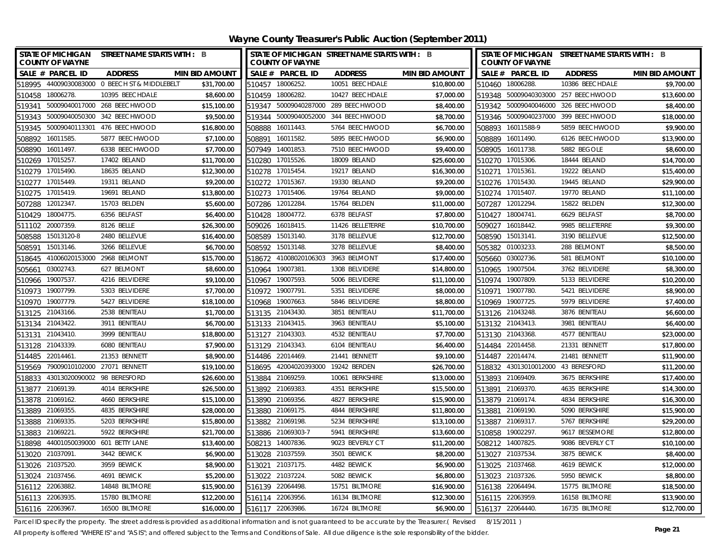| STATE OF MICHIGAN STREET NAME STARTS WITH : B<br><b>COUNTY OF WAYNE</b> | STATE OF MICHIGAN STREET NAME STARTS WITH : B<br><b>COUNTY OF WAYNE</b> |                  |                       | <b>COUNTY OF WAYNE</b>              | STATE OF MICHIGAN STREET NAME STARTS WITH : B |                       |
|-------------------------------------------------------------------------|-------------------------------------------------------------------------|------------------|-----------------------|-------------------------------------|-----------------------------------------------|-----------------------|
| SALE # PARCEL ID<br><b>ADDRESS</b><br><b>MIN BID AMOUNT</b>             | SALE # PARCEL ID                                                        | <b>ADDRESS</b>   | <b>MIN BID AMOUNT</b> | SALE # PARCEL ID                    | <b>ADDRESS</b>                                | <b>MIN BID AMOUNT</b> |
| 518995 44009030083000 0 BEECH ST & MIDDLEBELT<br>\$31,700.00            | 510457 18006252.                                                        | 10051 BEECHDALE  | \$10,800.00           | 510460 18006288.                    | 10386 BEECHDALE                               | \$9,700.00            |
| 510458 18006278.<br>10395 BEECHDALE<br>\$8,600.00                       | 510459 18006282.                                                        | 10427 BEECHDALE  | \$7,000.00            | 519348 50009040303000 257 BEECHWOOD |                                               | \$13,600.00           |
| 50009040017000 268 BEECHWOOD<br>\$15,100.00<br>519341                   | 519347 50009040287000 289 BEECHWOOD                                     |                  | \$8,400.00            | 519342 50009040046000 326 BEECHWOOD |                                               | \$8,400.00            |
| 519343 50009040050300 342 BEECHWOOD<br>\$9,500.00                       | 519344 50009040052000 344 BEECHWOOD                                     |                  | \$8,700.00            | 519346 50009040237000 399 BEECHWOOD |                                               | \$18,000.00           |
| \$16,800.00<br>519345 50009040113301 476 BEECHWOOD                      | 508888 16011443.                                                        | 5764 BEECHWOOD   | \$6,700.00            | 508893 16011588-9                   | 5859 BEECHWOOD                                | \$9,900.00            |
| 16011585.<br>5877 BEECHWOOD<br>\$7,100.00<br>508892                     | 16011582.<br>508891                                                     | 5895 BEECHWOOD   | \$6,900.00            | 16011490.<br>508889                 | 6126 BEECHWOOD                                | \$13,900.00           |
| 508890 16011497.<br>6338 BEECHWOOD<br>\$7,700.00                        | 507949 14001853.                                                        | 7510 BEECHWOOD   | \$9,400.00            | 508905<br>16011738.                 | 5882 BEGOLE                                   | \$8,600.00            |
| 510269 17015257.<br>17402 BELAND<br>\$11,700.00                         | 510280 17015526.                                                        | 18009 BELAND     | \$25,600.00           | 510270 17015306.                    | 18444 BELAND                                  | \$14,700.00           |
| \$12,300.00<br>510279 17015490.<br>18635 BELAND                         | 510278 17015454.                                                        | 19217 BELAND     | \$16,300.00           | 510271 17015361                     | 19222 BELAND                                  | \$15,400.00           |
| 19311 BELAND<br>\$9,200.00<br>510277 17015449.                          | 510272 17015367.                                                        | 19330 BELAND     | \$9,200.00            | 510276 17015430.                    | 19445 BELAND                                  | \$29,900.00           |
| 19691 BELAND<br>510275 17015419.<br>\$13,800.00                         | 510273 17015406                                                         | 19764 BELAND     | \$9,000.00            | 510274 17015407.                    | 19770 BELAND                                  | \$11,100.00           |
| 15703 BELDEN<br>507288 12012347.<br>\$5,600.00                          | 507286 12012284.                                                        | 15764 BELDEN     | \$11,000.00           | 507287 12012294.                    | 15822 BELDEN                                  | \$12,300.00           |
| 18004775.<br>6356 BELFAST<br>\$6,400.00<br>510429                       | 18004772.<br>510428                                                     | 6378 BELFAST     | \$7,800.00            | 18004741.<br>510427                 | 6629 BELFAST                                  | \$8,700.00            |
| 20007359<br>8126 BELLE<br>\$26,300.00<br>511102                         | 509026<br>16018415.                                                     | 11426 BELLETERRE | \$10,700.00           | 16018442.<br>509027                 | 9985 BELLETERRE                               | \$9,300.00            |
| 15013120-8<br>2480 BELLEVUE<br>\$16,400.00<br>508588                    | 15013140.<br>508589                                                     | 3178 BELLEVUE    | \$12,700.00           | 508590 15013141.                    | 3190 BELLEVUE                                 | \$12,500.00           |
| 15013146.<br>3266 BELLEVUE<br>\$6,700.00<br>508591                      | 15013148.<br>508592                                                     | 3278 BELLEVUE    | \$8,400.00            | 505382 01003233.                    | 288 BELMONT                                   | \$8,500.00            |
| 41006020153000<br>2968 BELMONT<br>\$15,700.00<br>518645                 | 41008020106303 3963 BELMONT<br>518672                                   |                  | \$17,400.00           | 505660 03002736.                    | 581 BELMONT                                   | \$10,100.00           |
| 03002743<br>627 BELMONT<br>\$8,600.00<br>505661                         | 19007381<br>510964                                                      | 1308 BELVIDERE   | \$14,800.00           | 19007504.<br>510965                 | 3762 BELVIDERE                                | \$8,300.00            |
| 510966 19007537.<br>4216 BELVIDERE<br>\$9,100.00                        | 510967 19007593.                                                        | 5006 BELVIDERE   | \$11,100.00           | 510974 19007809.                    | 5133 BELVIDERE                                | \$10,200.00           |
| \$7,700.00<br>510973 19007799.<br>5303 BELVIDERE                        | 510972 19007791                                                         | 5351 BELVIDERE   | \$8,000.00            | 510971 19007780.                    | 5421 BELVIDERE                                | \$8,900.00            |
| 510970<br>19007779.<br>5427 BELVIDERE<br>\$18,100.00                    | 510968 19007663                                                         | 5846 BELVIDERE   | \$8,800.00            | 510969 19007725.                    | 5979 BELVIDERE                                | \$7,400.00            |
| 2538 BENITEAU<br>513125 21043166.<br>\$1,700.00                         | 513135 21043430.                                                        | 3851 BENITEAU    | \$11,700.00           | 513126 21043248.                    | 3876 BENITEAU                                 | \$6,600.00            |
| 513134 21043422.<br>3911 BENITEAU<br>\$6,700.00                         | 513133 21043415.                                                        | 3963 BENITEAU    | \$5,100.00            | 513132 21043413.                    | 3981 BENITEAU                                 | \$6,400.00            |
| 21043410<br>3999 BENITEAU<br>\$18,800.00<br>513131                      | 513127 21043303                                                         | 4532 BENITEAU    | \$7,700.00            | 513130 21043368.                    | 4577 BENITEAU                                 | \$23,000.00           |
| 21043339<br>6080 BENITEAU<br>\$7,900.00<br>513128                       | 513129 21043343.                                                        | 6104 BENITEAU    | \$6,400.00            | 514484 22014458.                    | 21331 BENNETT                                 | \$17,800.00           |
| \$8,900.00<br>514485 22014461<br>21353 BENNETT                          | 514486 22014469.                                                        | 21441 BENNETT    | \$9,100.00            | 514487 22014474.                    | 21481 BENNETT                                 | \$11,900.00           |
| 519569 79009010102000 27071 BENNETT<br>\$19,100.00                      | 518695 42004020393000                                                   | 19242 BERDEN     | \$26,700.00           | 518832 43013010012000 43 BERESFORD  |                                               | \$11,200.00           |
| 98 BERESFORD<br>\$26,600.00<br>518833 43013020090002                    | 513884 21069259                                                         | 10061 BERKSHIRE  | \$13,000.00           | 513893 21069409.                    | 3675 BERKSHIRE                                | \$17,400.00           |
| \$26,500.00<br>513877<br>21069139.<br>4014 BERKSHIRE                    | 513892 21069383                                                         | 4351 BERKSHIRE   | \$15,500.00           | 513891<br>21069370.                 | 4635 BERKSHIRE                                | \$14,300.00           |
| 513878 21069162.<br>4660 BERKSHIRE<br>\$15,100.00                       | 513890 21069356.                                                        | 4827 BERKSHIRE   | \$15,900.00           | 513879 21069174.                    | 4834 BERKSHIRE                                | \$16,300.00           |
| 513889 21069355.<br>4835 BERKSHIRE<br>\$28,000.00                       | 513880 21069175.                                                        | 4844 BERKSHIRE   | \$11,800.00           | 513881 21069190.                    | 5090 BERKSHIRE                                | \$15,900.00           |
| \$15,800.00<br>21069335<br>5203 BERKSHIRE<br>513888                     | 21069198.<br>513882                                                     | 5234 BERKSHIRE   | \$13,100.00           | 21069317.<br>513887                 | 5767 BERKSHIRE                                | \$29,200.00           |
| \$21,700.00<br>513883<br>21069221<br>5922 BERKSHIRE                     | 21069303-7<br>513886                                                    | 5941 BERKSHIRE   | \$13,600.00           | 19002297.<br>510858                 | 9617 BESSEMORE                                | \$12,800.00           |
| \$13,400.00<br>44001050039000 601 BETTY LANE<br>518898                  | 508213 14007836.                                                        | 9023 BEVERLY CT  | \$11,200.00           | 508212 14007825.                    | 9086 BEVERLY CT                               | \$10,100.00           |
| 513020 21037091<br>\$6,900.00<br>3442 BEWICK                            | 513028 21037559                                                         | 3501 BEWICK      | \$8,200.00            | 513027 21037534.                    | 3875 BEWICK                                   | \$8,400.00            |
| 21037520<br>3959 BEWICK<br>\$8,900.00<br>513026                         | 21037175.<br>513021                                                     | 4482 BEWICK      | \$6,900.00            | 513025 21037468.                    | 4619 BEWICK                                   | \$12,000.00           |
| \$5,200.00<br>513024 21037456.<br>4691 BEWICK                           | 513022 21037224                                                         | 5082 BEWICK      | \$6,800.00            | 513023 21037326.                    | 5950 BEWICK                                   | \$8,800.00            |
| \$15,900.00<br>516112 22063882.<br>14848 BILTMORE                       | 516139 22064498.                                                        | 15751 BILTMORE   | \$16,900.00           | 516138 22064494.                    | 15775 BILTMORE                                | \$18,500.00           |
| 516113 22063935<br>\$12,200.00<br>15780 BILTMORE                        | 516114 22063956                                                         | 16134 BILTMORE   | \$12,300.00           | 516115 22063959.                    | 16158 BILTMORE                                | \$13,900.00           |
| \$16,000.00<br>516116 22063967.<br>16500 BILTMORE                       | 516117 22063986.                                                        | 16724 BILTMORE   | \$6,900.00            | 516137 22064440.                    | 16735 BILTMORE                                | \$12,700.00           |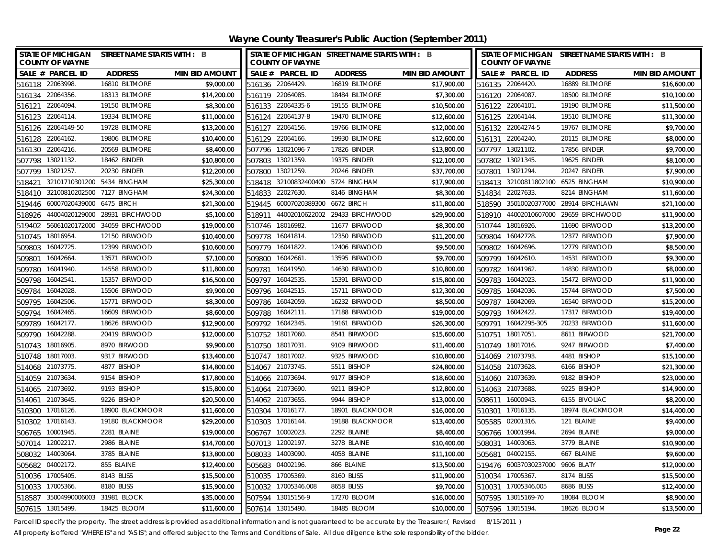**Wayne County Treasurer's Public Auction (September 2011)**

| <b>STATE OF MICHIGAN</b><br><b>COUNTY OF WAYNE</b> | STREET NAME STARTS WITH : B    |                       |        | <b>COUNTY OF WAYNE</b> | STATE OF MICHIGAN STREET NAME STARTS WITH : B |                       | STATE OF MICHIGAN STREET NAME STARTS WITH : B<br><b>COUNTY OF WAYNE</b> |                       |                                       |                       |  |
|----------------------------------------------------|--------------------------------|-----------------------|--------|------------------------|-----------------------------------------------|-----------------------|-------------------------------------------------------------------------|-----------------------|---------------------------------------|-----------------------|--|
| SALE # PARCEL ID                                   | <b>ADDRESS</b>                 | <b>MIN BID AMOUNT</b> |        | SALE # PARCEL ID       | <b>ADDRESS</b>                                | <b>MIN BID AMOUNT</b> |                                                                         | SALE # PARCEL ID      | <b>ADDRESS</b>                        | <b>MIN BID AMOUNT</b> |  |
| 516118 22063998.                                   | 16810 BILTMORE                 | \$9,000.00            |        | 516136 22064429.       | 16819 BILTMORE                                | \$17,900.00           |                                                                         | 516135 22064420.      | 16889 BILTMORE                        | \$16,600.00           |  |
| 516134 22064356.                                   | 18313 BILTMORE                 | \$14,200.00           |        | 516119 22064085.       | 18484 BILTMORE                                | \$7,300.00            |                                                                         | 516120 22064087.      | 18500 BILTMORE                        | \$10,100.00           |  |
| 516121 22064094.                                   | 19150 BILTMORE                 | \$8,300.00            |        | 516133 22064335-6      | 19155 BILTMORE                                | \$10,500.00           |                                                                         | 516122 22064101.      | 19190 BILTMORE                        | \$11,500.00           |  |
| 516123 22064114.                                   | 19334 BILTMORE                 | \$11,000.00           |        | 516124 22064137-8      | 19470 BILTMORE                                | \$12,600.00           |                                                                         | 516125 22064144.      | 19510 BILTMORE                        | \$11,300.00           |  |
| 22064149-50<br>516126                              | 19728 BILTMORE                 | \$13,200.00           |        | 516127 22064156.       | 19766 BILTMORE                                | \$12,000.00           |                                                                         | 516132 22064274-5     | 19767 BILTMORE                        | \$9,700.00            |  |
| 22064162.<br>516128                                | 19806 BILTMORE                 | \$10,400.00           | 516129 | 22064166.              | 19930 BILTMORE                                | \$12,600.00           |                                                                         | 516131 22064240.      | 20115 BILTMORE                        | \$8,000.00            |  |
| 22064216.<br>516130                                | 20569 BILTMORE                 | \$8,400.00            | 507796 | 13021096-7             | 17826 BINDER                                  | \$13,800.00           |                                                                         | 507797 13021102.      | 17856 BINDER                          | \$9,700.00            |  |
| 13021132<br>507798                                 | 18462 BINDER                   | \$10,800.00           | 507803 | 13021359.              | 19375 BINDER                                  | \$12,100.00           |                                                                         | 507802 13021345.      | 19625 BINDER                          | \$8,100.00            |  |
| 13021257.<br>507799                                | 20230 BINDER                   | \$12,200.00           | 507800 | 13021259.              | 20246 BINDER                                  | \$37,700.00           | 507801                                                                  | 13021294.             | 20247 BINDER                          | \$7,900.00            |  |
| 518421                                             | 32101710301200 5434 BINGHAM    | \$25,300.00           | 518418 | 32100832400400         | 5724 BINGHAM                                  | \$17,900.00           | 518413                                                                  | 32100811802100        | 6525 BINGHAM                          | \$10,900.00           |  |
| 518410                                             | 32100810202500 7127 BINGHAM    | \$24,300.00           | 514833 | 22027630.              | 8146 BINGHAM                                  | \$8,300.00            |                                                                         | 514834 22027633.      | 8214 BINGHAM                          | \$11,600.00           |  |
| 60007020439000<br>519446                           | 6475 BIRCH                     | \$21,300.00           |        | 519445 60007020389300  | 6672 BIRCH                                    | \$11,800.00           |                                                                         |                       | 518590 35010020377000 28914 BIRCHLAWN | \$21,100.00           |  |
| 44004020129000<br>518926                           | 28931 BIRCHWOOD                | \$5,100.00            | 518911 | 44002010622002         | 29433 BIRCHWOOD                               | \$29,900.00           | 518910                                                                  | 44002010607000        | 29659 BIRCHWOOD                       | \$11,900.00           |  |
| 519402                                             | 56061020172000 34059 BIRCHWOOD | \$19,000.00           | 510746 | 18016982.              | 11677 BIRWOOD                                 | \$8,300.00            | 510744                                                                  | 18016926.             | 11690 BIRWOOD                         | \$13,200.00           |  |
| 18016954<br>510745                                 | 12150 BIRWOOD                  | \$10,400.00           | 509778 | 16041814.              | 12350 BIRWOOD                                 | \$11,200.00           | 509804                                                                  | 16042728.             | 12377 BIRWOOD                         | \$7,900.00            |  |
| 16042725.<br>509803                                | 12399 BIRWOOD                  | \$10,600.00           | 509779 | 16041822               | 12406 BIRWOOD                                 | \$9,500.00            | 509802                                                                  | 16042696.             | 12779 BIRWOOD                         | \$8,500.00            |  |
| 16042664.<br>509801                                | 13571 BIRWOOD                  | \$7,100.00            | 509800 | 16042661               | 13595 BIRWOOD                                 | \$9,700.00            | 509799                                                                  | 16042610.             | 14531 BIRWOOD                         | \$9,300.00            |  |
| 16041940.<br>509780                                | 14558 BIRWOOD                  | \$11,800.00           | 509781 | 16041950               | 14630 BIRWOOD                                 | \$10,800.00           | 509782                                                                  | 16041962.             | 14830 BIRWOOD                         | \$8,000.00            |  |
| 16042541.<br>509798                                | 15357 BIRWOOD                  | \$16,500.00           | 509797 | 16042535               | 15391 BIRWOOD                                 | \$15,800.00           |                                                                         | 509783 16042023.      | 15472 BIRWOOD                         | \$11,900.00           |  |
| 16042028.<br>509784                                | 15506 BIRWOOD                  | \$9,900.00            | 509796 | 16042515               | 15711 BIRWOOD                                 | \$12,300.00           | 509785                                                                  | 16042036.             | 15744 BIRWOOD                         | \$7,500.00            |  |
| 509795<br>16042506.                                | 15771 BIRWOOD                  | \$8,300.00            | 509786 | 16042059.              | 16232 BIRWOOD                                 | \$8,500.00            | 509787                                                                  | 16042069.             | 16540 BIRWOOD                         | \$15,200.00           |  |
| 16042465.<br>509794                                | 16609 BIRWOOD                  | \$8,600.00            | 509788 | 16042111               | 17188 BIRWOOD                                 | \$19,000.00           | 509793                                                                  | 16042422.             | 17317 BIRWOOD                         | \$19,400.00           |  |
| 16042177.<br>509789                                | 18626 BIRWOOD                  | \$12,900.00           | 509792 | 16042345.              | 19161 BIRWOOD                                 | \$26,300.00           |                                                                         | 509791 16042295-305   | 20233 BIRWOOD                         | \$11,600.00           |  |
| 16042288.<br>509790                                | 20419 BIRWOOD                  | \$12,000.00           |        | 510752 18017060.       | 8541 BIRWOOD                                  | \$15,600.00           |                                                                         | 510751 18017051       | 8611 BIRWOOD                          | \$21,700.00           |  |
| 510743<br>18016905                                 | 8970 BIRWOOD                   | \$9,900.00            | 510750 | 18017031               | 9109 BIRWOOD                                  | \$11,400.00           |                                                                         | 510749 18017016.      | 9247 BIRWOOD                          | \$7,400.00            |  |
| 510748 18017003.                                   | 9317 BIRWOOD                   | \$13,400.00           |        | 510747 18017002        | 9325 BIRWOOD                                  | \$10,800.00           |                                                                         | 514069 21073793.      | 4481 BISHOP                           | \$15,100.00           |  |
| 514068 21073775.                                   | 4877 BISHOP                    | \$14,800.00           |        | 514067 21073745.       | 5511 BISHOP                                   | \$24,800.00           |                                                                         | 514058 21073628.      | 6166 BISHOP                           | \$21,300.00           |  |
| 514059 21073634                                    | 9154 BISHOP                    | \$17,800.00           |        | 514066 21073694        | 9177 BISHOP                                   | \$18,600.00           |                                                                         | 514060 21073639.      | 9182 BISHOP                           | \$23,000.00           |  |
| 514065 21073692.                                   | 9193 BISHOP                    | \$15,800.00           |        | 514064 21073690.       | 9211 BISHOP                                   | \$12,800.00           |                                                                         | 514063 21073688.      | 9225 BISHOP                           | \$14,900.00           |  |
| 514061 21073645.                                   | 9226 BISHOP                    | \$20,500.00           |        | 514062 21073655        | 9944 BISHOP                                   | \$13,000.00           |                                                                         | 508611 16000943.      | 6155 BIVOUAC                          | \$8,200.00            |  |
| 510300 17016126.                                   | 18900 BLACKMOOR                | \$11,600.00           |        | 510304 17016177.       | 18901 BLACKMOOR                               | \$16,000.00           |                                                                         | 510301 17016135.      | 18974 BLACKMOOR                       | \$14,400.00           |  |
| 510302 17016143.                                   | 19180 BLACKMOOR                | \$29,200.00           |        | 510303 17016144.       | 19188 BLACKMOOR                               | \$13,400.00           |                                                                         | 505585 02001316.      | 121 BLAINE                            | \$9,400.00            |  |
| 506765<br>10001945.                                | 2281 BLAINE                    | \$19,000.00           | 506767 | 10002023               | 2292 BLAINE                                   | \$8,400.00            |                                                                         | 506766 10001994.      | 2694 BLAINE                           | \$9,000.00            |  |
| 507014 12002217.                                   | 2986 BLAINE                    | \$14,700.00           |        | 507013 12002197.       | 3278 BLAINE                                   | \$10,400.00           |                                                                         | 508031 14003063.      | 3779 BLAINE                           | \$10,900.00           |  |
| 508032 14003064                                    | 3785 BLAINE                    | \$13,800.00           |        | 508033 14003090        | 4058 BLAINE                                   | \$11,100.00           |                                                                         | 505681 04002155.      | 667 BLAINE                            | \$9,600.00            |  |
| 04002172<br>505682                                 | 855 BLAINE                     | \$12,400.00           | 505683 | 04002196.              | 866 BLAINE                                    | \$13,500.00           |                                                                         | 519476 60037030237000 | 9606 BLATY                            | \$12,000.00           |  |
| 17005405<br>510036                                 | 8143 BLISS                     | \$15,500.00           | 510035 | 17005369.              | 8160 BLISS                                    | \$11,900.00           |                                                                         | 510034 17005367.      | 8174 BLISS                            | \$15,500.00           |  |
| 17005366.<br>510033                                | 8180 BLISS                     | \$15,900.00           | 510032 | 17005346.008           | 8658 BLISS                                    | \$9,700.00            |                                                                         | 510031 17005346.005   | 8686 BLISS                            | \$12,400.00           |  |
| 35004990006003 31981 BLOCK<br>518587               |                                | \$35,000.00           |        | 507594 13015156-9      | 17270 BLOOM                                   | \$16,000.00           |                                                                         | 507595 13015169-70    | 18084 BLOOM                           | \$8,900.00            |  |
| 507615 13015499.                                   | 18425 BLOOM                    | \$11,600.00           |        | 507614 13015490.       | 18485 BLOOM                                   | \$10,000.00           |                                                                         | 507596 13015194.      | 18626 BLOOM                           | \$13,500.00           |  |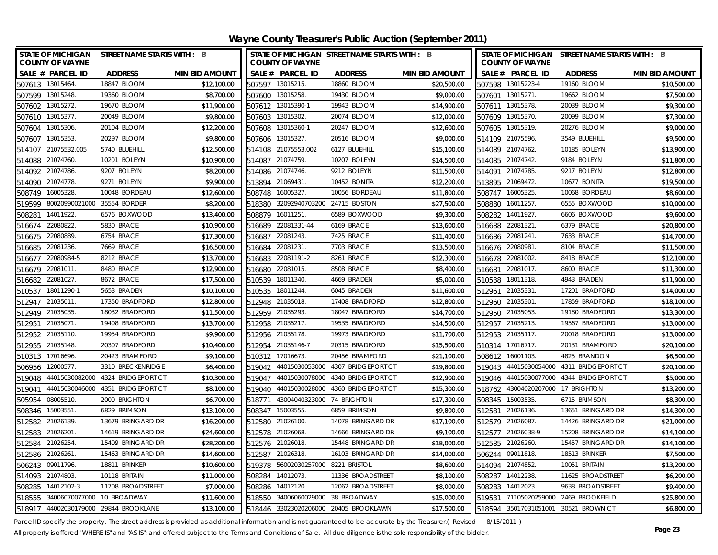**Wayne County Treasurer's Public Auction (September 2011)**

|        | <b>STATE OF MICHIGAN</b><br><b>COUNTY OF WAYNE</b> | STREET NAME STARTS WITH : B              |                       |                 | <b>COUNTY OF WAYNE</b>            | STATE OF MICHIGAN STREET NAME STARTS WITH : B |                       |                 | <b>COUNTY OF WAYNE</b>            | STATE OF MICHIGAN STREET NAME STARTS WITH : B |                       |
|--------|----------------------------------------------------|------------------------------------------|-----------------------|-----------------|-----------------------------------|-----------------------------------------------|-----------------------|-----------------|-----------------------------------|-----------------------------------------------|-----------------------|
|        | SALE # PARCEL ID                                   | <b>ADDRESS</b>                           | <b>MIN BID AMOUNT</b> |                 | SALE # PARCEL ID                  | <b>ADDRESS</b>                                | <b>MIN BID AMOUNT</b> |                 | SALE # PARCEL ID                  | <b>ADDRESS</b>                                | <b>MIN BID AMOUNT</b> |
|        | 507613 13015464.                                   | 18847 BLOOM                              | \$12,100.00           |                 | 507597 13015215.                  | 18860 BLOOM                                   | \$20,500.00           |                 | 507598 13015223-4                 | 19160 BLOOM                                   | \$10,500.00           |
|        | 507599 13015248.                                   | 19360 BLOOM                              | \$8,700.00            |                 | 507600 13015258.                  | 19430 BLOOM                                   | \$9,000.00            |                 | 507601 13015271.                  | 19662 BLOOM                                   | \$7,500.00            |
| 507602 | 13015272.                                          | 19670 BLOOM                              | \$11,900.00           |                 | 507612 13015390-1                 | 19943 BLOOM                                   | \$14,900.00           |                 | 507611 13015378.                  | 20039 BLOOM                                   | \$9,300.00            |
|        | 507610 13015377.                                   | 20049 BLOOM                              | \$9,800.00            |                 | 507603 13015302.                  | 20074 BLOOM                                   | \$12,000.00           |                 | 507609 13015370.                  | 20099 BLOOM                                   | \$7,300.00            |
| 507604 | 13015306.                                          | 20104 BLOOM                              | \$12,200.00           | 507608          | 13015360-1                        | 20247 BLOOM                                   | \$12,600.00           |                 | 507605 13015319.                  | 20276 BLOOM                                   | \$9,000.00            |
| 507607 | 13015353.                                          | 20297 BLOOM                              | \$9,800.00            |                 | 507606 13015327.                  | 20516 BLOOM                                   | \$9,000.00            |                 | 514109 21075596.                  | 3549 BLUEHILL                                 | \$9,500.00            |
|        | 514107 21075532.005                                | 5740 BLUEHILL                            | \$12,500.00           |                 | 514108 21075553.002               | 6127 BLUEHILL                                 | \$15,100.00           |                 | 514089 21074762.                  | 10185 BOLEYN                                  | \$13,900.00           |
|        | 514088 21074760.                                   | 10201 BOLEYN                             | \$10,900.00           |                 | 514087 21074759.                  | 10207 BOLEYN                                  | \$14,500.00           |                 | 514085 21074742.                  | 9184 BOLEYN                                   | \$11,800.00           |
| 514092 | 21074786.                                          | 9207 BOLEYN                              | \$8,200.00            | 514086          | 21074746.                         | 9212 BOLEYN                                   | \$11,500.00           | 514091          | 21074785.                         | 9217 BOLEYN                                   | \$12,800.00           |
| 514090 | 21074778.                                          | 9271 BOLEYN                              | \$9,900.00            | 513894          | 21069431.                         | 10452 BONITA                                  | \$12,200.00           |                 | 513895 21069472.                  | 10677 BONITA                                  | \$19,500.00           |
| 508749 | 16005328.                                          | 10048 BORDEAU                            | \$12,600.00           | 508748          | 16005327.                         | 10056 BORDEAU                                 | \$11,800.00           |                 | 508747 16005325.                  | 10068 BORDEAU                                 | \$8,600.00            |
| 519599 | 80020990021000                                     | 35554 BORDER                             | \$8,200.00            | 518380          | 32092940703200                    | 24715 BOSTON                                  | \$27,500.00           |                 | 508880 16011257.                  | 6555 BOXWOOD                                  | \$10,000.00           |
| 508281 | 14011922.                                          | 6576 BOXWOOD                             | \$13,400.00           | 508879          | 16011251                          | 6589 BOXWOOD                                  | \$9,300.00            | 508282          | 14011927.                         | 6606 BOXWOOD                                  | \$9,600.00            |
| 516674 | 22080822                                           | 5830 BRACE                               | \$10,900.00           | 516689          | 22081331-44                       | 6169 BRACE                                    | \$13,600.00           |                 | 516688 22081321                   | 6379 BRACE                                    | \$20,800.00           |
|        | 516675 22080889.                                   | 6754 BRACE                               | \$17,300.00           | 516687          | 22081243.                         | 7425 BRACE                                    | \$11,400.00           |                 | 516686 22081241.                  | 7633 BRACE                                    | \$14,700.00           |
| 516685 | 22081236                                           | 7669 BRACE                               | \$16,500.00           | 516684 22081231 |                                   | 7703 BRACE                                    | \$13,500.00           | 516676 22080981 |                                   | 8104 BRACE                                    | \$11,500.00           |
| 516677 | 22080984-5                                         | 8212 BRACE                               | \$13,700.00           |                 | 516683 22081191-2                 | 8261 BRACE                                    | \$12,300.00           |                 | 516678 22081002.                  | 8418 BRACE                                    | \$12,100.00           |
|        | 516679 22081011                                    | 8480 BRACE                               | \$12,900.00           | 516680 22081015 |                                   | 8508 BRACE                                    | \$8,400.00            |                 | 516681 22081017.                  | 8600 BRACE                                    | \$11,300.00           |
|        | 516682 22081027.                                   | 8672 BRACE                               | \$17,500.00           |                 | 510539 18011340.                  | 4669 BRADEN                                   | \$5,000.00            |                 | 510538 18011318.                  | 4943 BRADEN                                   | \$11,900.00           |
|        | 510537 18011290-1                                  | 5653 BRADEN                              | \$10,100.00           |                 | 510535 18011244.                  | 6045 BRADEN                                   | \$11,600.00           |                 | 512961 21035331                   | 17201 BRADFORD                                | \$14,000.00           |
|        | 512947 21035011.                                   | 17350 BRADFORD                           | \$12,800.00           |                 | 512948 21035018.                  | 17408 BRADFORD                                | \$12,800.00           | 512960 21035301 |                                   | 17859 BRADFORD                                | \$18,100.00           |
|        | 512949 21035035.                                   | 18032 BRADFORD                           | \$11,500.00           |                 | 512959 21035293.                  | 18047 BRADFORD                                | \$14,700.00           |                 | 512950 21035053.                  | 19180 BRADFORD                                | \$13,300.00           |
|        | 512951 21035071                                    | 19408 BRADFORD                           | \$13,700.00           |                 | 512958 21035217.                  | 19535 BRADFORD                                | \$14,500.00           |                 | 512957 21035213.                  | 19567 BRADFORD                                | \$13,000.00           |
|        | 512952 21035110.                                   | 19954 BRADFORD                           | \$9,900.00            |                 | 512956 21035178.                  | 19973 BRADFORD                                | \$11,700.00           |                 | 512953 21035117.                  | 20018 BRADFORD                                | \$13,000.00           |
|        | 512955 21035148.                                   | 20307 BRADFORD                           | \$10,400.00           |                 | 512954 21035146-7                 | 20315 BRADFORD                                | \$15,500.00           |                 | 510314 17016717.                  | 20131 BRAMFORD                                | \$20,100.00           |
|        | 510313 17016696.                                   | 20423 BRAMFORD                           | \$9,100.00            |                 | 510312 17016673.                  | 20456 BRAMFORD                                | \$21,100.00           |                 | 508612 16001103.                  | 4825 BRANDON                                  | \$6,500.00            |
|        | 506956 12000577.                                   | 3310 BRECKENRIDGE                        | \$6,400.00            |                 |                                   | 519042 44015030053000 4307 BRIDGEPORT CT      | \$19,800.00           |                 | 519043 44015030054000             | 4311 BRIDGEPORT CT                            | \$20,100.00           |
|        |                                                    | 519048 44015030082000 4324 BRIDGEPORT CT | \$10,300.00           |                 | 519047 44015030078000             | 4340 BRIDGEPORT CT                            | \$12,900.00           |                 |                                   | 519046 44015030077000 4344 BRIDGEPORT CT      | \$5,000.00            |
| 519041 |                                                    |                                          | \$8,100.00            | 519040          |                                   |                                               | \$15,300.00           |                 | 518762 43004020207000 17 BRIGHTON |                                               | \$13,200.00           |
| 505954 | 08005510                                           | 2000 BRIGHTON                            | \$6,700.00            | 518771          | 43004040323000 74 BRIGHTON        |                                               | \$17,300.00           |                 | 508345 15003535.                  | 6715 BRIMSON                                  | \$8,300.00            |
|        | 508346 15003551                                    | 6829 BRIMSON                             | \$13,100.00           |                 | 508347 15003555.                  | 6859 BRIMSON                                  | \$9,800.00            |                 | 512581 21026136.                  | 13651 BRINGARD DR                             | \$14,300.00           |
|        | 512582 21026139.                                   | 13679 BRINGARD DR                        | \$16,200.00           |                 | 512580 21026100.                  | 14078 BRINGARD DR                             | \$17,100.00           |                 | 512579 21026087                   | 14426 BRINGARD DR                             | \$21,000.00           |
|        | 512583 21026201                                    | 14619 BRINGARD DR                        | \$24,600.00           |                 | 512578 21026068.                  | 14666 BRINGARD DR                             | \$9,100.00            |                 | 512577 21026038-9                 | 15208 BRINGARD DR                             | \$14,100.00           |
|        | 512584 21026254                                    | 15409 BRINGARD DR                        | \$28,200.00           |                 | 512576 21026018.                  | 15448 BRINGARD DR                             | \$18,000.00           |                 | 512585 21026260.                  | 15457 BRINGARD DR                             | \$14,100.00           |
|        | 512586 21026261                                    | 15463 BRINGARD DR                        | \$14,600.00           |                 | 512587 21026318.                  | 16103 BRINGARD DR                             | \$14,000.00           |                 | 506244 09011818.                  | 18513 BRINKER                                 | \$7,500.00            |
| 506243 | 09011796.                                          | 18811 BRINKER                            | \$10,600.00           | 519378          | 56002030257000 8221 BRISTOL       |                                               | \$8,600.00            |                 | 514094 21074852.                  | 10051 BRITAIN                                 | \$13,200.00           |
|        | 514093 21074803.                                   | 10118 BRITAIN                            | \$11,000.00           | 508284          | 14012073.                         | 11336 BROADSTREET                             | \$8,100.00            | 508287          | 14012238.                         | 11625 BROADSTREET                             | \$6,200.00            |
| 508285 | 14012102-3                                         | 11708 BROADSTREET                        | \$7,000.00            | 508286          | 14012120.                         | 12062 BROADSTREET                             | \$8,000.00            |                 | 508283 14012023.                  | 9638 BROADSTREET                              | \$9,400.00            |
|        | 518555 34006070077000 10 BROADWAY                  |                                          | \$11,600.00           |                 | 518550 34006060029000 38 BROADWAY |                                               | \$15,000.00           |                 | 519531 71105020259000             | 2469 BROOKFIELD                               | \$25,800.00           |
|        |                                                    | 518917 44002030179000 29844 BROOKLANE    | \$13,100.00           |                 |                                   | 518446 33023020206000 20405 BROOKLAWN         | \$17,500.00           |                 |                                   | 518594 35017031051001 30521 BROWN CT          | \$6,800.00            |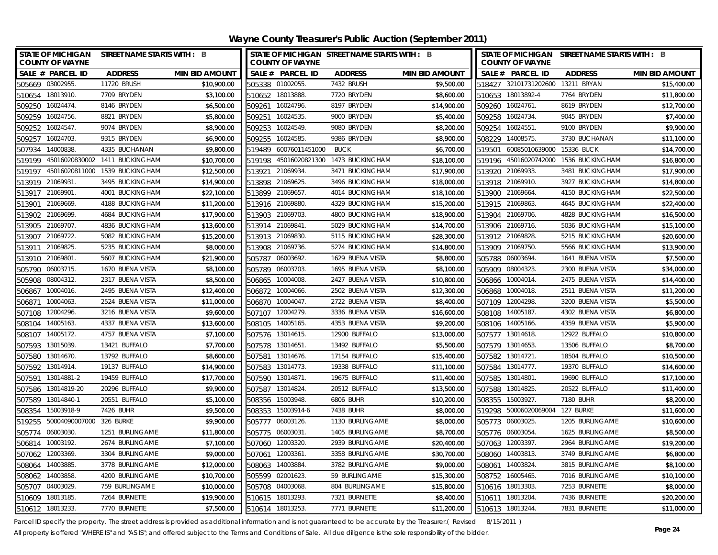| <b>STATE OF MICHIGAN</b><br>STREET NAME STARTS WITH : B<br><b>COUNTY OF WAYNE</b> |                       | STATE OF MICHIGAN STREET NAME STARTS WITH : B<br><b>COUNTY OF WAYNE</b> |                  |                       | STATE OF MICHIGAN STREET NAME STARTS WITH : B<br><b>COUNTY OF WAYNE</b> |                  |                       |
|-----------------------------------------------------------------------------------|-----------------------|-------------------------------------------------------------------------|------------------|-----------------------|-------------------------------------------------------------------------|------------------|-----------------------|
| SALE # PARCEL ID<br><b>ADDRESS</b>                                                | <b>MIN BID AMOUNT</b> | SALE # PARCEL ID                                                        | <b>ADDRESS</b>   | <b>MIN BID AMOUNT</b> | SALE # PARCEL ID                                                        | <b>ADDRESS</b>   | <b>MIN BID AMOUNT</b> |
| 505669 03002955.<br>11720 BRUSH                                                   | \$10,900.00           | 505338 01002055.                                                        | 7432 BRUSH       | \$9,500.00            | 518427 32101731202600 13211 BRYAN                                       |                  | \$15,400.00           |
| 510654 18013910.<br>7709 BRYDEN                                                   | \$3,100.00            | 510652 18013888.                                                        | 7720 BRYDEN      | \$8,600.00            | 510653 18013892-4                                                       | 7764 BRYDEN      | \$11,800.00           |
| 509250 16024474.<br>8146 BRYDEN                                                   | \$6,500.00            | 509261 16024796.                                                        | 8197 BRYDEN      | \$14,900.00           | 509260 16024761.                                                        | 8619 BRYDEN      | \$12,700.00           |
| 509259 16024756.<br>8821 BRYDEN                                                   | \$5,800.00            | 509251 16024535.                                                        | 9000 BRYDEN      | \$5,400.00            | 509258 16024734                                                         | 9045 BRYDEN      | \$7,400.00            |
| 509252 16024547.<br>9074 BRYDEN                                                   | \$8,900.00            | 509253 16024549.                                                        | 9080 BRYDEN      | \$8,200.00            | 509254 16024551                                                         | 9100 BRYDEN      | \$9,900.00            |
| 16024703.<br>9315 BRYDEN<br>509257                                                | \$6,900.00            | 509255 16024585.                                                        | 9386 BRYDEN      | \$8,900.00            | 508229 14008575.                                                        | 3730 BUCHANAN    | \$11,100.00           |
| 14000838<br>4335 BUCHANAN<br>507934                                               | \$9,800.00            | 519489 60076011451000                                                   | <b>BUCK</b>      | \$6,700.00            | 519501 60085010639000 15336 BUCK                                        |                  | \$14,700.00           |
| 519199 45016020830002 1411 BUCKINGHAM                                             | \$10,700.00           | 519198 45016020821300 1473 BUCKINGHAM                                   |                  | \$18,100.00           | 519196 45016020742000 1536 BUCKINGHAM                                   |                  | \$16,800.00           |
| 45016020811000 1539 BUCKINGHAM<br>519197                                          | \$12,500.00           | 21069934.<br>513921                                                     | 3471 BUCKINGHAM  | \$17,900.00           | 513920 21069933.                                                        | 3481 BUCKINGHAM  | \$17,900.00           |
| 513919 21069931<br>3495 BUCKINGHAM                                                | \$14,900.00           | 513898 21069625.                                                        | 3496 BUCKINGHAM  | \$18,000.00           | 513918 21069910.                                                        | 3927 BUCKINGHAM  | \$14,800.00           |
| 513917 21069901<br>4001 BUCKINGHAM                                                | \$22,100.00           | 513899 21069657.                                                        | 4014 BUCKINGHAM  | \$18,100.00           | 513900 21069664                                                         | 4150 BUCKINGHAM  | \$22,500.00           |
| 21069669<br>4188 BUCKINGHAM<br>513901                                             | \$11,200.00           | 513916 21069880.                                                        | 4329 BUCKINGHAM  | \$15,200.00           | 513915 21069863.                                                        | 4645 BUCKINGHAM  | \$22,400.00           |
| 21069699.<br>4684 BUCKINGHAM<br>513902                                            | \$17,900.00           | 513903 21069703.                                                        | 4800 BUCKINGHAM  | \$18,900.00           | 513904 21069706.                                                        | 4828 BUCKINGHAM  | \$16,500.00           |
| 21069707<br>4836 BUCKINGHAM<br>513905                                             | \$13,600.00           | 513914 21069841.                                                        | 5029 BUCKINGHAM  | \$14,700.00           | 513906 21069716.                                                        | 5036 BUCKINGHAM  | \$15,100.00           |
| 513907 21069722.<br>5082 BUCKINGHAM                                               | \$15,200.00           | 513913 21069830.                                                        | 5115 BUCKINGHAM  | \$28,300.00           | 513912 21069828.                                                        | 5215 BUCKINGHAM  | \$20,600.00           |
| 21069825<br>5235 BUCKINGHAM<br>513911                                             | \$8,000.00            | 513908 21069736.                                                        | 5274 BUCKINGHAM  | \$14,800.00           | 513909 21069750.                                                        | 5566 BUCKINGHAM  | \$13,900.00           |
| 21069801<br>5607 BUCKINGHAM<br>513910                                             | \$21,900.00           | 505787<br>06003692.                                                     | 1629 BUENA VISTA | \$8,800.00            | 505788 06003694                                                         | 1641 BUENA VISTA | \$7,500.00            |
| 06003715<br>1670 BUENA VISTA<br>505790                                            | \$8,100.00            | 505789<br>06003703.                                                     | 1695 BUENA VISTA | \$8,100.00            | 505909 08004323.                                                        | 2300 BUENA VISTA | \$34,000.00           |
| 08004312<br>2317 BUENA VISTA<br>505908                                            | \$8,500.00            | 10004008.<br>506865                                                     | 2427 BUENA VISTA | \$10,800.00           | 506866 10004014                                                         | 2475 BUENA VISTA | \$14,400.00           |
| 10004016<br>2495 BUENA VISTA<br>506867                                            | \$12,400.00           | 506872 10004066.                                                        | 2502 BUENA VISTA | \$12,300.00           | 506868 10004018.                                                        | 2511 BUENA VISTA | \$11,200.00           |
| 10004063.<br>2524 BUENA VISTA<br>506871                                           | \$11,000.00           | 10004047.<br>506870                                                     | 2722 BUENA VISTA | \$8,400.00            | 507109 12004298.                                                        | 3200 BUENA VISTA | \$5,500.00            |
| 12004296.<br>3216 BUENA VISTA<br>507108                                           | \$9,600.00            | 12004279.<br>507107                                                     | 3336 BUENA VISTA | \$16,600.00           | 14005187<br>508108                                                      | 4302 BUENA VISTA | \$6,800.00            |
| 14005163<br>4337 BUENA VISTA<br>508104                                            | \$13,600.00           | 508105 14005165.                                                        | 4353 BUENA VISTA | \$9,200.00            | 508106 14005166.                                                        | 4359 BUENA VISTA | \$5,900.00            |
| 14005172.<br>4757 BUENA VISTA<br>508107                                           | \$7,100.00            | 507576 13014615.                                                        | 12900 BUFFALO    | \$13,000.00           | 507577 13014618.                                                        | 12922 BUFFALO    | \$10,800.00           |
| 13421 BUFFALO<br>507593<br>13015039.                                              | \$7,700.00            | 507578 13014651.                                                        | 13492 BUFFALO    | \$5,500.00            | 507579 13014653.                                                        | 13506 BUFFALO    | \$8,700.00            |
| 507580 13014670.<br>13792 BUFFALO                                                 | \$8,600.00            | 507581 13014676.                                                        | 17154 BUFFALO    | \$15,400.00           | 507582 13014721.                                                        | 18504 BUFFALO    | \$10,500.00           |
| 507592 13014914.<br>19137 BUFFALO                                                 | \$14,900.00           | 507583 13014773.                                                        | 19338 BUFFALO    | \$11,100.00           | 507584 13014777.                                                        | 19370 BUFFALO    | \$14,600.00           |
| 507591 13014881-2<br>19459 BUFFALO                                                | \$17,700.00           | 507590 13014871.                                                        | 19675 BUFFALO    | \$11,400.00           | 507585 13014801                                                         | 19690 BUFFALO    | \$17,100.00           |
| 507586<br>13014819-20<br>20296 BUFFALO                                            | \$9,900.00            | 507587 13014824.                                                        | 20512 BUFFALO    | \$13,500.00           | 507588 13014825.                                                        | 20522 BUFFALO    | \$11,400.00           |
| 507589 13014840-1<br>20551 BUFFALO                                                | \$5,100.00            | 508356 15003948.                                                        | 6806 BUHR        | \$10,200.00           | 508355 15003927.                                                        | 7180 BUHR        | \$8,200.00            |
| 508354 15003918-9<br>7426 BUHR                                                    | \$9,500.00            | 508353 15003914-6                                                       | 7438 BUHR        | \$8,000.00            | 519298 50006020069004 127 BURKE                                         |                  | \$11,600.00           |
| 50004090007000 326 BURKE<br>519255                                                | \$9,900.00            | 505777 06003126.                                                        | 1130 BURLINGAME  | \$8,000.00            | 505773 06003025                                                         | 1205 BURLINGAME  | \$10,600.00           |
| 505774 06003030.<br>1251 BURLINGAME                                               | \$11,800.00           | 505775 06003031.                                                        | 1405 BURLINGAME  | \$8,700.00            | 505776 06003054.                                                        | 1625 BURLINGAME  | \$8,500.00            |
| 506814 10003192.<br>2674 BURLINGAME                                               | \$7,100.00            | 507060 12003320.                                                        | 2939 BURLINGAME  | \$20,400.00           | 507063 12003397.                                                        | 2964 BURLINGAME  | \$19,200.00           |
| 507062 12003369.<br>3304 BURLINGAME                                               | \$9,000.00            | 507061 12003361                                                         | 3358 BURLINGAME  | \$30,700.00           | 508060 14003813.                                                        | 3749 BURLINGAME  | \$6,800.00            |
| 508064 14003885.<br>3778 BURLINGAME                                               | \$12,000.00           | 508063 14003884                                                         | 3782 BURLINGAME  | \$9,000.00            | 508061 14003824                                                         | 3815 BURLINGAME  | \$8,100.00            |
| 14003858<br>508062<br>4200 BURLINGAME                                             | \$10,700.00           | 505599<br>02001623.                                                     | 59 BURLINGAME    | \$15,300.00           | 508752 16005465.                                                        | 7016 BURLINGAME  | \$10,100.00           |
| 759 BURLINGAME<br>04003029<br>505707                                              | \$10,000.00           | 505708<br>04003068.                                                     | 804 BURLINGAME   | \$15,800.00           | 510616 18013303.                                                        | 7253 BURNETTE    | \$8,000.00            |
| 510609 18013185.<br>7264 BURNETTE                                                 | \$19,900.00           | 510615 18013293.                                                        | 7321 BURNETTE    | \$8,400.00            | 510611 18013204.                                                        | 7436 BURNETTE    | \$20,200.00           |
| 510612 18013233.<br>7770 BURNETTE                                                 | \$7,500.00            | 510614 18013253.                                                        | 7771 BURNETTE    | \$11,200.00           | 510613 18013244.                                                        | 7831 BURNETTE    | \$11,000.00           |

Parcel ID specify the property. The street address is provided as additional information and is not guaranteed to be accurate by the Treasurer.( Revised 8/15/2011 )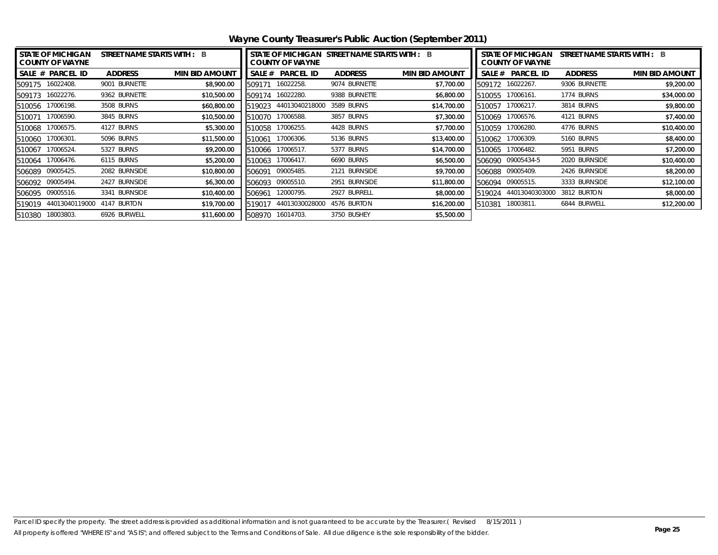|        | <b>STATE OF MICHIGAN</b><br><b>COUNTY OF WAYNE</b> | STREET NAME STARTS WITH : B |                       |        | <b>COUNTY OF WAYNE</b> | STATE OF MICHIGAN STREET NAME STARTS WITH : B |                       | <b>STATE OF MICHIGAN</b><br>STREET NAME STARTS WITH : B<br><b>COUNTY OF WAYNE</b> |                   |                |                       |
|--------|----------------------------------------------------|-----------------------------|-----------------------|--------|------------------------|-----------------------------------------------|-----------------------|-----------------------------------------------------------------------------------|-------------------|----------------|-----------------------|
|        | SALE # PARCEL ID                                   | <b>ADDRESS</b>              | <b>MIN BID AMOUNT</b> |        | SALE # PARCEL ID       | <b>ADDRESS</b>                                | <b>MIN BID AMOUNT</b> |                                                                                   | SALE # PARCEL ID  | <b>ADDRESS</b> | <b>MIN BID AMOUNT</b> |
|        | 509175 16022408.                                   | 9001 BURNETTE               | \$8,900.00            | 509171 | 16022258.              | 9074 BURNETTE                                 | \$7,700.00            |                                                                                   | 509172 16022267.  | 9306 BURNETTE  | \$9,200.00            |
|        | 509173 16022276.                                   | 9362 BURNETTE               | \$10,500.00           | 509174 | 16022280.              | 9388 BURNETTE                                 | \$6,800.00            |                                                                                   | 510055 17006161.  | 1774 BURNS     | \$34,000.00           |
|        | 510056 17006198.                                   | 3508 BURNS                  | \$60,800.00           | 519023 | 44013040218000         | 3589 BURNS                                    | \$14,700.00           | 510057                                                                            | 17006217.         | 3814 BURNS     | \$9,800.00            |
| 510071 | 17006590.                                          | 3845 BURNS                  | \$10,500.00           | 510070 | 17006588.              | 3857 BURNS                                    | \$7,300.00            | 510069                                                                            | 17006576.         | 4121 BURNS     | \$7,400.00            |
|        | 510068 17006575.                                   | 4127 BURNS                  | \$5,300.00            | 510058 | 17006255.              | 4428 BURNS                                    | \$7,700.00            | 510059                                                                            | 17006280.         | 4776 BURNS     | \$10,400.00           |
|        | 510060 17006301.                                   | 5096 BURNS                  | \$11,500.00           | 510061 | 17006306.              | 5136 BURNS                                    | \$13,400.00           |                                                                                   | 510062 17006309.  | 5160 BURNS     | \$8,400.00            |
| 510067 | 17006524.                                          | 5327 BURNS                  | \$9,200.00            | 510066 | 17006517.              | 5377 BURNS                                    | \$14,700.00           | 510065                                                                            | 17006482.         | 5951 BURNS     | \$7,200.00            |
|        | 510064 17006476.                                   | 6115 BURNS                  | \$5,200.00            | 510063 | 17006417.              | 6690 BURNS                                    | \$6,500.00            |                                                                                   | 506090 09005434-5 | 2020 BURNSIDE  | \$10,400.00           |
|        | 506089 09005425.                                   | 2082 BURNSIDE               | \$10,800.00           | 506091 | 09005485.              | 2121 BURNSIDE                                 | \$9,700.00            |                                                                                   | 506088 09005409.  | 2426 BURNSIDE  | \$8,200.00            |
|        | 506092 09005494.                                   | 2427 BURNSIDE               | \$6,300.00            | 506093 | 09005510.              | 2951 BURNSIDE                                 | \$11,800.00           |                                                                                   | 506094 09005515.  | 3333 BURNSIDE  | \$12,100.00           |
|        | 506095 09005516.                                   | 3341 BURNSIDE               | \$10,400.00           | 506961 | 12000795.              | 2927 BURRELL                                  | \$8,000.00            | 519024                                                                            | 44013040303000    | 3812 BURTON    | \$8,000.00            |
|        | 519019 44013040119000                              | 4147 BURTON                 | \$19,700.00           | 519017 | 44013030028000         | 4576 BURTON                                   | \$16,200.00           | 510381                                                                            | 18003811.         | 6844 BURWELL   | \$12,200.00           |
| 510380 | 18003803.                                          | 6926 BURWELL                | \$11,600.00           | 508970 | 16014703.              | 3750 BUSHEY                                   | \$5,500.00            |                                                                                   |                   |                |                       |

**Wayne County Treasurer's Public Auction (September 2011)**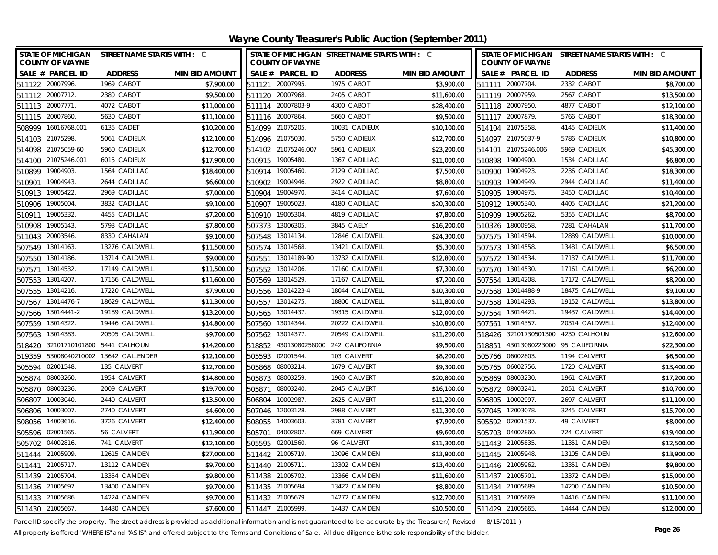<span id="page-25-0"></span>**Wayne County Treasurer's Public Auction (September 2011)**

| STATE OF MICHIGAN STREET NAME STARTS WITH : C<br><b>COUNTY OF WAYNE</b> |                             |                       | <b>COUNTY OF WAYNE</b>   | STATE OF MICHIGAN STREET NAME STARTS WITH : C |                       | STATE OF MICHIGAN STREET NAME STARTS WITH : C<br><b>COUNTY OF WAYNE</b> |                |                       |
|-------------------------------------------------------------------------|-----------------------------|-----------------------|--------------------------|-----------------------------------------------|-----------------------|-------------------------------------------------------------------------|----------------|-----------------------|
| SALE # PARCEL ID                                                        | <b>ADDRESS</b>              | <b>MIN BID AMOUNT</b> | SALE # PARCEL ID         | <b>ADDRESS</b>                                | <b>MIN BID AMOUNT</b> | SALE # PARCEL ID                                                        | <b>ADDRESS</b> | <b>MIN BID AMOUNT</b> |
| 511122 20007996.                                                        | 1969 CABOT                  | \$7.900.00            | 511121 20007995.         | 1975 CABOT                                    | \$3,900.00            | 511111 20007704                                                         | 2332 CABOT     | \$8,700.00            |
| 511112 20007712.                                                        | 2380 CABOT                  | \$9.500.00            | 511120 20007968.         | 2405 CABOT                                    | \$11,600.00           | 511119 20007959.                                                        | 2567 CABOT     | \$13,500.00           |
| 511113 20007771.                                                        | 4072 CABOT                  | \$11,000.00           | 511114 20007803-9        | 4300 CABOT                                    | \$28,400.00           | 511118 20007950.                                                        | 4877 CABOT     | \$12,100.00           |
| 511115 20007860.                                                        | 5630 CABOT                  | \$11,100.00           | 511116 20007864          | 5660 CABOT                                    | \$9,500.00            | 511117 20007879.                                                        | 5766 CABOT     | \$18,300.00           |
| 16016768.001<br>508999                                                  | 6135 CADET                  | \$10,200.00           | 514099 21075205          | 10031 CADIEUX                                 | \$10,100.00           | 514104 21075358.                                                        | 4145 CADIEUX   | \$11,400.00           |
| 21075298<br>514103                                                      | 5061 CADIEUX                | \$12,100.00           | 514096 21075030          | 5750 CADIEUX                                  | \$12,700.00           | 514097 21075037-9                                                       | 5786 CADIEUX   | \$10,800.00           |
| 514098 21075059-60                                                      | 5960 CADIEUX                | \$12,700.00           | 514102 21075246.007      | 5961 CADIEUX                                  | \$23,200.00           | 514101 21075246.006                                                     | 5969 CADIEUX   | \$45,300.00           |
| 514100 21075246.001                                                     | 6015 CADIEUX                | \$17,900.00           | 19005480.<br>510915      | 1367 CADILLAC                                 | \$11,000.00           | 19004900.<br>510898                                                     | 1534 CADILLAC  | \$6,800.00            |
| 19004903<br>510899                                                      | 1564 CADILLAC               | \$18,400.00           | 19005460.<br>510914      | 2129 CADILLAC                                 | \$7,500.00            | 19004923<br>510900                                                      | 2236 CADILLAC  | \$18,300.00           |
| 19004943<br>510901                                                      | 2644 CADILLAC               | \$6,600.00            | 19004946.<br>510902      | 2922 CADILLAC                                 | \$8,800.00            | 19004949.<br>510903                                                     | 2944 CADILLAC  | \$11,400.00           |
| 19005422.<br>510913                                                     | 2969 CADILLAC               | \$7,000.00            | 19004970.<br>510904      | 3414 CADILLAC                                 | \$7,600.00            | 510905 19004975.                                                        | 3450 CADILLAC  | \$10,400.00           |
| 19005004<br>510906                                                      | 3832 CADILLAC               | \$9,100.00            | 19005023.<br>510907      | 4180 CADILLAC                                 | \$20,300.00           | 510912 19005340.                                                        | 4405 CADILLAC  | \$21,200.00           |
| 19005332.<br>510911                                                     | 4455 CADILLAC               | \$7,200.00            | 19005304<br>510910       | 4819 CADILLAC                                 | \$7,800.00            | 510909 19005262.                                                        | 5355 CADILLAC  | \$8,700.00            |
| 19005143.<br>510908                                                     | 5798 CADILLAC               | \$7,800.00            | 507373<br>13006305.      | 3845 CAELY                                    | \$16,200.00           | 510326 18000958.                                                        | 7281 CAHALAN   | \$11,700.00           |
| 20003546.<br>511043                                                     | 8330 CAHALAN                | \$9,100.00            | 13014134.<br>507548      | 12846 CALDWELL                                | \$24,300.00           | 507575 13014594.                                                        | 12889 CALDWELL | \$10,000.00           |
| 13014163<br>507549                                                      | 13276 CALDWELL              | \$11,500.00           | 13014568.<br>507574      | 13421 CALDWELL                                | \$5,300.00            | 507573 13014558.                                                        | 13481 CALDWELL | \$6,500.00            |
| 13014186.<br>507550                                                     | 13714 CALDWELL              | \$9,000.00            | 13014189-90<br>507551    | 13732 CALDWELL                                | \$12,800.00           | 13014534<br>507572                                                      | 17137 CALDWELL | \$11,700.00           |
| 13014532.<br>507571                                                     | 17149 CALDWELL              | \$11,500.00           | 13014206.<br>507552      | 17160 CALDWELL                                | \$7,300.00            | 507570 13014530.                                                        | 17161 CALDWELL | \$6,200.00            |
| 13014207.<br>507553                                                     | 17166 CALDWELL              | \$11,600.00           | 13014529.<br>507569      | 17167 CALDWELL                                | \$7,200.00            | 507554 13014208.                                                        | 17172 CALDWELL | \$8,200.00            |
| 507555 13014216.                                                        | 17220 CALDWELL              | \$7,900.00            | 507556<br>13014223-4     | 18044 CALDWELL                                | \$10,300.00           | 507568 13014488-9                                                       | 18475 CALDWELL | \$9,100.00            |
| 13014476-7<br>507567                                                    | 18629 CALDWELL              | \$11,300.00           | 507557<br>13014275.      | 18800 CALDWELL                                | \$11,800.00           | 507558 13014293.                                                        | 19152 CALDWELL | \$13,800.00           |
| 507566 13014441-2                                                       | 19189 CALDWELL              | \$13,200.00           | 13014437<br>507565       | 19315 CALDWELL                                | \$12,000.00           | 507564 13014421                                                         | 19437 CALDWELL | \$14,400.00           |
| 507559 13014322.                                                        | 19446 CALDWELL              | \$14,800.00           | 507560 13014344.         | 20222 CALDWELL                                | \$10,800.00           | 507561 13014357.                                                        | 20314 CALDWELL | \$12,400.00           |
| 13014383<br>507563                                                      | 20505 CALDWELL              | \$9,700.00            | 507562 13014377.         | 20549 CALDWELL                                | \$11,200.00           | 518426 32101730501300 4230 CALHOUN                                      |                | \$12,600.00           |
| 518420                                                                  | 32101710101800 5441 CALHOUN | \$14,200.00           | 43013080258000<br>518852 | 242 CALIFORNIA                                | \$9,500.00            | 518851 43013080223000                                                   | 95 CALIFORNIA  | \$22,300.00           |
| 519359 53008040210002 13642 CALLENDER                                   |                             | \$12,100.00           | 505593 02001544.         | 103 CALVERT                                   | \$8,200.00            | 505766 06002803.                                                        | 1194 CALVERT   | \$6,500.00            |
| 505594 02001548.                                                        | 135 CALVERT                 | \$12,700.00           | 505868 08003214.         | 1679 CALVERT                                  | \$9,300.00            | 505765 06002756.                                                        | 1720 CALVERT   | \$13,400.00           |
| 505874 08003260                                                         | 1954 CALVERT                | \$14,800.00           | 505873 08003259.         | 1960 CALVERT                                  | \$20,800.00           | 505869 08003230.                                                        | 1961 CALVERT   | \$17,200.00           |
| 08003236.<br>505870                                                     | 2009 CALVERT                | \$19,700.00           | 08003240<br>505871       | 2045 CALVERT                                  | \$16,100.00           | 505872 08003241.                                                        | 2051 CALVERT   | \$10,700.00           |
| 10003040.<br>506807                                                     | 2440 CALVERT                | \$13,500.00           | 506804<br>10002987       | 2625 CALVERT                                  | \$11,200.00           | 506805 10002997.                                                        | 2697 CALVERT   | \$11,100.00           |
| 10003007<br>506806                                                      | 2740 CALVERT                | \$4,600.00            | 507046 12003128.         | 2988 CALVERT                                  | \$11,300.00           | 507045 12003078.                                                        | 3245 CALVERT   | \$15,700.00           |
| 508056 14003616                                                         | 3726 CALVERT                | \$12,400.00           | 508055<br>14003603.      | 3781 CALVERT                                  | \$7,900.00            | 505592 02001537                                                         | 49 CALVERT     | \$8,000.00            |
| 505596 02001565                                                         | 56 CALVERT                  | \$11,900.00           | 505701<br>04002807       | 669 CALVERT                                   | \$9,600.00            | 505703<br>04002860.                                                     | 724 CALVERT    | \$19,400.00           |
| 505702 04002816.                                                        | 741 CALVERT                 | \$12,100.00           | 505595 02001560.         | 96 CALVERT                                    | \$11,300.00           | 511443 21005835.                                                        | 11351 CAMDEN   | \$12,500.00           |
| 511444 21005909.                                                        | 12615 CAMDEN                | \$27,000.00           | 511442 21005719.         | 13096 CAMDEN                                  | \$13,900.00           | 511445 21005948.                                                        | 13105 CAMDEN   | \$13,900.00           |
| 511441 21005717                                                         | 13112 CAMDEN                | \$9,700.00            | 511440 21005711          | 13302 CAMDEN                                  | \$13,400.00           | 511446 21005962.                                                        | 13351 CAMDEN   | \$9,800.00            |
| 511439 21005704                                                         | 13354 CAMDEN                | \$9,800.00            | 511438 21005702.         | 13366 CAMDEN                                  | \$11,600.00           | 511437 21005701.                                                        | 13372 CAMDEN   | \$15,000.00           |
| 511436 21005697.                                                        | 13400 CAMDEN                | \$9,700.00            | 511435 21005694.         | 13422 CAMDEN                                  | \$8,800.00            | 511434 21005689.                                                        | 14200 CAMDEN   | \$10,500.00           |
| 511433 21005686.                                                        | 14224 CAMDEN                | \$9,700.00            | 511432 21005679.         | 14272 CAMDEN                                  | \$12,700.00           | 511431 21005669.                                                        | 14416 CAMDEN   | \$11,100.00           |
| 511430 21005667                                                         | 14430 CAMDEN                | \$7,600.00            | 511447 21005999.         | 14437 CAMDEN                                  | \$10,500.00           | 511429 21005665.                                                        | 14444 CAMDEN   | \$12,000.00           |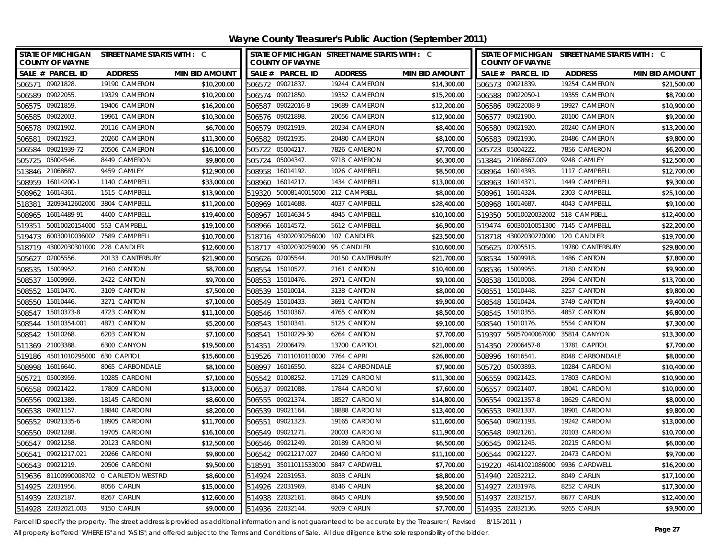| <b>COUNTY OF WAYNE</b>            | STATE OF MICHIGAN STREET NAME STARTS WITH : C |                       | <b>COUNTY OF WAYNE</b> |                                  | STATE OF MICHIGAN STREET NAME STARTS WITH : C |                       |        | <b>COUNTY OF WAYNE</b>              | STATE OF MICHIGAN STREET NAME STARTS WITH : C |                       |
|-----------------------------------|-----------------------------------------------|-----------------------|------------------------|----------------------------------|-----------------------------------------------|-----------------------|--------|-------------------------------------|-----------------------------------------------|-----------------------|
| SALE # PARCEL ID                  | <b>ADDRESS</b>                                | <b>MIN BID AMOUNT</b> | SALE # PARCEL ID       |                                  | <b>ADDRESS</b>                                | <b>MIN BID AMOUNT</b> |        | SALE # PARCEL ID                    | <b>ADDRESS</b>                                | <b>MIN BID AMOUNT</b> |
| 506571 09021828                   | 19190 CAMERON                                 | \$10,200.00           | 506572 09021837        |                                  | 19244 CAMERON                                 | \$14,300.00           |        | 506573 09021839.                    | 19254 CAMERON                                 | \$21,500.00           |
| 506589 09022055.                  | 19329 CAMERON                                 | \$10,200.00           | 506574 09021850.       |                                  | 19352 CAMERON                                 | \$15,200.00           |        | 506588 09022050-1                   | 19355 CAMERON                                 | \$8,700.00            |
| 506575 09021859.                  | 19406 CAMERON                                 | \$16,200.00           | 506587 09022016-8      |                                  | 19689 CAMERON                                 | \$12,200.00           |        | 506586 09022008-9                   | 19927 CAMERON                                 | \$10,900.00           |
| 506585 09022003.                  | 19961 CAMERON                                 | \$10,300.00           | 506576 09021898        |                                  | 20056 CAMERON                                 | \$12,900.00           |        | 506577 09021900.                    | 20100 CAMERON                                 | \$9,200.00            |
| 506578 09021902.                  | 20116 CAMERON                                 | \$6,700.00            | 506579 09021919.       |                                  | 20234 CAMERON                                 | \$8,400.00            |        | 506580 09021920.                    | 20240 CAMERON                                 | \$13,200.00           |
| 09021923<br>506581                | 20260 CAMERON                                 | \$11,300.00           | 506582 09021935        |                                  | 20480 CAMERON                                 | \$8,100.00            |        | 506583 09021936.                    | 20486 CAMERON                                 | \$9,800.00            |
| 506584<br>09021939-72             | 20506 CAMERON                                 | \$16,100.00           | 505722 05004217.       |                                  | 7826 CAMERON                                  | \$7,700.00            |        | 505723 05004222.                    | 7856 CAMERON                                  | \$6,200.00            |
| 05004546.<br>505725               | 8449 CAMERON                                  | \$9,800.00            | 505724 05004347.       |                                  | 9718 CAMERON                                  | \$6,300.00            |        | 513845 21068667.009                 | 9248 CAMLEY                                   | \$12,500.00           |
| 513846 21068687                   | 9459 CAMLEY                                   | \$12,900.00           | 508958 16014192.       |                                  | 1026 CAMPBELL                                 | \$8,500.00            |        | 508964 16014393.                    | 1117 CAMPBELL                                 | \$12,700.00           |
| 16014200-1<br>508959              | 1140 CAMPBELL                                 | \$33,000.00           | 508960                 | 16014217.                        | 1434 CAMPBELL                                 | \$13,000.00           |        | 508963 16014371.                    | 1449 CAMPBELL                                 | \$9,300.00            |
| 16014361.<br>508962               | 1515 CAMPBELL                                 | \$13,900.00           | 519320                 |                                  | 50008140015000 212 CAMPBELL                   | \$8,000.00            | 508961 | 16014324.                           | 2303 CAMPBELL                                 | \$25,100.00           |
| 518381                            | 32093412602000 3804 CAMPBELL                  | \$11,200.00           | 508969                 | 16014688.                        | 4037 CAMPBELL                                 | \$28,400.00           |        | 508968 16014687.                    | 4043 CAMPBELL                                 | \$9,100.00            |
| 16014489-91<br>508965             | 4400 CAMPBELL                                 | \$19,400.00           | 508967                 | 16014634-5                       | 4945 CAMPBELL                                 | \$10,100.00           |        | 519350 50010020032002 518 CAMPBELL  |                                               | \$12,400.00           |
| 50010020154000<br>519351          | 553 CAMPBELL                                  | \$19,100.00           | 508966                 | 16014572.                        | 5612 CAMPBELL                                 | \$6,900.00            | 519474 | 60030010051300                      | 7145 CAMPBELL                                 | \$22,200.00           |
| 519473                            | 60030010036002 7589 CAMPBELL                  | \$10,700.00           |                        |                                  | 518716 43002030256000 107 CANDLER             | \$23,500.00           |        | 518718 43002030270000 120 CANDLER   |                                               | \$19,700.00           |
| 518719 43002030301000 228 CANDLER |                                               | \$12,600.00           |                        | 518717 43002030259000 95 CANDLER |                                               | \$10,600.00           |        | 505625 02005515.                    | 19780 CANTERBURY                              | \$29,800.00           |
| 02005556.<br>505627               | 20133 CANTERBURY                              | \$21,900.00           | 505626                 | 02005544.                        | 20150 CANTERBURY                              | \$21,700.00           | 508534 | 15009918.                           | 1486 CANTON                                   | \$7,800.00            |
| 15009952.<br>508535               | 2160 CANTON                                   | \$8,700.00            | 508554 15010527.       |                                  | 2161 CANTON                                   | \$10,400.00           | 508536 | 15009955.                           | 2180 CANTON                                   | \$9,900.00            |
| 15009969.<br>508537               | 2422 CANTON                                   | \$9,700.00            | 508553                 | 15010476.                        | 2971 CANTON                                   | \$9,100.00            | 508538 | 15010008.                           | 2994 CANTON                                   | \$13,700.00           |
| 15010470<br>508552                | 3109 CANTON                                   | \$7,500.00            | 508539                 | 15010014                         | 3138 CANTON                                   | \$8,000.00            | 508551 | 15010448.                           | 3257 CANTON                                   | \$9,800.00            |
| 15010446.<br>508550               | 3271 CANTON                                   | \$7,100.00            | 508549                 | 15010433.                        | 3691 CANTON                                   | \$9,900.00            | 508548 | 15010424.                           | 3749 CANTON                                   | \$9,400.00            |
| 15010373-8<br>508547              | 4723 CANTON                                   | \$11,100.00           | 508546                 | 15010367                         | 4765 CANTON                                   | \$8,500.00            | 508545 | 15010355.                           | 4857 CANTON                                   | \$6,800.00            |
| 15010354.001<br>508544            | 4871 CANTON                                   | \$5,200.00            | 508543                 | 15010341.                        | 5125 CANTON                                   | \$9,100.00            |        | 508540 15010176.                    | 5554 CANTON                                   | \$7,300.00            |
| 508542 15010268.                  | 6203 CANTON                                   | \$7,100.00            | 508541 15010229-30     |                                  | 6264 CANTON                                   | \$7,700.00            |        | 519397 56057040067000               | 35814 CANYON                                  | \$13,300.00           |
| 21003388<br>511369                | 6300 CANYON                                   | \$19,500.00           | 514351                 | 22006479.                        | 13700 CAPITOL                                 | \$21,000.00           |        | 514350 22006457-8                   | 13781 CAPITOL                                 | \$7,700.00            |
| 519186                            | 45011010295000 630 CAPITOL                    | \$15,600.00           |                        | 519526 71011010110000 7764 CAPRI |                                               | \$26,800.00           |        | 508996 16016541.                    | 8048 CARBONDALE                               | \$8,000.00            |
| 508998 16016640.                  | 8065 CARBONDALE                               | \$8,100.00            | 508997 16016550.       |                                  | 8224 CARBONDALE                               | \$7,900.00            |        | 505720 05003893.                    | 10284 CARDONI                                 | \$10,400.00           |
| 05003959<br>505721                | 10285 CARDONI                                 | \$7,100.00            | 505542 01008252        |                                  | 17129 CARDONI                                 | \$11,300.00           |        | 506559 09021423.                    | 17803 CARDONI                                 | \$10,900.00           |
| 506558<br>09021422.               | 17809 CARDONI                                 | \$13,000.00           | 506537 09021088        |                                  | 17844 CARDONI                                 | \$7,600.00            |        | 506557 09021407.                    | 18041 CARDONI                                 | \$10,000.00           |
| 506556 09021389.                  | 18145 CARDONI                                 | \$8,600.00            | 506555 09021374.       |                                  | 18527 CARDONI                                 | \$14,800.00           |        | 506554 09021357-8                   | 18629 CARDONI                                 | \$8,000.00            |
| 506538 09021157.                  | 18840 CARDONI                                 | \$8,200.00            | 506539 09021164.       |                                  | 18888 CARDONI                                 | \$13,400.00           |        | 506553 09021337.                    | 18901 CARDONI                                 | \$9,800.00            |
| 09021335-6<br>506552              | 18905 CARDONI                                 | \$11,700.00           | 506551                 | 09021323                         | 19165 CARDONI                                 | \$11,600.00           |        | 506540 09021193.                    | 19242 CARDONI                                 | \$13,000.00           |
| 506550 09021288                   | 19705 CARDONI                                 | \$16,100.00           | 506549                 | 09021271.                        | 20003 CARDONI                                 | \$11,900.00           |        | 506548 09021261.                    | 20103 CARDONI                                 | \$10,700.00           |
| 506547 09021258.                  | 20123 CARDONI                                 | \$12,500.00           | 506546 09021249.       |                                  | 20189 CARDONI                                 | \$6,500.00            |        | 506545 09021245.                    | 20215 CARDONI                                 | \$6,000.00            |
| 506541 09021217.021               | 20266 CARDONI                                 | \$9,800.00            | 506542 09021217.027    |                                  | 20460 CARDONI                                 | \$11,100.00           |        | 506544 09021227.                    | 20473 CARDONI                                 | \$9,700.00            |
| 09021219.<br>506543               | 20506 CARDONI                                 | \$9,500.00            | 518591 35011011533000  |                                  | 5847 CARDWELL                                 | \$7,700.00            |        | 519220 46141021086000 9936 CARDWELL |                                               | \$16,200.00           |
| 519636                            | 81100990008702 0 CARLETON WEST RD             | \$8,600.00            | 514924                 | 22031953.                        | 8038 CARLIN                                   | \$8,800.00            | 514940 | 22032212.                           | 8049 CARLIN                                   | \$17,100.00           |
| 22031956.<br>514925               | 8056 CARLIN                                   | \$15,000.00           | 514926                 | 22031969.                        | 8146 CARLIN                                   | \$8,200.00            |        | 514927 22031978.                    | 8252 CARLIN                                   | \$17,300.00           |
| 514939 22032187                   | 8267 CARLIN                                   | \$12,600.00           | 514938 22032161.       |                                  | 8645 CARLIN                                   | \$9,500.00            |        | 514937 22032157.                    | 8677 CARLIN                                   | \$12,400.00           |
| 514928 22032021.003               | 9150 CARLIN                                   | \$9,000.00            | 514936 22032144.       |                                  | 9209 CARLIN                                   | \$7,700.00            |        | 514935 22032136.                    | 9265 CARLIN                                   | \$9,900.00            |

Parcel ID specify the property. The street address is provided as additional information and is not guaranteed to be accurate by the Treasurer.( Revised 8/15/2011 )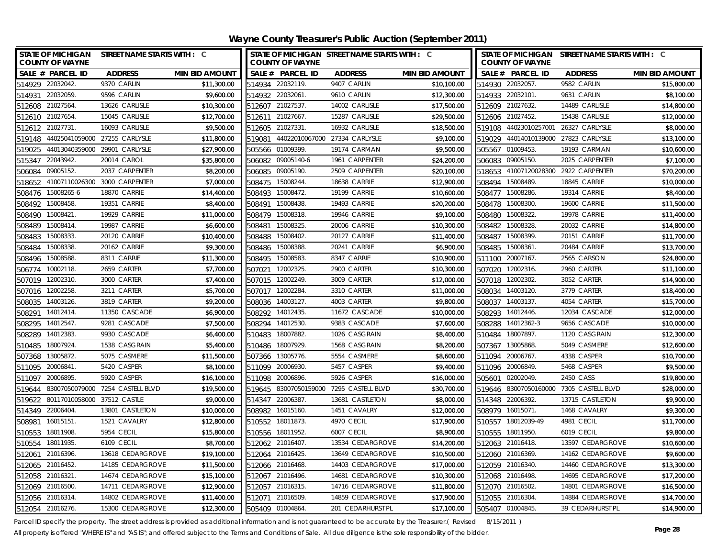| STATE OF MICHIGAN STREET NAME STARTS WITH : C<br><b>COUNTY OF WAYNE</b> |                                  |                       |        | STATE OF MICHIGAN STREET NAME STARTS WITH : C<br><b>COUNTY OF WAYNE</b> |                   |                       |        | <b>COUNTY OF WAYNE</b> | STATE OF MICHIGAN STREET NAME STARTS WITH : C |                       |
|-------------------------------------------------------------------------|----------------------------------|-----------------------|--------|-------------------------------------------------------------------------|-------------------|-----------------------|--------|------------------------|-----------------------------------------------|-----------------------|
| SALE # PARCEL ID                                                        | <b>ADDRESS</b>                   | <b>MIN BID AMOUNT</b> |        | SALE # PARCEL ID                                                        | <b>ADDRESS</b>    | <b>MIN BID AMOUNT</b> |        | SALE # PARCEL ID       | <b>ADDRESS</b>                                | <b>MIN BID AMOUNT</b> |
| 514929 22032042.                                                        | 9370 CARLIN                      | \$11,300.00           |        | 514934 22032119.                                                        | 9407 CARLIN       | \$10,100.00           |        | 514930 22032057.       | 9582 CARLIN                                   | \$15,800.00           |
| 22032059<br>514931                                                      | 9596 CARLIN                      | \$9,600.00            | 514932 | 22032061                                                                | 9610 CARLIN       | \$12,300.00           | 514933 | 22032101               | 9631 CARLIN                                   | \$8,100.00            |
| 512608 21027564                                                         | 13626 CARLISLE                   | \$10,300.00           | 512607 | 21027537                                                                | 14002 CARLISLE    | \$17,500.00           |        | 512609 21027632.       | 14489 CARLISLE                                | \$14,800.00           |
| 512610 21027654                                                         | 15045 CARLISLE                   | \$12,700.00           |        | 512611 21027667                                                         | 15287 CARLISLE    | \$29,500.00           |        | 512606 21027452.       | 15438 CARLISLE                                | \$12,000.00           |
| 512612 21027731                                                         | 16093 CARLISLE                   | \$9,500.00            |        | 512605 21027331                                                         | 16932 CARLISLE    | \$18,500.00           |        | 519108 44023010257001  | 26327 CARLYSLE                                | \$8,000.00            |
| 519148                                                                  | 44025041059000 27255 CARLYSLE    | \$11,800.00           | 519081 | 44022010067000 27334 CARLYSLE                                           |                   | \$9,100.00            |        | 519029 44014010139000  | 27823 CARLYSLE                                | \$13,100.00           |
| 519025                                                                  | 44013040359000 29901 CARLYSLE    | \$27,900.00           |        | 505566 01009399                                                         | 19174 CARMAN      | \$9,500.00            |        | 505567 01009453.       | 19193 CARMAN                                  | \$10,600.00           |
| 515347 22043942.                                                        | 20014 CAROL                      | \$35,800.00           |        | 506082 09005140-6                                                       | 1961 CARPENTER    | \$24,200.00           |        | 506083 09005150.       | 2025 CARPENTER                                | \$7,100.00            |
| 09005152<br>506084                                                      | 2037 CARPENTER                   | \$8,200.00            |        | 506085 09005190.                                                        | 2509 CARPENTER    | \$20,100.00           |        | 518653 41007120028300  | 2922 CARPENTER                                | \$70,200.00           |
| 41007110026300<br>518652                                                | 3000 CARPENTER                   | \$7,000.00            | 508475 | 15008244.                                                               | 18638 CARRIE      | \$12,900.00           |        | 508494 15008489.       | 18845 CARRIE                                  | \$10,000.00           |
| 508476 15008265-6                                                       | 18870 CARRIE                     | \$14,400.00           |        | 508493 15008472.                                                        | 19199 CARRIE      | \$10,600.00           |        | 508477 15008286.       | 19314 CARRIE                                  | \$8,400.00            |
| 15008458<br>508492                                                      | 19351 CARRIE                     | \$8,400.00            |        | 508491 15008438                                                         | 19493 CARRIE      | \$20,200.00           |        | 508478 15008300.       | 19600 CARRIE                                  | \$11,500.00           |
| 15008421<br>508490                                                      | <b>19929 CARRIE</b>              | \$11,000.00           |        | 508479 15008318.                                                        | 19946 CARRIE      | \$9,100.00            |        | 508480 15008322.       | <b>19978 CARRIE</b>                           | \$11,400.00           |
| 15008414<br>508489                                                      | 19987 CARRIE                     | \$6,600.00            | 508481 | 15008325                                                                | 20006 CARRIE      | \$10,300.00           | 508482 | 15008328.              | 20032 CARRIE                                  | \$14,800.00           |
| 15008333<br>508483                                                      | 20120 CARRIE                     | \$10,400.00           | 508488 | 15008402                                                                | 20127 CARRIE      | \$11,400.00           | 508487 | 15008399.              | 20151 CARRIE                                  | \$11,700.00           |
| 15008338<br>508484                                                      | 20162 CARRIE                     | \$9,300.00            | 508486 | 15008388                                                                | 20241 CARRIE      | \$6,900.00            |        | 508485 15008361.       | 20484 CARRIE                                  | \$13,700.00           |
| 15008588<br>508496                                                      | 8311 CARRIE                      | \$11,300.00           | 508495 | 15008583                                                                | 8347 CARRIE       | \$10,900.00           |        | 511100 20007167        | 2565 CARSON                                   | \$24,800.00           |
| 10002118<br>506774                                                      | 2659 CARTER                      | \$7,700.00            | 507021 | 12002325                                                                | 2900 CARTER       | \$10,300.00           | 507020 | 12002316.              | 2960 CARTER                                   | \$11,100.00           |
| 507019<br>12002310.                                                     | 3000 CARTER                      | \$7,400.00            |        | 507015 12002249.                                                        | 3009 CARTER       | \$12,000.00           |        | 507018 12002302.       | 3052 CARTER                                   | \$14,900.00           |
| 12002258<br>507016                                                      | 3211 CARTER                      | \$5,700.00            |        | 507017 12002284                                                         | 3310 CARTER       | \$11,000.00           |        | 508034 14003120.       | 3779 CARTER                                   | \$18,400.00           |
| 14003126<br>508035                                                      | 3819 CARTER                      | \$9,200.00            | 508036 | 14003127                                                                | 4003 CARTER       | \$9,800.00            | 508037 | 14003137.              | 4054 CARTER                                   | \$15,700.00           |
| 14012414.<br>508291                                                     | 11350 CASCADE                    | \$6,900.00            | 508292 | 14012435.                                                               | 11672 CASCADE     | \$10,000.00           | 508293 | 14012446.              | 12034 CASCADE                                 | \$12,000.00           |
| 14012547.<br>508295                                                     | 9281 CASCADE                     | \$7,500.00            | 508294 | 14012530.                                                               | 9383 CASCADE      | \$7,600.00            | 508288 | 14012362-3             | 9656 CASCADE                                  | \$10,000.00           |
| 14012383<br>508289                                                      | 9930 CASCADE                     | \$6,400.00            | 510483 | 18007882                                                                | 1026 CASGRAIN     | \$8,400.00            | 510484 | 18007897.              | 1120 CASGRAIN                                 | \$12,300.00           |
| 18007924<br>510485                                                      | 1538 CASGRAIN                    | \$5,400.00            | 510486 | 18007929                                                                | 1568 CASGRAIN     | \$8,200.00            | 507367 | 13005868.              | 5049 CASMERE                                  | \$12,600.00           |
| 13005872.<br>507368                                                     | 5075 CASMERE                     | \$11,500.00           | 507366 | 13005776.                                                               | 5554 CASMERE      | \$8,600.00            | 511094 | 20006767.              | 4338 CASPER                                   | \$10,700.00           |
| 511095<br>20006841                                                      | 5420 CASPER                      | \$8,100.00            |        | 511099 20006930                                                         | 5457 CASPER       | \$9,400.00            |        | 511096 20006849.       | 5468 CASPER                                   | \$9,500.00            |
| 20006895<br>511097                                                      | 5920 CASPER                      | \$16,100.00           | 511098 | 20006896                                                                | 5926 CASPER       | \$16,000.00           | 505601 | 02002049.              | 2450 CASS                                     | \$19,800.00           |
| 519644                                                                  | 83007050079000 7254 CASTELL BLVD | \$19,500.00           | 519645 | 83007050159000                                                          | 7295 CASTELL BLVD | \$30,700.00           |        |                        | 519646 83007050160000 7305 CASTELL BLVD       | \$28,000.00           |
| 80117010058000 37512 CASTLE<br>519622                                   |                                  | \$9,000.00            |        | 514347 22006387                                                         | 13681 CASTLETON   | \$8,000.00            |        | 514348 22006392.       | 13715 CASTLETON                               | \$9,900.00            |
| 514349 22006404.                                                        | 13801 CASTLETON                  | \$10,000.00           |        | 508982 16015160.                                                        | 1451 CAVALRY      | \$12,000.00           |        | 508979 16015071.       | 1468 CAVALRY                                  | \$9,300.00            |
| 16015151<br>508981                                                      | 1521 CAVALRY                     | \$12,800.00           |        | 510552 18011873                                                         | 4970 CECIL        | \$17,900.00           |        | 510557 18012039-49     | <b>4981 CECIL</b>                             | \$11,700.00           |
| 18011908<br>510553                                                      | <b>5954 CECIL</b>                | \$15,800.00           |        | 510556 18011952                                                         | <b>6007 CECIL</b> | \$8,900.00            |        | 510555 18011950.       | <b>6019 CECIL</b>                             | \$9,800.00            |
| 510554 18011935.                                                        | <b>6109 CECIL</b>                | \$8,700.00            |        | 512062 21016407                                                         | 13534 CEDARGROVE  | \$14,200.00           |        | 512063 21016418.       | 13597 CEDARGROVE                              | \$10,600.00           |
| 512061 21016396                                                         | 13618 CEDARGROVE                 | \$19,100.00           |        | 512064 21016425                                                         | 13649 CEDARGROVE  | \$10,500.00           |        | 512060 21016369.       | 14162 CEDARGROVE                              | \$9,600.00            |
| 512065 21016452                                                         | 14185 CEDARGROVE                 | \$11,500.00           |        | 512066 21016468                                                         | 14403 CEDARGROVE  | \$17,000.00           |        | 512059 21016340.       | 14460 CEDARGROVE                              | \$13,300.00           |
| 21016321<br>512058                                                      | 14674 CEDARGROVE                 | \$15,100.00           |        | 512067 21016496                                                         | 14681 CEDARGROVE  | \$10,300.00           |        | 512068 21016498.       | 14695 CEDARGROVE                              | \$17,200.00           |
| 512069 21016500                                                         | 14711 CEDARGROVE                 | \$12,900.00           |        | 512057 21016315                                                         | 14716 CEDARGROVE  | \$11,800.00           |        | 512070 21016502.       | 14801 CEDARGROVE                              | \$16,500.00           |
| 512056 21016314                                                         | 14802 CEDARGROVE                 | \$11,400.00           |        | 512071 21016509                                                         | 14859 CEDARGROVE  | \$17,900.00           |        | 512055 21016304.       | 14884 CEDARGROVE                              | \$14,700.00           |
| 512054 21016276.                                                        | 15300 CEDARGROVE                 | \$12,300.00           |        | 505409 01004864                                                         | 201 CEDARHURST PL | \$17,100.00           |        | 505407 01004845.       | 39 CEDARHURST PL                              | \$14,900.00           |

Parcel ID specify the property. The street address is provided as additional information and is not guaranteed to be accurate by the Treasurer.(Revised 8/15/2011)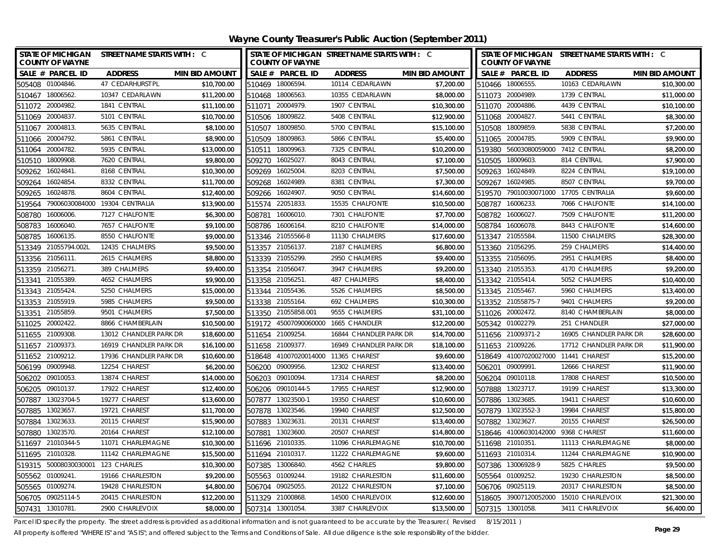| <b>COUNTY OF WAYNE</b>   | STATE OF MICHIGAN STREET NAME STARTS WITH : C |                       |                  | <b>COUNTY OF WAYNE</b>              | STATE OF MICHIGAN STREET NAME STARTS WITH : C |                       |        | <b>COUNTY OF WAYNE</b>              | STATE OF MICHIGAN STREET NAME STARTS WITH : C |                       |
|--------------------------|-----------------------------------------------|-----------------------|------------------|-------------------------------------|-----------------------------------------------|-----------------------|--------|-------------------------------------|-----------------------------------------------|-----------------------|
| SALE # PARCEL ID         | <b>ADDRESS</b>                                | <b>MIN BID AMOUNT</b> |                  | SALE # PARCEL ID                    | <b>ADDRESS</b>                                | <b>MIN BID AMOUNT</b> |        | SALE # PARCEL ID                    | <b>ADDRESS</b>                                | <b>MIN BID AMOUNT</b> |
| 505408 01004846          | 47 CEDARHURST PL                              | \$10,700.00           |                  | 510469 18006594.                    | 10114 CEDARLAWN                               | \$7,200.00            |        | 510466 18006555.                    | 10163 CEDARLAWN                               | \$10,300.00           |
| 510467 18006562.         | 10347 CEDARLAWN                               | \$11,200.00           |                  | 510468 18006563.                    | 10355 CEDARLAWN                               | \$8,000.00            |        | 511073 20004989.                    | 1739 CENTRAL                                  | \$11,000.00           |
| 511072 20004982.         | 1841 CENTRAL                                  | \$11,100.00           |                  | 511071 20004979.                    | 1907 CENTRAL                                  | \$10,300.00           |        | 511070 20004886.                    | 4439 CENTRAL                                  | \$10,100.00           |
| 511069 20004837          | 5101 CENTRAL                                  | \$10,700.00           | 510506 18009822  |                                     | 5408 CENTRAL                                  | \$12,900.00           |        | 511068 20004827.                    | 5441 CENTRAL                                  | \$8,300.00            |
| 511067 20004813.         | 5635 CENTRAL                                  | \$8,100.00            | 510507 18009850  |                                     | 5700 CENTRAL                                  | \$15,100.00           |        | 510508 18009859.                    | 5838 CENTRAL                                  | \$7,200.00            |
| 511066 20004792.         | 5861 CENTRAL                                  | \$8,900.00            | 510509           | 18009863                            | 5866 CENTRAL                                  | \$5,400.00            |        | 511065 20004785.                    | 5909 CENTRAL                                  | \$9,900.00            |
| 20004782<br>511064       | 5935 CENTRAL                                  | \$13,000.00           | 510511           | 18009963                            | 7325 CENTRAL                                  | \$10,200.00           |        | 519380 56003080059000 7412 CENTRAL  |                                               | \$8,200.00            |
| 510510 18009908.         | 7620 CENTRAL                                  | \$9,800.00            | 509270           | 16025027                            | 8043 CENTRAL                                  | \$7,100.00            |        | 510505 18009603.                    | 814 CENTRAL                                   | \$7,900.00            |
| 16024841<br>509262       | 8168 CENTRAL                                  | \$10,300.00           | 509269           | 16025004                            | 8203 CENTRAL                                  | \$7,500.00            | 509263 | 16024849.                           | 8224 CENTRAL                                  | \$19,100.00           |
| 16024854<br>509264       | 8332 CENTRAL                                  | \$11,700.00           | 509268           | 16024989                            | 8381 CENTRAL                                  | \$7,300.00            | 509267 | 16024985.                           | 8507 CENTRAL                                  | \$9,700.00            |
| 16024878<br>509265       | 8604 CENTRAL                                  | \$12,400.00           | 509266 16024907  |                                     | 9050 CENTRAL                                  | \$14,600.00           |        |                                     | 519570 79010030071000 17705 CENTRALIA         | \$9,600.00            |
| 519564                   | 79006030084000 19304 CENTRALIA                | \$13,900.00           | 515574 22051833  |                                     | 15535 CHALFONTE                               | \$10,500.00           | 508787 | 16006233.                           | 7066 CHALFONTE                                | \$14,100.00           |
| 508780<br>16006006       | 7127 CHALFONTE                                | \$6,300.00            | 508781           | 16006010                            | 7301 CHALFONTE                                | \$7,700.00            | 508782 | 16006027                            | 7509 CHALFONTE                                | \$11,200.00           |
| 16006040.<br>508783      | 7657 CHALFONTE                                | \$9,100.00            | 508786           | 16006164.                           | 8210 CHALFONTE                                | \$14,000.00           | 508784 | 16006078.                           | 8443 CHALFONTE                                | \$14,600.00           |
| 16006135.<br>508785      | 8550 CHALFONTE                                | \$9,000.00            |                  | 513346 21055566-8                   | 11130 CHALMERS                                | \$17,600.00           |        | 513347 21055584.                    | 11500 CHALMERS                                | \$28,300.00           |
| 513349 21055794.002L     | 12435 CHALMERS                                | \$9,500.00            |                  | 513357 21056137.                    | 2187 CHALMERS                                 | \$6,800.00            |        | 513360 21056295.                    | 259 CHALMERS                                  | \$14,400.00           |
| 21056111<br>513356       | 2615 CHALMERS                                 | \$8,800.00            |                  | 513339 21055299.                    | 2950 CHALMERS                                 | \$9,400.00            |        | 513355 21056095.                    | 2951 CHALMERS                                 | \$8,400.00            |
| 513359 21056271.         | 389 CHALMERS                                  | \$9,400.00            |                  | 513354 21056047.                    | 3947 CHALMERS                                 | \$9,200.00            |        | 513340 21055353.                    | 4170 CHALMERS                                 | \$9,200.00            |
| 513341 21055389.         | 4652 CHALMERS                                 | \$9,900.00            |                  | 513358 21056251.                    | 487 CHALMERS                                  | \$8,400.00            |        | 513342 21055414.                    | 5052 CHALMERS                                 | \$10,400.00           |
| 513343 21055424          | 5250 CHALMERS                                 | \$15,000.00           |                  | 513344 21055436.                    | 5526 CHALMERS                                 | \$8,500.00            |        | 513345 21055467.                    | 5960 CHALMERS                                 | \$13,400.00           |
| 21055919<br>513353       | 5985 CHALMERS                                 | \$9,500.00            | 513338           | 21055164                            | 692 CHALMERS                                  | \$10,300.00           |        | 513352 21055875-7                   | 9401 CHALMERS                                 | \$9,200.00            |
| 21055859<br>513351       | 9501 CHALMERS                                 | \$7,500.00            |                  | 513350 21055858.001                 | 9555 CHALMERS                                 | \$31,100.00           |        | 511026 20002472.                    | 8140 CHAMBERLAIN                              | \$8,000.00            |
| 511025 20002422.         | 8866 CHAMBERLAIN                              | \$10,500.00           |                  | 519172 45007090060000               | 1665 CHANDLER                                 | \$12,200.00           |        | 505342 01002279.                    | 251 CHANDLER                                  | \$27,000.00           |
| 511655 21009308.         | 13012 CHANDLER PARK DR                        | \$18,600.00           |                  | 511654 21009254.                    | 16844 CHANDLER PARK DR                        | \$14,700.00           |        | 511656 21009371-2                   | 16905 CHANDLER PARK DR                        | \$28,600.00           |
| 511657 21009373.         | 16919 CHANDLER PARK DR                        | \$16,100.00           |                  | 511658 21009377.                    | 16949 CHANDLER PARK DR                        | \$18,100.00           |        | 511653 21009226.                    | 17712 CHANDLER PARK DR                        | \$11,900.00           |
| 511652 21009212.         | 17936 CHANDLER PARK DR                        | \$10,600.00           |                  | 518648 41007020014000 11365 CHAREST |                                               | \$9,600.00            |        | 518649 41007020027000 11441 CHAREST |                                               | \$15,200.00           |
| 506199 09009948          | 12254 CHAREST                                 | \$6,200.00            |                  | 506200 09009956.                    | 12302 CHAREST                                 | \$13,400.00           |        | 506201 09009991.                    | 12666 CHAREST                                 | \$11,900.00           |
| 506202 09010053.         | 13874 CHAREST                                 | \$14,000.00           | 506203 09010094  |                                     | 17314 CHAREST                                 | \$8,200.00            |        | 506204 09010118.                    | 17808 CHAREST                                 | \$10,500.00           |
| 506205<br>09010137.      | 17922 CHAREST                                 | \$12,400.00           |                  | 506206 09010144-5                   | 17955 CHAREST                                 | \$12,900.00           |        | 507888 13023717.                    | 19199 CHAREST                                 | \$13,300.00           |
| 507887 13023704-5        | 19277 CHAREST                                 | \$13,600.00           |                  | 507877 13023500-1                   | 19350 CHAREST                                 | \$10,600.00           |        | 507886 13023685.                    | 19411 CHAREST                                 | \$10,600.00           |
| 507885<br>13023657       | 19721 CHAREST                                 | \$11,700.00           |                  | 507878 13023546.                    | 19940 CHAREST                                 | \$12,500.00           |        | 507879 13023552-3                   | 19984 CHAREST                                 | \$15,800.00           |
| 507884 13023633.         | 20115 CHAREST                                 | \$15,900.00           | 507883 13023631  |                                     | 20131 CHAREST                                 | \$13,400.00           |        | 507882 13023627.                    | 20155 CHAREST                                 | \$26,500.00           |
| 507880<br>13023570       | 20164 CHAREST                                 | \$12,100.00           | 507881           | 13023600                            | 20507 CHAREST                                 | \$14,800.00           |        | 518646 41006030142000 9368 CHAREST  |                                               | \$11,600.00           |
| 511697 21010344-5        | 11071 CHARLEMAGNE                             | \$10,300.00           | 511696 21010335  |                                     | 11096 CHARLEMAGNE                             | \$10,700.00           |        | 511698 21010351                     | 11113 CHARLEMAGNE                             | \$8,000.00            |
| 511695 21010328.         | 11142 CHARLEMAGNE                             | \$15,500.00           |                  | 511694 21010317.                    | 11222 CHARLEMAGNE                             | \$9,600.00            |        | 511693 21010314.                    | 11244 CHARLEMAGNE                             | \$10,900.00           |
| 50008030030001<br>519315 | 123 CHARLES                                   | \$10,300.00           |                  | 507385 13006840.                    | 4562 CHARLES                                  | \$9,800.00            |        | 507386 13006928-9                   | 5825 CHARLES                                  | \$9,500.00            |
| 01009241.<br>505562      | 19166 CHARLESTON                              | \$9,200.00            |                  | 505563 01009244.                    | 19182 CHARLESTON                              | \$11,600.00           |        | 505564 01009252.                    | 19230 CHARLESTON                              | \$8,500.00            |
| 505565 01009274.         | 19428 CHARLESTON                              | \$4,800.00            |                  | 506704 09025055.                    | 20122 CHARLESTON                              | \$7,100.00            |        | 506706 09025119.                    | 20317 CHARLESTON                              | \$8,500.00            |
| 506705 09025114-5        | 20415 CHARLESTON                              | \$12,200.00           |                  | 511329 21000868.                    | 14500 CHARLEVOIX                              | \$12,600.00           |        |                                     | 518605 39007120052000 15010 CHARLEVOIX        | \$21,300.00           |
| 507431 13010781.         | 2900 CHARLEVOIX                               | \$8,000.00            | 507314 13001054. |                                     | 3387 CHARLEVOIX                               | \$13,500.00           |        | 507315 13001058.                    | 3411 CHARLEVOIX                               | \$6,400.00            |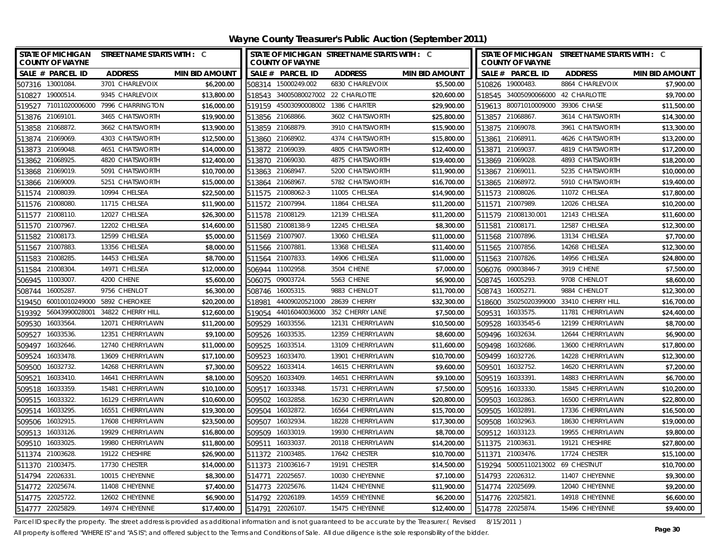| <b>STATE OF MICHIGAN</b><br><b>COUNTY OF WAYNE</b> | STREET NAME STARTS WITH : C  |                       |                  | <b>COUNTY OF WAYNE</b>             | STATE OF MICHIGAN STREET NAME STARTS WITH : C |                       |        | <b>COUNTY OF WAYNE</b>            | STATE OF MICHIGAN STREET NAME STARTS WITH : C |                       |
|----------------------------------------------------|------------------------------|-----------------------|------------------|------------------------------------|-----------------------------------------------|-----------------------|--------|-----------------------------------|-----------------------------------------------|-----------------------|
| SALE # PARCEL ID                                   | <b>ADDRESS</b>               | <b>MIN BID AMOUNT</b> |                  | SALE # PARCEL ID                   | <b>ADDRESS</b>                                | <b>MIN BID AMOUNT</b> |        | SALE # PARCEL ID                  | <b>ADDRESS</b>                                | <b>MIN BID AMOUNT</b> |
| 507316 13001084                                    | 3701 CHARLEVOIX              | \$6,200.00            |                  | 508314 15000249.002                | 6830 CHARLEVOIX                               | \$5,500.00            |        | 510826 19000483.                  | 8864 CHARLEVOIX                               | \$7,900.00            |
| 510827 19000514.                                   | 9345 CHARLEVOIX              | \$13,800.00           |                  | 518543 34005080027002 22 CHARLOTTE |                                               | \$20,600.00           |        | 518545 34005090066000             | 42 CHARLOTTE                                  | \$9,700.00            |
| 519527 71011020006000 7996 CHARRINGTON             |                              | \$16,000.00           |                  | 519159 45003090008002 1386 CHARTER |                                               | \$29,900.00           |        | 519613 80071010009000 39306 CHASE |                                               | \$11,500.00           |
| 513876 21069101.                                   | 3465 CHATSWORTH              | \$19,900.00           |                  | 513856 21068866.                   | 3602 CHATSWORTH                               | \$25,800.00           |        | 513857 21068867.                  | 3614 CHATSWORTH                               | \$14,300.00           |
| 513858 21068872.                                   | 3662 CHATSWORTH              | \$13,900.00           |                  | 513859 21068879.                   | 3910 CHATSWORTH                               | \$15,900.00           |        | 513875 21069078.                  | 3961 CHATSWORTH                               | \$13,300.00           |
| 513874 21069069.                                   | 4303 CHATSWORTH              | \$12,500.00           | 513860 21068902. |                                    | 4374 CHATSWORTH                               | \$15,800.00           |        | 513861 21068911                   | 4626 CHATSWORTH                               | \$13,200.00           |
| 513873 21069048.                                   | 4651 CHATSWORTH              | \$14,000.00           | 513872 21069039. |                                    | 4805 CHATSWORTH                               | \$12,400.00           |        | 513871 21069037.                  | 4819 CHATSWORTH                               | \$17,200.00           |
| 513862 21068925.                                   | 4820 CHATSWORTH              | \$12,400.00           |                  | 513870 21069030.                   | 4875 CHATSWORTH                               | \$19,400.00           |        | 513869 21069028.                  | 4893 CHATSWORTH                               | \$18,200.00           |
| 513868 21069019.                                   | 5091 CHATSWORTH              | \$10,700.00           |                  | 513863 21068947.                   | 5200 CHATSWORTH                               | \$11,900.00           |        | 513867 21069011.                  | 5235 CHATSWORTH                               | \$10,000.00           |
| 513866 21069009.                                   | 5251 CHATSWORTH              | \$15,000.00           |                  | 513864 21068967.                   | 5782 CHATSWORTH                               | \$16,700.00           |        | 513865 21068972.                  | 5910 CHATSWORTH                               | \$19,400.00           |
| 511574 21008039.                                   | 10994 CHELSEA                | \$22,500.00           |                  | 511575 21008062-3                  | 11005 CHELSEA                                 | \$14,900.00           |        | 511573 21008026.                  | 11072 CHELSEA                                 | \$17,800.00           |
| 511576 21008080                                    | 11715 CHELSEA                | \$11,900.00           |                  | 511572 21007994.                   | 11864 CHELSEA                                 | \$11,200.00           |        | 511571 21007989.                  | 12026 CHELSEA                                 | \$10,200.00           |
| 511577 21008110.                                   | 12027 CHELSEA                | \$26,300.00           |                  | 511578 21008129.                   | 12139 CHELSEA                                 | \$11,200.00           |        | 511579 21008130.001               | 12143 CHELSEA                                 | \$11,600.00           |
| 511570 21007967.                                   | 12202 CHELSEA                | \$14,600.00           |                  | 511580 21008138-9                  | 12245 CHELSEA                                 | \$8,300.00            | 511581 | 21008171.                         | 12587 CHELSEA                                 | \$12,300.00           |
| 511582 21008173.                                   | 12599 CHELSEA                | \$5,000.00            | 511569 21007907. |                                    | 13060 CHELSEA                                 | \$11,000.00           |        | 511568 21007896.                  | 13134 CHELSEA                                 | \$7,700.00            |
| 511567 21007883                                    | 13356 CHELSEA                | \$8,000.00            | 511566 21007881  |                                    | 13368 CHELSEA                                 | \$11,400.00           |        | 511565 21007856.                  | 14268 CHELSEA                                 | \$12,300.00           |
| 21008285<br>511583                                 | 14453 CHELSEA                | \$8,700.00            |                  | 511564 21007833.                   | 14906 CHELSEA                                 | \$11,000.00           |        | 511563 21007826.                  | 14956 CHELSEA                                 | \$24,800.00           |
| 511584 21008304                                    | 14971 CHELSEA                | \$12,000.00           | 506944 11002958. |                                    | 3504 CHENE                                    | \$7,000.00            |        | 506076 09003846-7                 | 3919 CHENE                                    | \$7,500.00            |
| 506945 11003007.                                   | 4200 CHENE                   | \$5,600.00            |                  | 506075 09003724.                   | 5563 CHENE                                    | \$6,900.00            |        | 508745 16005293.                  | 9708 CHENLOT                                  | \$8,600.00            |
| 16005287<br>508744                                 | 9756 CHENLOT                 | \$6,300.00            |                  | 508746 16005315.                   | 9883 CHENLOT                                  | \$11,700.00           |        | 508743 16005271.                  | 9884 CHENLOT                                  | \$12,300.00           |
| 519450                                             | 60010010249000 5892 CHEROKEE | \$20,200.00           | 518981           | 44009020521000                     | 28639 CHERRY                                  | \$32,300.00           |        | 518600 35025020399000             | 33410 CHERRY HILL                             | \$16,700.00           |
| 519392 56043990028001                              | 34822 CHERRY HILL            | \$12,600.00           | 519054           | 44016040036000                     | 352 CHERRY LANE                               | \$7,500.00            |        | 509531 16033575.                  | 11781 CHERRYLAWN                              | \$24,400.00           |
| 509530 16033564.                                   | 12071 CHERRYLAWN             | \$11,200.00           |                  | 509529 16033556.                   | 12131 CHERRYLAWN                              | \$10,500.00           |        | 509528 16033545-6                 | 12199 CHERRYLAWN                              | \$8,700.00            |
| 509527 16033536.                                   | 12351 CHERRYLAWN             | \$9,100.00            |                  | 509526 16033535.                   | 12359 CHERRYLAWN                              | \$8,600.00            |        | 509496 16032634.                  | 12644 CHERRYLAWN                              | \$6,900.00            |
| 509497<br>16032646.                                | 12740 CHERRYLAWN             | \$11,000.00           |                  | 509525 16033514.                   | 13109 CHERRYLAWN                              | \$11,600.00           |        | 509498 16032686.                  | 13600 CHERRYLAWN                              | \$17,800.00           |
| 509524 16033478.                                   | 13609 CHERRYLAWN             | \$17,100.00           |                  | 509523 16033470.                   | 13901 CHERRYLAWN                              | \$10,700.00           |        | 509499 16032726.                  | 14228 CHERRYLAWN                              | \$12,300.00           |
| 509500 16032732.                                   | 14268 CHERRYLAWN             | \$7,300.00            |                  | 509522 16033414.                   | 14615 CHERRYLAWN                              | \$9,600.00            |        | 509501 16032752.                  | 14620 CHERRYLAWN                              | \$7,200.00            |
| 509521 16033410.                                   | 14641 CHERRYLAWN             | \$8,100.00            |                  | 509520 16033409                    | 14651 CHERRYLAWN                              | \$9,100.00            |        | 509519 16033391                   | 14883 CHERRYLAWN                              | \$6,700.00            |
| 16033359.<br>509518                                | 15481 CHERRYLAWN             | \$10,100.00           |                  | 509517 16033348.                   | 15731 CHERRYLAWN                              | \$7,500.00            |        | 509516 16033330.                  | 15845 CHERRYLAWN                              | \$10,200.00           |
| 509515 16033322.                                   | 16129 CHERRYLAWN             | \$10,600.00           | 509502           | 16032858.                          | 16230 CHERRYLAWN                              | \$20,800.00           |        | 509503 16032863                   | 16500 CHERRYLAWN                              | \$22,800.00           |
| 509514 16033295.                                   | 16551 CHERRYLAWN             | \$19,300.00           |                  | 509504 16032872.                   | 16564 CHERRYLAWN                              | \$15,700.00           |        | 509505 16032891.                  | 17336 CHERRYLAWN                              | \$16,500.00           |
| 509506 16032915.                                   | 17608 CHERRYLAWN             | \$23,500.00           |                  | 509507 16032934.                   | 18228 CHERRYLAWN                              | \$17,300.00           |        | 509508 16032963.                  | 18630 CHERRYLAWN                              | \$19,000.00           |
| 509513 16033126.                                   | 19929 CHERRYLAWN             | \$16,800.00           | 509509           | 16033019.                          | 19930 CHERRYLAWN                              | \$8,700.00            |        | 509512 16033123.                  | 19955 CHERRYLAWN                              | \$9,800.00            |
| 509510 16033025.                                   | 19980 CHERRYLAWN             | \$11,800.00           | 509511 16033037. |                                    | 20118 CHERRYLAWN                              | \$14,200.00           |        | 511375 21003631.                  | 19121 CHESHIRE                                | \$27,800.00           |
| 511374 21003628.                                   | 19122 CHESHIRE               | \$26,900.00           | 511372 21003485  |                                    | 17642 CHESTER                                 | \$10,700.00           |        | 511371 21003476.                  | 17724 CHESTER                                 | \$15,100.00           |
| 21003475.<br>511370                                | 17730 CHESTER                | \$14,000.00           |                  | 511373 21003616-7                  | 19191 CHESTER                                 | \$14,500.00           |        | 519294 50005110213002 69 CHESTNUT |                                               | \$10,700.00           |
| 22026331<br>514794                                 | 10015 CHEYENNE               | \$8,300.00            | 514771           | 22025657                           | 10030 CHEYENNE                                | \$7,100.00            | 514793 | 22026312.                         | 11407 CHEYENNE                                | \$9,300.00            |
| 514772 22025674.                                   | 11408 CHEYENNE               | \$7,400.00            | 514773           | 22025676.                          | 11424 CHEYENNE                                | \$11,900.00           |        | 514774 22025699.                  | 12040 CHEYENNE                                | \$9,200.00            |
| 514775 22025722                                    | 12602 CHEYENNE               | \$6,900.00            | 514792           | 22026189                           | 14559 CHEYENNE                                | \$6,200.00            |        | 514776 22025821                   | 14918 CHEYENNE                                | \$6,600.00            |
| 514777 22025829.                                   | 14974 CHEYENNE               | \$17,400.00           | 514791           | 22026107.                          | 15475 CHEYENNE                                | \$12,400.00           |        | 514778 22025874.                  | 15496 CHEYENNE                                | \$9,400.00            |

Parcel ID specify the property. The street address is provided as additional information and is not guaranteed to be accurate by the Treasurer.( Revised 8/15/2011 )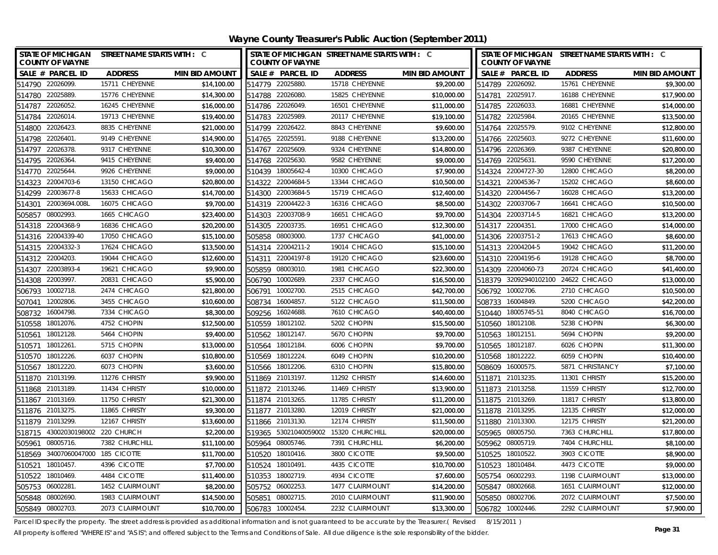**Wayne County Treasurer's Public Auction (September 2011)**

| STATE OF MICHIGAN STREET NAME STARTS WITH : C<br><b>COUNTY OF WAYNE</b> |                 |                       | <b>COUNTY OF WAYNE</b> | STATE OF MICHIGAN STREET NAME STARTS WITH : C |                       | STATE OF MICHIGAN STREET NAME STARTS WITH : C<br><b>COUNTY OF WAYNE</b> |                    |                                     |                       |
|-------------------------------------------------------------------------|-----------------|-----------------------|------------------------|-----------------------------------------------|-----------------------|-------------------------------------------------------------------------|--------------------|-------------------------------------|-----------------------|
| SALE # PARCEL ID                                                        | <b>ADDRESS</b>  | <b>MIN BID AMOUNT</b> | SALE # PARCEL ID       | <b>ADDRESS</b>                                | <b>MIN BID AMOUNT</b> |                                                                         | SALE # PARCEL ID   | <b>ADDRESS</b>                      | <b>MIN BID AMOUNT</b> |
| 514790 22026099                                                         | 15711 CHEYENNE  | \$14,100.00           | 514779 22025880.       | 15718 CHEYENNE                                | \$9,200.00            |                                                                         | 514789 22026092.   | 15761 CHEYENNE                      | \$9,300.00            |
| 514780 22025889.                                                        | 15776 CHEYENNE  | \$14,300.00           | 514788 22026080.       | 15825 CHEYENNE                                | \$10,000.00           | 514781                                                                  | 22025917.          | 16188 CHEYENNE                      | \$17,900.00           |
| 22026052<br>514787                                                      | 16245 CHEYENNE  | \$16,000.00           | 514786 22026049.       | 16501 CHEYENNE                                | \$11,000.00           |                                                                         | 514785 22026033.   | 16881 CHEYENNE                      | \$14,000.00           |
| 22026014<br>514784                                                      | 19713 CHEYENNE  | \$19,400.00           | 22025989.<br>514783    | 20117 CHEYENNE                                | \$19,100.00           | 514782                                                                  | 22025984.          | 20165 CHEYENNE                      | \$13,500.00           |
| 22026423<br>514800                                                      | 8835 CHEYENNE   | \$21,000.00           | 22026422.<br>514799    | 8843 CHEYENNE                                 | \$9,600.00            |                                                                         | 514764 22025579.   | 9102 CHEYENNE                       | \$12,800.00           |
| 22026401<br>514798                                                      | 9149 CHEYENNE   | \$14,900.00           | 22025591<br>514765     | 9188 CHEYENNE                                 | \$13,200.00           |                                                                         | 514766 22025603.   | 9272 CHEYENNE                       | \$11,600.00           |
| 514797 22026378.                                                        | 9317 CHEYENNE   | \$10,300.00           | 22025609.<br>514767    | 9324 CHEYENNE                                 | \$14,800.00           |                                                                         | 514796 22026369.   | 9387 CHEYENNE                       | \$20,800.00           |
| 22026364<br>514795                                                      | 9415 CHEYENNE   | \$9,400.00            | 22025630.<br>514768    | 9582 CHEYENNE                                 | \$9,000.00            |                                                                         | 514769 22025631    | 9590 CHEYENNE                       | \$17,200.00           |
| 22025644<br>514770                                                      | 9926 CHEYENNE   | \$9,000.00            | 18005642-4<br>510439   | 10300 CHICAGO                                 | \$7,900.00            | 514324                                                                  | 22004727-30        | 12800 CHICAGO                       | \$8,200.00            |
| 22004703-6<br>514323                                                    | 13150 CHICAGO   | \$20,800.00           | 22004684-5<br>514322   | 13344 CHICAGO                                 | \$10,500.00           | 514321                                                                  | 22004536-7         | 15202 CHICAGO                       | \$8,600.00            |
| 514299 22003677-8                                                       | 15633 CHICAGO   | \$14,700.00           | 514300 22003684-5      | 15719 CHICAGO                                 | \$12,400.00           |                                                                         | 514320 22004456-7  | 16028 CHICAGO                       | \$13,200.00           |
| 22003694.008L<br>514301                                                 | 16075 CHICAGO   | \$9,700.00            | 22004422-3<br>514319   | 16316 CHICAGO                                 | \$8,500.00            |                                                                         | 514302 22003706-7  | 16641 CHICAGO                       | \$10,500.00           |
| 08002993.<br>505857                                                     | 1665 CHICAGO    | \$23,400.00           | 22003708-9<br>514303   | 16651 CHICAGO                                 | \$9,700.00            | 514304                                                                  | 22003714-5         | 16821 CHICAGO                       | \$13,200.00           |
| 514318 22004368-9                                                       | 16836 CHICAGO   | \$20,200.00           | 22003735.<br>514305    | 16951 CHICAGO                                 | \$12,300.00           |                                                                         | 514317 22004351    | 17000 CHICAGO                       | \$14,000.00           |
| 514316 22004339-40                                                      | 17050 CHICAGO   | \$15,100.00           | 505858<br>08003000.    | 1737 CHICAGO                                  | \$41,000.00           |                                                                         | 514306 22003751-2  | 17613 CHICAGO                       | \$8,600.00            |
| 514315 22004332-3                                                       | 17624 CHICAGO   | \$13,500.00           | 22004211-2<br>514314   | 19014 CHICAGO                                 | \$15,100.00           |                                                                         | 514313 22004204-5  | 19042 CHICAGO                       | \$11,200.00           |
| 514312 22004203.                                                        | 19044 CHICAGO   | \$12,600.00           | 22004197-8<br>514311   | 19120 CHICAGO                                 | \$23,600.00           |                                                                         | 514310 22004195-6  | 19128 CHICAGO                       | \$8,700.00            |
| 514307 22003893-4                                                       | 19621 CHICAGO   | \$9,900.00            | 08003010.<br>505859    | 1981 CHICAGO                                  | \$22,300.00           |                                                                         | 514309 22004060-73 | 20724 CHICAGO                       | \$41,400.00           |
| 514308 22003997.                                                        | 20831 CHICAGO   | \$5,900.00            | 506790 10002689.       | 2337 CHICAGO                                  | \$16,500.00           |                                                                         |                    | 518379 32092940102100 24622 CHICAGO | \$13,000.00           |
| 506793 10002718                                                         | 2474 CHICAGO    | \$21,800.00           | 506791 10002700.       | 2515 CHICAGO                                  | \$42,700.00           |                                                                         | 506792 10002706.   | 2710 CHICAGO                        | \$10,500.00           |
| 12002806.<br>507041                                                     | 3455 CHICAGO    | \$10,600.00           | 508734<br>16004857.    | 5122 CHICAGO                                  | \$11,500.00           |                                                                         | 508733 16004849.   | 5200 CHICAGO                        | \$42,200.00           |
| 16004798.<br>508732                                                     | 7334 CHICAGO    | \$8,300.00            | 509256<br>16024688.    | 7610 CHICAGO                                  | \$40,400.00           |                                                                         | 510440 18005745-51 | 8040 CHICAGO                        | \$16,700.00           |
| 18012076.<br>510558                                                     | 4752 CHOPIN     | \$12,500.00           | 510559 18012102.       | 5202 CHOPIN                                   | \$15,500.00           |                                                                         | 510560 18012108.   | 5238 CHOPIN                         | \$6,300.00            |
| 18012128<br>510561                                                      | 5464 CHOPIN     | \$9,400.00            | 510562 18012147.       | 5670 CHOPIN                                   | \$9,700.00            |                                                                         | 510563 18012151    | 5694 CHOPIN                         | \$9,200.00            |
| 18012261.<br>510571                                                     | 5715 CHOPIN     | \$13,000.00           | 510564 18012184.       | 6006 CHOPIN                                   | \$9,700.00            | 510565                                                                  | 18012187.          | 6026 CHOPIN                         | \$11,300.00           |
| 510570 18012226.                                                        | 6037 CHOPIN     | \$10,800.00           | 510569 18012224        | 6049 CHOPIN                                   | \$10,200.00           |                                                                         | 510568 18012222.   | 6059 CHOPIN                         | \$10,400.00           |
| 510567 18012220.                                                        | 6073 CHOPIN     | \$3,600.00            | 510566 18012206.       | 6310 CHOPIN                                   | \$15,800.00           |                                                                         | 508609 16000575.   | 5871 CHRISTIANCY                    | \$7,100.00            |
| 511870 21013199.                                                        | 11276 CHRISTY   | \$9,900.00            | 511869 21013197.       | 11292 CHRISTY                                 | \$14,600.00           |                                                                         | 511871 21013235.   | 11301 CHRISTY                       | \$15,200.00           |
| 511868 21013189.                                                        | 11434 CHRISTY   | \$10,000,00           | 511872 21013246.       | 11469 CHRISTY                                 | \$13,900.00           |                                                                         | 511873 21013258.   | 11559 CHRISTY                       | \$12,700.00           |
| 511867 21013169.                                                        | 11750 CHRISTY   | \$21,300.00           | 511874 21013265.       | 11785 CHRISTY                                 | \$11,200.00           |                                                                         | 511875 21013269.   | 11817 CHRISTY                       | \$13,800.00           |
| 511876 21013275.                                                        | 11865 CHRISTY   | \$9,300.00            | 511877 21013280.       | 12019 CHRISTY                                 | \$21,000.00           |                                                                         | 511878 21013295.   | 12135 CHRISTY                       | \$12,000.00           |
| 511879 21013299                                                         | 12167 CHRISTY   | \$13,600.00           | 511866 21013130.       | 12174 CHRISTY                                 | \$11,500.00           |                                                                         | 511880 21013300.   | 12175 CHRISTY                       | \$21,200.00           |
| 518715 43002030198002 220 CHURCH                                        |                 | \$2,200.00            |                        | 519365 53021040059002 15320 CHURCHILL         | \$20,000.00           |                                                                         | 505965 08005750.   | 7363 CHURCHILL                      | \$17,800.00           |
| 505961 08005716.                                                        | 7382 CHURCHILL  | \$11,100.00           | 505964 08005746.       | 7391 CHURCHILL                                | \$6,200.00            |                                                                         | 505962 08005719.   | 7404 CHURCHILL                      | \$8,100.00            |
| 518569 34007060047000 185 CICOTTE                                       |                 | \$11,700.00           | 510520 18010416.       | 3800 CICOTTE                                  | \$9,500.00            |                                                                         | 510525 18010522.   | 3903 CICOTTE                        | \$8,900.00            |
| 18010457<br>510521                                                      | 4396 CICOTTE    | \$7,700.00            | 18010491.<br>510524    | 4435 CICOTTE                                  | \$10,700.00           | 510523                                                                  | 18010484.          | 4473 CICOTTE                        | \$9,000.00            |
| 18010469.<br>510522                                                     | 4484 CICOTTE    | \$11,400.00           | 510353<br>18002719.    | 4934 CICOTTE                                  | \$7,600.00            |                                                                         | 505754 06002293.   | 1198 CLAIRMOUNT                     | \$13,000.00           |
| 06002281<br>505753                                                      | 1452 CLAIRMOUNT | \$8,200.00            | 505752<br>06002253.    | 1477 CLAIRMOUNT                               | \$14,200.00           |                                                                         | 505847 08002668.   | 1651 CLAIRMOUNT                     | \$12,000.00           |
| 505848 08002690                                                         | 1983 CLAIRMOUNT | \$14,500.00           | 08002715.<br>505851    | 2010 CLAIRMOUNT                               | \$11,900.00           |                                                                         | 505850 08002706.   | 2072 CLAIRMOUNT                     | \$7,500.00            |
| 505849 08002703.                                                        | 2073 CLAIRMOUNT | \$10,700.00           | 506783 10002454        | 2232 CLAIRMOUNT                               | \$13.300.00           |                                                                         | 506782 10002446.   | 2292 CLAIRMOUNT                     | \$7,900.00            |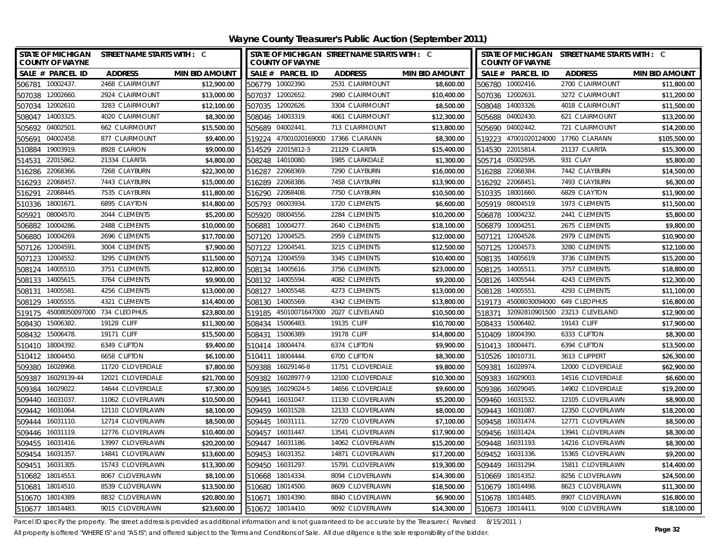| <b>STATE OF MICHIGAN</b><br><b>COUNTY OF WAYNE</b> | STREET NAME STARTS WITH : C |                       | <b>COUNTY OF WAYNE</b>   | STATE OF MICHIGAN STREET NAME STARTS WITH : C |                       | STATE OF MICHIGAN STREET NAME STARTS WITH : C<br><b>COUNTY OF WAYNE</b> |                             |                                     |                       |
|----------------------------------------------------|-----------------------------|-----------------------|--------------------------|-----------------------------------------------|-----------------------|-------------------------------------------------------------------------|-----------------------------|-------------------------------------|-----------------------|
| SALE # PARCEL ID                                   | <b>ADDRESS</b>              | <b>MIN BID AMOUNT</b> | SALE # PARCEL ID         | <b>ADDRESS</b>                                | <b>MIN BID AMOUNT</b> |                                                                         | SALE # PARCEL ID            | <b>ADDRESS</b>                      | <b>MIN BID AMOUNT</b> |
| 506781 10002437                                    | 2468 CLAIRMOUNT             | \$12,900.00           | 506779 10002390.         | 2531 CLAIRMOUNT                               | \$8,600.00            |                                                                         | 506780 10002416.            | 2700 CLAIRMOUNT                     | \$11,800.00           |
| 507038 12002660.                                   | 2924 CLAIRMOUNT             | \$13,000.00           | 507037 12002652.         | 2980 CLAIRMOUNT                               | \$10,400.00           | 507036 12002631                                                         |                             | 3272 CLAIRMOUNT                     | \$11,200.00           |
| 507034 12002610.                                   | 3283 CLAIRMOUNT             | \$12,100.00           | 507035 12002626.         | 3304 CLAIRMOUNT                               | \$8,500.00            |                                                                         | 508048 14003326.            | 4018 CLAIRMOUNT                     | \$11,500.00           |
| 508047 14003325.                                   | 4020 CLAIRMOUNT             | \$8,300.00            | 508046 14003319.         | 4061 CLAIRMOUNT                               | \$12,300.00           |                                                                         | 505688 04002430.            | 621 CLAIRMOUNT                      | \$13,200.00           |
| 505692 04002501                                    | 662 CLAIRMOUNT              | \$15,500.00           | 505689 04002441          | 713 CLAIRMOUNT                                | \$13,800.00           |                                                                         | 505690 04002442.            | 721 CLAIRMOUNT                      | \$14,200.00           |
| 505691<br>04002458.                                | 877 CLAIRMOUNT              | \$9,400.00            |                          | 519224 47001020169000 17366 CLARANN           | \$8,300.00            |                                                                         |                             | 519223 47001020124000 17760 CLARANN | \$105,500.00          |
| 510884<br>19003919.                                | 8928 CLARION                | \$9,000.00            | 514529 22015812-3        | 21129 CLARITA                                 | \$15,400.00           | 514530 22015814.                                                        |                             | 21137 CLARITA                       | \$15,300.00           |
| 22015862.<br>514531                                | 21334 CLARITA               | \$4,800.00            | 508248 14010080.         | 1985 CLARKDALE                                | \$1,300.00            |                                                                         | 505714 05002595.            | 931 CLAY                            | \$5,800.00            |
| 22068366.<br>516286                                | 7268 CLAYBURN               | \$22,300.00           | 22068369<br>516287       | 7290 CLAYBURN                                 | \$16,000.00           | 516288 22068384.                                                        |                             | 7442 CLAYBURN                       | \$14,500.00           |
| 22068457.<br>516293                                | 7443 CLAYBURN               | \$15,000.00           | 516289<br>22068386.      | 7458 CLAYBURN                                 | \$13,900.00           | 516292 22068451.                                                        |                             | 7493 CLAYBURN                       | \$6,300.00            |
| 22068445.<br>516291                                | 7535 CLAYBURN               | \$11,800.00           | 516290 22068408.         | 7750 CLAYBURN                                 | \$10,500.00           | 510335 18001660.                                                        |                             | 6829 CLAYTON                        | \$11,900.00           |
| 18001671.<br>510336                                | 6895 CLAYTON                | \$14,800.00           | 505793 06003934.         | 1720 CLEMENTS                                 | \$6,600.00            |                                                                         | 505919 08004519.            | 1973 CLEMENTS                       | \$11,500.00           |
| 08004570.<br>505921                                | 2044 CLEMENTS               | \$5,200.00            | 08004556.<br>505920      | 2284 CLEMENTS                                 | \$10,200.00           |                                                                         | 506878 10004232.            | 2441 CLEMENTS                       | \$5,800.00            |
| 10004286.<br>506882                                | 2488 CLEMENTS               | \$10,000.00           | 10004277.<br>506881      | 2640 CLEMENTS                                 | \$18,100.00           | 506879                                                                  | 10004251.                   | 2675 CLEMENTS                       | \$9,800.00            |
| 10004269.<br>506880                                | 2696 CLEMENTS               | \$17,700.00           | 507120<br>12004525       | 2959 CLEMENTS                                 | \$12,000.00           |                                                                         | 507121 12004528.            | 2979 CLEMENTS                       | \$10,900.00           |
| 507126 12004591                                    | 3004 CLEMENTS               | \$7,900.00            | 507122 12004541.         | 3215 CLEMENTS                                 | \$12,500.00           |                                                                         | 507125 12004573.            | 3280 CLEMENTS                       | \$12,100.00           |
| 12004552.<br>507123                                | 3295 CLEMENTS               | \$11,500.00           | 12004559.<br>507124      | 3345 CLEMENTS                                 | \$10,400.00           | 508135                                                                  | 14005619.                   | 3736 CLEMENTS                       | \$15,200.00           |
| 14005510.<br>508124                                | 3751 CLEMENTS               | \$12,800.00           | 14005616.<br>508134      | 3756 CLEMENTS                                 | \$23,000.00           | 508125                                                                  | 14005511.                   | 3757 CLEMENTS                       | \$18,800.00           |
| 14005615.<br>508133                                | 3764 CLEMENTS               | \$9,900.00            | 14005594.<br>508132      | 4082 CLEMENTS                                 | \$9,200.00            | 508126 14005544.                                                        |                             | 4243 CLEMENTS                       | \$12,300.00           |
| 14005581<br>508131                                 | 4256 CLEMENTS               | \$13,000.00           | 14005548<br>508127       | 4273 CLEMENTS                                 | \$13,000.00           | 508128                                                                  | 14005551                    | 4293 CLEMENTS                       | \$11,100.00           |
| 14005555.<br>508129                                | 4321 CLEMENTS               | \$14,400.00           | 14005569<br>508130       | 4342 CLEMENTS                                 | \$13,800.00           | 519173                                                                  | 45008030094000 649 CLEOPHUS |                                     | \$16,800.00           |
| 45008050097000 734 CLEOPHUS<br>519175              |                             | \$23,800.00           | 45010071647000<br>519185 | 2027 CLEVELAND                                | \$10,500.00           | 518371                                                                  | 32092810901500              | 23213 CLEVELAND                     | \$12,900.00           |
| 15006382.<br>508430                                | 19128 CLIFF                 | \$11,300.00           | 508434<br>15006483.      | 19135 CLIFF                                   | \$10,700.00           |                                                                         | 508433 15006482.            | 19143 CLIFF                         | \$17,900.00           |
| 15006478.<br>508432                                | 19171 CLIFF                 | \$15,500.00           | 508431<br>15006389.      | 19178 CLIFF                                   | \$14,800.00           | 510409 18004390.                                                        |                             | 6333 CLIFTON                        | \$8,300.00            |
| 510410<br>18004392.                                | 6349 CLIFTON                | \$9,400.00            | 510414<br>18004474.      | 6374 CLIFTON                                  | \$9,900.00            | 510413 18004471.                                                        |                             | 6394 CLIFTON                        | \$13,500.00           |
| 510412 18004450.                                   | 6658 CLIFTON                | \$6,100.00            | 510411 18004444.         | 6700 CLIFTON                                  | \$8,300.00            | 510526 18010731                                                         |                             | 3613 CLIPPERT                       | \$26,300.00           |
| 509380 16028968.                                   | 11720 CLOVERDALE            | \$7,800.00            | 509388 16029146-8        | 11751 CLOVERDALE                              | \$9,800.00            | 509381 16028974                                                         |                             | 12000 CLOVERDALE                    | \$62,900.00           |
| 509387 16029139-44                                 | 12021 CLOVERDALE            | \$21,700.00           | 509382 16028977-9        | 12100 CLOVERDALE                              | \$10,300.00           | 509383 16029003                                                         |                             | 14516 CLOVERDALE                    | \$6,600.00            |
| 509384<br>16029022.                                | 14644 CLOVERDALE            | \$7,300.00            | 509385<br>16029024-5     | 14656 CLOVERDALE                              | \$9,600.00            |                                                                         | 509386 16029045.            | 14902 CLOVERDALE                    | \$19,200.00           |
| 509440 16031037.                                   | 11062 CLOVERLAWN            | \$10,500.00           | 509441<br>16031047.      | 11130 CLOVERLAWN                              | \$5,200.00            |                                                                         | 509460 16031532.            | 12105 CLOVERLAWN                    | \$8,900.00            |
| 509442 16031064.                                   | 12110 CLOVERLAWN            | \$8,100.00            | 509459 16031528.         | 12133 CLOVERLAWN                              | \$8,000.00            | 509443 16031087                                                         |                             | 12350 CLOVERLAWN                    | \$18,200.00           |
| 509444 16031110.                                   | 12714 CLOVERLAWN            | \$8,500.00            | 509445 16031111.         | 12720 CLOVERLAWN                              | \$7,100.00            | 509458 16031474.                                                        |                             | 12771 CLOVERLAWN                    | \$8,500.00            |
| 16031119.<br>509446                                | 12776 CLOVERLAWN            | \$10,400.00           | 509457<br>16031447.      | 13541 CLOVERLAWN                              | \$17,900.00           | 509456 16031424                                                         |                             | 13941 CLOVERLAWN                    | \$8,300.00            |
| 509455 16031416.                                   | 13997 CLOVERLAWN            | \$20,200.00           | 509447<br>16031186.      | 14062 CLOVERLAWN                              | \$15,200.00           | 509448 16031193.                                                        |                             | 14216 CLOVERLAWN                    | \$8,300.00            |
| 509454 16031357.                                   | 14841 CLOVERLAWN            | \$13,600.00           | 509453 16031352.         | 14871 CLOVERLAWN                              | \$17,200.00           |                                                                         | 509452 16031336.            | 15365 CLOVERLAWN                    | \$9,200.00            |
| 509451<br>16031305                                 | 15743 CLOVERLAWN            | \$13,300.00           | 509450<br>16031297.      | 15791 CLOVERLAWN                              | \$19,300.00           | 509449 16031294                                                         |                             | 15811 CLOVERLAWN                    | \$14,400.00           |
| 18014553.<br>510682                                | 8067 CLOVERLAWN             | \$8,100.00            | 510668<br>18014334.      | 8094 CLOVERLAWN                               | \$14,300.00           |                                                                         | 510669 18014352.            | 8256 CLOVERLAWN                     | \$24,500.00           |
| 18014510.<br>510681                                | 8539 CLOVERLAWN             | \$13,500.00           | 18014500.<br>510680      | 8609 CLOVERLAWN                               | \$18,500.00           | 510679 18014498.                                                        |                             | 8623 CLOVERLAWN                     | \$11,300.00           |
| 510670 18014389.                                   | 8832 CLOVERLAWN             | \$20,800.00           | 18014390.<br>510671      | 8840 CLOVERLAWN                               | \$6,900.00            | 510678 18014485.                                                        |                             | 8907 CLOVERLAWN                     | \$16,800.00           |
| 510677 18014483.                                   | 9015 CLOVERLAWN             | \$23,600.00           | 510672 18014410.         | 9092 CLOVERLAWN                               | \$14,300.00           | 510673 18014411.                                                        |                             | 9100 CLOVERLAWN                     | \$18,100.00           |

Parcel ID specify the property. The street address is provided as additional information and is not guaranteed to be accurate by the Treasurer.( Revised 8/15/2011 )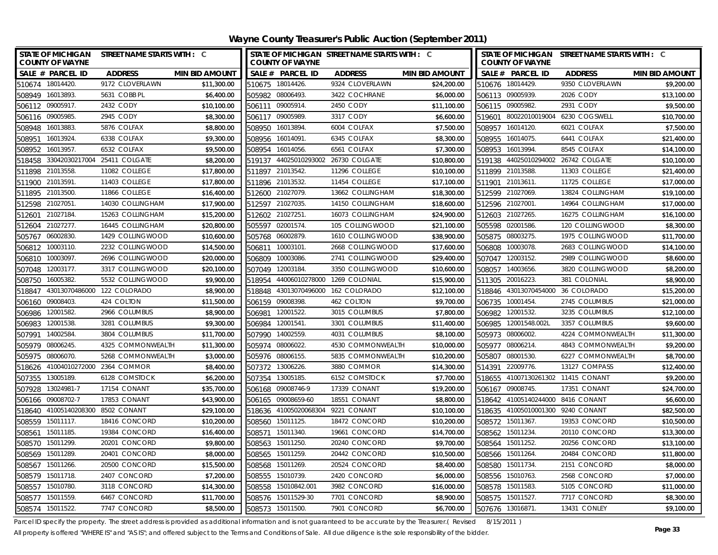**Wayne County Treasurer's Public Auction (September 2011)**

| STATE OF MICHIGAN STREET NAME STARTS WITH : C<br><b>COUNTY OF WAYNE</b> |                                           | STATE OF MICHIGAN STREET NAME STARTS WITH : C<br><b>COUNTY OF WAYNE</b> |                |                              |                       | STATE OF MICHIGAN STREET NAME STARTS WITH : C<br><b>COUNTY OF WAYNE</b> |                                    |                                     |                       |
|-------------------------------------------------------------------------|-------------------------------------------|-------------------------------------------------------------------------|----------------|------------------------------|-----------------------|-------------------------------------------------------------------------|------------------------------------|-------------------------------------|-----------------------|
| SALE # PARCEL ID<br><b>ADDRESS</b>                                      | <b>MIN BID AMOUNT</b>                     | SALE # PARCEL ID                                                        |                | <b>ADDRESS</b>               | <b>MIN BID AMOUNT</b> |                                                                         | SALE # PARCEL ID                   | <b>ADDRESS</b>                      | <b>MIN BID AMOUNT</b> |
| 510674 18014420<br>9172 CLOVERLAWN                                      | \$11,300.00                               | 510675 18014426.                                                        |                | 9324 CLOVERLAWN              | \$24,200.00           |                                                                         | 510676 18014429.                   | 9350 CLOVERLAWN                     | \$9,200.00            |
| 508949 16013893.<br>5631 COBB PL                                        | \$6,400.00                                | 505982 08006493.                                                        |                | 3422 COCHRANE                | \$6,000.00            |                                                                         | 506113 09005939.                   | 2026 CODY                           | \$13,100.00           |
| 506112 09005917.<br>2432 CODY                                           | \$10.100.00<br>506111                     | 09005914.                                                               |                | 2450 CODY                    | \$11,100.00           |                                                                         | 506115 09005982.                   | 2931 CODY                           | \$9,500.00            |
| 2945 CODY<br>506116 09005985                                            | \$8,300.00                                | 506117 09005989                                                         |                | 3317 CODY                    | \$6,600.00            |                                                                         | 519601 80022010019004              | 6230 COGSWELL                       | \$10,700.00           |
| 5876 COLFAX<br>508948<br>16013883                                       | \$8,800.00<br>508950                      | 16013894                                                                |                | 6004 COLFAX                  | \$7,500.00            |                                                                         | 508957 16014120.                   | 6021 COLFAX                         | \$7,500.00            |
| 16013924<br>6338 COLFAX<br>508951                                       | \$9,300.00<br>508956                      | 16014091                                                                |                | 6345 COLFAX                  | \$8,300.00            | 508955                                                                  | 16014075.                          | 6441 COLFAX                         | \$21,400.00           |
| 16013957.<br>6532 COLFAX<br>508952                                      | \$9,500.00<br>508954                      | 16014056.                                                               |                | 6561 COLFAX                  | \$7,300.00            |                                                                         | 508953 16013994.                   | 8545 COLFAX                         | \$14,100.00           |
| 33042030217004 25411 COLGATE<br>518458                                  | \$8,200.00<br>519137                      |                                                                         |                | 44025010293002 26730 COLGATE | \$10,800.00           |                                                                         |                                    | 519138 44025010294002 26742 COLGATE | \$10,100.00           |
| 21013558<br>11082 COLLEGE<br>511898                                     | \$17,800.00<br>511897                     | 21013542.                                                               |                | 11296 COLLEGE                | \$10,100.00           |                                                                         | 511899 21013588.                   | 11303 COLLEGE                       | \$21,400.00           |
| 21013591.<br>11403 COLLEGE<br>511900                                    | \$17.800.00                               | 511896 21013532.                                                        |                | 11454 COLLEGE                | \$17,100.00           | 511901                                                                  | 21013611.                          | 11725 COLLEGE                       | \$17,000.00           |
| 511895 21013500<br>11866 COLLEGE                                        | \$16,400.00                               | 512600 21027079.                                                        |                | 13662 COLLINGHAM             | \$18,300.00           |                                                                         | 512599 21027069.                   | 13824 COLLINGHAM                    | \$19,100.00           |
| 512598 21027051<br>14030 COLLINGHAM                                     | \$17,900.00<br>512597                     | 21027035.                                                               |                | 14150 COLLINGHAM             | \$18,600.00           |                                                                         | 512596 21027001                    | 14964 COLLINGHAM                    | \$17,000.00           |
| 21027184<br>15263 COLLINGHAM<br>512601                                  | \$15,200.00<br>512602                     | 21027251                                                                |                | 16073 COLLINGHAM             | \$24,900.00           |                                                                         | 512603 21027265.                   | 16275 COLLINGHAM                    | \$16,100.00           |
| 21027277.<br>512604                                                     | 16445 COLLINGHAM<br>\$20,800.00<br>505597 | 02001574.                                                               |                | 105 COLLINGWOOD              | \$21,100.00           |                                                                         | 505598 02001586.                   | 120 COLLINGWOOD                     | \$8,300.00            |
| 06002830.<br>505767                                                     | 1429 COLLINGWOOD<br>\$10,600.00<br>505768 | 06002879.                                                               |                | 1610 COLLINGWOOD             | \$38,900.00           |                                                                         | 505875 08003275.                   | 1975 COLLINGWOOD                    | \$11,700.00           |
| 10003110<br>506812                                                      | \$14,500.00<br>2232 COLLINGWOOD<br>506811 | 10003101                                                                |                | 2668 COLLINGWOOD             | \$17,600.00           | 506808                                                                  | 10003078.                          | 2683 COLLINGWOOD                    | \$14,100.00           |
| 10003097.<br>506810                                                     | 2696 COLLINGWOOD<br>\$20,000.00<br>506809 | 10003086.                                                               |                | 2741 COLLINGWOOD             | \$29,400.00           | 507047                                                                  | 12003152.                          | 2989 COLLINGWOOD                    | \$8,600.00            |
| 507048<br>12003177.                                                     | 3317 COLLINGWOOD<br>\$20,100.00<br>507049 | 12003184                                                                |                | 3350 COLLINGWOOD             | \$10,600.00           | 508057                                                                  | 14003656.                          | 3820 COLLINGWOOD                    | \$8,200.00            |
| 16005382.<br>508750                                                     | 5532 COLLINGWOOD<br>\$9,900.00<br>518954  |                                                                         | 44006010278000 | 1269 COLONIAL                | \$15,900.00           |                                                                         | 511305 20016223.                   | 381 COLONIAL                        | \$8,900.00            |
| 43013070486000<br>122 COLORADO<br>518847                                | \$8,900.00<br>518848                      |                                                                         | 43013070496000 | 162 COLORADO                 | \$12,100.00           |                                                                         | 518846 43013070454000              | 36 COLORADO                         | \$15,200.00           |
| 09008403.<br>424 COLTON<br>506160                                       | \$11,500.00<br>506159                     | 09008398.                                                               |                | 462 COLTON                   | \$9,700.00            | 506735                                                                  | 10001454.                          | 2745 COLUMBUS                       | \$21,000.00           |
| 12001582.<br>2966 COLUMBUS<br>506986                                    | \$8,900.00<br>506981                      | 12001522.                                                               |                | 3015 COLUMBUS                | \$7,800.00            |                                                                         | 506982 12001532.                   | 3235 COLUMBUS                       | \$12,100.00           |
| 12001538.<br>3281 COLUMBUS<br>506983                                    | \$9,300.00<br>506984                      | 12001541.                                                               |                | 3301 COLUMBUS                | \$11,400.00           |                                                                         | 506985 12001548.002L               | 3357 COLUMBUS                       | \$9,600.00            |
| 14002584<br>3804 COLUMBUS<br>507991                                     | \$11,700.00<br>507990                     | 14002559.                                                               |                | 4031 COLUMBUS                | \$8,100.00            |                                                                         | 505973 08006002.                   | 4224 COMMONWEALTH                   | \$11,300.00           |
| 505979 08006245.                                                        | 4325 COMMONWEALTH<br>\$11,300.00          | 505974 08006022.                                                        |                | 4530 COMMONWEALTH            | \$10,000.00           |                                                                         | 505977 08006214.                   | 4843 COMMONWEALTH                   | \$9,200.00            |
| 505975 08006070.                                                        | \$3,000.00<br>5268 COMMONWEALTH           | 505976 08006155.                                                        |                | 5835 COMMONWEALTH            | \$10,200.00           |                                                                         | 505807 08001530.                   | 6227 COMMONWEALTH                   | \$8,700.00            |
| 518626 41004010272000 2364 COMMOR                                       | \$8,400.00                                | 507372 13006226.                                                        |                | 3880 COMMOR                  | \$14,300.00           |                                                                         | 514391 22009776.                   | 13127 COMPASS                       | \$12,400.00           |
| 507355 13005189.<br>6128 COMSTOCK                                       | \$6,200.00                                | 507354 13005185                                                         |                | 6152 COMSTOCK                | \$7,700.00            |                                                                         | 518655 41007130261302 11415 CONANT |                                     | \$9,200.00            |
| 507928<br>13024981-7<br>17154 CONANT                                    | \$35,700.00                               | 506168 09008746-9                                                       |                | 17339 CONANT                 | \$19,200.00           |                                                                         | 506167 09008745.                   | 17351 CONANT                        | \$24,700.00           |
| 506166 09008702-7<br>17853 CONANT                                       | \$43,900.00                               | 506165 09008659-60                                                      |                | 18551 CONANT                 | \$8,800.00            |                                                                         | 518642 41005140244000 8416 CONANT  |                                     | \$6,600.00            |
| 518640 41005140208300 8502 CONANT                                       | \$29,100.00                               | 518636 41005020068304                                                   |                | 9221 CONANT                  | \$10,100.00           |                                                                         | 518635 41005010001300 9240 CONANT  |                                     | \$82,500.00           |
| 508559 15011117<br>18416 CONCORD                                        | \$10,200.00                               | 508560 15011125.                                                        |                | 18472 CONCORD                | \$10,200.00           |                                                                         | 508572 15011367.                   | 19353 CONCORD                       | \$10,500.00           |
| 508561<br>15011185<br>19384 CONCORD                                     | \$16,400.00<br>508571                     | 15011340.                                                               |                | 19661 CONCORD                | \$14,700.00           |                                                                         | 508562 15011234.                   | 20110 CONCORD                       | \$13,300.00           |
| 20201 CONCORD<br>508570 15011299                                        | \$9,800.00                                | 508563 15011250.                                                        |                | 20240 CONCORD                | \$9,700.00            |                                                                         | 508564 15011252.                   | 20256 CONCORD                       | \$13,100.00           |
| 15011289<br>20401 CONCORD<br>508569                                     | \$8,000.00                                | 508565 15011259                                                         |                | 20442 CONCORD                | \$10,500.00           |                                                                         | 508566 15011264                    | 20484 CONCORD                       | \$11,800.00           |
| 15011266<br>20500 CONCORD<br>508567                                     | \$15,500.00                               | 508568 15011269.                                                        |                | 20524 CONCORD                | \$8,400.00            |                                                                         | 508580 15011734                    | 2151 CONCORD                        | \$8,000.00            |
| 508579<br>15011718<br>2407 CONCORD                                      | \$7,200.00<br>508555                      | 15010739.                                                               |                | 2420 CONCORD                 | \$6,000.00            |                                                                         | 508556 15010763.                   | 2568 CONCORD                        | \$7,000.00            |
| 15010780<br>3118 CONCORD<br>508557                                      | \$14,300.00                               | 508558 15010842.001                                                     |                | 3982 CONCORD                 | \$16,000.00           |                                                                         | 508578 15011583.                   | 5105 CONCORD                        | \$11,000.00           |
| 15011559<br>6467 CONCORD<br>508577                                      | \$11,700.00                               | 508576 15011529-30                                                      |                | 7701 CONCORD                 | \$8,900.00            |                                                                         | 508575 15011527.                   | 7717 CONCORD                        | \$8,300.00            |
| 508574 15011522.<br>7747 CONCORD                                        | \$8,500.00                                | 508573 15011500.                                                        |                | 7901 CONCORD                 | \$6,700.00            |                                                                         | 507676 13016871.                   | 13431 CONLEY                        | \$9,100.00            |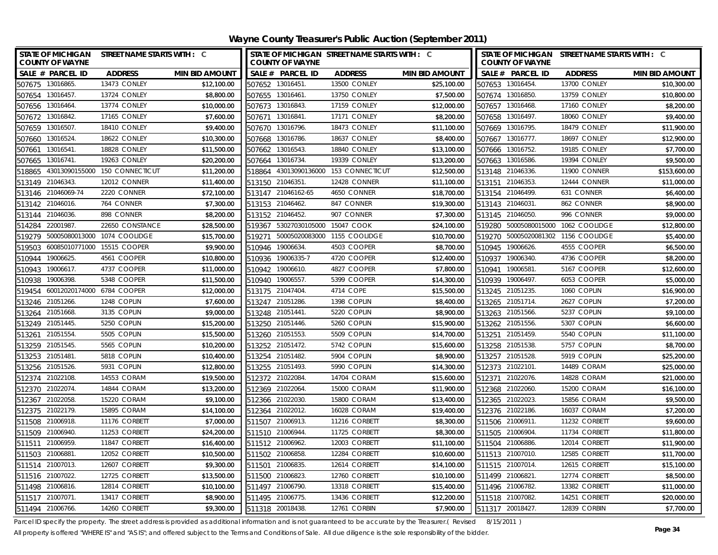**Wayne County Treasurer's Public Auction (September 2011)**

| <b>COUNTY OF WAYNE</b>   | STATE OF MICHIGAN STREET NAME STARTS WITH : C |                       | STATE OF MICHIGAN STREET NAME STARTS WITH : C<br><b>COUNTY OF WAYNE</b> |                    |                     |                       | STATE OF MICHIGAN STREET NAME STARTS WITH : C<br><b>COUNTY OF WAYNE</b> |                       |                     |                       |
|--------------------------|-----------------------------------------------|-----------------------|-------------------------------------------------------------------------|--------------------|---------------------|-----------------------|-------------------------------------------------------------------------|-----------------------|---------------------|-----------------------|
| SALE # PARCEL ID         | <b>ADDRESS</b>                                | <b>MIN BID AMOUNT</b> |                                                                         | SALE # PARCEL ID   | <b>ADDRESS</b>      | <b>MIN BID AMOUNT</b> |                                                                         | SALE # PARCEL ID      | <b>ADDRESS</b>      | <b>MIN BID AMOUNT</b> |
| 507675 13016865.         | 13473 CONLEY                                  | \$12,100.00           | 507652 13016451                                                         |                    | <b>13500 CONLEY</b> | \$25,100.00           |                                                                         | 507653 13016454.      | 13700 CONLEY        | \$10,300.00           |
| 507654 13016457.         | <b>13724 CONLEY</b>                           | \$8,800.00            |                                                                         | 507655 13016461.   | <b>13750 CONLEY</b> | \$7,500.00            |                                                                         | 507674 13016850.      | <b>13759 CONLEY</b> | \$10,800.00           |
| 507656 13016464          | 13774 CONLEY                                  | \$10,000.00           |                                                                         | 507673 13016843.   | <b>17159 CONLEY</b> | \$12,000.00           |                                                                         | 507657 13016468.      | <b>17160 CONLEY</b> | \$8,200.00            |
| 507672 13016842.         | 17165 CONLEY                                  | \$7,600.00            | 507671 13016841                                                         |                    | 17171 CONLEY        | \$8,200.00            |                                                                         | 507658 13016497.      | <b>18060 CONLEY</b> | \$9,400.00            |
| 13016507<br>507659       | 18410 CONLEY                                  | \$9,400.00            | 507670                                                                  | 13016796.          | 18473 CONLEY        | \$11,100.00           |                                                                         | 507669 13016795.      | 18479 CONLEY        | \$11,900.00           |
| 13016524<br>507660       | 18622 CONLEY                                  | \$10,300.00           | 507668                                                                  | 13016786.          | 18637 CONLEY        | \$8,400.00            | 507667                                                                  | 13016777.             | 18697 CONLEY        | \$12,900.00           |
| 13016541.<br>507661      | 18828 CONLEY                                  | \$11,500.00           | 507662                                                                  | 13016543.          | 18840 CONLEY        | \$13,100.00           |                                                                         | 507666 13016752.      | 19185 CONLEY        | \$7,700.00            |
| 13016741.<br>507665      | 19263 CONLEY                                  | \$20,200.00           |                                                                         | 507664 13016734.   | 19339 CONLEY        | \$13,200.00           |                                                                         | 507663 13016586.      | 19394 CONLEY        | \$9,500.00            |
| 43013090155000<br>518865 | 150 CONNECTICUT                               | \$11,200.00           | 518864                                                                  | 43013090136000     | 153 CONNECTICUT     | \$12,500.00           |                                                                         | 513148 21046336.      | 11900 CONNER        | \$153,600.00          |
| 21046343<br>513149       | <b>12012 CONNER</b>                           | \$11,400.00           | 513150                                                                  | 21046351           | 12428 CONNER        | \$11,100.00           |                                                                         | 513151 21046353.      | 12444 CONNER        | \$11,000.00           |
| 513146 21046069-74       | 2220 CONNER                                   | \$72,100.00           |                                                                         | 513147 21046162-65 | 4650 CONNER         | \$18,700.00           |                                                                         | 513154 21046499.      | 631 CONNER          | \$6,400.00            |
| 513142 21046016.         | 764 CONNER                                    | \$7,300.00            | 513153 21046462.                                                        |                    | 847 CONNER          | \$19,300.00           |                                                                         | 513143 21046031.      | 862 CONNER          | \$8,900.00            |
| 21046036.<br>513144      | 898 CONNER                                    | \$8,200.00            | 513152                                                                  | 21046452.          | 907 CONNER          | \$7,300.00            | 513145                                                                  | 21046050.             | 996 CONNER          | \$9,000.00            |
| 22001987<br>514284       | 22650 CONSTANCE                               | \$28,500.00           | 519367                                                                  | 53027030105000     | 15047 COOK          | \$24,100.00           | 519280                                                                  | 50005080015000        | 1062 COOLIDGE       | \$12,800.00           |
| 50005080013000<br>519279 | 1074 COOLIDGE                                 | \$15,700.00           | 519271                                                                  | 50005020083000     | 1155 COOLIDGE       | \$10,700.00           |                                                                         | 519270 50005020081302 | 1156 COOLIDGE       | \$5,400.00            |
| 60085010771000<br>519503 | 15515 COOPER                                  | \$9,900.00            | 510946                                                                  | 19006634           | 4503 COOPER         | \$8,700.00            | 510945                                                                  | 19006626.             | 4555 COOPER         | \$6,500.00            |
| 19006625<br>510944       | 4561 COOPER                                   | \$10,800.00           | 510936                                                                  | 19006335-7         | 4720 COOPER         | \$12,400.00           | 510937                                                                  | 19006340.             | 4736 COOPER         | \$8,200.00            |
| 19006617.<br>510943      | 4737 COOPER                                   | \$11,000.00           | 510942                                                                  | 19006610.          | 4827 COOPER         | \$7,800.00            | 510941                                                                  | 19006581              | 5167 COOPER         | \$12,600.00           |
| 19006398.<br>510938      | 5348 COOPER                                   | \$11,500.00           | 510940                                                                  | 19006557           | 5399 COOPER         | \$14,300.00           |                                                                         | 510939 19006497.      | 6053 COOPER         | \$5,000.00            |
| 519454                   | 60012020174000 6784 COOPER                    | \$12,000.00           | 513175 21047404                                                         |                    | 4714 COPE           | \$15,500.00           |                                                                         | 513245 21051235.      | 1060 COPLIN         | \$16,900.00           |
| 21051266.<br>513246      | 1248 COPLIN                                   | \$7,600.00            |                                                                         | 513247 21051286.   | 1398 COPLIN         | \$8,400.00            |                                                                         | 513265 21051714.      | 2627 COPLIN         | \$7,200.00            |
| 21051668<br>513264       | 3135 COPLIN                                   | \$9,000.00            | 513248 21051441                                                         |                    | 5220 COPLIN         | \$8,900.00            |                                                                         | 513263 21051566.      | 5237 COPLIN         | \$9,100.00            |
| 513249 21051445.         | 5250 COPLIN                                   | \$15,200.00           |                                                                         | 513250 21051446.   | 5260 COPLIN         | \$15,900.00           |                                                                         | 513262 21051556.      | 5307 COPLIN         | \$6,600.00            |
| 21051554<br>513261       | 5505 COPLIN                                   | \$15,500.00           | 513260 21051553                                                         |                    | 5509 COPLIN         | \$14,700.00           |                                                                         | 513251 21051459.      | 5540 COPLIN         | \$11,100.00           |
| 513259 21051545          | 5565 COPLIN                                   | \$10,200.00           |                                                                         | 513252 21051472.   | 5742 COPLIN         | \$15,600.00           |                                                                         | 513258 21051538.      | 5757 COPLIN         | \$8,700.00            |
| 513253 21051481          | 5818 COPLIN                                   | \$10,400.00           | 513254 21051482.                                                        |                    | 5904 COPLIN         | \$8,900.00            |                                                                         | 513257 21051528.      | 5919 COPLIN         | \$25,200.00           |
| 513256 21051526.         | 5931 COPLIN                                   | \$12,800.00           | 513255 21051493                                                         |                    | 5990 COPLIN         | \$14,300.00           | 512373 21022101                                                         |                       | 14489 CORAM         | \$25,000.00           |
| 512374 21022108.         | 14553 CORAM                                   | \$19,500.00           | 512372 21022084                                                         |                    | 14704 CORAM         | \$15,600.00           |                                                                         | 512371 21022076.      | 14828 CORAM         | \$21,000.00           |
| 512370 21022074.         | 14844 CORAM                                   | \$13,200.00           | 512369 21022064                                                         |                    | 15000 CORAM         | \$11,900.00           |                                                                         | 512368 21022060.      | 15200 CORAM         | \$16,100.00           |
| 512367 21022058.         | 15220 CORAM                                   | \$9,100.00            | 512366 21022030.                                                        |                    | 15800 CORAM         | \$13,400.00           |                                                                         | 512365 21022023.      | 15856 CORAM         | \$9,500.00            |
| 512375 21022179.         | 15895 CORAM                                   | \$14,100.00           |                                                                         | 512364 21022012.   | 16028 CORAM         | \$19,400.00           |                                                                         | 512376 21022186.      | 16037 CORAM         | \$7,200.00            |
| 511508 21006918.         | 11176 CORBETT                                 | \$7,000.00            |                                                                         | 511507 21006913    | 11216 CORBETT       | \$8,300.00            |                                                                         | 511506 21006911.      | 11232 CORBETT       | \$9,600.00            |
| 511509 21006940          | 11253 CORBETT                                 | \$24,200.00           |                                                                         | 511510 21006944.   | 11725 CORBETT       | \$8,300.00            |                                                                         | 511505 21006904.      | 11734 CORBETT       | \$11,800.00           |
| 511511 21006959.         | 11847 CORBETT                                 | \$16,400.00           | 511512 21006962.                                                        |                    | 12003 CORBETT       | \$11,100.00           |                                                                         | 511504 21006886.      | 12014 CORBETT       | \$11,900.00           |
| 511503 21006881          | 12052 CORBETT                                 | \$10,500.00           | 511502 21006858                                                         |                    | 12284 CORBETT       | \$10,600.00           |                                                                         | 511513 21007010.      | 12585 CORBETT       | \$11,700.00           |
| 511514 21007013.         | 12607 CORBETT                                 | \$9,300.00            | 511501                                                                  | 21006835           | 12614 CORBETT       | \$14,100.00           |                                                                         | 511515 21007014.      | 12615 CORBETT       | \$15,100.00           |
| 511516 21007022.         | 12725 CORBETT                                 | \$13,500.00           | 511500                                                                  | 21006823           | 12760 CORBETT       | \$10,100.00           |                                                                         | 511499 21006821.      | 12774 CORBETT       | \$8,500.00            |
| 511498 21006816.         | 12814 CORBETT                                 | \$10,100.00           |                                                                         | 511497 21006790.   | 13318 CORBETT       | \$15,400.00           |                                                                         | 511496 21006782.      | 13382 CORBETT       | \$11,000.00           |
| 511517 21007071          | 13417 CORBETT                                 | \$8,900.00            | 511495 21006775                                                         |                    | 13436 CORBETT       | \$12,200.00           |                                                                         | 511518 21007082.      | 14251 CORBETT       | \$20,000.00           |
| 511494 21006766.         | 14260 CORBETT                                 | \$9,300.00            | 511318 20018438.                                                        |                    | 12761 CORBIN        | \$7,900.00            |                                                                         | 511317 20018427.      | 12839 CORBIN        | \$7,700.00            |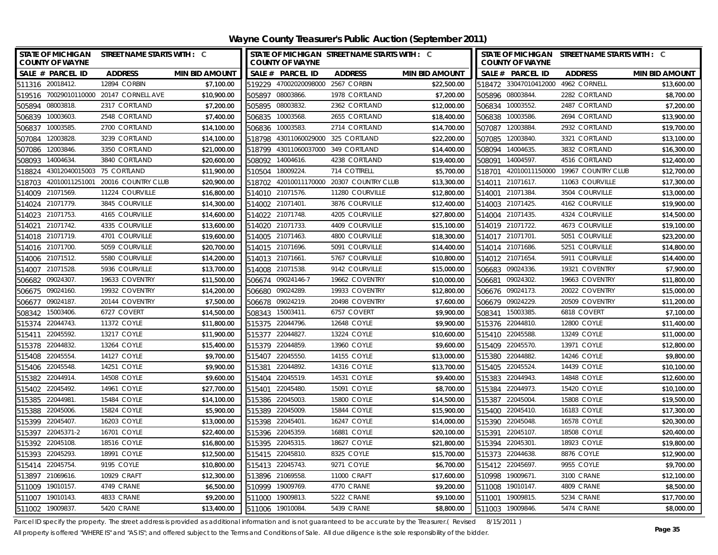| <b>STATE OF MICHIGAN</b><br><b>COUNTY OF WAYNE</b> | STREET NAME STARTS WITH : C       |                       |                  | <b>COUNTY OF WAYNE</b>             | STATE OF MICHIGAN STREET NAME STARTS WITH : C |                       |        | <b>COUNTY OF WAYNE</b> | STATE OF MICHIGAN STREET NAME STARTS WITH : C |                       |
|----------------------------------------------------|-----------------------------------|-----------------------|------------------|------------------------------------|-----------------------------------------------|-----------------------|--------|------------------------|-----------------------------------------------|-----------------------|
| SALE # PARCEL ID                                   | <b>ADDRESS</b>                    | <b>MIN BID AMOUNT</b> |                  | SALE # PARCEL ID                   | <b>ADDRESS</b>                                | <b>MIN BID AMOUNT</b> |        | SALE # PARCEL ID       | <b>ADDRESS</b>                                | <b>MIN BID AMOUNT</b> |
| 511316 20018412.                                   | 12894 CORBIN                      | \$7,100.00            |                  | 519229 47002020098000 2567 CORBIN  |                                               | \$22,500.00           |        | 518472 33047010412000  | 4962 CORNELL                                  | \$13,600.00           |
| 519516 70029010110000 20147 CORNELL AVE            |                                   | \$10,900.00           |                  | 505897 08003866.                   | 1978 CORTLAND                                 | \$7,200.00            |        | 505896 08003844.       | 2282 CORTLAND                                 | \$8,700.00            |
| 505894 08003818.                                   | 2317 CORTLAND                     | \$7,200.00            | 505895 08003832. |                                    | 2362 CORTLAND                                 | \$12,000.00           |        | 506834 10003552.       | 2487 CORTLAND                                 | \$7,200.00            |
| 506839 10003603.                                   | 2548 CORTLAND                     | \$7,400.00            | 506835 10003568. |                                    | 2655 CORTLAND                                 | \$18,400.00           |        | 506838 10003586.       | 2694 CORTLAND                                 | \$13,900.00           |
| 506837 10003585.                                   | 2700 CORTLAND                     | \$14,100.00           | 506836 10003583  |                                    | 2714 CORTLAND                                 | \$14,700.00           |        | 507087 12003884        | 2932 CORTLAND                                 | \$19,700.00           |
| 12003828.<br>507084                                | 3239 CORTLAND                     | \$14,100.00           | 518798           | 43011060029000 325 CORTLAND        |                                               | \$22,200.00           | 507085 | 12003840.              | 3321 CORTLAND                                 | \$13,100.00           |
| 507086 12003846.                                   | 3350 CORTLAND                     | \$21,000.00           |                  | 518799 43011060037000 349 CORTLAND |                                               | \$14,400.00           |        | 508094 14004635.       | 3832 CORTLAND                                 | \$16,300.00           |
| 14004634.<br>508093                                | 3840 CORTLAND                     | \$20,600.00           |                  | 508092 14004616.                   | 4238 CORTLAND                                 | \$19,400.00           | 508091 | 14004597.              | 4516 CORTLAND                                 | \$12,400.00           |
| 43012040015003 75 CORTLAND<br>518824               |                                   | \$11,900.00           | 510504           | 18009224.                          | 714 COTTRELL                                  | \$5,700.00            | 518701 |                        | 42010011150000 19967 COUNTRY CLUB             | \$12,700.00           |
| 518703                                             | 42010011251001 20016 COUNTRY CLUB | \$20,900.00           |                  |                                    | 518702 42010011170000 20307 COUNTRY CLUB      | \$13,300.00           | 514011 | 21071617.              | 11063 COURVILLE                               | \$17,300.00           |
| 514009 21071569.                                   | 11224 COURVILLE                   | \$16,800.00           | 514010 21071576. |                                    | 11280 COURVILLE                               | \$12,800.00           | 514001 | 21071384.              | 3504 COURVILLE                                | \$13,000.00           |
| 514024 21071779.                                   | 3845 COURVILLE                    | \$14,300.00           | 514002 21071401. |                                    | 3876 COURVILLE                                | \$12,400.00           |        | 514003 21071425.       | 4162 COURVILLE                                | \$19,900.00           |
| 21071753.<br>514023                                | 4165 COURVILLE                    | \$14,600.00           | 514022 21071748. |                                    | 4205 COURVILLE                                | \$27,800.00           |        | 514004 21071435        | 4324 COURVILLE                                | \$14,500.00           |
| 21071742.<br>514021                                | 4335 COURVILLE                    | \$13,600.00           | 514020 21071733. |                                    | 4409 COURVILLE                                | \$15,100.00           |        | 514019 21071722.       | 4673 COURVILLE                                | \$19,100.00           |
| 21071719.<br>514018                                | 4701 COURVILLE                    | \$19,600.00           | 514005 21071463. |                                    | 4800 COURVILLE                                | \$18,300.00           |        | 514017 21071701        | 5051 COURVILLE                                | \$23,200.00           |
| 514016 21071700.                                   | 5059 COURVILLE                    | \$20,700.00           | 514015 21071696. |                                    | 5091 COURVILLE                                | \$14,400.00           |        | 514014 21071686.       | 5251 COURVILLE                                | \$14,800.00           |
| 21071512.<br>514006                                | 5580 COURVILLE                    | \$14,200.00           | 514013 21071661  |                                    | 5767 COURVILLE                                | \$10,800.00           |        | 514012 21071654        | 5911 COURVILLE                                | \$14,400.00           |
| 21071528.<br>514007                                | 5936 COURVILLE                    | \$13,700.00           | 514008 21071538. |                                    | 9142 COURVILLE                                | \$15,000.00           |        | 506683 09024336.       | 19321 COVENTRY                                | \$7,900.00            |
| 09024307.<br>506682                                | 19633 COVENTRY                    | \$11,500.00           |                  | 506674 09024146-7                  | 19662 COVENTRY                                | \$10,000.00           | 506681 | 09024302.              | 19663 COVENTRY                                | \$11,800.00           |
| 506675 09024160.                                   | 19932 COVENTRY                    | \$14,200.00           | 506680 09024289  |                                    | 19933 COVENTRY                                | \$12,800.00           |        | 506676 09024173.       | 20022 COVENTRY                                | \$15,000.00           |
| 09024187.<br>506677                                | 20144 COVENTRY                    | \$7,500.00            | 506678           | 09024219.                          | 20498 COVENTRY                                | \$7,600.00            | 506679 | 09024229.              | 20509 COVENTRY                                | \$11,200.00           |
| 15003406.<br>508342                                | 6727 COVERT                       | \$14,500.00           | 508343           | 15003411                           | 6757 COVERT                                   | \$9,900.00            | 508341 | 15003385               | 6818 COVERT                                   | \$7,100.00            |
| 515374 22044743.                                   | 11372 COYLE                       | \$11,800.00           | 515375 22044796. |                                    | 12648 COYLE                                   | \$9,900.00            |        | 515376 22044810.       | 12800 COYLE                                   | \$11,400.00           |
| 22045592.<br>515411                                | 13217 COYLE                       | \$11,900.00           | 515377 22044827  |                                    | 13224 COYLE                                   | \$10,600.00           |        | 515410 22045588        | 13249 COYLE                                   | \$11,000.00           |
| 22044832.<br>515378                                | 13264 COYLE                       | \$15,400.00           | 515379 22044859. |                                    | 13960 COYLE                                   | \$9,600.00            |        | 515409 22045570.       | 13971 COYLE                                   | \$12,800.00           |
| 515408 22045554.                                   | 14127 COYLE                       | \$9,700.00            | 515407 22045550. |                                    | 14155 COYLE                                   | \$13,000.00           |        | 515380 22044882        | 14246 COYLE                                   | \$9,800.00            |
| 515406 22045548.                                   | 14251 COYLE                       | \$9,900.00            | 515381 22044892. |                                    | 14316 COYLE                                   | \$13,700.00           |        | 515405 22045524.       | 14439 COYLE                                   | \$10,100.00           |
| 515382 22044914.                                   | 14508 COYLE                       | \$9,600.00            | 515404 22045519. |                                    | 14531 COYLE                                   | \$9,400.00            |        | 515383 22044943        | 14848 COYLE                                   | \$12,600.00           |
| 515402 22045492.                                   | 14961 COYLE                       | \$27,700.00           | 515401           | 22045480.                          | 15091 COYLE                                   | \$8,700.00            |        | 515384 22044973.       | 15420 COYLE                                   | \$10,100.00           |
| 515385 22044981                                    | 15484 COYLE                       | \$14,100.00           | 515386 22045003  |                                    | 15800 COYLE                                   | \$14,500.00           |        | 515387 22045004        | 15808 COYLE                                   | \$19,500.00           |
| 515388 22045006.                                   | 15824 COYLE                       | \$5,900.00            | 515389 22045009. |                                    | 15844 COYLE                                   | \$15,900.00           |        | 515400 22045410.       | 16183 COYLE                                   | \$17,300.00           |
| 515399 22045407                                    | 16203 COYLE                       | \$13,000.00           | 515398 22045401  |                                    | 16247 COYLE                                   | \$14,000.00           |        | 515390 22045048        | 16578 COYLE                                   | \$20,300.00           |
| 515397<br>22045371-2                               | 16701 COYLE                       | \$22,400.00           | 515396 22045359. |                                    | 16881 COYLE                                   | \$20,100.00           | 515391 | 22045107.              | 18508 COYLE                                   | \$20,400.00           |
| 515392 22045108.                                   | 18516 COYLE                       | \$16,800.00           | 515395 22045315. |                                    | 18627 COYLE                                   | \$21,800.00           |        | 515394 22045301        | 18923 COYLE                                   | \$19,800.00           |
| 515393 22045293.                                   | 18991 COYLE                       | \$12,500.00           |                  | 515415 22045810.                   | 8325 COYLE                                    | \$15,700.00           |        | 515373 22044638        | 8876 COYLE                                    | \$12,900.00           |
| 22045754.<br>515414                                | 9195 COYLE                        | \$10,800.00           | 515413 22045743  |                                    | 9271 COYLE                                    | \$6,700.00            |        | 515412 22045697.       | 9955 COYLE                                    | \$9,700.00            |
| 21069616.<br>513897                                | 10929 CRAFT                       | \$12,300.00           | 513896 21069558. |                                    | 11000 CRAFT                                   | \$17,600.00           | 510998 | 19009671.              | 3100 CRANE                                    | \$12,100.00           |
| 511009<br>19010157.                                | 4749 CRANE                        | \$6,500.00            | 510999           | 19009769.                          | 4770 CRANE                                    | \$9,200.00            |        | 511008 19010147.       | 4809 CRANE                                    | \$8,500.00            |
| 511007 19010143.                                   | 4833 CRANE                        | \$9,200.00            | 511000           | 19009813                           | 5222 CRANE                                    | \$9,100.00            | 511001 | 19009815.              | 5234 CRANE                                    | \$17,700.00           |
| 511002 19009837.                                   | <b>5420 CRANE</b>                 | \$13,400.00           | 511006 19010084. |                                    | <b>5439 CRANE</b>                             | \$8,800.00            |        | 511003 19009846.       | <b>5474 CRANE</b>                             | \$8,000.00            |

Parcel ID specify the property. The street address is provided as additional information and is not guaranteed to be accurate by the Treasurer.( Revised 8/15/2011 )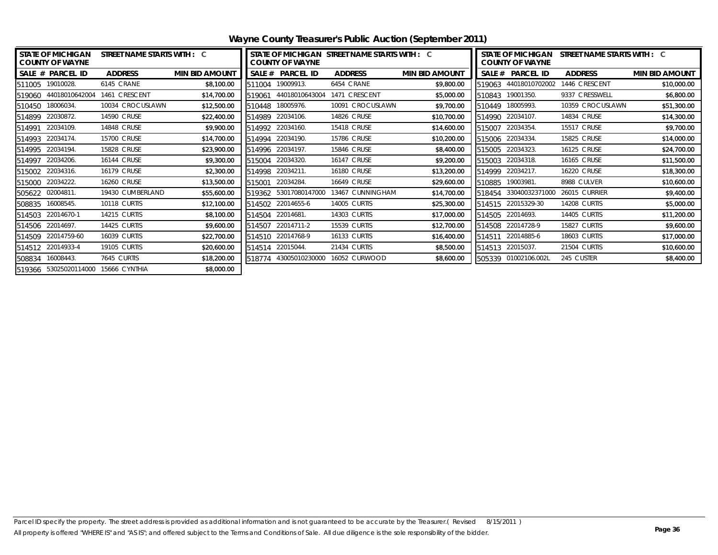| <b>STATE OF MICHIGAN</b><br>STREET NAME STARTS WITH : C<br><b>COUNTY OF WAYNE</b> |                                     |                     |                       | STATE OF MICHIGAN STREET NAME STARTS WITH : C<br><b>COUNTY OF WAYNE</b> |                       |                     |                       | STATE OF MICHIGAN<br>STREET NAME STARTS WITH : C<br><b>COUNTY OF WAYNE</b> |                      |                     |                       |
|-----------------------------------------------------------------------------------|-------------------------------------|---------------------|-----------------------|-------------------------------------------------------------------------|-----------------------|---------------------|-----------------------|----------------------------------------------------------------------------|----------------------|---------------------|-----------------------|
|                                                                                   | SALE # PARCEL ID                    | <b>ADDRESS</b>      | <b>MIN BID AMOUNT</b> | SALE #                                                                  | <b>PARCEL ID</b>      | <b>ADDRESS</b>      | <b>MIN BID AMOUNT</b> | <b>SALE #</b>                                                              | <b>PARCEL ID</b>     | <b>ADDRESS</b>      | <b>MIN BID AMOUNT</b> |
|                                                                                   | 511005 19010028.                    | 6145 CRANE          | \$8,100.00            | 511004                                                                  | 19009913.             | 6454 CRANE          | \$9,800.00            | 519063                                                                     | 44018010702002       | 1446 CRESCENT       | \$10,000.00           |
| 519060                                                                            | 44018010642004                      | 1461 CRESCENT       | \$14,700.00           | 519061                                                                  | 44018010643004        | 1471 CRESCENT       | \$5,000.00            | 510843                                                                     | 19001350.            | 9337 CRESSWELL      | \$6,800.00            |
| 510450                                                                            | 18006034.                           | 10034 CROCUSLAWN    | \$12,500.00           | 510448                                                                  | 18005976.             | 10091 CROCUSLAWN    | \$9,700.00            | 510449                                                                     | 18005993.            | 10359 CROCUSLAWN    | \$51,300.00           |
| 514899                                                                            | 22030872.                           | 14590 CRUSE         | \$22,400.00           | 514989                                                                  | 22034106.             | 14826 CRUSE         | \$10,700.00           | 514990                                                                     | 22034107.            | 14834 CRUSE         | \$14,300.00           |
| 514991                                                                            | 22034109.                           | 14848 CRUSE         | \$9,900.00            | 514992                                                                  | 22034160.             | <b>15418 CRUSE</b>  | \$14,600.00           | 515007                                                                     | 22034354.            | 15517 CRUSE         | \$9,700.00            |
| 514993                                                                            | 22034174.                           | 15700 CRUSE         | \$14,700.00           | 514994                                                                  | 22034190.             | 15786 CRUSE         | \$10,200.00           | 515006                                                                     | 22034334.            | 15825 CRUSE         | \$14,000.00           |
| 514995                                                                            | 22034194.                           | <b>15828 CRUSE</b>  | \$23,900.00           | 514996                                                                  | 22034197.             | <b>15846 CRUSE</b>  | \$8,400.00            | 515005                                                                     | 22034323.            | 16125 CRUSE         | \$24,700.00           |
| 514997                                                                            | 22034206                            | <b>16144 CRUSE</b>  | \$9,300.00            | 515004                                                                  | 22034320.             | <b>16147 CRUSE</b>  | \$9,200.00            |                                                                            | 515003 22034318.     | 16165 CRUSE         | \$11,500.00           |
|                                                                                   | 515002 22034316.                    | <b>16179 CRUSE</b>  | \$2,300.00            | 514998                                                                  | 22034211.             | <b>16180 CRUSE</b>  | \$13,200.00           |                                                                            | 514999 22034217.     | <b>16220 CRUSE</b>  | \$18,300.00           |
| 515000                                                                            | 22034222.                           | <b>16260 CRUSE</b>  | \$13,500.00           | 515001                                                                  | 22034284              | <b>16649 CRUSE</b>  | \$29,600.00           | 510885                                                                     | 19003981.            | 8988 CULVER         | \$10,600.00           |
|                                                                                   | 505622 02004811.                    | 19430 CUMBERLAND    | \$55,600.00           | 519362                                                                  | 53017080147000        | 13467 CUNNINGHAM    | \$14,700.00           | 518454                                                                     | 33040032371000       | 26015 CURRIER       | \$9,400.00            |
|                                                                                   | 508835 16008545.                    | 10118 CURTIS        | \$12,100.00           | 514502                                                                  | 22014655-6            | 14005 CURTIS        | \$25,300.00           | 514515                                                                     | 22015329-30          | 14208 CURTIS        | \$5,000.00            |
| 514503                                                                            | 22014670-1                          | 14215 CURTIS        | \$8,100.00            | 514504                                                                  | 22014681              | <b>14303 CURTIS</b> | \$17,000.00           |                                                                            | 514505 22014693.     | 14405 CURTIS        | \$11,200.00           |
|                                                                                   | 514506 22014697.                    | 14425 CURTIS        | \$9,600.00            | 514507                                                                  | 22014711-2            | 15539 CURTIS        | \$12,700.00           |                                                                            | 514508 22014728-9    | 15827 CURTIS        | \$9,600.00            |
| 514509                                                                            | 22014759-60                         | <b>16039 CURTIS</b> | \$22,700.00           | 514510                                                                  | 22014768-9            | <b>16133 CURTIS</b> | \$16,400.00           |                                                                            | 514511 22014885-6    | <b>18603 CURTIS</b> | \$17,000.00           |
|                                                                                   | 514512 22014933-4                   | <b>19105 CURTIS</b> | \$20,600.00           | 514514                                                                  | 22015044.             | 21434 CURTIS        | \$8,500.00            |                                                                            | 514513 22015037.     | 21504 CURTIS        | \$10,600.00           |
| 508834                                                                            | 16008443.                           | 7645 CURTIS         | \$18,200.00           |                                                                         | 518774 43005010230000 | 16052 CURWOOD       | \$8,600.00            |                                                                            | 505339 01002106.002L | 245 CUSTER          | \$8,400.00            |
|                                                                                   | 519366 53025020114000 15666 CYNTHIA |                     | \$8,000.00            |                                                                         |                       |                     |                       |                                                                            |                      |                     |                       |

**Wayne County Treasurer's Public Auction (September 2011)**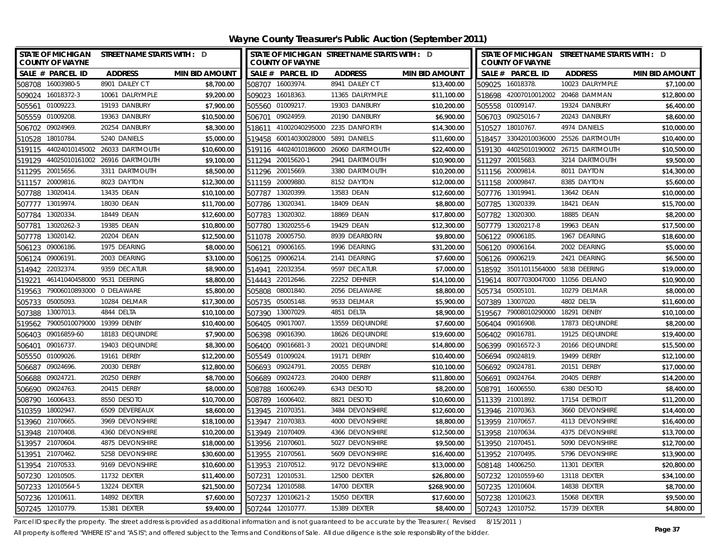| STATE OF MICHIGAN STREET NAME STARTS WITH : D<br><b>COUNTY OF WAYNE</b> |                                |                       |                  | <b>COUNTY OF WAYNE</b> | STATE OF MICHIGAN STREET NAME STARTS WITH : D |                       | STATE OF MICHIGAN STREET NAME STARTS WITH : D<br><b>COUNTY OF WAYNE</b> |                                    |                                       |                       |
|-------------------------------------------------------------------------|--------------------------------|-----------------------|------------------|------------------------|-----------------------------------------------|-----------------------|-------------------------------------------------------------------------|------------------------------------|---------------------------------------|-----------------------|
| SALE # PARCEL ID                                                        | <b>ADDRESS</b>                 | <b>MIN BID AMOUNT</b> |                  | SALE # PARCEL ID       | <b>ADDRESS</b>                                | <b>MIN BID AMOUNT</b> |                                                                         | SALE # PARCEL ID                   | <b>ADDRESS</b>                        | <b>MIN BID AMOUNT</b> |
| 508708 16003980-5                                                       | 8901 DAILEY CT                 | \$8,700.00            | 508707           | 16003974.              | 8941 DAILEY CT                                | \$13,400.00           |                                                                         | 509025 16018378.                   | 10023 DALRYMPLE                       | \$7,100.00            |
| 16018372-3<br>509024                                                    | 10061 DALRYMPLE                | \$9,200.00            | 509023           | 16018363               | 11365 DALRYMPLE                               | \$11,100.00           |                                                                         |                                    | 518698 42007010012002 20468 DAMMAN    | \$12,800.00           |
| 505561 01009223.                                                        | 19193 DANBURY                  | \$7,900.00            | 505560 01009217. |                        | 19303 DANBURY                                 | \$10,200.00           |                                                                         | 505558 01009147.                   | 19324 DANBURY                         | \$6,400.00            |
| 505559 01009208.                                                        | 19363 DANBURY                  | \$10,500.00           | 506701           | 09024959               | 20190 DANBURY                                 | \$6,900.00            |                                                                         | 506703 09025016-7                  | 20243 DANBURY                         | \$8,600.00            |
| 09024969<br>506702                                                      | 20254 DANBURY                  | \$8,300.00            |                  |                        | 518611 41002040295000 2235 DANFORTH           | \$14,300.00           |                                                                         | 510527 18010767.                   | 4974 DANIELS                          | \$10,000.00           |
| 18010784<br>510528                                                      | 5240 DANIELS                   | \$5,000.00            | 519458           | 60014030028000         | 5891 DANIELS                                  | \$11,600.00           |                                                                         |                                    | 518457 33042010036000 25526 DARTMOUTH | \$10,400.00           |
| 519115                                                                  | 44024010145002 26033 DARTMOUTH | \$10,600.00           |                  | 519116 44024010186000  | 26060 DARTMOUTH                               | \$22,400.00           |                                                                         |                                    | 519130 44025010190002 26715 DARTMOUTH | \$10,500.00           |
| 519129 44025010161002 26916 DARTMOUTH                                   |                                | \$9,100.00            |                  | 511294 20015620-1      | 2941 DARTMOUTH                                | \$10,900.00           |                                                                         | 511297 20015683.                   | 3214 DARTMOUTH                        | \$9,500.00            |
| 20015656<br>511295                                                      | 3311 DARTMOUTH                 | \$8,500.00            | 511296 20015669  |                        | 3380 DARTMOUTH                                | \$10,200.00           |                                                                         | 511156 20009814.                   | 8011 DAYTON                           | \$14,300.00           |
| 511157<br>20009816.                                                     | 8023 DAYTON                    | \$12,300.00           | 511159 20009880  |                        | 8152 DAYTON                                   | \$12,000.00           |                                                                         | 511158 20009847.                   | 8385 DAYTON                           | \$5,600.00            |
| 507788 13020414                                                         | 13435 DEAN                     | \$10,100.00           | 507787 13020399  |                        | 13583 DEAN                                    | \$12,600.00           |                                                                         | 507776 13019941.                   | 13642 DEAN                            | \$10,000.00           |
| 13019974<br>507777                                                      | 18030 DEAN                     | \$11,700.00           | 507786 13020341  |                        | 18409 DEAN                                    | \$8,800.00            |                                                                         | 507785 13020339.                   | 18421 DEAN                            | \$15,700.00           |
| 13020334<br>507784                                                      | 18449 DEAN                     | \$12,600.00           | 507783           | 13020302               | 18869 DEAN                                    | \$17,800.00           |                                                                         | 507782 13020300.                   | 18885 DEAN                            | \$8,200.00            |
| 13020262-3<br>507781                                                    | 19385 DEAN                     | \$10,800.00           | 507780           | 13020255-6             | 19429 DEAN                                    | \$12,300.00           | 507779                                                                  | 13020217-8                         | 19963 DEAN                            | \$17,500.00           |
| 13020142.<br>507778                                                     | 20204 DEAN                     | \$12,500.00           | 511078 20005750. |                        | 8939 DEARBORN                                 | \$9,800.00            |                                                                         | 506122 09006185.                   | 1967 DEARING                          | \$18,600.00           |
| 09006186<br>506123                                                      | 1975 DEARING                   | \$8,000.00            | 506121           | 09006165.              | 1996 DEARING                                  | \$31,200.00           |                                                                         | 506120 09006164.                   | 2002 DEARING                          | \$5,000.00            |
| 09006191.<br>506124                                                     | 2003 DEARING                   | \$3,100.00            | 506125           | 09006214.              | 2141 DEARING                                  | \$7,600.00            |                                                                         | 506126 09006219.                   | 2421 DEARING                          | \$6,500.00            |
| 22032374.<br>514942                                                     | 9359 DECATUR                   | \$8,900.00            | 514941           | 22032354.              | 9597 DECATUR                                  | \$7,000.00            |                                                                         | 518592 35011011564000 5838 DEERING |                                       | \$19,000.00           |
| 46141040458000 9531 DEERING<br>519221                                   |                                | \$8,800.00            | 514443           | 22012646.              | 22252 DEHNER                                  | \$14,100.00           |                                                                         | 519614 80077030047000 11056 DELANO |                                       | \$10,900.00           |
| 79006010893000 0 DELAWARE<br>519563                                     |                                | \$5,800.00            | 505808           | 08001840.              | 2056 DELAWARE                                 | \$8,800.00            |                                                                         | 505734 05005101.                   | 10279 DELMAR                          | \$8,000.00            |
| 05005093.<br>505733                                                     | 10284 DELMAR                   | \$17,300.00           | 505735           | 05005148.              | 9533 DELMAR                                   | \$5,900.00            | 507389                                                                  | 13007020.                          | 4802 DELTA                            | \$11,600.00           |
| 13007013.<br>507388                                                     | 4844 DELTA                     | \$10,100.00           | 507390           | 13007029               | 4851 DELTA                                    | \$8,900.00            | 519567                                                                  | 79008010290000                     | 18291 DENBY                           | \$10,100.00           |
| 79005010079000 19399 DENBY<br>519562                                    |                                | \$10,400.00           | 506405           | 09017007               | 13559 DEQUINDRE                               | \$7,600.00            |                                                                         | 506404 09016908.                   | 17873 DEQUINDRE                       | \$8,200.00            |
| 09016859-60<br>506403                                                   | 18183 DEQUINDRE                | \$7,900.00            | 506398           | 09016390               | 18626 DEQUINDRE                               | \$19,600.00           | 506402                                                                  | 09016781                           | 19125 DEQUINDRE                       | \$19,400.00           |
| 09016737.<br>506401                                                     | 19403 DEQUINDRE                | \$8,300.00            | 506400           | 09016681-3             | 20021 DEQUINDRE                               | \$14,800.00           |                                                                         | 506399 09016572-3                  | 20166 DEQUINDRE                       | \$15,500.00           |
| 505550<br>01009026                                                      | 19161 DERBY                    | \$12,200.00           | 505549 01009024  |                        | 19171 DERBY                                   | \$10,400.00           | 506694                                                                  | 09024819.                          | 19499 DERBY                           | \$12,100.00           |
| 506687<br>09024696                                                      | 20030 DERBY                    | \$12,800.00           | 506693 09024791  |                        | 20055 DERBY                                   | \$10,100.00           |                                                                         | 506692 09024781.                   | 20151 DERBY                           | \$17,000.00           |
| 09024721<br>506688                                                      | 20250 DERBY                    | \$8,700.00            | 506689 09024723  |                        | 20400 DERBY                                   | \$11,800.00           |                                                                         | 506691 09024764                    | 20405 DERBY                           | \$14,200.00           |
| 506690<br>09024763                                                      | 20415 DERBY                    | \$8,000.00            | 508788           | 16006249.              | 6343 DESOTO                                   | \$8,200.00            |                                                                         | 508791 16006550.                   | 6380 DESOTO                           | \$8,400.00            |
| 508790 16006433                                                         | 8550 DESOTO                    | \$10,700.00           | 508789           | 16006402               | 8821 DESOTO                                   | \$10,600.00           |                                                                         | 511339 21001892.                   | 17154 DETROIT                         | \$11,200.00           |
| 510359<br>18002947                                                      | 6509 DEVEREAUX                 | \$8,600.00            | 513945 21070351  |                        | 3484 DEVONSHIRE                               | \$12,600.00           |                                                                         | 513946 21070363.                   | 3660 DEVONSHIRE                       | \$14,400.00           |
| 513960<br>21070665                                                      | 3969 DEVONSHIRE                | \$18,100.00           | 513947 21070383  |                        | 4000 DEVONSHIRE                               | \$8,800.00            |                                                                         | 513959 21070657.                   | 4113 DEVONSHIRE                       | \$16,400.00           |
| 21070408<br>513948                                                      | 4360 DEVONSHIRE                | \$10,200.00           | 513949 21070409  |                        | 4366 DEVONSHIRE                               | \$12,500.00           |                                                                         | 513958 21070634.                   | 4375 DEVONSHIRE                       | \$13,700.00           |
| 513957 21070604.                                                        | 4875 DEVONSHIRE                | \$18,000.00           | 513956 21070601  |                        | 5027 DEVONSHIRE                               | \$9,500.00            |                                                                         | 513950 21070451.                   | 5090 DEVONSHIRE                       | \$12,700.00           |
| 513951 21070462                                                         | 5258 DEVONSHIRE                | \$30,600.00           | 513955 21070561  |                        | 5609 DEVONSHIRE                               | \$16,400.00           |                                                                         | 513952 21070495.                   | 5796 DEVONSHIRE                       | \$13,900.00           |
| 21070533<br>513954                                                      | 9169 DEVONSHIRE                | \$10,600.00           | 513953 21070512  |                        | 9172 DEVONSHIRE                               | \$13,000.00           |                                                                         | 508148 14006250.                   | 11301 DEXTER                          | \$20,800.00           |
| 12010505<br>507230                                                      | 11732 DEXTER                   | \$11,400.00           | 507231           | 12010531               | 12500 DEXTER                                  | \$26,800.00           |                                                                         | 507232 12010559-60                 | 13118 DEXTER                          | \$34,100.00           |
| 507233<br>12010564-5                                                    | 13224 DEXTER                   | \$21,500.00           | 507234 12010588. |                        | 14700 DEXTER                                  | \$268,900.00          |                                                                         | 507235 12010604.                   | 14838 DEXTER                          | \$8,700.00            |
| 507236 12010611.                                                        | 14892 DEXTER                   | \$7,600.00            | 507237           | 12010621-2             | 15050 DEXTER                                  | \$17,600.00           |                                                                         | 507238 12010623.                   | 15068 DEXTER                          | \$9,500.00            |
| 507245 12010779.                                                        | 15381 DEXTER                   | \$9,400.00            | 507244 12010777. |                        | 15389 DEXTER                                  | \$8,400.00            |                                                                         | 507243 12010752.                   | 15739 DEXTER                          | \$4,800.00            |

Parcel ID specify the property. The street address is provided as additional information and is not guaranteed to be accurate by the Treasurer.( Revised 8/15/2011 )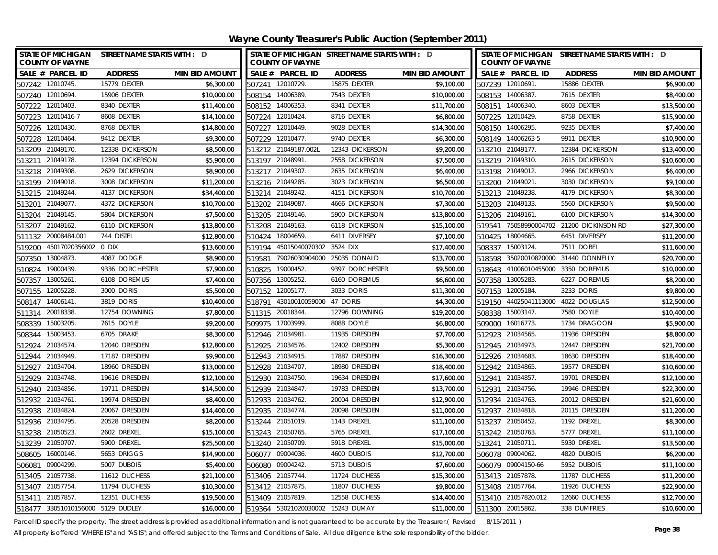**Wayne County Treasurer's Public Auction (September 2011)**

| <b>STATE OF MICHIGAN</b><br><b>COUNTY OF WAYNE</b> | STREET NAME STARTS WITH : D |                       |                  | <b>COUNTY OF WAYNE</b>            | STATE OF MICHIGAN STREET NAME STARTS WITH : D |                       |        | <b>COUNTY OF WAYNE</b> | STATE OF MICHIGAN STREET NAME STARTS WITH : D |                       |
|----------------------------------------------------|-----------------------------|-----------------------|------------------|-----------------------------------|-----------------------------------------------|-----------------------|--------|------------------------|-----------------------------------------------|-----------------------|
| SALE # PARCEL ID                                   | <b>ADDRESS</b>              | <b>MIN BID AMOUNT</b> |                  | SALE # PARCEL ID                  | <b>ADDRESS</b>                                | <b>MIN BID AMOUNT</b> |        | SALE # PARCEL ID       | <b>ADDRESS</b>                                | <b>MIN BID AMOUNT</b> |
| 507242 12010745.                                   | 15779 DEXTER                | \$6,300.00            | 507241 12010729. |                                   | 15875 DEXTER                                  | \$9,100.00            |        | 507239 12010691.       | 15886 DEXTER                                  | \$6.900.00            |
| 507240 12010694.                                   | 15906 DEXTER                | \$10,000.00           | 508154 14006389  |                                   | 7543 DEXTER                                   | \$10,000.00           |        | 508153 14006387.       | 7615 DEXTER                                   | \$8,400.00            |
| 507222 12010403.                                   | 8340 DEXTER                 | \$11,400.00           | 508152 14006353. |                                   | 8341 DEXTER                                   | \$11,700.00           |        | 508151 14006340.       | 8603 DEXTER                                   | \$13,500.00           |
| 507223 12010416-7                                  | 8608 DEXTER                 | \$14,100.00           | 507224 12010424. |                                   | 8716 DEXTER                                   | \$6,800.00            |        | 507225 12010429.       | 8758 DEXTER                                   | \$15,900.00           |
| 12010430<br>507226                                 | 8768 DEXTER                 | \$14,800.00           | 507227 12010449. |                                   | 9028 DEXTER                                   | \$14,300.00           |        | 508150 14006295.       | 9235 DEXTER                                   | \$7,400.00            |
| 12010464<br>507228                                 | 9412 DEXTER                 | \$9,300.00            | 507229           | 12010477.                         | 9740 DEXTER                                   | \$6,300.00            |        | 508149 14006263-5      | 9911 DEXTER                                   | \$10,900.00           |
| 513209 21049170.                                   | 12338 DICKERSON             | \$8,500.00            |                  | 513212 21049187.002L              | 12343 DICKERSON                               | \$9,200.00            |        | 513210 21049177.       | 12384 DICKERSON                               | \$13,400.00           |
| 21049178.<br>513211                                | 12394 DICKERSON             | \$5,900.00            | 513197           | 21048991                          | 2558 DICKERSON                                | \$7,500.00            |        | 513219 21049310.       | 2615 DICKERSON                                | \$10,600.00           |
| 21049308<br>513218                                 | 2629 DICKERSON              | \$8,900.00            | 513217           | 21049307                          | 2635 DICKERSON                                | \$6,400.00            |        | 513198 21049012.       | 2966 DICKERSON                                | \$6,400.00            |
| 513199 21049018.                                   | 3008 DICKERSON              | \$11,200.00           | 513216 21049285. |                                   | 3023 DICKERSON                                | \$6,500.00            |        | 513200 21049021.       | 3030 DICKERSON                                | \$9,100.00            |
| 513215 21049244.                                   | 4137 DICKERSON              | \$34,400.00           | 513214 21049242. |                                   | 4151 DICKERSON                                | \$10,700.00           |        | 513213 21049238.       | 4179 DICKERSON                                | \$8,300.00            |
| 21049077.<br>513201                                | 4372 DICKERSON              | \$10,700.00           | 513202           | 21049087                          | 4666 DICKERSON                                | \$7,300.00            |        | 513203 21049133.       | 5560 DICKERSON                                | \$9,500.00            |
| 21049145<br>513204                                 | 5804 DICKERSON              | \$7,500.00            | 513205           | 21049146.                         | 5900 DICKERSON                                | \$13,800.00           | 513206 | 21049161               | 6100 DICKERSON                                | \$14,300.00           |
| 21049162<br>513207                                 | 6110 DICKERSON              | \$13,800.00           | 513208           | 21049163                          | 6118 DICKERSON                                | \$15,100.00           | 519541 | 75058990004702         | 21200 DICKINSON RD                            | \$27,300.00           |
| 20008484.001<br>511132                             | 744 DISTEL                  | \$12,800.00           | 510424           | 18004659                          | 6411 DIVERSEY                                 | \$7,100.00            | 510425 | 18004665.              | 6451 DIVERSEY                                 | \$11,200.00           |
| 45017020356002 0 DIX<br>519200                     |                             | \$13,600.00           | 519194           | 45015040070302                    | 3524 DIX                                      | \$17,400.00           | 508337 | 15003124.              | 7511 DOBEL                                    | \$11,600.00           |
| 507350<br>13004873.                                | 4087 DODGE                  | \$8,900.00            | 519581           | 79026030904000                    | 25035 DONALD                                  | \$13,700.00           |        | 518598 35020010820000  | 31440 DONNELLY                                | \$20,700.00           |
| 19000439.<br>510824                                | 9336 DORCHESTER             | \$7,900.00            | 510825           | 19000452                          | 9397 DORCHESTER                               | \$9,500.00            |        | 518643 41006010455000  | 3350 DOREMUS                                  | \$10,000.00           |
| 13005261<br>507357                                 | 6108 DOREMUS                | \$7,400.00            | 507356 13005252. |                                   | 6160 DOREMUS                                  | \$6,600.00            |        | 507358 13005283.       | 6227 DOREMUS                                  | \$8,200.00            |
| 12005228<br>507155                                 | 3000 DORIS                  | \$5,500.00            | 507152 12005177. |                                   | 3033 DORIS                                    | \$11,300.00           |        | 507153 12005184.       | 3233 DORIS                                    | \$9,800.00            |
| 14006141<br>508147                                 | 3819 DORIS                  | \$10,400.00           | 518791           | 43010010059000                    | 47 DORIS                                      | \$4,300.00            |        | 519150 44025041113000  | 4022 DOUGLAS                                  | \$12,500.00           |
| 20018338<br>511314                                 | 12754 DOWNING               | \$7,800.00            | 511315 20018344. |                                   | 12796 DOWNING                                 | \$19,200.00           | 508338 | 15003147.              | 7580 DOYLE                                    | \$10,400.00           |
| 15003205.<br>508339                                | 7615 DOYLE                  | \$9,200.00            | 509975           | 17003999                          | 8088 DOYLE                                    | \$6,800.00            |        | 509000 16016773.       | 1734 DRAGOON                                  | \$5,900.00            |
| 15003453.<br>508344                                | 6705 DRAKE                  | \$8,300.00            | 512946 21034981  |                                   | 11935 DRESDEN                                 | \$7,700.00            | 512923 | 21034565.              | 11936 DRESDEN                                 | \$8,800.00            |
| 21034574<br>512924                                 | 12040 DRESDEN               | \$12,800.00           | 512925 21034576. |                                   | 12402 DRESDEN                                 | \$5,300.00            |        | 512945 21034973.       | 12447 DRESDEN                                 | \$21,700.00           |
| 512944 21034949.                                   | 17187 DRESDEN               | \$9,900.00            | 512943 21034915  |                                   | 17887 DRESDEN                                 | \$16,300.00           |        | 512926 21034683.       | 18630 DRESDEN                                 | \$18,400.00           |
| 512927 21034704                                    | 18960 DRESDEN               | \$13,000.00           | 512928 21034707  |                                   | 18980 DRESDEN                                 | \$18,400.00           |        | 512942 21034865.       | 19577 DRESDEN                                 | \$10,600.00           |
| 21034748<br>512929                                 | 19616 DRESDEN               | \$12,100.00           | 512930 21034750. |                                   | 19634 DRESDEN                                 | \$17,600.00           | 512941 | 21034857               | 19701 DRESDEN                                 | \$12,100.00           |
| 21034856.<br>512940                                | 19711 DRESDEN               | \$14,500.00           | 512939           | 21034847.                         | 19783 DRESDEN                                 | \$13,700.00           | 512931 | 21034756.              | 19946 DRESDEN                                 | \$22,300.00           |
| 512932 21034761                                    | 19974 DRESDEN               | \$8,400.00            | 512933 21034762. |                                   | 20004 DRESDEN                                 | \$12,900.00           |        | 512934 21034763.       | 20012 DRESDEN                                 | \$21,600.00           |
| 512938 21034824.                                   | 20067 DRESDEN               | \$14,400.00           | 512935 21034774  |                                   | 20098 DRESDEN                                 | \$11,000.00           |        | 512937 21034818.       | 20115 DRESDEN                                 | \$11,200.00           |
| 21034795.<br>512936                                | 20528 DRESDEN               | \$8,200.00            | 513244           | 21051019                          | 1143 DREXEL                                   | \$11,100.00           | 513237 | 21050452               | 1192 DREXEL                                   | \$8,300.00            |
| 513238 21050523.                                   | 2602 DREXEL                 | \$15,100.00           | 513243 21050765. |                                   | 5765 DREXEL                                   | \$17,100.00           |        | 513242 21050763.       | 5777 DREXEL                                   | \$11,100.00           |
| 513239 21050707.                                   | 5900 DREXEL                 | \$25,500.00           | 513240 21050709  |                                   | 5918 DREXEL                                   | \$15,000.00           |        | 513241 21050711        | 5930 DREXEL                                   | \$13,500.00           |
| 16000146.<br>508605                                | 5653 DRIGGS                 | \$14,900.00           | 506077 09004036  |                                   | 4600 DUBOIS                                   | \$12,700.00           |        | 506078 09004062.       | 4820 DUBOIS                                   | \$6,200.00            |
| 09004299<br>506081                                 | 5007 DUBOIS                 | \$5,400.00            | 506080           | 09004242.                         | 5713 DUBOIS                                   | \$7,600.00            |        | 506079 09004150-66     | 5952 DUBOIS                                   | \$11,100.00           |
| 513405 21057738.                                   | 11612 DUCHESS               | \$21,100.00           | 513406 21057744  |                                   | 11724 DUCHESS                                 | \$15,300.00           |        | 513413 21057878.       | 11787 DUCHESS                                 | \$11,200.00           |
| 513407 21057754.                                   | 11794 DUCHESS               | \$10,300.00           | 513412 21057875. |                                   | 11807 DUCHESS                                 | \$9,800.00            |        | 513408 21057764.       | 11926 DUCHESS                                 | \$22,900.00           |
| 21057857<br>513411                                 | 12351 DUCHESS               | \$19,500.00           | 513409 21057819. |                                   | 12558 DUCHESS                                 | \$14,400.00           |        | 513410 21057820.012    | 12660 DUCHESS                                 | \$12,700.00           |
| 518477 33051010156000 5129 DUDLEY                  |                             | \$16,000.00           |                  | 519364 53021020030002 15243 DUMAY |                                               | \$11,000.00           |        | 511300 20015862.       | 338 DUMFRIES                                  | \$10,600.00           |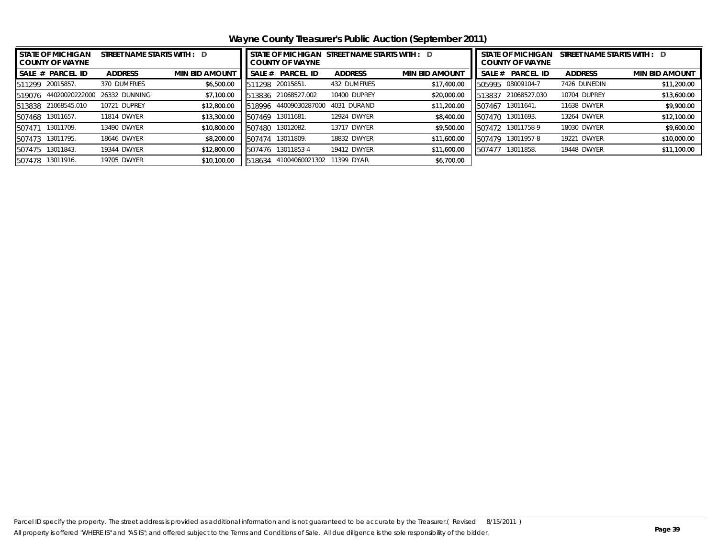**Wayne County Treasurer's Public Auction (September 2011)**

| <b>STATE OF MICHIGAN</b><br>STREET NAME STARTS WITH : D<br><b>COUNTY OF WAYNE</b> |                        |                       | I STATE OF MICHIGAN  STREET NAME STARTS WITH :    D<br><b>COUNTY OF WAYNE</b> |                  |                |                       |        | <b>STATE OF MICHIGAN</b><br>STREET NAME STARTS WITH : D<br><b>COUNTY OF WAYNE</b> |                |                       |  |
|-----------------------------------------------------------------------------------|------------------------|-----------------------|-------------------------------------------------------------------------------|------------------|----------------|-----------------------|--------|-----------------------------------------------------------------------------------|----------------|-----------------------|--|
| <b>PARCEL ID</b><br>SALE #                                                        | <b>ADDRESS</b>         | <b>MIN BID AMOUNT</b> | SALE #                                                                        | <b>PARCEL ID</b> | <b>ADDRESS</b> | <b>MIN BID AMOUNT</b> | SALE#  | <b>PARCEL ID</b>                                                                  | <b>ADDRESS</b> | <b>MIN BID AMOUNT</b> |  |
| 20015857.<br>511299                                                               | 370 DUMFRIES           | \$6,500.00            | 511298                                                                        | 20015851.        | 432 DUMFRIES   | \$17,400.00           | 505995 | 08009104-7                                                                        | 7426 DUNEDIN   | \$11,200.00           |  |
| 44020020222000<br>519076                                                          | 26332 DUNNING          | \$7,100.00            | 513836                                                                        | 21068527.002     | 10400 DUPREY   | \$20,000.00           | 513837 | 21068527.030                                                                      | 10704 DUPREY   | \$13,600.00           |  |
| 21068545.010<br>513838                                                            | <b>DUPREY</b><br>10721 | \$12,800.00           | 518996                                                                        | 44009030287000   | DURAND<br>4031 | \$11,200.00           | 507467 | 13011641.                                                                         | 11638 DWYER    | \$9,900.00            |  |
| 13011657.<br>507468                                                               | 11814 DWYER            | \$13,300.00           | 507469                                                                        | 13011681.        | 12924 DWYER    | \$8,400.00            | 507470 | 13011693.                                                                         | 13264 DWYER    | \$12,100.00           |  |
| 13011709.<br>507471                                                               | 13490 DWYER            | \$10,800.00           | 507480                                                                        | 3012082.         | 13717 DWYER    | \$9,500.00            | 507472 | 13011758-9                                                                        | 18030 DWYER    | \$9,600.00            |  |
| 13011795.<br>507473                                                               | 18646 DWYER            | \$8,200.00            | 507474                                                                        | 13011809.        | 18832 DWYER    | \$11,600.00           | 507479 | 13011957-8                                                                        | 19221 DWYER    | \$10,000.00           |  |
| 13011843.<br>507475                                                               | 19344 DWYER            | \$12,800.00           | 507476                                                                        | 13011853-4       | 19412 DWYER    | \$11,600.00           | 507477 | 13011858.                                                                         | 19448 DWYER    | \$11,100.00           |  |
| 13011916.<br>507478                                                               | 19705 DWYER            | \$10,100.00           | 518634                                                                        | 41004060021302   | 1399 DYAR      | \$6,700.00            |        |                                                                                   |                |                       |  |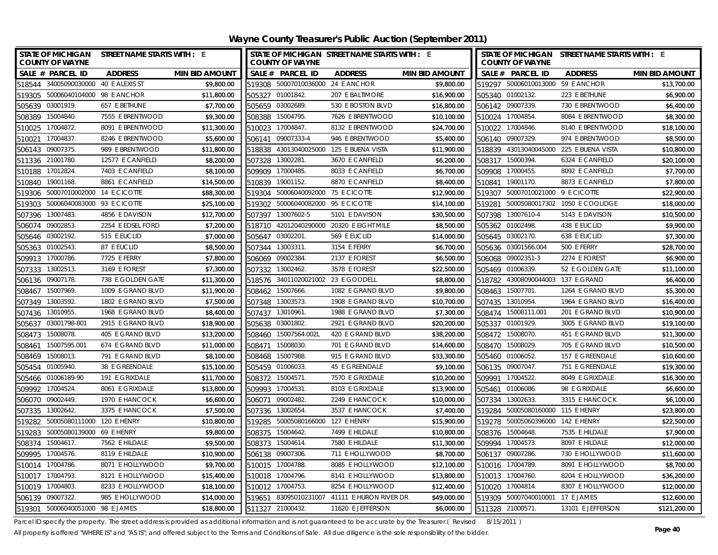| STATE OF MICHIGAN STREET NAME STARTS WITH : E<br><b>COUNTY OF WAYNE</b> |             | <b>COUNTY OF WAYNE</b>             | STATE OF MICHIGAN STREET NAME STARTS WITH : E |                       |        | <b>COUNTY OF WAYNE</b>            | STATE OF MICHIGAN STREET NAME STARTS WITH : E |                       |
|-------------------------------------------------------------------------|-------------|------------------------------------|-----------------------------------------------|-----------------------|--------|-----------------------------------|-----------------------------------------------|-----------------------|
| SALE # PARCEL ID<br><b>ADDRESS</b><br><b>MIN BID AMOUNT</b>             |             | SALE # PARCEL ID                   | <b>ADDRESS</b>                                | <b>MIN BID AMOUNT</b> |        | SALE # PARCEL ID                  | <b>ADDRESS</b>                                | <b>MIN BID AMOUNT</b> |
| 518544 34005090030000 40 E ALEXIS ST                                    | \$9,800.00  | 519308 50007010036000 24 E ANCHOR  |                                               | \$9,800.00            |        | 519297 50006010013000 59 E ANCHOR |                                               | \$13,700.00           |
| 519305 50006040104000 98 E ANCHOR                                       | \$11,800.00 | 505327 01001842.                   | 207 E BALTIMORE                               | \$16,900.00           |        | 505340 01002132.                  | 223 E BETHUNE                                 | \$6,900.00            |
| 505639 03001919.<br>657 E BETHUNE                                       | \$7,700.00  | 505659 03002689.                   | 530 E BOSTON BLVD                             | \$16,800.00           |        | 506142 09007339.                  | 730 E BRENTWOOD                               | \$6,400.00            |
| 508389 15004840.<br>7555 E BRENTWOOD                                    | \$9,300.00  | 508388 15004795.                   | 7626 E BRENTWOOD                              | \$10,100.00           |        | 510024 17004854.                  | 8084 E BRENTWOOD                              | \$8,300.00            |
| 510025 17004872.<br>8091 E BRENTWOOD                                    | \$11,300.00 | 510023 17004847                    | 8132 E BRENTWOOD                              | \$24,700.00           |        | 510022 17004846.                  | 8140 E BRENTWOOD                              | \$18,100.00           |
| 510021<br>17004837<br>8246 E BRENTWOOD                                  | \$5,600.00  | 506141 09007333-4                  | 946 E BRENTWOOD                               | \$5,400.00            |        | 506140 09007329.                  | 974 E BRENTWOOD                               | \$8,500.00            |
| 506143 09007375<br>989 E BRENTWOOD                                      | \$11,800.00 |                                    | 518838 43013040025000 125 E BUENA VISTA       | \$11,900.00           |        |                                   | 518839 43013040045000 225 E BUENA VISTA       | \$10,800.00           |
| 511336 21001780.<br>12577 E CANFIELD                                    | \$8,200.00  | 507328 13002281.                   | 3670 E CANFIELD                               | \$6,200.00            |        | 508317 15000394.                  | 6324 E CANFIELD                               | \$20,100.00           |
| 17012824<br>7403 E CANFIELD<br>510188                                   | \$8,100.00  | 509909 17000485.                   | 8033 E CANFIELD                               | \$6,700.00            |        | 509908 17000455.                  | 8092 E CANFIELD                               | \$7,700.00            |
| 19001168.<br>8861 E CANFIELD<br>510840                                  | \$14,500.00 | 19001152.<br>510839                | 8870 E CANFIELD                               | \$8,400.00            | 510841 | 19001170.                         | 8873 E CANFIELD                               | \$7,800.00            |
| 50007010002000 14 E CICOTTE<br>519306                                   | \$88,300.00 | 519304 50006040092000 75 E CICOTTE |                                               | \$12,900.00           |        | 519307 50007010021000 9 E CICOTTE |                                               | \$22,900.00           |
| 50006040083000 93 E CICOTTE<br>519303                                   | \$25,100.00 | 519302 50006040082000 95 E CICOTTE |                                               | \$14,100.00           |        |                                   | 519281 50005080017302 1050 E COOLIDGE         | \$18,000.00           |
| 13007483<br>4856 E DAVISON<br>507396                                    | \$12,700.00 | 507397 13007602-5                  | 5101 E DAVISON                                | \$30,500.00           | 507398 | 13007610-4                        | 5143 E DAVISON                                | \$10,500.00           |
| 09002853<br>2254 E EDSEL FORD<br>506074                                 | \$7,200.00  | 518710                             | 42012040290000 20320 E EIGHT MILE             | \$8,500.00            |        | 505362 01002498.                  | 438 E EUCLID                                  | \$9,900.00            |
| 505646 03002192.<br>515 E EUCLID                                        | \$7,000.00  | 505647 03002201.                   | 569 E EUCLID                                  | \$14,000.00           |        | 505645 03002170.                  | 638 E EUCLID                                  | \$7,300.00            |
| 505363 01002543<br>87 E EUCLID                                          | \$8,500.00  | 507344 13003311.                   | 3154 E FERRY                                  | \$6,700.00            |        | 505636 03001566.004               | 500 E FERRY                                   | \$28,700.00           |
| 17000786<br>7725 E FERRY<br>509913                                      | \$7,800.00  | 506069 09002384.                   | 2137 E FOREST                                 | \$6,500.00            |        | 506068 09002351-3                 | 2274 E FOREST                                 | \$6,900.00            |
| 13002513<br>3169 E FOREST<br>507333                                     | \$7,300.00  | 507332 13002462.                   | 3578 E FOREST                                 | \$22,500.00           |        | 505469 01006339.                  | 52 E GOLDEN GATE                              | \$11,100.00           |
| 506136 09007178.<br>738 E GOLDEN GATE                                   | \$11,300.00 | 518576 34011020021002 23 E GOODELL |                                               | \$8,800.00            |        | 518782 43008090044003 137 E GRAND |                                               | \$6,400.00            |
| 15007969<br>1009 E GRAND BLVD<br>508467                                 | \$11,900.00 | 15007666<br>508462                 | 1082 E GRAND BLVD                             | \$9,800.00            | 508463 | 15007701.                         | 1264 E GRAND BLVD                             | \$5,300.00            |
| 13003592.<br>1802 E GRAND BLVD<br>507349                                | \$7,500.00  | 13003573.<br>507348                | 1908 E GRAND BLVD                             | \$10,700.00           | 507435 | 13010954                          | 1964 E GRAND BLVD                             | \$16,400.00           |
| 13010955<br>1968 E GRAND BLVD<br>507436                                 | \$8,400.00  | 13010961<br>507437                 | 1988 E GRAND BLVD                             | \$7,300.00            |        | 508474 15008111.001               | 201 E GRAND BLVD                              | \$10,900.00           |
| 505637 03001798-801<br>2915 E GRAND BLVD                                | \$18,900.00 | 03001802<br>505638                 | 2921 E GRAND BLVD                             | \$20,200.00           |        | 505337 01001929.                  | 3005 E GRAND BLVD                             | \$19,100.00           |
| 508473 15008078.<br>405 E GRAND BLVD                                    | \$13,200.00 | 508460 15007564.002L               | 420 E GRAND BLVD                              | \$38,200.00           |        | 508472 15008070.                  | 451 E GRAND BLVD                              | \$11,300.00           |
| 15007595.001<br>674 E GRAND BLVD<br>508461                              | \$11,000.00 | 15008030.<br>508471                | 701 E GRAND BLVD                              | \$14,600.00           |        | 508470 15008029.                  | 705 E GRAND BLVD                              | \$10,500.00           |
| 508469 15008013<br>791 E GRAND BLVD                                     | \$8,100.00  | 508468 15007988                    | 915 E GRAND BLVD                              | \$33,300.00           |        | 505460 01006052.                  | 157 E GREENDALE                               | \$10,600.00           |
| 505454 01005940.<br>38 E GREENDALE                                      | \$15,100.00 | 505459 01006033                    | 45 E GREENDALE                                | \$9,100.00            |        | 506135 09007047.                  | 751 E GREENDALE                               | \$19,300.00           |
| 505466 01006189-90<br>191 E GRIXDALE                                    | \$11,700.00 | 508372 15004571                    | 7570 E GRIXDALE                               | \$10,200.00           |        | 509991 17004522.                  | 8049 E GRIXDALE                               | \$16,300.00           |
| 509992 17004524<br>8061 E GRIXDALE                                      | \$13,800.00 | 509993 17004531                    | 8103 E GRIXDALE                               | \$13,900.00           |        | 505461 01006086.                  | 98 E GRIXDALE                                 | \$6,600.00            |
| 506070 09002449.<br>1970 E HANCOCK                                      | \$6,600.00  | 506071 09002482                    | 2249 E HANCOCK                                | \$10,000.00           |        | 507334 13002633.                  | 3315 E HANCOCK                                | \$6,100.00            |
| 507335<br>13002642.<br>3375 E HANCOCK                                   | \$7,500.00  | 507336 13002654.                   | 3537 E HANCOCK                                | \$7,400.00            |        | 519284 50005080160000 115 E HENRY |                                               | \$23,800.00           |
| 50005080111000 120 E HENRY<br>519282                                    | \$10,800.00 | 519285 50005080166000 127 E HENRY  |                                               | \$15,900.00           |        | 519278 50005060396000 142 E HENRY |                                               | \$22,500.00           |
| 519283<br>50005080139000 69 E HENRY                                     | \$9,800.00  | 508375 15004642.                   | 7499 E HILDALE                                | \$10,800.00           |        | 508376 15004648.                  | 7535 E HILDALE                                | \$7,900.00            |
| 508374 15004617<br>7562 E HILDALE                                       | \$9,500.00  | 508373 15004614.                   | 7580 E HILDALE                                | \$11,300.00           |        | 509994 17004573.                  | 8097 E HILDALE                                | \$12,000.00           |
| 509995 17004576.<br>8119 E HILDALE                                      | \$10,900.00 | 506138 09007306                    | 711 E HOLLYWOOD                               | \$8,700.00            |        | 506137 09007286.                  | 730 E HOLLYWOOD                               | \$11,600.00           |
| 510014 17004786.<br>8071 E HOLLYWOOD                                    | \$9,700.00  | 510015 17004788                    | 8085 E HOLLYWOOD                              | \$12,100.00           |        | 510016 17004789.                  | 8091 E HOLLYWOOD                              | \$8,700.00            |
| 510017 17004793.<br>8121 E HOLLYWOOD                                    | \$15,400.00 | 510018 17004796.                   | 8141 E HOLLYWOOD                              | \$13,800.00           |        | 510013 17004760.                  | 8204 E HOLLYWOOD                              | \$36,200.00           |
| 8233 E HOLLYWOOD<br>510019 17004803                                     | \$18,100.00 | 510012 17004753.                   | 8254 E HOLLYWOOD                              | \$12,400.00           |        | 510020 17004814.                  | 8307 E HOLLYWOOD                              | \$12,000.00           |
| 506139 09007322.<br>985 E HOLLYWOOD                                     | \$14,000.00 |                                    | 519651 83095010231007 41111 E HURON RIVER DR  | \$49,000.00           |        | 519309 50007040010001 17 E JAMES  |                                               | \$12,600.00           |
| 519301 50006040051000 98 E JAMES                                        | \$18,800.00 | 511327 21000432.                   | 11620 E JEFFERSON                             | \$6,000.00            |        | 511328 21000571.                  | 13101 E JEFFERSON                             | \$121,200.00          |

Parcel ID specify the property. The street address is provided as additional information and is not guaranteed to be accurate by the Treasurer.( Revised 8/15/2011 )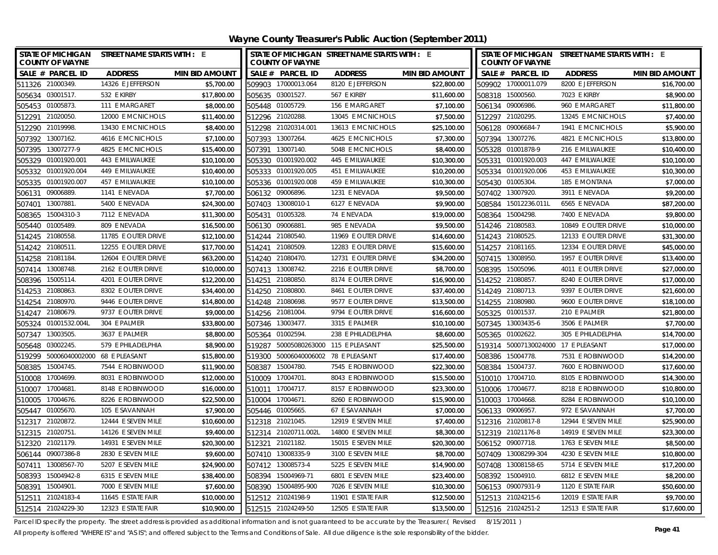**Wayne County Treasurer's Public Auction (September 2011)**

| STATE OF MICHIGAN STREET NAME STARTS WITH : E<br><b>COUNTY OF WAYNE</b> |                     |                       |        | <b>COUNTY OF WAYNE</b>               | STATE OF MICHIGAN STREET NAME STARTS WITH : E |                       |                  | <b>COUNTY OF WAYNE</b>              | STATE OF MICHIGAN STREET NAME STARTS WITH : E |                       |
|-------------------------------------------------------------------------|---------------------|-----------------------|--------|--------------------------------------|-----------------------------------------------|-----------------------|------------------|-------------------------------------|-----------------------------------------------|-----------------------|
| SALE # PARCEL ID                                                        | <b>ADDRESS</b>      | <b>MIN BID AMOUNT</b> |        | SALE # PARCEL ID                     | <b>ADDRESS</b>                                | <b>MIN BID AMOUNT</b> |                  | SALE # PARCEL ID                    | <b>ADDRESS</b>                                | <b>MIN BID AMOUNT</b> |
| 511326 21000349.                                                        | 14326 E JEFFERSON   | \$5,700.00            |        | 509903 17000013.064                  | 8120 E JEFFERSON                              | \$22,800.00           |                  | 509902 17000011.079                 | 8200 E JEFFERSON                              | \$16,700.00           |
| 505634 03001517.                                                        | 532 F KIRBY         | \$17,800.00           |        | 505635 03001527.                     | 567 E KIRBY                                   | \$11,600.00           |                  | 508318 15000560.                    | 7023 E KIRBY                                  | \$8,900.00            |
| 505453 01005873.                                                        | 111 E MARGARET      | \$8,000.00            |        | 505448 01005729.                     | 156 E MARGARET                                | \$7,100.00            |                  | 506134 09006986.                    | 960 E MARGARET                                | \$11,800.00           |
| 512291 21020050.                                                        | 12000 E MCNICHOLS   | \$11,400.00           |        | 512296 21020288.                     | 13045 E MCNICHOLS                             | \$7,500.00            |                  | 512297 21020295.                    | 13245 E MCNICHOLS                             | \$7,400.00            |
| 512290 21019998.                                                        | 13430 E MCNICHOLS   | \$8,400.00            |        | 512298 21020314.001                  | 13613 E MCNICHOLS                             | \$25,100.00           |                  | 506128 09006684-7                   | 1941 E MCNICHOLS                              | \$5,900.00            |
| 13007162.<br>507392                                                     | 4616 E MCNICHOLS    | \$7,100.00            |        | 507393 13007264.                     | 4625 E MCNICHOLS                              | \$7,300.00            | 507394           | 13007276.                           | 4821 E MCNICHOLS                              | \$13,800.00           |
| 507395 13007277-9                                                       | 4825 E MCNICHOLS    | \$15,400.00           |        | 507391 13007140.                     | 5048 E MCNICHOLS                              | \$8,400.00            |                  | 505328 01001878-9                   | 216 E MILWAUKEE                               | \$10,400.00           |
| 505329 01001920.001                                                     | 443 E MILWAUKEE     | \$10,100.00           |        | 505330 01001920.002                  | 445 E MILWAUKEE                               | \$10,300.00           |                  | 505331 01001920.003                 | 447 E MILWAUKEE                               | \$10,100.00           |
| 505332 01001920.004                                                     | 449 E MILWAUKEE     | \$10,400.00           |        | 505333 01001920.005                  | 451 E MILWAUKEE                               | \$10,200.00           |                  | 505334 01001920.006                 | 453 E MILWAUKEE                               | \$10,300.00           |
| 505335 01001920.007                                                     | 457 E MILWAUKEE     | \$10,100.00           |        | 505336 01001920.008                  | 459 E MILWAUKEE                               | \$10,300.00           |                  | 505430 01005304.                    | 185 E MONTANA                                 | \$7,000.00            |
| 09006889.<br>506131                                                     | 1141 E NEVADA       | \$7,700.00            |        | 506132 09006896.                     | 1231 E NEVADA                                 | \$9,500.00            |                  | 507402 13007920.                    | 3911 E NEVADA                                 | \$9,200.00            |
| 13007881.<br>507401                                                     | 5400 E NEVADA       | \$24,300.00           |        | 507403 13008010-1                    | 6127 E NEVADA                                 | \$9,900.00            | 508584           | 15012236.011L                       | 6565 E NEVADA                                 | \$87,200.00           |
| 15004310-3<br>508365                                                    | 7112 E NEVADA       | \$11,300.00           | 505431 | 01005328                             | 74 E NEVADA                                   | \$19,000.00           | 508364           | 15004298.                           | 7400 E NEVADA                                 | \$9,800.00            |
| 01005489.<br>505440                                                     | 809 E NEVADA        | \$16,500.00           | 506130 | 09006881                             | 985 E NEVADA                                  | \$9,500.00            |                  | 514246 21080583.                    | 10849 E OUTER DRIVE                           | \$10,000.00           |
| 514245 21080558.                                                        | 11785 E OUTER DRIVE | \$12,100.00           |        | 514244 21080540.                     | 11969 E OUTER DRIVE                           | \$14,600.00           | 514243 21080525. |                                     | 12133 E OUTER DRIVE                           | \$31,300.00           |
| 514242 21080511                                                         | 12255 E OUTER DRIVE | \$17,700.00           | 514241 | 21080509                             | 12283 E OUTER DRIVE                           | \$15,600.00           |                  | 514257 21081165.                    | 12334 E OUTER DRIVE                           | \$45,000.00           |
| 514258 21081184                                                         | 12604 E OUTER DRIVE | \$63,200.00           |        | 514240 21080470.                     | 12731 E OUTER DRIVE                           | \$34,200.00           |                  | 507415 13008950.                    | 1957 E OUTER DRIVE                            | \$13,400.00           |
| 507414 13008748.                                                        | 2162 E OUTER DRIVE  | \$10,000.00           |        | 507413 13008742.                     | 2216 E OUTER DRIVE                            | \$8,700.00            | 508395           | 15005096.                           | 4011 E OUTER DRIVE                            | \$27,000.00           |
| 508396 15005114.                                                        | 4201 E OUTER DRIVE  | \$12,200.00           |        | 514251 21080850.                     | 8174 E OUTER DRIVE                            | \$16,900.00           |                  | 514252 21080857.                    | 8240 E OUTER DRIVE                            | \$17,000.00           |
| 514253 21080863.                                                        | 8302 E OUTER DRIVE  | \$34,400.00           |        | 514250 21080800.                     | 8461 E OUTER DRIVE                            | \$37,400.00           |                  | 514249 21080713.                    | 9397 E OUTER DRIVE                            | \$21,600.00           |
| 514254 21080970.                                                        | 9446 E OUTER DRIVE  | \$14,800.00           |        | 514248 21080698.                     | 9577 E OUTER DRIVE                            | \$13,500.00           |                  | 514255 21080980.                    | 9600 E OUTER DRIVE                            | \$18,100.00           |
| 514247 21080679.                                                        | 9737 E OUTER DRIVE  | \$9,000.00            |        | 514256 21081004.                     | 9794 E OUTER DRIVE                            | \$16,600.00           |                  | 505325 01001537.                    | 210 E PALMER                                  | \$21,800.00           |
| 505324 01001532.004L                                                    | 304 E PALMER        | \$33,800.00           |        | 507346 13003477.                     | 3315 E PALMER                                 | \$10,100.00           |                  | 507345 13003435-6                   | 3506 E PALMER                                 | \$7,700.00            |
| 507347 13003505.                                                        | 3637 E PALMER       | \$8,800.00            |        | 505364 01002594.                     | 238 E PHILADELPHIA                            | \$8,600.00            |                  | 505365 01002622.                    | 305 E PHILADELPHIA                            | \$14,700.00           |
| 03002245.<br>505648                                                     | 579 E PHILADELPHIA  | \$8,900.00            |        | 519287 50005080263000 115 E PLEASANT |                                               | \$25,500.00           |                  | 519314 50007130024000 17 E PLEASANT |                                               | \$17,000.00           |
| 519299 50006040002000 68 E PLEASANT                                     |                     | \$15,800.00           |        | 519300 50006040006002 78 E PLEASANT  |                                               | \$17,400.00           |                  | 508386 15004778.                    | 7531 E ROBINWOOD                              | \$14,200.00           |
| 508385 15004745.                                                        | 7544 E ROBINWOOD    | \$11,900.00           |        | 508387 15004780                      | 7545 E ROBINWOOD                              | \$22,300.00           |                  | 508384 15004737.                    | 7600 E ROBINWOOD                              | \$17,600.00           |
| 510008 17004699                                                         | 8031 E ROBINWOOD    | \$12,000.00           |        | 510009 17004701                      | 8043 E ROBINWOOD                              | \$15,500.00           |                  | 510010 17004710.                    | 8105 E ROBINWOOD                              | \$14,300.00           |
| 510007<br>17004681                                                      | 8148 E ROBINWOOD    | \$16,000.00           |        | 510011 17004717                      | 8157 E ROBINWOOD                              | \$23,300.00           |                  | 510006 17004677.                    | 8218 E ROBINWOOD                              | \$10,800.00           |
| 510005 17004676.                                                        | 8226 E ROBINWOOD    | \$22,500.00           |        | 510004 17004671                      | 8260 E ROBINWOOD                              | \$15,900.00           |                  | 510003 17004668.                    | 8284 E ROBINWOOD                              | \$10,100.00           |
| 505447 01005670.                                                        | 105 E SAVANNAH      | \$7,900.00            |        | 505446 01005665                      | 67 E SAVANNAH                                 | \$7,000.00            |                  | 506133 09006957.                    | 972 E SAVANNAH                                | \$7,700.00            |
| 512317 21020872.                                                        | 12444 E SEVEN MILE  | \$10,600.00           |        | 512318 21021045.                     | 12919 E SEVEN MILE                            | \$7,400.00            |                  | 512316 21020817-8                   | 12944 E SEVEN MILE                            | \$25,900.00           |
| 512315 21020751.                                                        | 14126 E SEVEN MILE  | \$9,400.00            |        | 512314 21020711.002L                 | 14800 E SEVEN MILE                            | \$8,300.00            |                  | 512319 21021176-8                   | 14919 E SEVEN MILE                            | \$23,300.00           |
| 512320 21021179.                                                        | 14931 E SEVEN MILE  | \$20,300.00           |        | 512321 21021182                      | 15015 E SEVEN MILE                            | \$20,300.00           |                  | 506152 09007718.                    | 1763 E SEVEN MILE                             | \$8,500.00            |
| 506144 09007386-8                                                       | 2830 E SEVEN MILE   | \$9,600.00            |        | 507410 13008335-9                    | 3100 E SEVEN MILE                             | \$8,700.00            |                  | 507409 13008299-304                 | 4230 E SEVEN MILE                             | \$10,800.00           |
| 13008567-70<br>507411                                                   | 5207 E SEVEN MILE   | \$24,900.00           |        | 507412 13008573-4                    | 5225 E SEVEN MILE                             | \$14,900.00           |                  | 507408 13008158-65                  | 5714 E SEVEN MILE                             | \$17,200.00           |
| 15004942-8<br>508393                                                    | 6315 E SEVEN MILE   | \$38,400.00           | 508394 | 15004969-71                          | 6801 E SEVEN MILE                             | \$23,400.00           |                  | 508392 15004910.                    | 6812 E SEVEN MILE                             | \$8,200.00            |
| 508391<br>15004901.                                                     | 7000 E SEVEN MILE   | \$7,600.00            | 508390 | 15004895-900                         | 7026 E SEVEN MILE                             | \$10,300.00           |                  | 506153 09007931-9                   | 1120 E STATE FAIR                             | \$50,600.00           |
| 512511 21024183-4                                                       | 11645 E STATE FAIR  | \$10,000.00           |        | 512512 21024198-9                    | 11901 E STATE FAIR                            | \$12,500.00           |                  | 512513 21024215-6                   | 12019 E STATE FAIR                            | \$9,700.00            |
| 512514 21024229-30                                                      | 12323 E STATE FAIR  | \$10,900.00           |        | 512515 21024249-50                   | 12505 E STATE FAIR                            | \$13,500.00           |                  | 512516 21024251-2                   | 12513 E STATE FAIR                            | \$17,600.00           |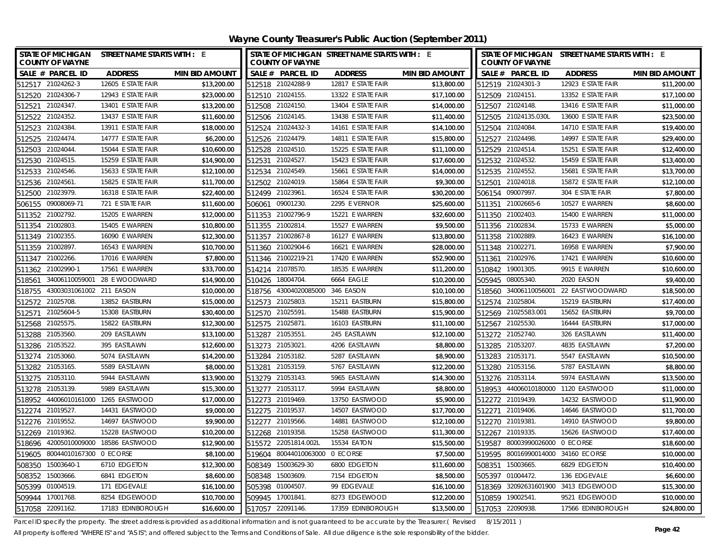**Wayne County Treasurer's Public Auction (September 2011)**

| <b>STATE OF MICHIGAN</b><br><b>COUNTY OF WAYNE</b> | STREET NAME STARTS WITH : E |                       |        |                                | STATE OF MICHIGAN STREET NAME STARTS WITH : E |                       | STATE OF MICHIGAN STREET NAME STARTS WITH : E<br><b>COUNTY OF WAYNE</b> |                                    |                                        |                       |
|----------------------------------------------------|-----------------------------|-----------------------|--------|--------------------------------|-----------------------------------------------|-----------------------|-------------------------------------------------------------------------|------------------------------------|----------------------------------------|-----------------------|
| SALE # PARCEL ID                                   | <b>ADDRESS</b>              | <b>MIN BID AMOUNT</b> |        | SALE # PARCEL ID               | <b>ADDRESS</b>                                | <b>MIN BID AMOUNT</b> |                                                                         | SALE # PARCEL ID                   | <b>ADDRESS</b>                         | <b>MIN BID AMOUNT</b> |
| 512517 21024262-3                                  | 12605 E STATE FAIR          | \$13,200.00           |        | 512518 21024288-9              | 12817 E STATE FAIR                            | \$13,800.00           |                                                                         | 512519 21024301-3                  | 12923 E STATE FAIR                     | \$11,200.00           |
| 512520 21024306-7                                  | 12943 E STATE FAIR          | \$23,000.00           |        | 512510 21024155.               | 13322 E STATE FAIR                            | \$17,100.00           |                                                                         | 512509 21024151.                   | 13352 E STATE FAIR                     | \$17,100.00           |
| 512521 21024347.                                   | 13401 E STATE FAIR          | \$13,200.00           |        | 512508 21024150                | 13404 E STATE FAIR                            | \$14,000.00           |                                                                         | 512507 21024148.                   | 13416 E STATE FAIR                     | \$11,000.00           |
| 512522 21024352.                                   | 13437 E STATE FAIR          | \$11,600.00           |        | 512506 21024145.               | 13438 E STATE FAIR                            | \$11,400.00           |                                                                         | 512505 21024135.030L               | 13600 E STATE FAIR                     | \$23,500.00           |
| 21024384<br>512523                                 | 13911 E STATE FAIR          | \$18,000.00           |        | 512524 21024432-3              | 14161 E STATE FAIR                            | \$14,100.00           |                                                                         | 512504 21024084.                   | 14710 E STATE FAIR                     | \$19,400.00           |
| 21024474.<br>512525                                | 14777 E STATE FAIR          | \$6,200.00            |        | 512526 21024479.               | 14811 E STATE FAIR                            | \$15,800.00           | 512527                                                                  | 21024498.                          | 14997 E STATE FAIR                     | \$29,400.00           |
| 512503 21024044.                                   | 15044 E STATE FAIR          | \$10,600.00           |        | 512528 21024510.               | 15225 E STATE FAIR                            | \$11,100.00           |                                                                         | 512529 21024514.                   | 15251 E STATE FAIR                     | \$12,400.00           |
| 512530 21024515.                                   | 15259 E STATE FAIR          | \$14,900.00           | 512531 | 21024527.                      | 15423 E STATE FAIR                            | \$17,600.00           |                                                                         | 512532 21024532.                   | 15459 E STATE FAIR                     | \$13,400.00           |
| 21024546.<br>512533                                | 15633 E STATE FAIR          | \$12,100.00           | 512534 | 21024549                       | 15661 E STATE FAIR                            | \$14,000.00           | 512535                                                                  | 21024552.                          | 15681 E STATE FAIR                     | \$13,700.00           |
| 512536 21024561.                                   | 15825 E STATE FAIR          | \$11,700.00           |        | 512502 21024019                | 15864 E STATE FAIR                            | \$9,300.00            | 512501                                                                  | 21024018.                          | 15872 E STATE FAIR                     | \$12,100.00           |
| 512500 21023979.                                   | 16318 E STATE FAIR          | \$22,400.00           |        | 512499 21023961.               | 16524 E STATE FAIR                            | \$30,200.00           |                                                                         | 506154 09007997.                   | 304 E STATE FAIR                       | \$7,800.00            |
| 506155 09008069-71                                 | 721 E STATE FAIR            | \$11,600.00           | 506061 | 09001230                       | 2295 E VERNOR                                 | \$25,600.00           |                                                                         | 511351 21002665-6                  | 10527 E WARREN                         | \$8,600.00            |
| 21002792.<br>511352                                | 15205 E WARREN              | \$12,000.00           |        | 511353 21002796-9              | 15221 E WARREN                                | \$32,600.00           |                                                                         | 511350 21002403.                   | 15400 E WARREN                         | \$11,000.00           |
| 511354 21002803.                                   | 15405 E WARREN              | \$10,800.00           |        | 511355 21002814.               | 15527 E WARREN                                | \$9,500.00            |                                                                         | 511356 21002834.                   | 15733 E WARREN                         | \$5,000.00            |
| 511349 21002355.                                   | 16090 E WARREN              | \$12,300.00           |        | 511357 21002867-8              | 16127 E WARREN                                | \$13,800.00           |                                                                         | 511358 21002889.                   | 16423 E WARREN                         | \$16,100.00           |
| 511359 21002897.                                   | 16543 E WARREN              | \$10,700.00           |        | 511360 21002904-6              | 16621 E WARREN                                | \$28,000.00           |                                                                         | 511348 21002271                    | 16958 E WARREN                         | \$7,900.00            |
| 511347 21002266.                                   | 17016 E WARREN              | \$7,800.00            |        | 511346 21002219-21             | 17420 E WARREN                                | \$52,900.00           |                                                                         | 511361 21002976.                   | 17421 E WARREN                         | \$10,600.00           |
| 511362 21002990-1                                  | 17561 E WARREN              | \$33,700.00           |        | 514214 21078570.               | 18535 E WARREN                                | \$11,200.00           |                                                                         | 510842 19001305.                   | 9915 E WARREN                          | \$10,600.00           |
| 518561 34006110059001 28 E WOODWARD                |                             | \$14,900.00           |        | 510426 18004704.               | 6664 EAGLE                                    | \$10,200.00           |                                                                         | 505945 08005340.                   | 2020 EASON                             | \$9,400.00            |
| 518755 43003031061002 211 EASON                    |                             | \$10,000.00           |        | 518756 43004020085000          | 346 EASON                                     | \$10,100.00           |                                                                         |                                    | 518560 34006110056001 22 EAST WOODWARD | \$18,500.00           |
| 512572 21025708.                                   | 13852 EASTBURN              | \$15,000.00           |        | 512573 21025803                | 15211 EASTBURN                                | \$15,800.00           |                                                                         | 512574 21025804                    | 15219 EASTBURN                         | \$17,400.00           |
| 512571 21025604-5                                  | 15308 EASTBURN              | \$30,400.00           |        | 512570 21025591                | 15488 EASTBURN                                | \$15,900.00           |                                                                         | 512569 21025583.001                | 15652 EASTBURN                         | \$9,700.00            |
| 512568 21025575.                                   | 15822 EASTBURN              | \$12,300.00           |        | 512575 21025871.               | 16103 EASTBURN                                | \$11,100.00           |                                                                         | 512567 21025530.                   | 16444 EASTBURN                         | \$17,000.00           |
| 513288 21053560.                                   | 209 EASTLAWN                | \$13,100.00           |        | 513287 21053551.               | 245 EASTLAWN                                  | \$12,100.00           |                                                                         | 513272 21052740.                   | 326 EASTLAWN                           | \$11,400.00           |
| 513286 21053522.                                   | 395 EASTLAWN                | \$12,600.00           |        | 513273 21053021.               | 4206 EASTLAWN                                 | \$8,800.00            |                                                                         | 513285 21053207.                   | 4835 EASTLAWN                          | \$7,200.00            |
| 513274 21053060.                                   | 5074 EASTLAWN               | \$14,200.00           |        | 513284 21053182                | 5287 EASTLAWN                                 | \$8,900.00            |                                                                         | 513283 21053171.                   | 5547 EASTLAWN                          | \$10,500.00           |
| 513282 21053165.                                   | 5589 EASTLAWN               | \$8,000.00            |        | 513281 21053159                | 5767 EASTLAWN                                 | \$12,200.00           |                                                                         | 513280 21053156.                   | 5787 EASTLAWN                          | \$8,800.00            |
| 513275 21053110.                                   | 5944 EASTLAWN               | \$13,900.00           |        | 513279 21053143.               | 5965 EASTLAWN                                 | \$14,300.00           |                                                                         | 513276 21053114.                   | 5974 EASTLAWN                          | \$13,500.00           |
| 513278 21053139.                                   | 5989 EASTLAWN               | \$15,300.00           |        | 513277 21053117.               | 5994 EASTLAWN                                 | \$8,800.00            |                                                                         | 518953 44006010180000              | 1120 EASTWOOD                          | \$11,000.00           |
| 518952 44006010161000 1265 EASTWOOD                |                             | \$17,000.00           |        | 512273 21019469                | 13750 EASTWOOD                                | \$5,900.00            |                                                                         | 512272 21019439.                   | 14232 EASTWOOD                         | \$11,900.00           |
| 512274 21019527.                                   | 14431 EASTWOOD              | \$9,000.00            |        | 512275 21019537                | 14507 EASTWOOD                                | \$17,700.00           |                                                                         | 512271 21019406.                   | 14646 EASTWOOD                         | \$11,700.00           |
| 512276 21019552.                                   | 14697 EASTWOOD              | \$9,900.00            |        | 512277 21019566                | 14881 EASTWOOD                                | \$12,100.00           |                                                                         | 512270 21019381                    | 14910 EASTWOOD                         | \$9,800.00            |
| 512269 21019362.                                   | 15228 EASTWOOD              | \$10,200.00           |        | 512268 21019358.               | 15258 EASTWOOD                                | \$11,300.00           |                                                                         | 512267 21019335.                   | 15626 EASTWOOD                         | \$17,400.00           |
| 518696 42005010009000 18586 EASTWOOD               |                             | \$12,900.00           |        | 515572 22051814.002L           | 15534 EATON                                   | \$15,500.00           |                                                                         | 519587 80003990026000 0 ECORSE     |                                        | \$18,600.00           |
| 519605 80044010167300 0 ECORSE                     |                             | \$8,100.00            |        | 519604 80044010063000 0 ECORSE |                                               | \$7,500.00            |                                                                         | 519595 80016990014000 34160 ECORSE |                                        | \$10,000.00           |
| 15003640-1<br>508350                               | 6710 EDGETON                | \$12,300.00           |        | 508349 15003629-30             | 6800 EDGETON                                  | \$11,600.00           | 508351                                                                  | 15003665.                          | 6829 EDGETON                           | \$10,400.00           |
| 15003666.<br>508352                                | 6841 EDGETON                | \$8,600.00            | 508348 | 15003609.                      | 7154 EDGETON                                  | \$8,500.00            | 505397                                                                  | 01004472.                          | 136 EDGEVALE                           | \$6,600.00            |
| 505399 01004519.                                   | 171 EDGEVALE                | \$16,100.00           |        | 505398 01004507                | 99 EDGEVALE                                   | \$16,100.00           |                                                                         |                                    | 518369 32092631601900 3413 EDGEWOOD    | \$15,300.00           |
| 509944 17001768.                                   | 8254 EDGEWOOD               | \$10,700.00           |        | 509945 17001841.               | 8273 EDGEWOOD                                 | \$12,200.00           |                                                                         | 510859 19002541.                   | 9521 EDGEWOOD                          | \$10,000.00           |
| 517058 22091162.                                   | 17183 EDINBOROUGH           | \$16,600.00           |        | 517057 22091146.               | 17359 EDINBOROUGH                             | \$13,500.00           |                                                                         | 517053 22090938.                   | 17566 EDINBOROUGH                      | \$24,800.00           |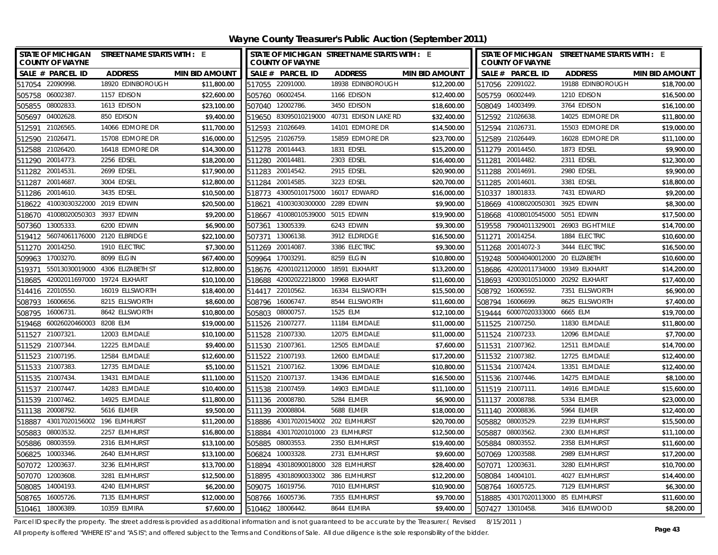| STATE OF MICHIGAN STREET NAME STARTS WITH : E<br><b>COUNTY OF WAYNE</b> |             | <b>COUNTY OF WAYNE</b>             | STATE OF MICHIGAN STREET NAME STARTS WITH : E |                       |                   | <b>COUNTY OF WAYNE</b>      | STATE OF MICHIGAN STREET NAME STARTS WITH : E |                       |
|-------------------------------------------------------------------------|-------------|------------------------------------|-----------------------------------------------|-----------------------|-------------------|-----------------------------|-----------------------------------------------|-----------------------|
| SALE # PARCEL ID<br><b>ADDRESS</b><br><b>MIN BID AMOUNT</b>             |             | SALE # PARCEL ID                   | <b>ADDRESS</b>                                | <b>MIN BID AMOUNT</b> | SALE # PARCEL ID  |                             | <b>ADDRESS</b>                                | <b>MIN BID AMOUNT</b> |
| 517054 22090998.<br>18920 EDINBOROUGH                                   | \$11,800.00 | 517055 22091000.                   | 18938 EDINBOROUGH                             | \$12,200.00           | 517056 22091022.  |                             | 19188 EDINBOROUGH                             | \$18,700.00           |
| 505758 06002387.<br>1157 EDISON                                         | \$22,600.00 | 505760 06002454.                   | 1166 EDISON                                   | \$12,400.00           | 505759 06002449.  |                             | 1210 EDISON                                   | \$16,500.00           |
| 505855 08002833.<br>1613 EDISON                                         | \$23,100.00 | 507040 12002786.                   | 3450 EDISON                                   | \$18,600.00           | 508049 14003499.  |                             | 3764 EDISON                                   | \$16,100.00           |
| 505697 04002628.<br>850 EDISON                                          | \$9,400.00  |                                    | 519650 83095010219000 40731 EDISON LAKE RD    | \$32,400.00           | 512592 21026638.  |                             | 14025 EDMORE DR                               | \$11,800.00           |
| 21026565<br>14066 EDMORE DR<br>512591                                   | \$11,700.00 | 512593 21026649.                   | 14101 EDMORE DR                               | \$14,500.00           | 512594 21026731   |                             | 15503 EDMORE DR                               | \$19,000.00           |
| 21026471<br>15708 EDMORE DR<br>512590                                   | \$16,000.00 | 512595 21026759.                   | 15859 EDMORE DR                               | \$23,700.00           | 512589 21026449.  |                             | 16028 EDMORE DR                               | \$11,100.00           |
| 16418 EDMORE DR<br>512588<br>21026420                                   | \$14,300.00 | 511278 20014443.                   | 1831 EDSEL                                    | \$15,200.00           | 511279 20014450.  |                             | 1873 EDSEL                                    | \$9,900.00            |
| 511290 20014773.<br>2256 EDSEL                                          | \$18,200.00 | 511280 20014481                    | 2303 EDSEL                                    | \$16,400.00           | 511281 20014482.  |                             | 2311 EDSEL                                    | \$12,300.00           |
| 20014531<br>2699 EDSEL<br>511282                                        | \$17,900.00 | 20014542.<br>511283                | 2915 EDSEL                                    | \$20,900.00           | 511288 20014691.  |                             | 2980 EDSEL                                    | \$9,900.00            |
| 511287<br>20014687<br>3004 EDSEL                                        | \$12,800.00 | 511284<br>20014585.                | 3223 EDSEL                                    | \$20,700.00           | 511285 20014601.  |                             | 3381 EDSEL                                    | \$18,800.00           |
| 511286 20014610.<br>3435 EDSEL                                          | \$10,500.00 | 518773 43005010175000              | 16017 EDWARD                                  | \$16,000.00           | 510337 18001833.  |                             | 7431 EDWARD                                   | \$9,200.00            |
| 518622 41003030322000 2019 EDWIN                                        | \$20,500.00 | 41003030300000<br>518621           | 2289 EDWIN                                    | \$9,900.00            |                   | 518669 41008020050301       | 3925 EDWIN                                    | \$8,300.00            |
| 3937 EDWIN<br>41008020050303<br>518670                                  | \$9,200.00  | 41008010539000<br>518667           | 5015 EDWIN                                    | \$19,900.00           |                   | 518668 41008010545000       | 5051 EDWIN                                    | \$17,500.00           |
| 13005333.<br>6200 EDWIN<br>507360                                       | \$6,900.00  | 13005339.<br>507361                | 6243 EDWIN                                    | \$9,300.00            |                   | 519558 79004011329001       | 26903 EIGHT MILE                              | \$14,700.00           |
| 519412 56074061176000 2120 ELBRIDGE                                     | \$22,100.00 | 13006138.<br>507371                | 3912 ELDRIDGE                                 | \$16,500.00           | 511271 20014254.  |                             | 1884 ELECTRIC                                 | \$10,600.00           |
| 511270 20014250.<br>1910 ELECTRIC                                       | \$7,300.00  | 511269 20014087.                   | 3386 ELECTRIC                                 | \$9,300.00            | 511268 20014072-3 |                             | 3444 ELECTRIC                                 | \$16,500.00           |
| 17003270.<br>8099 ELGIN<br>509963                                       | \$67,400.00 | 17003291<br>509964                 | 8259 ELGIN                                    | \$10,800.00           | 519248            | 50004040012000 20 ELIZABETH |                                               | \$10,600.00           |
| 55013030019000 4306 ELIZABETH ST<br>519371                              | \$12,800.00 | 42001021120000<br>518676           | 18591 ELKHART                                 | \$13,200.00           | 518686            |                             | 42002011734000 19349 ELKHART                  | \$14,200.00           |
| 42002011697000 19724 ELKHART<br>518685                                  | \$10,100.00 | 42002022218000<br>518688           | 19968 ELKHART                                 | \$11,600.00           |                   |                             | 518693 42003010510000 20292 ELKHART           | \$17,400.00           |
| 514416 22010550.<br>16019 ELLSWORTH                                     | \$18,400.00 | 514417 22010562.                   | 16334 ELLSWORTH                               | \$15,500.00           | 508792 16006592.  |                             | 7351 ELLSWORTH                                | \$6,900.00            |
| 508793<br>16006656.<br>8215 ELLSWORTH                                   | \$8,600.00  | 16006747.<br>508796                | 8544 ELLSWORTH                                | \$11,600.00           | 508794            | 16006699.                   | 8625 ELLSWORTH                                | \$7,400.00            |
| 508795<br>16006731<br>8642 ELLSWORTH                                    | \$10,800.00 | 505803 08000757                    | 1525 ELM                                      | \$12,100.00           |                   | 519444 60007020333000       | 6665 ELM                                      | \$19,700.00           |
| 519468 60026020460003 8208 ELM                                          | \$19,000.00 | 511526 21007277.                   | 11184 ELMDALE                                 | \$11,000.00           | 511525 21007250.  |                             | 11830 ELMDALE                                 | \$11,800.00           |
| 12003 ELMDALE<br>511527 21007321                                        | \$10,100.00 | 511528 21007330.                   | 12075 ELMDALE                                 | \$11,000.00           | 511524 21007233.  |                             | 12096 ELMDALE                                 | \$7,700.00            |
| 511529 21007344.<br>12225 ELMDALE                                       | \$9,400.00  | 511530 21007361                    | 12505 ELMDALE                                 | \$7,600.00            | 511531 21007362.  |                             | 12511 ELMDALE                                 | \$14,700.00           |
| 511523 21007195.<br>12584 ELMDALE                                       | \$12,600.00 | 511522 21007193.                   | 12600 ELMDALE                                 | \$17,200.00           | 511532 21007382.  |                             | 12725 ELMDALE                                 | \$12,400.00           |
| 511533 21007383.<br>12735 ELMDALE                                       | \$5,100.00  | 511521 21007162.                   | 13096 ELMDALE                                 | \$10,800.00           | 511534 21007424.  |                             | 13351 ELMDALE                                 | \$12,400.00           |
| 13431 ELMDALE<br>511535 21007434.                                       | \$11,100.00 | 511520 21007137                    | 13436 ELMDALE                                 | \$16,500.00           | 511536 21007446.  |                             | 14275 ELMDALE                                 | \$8,100.00            |
| 511537 21007447<br>14283 ELMDALE                                        | \$10,400.00 | 511538 21007459.                   | 14903 ELMDALE                                 | \$11,100.00           | 511519 21007111.  |                             | 14916 ELMDALE                                 | \$15,600.00           |
| 511539 21007462<br>14925 ELMDALE                                        | \$11,800.00 | 511136 20008780.                   | 5284 ELMER                                    | \$6,900.00            | 511137 20008788.  |                             | 5334 ELMER                                    | \$23,000.00           |
| 511138 20008792.<br>5616 ELMER                                          | \$9,500.00  | 511139 20008804                    | 5688 ELMER                                    | \$18,000.00           | 511140 20008836.  |                             | 5964 ELMER                                    | \$12,400.00           |
| 518887<br>43017020156002 196 ELMHURST                                   | \$11,200.00 | 518886 43017020154002 202 ELMHURST |                                               | \$20,700.00           | 505882 08003529.  |                             | 2239 ELMHURST                                 | \$15,500.00           |
| 08003532<br>505883<br>2257 ELMHURST                                     | \$16,800.00 | 518884                             | 43017020101000 23 ELMHURST                    | \$12,500.00           | 505887 08003562.  |                             | 2300 ELMHURST                                 | \$11,100.00           |
| 505886 08003559.<br>2316 ELMHURST                                       | \$13,100.00 | 505885 08003553.                   | 2350 ELMHURST                                 | \$19,400.00           | 505884 08003552.  |                             | 2358 ELMHURST                                 | \$11,600.00           |
| 506825 10003346.<br>2640 ELMHURST                                       | \$13,100.00 | 10003328<br>506824                 | 2731 ELMHURST                                 | \$9,600.00            | 507069 12003588.  |                             | 2989 ELMHURST                                 | \$17,200.00           |
| 3236 ELMHURST<br>507072<br>12003637                                     | \$13,700.00 | 518894                             | 43018090018000 328 ELMHURST                   | \$28,400.00           | 507071            | 12003631                    | 3280 ELMHURST                                 | \$10,700.00           |
| 12003608<br>3281 ELMHURST<br>507070                                     | \$12,500.00 | 43018090033002<br>518895           | 386 ELMHURST                                  | \$12,200.00           | 508084            | 14004101.                   | 4027 ELMHURST                                 | \$14,400.00           |
| 14004193.<br>4240 ELMHURST<br>508085                                    | \$6,200.00  | 16019756.<br>509075                | 7010 ELMHURST                                 | \$10,900.00           | 508764            | 16005725.                   | 7129 ELMHURST                                 | \$6,300.00            |
| 508765 16005726.<br>7135 ELMHURST                                       | \$12,000.00 | 16005736.<br>508766                | 7355 ELMHURST                                 | \$9,700.00            | 518885            | 43017020113000 85 ELMHURST  |                                               | \$11,600.00           |
| 510461 18006389.<br>10359 ELMIRA                                        | \$7,600.00  | 510462 18006442.                   | 8644 ELMIRA                                   | \$9,400.00            | 507427            | 13010458.                   | 3416 ELMWOOD                                  | \$8,200.00            |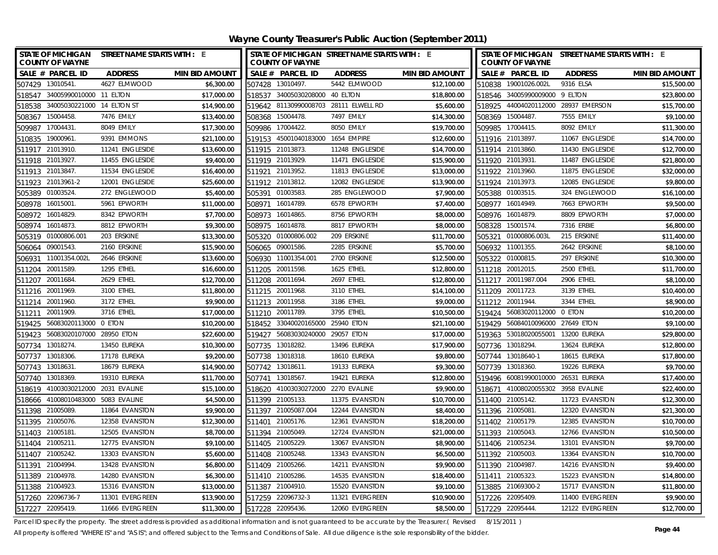**Wayne County Treasurer's Public Auction (September 2011)**

|                   | <b>COUNTY OF WAYNE</b>             | STATE OF MICHIGAN STREET NAME STARTS WITH : E |                       |        | <b>COUNTY OF WAYNE</b>             | STATE OF MICHIGAN STREET NAME STARTS WITH : E |                       |                  | <b>COUNTY OF WAYNE</b>             | STATE OF MICHIGAN STREET NAME STARTS WITH : E |                       |
|-------------------|------------------------------------|-----------------------------------------------|-----------------------|--------|------------------------------------|-----------------------------------------------|-----------------------|------------------|------------------------------------|-----------------------------------------------|-----------------------|
|                   | SALE # PARCEL ID                   | <b>ADDRESS</b>                                | <b>MIN BID AMOUNT</b> |        | SALE # PARCEL ID                   | <b>ADDRESS</b>                                | <b>MIN BID AMOUNT</b> |                  | SALE # PARCEL ID                   | <b>ADDRESS</b>                                | <b>MIN BID AMOUNT</b> |
| 507429 13010541.  |                                    | 4627 ELMWOOD                                  | \$6,300.00            |        | 507428 13010497.                   | 5442 ELMWOOD                                  | \$12,100.00           |                  | 510838 19001026.002L               | 9316 ELSA                                     | \$15,500.00           |
|                   | 518547 34005990010000 11 ELTON     |                                               | \$17,000.00           |        | 518537 34005030208000 40 ELTON     |                                               | \$18,800.00           |                  | 518546 34005990009000              | 9 FITON                                       | \$23,800.00           |
|                   | 518538 34005030221000 14 ELTON ST  |                                               | \$14,900.00           |        |                                    | 519642 81130990008703 28111 ELWELL RD         | \$5,600.00            |                  |                                    | 518925 44004020112000 28937 EMERSON           | \$15,700.00           |
| 508367 15004458.  |                                    | 7476 EMILY                                    | \$13,400.00           |        | 508368 15004478.                   | 7497 EMILY                                    | \$14,300.00           |                  | 508369 15004487.                   | 7555 EMILY                                    | \$9,100.00            |
| 509987 17004431.  |                                    | 8049 EMILY                                    | \$17,300.00           |        | 509986 17004422.                   | 8050 EMILY                                    | \$19,700.00           |                  | 509985 17004415.                   | 8092 EMILY                                    | \$11,300.00           |
| 510835            | 19000961.                          | 9391 EMMONS                                   | \$21,100.00           |        | 519153 45001040183000 1654 EMPIRE  |                                               | \$12,600.00           |                  | 511916 21013897.                   | 11067 ENGLESIDE                               | \$14,700.00           |
| 511917 21013910.  |                                    | 11241 ENGLESIDE                               | \$13,600.00           |        | 511915 21013873.                   | 11248 ENGLESIDE                               | \$14,700.00           |                  | 511914 21013860.                   | 11430 ENGLESIDE                               | \$12,700.00           |
| 511918 21013927.  |                                    | 11455 ENGLESIDE                               | \$9,400.00            |        | 511919 21013929.                   | 11471 ENGLESIDE                               | \$15,900.00           |                  | 511920 21013931.                   | 11487 ENGLESIDE                               | \$21,800.00           |
| 511913 21013847.  |                                    | 11534 ENGLESIDE                               | \$16,400.00           | 511921 | 21013952                           | 11813 ENGLESIDE                               | \$13,000.00           |                  | 511922 21013960.                   | 11875 ENGLESIDE                               | \$32,000.00           |
|                   | 511923 21013961-2                  | 12001 ENGLESIDE                               | \$25,600.00           |        | 511912 21013812.                   | 12082 ENGLESIDE                               | \$13,900.00           |                  | 511924 21013973.                   | 12085 ENGLESIDE                               | \$9,800.00            |
| 505389 01003524.  |                                    | 272 ENGLEWOOD                                 | \$5,400.00            |        | 505391 01003583.                   | 285 ENGLEWOOD                                 | \$7,900.00            |                  | 505388 01003515.                   | 324 ENGLEWOOD                                 | \$16,100.00           |
| 508978            | 16015001                           | 5961 EPWORTH                                  | \$11,000.00           | 508971 | 16014789                           | 6578 EPWORTH                                  | \$7,400.00            |                  | 508977 16014949.                   | 7663 EPWORTH                                  | \$9,500.00            |
| 508972            | 16014829.                          | 8342 EPWORTH                                  | \$7,700.00            | 508973 | 16014865                           | 8756 EPWORTH                                  | \$8,000.00            |                  | 508976 16014879.                   | 8809 EPWORTH                                  | \$7,000.00            |
| 508974            | 16014873.                          | 8812 EPWORTH                                  | \$9,300.00            | 508975 | 16014878                           | 8817 EPWORTH                                  | \$8,000.00            | 508328           | 15001574.                          | 7316 ERBIE                                    | \$6,800.00            |
|                   | 505319 01000806.001                | 203 ERSKINE                                   | \$13,300.00           | 505320 | 01000806.002                       | 209 ERSKINE                                   | \$11,700.00           | 505321           | 01000806.003L                      | 215 ERSKINE                                   | \$11,400.00           |
| 506064 09001543.  |                                    | 2160 ERSKINE                                  | \$15,900.00           | 506065 | 09001586                           | 2285 ERSKINE                                  | \$5,700.00            |                  | 506932 11001355.                   | 2642 ERSKINE                                  | \$8,100.00            |
| 506931            | 11001354.002L                      | 2646 ERSKINE                                  | \$13,600.00           |        | 506930 11001354.001                | 2700 ERSKINE                                  | \$12,500.00           |                  | 505322 01000815.                   | 297 ERSKINE                                   | \$10,300.00           |
| 511204 20011589.  |                                    | 1295 ETHEL                                    | \$16,600.00           |        | 511205 20011598.                   | 1625 ETHEL                                    | \$12,800.00           |                  | 511218 20012015.                   | 2500 ETHEL                                    | \$11,700.00           |
| 511207 20011684.  |                                    | 2629 ETHEL                                    | \$12,700.00           |        | 511208 20011694.                   | 2697 ETHEL                                    | \$12,800.00           |                  | 511217 20011987.004                | 2906 ETHEL                                    | \$8,100.00            |
| 511216 20011969.  |                                    | 3100 ETHEL                                    | \$11,800.00           |        | 511215 20011968.                   | 3110 ETHEL                                    | \$14,100.00           |                  | 511209 20011723.                   | 3139 ETHEL                                    | \$10,400.00           |
| 511214 20011960.  |                                    | 3172 ETHEL                                    | \$9,900.00            |        | 511213 20011958.                   | 3186 ETHEL                                    | \$9,000.00            |                  | 511212 20011944.                   | 3344 ETHEL                                    | \$8,900.00            |
| 511211 20011909.  |                                    | 3716 ETHEL                                    | \$17,000.00           |        | 511210 20011789.                   | 3795 ETHEL                                    | \$10,500.00           |                  | 519424 56083020112000              | 0 ETON                                        | \$10,200.00           |
|                   | 519425 56083020113000 0 ETON       |                                               | \$10,200.00           |        | 518452 33040020165000              | 25940 ETON                                    | \$21,100.00           |                  | 519429 56084010096000 27649 ETON   |                                               | \$9,100.00            |
|                   | 519423 56083020107000 28950 ETON   |                                               | \$22,600.00           |        | 519427 56083030240000              | 29057 ETON                                    | \$17,000.00           |                  | 519363 53018020055001              | 13200 EUREKA                                  | \$29,800.00           |
| 507734 13018274.  |                                    | 13450 EUREKA                                  | \$10,300.00           |        | 507735 13018282.                   | 13496 EUREKA                                  | \$17,900.00           |                  | 507736 13018294.                   | 13624 EUREKA                                  | \$12,800.00           |
| 507737 13018306.  |                                    | 17178 EUREKA                                  | \$9,200.00            |        | 507738 13018318.                   | 18610 EUREKA                                  | \$9,800.00            |                  | 507744 13018640-1                  | 18615 EUREKA                                  | \$17,800.00           |
| 507743 13018631.  |                                    | 18679 EUREKA                                  | \$14,900.00           |        | 507742 13018611.                   | 19133 EUREKA                                  | \$9,300.00            |                  | 507739 13018360.                   | 19226 EUREKA                                  | \$9,700.00            |
| 507740 13018369.  |                                    | 19310 EUREKA                                  | \$11,700.00           |        | 507741 13018567.                   | 19421 EUREKA                                  | \$12,800.00           |                  | 519496 60081990010000 26531 EUREKA |                                               | \$17,400.00           |
|                   | 518619 41003030212000 2031 EVALINE |                                               | \$15,100.00           |        | 518620 41003030272000 2270 EVALINE |                                               | \$9,900.00            |                  | 518671 41008020055302              | 3958 EVALINE                                  | \$22,400.00           |
|                   | 518666 41008010483000 5083 EVALINE |                                               | \$4,500.00            |        | 511399 21005133.                   | 11375 EVANSTON                                | \$10,700.00           |                  | 511400 21005142.                   | 11723 EVANSTON                                | \$12,300.00           |
| 511398 21005089.  |                                    | 11864 EVANSTON                                | \$9,900.00            |        | 511397 21005087.004                | 12244 EVANSTON                                | \$8,400.00            |                  | 511396 21005081.                   | 12320 EVANSTON                                | \$21,300.00           |
| 511395 21005076.  |                                    | 12358 EVANSTON                                | \$12,300.00           |        | 511401 21005176.                   | 12361 EVANSTON                                | \$18,200.00           |                  | 511402 21005179.                   | 12385 EVANSTON                                | \$10,700.00           |
| 511403 21005181.  |                                    | 12505 EVANSTON                                | \$8,700.00            |        | 511394 21005049                    | 12724 EVANSTON                                | \$21,000.00           |                  | 511393 21005043.                   | 12766 EVANSTON                                | \$10,500.00           |
| 511404 21005211.  |                                    | 12775 EVANSTON                                | \$9,100.00            |        | 511405 21005229                    | 13067 EVANSTON                                | \$8,900.00            | 511406 21005234. |                                    | 13101 EVANSTON                                | \$9,700.00            |
| 511407 21005242.  |                                    | 13303 EVANSTON                                | \$5,600.00            |        | 511408 21005248.                   | 13343 EVANSTON                                | \$6,500.00            |                  | 511392 21005003.                   | 13364 EVANSTON                                | \$10,700.00           |
| 511391            | 21004994.                          | 13428 EVANSTON                                | \$6,800.00            |        | 511409 21005266                    | 14211 EVANSTON                                | \$9,900.00            |                  | 511390 21004987                    | 14216 EVANSTON                                | \$9,400.00            |
| 511389 21004978.  |                                    | 14280 EVANSTON                                | \$6,300.00            |        | 511410 21005286.                   | 14535 EVANSTON                                | \$18,400.00           |                  | 511411 21005323.                   | 15223 EVANSTON                                | \$14,800.00           |
| 511388 21004923.  |                                    | 15316 EVANSTON                                | \$13,000.00           |        | 511387 21004910.                   | 15520 EVANSTON                                | \$9,100.00            |                  | 513885 21069300-2                  | 15717 EVANSTON                                | \$11,800.00           |
| 517260 22096736-7 |                                    | 11301 EVERGREEN                               | \$13,900.00           |        | 517259 22096732-3                  | 11321 EVERGREEN                               | \$10,900.00           |                  | 517226 22095409.                   | 11400 EVERGREEN                               | \$9,900.00            |
| 517227 22095419.  |                                    | 11666 EVERGREEN                               | \$11.300.00           |        | 517228 22095436.                   | 12060 EVERGREEN                               | \$8,500.00            |                  | 517229 22095444.                   | 12122 EVERGREEN                               | \$12,700.00           |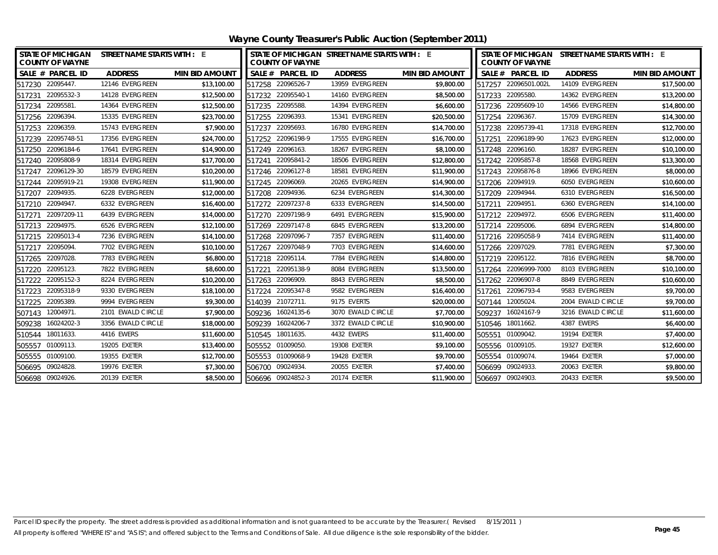| Wayne County Treasurer's Public Auction (September 2011) |
|----------------------------------------------------------|
|----------------------------------------------------------|

| <b>COUNTY OF WAYNE</b> | STATE OF MICHIGAN STREET NAME STARTS WITH : E |                       | <b>COUNTY OF WAYNE</b> | STATE OF MICHIGAN STREET NAME STARTS WITH : E |                       | STATE OF MICHIGAN STREET NAME STARTS WITH : E<br><b>COUNTY OF WAYNE</b> |                   |                       |
|------------------------|-----------------------------------------------|-----------------------|------------------------|-----------------------------------------------|-----------------------|-------------------------------------------------------------------------|-------------------|-----------------------|
| SALE # PARCEL ID       | <b>ADDRESS</b>                                | <b>MIN BID AMOUNT</b> | SALE # PARCEL ID       | <b>ADDRESS</b>                                | <b>MIN BID AMOUNT</b> | SALE # PARCEL ID                                                        | <b>ADDRESS</b>    | <b>MIN BID AMOUNT</b> |
| 517230 22095447.       | 12146 EVERGREEN                               | \$13,100.00           | 517258 22096526-7      | 13959 EVERGREEN                               | \$9,800.00            | 517257 22096501.002L                                                    | 14109 EVERGREEN   | \$17,500.00           |
| 22095532-3<br>517231   | 14128 EVERGREEN                               | \$12,500.00           | 517232 22095540-1      | 14160 EVERGREEN                               | \$8,500.00            | 517233 22095580.                                                        | 14362 EVERGREEN   | \$13,200.00           |
| 22095581.<br>517234    | 14364 EVERGREEN                               | \$12,500.00           | 517235 22095588.       | 14394 EVERGREEN                               | \$6,600.00            | 517236 22095609-10                                                      | 14566 EVERGREEN   | \$14,800.00           |
| 517256 22096394.       | 15335 EVERGREEN                               | \$23,700.00           | 517255 22096393.       | 15341 EVERGREEN                               | \$20,500.00           | 517254 22096367.                                                        | 15709 EVERGREEN   | \$14,300.00           |
| 517253 22096359.       | 15743 EVERGREEN                               | \$7,900.00            | 22095693.<br>517237    | 16780 EVERGREEN                               | \$14,700.00           | 517238 22095739-41                                                      | 17318 EVERGREEN   | \$12,700.00           |
| 517239 22095748-51     | 17356 EVERGREEN                               | \$24,700.00           | 517252 22096198-9      | 17555 EVERGREEN                               | \$16,700.00           | 517251 22096189-90                                                      | 17623 EVERGREEN   | \$12,000.00           |
| 22096184-6<br>517250   | 17641 EVERGREEN                               | \$14,900.00           | 517249 22096163.       | 18267 EVERGREEN                               | \$8,100.00            | 517248 22096160.                                                        | 18287 EVERGREEN   | \$10,100.00           |
| 22095808-9<br>517240   | 18314 EVERGREEN                               | \$17,700.00           | 22095841-2<br>517241   | 18506 EVERGREEN                               | \$12,800.00           | 517242 22095857-8                                                       | 18568 EVERGREEN   | \$13,300.00           |
| 517247 22096129-30     | 18579 EVERGREEN                               | \$10,200.00           | 517246 22096127-8      | 18581 EVERGREEN                               | \$11,900.00           | 517243 22095876-8                                                       | 18966 EVERGREEN   | \$8,000.00            |
| 22095919-21<br>517244  | 19308 EVERGREEN                               | \$11,900.00           | 22096069.<br>517245    | 20265 EVERGREEN                               | \$14,900.00           | 517206 22094919.                                                        | 6050 EVERGREEN    | \$10,600.00           |
| 517207 22094935.       | 6228 EVERGREEN                                | \$12,000.00           | 517208 22094936.       | 6234 EVERGREEN                                | \$14,300.00           | 517209 22094944.                                                        | 6310 EVERGREEN    | \$16,500.00           |
| 22094947<br>517210     | 6332 EVERGREEN                                | \$16,400.00           | 517272 22097237-8      | 6333 EVERGREEN                                | \$14,500.00           | 517211 22094951.                                                        | 6360 EVERGREEN    | \$14,100.00           |
| 22097209-11<br>517271  | 6439 EVERGREEN                                | \$14,000.00           | 517270 22097198-9      | 6491 EVERGREEN                                | \$15,900.00           | 517212 22094972.                                                        | 6506 EVERGREEN    | \$11,400.00           |
| 517213 22094975.       | 6526 EVERGREEN                                | \$12,100.00           | 517269 22097147-8      | 6845 EVERGREEN                                | \$13,200.00           | 517214 22095006.                                                        | 6894 EVERGREEN    | \$14,800.00           |
| 517215 22095013-4      | 7236 EVERGREEN                                | \$14,100.00           | 517268 22097096-7      | 7357 EVERGREEN                                | \$11,400.00           | 517216 22095058-9                                                       | 7414 EVERGREEN    | \$11,400.00           |
| 22095094<br>517217     | 7702 EVERGREEN                                | \$10,100.00           | 22097048-9<br>517267   | 7703 EVERGREEN                                | \$14,600.00           | 517266 22097029.                                                        | 7781 EVERGREEN    | \$7,300.00            |
| 22097028<br>517265     | 7783 EVERGREEN                                | \$6,800.00            | 517218 22095114.       | 7784 EVERGREEN                                | \$14,800.00           | 517219 22095122.                                                        | 7816 EVERGREEN    | \$8,700.00            |
| 22095123<br>517220     | 7822 EVERGREEN                                | \$8,600.00            | 22095138-9<br>517221   | 8084 EVERGREEN                                | \$13,500.00           | 517264 22096999-7000                                                    | 8103 EVERGREEN    | \$10,100.00           |
| 517222 22095152-3      | 8224 EVERGREEN                                | \$10,200.00           | 517263 22096909.       | 8843 EVERGREEN                                | \$8,500.00            | 517262 22096907-8                                                       | 8849 EVERGREEN    | \$10,600.00           |
| 22095318-9<br>517223   | 9330 EVERGREEN                                | \$18,100.00           | 22095347-8<br>517224   | 9582 EVERGREEN                                | \$16,400.00           | 517261 22096793-4                                                       | 9583 EVERGREEN    | \$9,700.00            |
| 517225 22095389.       | 9994 EVERGREEN                                | \$9,300.00            | 514039 21072711.       | 9175 EVERTS                                   | \$20,000.00           | 507144 12005024.                                                        | 2004 EWALD CIRCLE | \$9,700.00            |
| 507143 12004971.       | 2101 EWALD CIRCLE                             | \$7,900.00            | 509236 16024135-6      | 3070 EWALD CIRCLE                             | \$7,700.00            | 16024167-9<br>509237                                                    | 3216 EWALD CIRCLE | \$11,600.00           |
| 16024202-3<br>509238   | 3356 EWALD CIRCLE                             | \$18,000.00           | 16024206-7<br>509239   | 3372 EWALD CIRCLE                             | \$10,900.00           | 510546 18011662.                                                        | 4387 EWERS        | \$6,400.00            |
| 510544 18011633.       | 4416 EWERS                                    | \$11,600.00           | 510545 18011635.       | 4432 EWERS                                    | \$11,400.00           | 505551 01009042.                                                        | 19194 EXETER      | \$7,400.00            |
| 505557 01009113.       | 19205 EXETER                                  | \$13,400.00           | 505552 01009050.       | 19308 EXETER                                  | \$9,100.00            | 505556 01009105.                                                        | 19327 EXETER      | \$12,600.00           |
| 505555 01009100.       | 19355 EXETER                                  | \$12,700.00           | 505553 01009068-9      | 19428 EXETER                                  | \$9,700.00            | 505554 01009074.                                                        | 19464 EXETER      | \$7,000.00            |
| 506695 09024828.       | 19976 EXETER                                  | \$7,300.00            | 506700 09024934.       | 20055 EXETER                                  | \$7,400.00            | 506699 09024933.                                                        | 20063 EXETER      | \$9,800.00            |
| 506698 09024926.       | 20139 EXETER                                  | \$8,500.00            | 506696 09024852-3      | 20174 EXETER                                  | \$11,900.00           | 506697 09024903.                                                        | 20433 EXETER      | \$9,500.00            |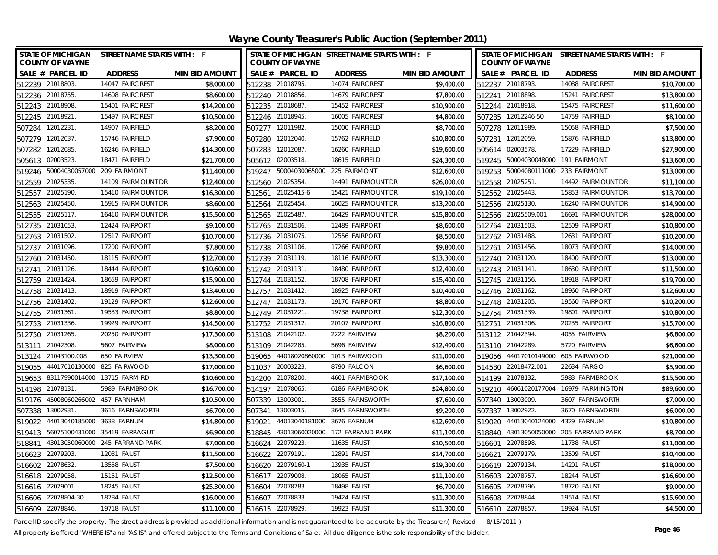| STATE OF MICHIGAN STREET NAME STARTS WITH : F<br><b>COUNTY OF WAYNE</b> |                                 |                       |        | <b>COUNTY OF WAYNE</b>             | STATE OF MICHIGAN STREET NAME STARTS WITH : F |                       |        | <b>COUNTY OF WAYNE</b>             | STATE OF MICHIGAN STREET NAME STARTS WITH : F |                       |
|-------------------------------------------------------------------------|---------------------------------|-----------------------|--------|------------------------------------|-----------------------------------------------|-----------------------|--------|------------------------------------|-----------------------------------------------|-----------------------|
| SALE # PARCEL ID                                                        | <b>ADDRESS</b>                  | <b>MIN BID AMOUNT</b> |        | SALE # PARCEL ID                   | <b>ADDRESS</b>                                | <b>MIN BID AMOUNT</b> |        | SALE # PARCEL ID                   | <b>ADDRESS</b>                                | <b>MIN BID AMOUNT</b> |
| 512239 21018803.                                                        | 14047 FAIRCREST                 | \$8,000.00            |        | 512238 21018795.                   | 14074 FAIRCREST                               | \$9,400.00            |        | 512237 21018793.                   | 14088 FAIRCREST                               | \$10,700.00           |
| 512236 21018755.                                                        | 14608 FAIRCREST                 | \$8,600.00            |        | 512240 21018856.                   | 14679 FAIRCREST                               | \$7,800.00            |        | 512241 21018898.                   | 15241 FAIRCREST                               | \$13,800.00           |
| 512243 21018908.                                                        | 15401 FAIRCREST                 | \$14,200.00           |        | 512235 21018687                    | 15452 FAIRCREST                               | \$10,900.00           |        | 512244 21018918.                   | 15475 FAIRCREST                               | \$11,600.00           |
| 512245 21018921.                                                        | 15497 FAIRCREST                 | \$10,500.00           |        | 512246 21018945.                   | 16005 FAIRCREST                               | \$4,800.00            |        | 507285 12012246-50                 | 14759 FAIRFIELD                               | \$8,100.00            |
| 507284 12012231                                                         | 14907 FAIRFIELD                 | \$8,200.00            |        | 507277 12011982                    | 15000 FAIRFIELD                               | \$8,700.00            |        | 507278 12011989.                   | 15058 FAIRFIELD                               | \$7,500.00            |
| 12012037.<br>507279                                                     | 15746 FAIRFIELD                 | \$7,900.00            |        | 507280 12012040.                   | 15762 FAIRFIELD                               | \$10,800.00           |        | 507281 12012059.                   | 15876 FAIRFIELD                               | \$13,800.00           |
| 507282 12012085.                                                        | 16246 FAIRFIELD                 | \$14,300.00           |        | 507283 12012087                    | 16260 FAIRFIELD                               | \$19,600.00           |        | 505614 02003578.                   | 17229 FAIRFIELD                               | \$27,900.00           |
| 505613 02003523.                                                        | 18471 FAIRFIELD                 | \$21,700.00           |        | 505612 02003518.                   | 18615 FAIRFIELD                               | \$24,300.00           |        | 519245 50004030048000 191 FAIRMONT |                                               | \$13,600.00           |
| 519246 50004030057000 209 FAIRMONT                                      |                                 | \$11,400.00           |        | 519247 50004030065000 225 FAIRMONT |                                               | \$12,600.00           |        | 519253 50004080111000 233 FAIRMONT |                                               | \$13,000.00           |
| 512559 21025335.                                                        | 14109 FAIRMOUNT DR              | \$12,400.00           |        | 512560 21025354.                   | 14491 FAIRMOUNT DR                            | \$26,000.00           |        | 512558 21025251.                   | 14492 FAIRMOUNT DR                            | \$11,100.00           |
| 512557 21025190                                                         | 15410 FAIRMOUNT DR              | \$16,300.00           |        | 512561 21025415-6                  | 15421 FAIRMOUNT DR                            | \$19,100.00           |        | 512562 21025443.                   | 15853 FAIRMOUNT DR                            | \$13,700.00           |
| 512563 21025450                                                         | 15915 FAIRMOUNT DR              | \$8,600.00            |        | 512564 21025454.                   | 16025 FAIRMOUNT DR                            | \$13,200.00           |        | 512556 21025130.                   | 16240 FAIRMOUNT DR                            | \$14,900.00           |
| 21025117.<br>512555                                                     | 16410 FAIRMOUNT DR              | \$15,500.00           |        | 512565 21025487                    | 16429 FAIRMOUNT DR                            | \$15,800.00           |        | 512566 21025509.001                | 16691 FAIRMOUNT DR                            | \$28,000.00           |
| 21031053<br>512735                                                      | 12424 FAIRPORT                  | \$9,100.00            |        | 512765 21031506                    | 12489 FAIRPORT                                | \$8,600.00            |        | 512764 21031503.                   | 12509 FAIRPORT                                | \$10,800.00           |
| 512763 21031502                                                         | 12517 FAIRPORT                  | \$10,700.00           |        | 512736 21031075                    | 12556 FAIRPORT                                | \$8,500.00            |        | 512762 21031488.                   | 12631 FAIRPORT                                | \$10,200.00           |
| 512737 21031096.                                                        | 17200 FAIRPORT                  | \$7,800.00            |        | 512738 21031106.                   | 17266 FAIRPORT                                | \$9,800.00            |        | 512761 21031456.                   | 18073 FAIRPORT                                | \$14,000.00           |
| 21031450.<br>512760                                                     | 18115 FAIRPORT                  | \$12,700.00           |        | 512739 21031119.                   | 18116 FAIRPORT                                | \$13,300.00           |        | 512740 21031120.                   | 18400 FAIRPORT                                | \$13,000.00           |
| 21031126.<br>512741                                                     | 18444 FAIRPORT                  | \$10,600.00           |        | 512742 21031131.                   | 18480 FAIRPORT                                | \$12,400.00           |        | 512743 21031141.                   | 18630 FAIRPORT                                | \$11,500.00           |
| 512759 21031424                                                         | 18659 FAIRPORT                  | \$15,900.00           |        | 512744 21031152.                   | 18708 FAIRPORT                                | \$15,400.00           |        | 512745 21031156.                   | 18918 FAIRPORT                                | \$19,700.00           |
| 512758 21031413.                                                        | 18919 FAIRPORT                  | \$13,400.00           |        | 512757 21031412.                   | 18925 FAIRPORT                                | \$10,400.00           |        | 512746 21031162.                   | 18960 FAIRPORT                                | \$12,600.00           |
| 21031402.<br>512756                                                     | 19129 FAIRPORT                  | \$12,600.00           | 512747 | 21031173.                          | 19170 FAIRPORT                                | \$8,800.00            |        | 512748 21031205.                   | 19560 FAIRPORT                                | \$10,200.00           |
| 512755 21031361                                                         | 19583 FAIRPORT                  | \$8,800.00            |        | 512749 21031221.                   | 19738 FAIRPORT                                | \$12,300.00           |        | 512754 21031339.                   | 19801 FAIRPORT                                | \$10,800.00           |
| 512753 21031336.                                                        | 19929 FAIRPORT                  | \$14,500.00           |        | 512752 21031312.                   | 20107 FAIRPORT                                | \$16,800.00           |        | 512751 21031306.                   | 20235 FAIRPORT                                | \$15,700.00           |
| 512750 21031265.                                                        | 20250 FAIRPORT                  | \$17,300.00           | 513108 | 21042102                           | 2222 FAIRVIEW                                 | \$8,200.00            |        | 513112 21042394                    | 4055 FAIRVIEW                                 | \$6,800.00            |
| 21042308<br>513111                                                      | 5607 FAIRVIEW                   | \$8,000.00            | 513109 | 21042285.                          | 5696 FAIRVIEW                                 | \$12,400.00           |        | 513110 21042289.                   | 5720 FAIRVIEW                                 | \$6,600.00            |
| 513124 21043100.008                                                     | 650 FAIRVIEW                    | \$13,300.00           |        | 519065 44018020860000              | 1013 FAIRWOOD                                 | \$11,000.00           |        | 519056 44017010149000              | 605 FAIRWOOD                                  | \$21,000.00           |
| 44017010130000 825 FAIRWOOD<br>519055                                   |                                 | \$17,000.00           |        | 511037 20003223                    | 8790 FALCON                                   | \$6,600.00            |        | 514580 22018472.001                | 22634 FARGO                                   | \$5,900.00            |
| 519653 83117990014000 13715 FARM RD                                     |                                 | \$10,600.00           |        | 514200 21078200                    | 4601 FARMBROOK                                | \$17,100.00           |        | 514199 21078132.                   | 5983 FARMBROOK                                | \$15,500.00           |
| 21078131.<br>514198                                                     | 5989 FARMBROOK                  | \$16,700.00           | 514197 | 21078065                           | 6186 FARMBROOK                                | \$24,800.00           | 519210 |                                    | 46061020177004 16979 FARMINGTON               | \$89,600.00           |
| 519176 45008060266002 457 FARNHAM                                       |                                 | \$10,500.00           |        | 507339 13003001                    | 3555 FARNSWORTH                               | \$7,600.00            |        | 507340 13003009.                   | 3607 FARNSWORTH                               | \$7,000.00            |
| 507338 13002931.                                                        | 3616 FARNSWORTH                 | \$6,700.00            |        | 507341 13003015.                   | 3645 FARNSWORTH                               | \$9,200.00            |        | 507337 13002922.                   | 3670 FARNSWORTH                               | \$6,000.00            |
| 44013040185000 3638 FARNUM<br>519022                                    |                                 | \$14,800.00           | 519021 | 44013040181000 3676 FARNUM         |                                               | \$12,600.00           |        | 519020 44013040124000 4329 FARNUM  |                                               | \$10,800.00           |
| 519413                                                                  | 56075100431000 35419 FARRAGUT   | \$6,900.00            | 518845 |                                    | 43013060020000 172 FARRAND PARK               | \$11,100.00           |        | 518840 43013050050000              | 205 FARRAND PARK                              | \$8,700.00            |
| 518841                                                                  | 43013050060000 245 FARRAND PARK | \$7,000.00            |        | 516624 22079223                    | 11635 FAUST                                   | \$10,500.00           |        | 516601 22078598.                   | 11738 FAUST                                   | \$11,000.00           |
| 22079203<br>516623                                                      | 12031 FAUST                     | \$11,500.00           |        | 516622 22079191                    | 12891 FAUST                                   | \$14,700.00           |        | 516621 22079179.                   | 13509 FAUST                                   | \$10,400.00           |
| 22078632.<br>516602                                                     | 13558 FAUST                     | \$7,500.00            | 516620 | 22079160-1                         | 13935 FAUST                                   | \$19,300.00           |        | 516619 22079134                    | 14201 FAUST                                   | \$18,000.00           |
| 516618 22079058.                                                        | 15151 FAUST                     | \$12,500.00           |        | 516617 22079008                    | 18065 FAUST                                   | \$11,100.00           |        | 516603 22078757.                   | 18244 FAUST                                   | \$16,600.00           |
| 516616 22079001                                                         | 18245 FAUST                     | \$25,300.00           |        | 516604 22078783                    | 18498 FAUST                                   | \$6,700.00            |        | 516605 22078796.                   | 18720 FAUST                                   | \$9,000.00            |
| 516606 22078804-30                                                      | 18784 FAUST                     | \$16,000.00           |        | 516607 22078833.                   | 19424 FAUST                                   | \$11,300.00           |        | 516608 22078844.                   | 19514 FAUST                                   | \$15,600.00           |
| 516609 22078846.                                                        | <b>19718 FAUST</b>              | \$11,100.00           |        | 516615 22078929.                   | 19923 FAUST                                   | \$11,300.00           |        | 516610 22078857.                   | 19924 FAUST                                   | \$4,500.00            |

Parcel ID specify the property. The street address is provided as additional information and is not guaranteed to be accurate by the Treasurer.( Revised 8/15/2011 )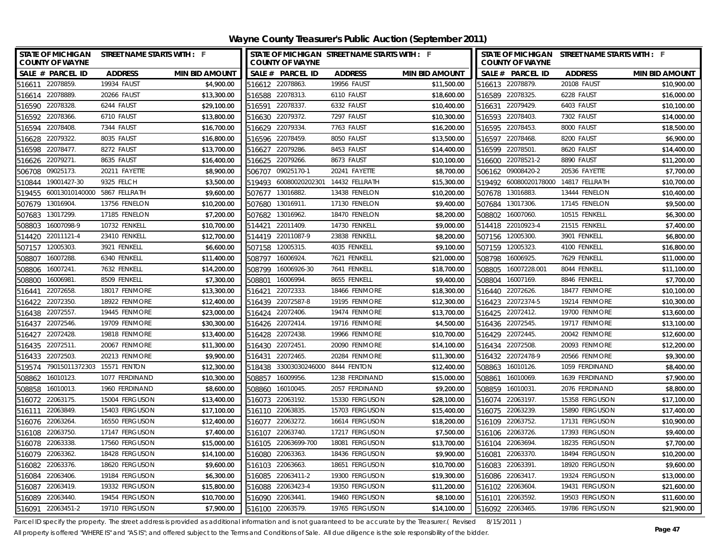**Wayne County Treasurer's Public Auction (September 2011)**

| <b>STATE OF MICHIGAN</b><br><b>COUNTY OF WAYNE</b> | STREET NAME STARTS WITH : F |                       |                 | STATE OF MICHIGAN STREET NAME STARTS WITH : F<br><b>COUNTY OF WAYNE</b> |                |                       |                  | STATE OF MICHIGAN STREET NAME STARTS WITH : F<br><b>COUNTY OF WAYNE</b> |                |                       |  |
|----------------------------------------------------|-----------------------------|-----------------------|-----------------|-------------------------------------------------------------------------|----------------|-----------------------|------------------|-------------------------------------------------------------------------|----------------|-----------------------|--|
| SALE # PARCEL ID                                   | <b>ADDRESS</b>              | <b>MIN BID AMOUNT</b> |                 | SALE # PARCEL ID                                                        | <b>ADDRESS</b> | <b>MIN BID AMOUNT</b> |                  | SALE # PARCEL ID                                                        | <b>ADDRESS</b> | <b>MIN BID AMOUNT</b> |  |
| 516611 22078859.                                   | 19934 FAUST                 | \$4,900.00            |                 | 516612 22078863.                                                        | 19956 FAUST    | \$11,500.00           |                  | 516613 22078879.                                                        | 20108 FAUST    | \$10,900.00           |  |
| 516614 22078889.                                   | 20266 FAUST                 | \$13,300.00           |                 | 516588 22078313.                                                        | 6110 FAUST     | \$18,600.00           |                  | 516589 22078325.                                                        | 6228 FAUST     | \$16,000.00           |  |
| 516590 22078328.                                   | 6244 FAUST                  | \$29,100.00           |                 | 516591 22078337.                                                        | 6332 FAUST     | \$10,400.00           |                  | 516631 22079429.                                                        | 6403 FAUST     | \$10,100.00           |  |
| 516592 22078366.                                   | 6710 FAUST                  | \$13,800.00           |                 | 516630 22079372.                                                        | 7297 FAUST     | \$10,300.00           | 516593 22078403. |                                                                         | 7302 FAUST     | \$14,000.00           |  |
| 22078408<br>516594                                 | 7344 FAUST                  | \$16,700.00           | 516629 22079334 |                                                                         | 7763 FAUST     | \$16,200.00           |                  | 516595 22078453.                                                        | 8000 FAUST     | \$18,500.00           |  |
| 22079322<br>516628                                 | 8035 FAUST                  | \$16,800.00           |                 | 516596 22078459.                                                        | 8050 FAUST     | \$13,500.00           | 516597 22078468. |                                                                         | 8200 FAUST     | \$6,900.00            |  |
| 22078477<br>516598                                 | 8272 FAUST                  | \$13,700.00           | 516627          | 22079286.                                                               | 8453 FAUST     | \$14,400.00           | 516599 22078501  |                                                                         | 8620 FAUST     | \$14,400.00           |  |
| 22079271<br>516626                                 | 8635 FAUST                  | \$16,400.00           | 516625          | 22079266.                                                               | 8673 FAUST     | \$10,100.00           |                  | 516600 22078521-2                                                       | 8890 FAUST     | \$11,200.00           |  |
| 09025173<br>506708                                 | 20211 FAYETTE               | \$8,900.00            | 506707          | 09025170-1                                                              | 20241 FAYETTE  | \$8,700.00            |                  | 506162 09008420-2                                                       | 20536 FAYETTE  | \$7,700.00            |  |
| 19001427-30<br>510844                              | 9325 FELCH                  | \$3,500.00            | 519493          | 60080020202301                                                          | 14432 FELLRATH | \$15,300.00           |                  | 519492 60080020178000                                                   | 14817 FELLRATH | \$10,700.00           |  |
| 519455 60013010140000 5867 FELLRATH                |                             | \$9,600.00            | 507677          | 13016882.                                                               | 13438 FENELON  | \$10,200.00           | 507678 13016883. |                                                                         | 13444 FENELON  | \$10,400.00           |  |
| 13016904.<br>507679                                | 13756 FENELON               | \$10,200.00           | 507680          | 13016911                                                                | 17130 FENELON  | \$9,400.00            |                  | 507684 13017306.                                                        | 17145 FENELON  | \$9,500.00            |  |
| 13017299.<br>507683                                | 17185 FENELON               | \$7,200.00            | 507682          | 13016962                                                                | 18470 FENELON  | \$8,200.00            | 508802           | 16007060.                                                               | 10515 FENKELL  | \$6,300.00            |  |
| 16007098-9<br>508803                               | 10732 FENKELL               | \$10,700.00           | 514421          | 22011409.                                                               | 14730 FENKELL  | \$9,000.00            |                  | 514418 22010923-4                                                       | 21515 FENKELL  | \$7,400.00            |  |
| 22011121-4<br>514420                               | 23410 FENKELL               | \$12,700.00           | 514419          | 22011087-9                                                              | 23838 FENKELL  | \$8,200.00            | 507156 12005300. |                                                                         | 3901 FENKELL   | \$6,800.00            |  |
| 12005303<br>507157                                 | 3921 FENKELL                | \$6,600.00            | 507158          | 12005315                                                                | 4035 FENKELL   | \$9,100.00            |                  | 507159 12005323.                                                        | 4100 FENKELL   | \$16,800.00           |  |
| 16007288.<br>508807                                | 6340 FENKELL                | \$11,400.00           | 508797          | 16006924                                                                | 7621 FENKELL   | \$21,000.00           | 508798           | 16006925.                                                               | 7629 FENKELL   | \$11,000.00           |  |
| 16007241.<br>508806                                | 7632 FENKELL                | \$14,200.00           | 508799          | 16006926-30                                                             | 7641 FENKELL   | \$18,700.00           | 508805           | 16007228.001                                                            | 8044 FENKELL   | \$11,100.00           |  |
| 16006981<br>508800                                 | 8509 FENKELL                | \$7,300.00            | 508801          | 16006994.                                                               | 8655 FENKELL   | \$9,400.00            |                  | 508804 16007169.                                                        | 8846 FENKELL   | \$7,700.00            |  |
| 22072658<br>516441                                 | 18017 FENMORE               | \$13,300.00           | 516421          | 22072333                                                                | 18466 FENMORE  | \$18,300.00           |                  | 516440 22072626.                                                        | 18477 FENMORE  | \$10,100.00           |  |
| 22072350<br>516422                                 | 18922 FENMORE               | \$12,400.00           | 516439          | 22072587-8                                                              | 19195 FENMORE  | \$12,300.00           |                  | 516423 22072374-5                                                       | 19214 FENMORE  | \$10,300.00           |  |
| 22072557<br>516438                                 | 19445 FENMORE               | \$23,000.00           |                 | 516424 22072406.                                                        | 19474 FENMORE  | \$13,700.00           |                  | 516425 22072412.                                                        | 19700 FENMORE  | \$13,600.00           |  |
| 516437 22072546.                                   | 19709 FENMORE               | \$30,300.00           |                 | 516426 22072414.                                                        | 19716 FENMORE  | \$4,500.00            |                  | 516436 22072545.                                                        | 19717 FENMORE  | \$13,100.00           |  |
| 22072428<br>516427                                 | 19818 FENMORE               | \$13,400.00           |                 | 516428 22072438.                                                        | 19966 FENMORE  | \$10,700.00           |                  | 516429 22072445.                                                        | 20042 FENMORE  | \$12,600.00           |  |
| 22072511<br>516435                                 | 20067 FENMORE               | \$11,300.00           | 516430          | 22072451.                                                               | 20090 FENMORE  | \$14,100.00           |                  | 516434 22072508.                                                        | 20093 FENMORE  | \$12,200.00           |  |
| 516433 22072503.                                   | 20213 FENMORE               | \$9,900.00            | 516431          | 22072465.                                                               | 20284 FENMORE  | \$11,300.00           |                  | 516432 22072478-9                                                       | 20566 FENMORE  | \$9,300.00            |  |
| 519574 79015011372303 15571 FENTON                 |                             | \$12,300.00           |                 | 518438 33003030246000 8444 FENTON                                       |                | \$12,400.00           |                  | 508863 16010126.                                                        | 1059 FERDINAND | \$8,400.00            |  |
| 508862 16010123                                    | 1077 FERDINAND              | \$10,300.00           |                 | 508857 16009956.                                                        | 1238 FERDINAND | \$15,000.00           |                  | 508861 16010069.                                                        | 1639 FERDINAND | \$7,900.00            |  |
| 508858<br>16010013.                                | 1960 FERDINAND              | \$8,600.00            | 508860          | 16010045.                                                               | 2057 FERDINAND | \$9,200.00            |                  | 508859 16010031                                                         | 2076 FERDINAND | \$8,800.00            |  |
| 516072 22063175.                                   | 15004 FERGUSON              | \$13,400.00           |                 | 516073 22063192.                                                        | 15330 FERGUSON | \$28,100.00           |                  | 516074 22063197.                                                        | 15358 FERGUSON | \$17,100.00           |  |
| 22063849<br>516111                                 | 15403 FERGUSON              | \$17,100.00           | 516110 22063835 |                                                                         | 15703 FERGUSON | \$15,400.00           |                  | 516075 22063239.                                                        | 15890 FERGUSON | \$17,400.00           |  |
| 516076 22063264.                                   | 16550 FERGUSON              | \$12,400.00           | 516077          | 22063272.                                                               | 16614 FERGUSON | \$18,200.00           |                  | 516109 22063752.                                                        | 17131 FERGUSON | \$10,900.00           |  |
| 516108<br>22063750                                 | 17147 FERGUSON              | \$7,400.00            | 516107          | 22063740.                                                               | 17217 FERGUSON | \$7,500.00            |                  | 516106 22063726.                                                        | 17393 FERGUSON | \$9,400.00            |  |
| 516078 22063338.                                   | 17560 FERGUSON              | \$15,000.00           |                 | 516105 22063699-700                                                     | 18081 FERGUSON | \$13,700.00           | 516104 22063694. |                                                                         | 18235 FERGUSON | \$7,700.00            |  |
| 516079 22063362.                                   | 18428 FERGUSON              | \$14,100.00           | 516080          | 22063363                                                                | 18436 FERGUSON | \$9,900.00            | 516081 22063370. |                                                                         | 18494 FERGUSON | \$10,200.00           |  |
| 22063376.<br>516082                                | 18620 FERGUSON              | \$9,600.00            | 516103          | 22063663                                                                | 18651 FERGUSON | \$10,700.00           | 516083           | 22063391                                                                | 18920 FERGUSON | \$9,600.00            |  |
| 22063406<br>516084                                 | 19184 FERGUSON              | \$6,300.00            | 516085          | 22063411-2                                                              | 19300 FERGUSON | \$19,300.00           |                  | 516086 22063417.                                                        | 19324 FERGUSON | \$13,000.00           |  |
| 22063419.<br>516087                                | 19332 FERGUSON              | \$15,800.00           | 516088          | 22063423-4                                                              | 19350 FERGUSON | \$11,200.00           | 516102 22063604. |                                                                         | 19431 FERGUSON | \$21,600.00           |  |
| 22063440<br>516089                                 | 19454 FERGUSON              | \$10,700.00           | 516090          | 22063441                                                                | 19460 FERGUSON | \$8,100.00            | 516101 22063592. |                                                                         | 19503 FERGUSON | \$11,600.00           |  |
| 22063451-2<br>516091                               | 19710 FERGUSON              | \$7,900.00            | 516100          | 22063579.                                                               | 19765 FERGUSON | \$14,100.00           | 516092 22063465. |                                                                         | 19786 FERGUSON | \$21,900.00           |  |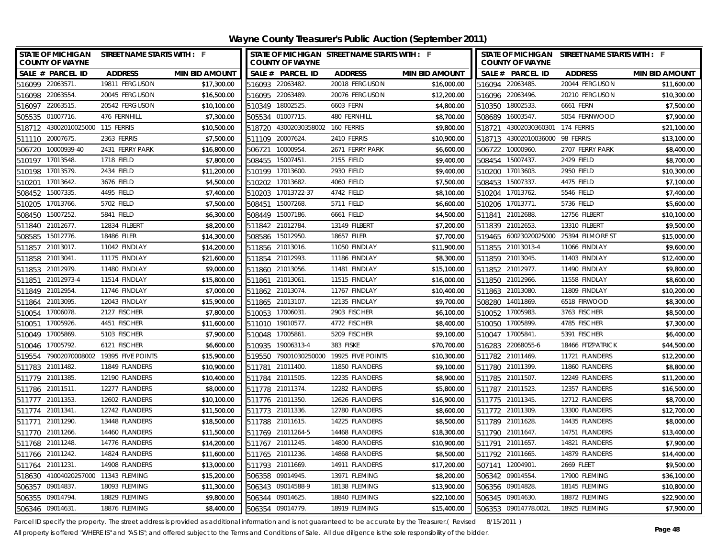| STATE OF MICHIGAN STREET NAME STARTS WITH : F<br><b>COUNTY OF WAYNE</b> |                       | <b>COUNTY OF WAYNE</b>           | STATE OF MICHIGAN STREET NAME STARTS WITH : F |                       |                   | <b>COUNTY OF WAYNE</b> | STATE OF MICHIGAN STREET NAME STARTS WITH : F |                       |
|-------------------------------------------------------------------------|-----------------------|----------------------------------|-----------------------------------------------|-----------------------|-------------------|------------------------|-----------------------------------------------|-----------------------|
| SALE # PARCEL ID<br><b>ADDRESS</b>                                      | <b>MIN BID AMOUNT</b> | SALE # PARCEL ID                 | <b>ADDRESS</b>                                | <b>MIN BID AMOUNT</b> |                   | SALE # PARCEL ID       | <b>ADDRESS</b>                                | <b>MIN BID AMOUNT</b> |
| 516099 22063571<br>19811 FERGUSON                                       | \$17,300.00           | 516093 22063482.                 | 20018 FERGUSON                                | \$16,000.00           | 516094 22063485.  |                        | 20044 FERGUSON                                | \$11,600.00           |
| 516098 22063554.<br>20045 FERGUSON                                      | \$16,500.00           | 516095 22063489.                 | 20076 FERGUSON                                | \$12,200.00           | 516096 22063496.  |                        | 20210 FERGUSON                                | \$10,300.00           |
| 516097 22063515.<br>20542 FERGUSON                                      | \$10,100.00           | 510349 18002525.                 | 6603 FERN                                     | \$4,800.00            | 510350 18002533.  |                        | 6661 FERN                                     | \$7,500.00            |
| 505535 01007716.<br>476 FERNHILL                                        | \$7,300.00            | 505534 01007715.                 | 480 FERNHILL                                  | \$8,700.00            | 508689 16003547.  |                        | 5054 FERNWOOD                                 | \$7,900.00            |
| 518712 43002010025000 115 FERRIS                                        | \$10,500.00           | 518720 43002030358002 160 FERRIS |                                               | \$9,800.00            |                   | 518721 43002030360301  | 174 FERRIS                                    | \$21,100.00           |
| 511110 20007675.<br>2363 FERRIS                                         | \$7,500.00            | 20007624.<br>511109              | 2410 FERRIS                                   | \$10,900.00           |                   | 518713 43002010036000  | 98 FERRIS                                     | \$13,100.00           |
| 506720 10000939-40<br>2431 FERRY PARK                                   | \$16,800.00           | 506721<br>10000954.              | 2671 FERRY PARK                               | \$6,600.00            | 506722 10000960.  |                        | 2707 FERRY PARK                               | \$8,400.00            |
| 510197 17013548.<br>1718 FIELD                                          | \$7,800.00            | 15007451.<br>508455              | 2155 FIELD                                    | \$9,400.00            | 508454 15007437.  |                        | 2429 FIELD                                    | \$8,700.00            |
| 510198<br>17013579.<br>2434 FIELD                                       | \$11,200.00           | 510199 17013600.                 | 2930 FIELD                                    | \$9,400.00            | 510200 17013603.  |                        | 2950 FIELD                                    | \$10,300.00           |
| 3676 FIELD<br>510201<br>17013642.                                       | \$4,500.00            | 510202 17013682.                 | 4060 FIELD                                    | \$7,500.00            | 508453 15007337.  |                        | 4475 FIELD                                    | \$7,100.00            |
| 508452 15007335.<br>4495 FIELD                                          | \$7,400.00            | 510203 17013722-37               | 4742 FIELD                                    | \$8,100.00            | 510204 17013762.  |                        | 5546 FIELD                                    | \$7,400.00            |
| 510205 17013766.<br>5702 FIELD                                          | \$7,500.00            | 15007268.<br>508451              | 5711 FIELD                                    | \$6,600.00            | 510206 17013771.  |                        | 5736 FIELD                                    | \$5,600.00            |
| 15007252.<br>5841 FIELD<br>508450                                       | \$6,300.00            | 15007186.<br>508449              | 6661 FIELD                                    | \$4,500.00            | 511841 21012688.  |                        | 12756 FILBERT                                 | \$10,100.00           |
| 21012677.<br>12834 FILBERT<br>511840                                    | \$8,200.00            | 21012784.<br>511842              | 13149 FILBERT                                 | \$7,200.00            | 511839 21012653.  |                        | 13310 FILBERT                                 | \$9,500.00            |
| 508585 15012776.<br>18486 FILER                                         | \$14,300.00           | 15012950.<br>508586              | 18657 FILER                                   | \$7,700.00            |                   |                        | 519465 60023020025000 25394 FILMORE ST        | \$15,000.00           |
| 511857 21013017.<br>11042 FINDLAY                                       | \$14,200.00           | 21013016.<br>511856              | 11050 FINDLAY                                 | \$11,900.00           | 511855 21013013-4 |                        | 11066 FINDLAY                                 | \$9,600.00            |
| 21013041<br>11175 FINDLAY<br>511858                                     | \$21,600.00           | 21012993.<br>511854              | 11186 FINDLAY                                 | \$8,300.00            | 511859 21013045.  |                        | 11403 FINDLAY                                 | \$12,400.00           |
| 511853 21012979.<br>11480 FINDLAY                                       | \$9,000.00            | 511860 21013056.                 | 11481 FINDLAY                                 | \$15,100.00           | 511852 21012977.  |                        | 11490 FINDLAY                                 | \$9,800.00            |
| 511851 21012973-4<br>11514 FINDLAY                                      | \$15,800.00           | 511861 21013061                  | 11515 FINDLAY                                 | \$16,000.00           | 511850 21012966.  |                        | 11558 FINDLAY                                 | \$8,600.00            |
| 511849 21012954.<br>11746 FINDLAY                                       | \$7,000.00            | 511862 21013074                  | 11767 FINDLAY                                 | \$10,400.00           | 511863 21013080.  |                        | 11809 FINDLAY                                 | \$10,200.00           |
| 21013095<br>12043 FINDLAY<br>511864                                     | \$15,900.00           | 511865 21013107.                 | 12135 FINDLAY                                 | \$9,700.00            | 508280 14011869.  |                        | 6518 FIRWOOD                                  | \$8,300.00            |
| 2127 FISCHER<br>510054 17006078                                         | \$7,800.00            | 510053 17006031                  | 2903 FISCHER                                  | \$6,100.00            | 510052 17005983.  |                        | 3763 FISCHER                                  | \$8,500.00            |
| 510051 17005926.<br>4451 FISCHER                                        | \$11,600.00           | 511010 19010577.                 | 4772 FISCHER                                  | \$8,400.00            | 510050 17005899.  |                        | 4785 FISCHER                                  | \$7,300.00            |
| 510049 17005869.<br>5103 FISCHER                                        | \$7,900.00            | 510048 17005861                  | 5209 FISCHER                                  | \$9,100.00            | 510047 17005841.  |                        | 5391 FISCHER                                  | \$6,400.00            |
| 510046 17005792.<br>6121 FISCHER                                        | \$6,600.00            | 19006313-4<br>510935             | 383 FISKE                                     | \$70,700.00           | 516283 22068055-6 |                        | 18466 FITZPATRICK                             | \$44,500.00           |
| 519554 79002070008002 19395 FIVE POINTS                                 | \$15,900.00           |                                  | 519550 79001030250000 19925 FIVE POINTS       | \$10,300.00           | 511782 21011469.  |                        | 11721 FLANDERS                                | \$12,200.00           |
| 511783 21011482.<br>11849 FLANDERS                                      | \$10,900.00           | 511781 21011400.                 | 11850 FLANDERS                                | \$9,100.00            | 511780 21011399.  |                        | 11860 FLANDERS                                | \$8,800.00            |
| 511779 21011385.<br>12190 FLANDERS                                      | \$10,400.00           | 511784 21011505                  | 12235 FLANDERS                                | \$8,900.00            | 511785 21011507.  |                        | 12249 FLANDERS                                | \$11,200.00           |
| 511786 21011511.<br>12277 FLANDERS                                      | \$8,000.00            | 511778 21011374.                 | 12282 FLANDERS                                | \$5,800.00            | 511787 21011523.  |                        | 12357 FLANDERS                                | \$16,500.00           |
| 511777 21011353.<br>12602 FLANDERS                                      | \$10,100.00           | 511776 21011350.                 | 12626 FLANDERS                                | \$16,900.00           | 511775 21011345.  |                        | 12712 FLANDERS                                | \$8,700.00            |
| 511774 21011341.<br>12742 FLANDERS                                      | \$11,500.00           | 511773 21011336.                 | 12780 FLANDERS                                | \$8,600.00            | 511772 21011309.  |                        | 13300 FLANDERS                                | \$12,700.00           |
| 21011290.<br>13448 FLANDERS<br>511771                                   | \$18,500.00           | 511788 21011615.                 | 14225 FLANDERS                                | \$8,500.00            | 511789 21011628.  |                        | 14435 FLANDERS                                | \$8,000.00            |
| 511770 21011266.<br>14460 FLANDERS                                      | \$11,500.00           | 511769 21011264-5                | 14468 FLANDERS                                | \$18,300.00           | 511790 21011647.  |                        | 14751 FLANDERS                                | \$13,400.00           |
| 511768 21011248.<br>14776 FLANDERS                                      | \$14,200.00           | 511767 21011245.                 | 14800 FLANDERS                                | \$10,900.00           | 511791 21011657.  |                        | 14821 FLANDERS                                | \$7,900.00            |
| 511766 21011242.<br>14824 FLANDERS                                      | \$11,600.00           | 511765 21011236.                 | 14868 FLANDERS                                | \$8,500.00            | 511792 21011665.  |                        | 14879 FLANDERS                                | \$14,400.00           |
| 21011231<br>14908 FLANDERS<br>511764                                    | \$13,000.00           | 511793 21011669.                 | 14911 FLANDERS                                | \$17,200.00           | 507141            | 12004901               | 2669 FLEET                                    | \$9,500.00            |
| 518630 41004020257000 11343 FLEMING                                     | \$15,200.00           | 506358 09014945.                 | 13971 FLEMING                                 | \$8,200.00            | 506342 09014554.  |                        | 17900 FLEMING                                 | \$36,100.00           |
| 506357 09014837.<br>18093 FLEMING                                       | \$11,300.00           | 506343 09014588-9                | 18138 FLEMING                                 | \$13,900.00           | 506356 09014828.  |                        | 18145 FLEMING                                 | \$10,800.00           |
| 506355 09014794<br>18829 FLEMING                                        | \$9,800.00            | 506344 09014625                  | 18840 FLEMING                                 | \$22,100.00           | 506345 09014630.  |                        | 18872 FLEMING                                 | \$22,900.00           |
| 506346 09014631<br>18876 FLEMING                                        | \$8,400.00            | 506354 09014779.                 | 18919 FLEMING                                 | \$15,400.00           |                   | 506353 09014778.002L   | 18925 FLEMING                                 | \$7,900.00            |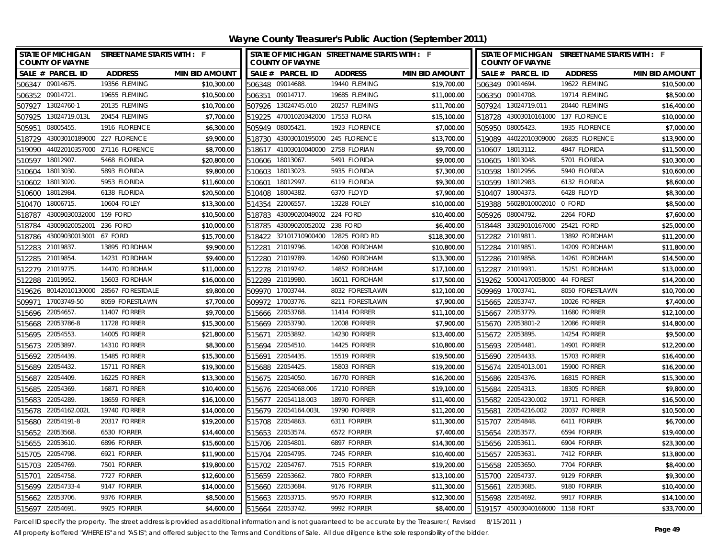| Wayne County Treasurer's Public Auction (September 2011) |
|----------------------------------------------------------|
|----------------------------------------------------------|

| <b>STATE OF MICHIGAN</b><br><b>COUNTY OF WAYNE</b> | STREET NAME STARTS WITH : F   |                       |        | <b>COUNTY OF WAYNE</b>             | STATE OF MICHIGAN STREET NAME STARTS WITH : F |                       |                 | <b>COUNTY OF WAYNE</b>             | STATE OF MICHIGAN STREET NAME STARTS WITH : F |                       |
|----------------------------------------------------|-------------------------------|-----------------------|--------|------------------------------------|-----------------------------------------------|-----------------------|-----------------|------------------------------------|-----------------------------------------------|-----------------------|
| SALE # PARCEL ID                                   | <b>ADDRESS</b>                | <b>MIN BID AMOUNT</b> |        | SALE # PARCEL ID                   | <b>ADDRESS</b>                                | <b>MIN BID AMOUNT</b> |                 | SALE # PARCEL ID                   | <b>ADDRESS</b>                                | <b>MIN BID AMOUNT</b> |
| 506347 09014675.                                   | 19356 FLEMING                 | \$10,300.00           |        | 506348 09014688                    | 19440 FLEMING                                 | \$19,700.00           |                 | 506349 09014694                    | 19622 FLEMING                                 | \$10,500.00           |
| 506352 09014721.                                   | 19655 FLEMING                 | \$10,500.00           |        | 506351 09014717.                   | 19685 FLEMING                                 | \$11,000.00           |                 | 506350 09014708.                   | 19714 FLEMING                                 | \$8,500.00            |
| 13024760-1<br>507927                               | 20135 FLEMING                 | \$10,700.00           |        | 507926 13024745.010                | 20257 FLEMING                                 | \$11,700.00           |                 | 507924 13024719.011                | 20440 FLEMING                                 | \$16,400.00           |
| 13024719.013L<br>507925                            | 20454 FLEMING                 | \$7,700.00            |        | 519225 47001020342000 17553 FLORA  |                                               | \$15,100.00           |                 | 518728 43003010161000 137 FLORENCE |                                               | \$10,000.00           |
| 08005455<br>505951                                 | 1916 FLORENCE                 | \$6,300.00            |        | 505949 08005421                    | 1923 FLORENCE                                 | \$7,000.00            |                 | 505950 08005423                    | 1935 FLORENCE                                 | \$7,000.00            |
| 43003010189000 227 FLORENCE<br>518729              |                               | \$9,900.00            | 518730 | 43003010195000 245 FLORENCE        |                                               | \$13,700.00           |                 |                                    | 519089 44022010309000 26835 FLORENCE          | \$13,900.00           |
| 519090                                             | 44022010357000 27116 FLORENCE | \$8,700.00            |        | 518617 41003010040000 2758 FLORIAN |                                               | \$9,700.00            |                 | 510607 18013112.                   | 4947 FLORIDA                                  | \$11,500.00           |
| 18012907.<br>510597                                | 5468 FLORIDA                  | \$20,800.00           |        | 510606 18013067.                   | 5491 FLORIDA                                  | \$9,000.00            |                 | 510605 18013048                    | 5701 FLORIDA                                  | \$10,300.00           |
| 18013030<br>510604                                 | 5893 FLORIDA                  | \$9,800.00            | 510603 | 18013023.                          | 5935 FLORIDA                                  | \$7,300.00            |                 | 510598 18012956                    | 5940 FLORIDA                                  | \$10,600.00           |
| 18013020<br>510602                                 | 5953 FLORIDA                  | \$11,600.00           | 510601 | 18012997.                          | 6119 FLORIDA                                  | \$9,300.00            |                 | 510599 18012983.                   | 6132 FLORIDA                                  | \$8,600.00            |
| 18012984.<br>510600                                | 6138 FLORIDA                  | \$20,500.00           | 510408 | 18004382.                          | 6370 FLOYD                                    | \$7,900.00            |                 | 510407 18004373.                   | 6428 FLOYD                                    | \$8,300.00            |
| 18006715.<br>510470                                | 10604 FOLEY                   | \$13,300.00           |        | 514354 22006557.                   | 13228 FOLEY                                   | \$10,000.00           |                 | 519388 56028010002010 0 FORD       |                                               | \$8,500.00            |
| 43009030032000 159 FORD<br>518787                  |                               | \$10,500.00           | 518783 | 43009020049002 224 FORD            |                                               | \$10,400.00           | 505926          | 08004792.                          | 2264 FORD                                     | \$7,600.00            |
| 43009020052001<br>518784                           | 236 FORD                      | \$10,000.00           | 518785 | 43009020052002 238 FORD            |                                               | \$6,400.00            |                 | 518448 33029010167000 25421 FORD   |                                               | \$25,000.00           |
| 43009030013001 67 FORD<br>518786                   |                               | \$15,700.00           | 518422 | 32101710900400 12825 FORD RD       |                                               | \$118,300.00          |                 | 512282 21019811                    | 13892 FORDHAM                                 | \$11,200.00           |
| 21019837<br>512283                                 | 13895 FORDHAM                 | \$9,900.00            | 512281 | 21019796.                          | 14208 FORDHAM                                 | \$10,800.00           | 512284 21019851 |                                    | 14209 FORDHAM                                 | \$11,800.00           |
| 21019854<br>512285                                 | 14231 FORDHAM                 | \$9,400.00            |        | 512280 21019789.                   | 14260 FORDHAM                                 | \$13,300.00           |                 | 512286 21019858                    | 14261 FORDHAM                                 | \$14,500.00           |
| 512279 21019775.                                   | 14470 FORDHAM                 | \$11,000.00           |        | 512278 21019742.                   | 14852 FORDHAM                                 | \$17,100.00           | 512287 21019931 |                                    | 15251 FORDHAM                                 | \$13,000.00           |
| 512288 21019952.                                   | 15603 FORDHAM                 | \$16,000.00           |        | 512289 21019980.                   | 16011 FORDHAM                                 | \$17,500.00           |                 | 519262 50004170058000 44 FOREST    |                                               | \$14,200.00           |
| 519626 80142010130000 28567 FORESTDALE             |                               | \$9,800.00            |        | 509970 17003744.                   | 8032 FORESTLAWN                               | \$12,100.00           | 509969 17003741 |                                    | 8050 FORESTLAWN                               | \$10,700.00           |
| 17003749-50<br>509971                              | 8059 FORESTLAWN               | \$7,700.00            | 509972 | 17003776.                          | 8211 FORESTLAWN                               | \$7,900.00            |                 | 515665 22053747.                   | <b>10026 FORRER</b>                           | \$7,400.00            |
| 22054657<br>515696                                 | 11407 FORRER                  | \$9,700.00            |        | 515666 22053768.                   | 11414 FORRER                                  | \$11,100.00           |                 | 515667 22053779.                   | <b>11680 FORRER</b>                           | \$12,100.00           |
| 22053786-8<br>515668                               | 11728 FORRER                  | \$15,300.00           |        | 515669 22053790.                   | <b>12008 FORRER</b>                           | \$7,900.00            |                 | 515670 22053801-2                  | <b>12086 FORRER</b>                           | \$14,800.00           |
| 22054553<br>515695                                 | <b>14005 FORRER</b>           | \$21,800.00           | 515671 | 22053892.                          | <b>14230 FORRER</b>                           | \$13,400.00           |                 | 515672 22053895                    | 14254 FORRER                                  | \$9,500.00            |
| 22053897<br>515673                                 | <b>14310 FORRER</b>           | \$8,300.00            |        | 515694 22054510.                   | 14425 FORRER                                  | \$10,800.00           | 515693 22054481 |                                    | <b>14901 FORRER</b>                           | \$12,200.00           |
| 515692<br>22054439                                 | 15485 FORRER                  | \$15,300.00           |        | 515691 22054435.                   | <b>15519 FORRER</b>                           | \$19,500.00           | 515690 22054433 |                                    | <b>15703 FORRER</b>                           | \$16,400.00           |
| 515689 22054432.                                   | 15711 FORRER                  | \$19,300.00           |        | 515688 22054425.                   | 15803 FORRER                                  | \$19,200.00           |                 | 515674 22054013.001                | <b>15900 FORRER</b>                           | \$16,200.00           |
| 22054409<br>515687                                 | 16225 FORRER                  | \$13,300.00           |        | 515675 22054050.                   | <b>16770 FORRER</b>                           | \$16,200.00           |                 | 515686 22054376.                   | 16815 FORRER                                  | \$15,300.00           |
| 22054369<br>515685                                 | 16871 FORRER                  | \$10,400.00           |        | 515676 22054068.006                | <b>17210 FORRER</b>                           | \$19,100.00           | 515684          | 22054313.                          | 18305 FORRER                                  | \$9,800.00            |
| 22054289<br>515683                                 | 18659 FORRER                  | \$16,100.00           |        | 515677 22054118.003                | <b>18970 FORRER</b>                           | \$11,400.00           |                 | 515682 22054230.002                | <b>19711 FORRER</b>                           | \$16,500.00           |
| 515678 22054162.002L                               | <b>19740 FORRER</b>           | \$14,000.00           |        | 515679 22054164.003L               | <b>19790 FORRER</b>                           | \$11,200.00           |                 | 515681 22054216.002                | <b>20037 FORRER</b>                           | \$10,500.00           |
| 515680<br>22054191-8                               | 20317 FORRER                  | \$19,200.00           |        | 515708 22054863.                   | 6311 FORRER                                   | \$11,300.00           |                 | 515707 22054848                    | 6411 FORRER                                   | \$6,700.00            |
| 515652 22053568.                                   | 6530 FORRER                   | \$14,400.00           |        | 515653 22053574.                   | 6572 FORRER                                   | \$7,400.00            |                 | 515654 22053577.                   | 6594 FORRER                                   | \$19,400.00           |
| 515655 22053610.                                   | 6896 FORRER                   | \$15,600.00           |        | 515706 22054801                    | 6897 FORRER                                   | \$14,300.00           |                 | 515656 22053611                    | 6904 FORRER                                   | \$23,300.00           |
| 22054798<br>515705                                 | 6921 FORRER                   | \$11,900.00           |        | 515704 22054795                    | 7245 FORRER                                   | \$10,400.00           |                 | 515657 22053631                    | 7412 FORRER                                   | \$13,800.00           |
| 22054769<br>515703                                 | 7501 FORRER                   | \$19,800.00           | 515702 | 22054767.                          | 7515 FORRER                                   | \$19,200.00           |                 | 515658 22053650                    | 7704 FORRER                                   | \$8,400.00            |
| 22054758<br>515701                                 | 7727 FORRER                   | \$12,600.00           |        | 515659 22053662.                   | 7800 FORRER                                   | \$13,100.00           |                 | 515700 22054737                    | 9129 FORRER                                   | \$9,300.00            |
| 22054733-4<br>515699                               | 9147 FORRER                   | \$14,000.00           |        | 515660 22053684.                   | 9176 FORRER                                   | \$11,300.00           |                 | 515661 22053685                    | 9180 FORRER                                   | \$10,400.00           |
| 22053706<br>515662                                 | 9376 FORRER                   | \$8,500.00            |        | 515663 22053715.                   | 9570 FORRER                                   | \$12,300.00           |                 | 515698 22054692.                   | 9917 FORRER                                   | \$14,100.00           |
| 515697 22054691                                    | 9925 FORRER                   | \$4,600.00            |        | 515664 22053742.                   | 9992 FORRER                                   | \$8,400.00            |                 | 519157 45003040166000 1158 FORT    |                                               | \$33,700.00           |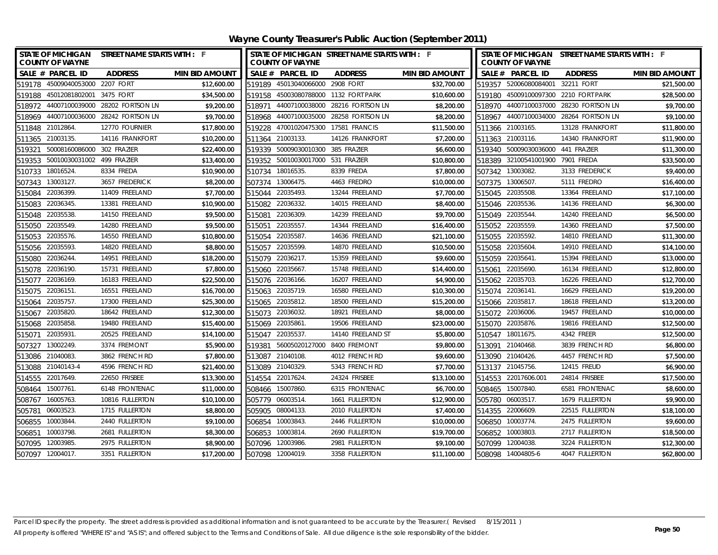|                                            | STATE OF MICHIGAN STREET NAME STARTS WITH : F |                       |                                            | STATE OF MICHIGAN STREET NAME STARTS WITH : F |                       |        |                                            | STATE OF MICHIGAN STREET NAME STARTS WITH : F |                       |
|--------------------------------------------|-----------------------------------------------|-----------------------|--------------------------------------------|-----------------------------------------------|-----------------------|--------|--------------------------------------------|-----------------------------------------------|-----------------------|
| <b>COUNTY OF WAYNE</b><br>SALE # PARCEL ID | <b>ADDRESS</b>                                | <b>MIN BID AMOUNT</b> | <b>COUNTY OF WAYNE</b><br>SALE # PARCEL ID | <b>ADDRESS</b>                                | <b>MIN BID AMOUNT</b> |        | <b>COUNTY OF WAYNE</b><br>SALE # PARCEL ID | <b>ADDRESS</b>                                | <b>MIN BID AMOUNT</b> |
| 519178 45009040053000                      | 2207 FORT                                     | \$12,600.00           | 519189 45013040066000 2908 FORT            |                                               | \$32,700.00           |        | 519357 52006080084001                      | 32211 FORT                                    | \$21,500.00           |
| 519188 45012081802001                      | 3475 FORT                                     | \$34,500.00           |                                            | 519158 45003080788000 1132 FORT PARK          | \$10,600.00           |        |                                            | 519180 45009100097300 2210 FORT PARK          | \$28,500.00           |
| 518972 44007100039000                      | 28202 FORTSON LN                              | \$9,200.00            | 44007100038000<br>518971                   | 28216 FORTSON LN                              | \$8,200.00            |        |                                            | 518970 44007100037000 28230 FORTSON LN        | \$9,700.00            |
| 518969 44007100036000 28242 FORTSON LN     |                                               | \$9,700.00            | 518968 44007100035000                      | 28258 FORTSON LN                              | \$8,200.00            |        |                                            | 518967 44007100034000 28264 FORTSON LN        | \$9,100.00            |
| 511848 21012864.                           | 12770 FOURNIER                                | \$17,800.00           | 519228                                     | 47001020475300 17581 FRANCIS                  | \$11,500.00           |        | 511366 21003165.                           | 13128 FRANKFORT                               | \$11,800.00           |
| 511365 21003135.                           | 14116 FRANKFORT                               | \$10,200.00           | 511364 21003133.                           | 14126 FRANKFORT                               | \$7,200.00            |        | 511363 21003116.                           | 14340 FRANKFORT                               | \$11,900.00           |
| 519321                                     | 50008160086000 302 FRAZIER                    | \$22,400.00           | 519339 50009030010300 385 FRAZIER          |                                               | \$6,600.00            |        | 519340 50009030036000 441 FRAZIER          |                                               | \$11,300.00           |
| 519353                                     | 50010030031002 499 FRAZIER                    | \$13,400.00           | 519352 50010030017000 531 FRAZIER          |                                               | \$10,800.00           |        | 518389 32100541001900 7901 FREDA           |                                               | \$33,500.00           |
| 510733 18016524.                           | 8334 FREDA                                    | \$10,900.00           | 510734 18016535.                           | 8339 FREDA                                    | \$7,800.00            |        | 507342 13003082.                           | 3133 FREDERICK                                | \$9,400.00            |
| 507343 13003127.                           | 3657 FREDERICK                                | \$8,200.00            | 507374 13006475.                           | 4463 FREDRO                                   | \$10,000.00           |        | 507375 13006507.                           | 5111 FREDRO                                   | \$16,400.00           |
| 22036399.<br>515084                        | 11409 FREELAND                                | \$7,700.00            | 515044 22035493.                           | 13244 FREELAND                                | \$7,700.00            |        | 515045 22035508.                           | 13364 FREELAND                                | \$17,100.00           |
| 22036345.<br>515083                        | 13381 FREELAND                                | \$10,900.00           | 515082 22036332.                           | 14015 FREELAND                                | \$8,400.00            |        | 515046 22035536.                           | 14136 FREELAND                                | \$6,300.00            |
| 22035538.<br>515048                        | 14150 FREELAND                                | \$9,500.00            | 22036309.<br>515081                        | 14239 FREELAND                                | \$9,700.00            |        | 515049 22035544.                           | 14240 FREELAND                                | \$6,500.00            |
| 22035549.<br>515050                        | 14280 FREELAND                                | \$9,500.00            | 22035557<br>515051                         | 14344 FREELAND                                | \$16,400.00           |        | 515052 22035559.                           | 14360 FREELAND                                | \$7,500.00            |
| 22035576.<br>515053                        | 14550 FREELAND                                | \$10,800.00           | 22035587<br>515054                         | 14636 FREELAND                                | \$21,100.00           |        | 515055 22035592.                           | 14810 FREELAND                                | \$11,300.00           |
| 22035593.<br>515056                        | 14820 FREELAND                                | \$8,800.00            | 22035599.<br>515057                        | 14870 FREELAND                                | \$10,500.00           |        | 515058 22035604.                           | 14910 FREELAND                                | \$14,100.00           |
| 22036244.<br>515080                        | 14951 FREELAND                                | \$18,200.00           | 515079 22036217.                           | 15359 FREELAND                                | \$9,600.00            |        | 515059 22035641.                           | 15394 FREELAND                                | \$13,000.00           |
| 22036190.<br>515078                        | 15731 FREELAND                                | \$7,800.00            | 515060<br>22035667.                        | 15748 FREELAND                                | \$14,400.00           | 515061 | 22035690.                                  | 16134 FREELAND                                | \$12,800.00           |
| 22036169.<br>515077                        | 16183 FREELAND                                | \$22,500.00           | 515076 22036166.                           | 16207 FREELAND                                | \$4,900.00            |        | 515062 22035703.                           | 16226 FREELAND                                | \$12,700.00           |
| 22036151.<br>515075                        | 16551 FREELAND                                | \$16,700.00           | 515063 22035719.                           | 16580 FREELAND                                | \$10,300.00           |        | 515074 22036141.                           | 16629 FREELAND                                | \$19,200.00           |
| 22035757.<br>515064                        | 17300 FREELAND                                | \$25,300.00           | 515065 22035812.                           | 18500 FREELAND                                | \$15,200.00           |        | 515066 22035817.                           | 18618 FREELAND                                | \$13,200.00           |
| 22035820.<br>515067                        | 18642 FREELAND                                | \$12,300.00           | 515073 22036032.                           | 18921 FREELAND                                | \$8,000.00            |        | 515072 22036006.                           | 19457 FREELAND                                | \$10,000.00           |
| 22035858.<br>515068                        | 19480 FREELAND                                | \$15,400.00           | 515069 22035861.                           | 19506 FREELAND                                | \$23,000.00           |        | 515070 22035876.                           | 19816 FREELAND                                | \$12,500.00           |
| 22035931<br>515071                         | 20525 FREELAND                                | \$14,100.00           | 515047 22035537.                           | 14140 FREELAND ST                             | \$5,800.00            |        | 510547 18011675.                           | 4342 FREER                                    | \$12,500.00           |
| 13002249.<br>507327                        | 3374 FREMONT                                  | \$5,900.00            | 519381                                     | 56005020127000 8400 FREMONT                   | \$9,800.00            |        | 513091 21040468.                           | 3839 FRENCH RD                                | \$6,800.00            |
| 513086 21040083.                           | 3862 FRENCH RD                                | \$7,800.00            | 513087 21040108.                           | 4012 FRENCH RD                                | \$9,600.00            |        | 513090 21040426.                           | 4457 FRENCH RD                                | \$7,500.00            |
| 513088 21040143-4                          | 4596 FRENCH RD                                | \$21,400.00           | 513089 21040329.                           | 5343 FRENCH RD                                | \$7,700.00            |        | 513137 21045756.                           | 12415 FREUD                                   | \$6,900.00            |
| 514555 22017649.                           | 22650 FRISBEE                                 | \$13,300.00           | 514554 22017624.                           | 24324 FRISBEE                                 | \$13,100.00           |        | 514553 22017606.001                        | 24814 FRISBEE                                 | \$17,500.00           |
| 508464 15007761.                           | 6148 FRONTENAC                                | \$11,000.00           | 508466 15007860.                           | 6315 FRONTENAC                                | \$6,700.00            |        | 508465 15007840.                           | 6581 FRONTENAC                                | \$8,600.00            |
| 508767 16005763.                           | 10816 FULLERTON                               | \$10,100.00           | 505779 06003514.                           | 1661 FULLERTON                                | \$12,900.00           |        | 505780 06003517.                           | 1679 FULLERTON                                | \$9,900.00            |
| 06003523.<br>505781                        | 1715 FULLERTON                                | \$8,800.00            | 505905 08004133.                           | 2010 FULLERTON                                | \$7,400.00            |        | 514355 22006609.                           | 22515 FULLERTON                               | \$18,100.00           |
| 506855<br>10003844.                        | 2440 FULLERTON                                | \$9,100.00            | 506854 10003843.                           | 2446 FULLERTON                                | \$10,000.00           |        | 506850 10003774.                           | 2475 FULLERTON                                | \$9,600.00            |
| 10003798.<br>506851                        | 2681 FULLERTON                                | \$8,300.00            | 506853 10003814.                           | 2690 FULLERTON                                | \$19,700.00           |        | 506852 10003803.                           | 2717 FULLERTON                                | \$18,500.00           |
| 507095 12003985                            | 2975 FULLERTON                                | \$8,900.00            | 507096 12003986.                           | 2981 FULLERTON                                | \$9,100.00            |        | 507099 12004038.                           | 3224 FULLERTON                                | \$12,300.00           |
| 507097 12004017                            | 3351 FULLERTON                                | \$17,200.00           | 507098 12004019.                           | 3358 FULLERTON                                | \$11,100.00           |        | 508098 14004805-6                          | 4047 FULLERTON                                | \$62,800.00           |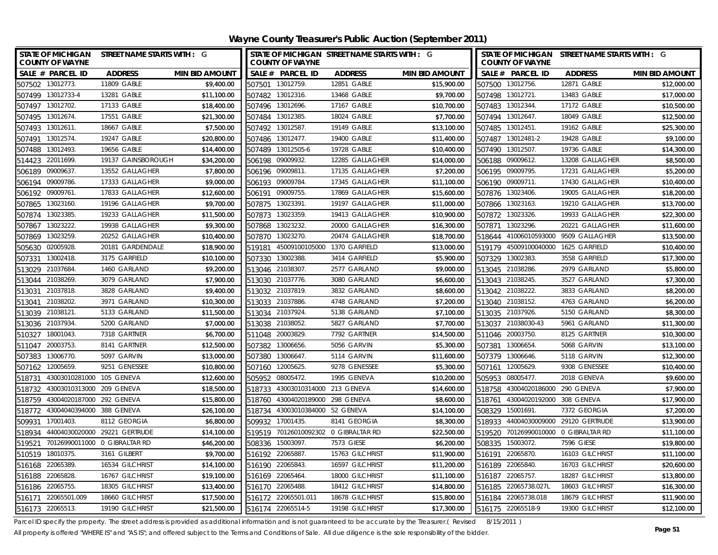**Wayne County Treasurer's Public Auction (September 2011)**

|                     | <b>STATE OF MICHIGAN</b><br><b>COUNTY OF WAYNE</b> | street name starts with : G   |                       | STATE OF MICHIGAN STREET NAME STARTS WITH : G<br><b>COUNTY OF WAYNE</b> |                                 |                                      |                       |        | STATE OF MICHIGAN STREET NAME STARTS WITH : G<br><b>COUNTY OF WAYNE</b> |                                      |                       |  |  |
|---------------------|----------------------------------------------------|-------------------------------|-----------------------|-------------------------------------------------------------------------|---------------------------------|--------------------------------------|-----------------------|--------|-------------------------------------------------------------------------|--------------------------------------|-----------------------|--|--|
|                     | SALE # PARCEL ID                                   | <b>ADDRESS</b>                | <b>MIN BID AMOUNT</b> |                                                                         | SALE # PARCEL ID                | <b>ADDRESS</b>                       | <b>MIN BID AMOUNT</b> |        | SALE # PARCEL ID                                                        | <b>ADDRESS</b>                       | <b>MIN BID AMOUNT</b> |  |  |
| 507502 13012773.    |                                                    | 11809 GABLE                   | \$9,400.00            |                                                                         | 507501 13012759.                | 12851 GABLE                          | \$15,900.00           |        | 507500 13012756.                                                        | 12871 GABLE                          | \$12,000.00           |  |  |
| 507499 13012733-4   |                                                    | 13281 GABLE                   | \$11,100.00           |                                                                         | 507482 13012316.                | 13468 GABLE                          | \$9,700.00            |        | 507498 13012721.                                                        | 13483 GABLE                          | \$17,000.00           |  |  |
| 507497 13012702.    |                                                    | 17133 GABLE                   | \$18,400.00           |                                                                         | 507496 13012696.                | 17167 GABLE                          | \$10,700.00           |        | 507483 13012344.                                                        | 17172 GABLE                          | \$10,500.00           |  |  |
| 507495 13012674.    |                                                    | 17551 GABLE                   | \$21,300.00           |                                                                         | 507484 13012385                 | 18024 GABLE                          | \$7,700.00            |        | 507494 13012647.                                                        | 18049 GABLE                          | \$12,500.00           |  |  |
| 507493              | 13012611                                           | 18667 GABLE                   | \$7,500.00            |                                                                         | 507492 13012587                 | 19149 GABLE                          | \$13,100.00           |        | 507485 13012451                                                         | 19162 GABLE                          | \$25,300.00           |  |  |
| 507491              | 13012574.                                          | 19247 GABLE                   | \$20,800.00           |                                                                         | 507486 13012477.                | 19400 GABLE                          | \$11,400.00           | 507487 | 13012481-2                                                              | 19428 GABLE                          | \$9,100.00            |  |  |
| 507488              | 13012493.                                          | 19656 GABLE                   | \$14,400.00           |                                                                         | 507489 13012505-6               | 19728 GABLE                          | \$10,400.00           |        | 507490 13012507.                                                        | 19736 GABLE                          | \$14,300.00           |  |  |
| 514423              | 22011699.                                          | 19137 GAINSBOROUGH            | \$34,200.00           |                                                                         | 506198 09009932.                | 12285 GALLAGHER                      | \$14,000.00           |        | 506188 09009612.                                                        | 13208 GALLAGHER                      | \$8,500.00            |  |  |
| 506189              | 09009637                                           | 13552 GALLAGHER               | \$7,800.00            |                                                                         | 506196 09009811                 | 17135 GALLAGHER                      | \$7,200.00            |        | 506195 09009795.                                                        | 17231 GALLAGHER                      | \$5,200.00            |  |  |
| 506194              | 09009786.                                          | 17333 GALLAGHER               | \$9,000.00            |                                                                         | 506193 09009784.                | 17345 GALLAGHER                      | \$11,100.00           |        | 506190 09009711.                                                        | 17430 GALLAGHER                      | \$10,400.00           |  |  |
| 506192 09009761.    |                                                    | 17833 GALLAGHER               | \$12,600.00           | 506191                                                                  | 09009755.                       | 17869 GALLAGHER                      | \$15,600.00           |        | 507876 13023406.                                                        | 19005 GALLAGHER                      | \$18,200.00           |  |  |
| 507865              | 13023160                                           | 19196 GALLAGHER               | \$9,700.00            |                                                                         | 507875 13023391                 | 19197 GALLAGHER                      | \$11,000.00           |        | 507866 13023163.                                                        | 19210 GALLAGHER                      | \$13,700.00           |  |  |
| 507874              | 13023385.                                          | 19233 GALLAGHER               | \$11,500.00           | 507873                                                                  | 13023359.                       | 19413 GALLAGHER                      | \$10,900.00           |        | 507872 13023326.                                                        | 19933 GALLAGHER                      | \$22,300.00           |  |  |
| 507867              | 13023222.                                          | 19938 GALLAGHER               | \$9,300.00            | 507868                                                                  | 13023232.                       | 20000 GALLAGHER                      | \$16,300.00           |        | 507871 13023296.                                                        | 20221 GALLAGHER                      | \$11,600.00           |  |  |
| 507869              | 13023259                                           | 20252 GALLAGHER               | \$10,400.00           | 507870                                                                  | 13023270.                       | 20474 GALLAGHER                      | \$18,700.00           |        | 518644 41006010593000                                                   | 9509 GALLAGHER                       | \$13,500.00           |  |  |
| 505630              | 02005928                                           | 20181 GARDENDALE              | \$18,900.00           | 519181                                                                  | 45009100105000                  | 1370 GARFIELD                        | \$13,000.00           |        | 519179 45009100040000                                                   | 1625 GARFIELD                        | \$10,400.00           |  |  |
| 507331              | 13002418                                           | 3175 GARFIELD                 | \$10,100.00           | 507330                                                                  | 13002388.                       | 3414 GARFIELD                        | \$5,900.00            |        | 507329 13002383.                                                        | 3558 GARFIELD                        | \$17,300.00           |  |  |
| 513029 21037684.    |                                                    | 1460 GARLAND                  | \$9,200.00            |                                                                         | 513046 21038307                 | 2577 GARLAND                         | \$9,000.00            |        | 513045 21038286.                                                        | 2979 GARLAND                         | \$5,800.00            |  |  |
| 513044 21038269.    |                                                    | 3079 GARLAND                  | \$7,900.00            |                                                                         | 513030 21037776.                | 3080 GARLAND                         | \$6,600.00            |        | 513043 21038245.                                                        | 3527 GARLAND                         | \$7,300.00            |  |  |
| 513031              | 21037818                                           | 3828 GARLAND                  | \$9,400.00            |                                                                         | 513032 21037819.                | 3832 GARLAND                         | \$8,600.00            |        | 513042 21038222.                                                        | 3833 GARLAND                         | \$8,200.00            |  |  |
| 513041              | 21038202                                           | 3971 GARLAND                  | \$10,300.00           |                                                                         | 513033 21037886.                | 4748 GARLAND                         | \$7,200.00            |        | 513040 21038152.                                                        | 4763 GARLAND                         | \$6,200.00            |  |  |
| 513039 21038121.    |                                                    | 5133 GARLAND                  | \$11,500.00           |                                                                         | 513034 21037924.                | 5138 GARLAND                         | \$7,100.00            |        | 513035 21037926.                                                        | 5150 GARLAND                         | \$8,300.00            |  |  |
| 513036 21037934.    |                                                    | 5200 GARLAND                  | \$7,000.00            |                                                                         | 513038 21038052.                | 5827 GARLAND                         | \$7,700.00            |        | 513037 21038030-43                                                      | 5961 GARLAND                         | \$11,300.00           |  |  |
| 510327 18001043.    |                                                    | 7318 GARTNER                  | \$6,700.00            |                                                                         | 511048 20003829                 | 7792 GARTNER                         | \$14,500.00           |        | 511046 20003750.                                                        | 8125 GARTNER                         | \$10,300.00           |  |  |
| 511047              | 20003753                                           | 8141 GARTNER                  | \$12,500.00           | 507382                                                                  | 13006656.                       | 5056 GARVIN                          | \$5,300.00            |        | 507381 13006654.                                                        | 5068 GARVIN                          | \$13,100.00           |  |  |
| 507383 13006770.    |                                                    | 5097 GARVIN                   | \$13,000.00           |                                                                         | 507380 13006647.                | 5114 GARVIN                          | \$11,600.00           |        | 507379 13006646.                                                        | 5118 GARVIN                          | \$12,300.00           |  |  |
| 507162 12005659.    |                                                    | 9251 GENESSEE                 | \$10,800.00           |                                                                         | 507160 12005625                 | 9278 GENESSEE                        | \$5,300.00            |        | 507161 12005629.                                                        | 9308 GENESSEE                        | \$10,400.00           |  |  |
| 518731              | 43003010281000 105 GENEVA                          |                               | \$12,600.00           |                                                                         | 505952 08005472.                | 1995 GENEVA                          | \$10,200.00           |        | 505953 08005477.                                                        | 2018 GENEVA                          | \$9,600.00            |  |  |
| 518732              | 43003010313000 209 GENEVA                          |                               | \$18,500.00           | 518733                                                                  | 43003010314000 213 GENEVA       |                                      | \$14,600.00           |        | 518758 43004020186000                                                   | 290 GENEVA                           | \$7,900.00            |  |  |
|                     | 518759 43004020187000 292 GENEVA                   |                               | \$15,800.00           | 518760                                                                  | 43004020189000 298 GENEVA       |                                      | \$8,600.00            |        | 518761 43004020192000 308 GENEVA                                        |                                      | \$17,900.00           |  |  |
|                     | 518772 43004040394000 388 GENEVA                   |                               | \$26,100.00           |                                                                         | 518734 43003010384000 52 GENEVA |                                      | \$14,100.00           |        | 508329 15001691.                                                        | 7372 GEORGIA                         | \$7,200.00            |  |  |
| 509931              | 17001403                                           | 8112 GEORGIA                  | \$6,800.00            |                                                                         | 509932 17001435.                | 8141 GEORGIA                         | \$8,300.00            |        |                                                                         | 518933 44004030009000 29120 GERTRUDE | \$13,900.00           |  |  |
| 518934              |                                                    | 44004030020000 29221 GERTRUDE | \$14,100.00           |                                                                         |                                 | 519519 70126010092302 0 GIBRALTAR RD | \$22,500.00           |        |                                                                         | 519520 70126990010000 0 GIBRALTAR RD | \$11,100.00           |  |  |
| 519521              |                                                    | 70126990011000 0 GIBRALTAR RD | \$46,200.00           |                                                                         | 508336 15003097.                | 7573 GIESE                           | \$6,200.00            |        | 508335 15003072.                                                        | 7596 GIESE                           | \$19,800.00           |  |  |
| 510519 18010375.    |                                                    | 3161 GILBERT                  | \$9,700.00            |                                                                         | 516192 22065887.                | 15763 GILCHRIST                      | \$11,900.00           |        | 516191 22065870.                                                        | 16103 GILCHRIST                      | \$11,100.00           |  |  |
| 516168              | 22065389                                           | 16534 GILCHRIST               | \$14,100.00           |                                                                         | 516190 22065843                 | 16597 GILCHRIST                      | \$11,200.00           |        | 516189 22065840.                                                        | 16703 GILCHRIST                      | \$20,600.00           |  |  |
| 516188              | 22065828                                           | 16767 GILCHRIST               | \$19,100.00           |                                                                         | 516169 22065464.                | 18000 GILCHRIST                      | \$11,100.00           |        | 516187 22065757.                                                        | 18287 GILCHRIST                      | \$13,800.00           |  |  |
| 516186 22065755.    |                                                    | 18305 GILCHRIST               | \$13,400.00           | 516170                                                                  | 22065488.                       | 18412 GILCHRIST                      | \$14,800.00           |        | 516185 22065738.027L                                                    | 18603 GILCHRIST                      | \$16,300.00           |  |  |
| 516171 22065501.009 |                                                    | 18660 GILCHRIST               | \$17,500.00           |                                                                         | 516172 22065501.011             | 18678 GILCHRIST                      | \$15,800.00           |        | 516184 22065738.018                                                     | 18679 GILCHRIST                      | \$11,900.00           |  |  |
| 516173 22065513.    |                                                    | 19190 GILCHRIST               | \$21,500.00           |                                                                         | 516174 22065514-5               | 19198 GILCHRIST                      | \$17,300.00           |        | 516175 22065518-9                                                       | 19300 GILCHRIST                      | \$12,100.00           |  |  |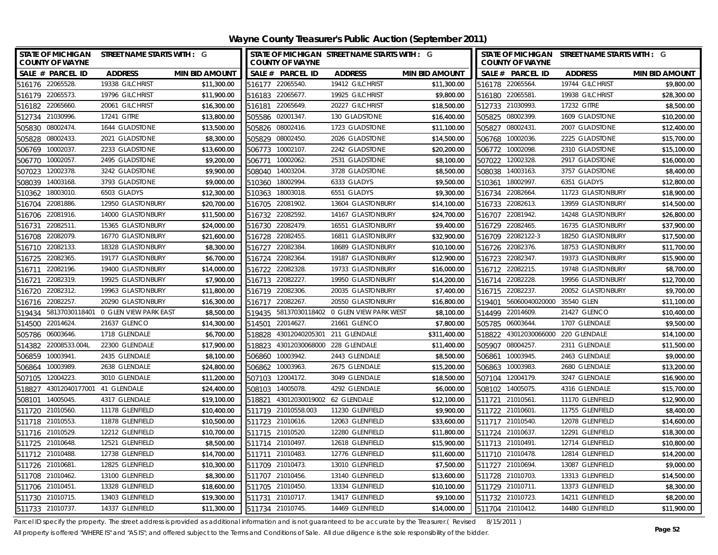| <b>STATE OF MICHIGAN</b><br><b>COUNTY OF WAYNE</b> | STREET NAME STARTS WITH : G          |                       |                  | <b>COUNTY OF WAYNE</b>     | STATE OF MICHIGAN STREET NAME STARTS WITH : G |                       |        | <b>COUNTY OF WAYNE</b> | STATE OF MICHIGAN STREET NAME STARTS WITH : G |                       |
|----------------------------------------------------|--------------------------------------|-----------------------|------------------|----------------------------|-----------------------------------------------|-----------------------|--------|------------------------|-----------------------------------------------|-----------------------|
| SALE # PARCEL ID                                   | <b>ADDRESS</b>                       | <b>MIN BID AMOUNT</b> |                  | SALE # PARCEL ID           | <b>ADDRESS</b>                                | <b>MIN BID AMOUNT</b> |        | SALE # PARCEL ID       | <b>ADDRESS</b>                                | <b>MIN BID AMOUNT</b> |
| 516176 22065528                                    | 19338 GILCHRIST                      | \$11,300.00           |                  | 516177 22065540.           | 19412 GILCHRIST                               | \$11,300.00           |        | 516178 22065564.       | 19744 GILCHRIST                               | \$9,800.00            |
| 516179 22065573.                                   | 19796 GILCHRIST                      | \$11,900.00           | 516183           | 22065677                   | 19925 GILCHRIST                               | \$9,800.00            |        | 516180 22065581        | 19938 GILCHRIST                               | \$28,300.00           |
| 516182 22065660.                                   | 20061 GILCHRIST                      | \$16,300.00           | 516181           | 22065649                   | 20227 GILCHRIST                               | \$18,500.00           |        | 512733 21030993.       | 17232 GITRE                                   | \$8,500.00            |
| 512734 21030996.                                   | 17241 GITRE                          | \$13,800.00           |                  | 505586 02001347            | 130 GLADSTONE                                 | \$16,400.00           |        | 505825 08002399.       | 1609 GLADSTONE                                | \$10,200.00           |
| 08002474<br>505830                                 | 1644 GLADSTONE                       | \$13,500.00           |                  | 505826 08002416            | 1723 GLADSTONE                                | \$11,100.00           |        | 505827 08002431        | 2007 GLADSTONE                                | \$12,400.00           |
| 08002433.<br>505828                                | 2021 GLADSTONE                       | \$8,300.00            | 505829           | 08002450                   | 2026 GLADSTONE                                | \$14,500.00           | 506768 | 10002036.              | 2225 GLADSTONE                                | \$15,700.00           |
| 10002037<br>506769                                 | 2233 GLADSTONE                       | \$13,600.00           |                  | 506773 10002107.           | 2242 GLADSTONE                                | \$20,200.00           |        | 506772 10002098.       | 2310 GLADSTONE                                | \$15,100.00           |
| 10002057<br>506770                                 | 2495 GLADSTONE                       | \$9,200.00            | 506771           | 10002062                   | 2531 GLADSTONE                                | \$8,100.00            |        | 507022 12002328.       | 2917 GLADSTONE                                | \$16,000.00           |
| 12002378<br>507023                                 | 3242 GLADSTONE                       | \$9,900.00            | 508040 14003204  |                            | 3728 GLADSTONE                                | \$8,500.00            | 508038 | 14003163.              | 3757 GLADSTONE                                | \$8,400.00            |
| 508039<br>14003168                                 | 3793 GLADSTONE                       | \$9,000.00            | 510360           | 18002994                   | 6333 GLADYS                                   | \$9,500.00            | 510361 | 18002997.              | 6351 GLADYS                                   | \$12,800.00           |
| 18003010<br>510362                                 | 6503 GLADYS                          | \$12,300.00           |                  | 510363 18003018            | 6551 GLADYS                                   | \$9,300.00            |        | 516734 22082664.       | 11723 GLASTONBURY                             | \$18,900.00           |
| 22081886<br>516704                                 | 12950 GLASTONBURY                    | \$20,700.00           |                  | 516705 22081902            | 13604 GLASTONBURY                             | \$14,100.00           |        | 516733 22082613.       | 13959 GLASTONBURY                             | \$14,500.00           |
| 22081916.<br>516706                                | 14000 GLASTONBURY                    | \$11,500.00           |                  | 516732 22082592.           | 14167 GLASTONBURY                             | \$24,700.00           |        | 516707 22081942.       | 14248 GLASTONBURY                             | \$26,800.00           |
| 22082511<br>516731                                 | 15365 GLASTONBURY                    | \$24,000.00           | 516730           | 22082479                   | 16551 GLASTONBURY                             | \$9,400.00            |        | 516729 22082465.       | 16735 GLASTONBURY                             | \$37,900.00           |
| 22082079.<br>516708                                | 16770 GLASTONBURY                    | \$21,600.00           | 516728           | 22082455                   | 16811 GLASTONBURY                             | \$32,900.00           |        | 516709 22082122-3      | 18250 GLASTONBURY                             | \$17,500.00           |
| 22082133.<br>516710                                | 18328 GLASTONBURY                    | \$8,300.00            | 516727           | 22082384                   | 18689 GLASTONBURY                             | \$10,100.00           |        | 516726 22082376.       | 18753 GLASTONBURY                             | \$11,700.00           |
| 22082365.<br>516725                                | 19177 GLASTONBURY                    | \$6,700.00            | 516724           | 22082364                   | 19187 GLASTONBURY                             | \$12,900.00           |        | 516723 22082347.       | 19373 GLASTONBURY                             | \$15,900.00           |
| 22082196.<br>516711                                | 19400 GLASTONBURY                    | \$14,000.00           | 516722           | 22082328                   | 19733 GLASTONBURY                             | \$16,000.00           |        | 516712 22082215.       | 19748 GLASTONBURY                             | \$8,700.00            |
| 22082319.<br>516721                                | 19925 GLASTONBURY                    | \$7,900.00            |                  | 516713 22082227.           | 19950 GLASTONBURY                             | \$14,200.00           |        | 516714 22082228.       | 19956 GLASTONBURY                             | \$12,700.00           |
| 22082312<br>516720                                 | 19963 GLASTONBURY                    | \$11,800.00           |                  | 516719 22082306.           | 20035 GLASTONBURY                             | \$7,400.00            | 516715 | 22082237.              | 20052 GLASTONBURY                             | \$9,700.00            |
| 22082257<br>516716                                 | 20290 GLASTONBURY                    | \$16,300.00           | 516717           | 22082267                   | 20550 GLASTONBURY                             | \$16,800.00           | 519401 | 56060040020000         | 35540 GLEN                                    | \$11,100.00           |
| 519434                                             | 58137030118401 0 GLEN VIEW PARK EAST | \$8,500.00            | 519435           |                            | 58137030118402 0 GLEN VIEW PARK WEST          | \$8,100.00            | 514499 | 22014609.              | 21427 GLENCO                                  | \$10,400.00           |
| 22014624<br>514500                                 | 21637 GLENCO                         | \$14,300.00           | 514501           | 22014627                   | 21661 GLENCO                                  | \$7,800.00            | 505785 | 06003644.              | 1707 GLENDALE                                 | \$9,500.00            |
| 06003646<br>505786                                 | 1718 GLENDALE                        | \$6,700.00            | 518828           | 43012040205301             | 211 GLENDALE                                  | \$311,400.00          | 518822 | 43012030066000         | 220 GLENDALE                                  | \$14,100.00           |
| 22008533.004L<br>514382                            | 22300 GLENDALE                       | \$17,900.00           | 518823           | 43012030068000             | 228 GLENDALE                                  | \$11,400.00           | 505907 | 08004257.              | 2311 GLENDALE                                 | \$11,500.00           |
| 506859<br>10003941                                 | 2435 GLENDALE                        | \$8,100.00            | 506860           | 10003942.                  | 2443 GLENDALE                                 | \$8,500.00            | 506861 | 10003945.              | 2463 GLENDALE                                 | \$9,000.00            |
| 10003989.<br>506864                                | 2638 GLENDALE                        | \$24,800.00           |                  | 506862 10003963.           | 2675 GLENDALE                                 | \$15,200.00           |        | 506863 10003983.       | 2680 GLENDALE                                 | \$13,200.00           |
| 507105 12004223.                                   | 3010 GLENDALE                        | \$11,200.00           |                  | 507103 12004172.           | 3049 GLENDALE                                 | \$18,500.00           |        | 507104 12004179.       | 3247 GLENDALE                                 | \$16,900.00           |
| 43012040177001 41 GLENDALE<br>518827               |                                      | \$24,400.00           |                  | 508103 14005078.           | 4292 GLENDALE                                 | \$6,000.00            |        | 508102 14005075.       | 4316 GLENDALE                                 | \$15,700.00           |
| 508101 14005045.                                   | 4317 GLENDALE                        | \$19,100.00           | 518821           | 43012030019002 62 GLENDALE |                                               | \$12,100.00           |        | 511721 21010561        | 11170 GLENFIELD                               | \$12,900.00           |
| 511720 21010560.                                   | 11178 GLENFIELD                      | \$10,400.00           |                  | 511719 21010558.003        | 11230 GLENFIELD                               | \$9,900.00            |        | 511722 21010601        | 11755 GLENFIELD                               | \$8,400.00            |
| 511718 21010553.                                   | 11878 GLENFIELD                      | \$10,500.00           |                  | 511723 21010616            | 12063 GLENFIELD                               | \$33,600.00           |        | 511717 21010540.       | 12078 GLENFIELD                               | \$14,600.00           |
| 511716 21010529.                                   | 12212 GLENFIELD                      | \$10,700.00           |                  | 511715 21010520            | 12280 GLENFIELD                               | \$11,800.00           |        | 511724 21010637.       | 12291 GLENFIELD                               | \$18,300.00           |
| 511725 21010648.                                   | 12521 GLENFIELD                      | \$8,500.00            |                  | 511714 21010497.           | 12618 GLENFIELD                               | \$15,900.00           |        | 511713 21010491        | 12714 GLENFIELD                               | \$10,800.00           |
| 511712 21010488                                    | 12738 GLENFIELD                      | \$14,700.00           |                  | 511711 21010483.           | 12776 GLENFIELD                               | \$11,600.00           |        | 511710 21010478.       | 12814 GLENFIELD                               | \$14,200.00           |
| 511726 21010681                                    | 12825 GLENFIELD                      | \$10,300.00           |                  | 511709 21010473            | 13010 GLENFIELD                               | \$7,500.00            |        | 511727 21010694.       | 13087 GLENFIELD                               | \$9,000.00            |
| 511708 21010462.                                   | 13100 GLENFIELD                      | \$8,300.00            |                  | 511707 21010456.           | 13140 GLENFIELD                               | \$13,600.00           |        | 511728 21010703.       | 13313 GLENFIELD                               | \$14,500.00           |
| 511706 21010451                                    | 13328 GLENFIELD                      | \$18,600.00           |                  | 511705 21010450.           | 13334 GLENFIELD                               | \$10,100.00           |        | 511729 21010711.       | 13373 GLENFIELD                               | \$8,300.00            |
| 511730 21010715.                                   | 13403 GLENFIELD                      | \$19,300.00           |                  | 511731 21010717.           | 13417 GLENFIELD                               | \$9,100.00            |        | 511732 21010723.       | 14211 GLENFIELD                               | \$8,200.00            |
| 511733 21010737.                                   | 14337 GLENFIELD                      | \$11.300.00           | 511734 21010745. |                            | 14469 GLENFIELD                               | \$14,000.00           |        | 511704 21010412.       | 14480 GLENFIELD                               | \$11,900.00           |

Parcel ID specify the property. The street address is provided as additional information and is not guaranteed to be accurate by the Treasurer.(Revised 8/15/2011)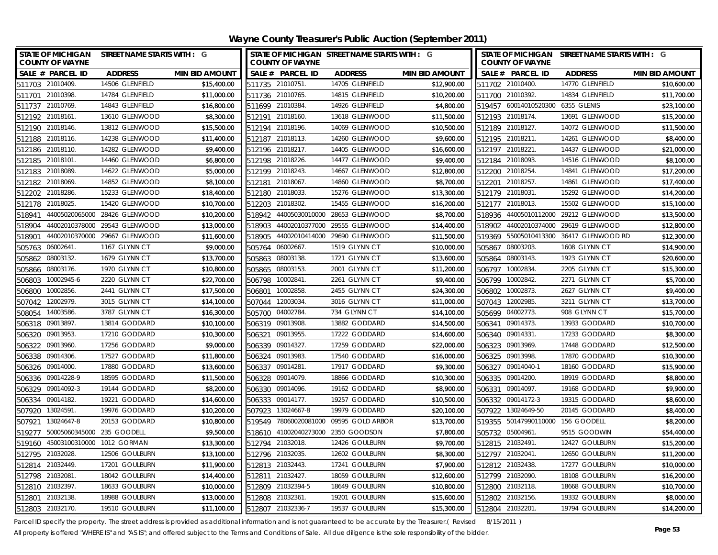**Wayne County Treasurer's Public Auction (September 2011)**

| <b>STATE OF MICHIGAN</b><br><b>COUNTY OF WAYNE</b> | STREET NAME STARTS WITH : G   |                       |        |                       | STATE OF MICHIGAN STREET NAME STARTS WITH : G |                       |        | STATE OF MICHIGAN STREET NAME STARTS WITH : G<br><b>COUNTY OF WAYNE</b> |                                         |                       |  |
|----------------------------------------------------|-------------------------------|-----------------------|--------|-----------------------|-----------------------------------------------|-----------------------|--------|-------------------------------------------------------------------------|-----------------------------------------|-----------------------|--|
| SALE # PARCEL ID                                   | <b>ADDRESS</b>                | <b>MIN BID AMOUNT</b> |        | SALE # PARCEL ID      | <b>ADDRESS</b>                                | <b>MIN BID AMOUNT</b> |        | SALE # PARCEL ID                                                        | <b>ADDRESS</b>                          | <b>MIN BID AMOUNT</b> |  |
| 511703 21010409.                                   | 14506 GLENFIELD               | \$15,400.00           |        | 511735 21010751.      | 14705 GLENFIELD                               | \$12,900.00           |        | 511702 21010400.                                                        | 14770 GLENFIELD                         | \$10,600.00           |  |
| 511701 21010398.                                   | 14784 GLENFIELD               | \$11,000.00           |        | 511736 21010765.      | 14815 GLENFIELD                               | \$10,200.00           |        | 511700 21010392.                                                        | 14834 GLENFIELD                         | \$11,700.00           |  |
| 511737 21010769.                                   | 14843 GLENFIELD               | \$16,800.00           |        | 511699 21010384       | 14926 GLENFIELD                               | \$4,800.00            |        | 519457 60014010520300                                                   | 6355 GLENIS                             | \$23,100.00           |  |
| 512192 21018161.                                   | 13610 GLENWOOD                | \$8,300.00            |        | 512191 21018160.      | 13618 GLENWOOD                                | \$11,500.00           |        | 512193 21018174.                                                        | 13691 GLENWOOD                          | \$15,200.00           |  |
| 512190 21018146.                                   | 13812 GLENWOOD                | \$15,500.00           |        | 512194 21018196.      | 14069 GLENWOOD                                | \$10,500.00           |        | 512189 21018127.                                                        | 14072 GLENWOOD                          | \$11,500.00           |  |
| 512188 21018116.                                   | 14238 GLENWOOD                | \$11,400.00           |        | 512187 21018113.      | 14260 GLENWOOD                                | \$9,600.00            |        | 512195 21018211.                                                        | 14261 GLENWOOD                          | \$8,400.00            |  |
| 512186 21018110.                                   | 14282 GLENWOOD                | \$9,400.00            |        | 512196 21018217.      | 14405 GLENWOOD                                | \$16,600.00           |        | 512197 21018221.                                                        | 14437 GLENWOOD                          | \$21,000.00           |  |
| 512185 21018101.                                   | 14460 GLENWOOD                | \$6,800.00            |        | 512198 21018226.      | 14477 GLENWOOD                                | \$9,400.00            |        | 512184 21018093.                                                        | 14516 GLENWOOD                          | \$8,100.00            |  |
| 21018089.<br>512183                                | 14622 GLENWOOD                | \$5,000.00            |        | 512199 21018243.      | 14667 GLENWOOD                                | \$12,800.00           |        | 512200 21018254.                                                        | 14841 GLENWOOD                          | \$17,200.00           |  |
| 512182 21018069.                                   | 14852 GLENWOOD                | \$8,100.00            | 512181 | 21018067.             | 14860 GLENWOOD                                | \$8,700.00            | 512201 | 21018257.                                                               | 14861 GLENWOOD                          | \$17,400.00           |  |
| 512202 21018286.                                   | 15233 GLENWOOD                | \$18,400.00           |        | 512180 21018033.      | 15276 GLENWOOD                                | \$13,300.00           |        | 512179 21018031.                                                        | 15292 GLENWOOD                          | \$14,200.00           |  |
| 512178 21018025.                                   | 15420 GLENWOOD                | \$10,700.00           | 512203 | 21018302.             | 15455 GLENWOOD                                | \$16,200.00           |        | 512177 21018013.                                                        | 15502 GLENWOOD                          | \$15,100.00           |  |
| 518941                                             | 44005020065000 28426 GLENWOOD | \$10,200.00           | 518942 |                       | 44005030010000 28653 GLENWOOD                 | \$8,700.00            | 518936 | 44005010112000                                                          | 29212 GLENWOOD                          | \$13,500.00           |  |
| 44002010378000<br>518904                           | 29543 GLENWOOD                | \$13,000.00           | 518903 | 44002010377000        | 29555 GLENWOOD                                | \$14,400.00           | 518902 | 44002010374000                                                          | 29619 GLENWOOD                          | \$12,800.00           |  |
| 518901                                             | 44002010370000 29667 GLENWOOD | \$11,600.00           | 518905 |                       | 44002010414000 29690 GLENWOOD                 | \$11,500.00           |        |                                                                         | 519369 55005010413300 36417 GLENWOOD RD | \$12,300.00           |  |
| 505763 06002641.                                   | 1167 GLYNN CT                 | \$9,000.00            | 505764 | 06002667              | 1519 GLYNN CT                                 | \$10,000.00           |        | 505867 08003203.                                                        | 1608 GLYNN CT                           | \$14,900.00           |  |
| 08003132.<br>505862                                | 1679 GLYNN CT                 | \$13,700.00           | 505863 | 08003138.             | 1721 GLYNN CT                                 | \$13,600.00           | 505864 | 08003143.                                                               | 1923 GLYNN CT                           | \$20,600.00           |  |
| 505866 08003176.                                   | 1970 GLYNN CT                 | \$10,800.00           | 505865 | 08003153              | 2001 GLYNN CT                                 | \$11,200.00           | 506797 | 10002834                                                                | 2205 GLYNN CT                           | \$15,300.00           |  |
| 10002945-6<br>506803                               | 2220 GLYNN CT                 | \$22,700.00           | 506798 | 10002841              | 2261 GLYNN CT                                 | \$9,400.00            |        | 506799 10002842.                                                        | 2271 GLYNN CT                           | \$5,700.00            |  |
| 10002856.<br>506800                                | 2441 GLYNN CT                 | \$17,500.00           | 506801 | 10002858              | 2455 GLYNN CT                                 | \$24,300.00           |        | 506802 10002873.                                                        | 2627 GLYNN CT                           | \$9,400.00            |  |
| 12002979.<br>507042                                | 3015 GLYNN CT                 | \$14,100.00           | 507044 | 12003034              | 3016 GLYNN CT                                 | \$11,000.00           |        | 507043 12002985.                                                        | 3211 GLYNN CT                           | \$13,700.00           |  |
| 508054 14003586.                                   | 3787 GLYNN CT                 | \$16,300.00           | 505700 | 04002784              | 734 GLYNN CT                                  | \$14,100.00           |        | 505699 04002773.                                                        | 908 GLYNN CT                            | \$15,700.00           |  |
| 506318 09013897.                                   | 13814 GODDARD                 | \$10,100.00           |        | 506319 09013908.      | 13882 GODDARD                                 | \$14,500.00           |        | 506341 09014373.                                                        | 13933 GODDARD                           | \$10,700.00           |  |
| 09013953.<br>506320                                | 17210 GODDARD                 | \$10,300.00           | 506321 | 09013955              | 17222 GODDARD                                 | \$14,600.00           |        | 506340 09014331                                                         | 17233 GODDARD                           | \$8,300.00            |  |
| 506322 09013960.                                   | 17256 GODDARD                 | \$9,000.00            |        | 506339 09014327       | 17259 GODDARD                                 | \$22,000.00           |        | 506323 09013969.                                                        | 17448 GODDARD                           | \$12,500.00           |  |
| 506338 09014306.                                   | 17527 GODDARD                 | \$11,800.00           |        | 506324 09013983.      | 17540 GODDARD                                 | \$16,000.00           |        | 506325 09013998.                                                        | 17870 GODDARD                           | \$10,300.00           |  |
| 506326 09014000.                                   | 17880 GODDARD                 | \$13,600.00           |        | 506337 09014281.      | 17917 GODDARD                                 | \$9,300.00            |        | 506327 09014040-1                                                       | 18160 GODDARD                           | \$15,900.00           |  |
| 506336 09014228-9                                  | 18595 GODDARD                 | \$11,500.00           |        | 506328 09014079       | 18866 GODDARD                                 | \$10,300.00           |        | 506335 09014200.                                                        | 18919 GODDARD                           | \$8,800.00            |  |
| 506329 09014092-3                                  | 19144 GODDARD                 | \$8,200.00            |        | 506330 09014096.      | 19162 GODDARD                                 | \$8,900.00            |        | 506331 09014097.                                                        | 19168 GODDARD                           | \$9,900.00            |  |
| 506334 09014182.                                   | 19221 GODDARD                 | \$14,600.00           |        | 506333 09014177.      | 19257 GODDARD                                 | \$10,500.00           |        | 506332 09014172-3                                                       | 19315 GODDARD                           | \$8,600.00            |  |
| 507920 13024591.                                   | 19976 GODDARD                 | \$10,200.00           |        | 507923 13024667-8     | 19979 GODDARD                                 | \$20,100.00           |        | 507922 13024649-50                                                      | 20145 GODDARD                           | \$8,400.00            |  |
| 507921 13024647-8                                  | 20153 GODDARD                 | \$10,800.00           |        | 519549 78060020081000 | 09595 GOLD ARBOR                              | \$13,700.00           |        | 519355 50147990110000 156 GOODELL                                       |                                         | \$8,200.00            |  |
| 50005060345000 235 GOODELL<br>519277               |                               | \$9,500.00            |        | 518610 41002040273000 | 2350 GOODSON                                  | \$7,800.00            |        | 505732 05004961                                                         | 9515 GOODWIN                            | \$54,400.00           |  |
| 519160 45003100310000 1012 GORMAN                  |                               | \$13,300.00           |        | 512794 21032018.      | 12426 GOULBURN                                | \$9,700.00            |        | 512815 21032491                                                         | 12427 GOULBURN                          | \$15,200.00           |  |
| 512795 21032028.                                   | 12506 GOULBURN                | \$13,100.00           |        | 512796 21032035       | 12602 GOULBURN                                | \$8,300.00            |        | 512797 21032041.                                                        | 12650 GOULBURN                          | \$11,200.00           |  |
| 512814 21032449.                                   | 17201 GOULBURN                | \$11,900.00           |        | 512813 21032443.      | 17241 GOULBURN                                | \$7,900.00            |        | 512812 21032438.                                                        | 17277 GOULBURN                          | \$10,000.00           |  |
| 512798 21032081                                    | 18042 GOULBURN                | \$14,400.00           |        | 512811 21032427.      | 18059 GOULBURN                                | \$12,600.00           |        | 512799 21032090.                                                        | 18108 GOULBURN                          | \$16,200.00           |  |
| 512810 21032397.                                   | 18633 GOULBURN                | \$10,000.00           |        | 512809 21032394-5     | 18649 GOULBURN                                | \$10,800.00           |        | 512800 21032118.                                                        | 18668 GOULBURN                          | \$10,700.00           |  |
| 512801 21032138.                                   | 18988 GOULBURN                | \$13,000.00           |        | 512808 21032361.      | 19201 GOULBURN                                | \$15,600.00           |        | 512802 21032156.                                                        | 19332 GOULBURN                          | \$8,000.00            |  |
| 512803 21032170.                                   | 19510 GOULBURN                | \$11,100.00           |        | 512807 21032336-7     | 19537 GOULBURN                                | \$15,300.00           |        | 512804 21032201.                                                        | 19794 GOULBURN                          | \$14,200.00           |  |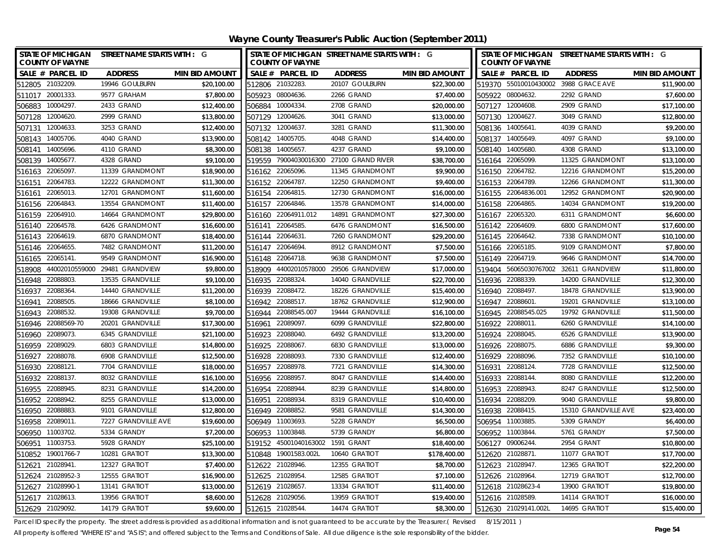| <b>STATE OF MICHIGAN</b><br><b>COUNTY OF WAYNE</b> | STREET NAME STARTS WITH : G |                  | <b>COUNTY OF WAYNE</b> | STATE OF MICHIGAN STREET NAME STARTS WITH : G |                       |        | <b>COUNTY OF WAYNE</b> | STATE OF MICHIGAN STREET NAME STARTS WITH : G |                       |
|----------------------------------------------------|-----------------------------|------------------|------------------------|-----------------------------------------------|-----------------------|--------|------------------------|-----------------------------------------------|-----------------------|
| SALE # PARCEL ID<br><b>ADDRESS</b>                 | <b>MIN BID AMOUNT</b>       |                  | SALE # PARCEL ID       | <b>ADDRESS</b>                                | <b>MIN BID AMOUNT</b> |        | SALE # PARCEL ID       | <b>ADDRESS</b>                                | <b>MIN BID AMOUNT</b> |
| 512805 21032209<br>19946 GOULBURN                  | \$20,100.00                 | 512806 21032283. |                        | 20107 GOULBURN                                | \$22,300.00           |        |                        | 519370 55010010430002 3988 GRACE AVE          | \$11,900.00           |
| 511017 20001333.<br>9577 GRAHAM                    | \$7,800.00                  | 505923 08004636. |                        | 2266 GRAND                                    | \$7,400.00            |        | 505922 08004632.       | 2292 GRAND                                    | \$7,600.00            |
| 506883 10004297.<br>2433 GRAND                     | \$12,400.00                 | 506884 10004334. |                        | 2708 GRAND                                    | \$20,000.00           |        | 507127 12004608.       | 2909 GRAND                                    | \$17,100.00           |
| 507128 12004620.<br>2999 GRAND                     | \$13,800.00                 | 507129 12004626. |                        | 3041 GRAND                                    | \$13,000.00           |        | 507130 12004627.       | 3049 GRAND                                    | \$12,800.00           |
| 3253 GRAND<br>12004633.<br>507131                  | \$12,400.00                 | 507132 12004637. |                        | 3281 GRAND                                    | \$11,300.00           |        | 508136 14005641        | 4039 GRAND                                    | \$9,200.00            |
| 4040 GRAND<br>508143 14005706.                     | \$13,900.00                 | 508142 14005705. |                        | 4048 GRAND                                    | \$14,400.00           |        | 508137 14005649.       | 4097 GRAND                                    | \$9,100.00            |
| 4110 GRAND<br>14005696.<br>508141                  | \$8,300.00                  | 508138 14005657. |                        | 4237 GRAND                                    | \$9,100.00            |        | 508140 14005680.       | 4308 GRAND                                    | \$13,100.00           |
| 508139 14005677.<br>4328 GRAND                     | \$9,100.00                  |                  |                        | 519559 79004030016300 27100 GRAND RIVER       | \$38,700.00           |        | 516164 22065099.       | 11325 GRANDMONT                               | \$13,100.00           |
| 22065097<br>11339 GRANDMONT<br>516163              | \$18,900.00                 | 516162 22065096. |                        | 11345 GRANDMONT                               | \$9,900.00            |        | 516150 22064782.       | 12216 GRANDMONT                               | \$15,200.00           |
| 22064783<br>12222 GRANDMONT<br>516151              | \$11,300.00                 | 516152 22064787. |                        | 12250 GRANDMONT                               | \$9,400.00            |        | 516153 22064789.       | 12266 GRANDMONT                               | \$11,300.00           |
| 22065013<br>12701 GRANDMONT<br>516161              | \$11,600.00                 | 516154 22064815. |                        | 12730 GRANDMONT                               | \$16,000.00           |        | 516155 22064836.001    | 12952 GRANDMONT                               | \$20,900.00           |
| 516156 22064843.<br>13554 GRANDMONT                | \$11,400.00                 | 516157 22064846. |                        | 13578 GRANDMONT                               | \$14,000.00           |        | 516158 22064865.       | 14034 GRANDMONT                               | \$19,200.00           |
| 22064910<br>14664 GRANDMONT<br>516159              | \$29,800.00                 | 516160           | 22064911.012           | 14891 GRANDMONT                               | \$27,300.00           |        | 516167 22065320.       | 6311 GRANDMONT                                | \$6,600.00            |
| 22064578<br>6426 GRANDMONT<br>516140               | \$16,600.00                 | 516141           | 22064585.              | 6476 GRANDMONT                                | \$16,500.00           |        | 516142 22064609.       | 6800 GRANDMONT                                | \$17,600.00           |
| 516143 22064619.<br>6870 GRANDMONT                 | \$18,400.00                 | 516144           | 22064631               | 7260 GRANDMONT                                | \$29,200.00           |        | 516145 22064642.       | 7338 GRANDMONT                                | \$10,100.00           |
| 22064655.<br>7482 GRANDMONT<br>516146              | \$11,200.00                 | 516147 22064694. |                        | 8912 GRANDMONT                                | \$7,500.00            |        | 516166 22065185.       | 9109 GRANDMONT                                | \$7,800.00            |
| 22065141<br>9549 GRANDMONT<br>516165               | \$16,900.00                 | 516148           | 22064718.              | 9638 GRANDMONT                                | \$7,500.00            |        | 516149 22064719.       | 9646 GRANDMONT                                | \$14,700.00           |
| 44002010559000<br>29481 GRANDVIEW<br>518908        | \$9,800.00                  | 518909           | 44002010578000         | 29506 GRANDVIEW                               | \$17,000.00           | 519404 | 56065030767002         | 32611 GRANDVIEW                               | \$11,800.00           |
| 22088803<br>13535 GRANDVILLE<br>516948             | \$9,100.00                  | 516935 22088324. |                        | 14040 GRANDVILLE                              | \$22,700.00           |        | 516936 22088339.       | 14200 GRANDVILLE                              | \$12,300.00           |
| 22088364<br>14440 GRANDVILLE<br>516937             | \$11,200.00                 | 516939 22088472. |                        | 18226 GRANDVILLE                              | \$15,400.00           |        | 516940 22088497.       | 18478 GRANDVILLE                              | \$13,900.00           |
| 22088505<br>18666 GRANDVILLE<br>516941             | \$8,100.00                  | 516942           | 22088517               | 18762 GRANDVILLE                              | \$12,900.00           | 516947 | 22088601               | 19201 GRANDVILLE                              | \$13,100.00           |
| 22088532<br>19308 GRANDVILLE<br>516943             | \$9,700.00                  | 516944           | 22088545.007           | 19444 GRANDVILLE                              | \$16,100.00           | 516945 | 22088545.025           | 19792 GRANDVILLE                              | \$11,500.00           |
| 22088569-70<br>20201 GRANDVILLE<br>516946          | \$17,300.00                 | 516961           | 22089097.              | 6099 GRANDVILLE                               | \$22,800.00           | 516922 | 22088011.              | 6260 GRANDVILLE                               | \$14,100.00           |
| 22089073.<br>6345 GRANDVILLE<br>516960             | \$21,100.00                 | 516923 22088040. |                        | 6492 GRANDVILLE                               | \$13,200.00           | 516924 | 22088045.              | 6526 GRANDVILLE                               | \$13,900.00           |
| 516959<br>22089029<br>6803 GRANDVILLE              | \$14,800.00                 | 516925 22088067. |                        | 6830 GRANDVILLE                               | \$13,000.00           | 516926 | 22088075.              | 6886 GRANDVILLE                               | \$9,300.00            |
| 516927<br>22088078<br>6908 GRANDVILLE              | \$12,500.00                 | 516928 22088093. |                        | 7330 GRANDVILLE                               | \$12,400.00           |        | 516929 22088096.       | 7352 GRANDVILLE                               | \$10,100.00           |
| 516930 22088121.<br>7704 GRANDVILLE                | \$18,000.00                 | 516957 22088978. |                        | 7721 GRANDVILLE                               | \$14,300.00           |        | 516931 22088124        | 7728 GRANDVILLE                               | \$12,500.00           |
| 516932 22088137.<br>8032 GRANDVILLE                | \$16,100.00                 | 516956 22088957  |                        | 8047 GRANDVILLE                               | \$14,400.00           |        | 516933 22088144        | 8080 GRANDVILLE                               | \$12,200.00           |
| 516955<br>22088945<br>8231 GRANDVILLE              | \$14,200.00                 | 516954           | 22088944.              | 8239 GRANDVILLE                               | \$14,800.00           |        | 516953 22088943.       | 8247 GRANDVILLE                               | \$12,500.00           |
| 516952 22088942.<br>8255 GRANDVILLE                | \$13,000.00                 | 516951           | 22088934               | 8319 GRANDVILLE                               | \$10,400.00           |        | 516934 22088209.       | 9040 GRANDVILLE                               | \$9,800.00            |
| 9101 GRANDVILLE<br>516950 22088883.                | \$12,800.00                 | 516949 22088852. |                        | 9581 GRANDVILLE                               | \$14,300.00           |        | 516938 22088415.       | 15310 GRANDVILLE AVE                          | \$23,400.00           |
| 516958 22089011<br>7227 GRANDVILLE AVE             | \$19,600.00                 | 506949 11003693. |                        | 5228 GRANDY                                   | \$6,500.00            |        | 506954 11003885        | 5309 GRANDY                                   | \$6,400.00            |
| 506950<br>11003702<br>5334 GRANDY                  | \$7,200.00                  | 506953 11003848. |                        | 5739 GRANDY                                   | \$6,800.00            |        | 506952 11003844.       | 5761 GRANDY                                   | \$7,500.00            |
| 506951 11003753.<br>5928 GRANDY                    | \$25,100.00                 |                  | 519152 45001040163002  | 1591 GRANT                                    | \$18,400.00           |        | 506127 09006244        | 2954 GRANT                                    | \$10,800.00           |
| 10281 GRATIOT<br>510852 19001766-7                 | \$13,300.00                 |                  | 510848 19001583.002L   | 10640 GRATIOT                                 | \$178,400.00          |        | 512620 21028871.       | 11077 GRATIOT                                 | \$17,700.00           |
| 21028941<br>12327 GRATIOT<br>512621                | \$7,400.00                  | 512622 21028946. |                        | 12355 GRATIOT                                 | \$8,700.00            |        | 512623 21028947.       | 12365 GRATIOT                                 | \$22,200.00           |
| 21028952-3<br>12555 GRATIOT<br>512624              | \$16,900.00                 | 512625 21028954. |                        | 12585 GRATIOT                                 | \$7,100.00            |        | 512626 21028964        | 12719 GRATIOT                                 | \$12,700.00           |
| 13141 GRATIOT<br>512627 21028990-1                 | \$13,000.00                 | 512619 21028657. |                        | 13334 GRATIOT                                 | \$11,400.00           |        | 512618 21028623-4      | 13900 GRATIOT                                 | \$19,800.00           |
| 512617 21028613.<br>13956 GRATIOT                  | \$8,600.00                  | 512628 21029056. |                        | 13959 GRATIOT                                 | \$19,400.00           |        | 512616 21028589.       | 14114 GRATIOT                                 | \$16,000.00           |
| 512629 21029092.<br>14179 GRATIOT                  | \$9,600.00                  | 512615 21028544. |                        | 14474 GRATIOT                                 | \$8,300.00            |        | 512630 21029141.002L   | 14695 GRATIOT                                 | \$15,400.00           |

Parcel ID specify the property. The street address is provided as additional information and is not guaranteed to be accurate by the Treasurer.( Revised 8/15/2011 )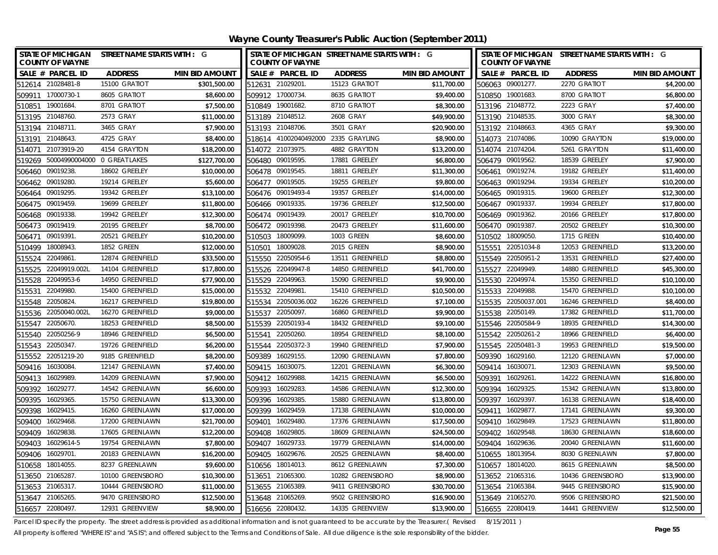**Wayne County Treasurer's Public Auction (September 2011)**

| <b>STATE OF MICHIGAN</b><br><b>COUNTY OF WAYNE</b> | STREET NAME STARTS WITH : G         |                       |        | <b>COUNTY OF WAYNE</b> | STATE OF MICHIGAN STREET NAME STARTS WITH : G |                       |                  | <b>COUNTY OF WAYNE</b> | STATE OF MICHIGAN STREET NAME STARTS WITH : G |                       |
|----------------------------------------------------|-------------------------------------|-----------------------|--------|------------------------|-----------------------------------------------|-----------------------|------------------|------------------------|-----------------------------------------------|-----------------------|
| SALE # PARCEL ID                                   | <b>ADDRESS</b>                      | <b>MIN BID AMOUNT</b> |        | SALE # PARCEL ID       | <b>ADDRESS</b>                                | <b>MIN BID AMOUNT</b> |                  | SALE # PARCEL ID       | <b>ADDRESS</b>                                | <b>MIN BID AMOUNT</b> |
| 512614 21028481-8                                  | 15100 GRATIOT                       | \$301,500.00          |        | 512631 21029201        | 15123 GRATIOT                                 | \$11,700.00           |                  | 506063 09001277.       | 2270 GRATIOT                                  | \$4,200.00            |
| 509911 17000730-1                                  | 8605 GRATIOT                        | \$8,600.00            |        | 509912 17000734.       | 8635 GRATIOT                                  | \$9,400.00            |                  | 510850 19001683.       | 8700 GRATIOT                                  | \$6,800.00            |
| 19001684.<br>510851                                | 8701 GRATIOT                        | \$7,500.00            |        | 510849 19001682.       | 8710 GRATIOT                                  | \$8,300.00            | 513196 21048772. |                        | 2223 GRAY                                     | \$7,400.00            |
| 513195 21048760.                                   | 2573 GRAY                           | \$11,000.00           |        | 513189 21048512.       | 2608 GRAY                                     | \$49,900.00           |                  | 513190 21048535.       | 3000 GRAY                                     | \$8,300.00            |
| 21048711<br>513194                                 | 3465 GRAY                           | \$7,900.00            |        | 513193 21048706        | 3501 GRAY                                     | \$20,900.00           |                  | 513192 21048663.       | 4365 GRAY                                     | \$9,300.00            |
| 21048643<br>513191                                 | 4725 GRAY                           | \$8,400.00            |        | 518614 41002040492000  | 2335 GRAYLING                                 | \$8,900.00            |                  | 514073 21074086.       | 10090 GRAYTON                                 | \$19,000.00           |
| 21073919-20<br>514071                              | 4154 GRAYTON                        | \$18,200.00           |        | 514072 21073975.       | 4882 GRAYTON                                  | \$13,200.00           |                  | 514074 21074204.       | 5261 GRAYTON                                  | \$11,400.00           |
|                                                    | 519269 50004990004000 0 GREAT LAKES | \$127,700.00          |        | 506480 09019595.       | 17881 GREELEY                                 | \$6,800.00            |                  | 506479 09019562.       | 18539 GREELEY                                 | \$7,900.00            |
| 09019238<br>506460                                 | 18602 GREELEY                       | \$10,000.00           | 506478 | 09019545.              | 18811 GREELEY                                 | \$11,300.00           | 506461           | 09019274.              | 19182 GREELEY                                 | \$11,400.00           |
| 506462 09019280.                                   | 19214 GREELEY                       | \$5,600.00            |        | 506477 09019505.       | 19255 GREELEY                                 | \$9,800.00            | 506463           | 09019294.              | 19334 GREELEY                                 | \$10,200.00           |
| 09019295.<br>506464                                | 19342 GREELEY                       | \$13,100.00           |        | 506476 09019493-4      | 19357 GREELEY                                 | \$14,000.00           |                  | 506465 09019315.       | 19600 GREELEY                                 | \$12,300.00           |
| 506475 09019459.                                   | 19699 GREELEY                       | \$11,800.00           |        | 506466 09019335.       | 19736 GREELEY                                 | \$12,500.00           |                  | 506467 09019337.       | 19934 GREELEY                                 | \$17,800.00           |
| 09019338.<br>506468                                | 19942 GREELEY                       | \$12,300.00           |        | 506474 09019439.       | 20017 GREELEY                                 | \$10,700.00           |                  | 506469 09019362.       | 20166 GREELEY                                 | \$17,800.00           |
| 09019419.<br>506473                                | 20195 GREELEY                       | \$8,700.00            |        | 506472 09019398        | 20473 GREELEY                                 | \$11,600.00           | 506470           | 09019387               | 20502 GREELEY                                 | \$10,300.00           |
| 09019391.<br>506471                                | 20521 GREELEY                       | \$10,200.00           | 510503 | 18009099.              | 1003 GREEN                                    | \$8,600.00            |                  | 510502 18009050.       | <b>1715 GREEN</b>                             | \$10,400.00           |
| 18008943.<br>510499                                | 1852 GREEN                          | \$12,000.00           | 510501 | 18009028               | 2015 GREEN                                    | \$8,900.00            |                  | 515551 22051034-8      | 12053 GREENFIELD                              | \$13,200.00           |
| 22049861<br>515524                                 | 12874 GREENFIELD                    | \$33,500.00           | 515550 | 22050954-6             | 13511 GREENFIELD                              | \$8,800.00            |                  | 515549 22050951-2      | 13531 GREENFIELD                              | \$27,400.00           |
| 515525 22049919.002L                               | 14104 GREENFIELD                    | \$17,800.00           |        | 515526 22049947-8      | 14850 GREENFIELD                              | \$41,700.00           |                  | 515527 22049949.       | 14880 GREENFIELD                              | \$45,300.00           |
| 515528 22049953-6                                  | 14950 GREENFIELD                    | \$77,900.00           |        | 515529 22049963.       | 15090 GREENFIELD                              | \$9,900.00            |                  | 515530 22049974.       | 15350 GREENFIELD                              | \$10,100.00           |
| 22049980<br>515531                                 | 15400 GREENFIELD                    | \$15,000.00           |        | 515532 22049981        | 15410 GREENFIELD                              | \$10,500.00           |                  | 515533 22049988.       | 15470 GREENFIELD                              | \$10,100.00           |
| 22050824<br>515548                                 | 16217 GREENFIELD                    | \$19,800.00           |        | 515534 22050036.002    | 16226 GREENFIELD                              | \$7,100.00            |                  | 515535 22050037.001    | 16246 GREENFIELD                              | \$8,400.00            |
| 515536 22050040.002L                               | 16270 GREENFIELD                    | \$9,000.00            |        | 515537 22050097        | 16860 GREENFIELD                              | \$9,900.00            |                  | 515538 22050149.       | 17382 GREENFIELD                              | \$11,700.00           |
| 515547 22050670.                                   | 18253 GREENFIELD                    | \$8,500.00            |        | 515539 22050193-4      | 18432 GREENFIELD                              | \$9,100.00            |                  | 515546 22050584-9      | 18935 GREENFIELD                              | \$14,300.00           |
| 22050256-9<br>515540                               | 18946 GREENFIELD                    | \$6,500.00            |        | 515541 22050260.       | 18954 GREENFIELD                              | \$8,100.00            |                  | 515542 22050261-2      | 18966 GREENFIELD                              | \$6,400.00            |
| 515543 22050347.                                   | 19726 GREENFIELD                    | \$6,200.00            |        | 515544 22050372-3      | 19940 GREENFIELD                              | \$7,900.00            |                  | 515545 22050481-3      | 19953 GREENFIELD                              | \$19,500.00           |
| 515552 22051219-20                                 | 9185 GREENFIELD                     | \$8,200.00            |        | 509389 16029155.       | 12090 GREENLAWN                               | \$7,800.00            |                  | 509390 16029160.       | 12120 GREENLAWN                               | \$7,000.00            |
| 509416 16030084.                                   | 12147 GREENLAWN                     | \$7,400.00            |        | 509415 16030075.       | 12201 GREENLAWN                               | \$6,300.00            |                  | 509414 16030071.       | 12303 GREENLAWN                               | \$9,500.00            |
| 509413 16029989.                                   | 14209 GREENLAWN                     | \$7,900.00            |        | 509412 16029988        | 14215 GREENLAWN                               | \$6,500.00            |                  | 509391 16029261        | 14222 GREENLAWN                               | \$16,800.00           |
| 509392 16029277.                                   | 14542 GREENLAWN                     | \$6,600.00            |        | 509393 16029283        | 14586 GREENLAWN                               | \$12,300.00           |                  | 509394 16029325.       | 15342 GREENLAWN                               | \$13,800.00           |
| 509395 16029365.                                   | 15750 GREENLAWN                     | \$13,300.00           |        | 509396 16029385        | 15880 GREENLAWN                               | \$13,800.00           |                  | 509397 16029397.       | 16138 GREENLAWN                               | \$18,400.00           |
| 509398 16029415.                                   | 16260 GREENLAWN                     | \$17,000.00           |        | 509399 16029459.       | 17138 GREENLAWN                               | \$10,000.00           |                  | 509411 16029877.       | 17141 GREENLAWN                               | \$9,300.00            |
| 509400 16029468.                                   | 17200 GREENLAWN                     | \$21,700.00           |        | 509401 16029480        | 17376 GREENLAWN                               | \$17,500.00           |                  | 509410 16029849.       | 17523 GREENLAWN                               | \$11,800.00           |
| 509409 16029838.                                   | 17605 GREENLAWN                     | \$12,200.00           | 509408 | 16029805               | 18609 GREENLAWN                               | \$24,500.00           |                  | 509402 16029548.       | 18630 GREENLAWN                               | \$18,600.00           |
| 509403 16029614-5                                  | 19754 GREENLAWN                     | \$7,800.00            |        | 509407 16029733        | 19779 GREENLAWN                               | \$14,000.00           |                  | 509404 16029636.       | 20040 GREENLAWN                               | \$11,600.00           |
| 509406 16029701                                    | 20183 GREENLAWN                     | \$16,200.00           | 509405 | 16029676.              | 20525 GREENLAWN                               | \$8,400.00            | 510655 18013954  |                        | 8030 GREENLAWN                                | \$7,800.00            |
| 510658 18014055.                                   | 8237 GREENLAWN                      | \$9,600.00            |        | 510656 18014013        | 8612 GREENLAWN                                | \$7,300.00            |                  | 510657 18014020.       | 8615 GREENLAWN                                | \$8,500.00            |
| 513650 21065287.                                   | 10100 GREENSBORO                    | \$10,300.00           | 513651 | 21065300               | 10282 GREENSBORO                              | \$8,900.00            |                  | 513652 21065316.       | 10436 GREENSBORO                              | \$13,900.00           |
| 513653 21065317.                                   | 10444 GREENSBORO                    | \$11,000.00           |        | 513655 21065389        | 9411 GREENSBORO                               | \$30,700.00           |                  | 513654 21065384.       | 9445 GREENSBORO                               | \$15,900.00           |
| 513647 21065265.                                   | 9470 GREENSBORO                     | \$12,500.00           |        | 513648 21065269        | 9502 GREENSBORO                               | \$16,900.00           |                  | 513649 21065270.       | 9506 GREENSBORO                               | \$21,500.00           |
| 516657 22080497.                                   | 12931 GREENVIEW                     | \$8,900.00            |        | 516656 22080432.       | 14335 GREENVIEW                               | \$13,900.00           | 516655 22080419. |                        | 14441 GREENVIEW                               | \$12,500.00           |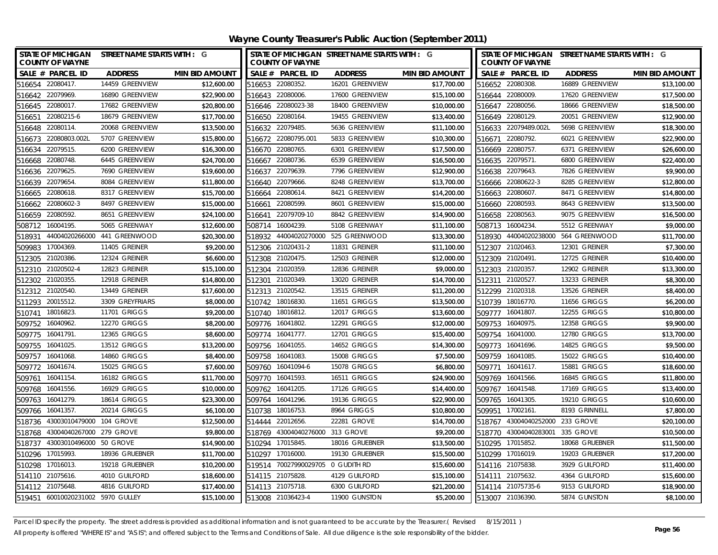| STATE OF MICHIGAN STREET NAME STARTS WITH : G<br><b>COUNTY OF WAYNE</b> |                     |                       |        | <b>COUNTY OF WAYNE</b>            | STATE OF MICHIGAN STREET NAME STARTS WITH : G |                       | <b>COUNTY OF WAYNE</b> | STATE OF MICHIGAN STREET NAME STARTS WITH : G |                                     |                       |
|-------------------------------------------------------------------------|---------------------|-----------------------|--------|-----------------------------------|-----------------------------------------------|-----------------------|------------------------|-----------------------------------------------|-------------------------------------|-----------------------|
| SALE # PARCEL ID                                                        | <b>ADDRESS</b>      | <b>MIN BID AMOUNT</b> |        | SALE # PARCEL ID                  | <b>ADDRESS</b>                                | <b>MIN BID AMOUNT</b> |                        | SALE # PARCEL ID                              | <b>ADDRESS</b>                      | <b>MIN BID AMOUNT</b> |
| 516654 22080417.                                                        | 14459 GREENVIEW     | \$12,600.00           |        | 516653 22080352.                  | 16201 GREENVIEW                               | \$17,700.00           |                        | 516652 22080308.                              | 16889 GREENVIEW                     | \$13,100.00           |
| 516642 22079969.                                                        | 16890 GREENVIEW     | \$22,900.00           |        | 516643 22080006.                  | 17600 GREENVIEW                               | \$15,100.00           |                        | 516644 22080009.                              | 17620 GREENVIEW                     | \$17,500.00           |
| 516645 22080017.                                                        | 17682 GREENVIEW     | \$20,800.00           |        | 516646 22080023-38                | 18400 GREENVIEW                               | \$10,000.00           |                        | 516647 22080056.                              | 18666 GREENVIEW                     | \$18,500.00           |
| 516651 22080215-6                                                       | 18679 GREENVIEW     | \$17,700.00           |        | 516650 22080164.                  | 19455 GREENVIEW                               | \$13,400.00           |                        | 516649 22080129.                              | 20051 GREENVIEW                     | \$12,900.00           |
| 516648 22080114.                                                        | 20068 GREENVIEW     | \$13,500.00           |        | 516632 22079485.                  | 5636 GREENVIEW                                | \$11,100.00           |                        | 516633 22079489.002L                          | 5698 GREENVIEW                      | \$18,300.00           |
| 516673 22080803.002L                                                    | 5707 GREENVIEW      | \$15,800.00           |        | 516672 22080795.001               | 5833 GREENVIEW                                | \$10,300.00           |                        | 516671 22080792.                              | 6021 GREENVIEW                      | \$22,900.00           |
| 22079515.<br>516634                                                     | 6200 GREENVIEW      | \$16,300.00           | 516670 | 22080765.                         | 6301 GREENVIEW                                | \$17,500.00           |                        | 516669 22080757.                              | 6371 GREENVIEW                      | \$26,600.00           |
| 22080748.<br>516668                                                     | 6445 GREENVIEW      | \$24,700.00           | 516667 | 22080736.                         | 6539 GREENVIEW                                | \$16,500.00           | 516635                 | 22079571.                                     | 6800 GREENVIEW                      | \$22,400.00           |
| 22079625<br>516636                                                      | 7690 GREENVIEW      | \$19,600.00           | 516637 | 22079639.                         | 7796 GREENVIEW                                | \$12,900.00           |                        | 516638 22079643.                              | 7826 GREENVIEW                      | \$9,900.00            |
| 516639 22079654                                                         | 8084 GREENVIEW      | \$11,800.00           |        | 516640 22079666.                  | 8248 GREENVIEW                                | \$13,700.00           |                        | 516666 22080622-3                             | 8285 GREENVIEW                      | \$12,800.00           |
| 22080618<br>516665                                                      | 8317 GREENVIEW      | \$15,700.00           |        | 516664 22080614.                  | 8421 GREENVIEW                                | \$14,200.00           |                        | 516663 22080607.                              | 8471 GREENVIEW                      | \$14,800.00           |
| 22080602-3<br>516662                                                    | 8497 GREENVIEW      | \$15,000.00           | 516661 | 22080599.                         | 8601 GREENVIEW                                | \$15,000.00           |                        | 516660 22080593.                              | 8643 GREENVIEW                      | \$13,500.00           |
| 516659 22080592.                                                        | 8651 GREENVIEW      | \$24,100.00           | 516641 | 22079709-10                       | 8842 GREENVIEW                                | \$14,900.00           |                        | 516658 22080563.                              | 9075 GREENVIEW                      | \$16,500.00           |
| 16004195.<br>508712                                                     | 5065 GREENWAY       | \$12,600.00           | 508714 | 16004239.                         | 5108 GREENWAY                                 | \$11,100.00           |                        | 508713 16004234.                              | 5512 GREENWAY                       | \$9,000.00            |
| 518931                                                                  |                     | \$20,300.00           |        |                                   | 518932 44004020270000 525 GREENWOOD           | \$13,300.00           |                        |                                               | 518930 44004020238000 564 GREENWOOD | \$11,700.00           |
| 17004369.<br>509983                                                     | 11405 GREINER       | \$9,200.00            |        | 512306 21020431-2                 | 11831 GREINER                                 | \$11,100.00           |                        | 512307 21020463.                              | 12301 GREINER                       | \$7,300.00            |
| 21020386<br>512305                                                      | 12324 GREINER       | \$6,600.00            | 512308 | 21020475.                         | 12503 GREINER                                 | \$12,000.00           |                        | 512309 21020491.                              | 12725 GREINER                       | \$10,400.00           |
| 512310 21020502-4                                                       | 12823 GREINER       | \$15,100.00           |        | 512304 21020359.                  | 12836 GREINER                                 | \$9,000.00            |                        | 512303 21020357.                              | 12902 GREINER                       | \$13,300.00           |
| 512302 21020355.                                                        | 12918 GREINER       | \$14,800.00           |        | 512301 21020349.                  | 13020 GREINER                                 | \$14,700.00           |                        | 512311 21020527.                              | 13233 GREINER                       | \$8,300.00            |
| 512312 21020540.                                                        | 13449 GREINER       | \$17,600.00           |        | 512313 21020542.                  | 13515 GREINER                                 | \$11,200.00           |                        | 512299 21020318.                              | 13526 GREINER                       | \$8,400.00            |
| 511293 20015512.                                                        | 3309 GREYFRIARS     | \$8,000.00            |        | 510742 18016830.                  | 11651 GRIGGS                                  | \$13,500.00           |                        | 510739 18016770.                              | <b>11656 GRIGGS</b>                 | \$6,200.00            |
| 18016823<br>510741                                                      | 11701 GRIGGS        | \$9,200.00            | 510740 | 18016812.                         | 12017 GRIGGS                                  | \$13,600.00           | 509777                 | 16041807.                                     | 12255 GRIGGS                        | \$10,800.00           |
| 16040962.<br>509752                                                     | 12270 GRIGGS        | \$8,200.00            |        | 509776 16041802.                  | <b>12291 GRIGGS</b>                           | \$12,000.00           | 509753                 | 16040975.                                     | <b>12358 GRIGGS</b>                 | \$9,900.00            |
| 16041791.<br>509775                                                     | 12365 GRIGGS        | \$8,600.00            |        | 509774 16041777.                  | <b>12701 GRIGGS</b>                           | \$15,400.00           |                        | 509754 16041000.                              | <b>12780 GRIGGS</b>                 | \$13,700.00           |
| 16041025<br>509755                                                      | 13512 GRIGGS        | \$13,200.00           | 509756 | 16041055                          | 14652 GRIGGS                                  | \$14,300.00           |                        | 509773 16041696.                              | 14825 GRIGGS                        | \$9,500.00            |
| 509757<br>16041068                                                      | <b>14860 GRIGGS</b> | \$8,400.00            | 509758 | 16041083                          | 15008 GRIGGS                                  | \$7,500.00            | 509759                 | 16041085.                                     | 15022 GRIGGS                        | \$10,400.00           |
| 509772 16041674.                                                        | <b>15025 GRIGGS</b> | \$7,600.00            |        | 509760 16041094-6                 | 15078 GRIGGS                                  | \$6,800.00            |                        | 509771 16041617.                              | 15881 GRIGGS                        | \$18,600.00           |
| 16041154<br>509761                                                      | 16182 GRIGGS        | \$11,700.00           |        | 509770 16041593.                  | 16511 GRIGGS                                  | \$24,900.00           |                        | 509769 16041566.                              | 16845 GRIGGS                        | \$11,800.00           |
| 509768 16041556.                                                        | 16929 GRIGGS        | \$10,000.00           |        | 509762 16041205                   | <b>17126 GRIGGS</b>                           | \$14,400.00           |                        | 509767 16041548.                              | <b>17169 GRIGGS</b>                 | \$13,400.00           |
| 509763<br>16041279                                                      | 18614 GRIGGS        | \$23,300.00           | 509764 | 16041296.                         | 19136 GRIGGS                                  | \$22,900.00           | 509765                 | 16041305.                                     | <b>19210 GRIGGS</b>                 | \$10,600.00           |
| 16041357.<br>509766                                                     | <b>20214 GRIGGS</b> | \$6,100.00            | 510738 | 18016753.                         | 8964 GRIGGS                                   | \$10,800.00           | 509951                 | 17002161.                                     | 8193 GRINNELL                       | \$7,800.00            |
| 43003010479000 104 GROVE<br>518736                                      |                     | \$12,500.00           |        | 514444 22012656.                  | 22281 GROVE                                   | \$14,700.00           |                        | 518767 43004040252000                         | 233 GROVE                           | \$20,100.00           |
| 518768 43004040267000 279 GROVE                                         |                     | \$9,800.00            |        | 518769 43004040276000 313 GROVE   |                                               | \$9,200.00            |                        | 518770 43004040283001                         | 335 GROVE                           | \$10,500.00           |
| 43003010496000 50 GROVE<br>518737                                       |                     | \$14,900.00           |        | 510294 17015845.                  | 18016 GRUEBNER                                | \$13,500.00           |                        | 510295 17015852.                              | 18068 GRUEBNER                      | \$11,500.00           |
| 17015993.<br>510296                                                     | 18936 GRUEBNER      | \$11,700.00           | 510297 | 17016000.                         | 19130 GRUEBNER                                | \$15,500.00           |                        | 510299 17016019.                              | 19203 GRUEBNER                      | \$17,200.00           |
| 510298 17016013.                                                        | 19218 GRUEBNER      | \$10,200.00           |        | 519514 70027990029705 0 GUDITH RD |                                               | \$15,600.00           |                        | 514116 21075838.                              | 3929 GUILFORD                       | \$11,400.00           |
| 514110 21075616.                                                        | 4010 GUILFORD       | \$18,600.00           |        | 514115 21075828.                  | 4129 GUILFORD                                 | \$15,100.00           |                        | 514111 21075632.                              | 4364 GUILFORD                       | \$15,600.00           |
| 514112 21075648                                                         | 4816 GUILFORD       | \$17,400.00           |        | 514113 21075718.                  | 6300 GUILFORD                                 | \$21,200.00           |                        | 514114 21075735-6                             | 9153 GUILFORD                       | \$18,900.00           |
| 519451 60010020231002 5970 GULLEY                                       |                     | \$15,100.00           |        | 513008 21036423-4                 | 11900 GUNSTON                                 | \$5,200.00            |                        | 513007 21036390.                              | 5874 GUNSTON                        | \$8,100.00            |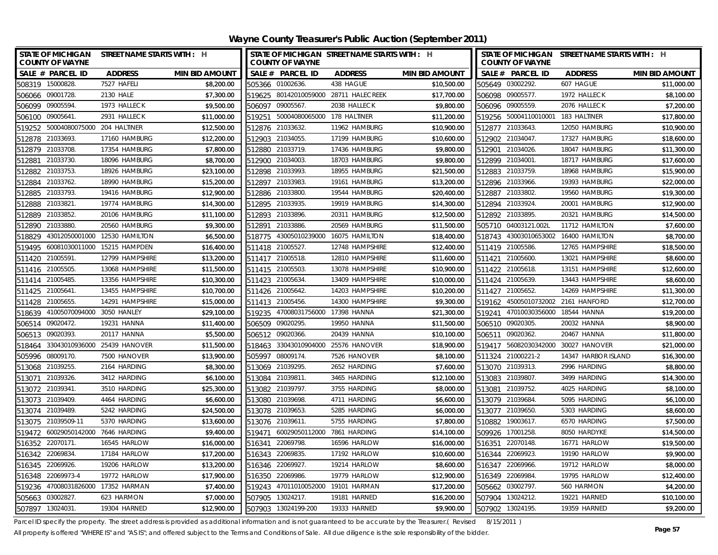**Wayne County Treasurer's Public Auction (September 2011)**

| STATE OF MICHIGAN STREET NAME STARTS WITH : H<br><b>COUNTY OF WAYNE</b> |                               |                       |        | <b>COUNTY OF WAYNE</b>             | STATE OF MICHIGAN STREET NAME STARTS WITH : H |                       |                 | <b>COUNTY OF WAYNE</b>             | STATE OF MICHIGAN STREET NAME STARTS WITH : H |                       |
|-------------------------------------------------------------------------|-------------------------------|-----------------------|--------|------------------------------------|-----------------------------------------------|-----------------------|-----------------|------------------------------------|-----------------------------------------------|-----------------------|
| SALE # PARCEL ID                                                        | <b>ADDRESS</b>                | <b>MIN BID AMOUNT</b> |        | SALE # PARCEL ID                   | <b>ADDRESS</b>                                | <b>MIN BID AMOUNT</b> |                 | SALE # PARCEL ID                   | <b>ADDRESS</b>                                | <b>MIN BID AMOUNT</b> |
| 508319 15000828                                                         | 7527 HAFELI                   | \$8,200.00            |        | 505366 01002636.                   | 438 HAGUE                                     | \$10,500.00           |                 | 505649 03002292.                   | 607 HAGUE                                     | \$11.000.00           |
| 506066 09001728.                                                        | 2130 HALF                     | \$7,300.00            |        |                                    | 519625 80142010059000 28711 HALECREEK         | \$17,700.00           |                 | 506098 09005577.                   | 1972 HALLECK                                  | \$8,100.00            |
| 506099 09005594                                                         | 1973 HALLECK                  | \$9,500.00            |        | 506097 09005567.                   | 2038 HALLECK                                  | \$9,800.00            |                 | 506096 09005559.                   | 2076 HALLECK                                  | \$7,200.00            |
| 506100 09005641.                                                        | 2931 HALLECK                  | \$11,000.00           |        | 519251 50004080065000 178 HALTINER |                                               | \$11,200.00           |                 | 519256 50004110010001 183 HALTINER |                                               | \$17,800.00           |
| 50004080075000 204 HALTINER<br>519252                                   |                               | \$12,500.00           |        | 512876 21033632.                   | 11962 HAMBURG                                 | \$10,900.00           |                 | 512877 21033643.                   | 12050 HAMBURG                                 | \$10,900.00           |
| 21033693<br>512878                                                      | 17160 HAMBURG                 | \$12,200.00           |        | 512903 21034055.                   | 17199 HAMBURG                                 | \$10,600.00           |                 | 512902 21034047.                   | 17327 HAMBURG                                 | \$18,600.00           |
| 512879 21033708.                                                        | 17354 HAMBURG                 | \$7,800.00            |        | 512880 21033719.                   | 17436 HAMBURG                                 | \$9,800.00            |                 | 512901 21034026.                   | 18047 HAMBURG                                 | \$11,300.00           |
| 21033730<br>512881                                                      | 18096 HAMBURG                 | \$8,700.00            | 512900 | 21034003.                          | 18703 HAMBURG                                 | \$9,800.00            | 512899 21034001 |                                    | 18717 HAMBURG                                 | \$17,600.00           |
| 21033753.<br>512882                                                     | 18926 HAMBURG                 | \$23,100.00           | 512898 | 21033993.                          | 18955 HAMBURG                                 | \$21,500.00           |                 | 512883 21033759.                   | 18968 HAMBURG                                 | \$15,900.00           |
| 21033762.<br>512884                                                     | 18990 HAMBURG                 | \$15,200.00           | 512897 | 21033983.                          | 19161 HAMBURG                                 | \$13,200.00           |                 | 512896 21033966.                   | 19393 HAMBURG                                 | \$22,000.00           |
| 512885 21033793.                                                        | 19416 HAMBURG                 | \$12,900.00           |        | 512886 21033800.                   | 19544 HAMBURG                                 | \$20,400.00           |                 | 512887 21033802.                   | 19560 HAMBURG                                 | \$19,300.00           |
| 512888 21033821                                                         | 19774 HAMBURG                 | \$14,300.00           | 512895 | 21033935.                          | 19919 HAMBURG                                 | \$14,300.00           |                 | 512894 21033924.                   | 20001 HAMBURG                                 | \$12,900.00           |
| 21033852.<br>512889                                                     | 20106 HAMBURG                 | \$11,100.00           | 512893 | 21033896.                          | 20311 HAMBURG                                 | \$12,500.00           |                 | 512892 21033895.                   | 20321 HAMBURG                                 | \$14,500.00           |
| 21033880<br>512890                                                      | 20560 HAMBURG                 | \$9,300.00            | 512891 | 21033886.                          | 20569 HAMBURG                                 | \$11,500.00           |                 | 505710 04003121.002L               | 11712 HAMILTON                                | \$7,600.00            |
| 518829                                                                  | 43012050001000 12530 HAMILTON | \$6,500.00            | 518775 | 43005010239000                     | 16075 HAMILTON                                | \$18,400.00           |                 | 518743 43003010653002              | 16400 HAMILTON                                | \$8,700.00            |
| 60081030011000<br>519495                                                | 15215 HAMPDEN                 | \$16,400.00           | 511418 | 21005527                           | 12748 HAMPSHIRE                               | \$12,400.00           |                 | 511419 21005586.                   | 12765 HAMPSHIRE                               | \$18,500.00           |
| 511420 21005591.                                                        | 12799 HAMPSHIRE               | \$13,200.00           |        | 511417 21005518.                   | 12810 HAMPSHIRE                               | \$11,600.00           | 511421          | 21005600.                          | 13021 HAMPSHIRE                               | \$8,600.00            |
| 511416 21005505.                                                        | 13068 HAMPSHIRE               | \$11,500.00           |        | 511415 21005503                    | 13078 HAMPSHIRE                               | \$10,900.00           |                 | 511422 21005618.                   | 13151 HAMPSHIRE                               | \$12,600.00           |
| 511414 21005485.                                                        | 13356 HAMPSHIRE               | \$10,300.00           |        | 511423 21005634                    | 13409 HAMPSHIRE                               | \$10,000.00           |                 | 511424 21005639.                   | 13443 HAMPSHIRE                               | \$8,600.00            |
| 511425 21005641.                                                        | 13455 HAMPSHIRE               | \$10,700.00           |        | 511426 21005642.                   | 14203 HAMPSHIRE                               | \$10,200.00           |                 | 511427 21005652.                   | 14269 HAMPSHIRE                               | \$11,300.00           |
| 511428<br>21005655                                                      | 14291 HAMPSHIRE               | \$15,000.00           |        | 511413 21005456.                   | 14300 HAMPSHIRE                               | \$9,300.00            |                 | 519162 45005010732002              | 2161 HANFORD                                  | \$12,700.00           |
| 518639 41005070094000 3050 HANLEY                                       |                               | \$29,100.00           | 519235 | 47008031756000 17398 HANNA         |                                               | \$21,300.00           |                 | 519241 47010030356000 18544 HANNA  |                                               | \$19,200.00           |
| 506514 09020472.                                                        | 19231 HANNA                   | \$11,400.00           |        | 506509 09020295.                   | 19950 HANNA                                   | \$11,500.00           |                 | 506510 09020305.                   | 20032 HANNA                                   | \$8,900.00            |
| 09020393<br>506513                                                      | 20117 HANNA                   | \$5,500.00            |        | 506512 09020366.                   | 20439 HANNA                                   | \$10,100.00           |                 | 506511 09020362.                   | 20467 HANNA                                   | \$11,800.00           |
| 518464                                                                  | 33043010936000 25439 HANOVER  | \$11,500.00           |        |                                    | 518463 33043010904000 25576 HANOVER           | \$18,900.00           |                 |                                    | 519417 56082030342000 30027 HANOVER           | \$21,000.00           |
| 505996 08009170.                                                        | 7500 HANOVER                  | \$13,900.00           |        | 505997 08009174.                   | 7526 HANOVER                                  | \$8,100.00            |                 | 511324 21000221-2                  | 14347 HARBOR ISLAND                           | \$16,300.00           |
| 513068 21039255.                                                        | 2164 HARDING                  | \$8,300.00            |        | 513069 21039295.                   | 2652 HARDING                                  | \$7,600.00            |                 | 513070 21039313.                   | 2996 HARDING                                  | \$8,800.00            |
| 21039326<br>513071                                                      | 3412 HARDING                  | \$6,100.00            |        | 513084 21039811                    | 3465 HARDING                                  | \$12,100.00           |                 | 513083 21039807                    | 3499 HARDING                                  | \$14,300.00           |
| 513072<br>21039341.                                                     | 3510 HARDING                  | \$25,300.00           |        | 513082 21039797.                   | 3755 HARDING                                  | \$8,000.00            | 513081          | 21039752.                          | 4025 HARDING                                  | \$8,100.00            |
| 513073 21039409.                                                        | 4464 HARDING                  | \$6,600.00            |        | 513080 21039698.                   | 4711 HARDING                                  | \$6,600.00            | 513079 21039684 |                                    | 5095 HARDING                                  | \$6,100.00            |
| 513074 21039489                                                         | 5242 HARDING                  | \$24,500.00           |        | 513078 21039653.                   | 5285 HARDING                                  | \$6,000.00            |                 | 513077 21039650.                   | 5303 HARDING                                  | \$8,600.00            |
| 513075 21039509-11                                                      | 5370 HARDING                  | \$13,600.00           |        | 513076 21039611                    | 5755 HARDING                                  | \$7,800.00            |                 | 510882 19003617.                   | 6570 HARDING                                  | \$7,500.00            |
| 60029050142000<br>519472                                                | 7646 HARDING                  | \$9,400.00            | 519471 | 60029050112000                     | 7861 HARDING                                  | \$14,100.00           |                 | 509926 17001258.                   | 8050 HARDYKE                                  | \$14,500.00           |
| 516352 22070171.                                                        | 16545 HARLOW                  | \$16,000.00           | 516341 | 22069798.                          | 16596 HARLOW                                  | \$16,000.00           |                 | 516351 22070148.                   | 16771 HARLOW                                  | \$19,500.00           |
| 516342 22069834                                                         | 17184 HARLOW                  | \$17,200.00           |        | 516343 22069835.                   | 17192 HARLOW                                  | \$10,600.00           |                 | 516344 22069923.                   | <b>19190 HARLOW</b>                           | \$9,900.00            |
| 22069926.<br>516345                                                     | 19206 HARLOW                  | \$13,200.00           | 516346 | 22069927                           | 19214 HARLOW                                  | \$8,600.00            | 516347          | 22069966.                          | 19712 HARLOW                                  | \$8,000.00            |
| 22069973-4<br>516348                                                    | 19772 HARLOW                  | \$17,900.00           | 516350 | 22069986.                          | 19779 HARLOW                                  | \$12,900.00           | 516349          | 22069984                           | 19795 HARLOW                                  | \$12,400.00           |
| 519236                                                                  | 47008031826000 17352 HARMAN   | \$7,400.00            | 519243 | 47011010052000                     | 19101 HARMAN                                  | \$17,200.00           |                 | 505662 03002797.                   | 560 HARMON                                    | \$4,200.00            |
| 505663 03002827                                                         | 623 HARMON                    | \$7,000.00            | 507905 | 13024217.                          | 19181 HARNED                                  | \$16,200.00           | 507904          | 13024212.                          | 19221 HARNED                                  | \$10,100.00           |
| 507897 13024031.                                                        | 19304 HARNED                  | \$12,900.00           |        | 507903 13024199-200                | 19333 HARNED                                  | \$9,900.00            |                 | 507902 13024195.                   | 19359 HARNED                                  | \$9,200.00            |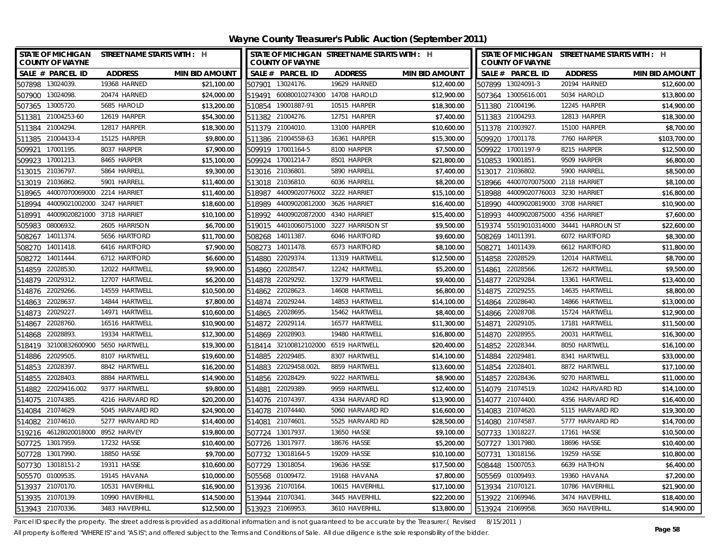**Wayne County Treasurer's Public Auction (September 2011)**

| STATE OF MICHIGAN STREET NAME STARTS WITH : H<br><b>COUNTY OF WAYNE</b> |                 |                       |        | <b>COUNTY OF WAYNE</b>      | STATE OF MICHIGAN STREET NAME STARTS WITH : H |                       | STATE OF MICHIGAN STREET NAME STARTS WITH : H<br><b>COUNTY OF WAYNE</b> |                     |                  |                       |  |
|-------------------------------------------------------------------------|-----------------|-----------------------|--------|-----------------------------|-----------------------------------------------|-----------------------|-------------------------------------------------------------------------|---------------------|------------------|-----------------------|--|
| SALE # PARCEL ID                                                        | <b>ADDRESS</b>  | <b>MIN BID AMOUNT</b> |        | SALE # PARCEL ID            | <b>ADDRESS</b>                                | <b>MIN BID AMOUNT</b> |                                                                         | SALE # PARCEL ID    | <b>ADDRESS</b>   | <b>MIN BID AMOUNT</b> |  |
| 507898 13024039.                                                        | 19368 HARNED    | \$21,100.00           |        | 507901 13024176.            | 19629 HARNED                                  | \$12,400.00           |                                                                         | 507899 13024091-3   | 20194 HARNED     | \$12,600.00           |  |
| 507900 13024098.                                                        | 20474 HARNED    | \$24,000.00           | 519491 | 60080010274300 14708 HAROLD |                                               | \$12,900.00           |                                                                         | 507364 13005616.001 | 5034 HAROLD      | \$13,800.00           |  |
| 507365 13005720.                                                        | 5685 HAROLD     | \$13,200.00           |        | 510854 19001887-91          | 10515 HARPER                                  | \$18,300.00           |                                                                         | 511380 21004196.    | 12245 HARPER     | \$14,900.00           |  |
| 511381 21004253-60                                                      | 12619 HARPER    | \$54,300.00           |        | 511382 21004276.            | 12751 HARPER                                  | \$7,400.00            |                                                                         | 511383 21004293.    | 12813 HARPER     | \$18,300.00           |  |
| 21004294.<br>511384                                                     | 12817 HARPER    | \$18,300.00           |        | 511379 21004010.            | 13100 HARPER                                  | \$10,600.00           |                                                                         | 511378 21003927.    | 15100 HARPER     | \$8,700.00            |  |
| 21004433-4<br>511385                                                    | 15125 HARPER    | \$9,800.00            |        | 511386 21004558-63          | 16361 HARPER                                  | \$15,300.00           |                                                                         | 509920 17001178.    | 7760 HARPER      | \$103,700.00          |  |
| 509921<br>17001195.                                                     | 8037 HARPER     | \$7,900.00            |        | 509919 17001164-5           | 8100 HARPER                                   | \$7,500.00            |                                                                         | 509922 17001197-9   | 8215 HARPER      | \$12,500.00           |  |
| 17001213<br>509923                                                      | 8465 HARPER     | \$15,100.00           |        | 509924 17001214-7           | 8501 HARPER                                   | \$21,800.00           |                                                                         | 510853 19001851.    | 9509 HARPER      | \$6,800.00            |  |
| 21036797<br>513015                                                      | 5864 HARRELL    | \$9,300.00            |        | 513016 21036801             | 5890 HARRELL                                  | \$7,400.00            |                                                                         | 513017 21036802.    | 5900 HARRELL     | \$8,500.00            |  |
| 21036862.<br>513019                                                     | 5901 HARRELL    | \$11,400.00           |        | 513018 21036810.            | 6036 HARRELL                                  | \$8,200.00            | 518966                                                                  | 44007070075000      | 2118 HARRIET     | \$8,100.00            |  |
| 44007070069000 2214 HARRIET<br>518965                                   |                 | \$11,400.00           | 518987 | 44009020776002              | 3222 HARRIET                                  | \$15,100.00           | 518988                                                                  | 44009020776003      | 3230 HARRIET     | \$16,800.00           |  |
| 44009021002000<br>518994                                                | 3247 HARRIET    | \$18,600.00           | 518989 | 44009020812000              | 3626 HARRIET                                  | \$16,400.00           | 518990                                                                  | 44009020819000      | 3708 HARRIET     | \$10,900.00           |  |
| 44009020821000<br>518991                                                | 3718 HARRIET    | \$10,100.00           | 518992 | 44009020872000              | 4340 HARRIET                                  | \$15,400.00           | 518993                                                                  | 44009020875000      | 4356 HARRIET     | \$7,600.00            |  |
| 08006932.<br>505983                                                     | 2605 HARRISON   | \$6,700.00            | 519015 | 44010060751000              | 3227 HARRISON ST                              | \$9,500.00            | 519374                                                                  | 55019010314000      | 34441 HARROUN ST | \$22,600.00           |  |
| 14011374.<br>508267                                                     | 5656 HARTFORD   | \$11,700.00           | 508268 | 14011387                    | 6046 HARTFORD                                 | \$9,600.00            |                                                                         | 508269 14011391.    | 6072 HARTFORD    | \$8,300.00            |  |
| 14011418<br>508270                                                      | 6416 HARTFORD   | \$7,900.00            | 508273 | 14011478                    | 6573 HARTFORD                                 | \$8,100.00            | 508271                                                                  | 14011439.           | 6612 HARTFORD    | \$11,800.00           |  |
| 14011444.<br>508272                                                     | 6712 HARTFORD   | \$6,600.00            | 514880 | 22029374.                   | 11319 HARTWELL                                | \$12,500.00           | 514858                                                                  | 22028529.           | 12014 HARTWELL   | \$8,700.00            |  |
| 22028530<br>514859                                                      | 12022 HARTWELL  | \$9,900.00            | 514860 | 22028547                    | 12242 HARTWELL                                | \$5,200.00            | 514861                                                                  | 22028566.           | 12672 HARTWELL   | \$9,500.00            |  |
| 514879 22029312.                                                        | 12707 HARTWELL  | \$6,200.00            |        | 514878 22029292.            | 13279 HARTWELL                                | \$9,400.00            | 514877                                                                  | 22029284.           | 13361 HARTWELL   | \$13,400.00           |  |
| 514876 22029266.                                                        | 14559 HARTWELL  | \$10,500.00           |        | 514862 22028623             | 14608 HARTWELL                                | \$6,800.00            |                                                                         | 514875 22029255.    | 14635 HARTWELL   | \$8,800.00            |  |
| 22028637.<br>514863                                                     | 14844 HARTWELL  | \$7,800.00            | 514874 | 22029244                    | 14853 HARTWELL                                | \$14,100.00           |                                                                         | 514864 22028640.    | 14866 HARTWELL   | \$13,000.00           |  |
| 22029227<br>514873                                                      | 14971 HARTWELL  | \$10,600.00           |        | 514865 22028695.            | 15462 HARTWELI                                | \$8,400.00            |                                                                         | 514866 22028708.    | 15724 HARTWELL   | \$12,900.00           |  |
| 514867 22028760.                                                        | 16516 HARTWELL  | \$10,900.00           |        | 514872 22029114.            | 16577 HARTWELL                                | \$11,300.00           |                                                                         | 514871 22029105.    | 17181 HARTWELL   | \$11,500.00           |  |
| 22028893<br>514868                                                      | 19334 HARTWELL  | \$12,300.00           | 514869 | 22028903                    | 19480 HARTWELL                                | \$16,800.00           |                                                                         | 514870 22028955.    | 20031 HARTWELL   | \$16,300.00           |  |
| 518419 32100832600900                                                   | 5650 HARTWELL   | \$19,300.00           | 518414 | 32100812102000              | 6519 HARTWELL                                 | \$20,400.00           |                                                                         | 514852 22028344.    | 8050 HARTWELL    | \$16,100.00           |  |
| 514886 22029505.                                                        | 8107 HARTWELL   | \$19,600.00           |        | 514885 22029485             | 8307 HARTWELL                                 | \$14,100.00           |                                                                         | 514884 22029481     | 8341 HARTWELL    | \$33,000.00           |  |
| 514853 22028397.                                                        | 8842 HARTWELL   | \$16,200.00           |        | 514883 22029458.002L        | 8859 HARTWELL                                 | \$13,600.00           |                                                                         | 514854 22028401     | 8872 HARTWELL    | \$17,100.00           |  |
| 514855 22028403.                                                        | 8884 HARTWELL   | \$14,900.00           |        | 514856 22028429             | 9222 HARTWELL                                 | \$8,900.00            |                                                                         | 514857 22028436.    | 9270 HARTWELL    | \$11,000.00           |  |
| 22029416.002<br>514882                                                  | 9377 HARTWELL   | \$9,800.00            | 514881 | 22029389                    | 9959 HARTWELL                                 | \$12,400.00           |                                                                         | 514079 21074519.    | 10242 HARVARD RD | \$14,100.00           |  |
| 514075 21074385.                                                        | 4216 HARVARD RD | \$20,200.00           |        | 514076 21074397             | 4334 HARVARD RD                               | \$13,900.00           |                                                                         | 514077 21074400.    | 4356 HARVARD RD  | \$16,400.00           |  |
| 514084 21074629.                                                        | 5045 HARVARD RD | \$24,900.00           |        | 514078 21074440.            | 5060 HARVARD RD                               | \$16,600.00           |                                                                         | 514083 21074620.    | 5115 HARVARD RD  | \$19,300.00           |  |
| 21074610<br>514082                                                      | 5277 HARVARD RD | \$14,400.00           | 514081 | 21074601                    | 5525 HARVARD RD                               | \$28,500.00           |                                                                         | 514080 21074587.    | 5777 HARVARD RD  | \$14,700.00           |  |
| 519216 46128020018000 8952 HARVEY                                       |                 | \$19,800.00           |        | 507724 13017937.            | 13650 HASSE                                   | \$9,100.00            |                                                                         | 507733 13018227.    | 17161 HASSE      | \$10,500.00           |  |
| 507725 13017959                                                         | 17232 HASSE     | \$10,400.00           |        | 507726 13017977.            | 18676 HASSE                                   | \$5,200.00            |                                                                         | 507727 13017980.    | 18696 HASSE      | \$10,400.00           |  |
| 507728 13017990.                                                        | 18850 HASSE     | \$9,700.00            |        | 507732 13018164-5           | 19209 HASSE                                   | \$10,100.00           |                                                                         | 507731 13018156.    | 19259 HASSE      | \$10,800.00           |  |
| 13018151-2<br>507730                                                    | 19311 HASSE     | \$10,600.00           | 507729 | 13018054                    | 19636 HASSE                                   | \$17,500.00           |                                                                         | 508448 15007053.    | 6639 HATHON      | \$6,400.00            |  |
| 505570 01009535.                                                        | 19145 HAVANA    | \$10,000.00           |        | 505568 01009472.            | 19168 HAVANA                                  | \$7,800.00            |                                                                         | 505569 01009493.    | 19360 HAVANA     | \$7,200.00            |  |
| 513937 21070170.                                                        | 10531 HAVERHILL | \$16,900.00           |        | 513936 21070164.            | 10615 HAVERHILL                               | \$17,100.00           |                                                                         | 513934 21070121.    | 10786 HAVERHILL  | \$21,900.00           |  |
| 513935 21070139.                                                        | 10990 HAVERHILL | \$14,500.00           |        | 513944 21070341             | 3445 HAVERHILL                                | \$22,200.00           |                                                                         | 513922 21069946.    | 3474 HAVERHILL   | \$18,400.00           |  |
| 513943 21070336.                                                        | 3483 HAVERHILL  | \$12,500.00           |        | 513923 21069953.            | 3610 HAVERHILL                                | \$13,800.00           |                                                                         | 513924 21069958.    | 3650 HAVERHILL   | \$14,900.00           |  |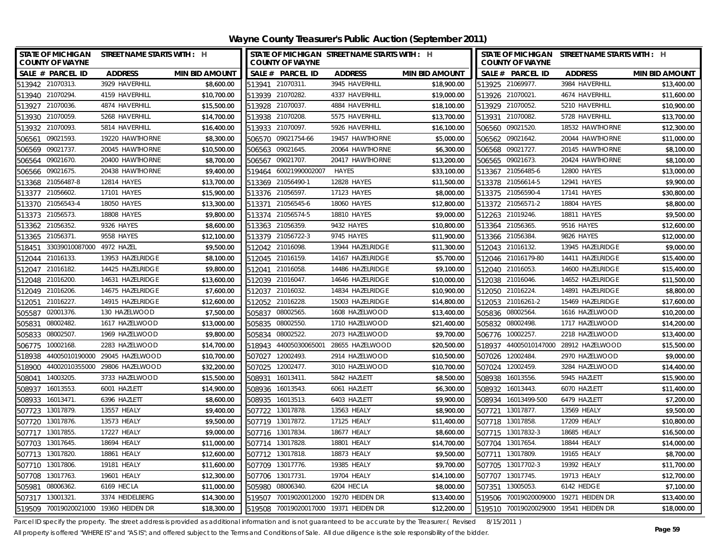**Wayne County Treasurer's Public Auction (September 2011)**

| STATE OF MICHIGAN STREET NAME STARTS WITH : H<br><b>COUNTY OF WAYNE</b> |                  |                       |        | STATE OF MICHIGAN STREET NAME STARTS WITH : H<br><b>COUNTY OF WAYNE</b> |                                       | <b>COUNTY OF WAYNE</b> | STATE OF MICHIGAN STREET NAME STARTS WITH : H |                       |                                       |                       |
|-------------------------------------------------------------------------|------------------|-----------------------|--------|-------------------------------------------------------------------------|---------------------------------------|------------------------|-----------------------------------------------|-----------------------|---------------------------------------|-----------------------|
| SALE # PARCEL ID                                                        | <b>ADDRESS</b>   | <b>MIN BID AMOUNT</b> |        | SALE # PARCEL ID                                                        | <b>ADDRESS</b>                        | <b>MIN BID AMOUNT</b>  |                                               | SALE # PARCEL ID      | <b>ADDRESS</b>                        | <b>MIN BID AMOUNT</b> |
| 513942 21070313.                                                        | 3929 HAVERHILL   | \$8,600.00            | 513941 | 21070311.                                                               | 3945 HAVERHILL                        | \$18,900.00            | 513925 21069977.                              |                       | 3984 HAVERHILL                        | \$13,400.00           |
| 513940 21070294.                                                        | 4159 HAVERHILL   | \$10.700.00           |        | 513939 21070282.                                                        | 4337 HAVERHILL                        | \$19,000.00            | 513926 21070021.                              |                       | 4674 HAVERHILL                        | \$11,600.00           |
| 513927 21070036.                                                        | 4874 HAVERHILL   | \$15,500.00           |        | 513928 21070037                                                         | 4884 HAVERHILL                        | \$18,100.00            | 513929 21070052.                              |                       | 5210 HAVERHILL                        | \$10,900.00           |
| 513930 21070059.                                                        | 5268 HAVERHILL   | \$14,700.00           |        | 513938 21070208                                                         | 5575 HAVERHILL                        | \$13,700.00            | 513931 21070082.                              |                       | 5728 HAVERHILL                        | \$13,700.00           |
| 21070093<br>513932                                                      | 5814 HAVERHILL   | \$16,400.00           | 513933 | 21070097                                                                | 5926 HAVERHILL                        | \$16,100.00            | 506560                                        | 09021520.             | 18532 HAWTHORNE                       | \$12,300.00           |
| 09021593<br>506561                                                      | 19220 HAWTHORNE  | \$8,300.00            | 506570 | 09021754-66                                                             | 19457 HAWTHORNE                       | \$5,000.00             | 506562                                        | 09021642.             | 20044 HAWTHORNE                       | \$11,000.00           |
| 09021737.<br>506569                                                     | 20045 HAWTHORNE  | \$10,500.00           | 506563 | 09021645.                                                               | 20064 HAWTHORNE                       | \$6,300.00             | 506568 09021727.                              |                       | 20145 HAWTHORNE                       | \$8,100.00            |
| 09021670.<br>506564                                                     | 20400 HAWTHORNE  | \$8,700.00            | 506567 | 09021707.                                                               | 20417 HAWTHORNE                       | \$13,200.00            | 506565 09021673.                              |                       | 20424 HAWTHORNE                       | \$8,100.00            |
| 09021675.<br>506566                                                     | 20438 HAWTHORNE  | \$9,400.00            | 519464 | 60021990002007                                                          | <b>HAYES</b>                          | \$33,100.00            |                                               | 513367 21056485-6     | 12800 HAYES                           | \$13,000.00           |
| 513368 21056487-8                                                       | 12814 HAYES      | \$13,700.00           | 513369 | 21056490-1                                                              | 12828 HAYES                           | \$11,500.00            |                                               | 513378 21056614-5     | 12941 HAYES                           | \$9,900.00            |
| 513377 21056602.                                                        | 17101 HAYES      | \$15,900.00           |        | 513376 21056597.                                                        | 17123 HAYES                           | \$8,000.00             |                                               | 513375 21056590-4     | 17141 HAYES                           | \$30,800.00           |
| 513370 21056543-4                                                       | 18050 HAYES      | \$13,300.00           |        | 513371 21056545-6                                                       | 18060 HAYES                           | \$12,800.00            |                                               | 513372 21056571-2     | 18804 HAYES                           | \$8,800.00            |
| 513373 21056573.                                                        | 18808 HAYES      | \$9,800.00            |        | 513374 21056574-5                                                       | 18810 HAYES                           | \$9,000.00             | 512263 21019246.                              |                       | 18811 HAYES                           | \$9,500.00            |
| 513362 21056352.                                                        | 9326 HAYES       | \$8,600.00            |        | 513363 21056359.                                                        | 9432 HAYES                            | \$10,800.00            | 513364 21056365.                              |                       | 9516 HAYES                            | \$12,600.00           |
| 513365 21056371.                                                        | 9558 HAYES       | \$12,100.00           |        | 513379 21056722-3                                                       | 9745 HAYES                            | \$11,900.00            | 513366 21056384.                              |                       | 9826 HAYES                            | \$12,000.00           |
| 33039010087000<br>518451                                                | 4972 HAZEL       | \$9,500.00            |        | 512042 21016098.                                                        | 13944 HAZELRIDGE                      | \$11,300.00            | 512043 21016132.                              |                       | 13945 HAZELRIDGE                      | \$9,000.00            |
| 512044 21016133.                                                        | 13953 HAZELRIDGE | \$8,100.00            |        | 512045 21016159.                                                        | 14167 HAZELRIDGE                      | \$5,700.00             |                                               | 512046 21016179-80    | 14411 HAZELRIDGE                      | \$15,400.00           |
| 512047 21016182.                                                        | 14425 HAZELRIDGE | \$9,800.00            |        | 512041 21016058.                                                        | 14486 HAZELRIDGE                      | \$9,100.00             | 512040 21016053.                              |                       | 14600 HAZELRIDGE                      | \$15,400.00           |
| 512048 21016200.                                                        | 14631 HAZELRIDGE | \$13,600.00           |        | 512039 21016047.                                                        | 14646 HAZELRIDGE                      | \$10,000.00            | 512038 21016046.                              |                       | 14652 HAZELRIDGE                      | \$11,500.00           |
| 21016206<br>512049                                                      | 14675 HAZELRIDGE | \$7,600.00            |        | 512037 21016032.                                                        | 14834 HAZELRIDGE                      | \$10,900.00            | 512050 21016224.                              |                       | 14891 HAZELRIDGE                      | \$8,800.00            |
| 21016227.<br>512051                                                     | 14915 HAZELRIDGE | \$12,600.00           | 512052 | 21016228.                                                               | 15003 HAZELRIDGE                      | \$14,800.00            |                                               | 512053 21016261-2     | 15469 HAZELRIDGE                      | \$17,600.00           |
| 02001376.<br>505587                                                     | 130 HAZELWOOD    | \$7,500.00            | 505837 | 08002565.                                                               | 1608 HAZELWOOD                        | \$13,400.00            | 505836 08002564.                              |                       | 1616 HAZELWOOD                        | \$10,200.00           |
| 08002482.<br>505831                                                     | 1617 HAZELWOOD   | \$13,000.00           | 505835 | 08002550                                                                | 1710 HAZELWOOD                        | \$21,400.00            | 505832 08002498.                              |                       | 1717 HAZELWOOD                        | \$14,200.00           |
| 08002507.<br>505833                                                     | 1969 HAZELWOOD   | \$9,800.00            | 505834 | 08002522.                                                               | 2073 HAZELWOOD                        | \$9,700.00             | 506776 10002257.                              |                       | 2218 HAZELWOOD                        | \$13,400.00           |
| 10002168.<br>506775                                                     | 2283 HAZELWOOD   | \$14,700.00           | 518943 | 44005030065001                                                          | 28655 HAZELWOOD                       | \$20,500.00            |                                               | 518937 44005010147000 | 28912 HAZELWOOD                       | \$15,500.00           |
| 518938 44005010190000 29045 HAZELWOOD                                   |                  | \$10,700.00           | 507027 | 12002493.                                                               | 2914 HAZELWOOD                        | \$10,500.00            | 507026 12002484.                              |                       | 2970 HAZELWOOD                        | \$9,000.00            |
| 518900 44002010355000 29806 HAZELWOOD                                   |                  | \$32,200.00           | 507025 | 12002477.                                                               | 3010 HAZELWOOD                        | \$10,700.00            | 507024 12002459.                              |                       | 3284 HAZELWOOD                        | \$14,400.00           |
| 14003205<br>508041                                                      | 3733 HAZELWOOD   | \$15,500.00           | 508931 | 16013411                                                                | 5842 HAZLETT                          | \$8,500.00             | 508938 16013556.                              |                       | 5945 HAZLETT                          | \$15,900.00           |
| 16013553<br>508937                                                      | 6001 HAZLETT     | \$14,900.00           | 508936 | 16013543.                                                               | 6061 HAZLETT                          | \$6,300.00             | 508932                                        | 16013443.             | 6070 HAZLETT                          | \$11,400.00           |
| 16013471.<br>508933                                                     | 6396 HAZLETT     | \$8,600.00            | 508935 | 16013513.                                                               | 6403 HAZLETT                          | \$9,900.00             |                                               | 508934 16013499-500   | 6479 HAZLETT                          | \$7,200.00            |
| 13017879<br>507723                                                      | 13557 HEALY      | \$9,400.00            | 507722 | 13017878.                                                               | 13563 HEALY                           | \$8,900.00             | 507721 13017877.                              |                       | 13569 HEALY                           | \$9,500.00            |
| 13017876.<br>507720                                                     | 13573 HEALY      | \$9,500.00            | 507719 | 13017872.                                                               | 17125 HEALY                           | \$11,400.00            | 507718 13017858.                              |                       | 17209 HEALY                           | \$10,800.00           |
| 13017855<br>507717                                                      | 17227 HEALY      | \$9,000.00            |        | 507716 13017834                                                         | 18677 HEALY                           | \$8,600.00             |                                               | 507715 13017832-3     | 18685 HEALY                           | \$16,500.00           |
| 13017645<br>507703                                                      | 18694 HEALY      | \$11,000.00           |        | 507714 13017828                                                         | 18801 HEALY                           | \$14,700.00            | 507704 13017654                               |                       | 18844 HEALY                           | \$14,000.00           |
| 507713 13017820.                                                        | 18861 HEALY      | \$12,600.00           |        | 507712 13017818.                                                        | 18873 HEALY                           | \$9,500.00             | 507711 13017809.                              |                       | 19165 HEALY                           | \$8,700.00            |
| 507710<br>13017806.                                                     | 19181 HEALY      | \$11,600.00           | 507709 | 13017776.                                                               | 19385 HEALY                           | \$9,700.00             |                                               | 507705 13017702-3     | 19392 HEALY                           | \$11,700.00           |
| 507708 13017763.                                                        | 19601 HEALY      | \$12,300.00           |        | 507706 13017731                                                         | 19704 HEALY                           | \$14,100.00            | 507707 13017745.                              |                       | 19713 HEALY                           | \$12,700.00           |
| 505981 08006362.                                                        | 6169 HECLA       | \$11,000.00           | 505980 | 08006340.                                                               | 6204 HECLA                            | \$8,000.00             | 507351 13005053.                              |                       | 6142 HEDGE                            | \$7,100.00            |
| 507317 13001321                                                         | 3374 HEIDELBERG  | \$14,300.00           | 519507 |                                                                         | 70019020012000 19270 HEIDEN DR        | \$13,400.00            |                                               |                       | 519506 70019020009000 19271 HEIDEN DR | \$13,400.00           |
| 519509 70019020021000 19360 HEIDEN DR                                   |                  | \$18,300.00           |        |                                                                         | 519508 70019020017000 19371 HEIDEN DR | \$12,200.00            |                                               |                       | 519510 70019020029000 19541 HEIDEN DR | \$18,000.00           |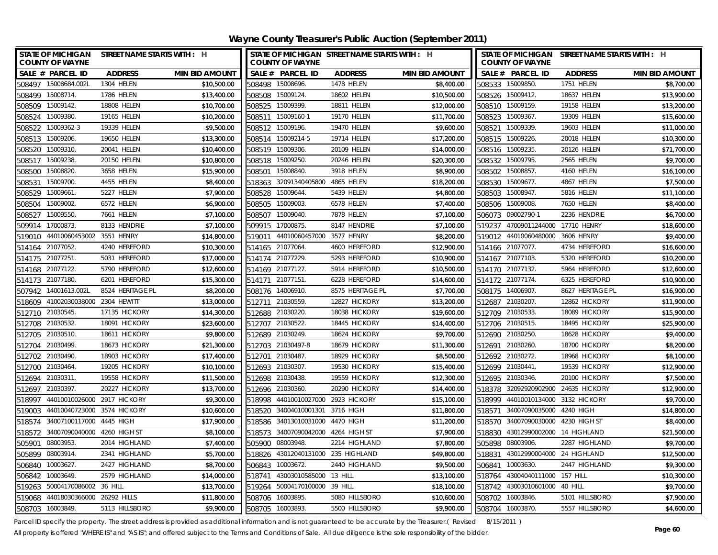**Wayne County Treasurer's Public Auction (September 2011)**

| <b>COUNTY OF WAYNE</b>            | STATE OF MICHIGAN STREET NAME STARTS WITH : H |                       |        | <b>COUNTY OF WAYNE</b>             | STATE OF MICHIGAN STREET NAME STARTS WITH : H |                       |        | <b>COUNTY OF WAYNE</b>             | STATE OF MICHIGAN STREET NAME STARTS WITH : H |                       |
|-----------------------------------|-----------------------------------------------|-----------------------|--------|------------------------------------|-----------------------------------------------|-----------------------|--------|------------------------------------|-----------------------------------------------|-----------------------|
| SALE # PARCEL ID                  | <b>ADDRESS</b>                                | <b>MIN BID AMOUNT</b> |        | SALE # PARCEL ID                   | <b>ADDRESS</b>                                | <b>MIN BID AMOUNT</b> |        | SALE # PARCEL ID                   | <b>ADDRESS</b>                                | <b>MIN BID AMOUNT</b> |
| 508497 15008684.002L              | 1304 HELEN                                    | \$10,500.00           |        | 508498 15008696.                   | <b>1478 HELEN</b>                             | \$8,400.00            |        | 508533 15009850.                   | 1751 HELEN                                    | \$8,700.00            |
| 15008714.<br>508499               | 1786 HELEN                                    | \$13,400.00           |        | 508508 15009124.                   | 18602 HELEN                                   | \$10,500.00           |        | 508526 15009412.                   | 18637 HELEN                                   | \$13,900.00           |
| 508509 15009142.                  | 18808 HELEN                                   | \$10,700.00           |        | 508525 15009399.                   | 18811 HELEN                                   | \$12,000.00           |        | 508510 15009159.                   | 19158 HELEN                                   | \$13,200.00           |
| 15009380.<br>508524               | 19165 HELEN                                   | \$10,200.00           |        | 508511 15009160-1                  | 19170 HELEN                                   | \$11,700.00           |        | 508523 15009367.                   | 19309 HELEN                                   | \$15,600.00           |
| 15009362-3<br>508522              | 19339 HELEN                                   | \$9,500.00            |        | 508512 15009196.                   | 19470 HELEN                                   | \$9,600.00            |        | 508521 15009339.                   | 19603 HELEN                                   | \$11,000.00           |
| 15009206.<br>508513               | 19650 HELEN                                   | \$13,300.00           | 508514 | 15009214-5                         | 19714 HELEN                                   | \$17,200.00           |        | 508515 15009226.                   | 20018 HELEN                                   | \$10,300.00           |
| 508520<br>15009310.               | 20041 HELEN                                   | \$10,400.00           | 508519 | 15009306.                          | 20109 HELEN                                   | \$14,000.00           |        | 508516 15009235.                   | 20126 HELEN                                   | \$71,700.00           |
| 15009238<br>508517                | 20150 HELEN                                   | \$10,800.00           | 508518 | 15009250.                          | 20246 HELEN                                   | \$20,300.00           |        | 508532 15009795.                   | 2565 HELEN                                    | \$9,700.00            |
| 15008820<br>508500                | 3658 HELEN                                    | \$15,900.00           | 508501 | 15008840.                          | 3918 HELEN                                    | \$8,900.00            | 508502 | 15008857                           | 4160 HELEN                                    | \$16,100.00           |
| 15009700<br>508531                | 4455 HELEN                                    | \$8,400.00            | 518363 | 32091340405800                     | 4865 HELEN                                    | \$18,200.00           | 508530 | 15009677.                          | 4867 HELEN                                    | \$7,500.00            |
| 15009661.<br>508529               | 5227 HELEN                                    | \$7,900.00            | 508528 | 15009644.                          | 5439 HELEN                                    | \$4,800.00            |        | 508503 15008947.                   | 5816 HELEN                                    | \$11,100.00           |
| 15009002.<br>508504               | 6572 HELEN                                    | \$6,900.00            | 508505 | 15009003.                          | 6578 HELEN                                    | \$7,400.00            |        | 508506 15009008.                   | 7650 HELEN                                    | \$8,400.00            |
| 15009550.<br>508527               | 7661 HELEN                                    | \$7,100.00            | 508507 | 15009040.                          | 7878 HELEN                                    | \$7,100.00            | 506073 | 09002790-1                         | 2236 HENDRIE                                  | \$6,700.00            |
| 17000873.<br>509914               | 8133 HENDRIE                                  | \$7,100.00            | 509915 | 17000875.                          | 8147 HENDRIE                                  | \$7,100.00            | 519237 | 47009011244000                     | 17710 HENRY                                   | \$18,600.00           |
| 519010                            | 44010060453002 3551 HENRY                     | \$14,800.00           | 519011 | 44010060457000 3577 HENRY          |                                               | \$8,200.00            |        | 519012 44010060480000 3606 HENRY   |                                               | \$9,400.00            |
| 21077052<br>514164                | 4240 HEREFORD                                 | \$10,300.00           | 514165 | 21077064                           | 4600 HEREFORD                                 | \$12,900.00           |        | 514166 21077077.                   | 4734 HEREFORD                                 | \$16,600.00           |
| 21077251.<br>514175               | 5031 HEREFORD                                 | \$17,000.00           | 514174 | 21077229.                          | 5293 HEREFORD                                 | \$10,900.00           |        | 514167 21077103.                   | 5320 HEREFORD                                 | \$10,200.00           |
| 514168 21077122.                  | 5790 HEREFORD                                 | \$12,600.00           |        | 514169 21077127.                   | 5914 HEREFORD                                 | \$10,500.00           |        | 514170 21077132.                   | 5964 HEREFORD                                 | \$12,600.00           |
| 514173 21077180.                  | 6201 HEREFORD                                 | \$15,300.00           | 514171 | 21077151                           | 6228 HEREFORD                                 | \$14,600.00           |        | 514172 21077174.                   | 6325 HEREFORD                                 | \$10,900.00           |
| 507942 14001613.002L              | 8524 HERITAGE PL                              | \$8,200.00            |        | 508176 14006910                    | 8575 HERITAGE PL                              | \$7,700.00            |        | 508175 14006907                    | 8627 HERITAGE PL                              | \$16,900.00           |
| 41002030038000<br>518609          | 2304 HEWITT                                   | \$13,000.00           | 512711 | 21030559                           | 12827 HICKORY                                 | \$13,200.00           |        | 512687 21030207.                   | 12862 HICKORY                                 | \$11,900.00           |
| 512710 21030545.                  | 17135 HICKORY                                 | \$14,300.00           |        | 512688 21030220.                   | 18038 HICKORY                                 | \$19,600.00           |        | 512709 21030533.                   | 18089 HICKORY                                 | \$15,900.00           |
| 512708 21030532.                  | 18091 HICKORY                                 | \$23,600.00           |        | 512707 21030522.                   | 18445 HICKORY                                 | \$14,400.00           |        | 512706 21030515.                   | 18495 HICKORY                                 | \$25,900.00           |
| 21030510<br>512705                | 18611 HICKORY                                 | \$9,800.00            |        | 512689 21030249.                   | 18624 HICKORY                                 | \$9,700.00            |        | 512690 21030250.                   | 18628 HICKORY                                 | \$9,400.00            |
| 512704<br>21030499.               | 18673 HICKORY                                 | \$21,300.00           |        | 512703 21030497-8                  | 18679 HICKORY                                 | \$11,300.00           |        | 512691 21030260.                   | 18700 HICKORY                                 | \$8,200.00            |
| 512702 21030490.                  | 18903 HICKORY                                 | \$17,400.00           |        | 512701 21030487                    | 18929 HICKORY                                 | \$8,500.00            |        | 512692 21030272.                   | 18968 HICKORY                                 | \$8,100.00            |
| 512700 21030464.                  | 19205 HICKORY                                 | \$10,100.00           |        | 512693 21030307                    | 19530 HICKORY                                 | \$15,400.00           |        | 512699 21030441.                   | 19539 HICKORY                                 | \$12,900.00           |
| 21030311.<br>512694               | 19558 HICKORY                                 | \$11,500.00           |        | 512698 21030438.                   | 19559 HICKORY                                 | \$12,300.00           |        | 512695 21030346.                   | 20100 HICKORY                                 | \$7,500.00            |
| 21030397.<br>512697               | 20227 HICKORY                                 | \$13,700.00           |        | 512696 21030360.                   | 20290 HICKORY                                 | \$14,400.00           |        | 518378 32092920902900              | 24635 HICKORY                                 | \$12,900.00           |
| 44010010026000<br>518997          | 2917 HICKORY                                  | \$9,300.00            |        | 518998 44010010027000 2923 HICKORY |                                               | \$15,100.00           |        | 518999 44010010134000 3132 HICKORY |                                               | \$9,700.00            |
| 44010040723000<br>519003          | 3574 HICKORY                                  | \$10,600.00           | 518520 | 34004010001301 3716 HIGH           |                                               | \$11,800.00           |        | 518571 34007090035000              | 4240 HIGH                                     | \$14,800.00           |
| 34007100117000<br>518574          | 4445 HIGH                                     | \$17,900.00           | 518586 | 34013010031000 4470 HIGH           |                                               | \$11,200.00           |        | 518570 34007090030000 4230 HIGH ST |                                               | \$8,400.00            |
| 518572<br>34007090040000          | 4260 HIGH ST                                  | \$8,100.00            | 518573 | 34007090042000 4264 HIGH ST        |                                               | \$7,900.00            | 518830 | 43012990002000 14 HIGHLAND         |                                               | \$21,500.00           |
| 505901<br>08003953                | 2014 HIGHLAND                                 | \$7,400.00            | 505900 | 08003948.                          | 2214 HIGHLAND                                 | \$7,800.00            |        | 505898 08003906.                   | 2287 HIGHLAND                                 | \$9,700.00            |
| 08003914.<br>505899               | 2341 HIGHLAND                                 | \$5,700.00            |        | 518826 43012040131000 235 HIGHLAND |                                               | \$49,800.00           | 518831 | 43012990004000 24 HIGHLAND         |                                               | \$12,500.00           |
| 10003627<br>506840                | 2427 HIGHLAND                                 | \$8,700.00            | 506843 | 10003672.                          | 2440 HIGHLAND                                 | \$9,500.00            | 506841 | 10003630.                          | 2447 HIGHLAND                                 | \$9,300.00            |
| 10003649.<br>506842               | 2579 HIGHLAND                                 | \$14,000.00           | 518741 | 43003010585000 13 HILL             |                                               | \$13,100.00           |        | 518764 43004040111000              | <b>157 HILL</b>                               | \$10,300.00           |
| 519263                            | 50004170086002 36 HILL                        | \$13,700.00           | 519264 | 50004170100000 39 HILL             |                                               | \$18,100.00           |        | 518742 43003010601000              | 40 HILL                                       | \$9,700.00            |
| 519068 44018030366000 26292 HILLS |                                               | \$11,800.00           | 508706 | 16003895.                          | 5080 HILLSBORO                                | \$10,600.00           |        | 508702 16003846.                   | 5101 HILLSBORO                                | \$7,900.00            |
| 508703 16003849.                  | 5113 HILLSBORO                                | \$9,900.00            | 508705 | 16003893.                          | 5500 HILLSBORO                                | \$9,900.00            |        | 508704 16003870.                   | 5557 HILLSBORO                                | \$4,600.00            |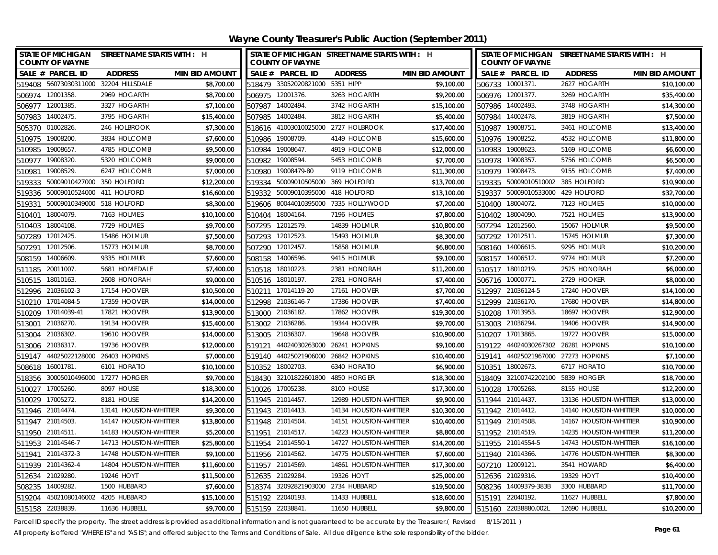|                    | <b>COUNTY OF WAYNE</b>      | STATE OF MICHIGAN STREET NAME STARTS WITH : H |                       |        | <b>COUNTY OF WAYNE</b>              | STATE OF MICHIGAN STREET NAME STARTS WITH : H |                       |        | <b>COUNTY OF WAYNE</b>              | STATE OF MICHIGAN STREET NAME STARTS WITH : H |                       |
|--------------------|-----------------------------|-----------------------------------------------|-----------------------|--------|-------------------------------------|-----------------------------------------------|-----------------------|--------|-------------------------------------|-----------------------------------------------|-----------------------|
|                    | SALE # PARCEL ID            | <b>ADDRESS</b>                                | <b>MIN BID AMOUNT</b> |        | SALE # PARCEL ID                    | <b>ADDRESS</b>                                | <b>MIN BID AMOUNT</b> |        | SALE # PARCEL ID                    | <b>ADDRESS</b>                                | <b>MIN BID AMOUNT</b> |
|                    |                             | 519408 56073030311000 32204 HILLSDALE         | \$8,700.00            |        | 518479 33052020821000 5351 HIPP     |                                               | \$9,100.00            |        | 506733 10001371.                    | 2627 HOGARTH                                  | \$10,100.00           |
| 506974 12001358.   |                             | 2969 HOGARTH                                  | \$8,700.00            |        | 506975 12001376.                    | 3263 HOGARTH                                  | \$9,200.00            |        | 506976 12001377.                    | 3269 HOGARTH                                  | \$35,400.00           |
| 506977 12001385.   |                             | 3327 HOGARTH                                  | \$7,100.00            |        | 507987 14002494.                    | 3742 HOGARTH                                  | \$15,100.00           |        | 507986 14002493.                    | 3748 HOGARTH                                  | \$14,300.00           |
| 507983 14002475.   |                             | 3795 HOGARTH                                  | \$15,400.00           |        | 507985 14002484.                    | 3812 HOGARTH                                  | \$5,400.00            |        | 507984 14002478.                    | 3819 HOGARTH                                  | \$7,500.00            |
| 505370 01002826    |                             | 246 HOLBROOK                                  | \$7,300.00            |        |                                     | 518616 41003010025000 2727 HOLBROOK           | \$17,400.00           |        | 510987 19008751                     | 3461 HOLCOMB                                  | \$13,400.00           |
| 510975             | 19008200                    | 3834 HOLCOMB                                  | \$7,600.00            |        | 510986 19008709                     | 4149 HOLCOMB                                  | \$15,600.00           |        | 510976 19008252.                    | 4532 HOLCOMB                                  | \$11,800.00           |
| 510985             | 19008657                    | 4785 HOLCOMB                                  | \$9,500.00            |        | 510984 19008647.                    | 4919 HOLCOMB                                  | \$12,000.00           |        | 510983 19008623.                    | 5169 HOLCOMB                                  | \$6,600.00            |
| 510977             | 19008320                    | 5320 HOLCOMB                                  | \$9,000.00            | 510982 | 19008594.                           | 5453 HOLCOMB                                  | \$7,700.00            |        | 510978 19008357.                    | 5756 HOLCOMB                                  | \$6,500.00            |
| 510981             | 19008529                    | 6247 HOLCOMB                                  | \$7,000.00            | 510980 | 19008479-80                         | 9119 HOLCOMB                                  | \$11,300.00           |        | 510979 19008473.                    | 9155 HOLCOMB                                  | \$7,400.00            |
| 519333             | 50009010427000 350 HOLFORD  |                                               | \$12,200.00           | 519334 | 50009010505000 369 HOLFORD          |                                               | \$13,700.00           |        | 519335 50009010510002 385 HOLFORD   |                                               | \$10,900.00           |
| 519336             | 50009010524000 411 HOLFORD  |                                               | \$16,600.00           |        | 519332 50009010395000 418 HOLFORD   |                                               | \$13,100.00           |        | 519337 50009010533000 429 HOLFORD   |                                               | \$32,700.00           |
| 519331             | 50009010349000 518 HOLFORD  |                                               | \$8,300.00            |        |                                     | 519606 80044010395000 7335 HOLLYWOOD          | \$7,200.00            |        | 510400 18004072.                    | 7123 HOLMES                                   | \$10,000.00           |
| 510401             | 18004079.                   | 7163 HOLMES                                   | \$10,100.00           |        | 510404 18004164.                    | 7196 HOLMES                                   | \$7,800.00            | 510402 | 18004090.                           | 7521 HOLMES                                   | \$13,900.00           |
| 510403             | 18004108.                   | 7729 HOLMES                                   | \$9,700.00            | 507295 | 12012579.                           | 14839 HOLMUR                                  | \$10,800.00           | 507294 | 12012560.                           | 15067 HOLMUR                                  | \$9,500.00            |
| 507289             | 12012425.                   | 15486 HOLMUR                                  | \$7,500.00            |        | 507293 12012523.                    | 15493 HOLMUR                                  | \$8,300.00            |        | 507292 12012511.                    | 15745 HOLMUR                                  | \$7,300.00            |
| 507291             | 12012506.                   | 15773 HOLMUR                                  | \$8,700.00            | 507290 | 12012457.                           | 15858 HOLMUR                                  | \$6,800.00            |        | 508160 14006615.                    | 9295 HOLMUR                                   | \$10,200.00           |
| 508159             | 14006609                    | 9335 HOLMUR                                   | \$7,600.00            | 508158 | 14006596.                           | 9415 HOLMUR                                   | \$9,100.00            |        | 508157 14006512.                    | 9774 HOLMUR                                   | \$7,200.00            |
| 511185             | 20011007.                   | 5681 HOMEDALE                                 | \$7,400.00            | 510518 | 18010223.                           | 2381 HONORAH                                  | \$11,200.00           |        | 510517 18010219.                    | 2525 HONORAH                                  | \$6,000.00            |
| 510515             | 18010163.                   | 2608 HONORAH                                  | \$9,000.00            |        | 510516 18010197.                    | 2781 HONORAH                                  | \$7,400.00            |        | 506716 10000771.                    | 2729 HOOKER                                   | \$8,000.00            |
| 512996 21036102-3  |                             | 17154 HOOVER                                  | \$10,500.00           |        | 510211 17014119-20                  | 17161 HOOVER                                  | \$7,700.00            |        | 512997 21036124-5                   | 17240 HOOVER                                  | \$14,100.00           |
| 510210             | 17014084-5                  | 17359 HOOVER                                  | \$14,000.00           | 512998 | 21036146-7                          | 17386 HOOVER                                  | \$7,400.00            |        | 512999 21036170.                    | 17680 HOOVER                                  | \$14,800.00           |
| 510209 17014039-41 |                             | 17821 HOOVER                                  | \$13,900.00           |        | 513000 21036182.                    | 17862 HOOVER                                  | \$19,300.00           | 510208 | 17013953.                           | 18697 HOOVER                                  | \$12,900.00           |
| 513001 21036270.   |                             | 19134 HOOVER                                  | \$15,400.00           |        | 513002 21036286.                    | 19344 HOOVER                                  | \$9,700.00            |        | 513003 21036294.                    | 19406 HOOVER                                  | \$14,900.00           |
| 513004 21036302.   |                             | 19610 HOOVER                                  | \$14,000.00           |        | 513005 21036307.                    | 19648 HOOVER                                  | \$10,900.00           |        | 510207 17013865.                    | 19727 HOOVER                                  | \$15,000.00           |
| 513006 21036317.   |                             | 19736 HOOVER                                  | \$12,000.00           | 519121 | 44024030263000 26241 HOPKINS        |                                               | \$9,100.00            |        | 519122 44024030267302 26281 HOPKINS |                                               | \$10,100.00           |
|                    |                             | 519147 44025022128000 26403 HOPKINS           | \$7,000.00            |        | 519140 44025021906000 26842 HOPKINS |                                               | \$10,400.00           |        | 519141 44025021967000 27273 HOPKINS |                                               | \$7,100.00            |
| 508618 16001781.   |                             | 6101 HORATIO                                  | \$10,100.00           |        | 510352 18002703.                    | 6340 HORATIO                                  | \$6,900.00            |        | 510351 18002673.                    | 6717 HORATIO                                  | \$10,700.00           |
|                    |                             | 518356 30005010496000 17277 HORGER            | \$9,700.00            |        | 518430 32101822601800 4850 HORGER   |                                               | \$18,300.00           |        | 518409 32100742202100 5839 HORGER   |                                               | \$18,700.00           |
| 510027             | 17005260.                   | 8097 HOUSE                                    | \$18,300.00           |        | 510026 17005238.                    | 8100 HOUSE                                    | \$17,300.00           |        | 510028 17005268.                    | 8155 HOUSE                                    | \$12,200.00           |
| 510029 17005272.   |                             | 8181 HOUSE                                    | \$14,200.00           |        | 511945 21014457                     | 12989 HOUSTON-WHITTIER                        | \$9,900.00            |        | 511944 21014437.                    | 13136 HOUSTON-WHITTIER                        | \$13,000.00           |
| 511946 21014474    |                             | 13141 HOUSTON-WHITTIER                        | \$9,300.00            |        | 511943 21014413.                    | 14134 HOUSTON-WHITTIER                        | \$10,300.00           |        | 511942 21014412.                    | 14140 HOUSTON-WHITTIER                        | \$10,000.00           |
| 511947 21014503.   |                             | 14147 HOUSTON-WHITTIER                        | \$13,800.00           |        | 511948 21014504                     | 14151 HOUSTON-WHITTIER                        | \$10,400.00           |        | 511949 21014508.                    | 14167 HOUSTON-WHITTIER                        | \$10,900.00           |
| 511950 21014511.   |                             | 14183 HOUSTON-WHITTIER                        | \$5,200.00            |        | 511951 21014517.                    | 14223 HOUSTON-WHITTIER                        | \$8,800.00            |        | 511952 21014519.                    | 14235 HOUSTON-WHITTIER                        | \$11,200.00           |
| 511953 21014546-7  |                             | 14713 HOUSTON-WHITTIER                        | \$25,800.00           |        | 511954 21014550-1                   | 14727 HOUSTON-WHITTIER                        | \$14,200.00           |        | 511955 21014554-5                   | 14743 HOUSTON-WHITTIER                        | \$16,100.00           |
| 511941 21014372-3  |                             | 14748 HOUSTON-WHITTIER                        | \$9,100.00            |        | 511956 21014562                     | 14775 HOUSTON-WHITTIER                        | \$7,600.00            |        | 511940 21014366.                    | 14776 HOUSTON-WHITTIER                        | \$8,300.00            |
| 511939 21014362-4  |                             | 14804 HOUSTON-WHITTIER                        | \$11,600.00           |        | 511957 21014569                     | 14861 HOUSTON-WHITTIER                        | \$17,300.00           |        | 507210 12009121.                    | 3541 HOWARD                                   | \$6,400.00            |
| 512634             | 21029280.                   | 19246 HOYT                                    | \$11,500.00           | 512635 | 21029284.                           | 19326 HOYT                                    | \$25,000.00           |        | 512636 21029316.                    | 19329 HOYT                                    | \$10,400.00           |
| 508235             | 14009282.                   | 1500 HUBBARD                                  | \$7,600.00            |        | 518374 32092821903000 2734 HUBBARD  |                                               | \$19,500.00           |        | 508236 14009379-383B                | 3300 HUBBARD                                  | \$11,700.00           |
| 519204             | 45021080146002 4205 HUBBARD |                                               | \$15,100.00           |        | 515192 22040193.                    | 11433 HUBBELL                                 | \$18,600.00           |        | 515191 22040192.                    | 11627 HUBBELL                                 | \$7,800.00            |
| 515158 22038839.   |                             | 11636 HUBBELL                                 | \$9,700.00            |        | 515159 22038841.                    | 11650 HUBBELL                                 | \$9,800.00            |        | 515160 22038880.002L                | 12690 HUBBELL                                 | \$10,200.00           |

Parcel ID specify the property. The street address is provided as additional information and is not guaranteed to be accurate by the Treasurer.( Revised 8/15/2011 )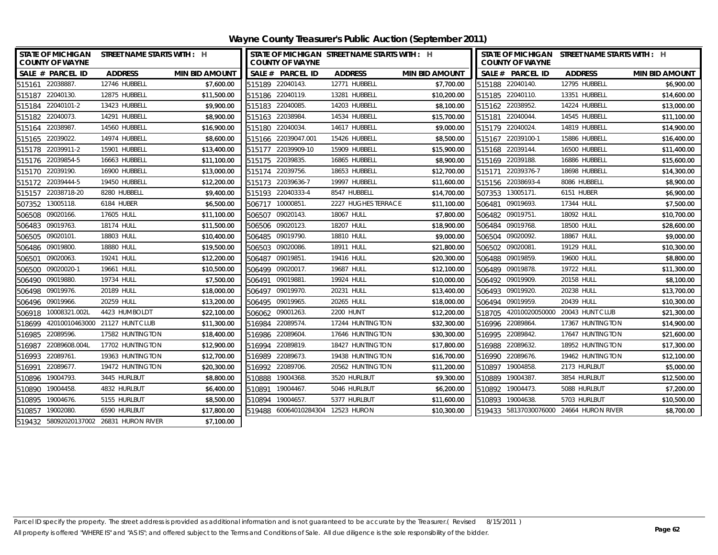| <b>COUNTY OF WAYNE</b>  | STATE OF MICHIGAN STREET NAME STARTS WITH : H |                       |                     | <b>COUNTY OF WAYNE</b> | STATE OF MICHIGAN STREET NAME STARTS WITH : H |                       |        | <b>COUNTY OF WAYNE</b> | STATE OF MICHIGAN STREET NAME STARTS WITH : H |                       |
|-------------------------|-----------------------------------------------|-----------------------|---------------------|------------------------|-----------------------------------------------|-----------------------|--------|------------------------|-----------------------------------------------|-----------------------|
| SALE # PARCEL ID        | <b>ADDRESS</b>                                | <b>MIN BID AMOUNT</b> |                     | SALE # PARCEL ID       | <b>ADDRESS</b>                                | <b>MIN BID AMOUNT</b> |        | SALE # PARCEL ID       | <b>ADDRESS</b>                                | <b>MIN BID AMOUNT</b> |
| 515161 22038887.        | 12746 HUBBELL                                 | \$7,600.00            | 515189 22040143.    |                        | 12771 HUBBELL                                 | \$7,700.00            |        | 515188 22040140.       | 12795 HUBBELL                                 | \$6,900.00            |
| 515187 22040130.        | 12875 HUBBELL                                 | \$11,500.00           | 515186 22040119.    |                        | 13281 HUBBELL                                 | \$10,200.00           |        | 515185 22040110.       | 13351 HUBBELL                                 | \$14,600.00           |
| 515184 22040101-2       | 13423 HUBBELL                                 | \$9,900.00            | 515183 22040085.    |                        | 14203 HUBBELL                                 | \$8,100.00            |        | 515162 22038952.       | 14224 HUBBELL                                 | \$13,000.00           |
| 515182 22040073.        | 14291 HUBBELL                                 | \$8,900.00            | 515163 22038984.    |                        | 14534 HUBBELL                                 | \$15,700.00           | 515181 | 22040044.              | 14545 HUBBELL                                 | \$11,100.00           |
| 515164 22038987.        | 14560 HUBBELL                                 | \$16,900.00           | 515180 22040034.    |                        | 14617 HUBBELL                                 | \$9,000.00            |        | 515179 22040024.       | 14819 HUBBELL                                 | \$14,900.00           |
| 515165 22039022.        | 14974 HUBBELL                                 | \$8,600.00            | 515166 22039047.001 |                        | 15426 HUBBELL                                 | \$8,500.00            |        | 515167 22039100-1      | 15886 HUBBELL                                 | \$16,400.00           |
| 515178 22039911-2       | 15901 HUBBELL                                 | \$13,400.00           | 515177 22039909-10  |                        | 15909 HUBBELL                                 | \$15,900.00           |        | 515168 22039144.       | 16500 HUBBELL                                 | \$11,400.00           |
| 515176 22039854-5       | 16663 HUBBELL                                 | \$11,100.00           | 515175 22039835.    |                        | 16865 HUBBELL                                 | \$8,900.00            |        | 515169 22039188.       | 16886 HUBBELL                                 | \$15,600.00           |
| 515170 22039190.        | 16900 HUBBELL                                 | \$13,000.00           | 515174 22039756.    |                        | 18653 HUBBELL                                 | \$12,700.00           |        | 515171 22039376-7      | 18698 HUBBELL                                 | \$14,300.00           |
| 515172 22039444-5       | 19450 HUBBELL                                 | \$12,200.00           | 515173 22039636-7   |                        | 19997 HUBBELL                                 | \$11,600.00           |        | 515156 22038693-4      | 8086 HUBBELL                                  | \$8,900.00            |
| 515157 22038718-20      | 8280 HUBBELL                                  | \$9,400.00            | 515193 22040333-4   |                        | 8547 HUBBELL                                  | \$14,700.00           |        | 507353 13005171.       | 6151 HUBER                                    | \$6,900.00            |
| 507352 13005118.        | 6184 HUBER                                    | \$6,500.00            | 506717 10000851.    |                        | 2227 HUGHES TERRACE                           | \$11,100.00           |        | 506481 09019693.       | 17344 HULL                                    | \$7,500.00            |
| 506508 09020166.        | 17605 HULL                                    | \$11,100.00           | 506507 09020143.    |                        | 18067 HULL                                    | \$7,800.00            |        | 506482 09019751.       | 18092 HULL                                    | \$10,700.00           |
| 506483 09019763.        | 18174 HULL                                    | \$11,500.00           | 506506 09020123.    |                        | 18207 HULL                                    | \$18,900.00           |        | 506484 09019768.       | 18500 HULL                                    | \$28,600.00           |
| 506505 09020101.        | 18803 HULL                                    | \$10,400.00           | 506485 09019790.    |                        | 18810 HULL                                    | \$9,000.00            |        | 506504 09020092.       | 18867 HULL                                    | \$9,000.00            |
| 506486 09019800.        | 18880 HULL                                    | \$19,500.00           | 506503 09020086.    |                        | 18911 HULL                                    | \$21,800.00           |        | 506502 09020081.       | 19129 HULL                                    | \$10,300.00           |
| 09020063.<br>506501     | 19241 HULL                                    | \$12,200.00           | 506487              | 09019851               | 19416 HULL                                    | \$20,300.00           |        | 506488 09019859.       | 19600 HULL                                    | \$8,800.00            |
| 09020020-1<br>506500    | 19661 HULL                                    | \$10,500.00           | 506499              | 09020017.              | 19687 HULL                                    | \$12,100.00           |        | 506489 09019878.       | 19722 HULL                                    | \$11,300.00           |
| 506490 09019880.        | 19734 HULL                                    | \$7,500.00            | 506491              | 09019881.              | 19924 HULL                                    | \$10,000.00           |        | 506492 09019909.       | 20158 HULL                                    | \$8,100.00            |
| 506498 09019976.        | 20189 HULL                                    | \$18,000.00           | 506497              | 09019970.              | 20231 HULL                                    | \$13,400.00           |        | 506493 09019920.       | 20238 HULL                                    | \$13,700.00           |
| 506496 09019966.        | 20259 HULL                                    | \$13,200.00           | 506495 09019965.    |                        | 20265 HULL                                    | \$18,000.00           |        | 506494 09019959.       | 20439 HULL                                    | \$10,300.00           |
| 10008321.002L<br>506918 | 4423 HUMBOLDT                                 | \$22,100.00           | 506062 09001263.    |                        | 2200 HUNT                                     | \$12,200.00           |        |                        | 518705 42010020050000 20043 HUNT CLUB         | \$21,300.00           |
| 518699                  | 42010010463000 21127 HUNT CLUB                | \$11,300.00           | 516984 22089574.    |                        | 17244 HUNTINGTON                              | \$32,300.00           |        | 516996 22089864.       | 17367 HUNTINGTON                              | \$14,900.00           |
| 516985 22089596.        | 17582 HUNTINGTON                              | \$18,400.00           | 516986 22089604.    |                        | 17646 HUNTINGTON                              | \$30,300.00           |        | 516995 22089842.       | 17647 HUNTINGTON                              | \$21,600.00           |
| 516987 22089608.004L    | 17702 HUNTINGTON                              | \$12,900.00           | 516994              | 22089819.              | 18427 HUNTINGTON                              | \$17,800.00           |        | 516988 22089632.       | 18952 HUNTINGTON                              | \$17,300.00           |
| 516993 22089761.        | 19363 HUNTINGTON                              | \$12,700.00           | 516989 22089673.    |                        | 19438 HUNTINGTON                              | \$16,700.00           |        | 516990 22089676.       | 19462 HUNTINGTON                              | \$12,100.00           |
| 516991<br>22089677      | 19472 HUNTINGTON                              | \$20,300.00           | 516992 22089706.    |                        | 20562 HUNTINGTON                              | \$11,200.00           |        | 510897 19004858.       | 2173 HURLBUT                                  | \$5,000.00            |
| 510896 19004793.        | 3445 HURLBUT                                  | \$8,800.00            | 510888              | 19004368.              | 3520 HURLBUT                                  | \$9,300.00            |        | 510889 19004387        | 3854 HURLBUT                                  | \$12,500.00           |
| 510890 19004458.        | 4832 HURLBUT                                  | \$6,400.00            | 510891              | 19004467.              | 5046 HURLBUT                                  | \$6,200.00            |        | 510892 19004473.       | 5088 HURLBUT                                  | \$7,200.00            |
| 510895 19004676.        | 5155 HURLBUT                                  | \$8,500.00            | 510894 19004657.    |                        | 5377 HURLBUT                                  | \$11,600.00           |        | 510893 19004638.       | 5703 HURLBUT                                  | \$10,500.00           |
| 510857 19002080.        | 6590 HURLBUT                                  | \$17,800.00           |                     |                        | 519488 60064010284304 12523 HURON             | \$10,300.00           |        |                        | 519433 58137030076000 24664 HURON RIVER       | \$8,700.00            |
|                         | 519432 58092020137002 26831 HURON RIVER       | \$7,100.00            |                     |                        |                                               |                       |        |                        |                                               |                       |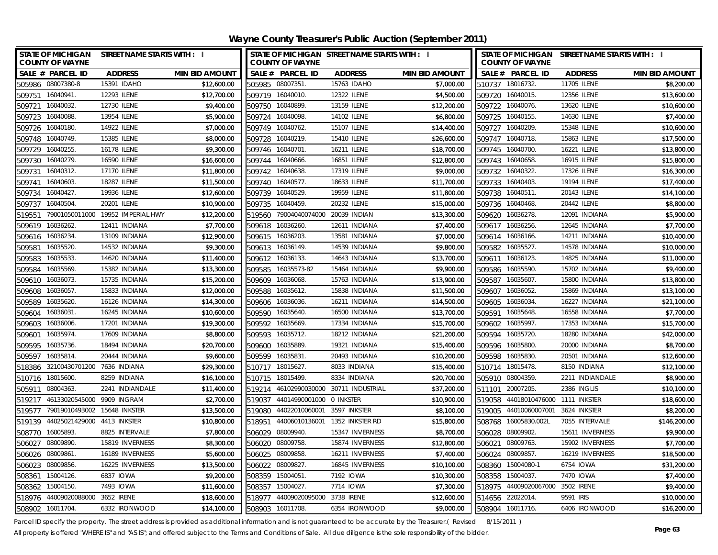| Wayne County Treasurer's Public Auction (September 2011) |
|----------------------------------------------------------|
|----------------------------------------------------------|

| STATE OF MICHIGAN STREET NAME STARTS WITH : I<br><b>COUNTY OF WAYNE</b> |                       | STATE OF MICHIGAN STREET NAME STARTS WITH : I<br><b>COUNTY OF WAYNE</b> |                                 |                       | STATE OF MICHIGAN STREET NAME STARTS WITH : I<br><b>COUNTY OF WAYNE</b> |                 |                       |
|-------------------------------------------------------------------------|-----------------------|-------------------------------------------------------------------------|---------------------------------|-----------------------|-------------------------------------------------------------------------|-----------------|-----------------------|
| SALE # PARCEL ID<br><b>ADDRESS</b>                                      | <b>MIN BID AMOUNT</b> | SALE # PARCEL ID                                                        | <b>ADDRESS</b>                  | <b>MIN BID AMOUNT</b> | SALE # PARCEL ID                                                        | <b>ADDRESS</b>  | <b>MIN BID AMOUNT</b> |
| 505986 08007380-8<br>15391 IDAHO                                        | \$12,600.00           | 505985 08007351.                                                        | 15763 IDAHO                     | \$7,000.00            | 510737 18016732.                                                        | 11705 ILENE     | \$8,200.00            |
| 509751 16040941.<br>12293 ILENE                                         | \$12,700.00           | 509719 16040010.                                                        | 12322 ILENE                     | \$4,500.00            | 509720 16040015.                                                        | 12356 ILENE     | \$13,600.00           |
| 509721 16040032.<br>12730 ILENE                                         | \$9,400.00            | 509750 16040899.                                                        | 13159 ILENE                     | \$12,200.00           | 509722 16040076.                                                        | 13620 ILENE     | \$10,600.00           |
| 509723 16040088.<br>13954 ILENE                                         | \$5,900.00            | 509724 16040098                                                         | 14102 ILENE                     | \$6,800.00            | 509725 16040155.                                                        | 14630 ILENE     | \$7,400.00            |
| 509726 16040180.<br>14922 ILENE                                         | \$7,000.00            | 509749 16040762                                                         | 15107 ILENE                     | \$14,400.00           | 509727 16040209.                                                        | 15348 ILENE     | \$10,600.00           |
| 509748<br>16040749<br>15385 ILENE                                       | \$8,000.00            | 16040219<br>509728                                                      | 15410 ILENE                     | \$26,600.00           | 509747 16040718.                                                        | 15863 ILENE     | \$17,500.00           |
| 16178 ILENE<br>509729 16040255.                                         | \$9,300.00            | 509746 16040701                                                         | 16211 ILENE                     | \$18,700.00           | 509745 16040700.                                                        | 16221 ILENE     | \$13,800.00           |
| 16040279.<br>16590 ILENE<br>509730                                      | \$16,600.00           | 509744 16040666.                                                        | 16851 ILENE                     | \$12,800.00           | 509743 16040658.                                                        | 16915 ILENE     | \$15,800.00           |
| 16040312.<br><b>17170 ILENE</b><br>509731                               | \$11,800.00           | 509742 16040638                                                         | 17319 ILENE                     | \$9,000.00            | 509732 16040322.                                                        | 17326 ILENE     | \$16,300.00           |
| 16040603<br>18287 ILENE<br>509741                                       | \$11,500.00           | 509740<br>16040577.                                                     | 18633 ILENE                     | \$11,700.00           | 509733 16040403.                                                        | 19194 ILENE     | \$17,400.00           |
| 16040427<br>19936 ILENE<br>509734                                       | \$12,600.00           | 509739 16040529.                                                        | 19959 ILENE                     | \$11,800.00           | 509738 16040511.                                                        | 20143 ILENE     | \$14,100.00           |
| 16040504<br>20201 ILENE<br>509737                                       | \$10,900.00           | 16040459.<br>509735                                                     | 20232 ILENE                     | \$15,000.00           | 509736 16040468.                                                        | 20442 ILENE     | \$8,800.00            |
| 79001050011000 19952 IMPERIAL HWY<br>519551                             | \$12,200.00           | 79004040074000<br>519560                                                | 20039 INDIAN                    | \$13,300.00           | 509620 16036278.                                                        | 12091 INDIANA   | \$5,900.00            |
| 16036262.<br>12411 INDIANA<br>509619                                    | \$7,700.00            | 16036260.<br>509618                                                     | 12611 INDIANA                   | \$7,400.00            | 16036256.<br>509617                                                     | 12645 INDIANA   | \$7,700.00            |
| 16036234<br>13109 INDIANA<br>509616                                     | \$12,900.00           | 509615<br>16036203.                                                     | 13581 INDIANA                   | \$7,000.00            | 509614 16036166.                                                        | 14211 INDIANA   | \$10,400.00           |
| 16035520<br>14532 INDIANA<br>509581                                     | \$9,300.00            | 509613 16036149.                                                        | 14539 INDIANA                   | \$9,800.00            | 509582 16035527.                                                        | 14578 INDIANA   | \$10,000.00           |
| 16035533<br>14620 INDIANA<br>509583                                     | \$11,400.00           | 16036133.<br>509612                                                     | 14643 INDIANA                   | \$13,700.00           | 16036123.<br>509611                                                     | 14825 INDIANA   | \$11,000.00           |
| 16035569<br>15382 INDIANA<br>509584                                     | \$13,300.00           | 16035573-82<br>509585                                                   | 15464 INDIANA                   | \$9,900.00            | 16035590.<br>509586                                                     | 15702 INDIANA   | \$9,400.00            |
| 15735 INDIANA<br>16036073.<br>509610                                    | \$15,200.00           | 16036068.<br>509609                                                     | 15763 INDIANA                   | \$13,900.00           | 16035607.<br>509587                                                     | 15800 INDIANA   | \$13,800.00           |
| 16036057<br>15833 INDIANA<br>509608                                     | \$12,000.00           | 16035612<br>509588                                                      | 15838 INDIANA                   | \$11,500.00           | 16036052.<br>509607                                                     | 15869 INDIANA   | \$13,100.00           |
| 16035620<br>16126 INDIANA<br>509589                                     | \$14,300.00           | 16036036.<br>509606                                                     | 16211 INDIANA                   | \$14,500.00           | 16036034<br>509605                                                      | 16227 INDIANA   | \$21,100.00           |
| 16036031<br>16245 INDIANA<br>509604                                     | \$10,600.00           | 16035640.<br>509590                                                     | 16500 INDIANA                   | \$13,700.00           | 16035648.<br>509591                                                     | 16558 INDIANA   | \$7,700.00            |
| 16036006.<br>17201 INDIANA<br>509603                                    | \$19,300.00           | 16035669.<br>509592                                                     | 17334 INDIANA                   | \$15,700.00           | 16035997.<br>509602                                                     | 17353 INDIANA   | \$15,700.00           |
| 17609 INDIANA<br>16035974<br>509601                                     | \$8,800.00            | 509593 16035712                                                         | 18212 INDIANA                   | \$21,200.00           | 509594 16035720.                                                        | 18280 INDIANA   | \$42,000.00           |
| 16035736.<br>18494 INDIANA<br>509595                                    | \$20,700.00           | 509600<br>16035889.                                                     | 19321 INDIANA                   | \$15,400.00           | 509596 16035800.                                                        | 20000 INDIANA   | \$8,700.00            |
| 20444 INDIANA<br>509597<br>16035814                                     | \$9,600.00            | 509599<br>16035831                                                      | 20493 INDIANA                   | \$10,200.00           | 509598 16035830.                                                        | 20501 INDIANA   | \$12,600.00           |
| 518386 32100430701200 7636 INDIANA                                      | \$29,300.00           | 510717 18015627                                                         | 8033 INDIANA                    | \$15,400.00           | 510714 18015478.                                                        | 8150 INDIANA    | \$12,100.00           |
| 510716 18015600.<br>8259 INDIANA                                        | \$16,100.00           | 510715 18015499                                                         | 8334 INDIANA                    | \$20,700.00           | 505910 08004359.                                                        | 2211 INDIANDALE | \$8,900.00            |
| 505911<br>08004363<br>2241 INDIANDALE                                   | \$11,400.00           | 519214                                                                  | 46102990030000 30711 INDUSTRIAL | \$37,200.00           | 511101 20007205.                                                        | 2386 INGLIS     | \$10,100.00           |
| 519217 46133020545000<br>9909 INGRAM                                    | \$2,700.00            | 519037<br>44014990001000 0 INKSTER                                      |                                 | \$10,900.00           | 519058 44018010476000 1111 INKSTER                                      |                 | \$18,600.00           |
| 519577 79019010493002 15648 INKSTER                                     | \$13,500.00           | 519080<br>44022010060001                                                | 3597 INKSTER                    | \$8,100.00            | 519005 44010060007001                                                   | 3624 INKSTER    | \$8,200.00            |
| 519139 44025021429000 4413 INKSTER                                      | \$10,800.00           | 44006010136001<br>518951                                                | 1352 INKSTER RD                 | \$15,800.00           | 508768 16005830.002L                                                    | 7055 INTERVALE  | \$146,200.00          |
| 508770<br>16005893<br>8825 INTERVALE                                    | \$7,800.00            | 506029<br>08009940.                                                     | 15347 INVERNESS                 | \$8,700.00            | 506028 08009902.                                                        | 15611 INVERNESS | \$9,900.00            |
| 506027<br>08009890<br>15819 INVERNESS                                   | \$8,300.00            | 506020<br>08009758                                                      | 15874 INVERNESS                 | \$12,800.00           | 506021 08009763.                                                        | 15902 INVERNESS | \$7,700.00            |
| 506026 08009861<br>16189 INVERNESS                                      | \$5,600.00            | 506025 08009858                                                         | 16211 INVERNESS                 | \$7,400.00            | 506024 08009857.                                                        | 16219 INVERNESS | \$18,500.00           |
| 08009856<br>16225 INVERNESS<br>506023                                   | \$13,500.00           | 506022<br>08009827                                                      | 16845 INVERNESS                 | \$10,100.00           | 508360 15004080-1                                                       | 6754 IOWA       | \$31,200.00           |
| 15004126.<br>6837 IOWA<br>508361                                        | \$9,200.00            | 15004051.<br>508359                                                     | 7192 IOWA                       | \$10,300.00           | 508358 15004037.                                                        | 7470 IOWA       | \$7,400.00            |
| 15004150.<br>7493 IOWA<br>508362                                        | \$11,600.00           | 15004027.<br>508357                                                     | 7714 IOWA                       | \$7,300.00            | 518975 44009020067000                                                   | 3502 IRENE      | \$9,400.00            |
| 518976 44009020088000 3652 IRENE                                        | \$18,600.00           | 44009020095000 3738 IRENE<br>518977                                     |                                 | \$12,600.00           | 514656 22022014.                                                        | 9591 IRIS       | \$10,000.00           |
| 508902 16011704<br>6332 IRONWOOD                                        | \$14,100.00           | 508903 16011708.                                                        | 6354 IRONWOOD                   | \$9,000.00            | 508904 16011716.                                                        | 6406 IRONWOOD   | \$16,200.00           |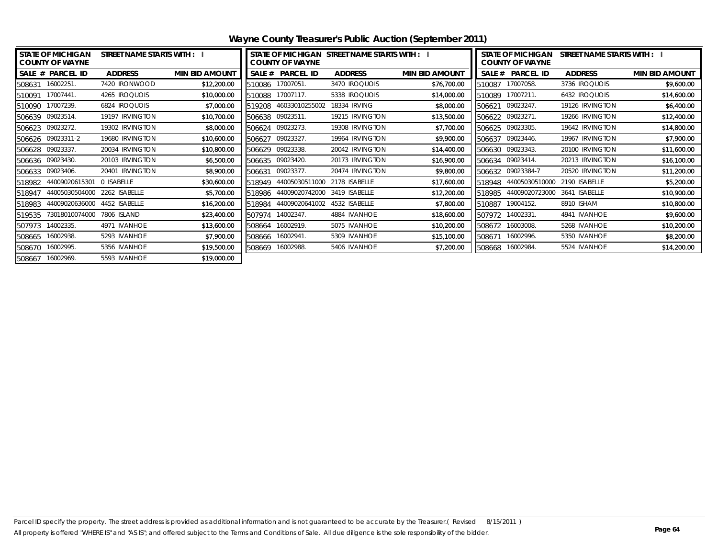|                          | <b>STATE OF MICHIGAN</b><br>STREET NAME STARTS WITH : I<br><b>COUNTY OF WAYNE</b> |                 |                       |        | <b>COUNTY OF WAYNE</b> | STATE OF MICHIGAN STREET NAME STARTS WITH : I |                       | <b>STATE OF MICHIGAN</b><br>STREET NAME STARTS WITH : I<br><b>COUNTY OF WAYNE</b> |                   |                 |                       |  |
|--------------------------|-----------------------------------------------------------------------------------|-----------------|-----------------------|--------|------------------------|-----------------------------------------------|-----------------------|-----------------------------------------------------------------------------------|-------------------|-----------------|-----------------------|--|
| SALE # PARCEL ID         |                                                                                   | <b>ADDRESS</b>  | <b>MIN BID AMOUNT</b> |        | SALE # PARCEL ID       | <b>ADDRESS</b>                                | <b>MIN BID AMOUNT</b> |                                                                                   | SALE # PARCEL ID  | <b>ADDRESS</b>  | <b>MIN BID AMOUNT</b> |  |
| 16002251.<br>508631      |                                                                                   | 7420 IRONWOOD   | \$12,200.00           | 510086 | 17007051.              | 3470 IROQUOIS                                 | \$76,700.00           | 510087                                                                            | 17007058.         | 3736 IROQUOIS   | \$9,600.00            |  |
| 17007441<br>510091       |                                                                                   | 4265 IROQUOIS   | \$10,000.00           | 510088 | 17007117.              | 5338 IROQUOIS                                 | \$14,000.00           | 510089                                                                            | 17007211.         | 6432 IROQUOIS   | \$14,600.00           |  |
| 510090 17007239.         |                                                                                   | 6824 IROQUOIS   | \$7,000.00            | 519208 | 46033010255002         | <b>18334 IRVING</b>                           | \$8,000.00            | 506621                                                                            | 09023247.         | 19126 IRVINGTON | \$6,400.00            |  |
| 506639 09023514.         |                                                                                   | 19197 IRVINGTON | \$10,700.00           | 506638 | 09023511.              | 19215 IRVINGTON                               | \$13,500.00           |                                                                                   | 506622 09023271.  | 19266 IRVINGTON | \$12,400.00           |  |
| 506623 09023272.         |                                                                                   | 19302 IRVINGTON | \$8,000.00            | 506624 | 09023273.              | 19308 IRVINGTON                               | \$7,700.00            |                                                                                   | 506625 09023305.  | 19642 IRVINGTON | \$14,800.00           |  |
| 506626 09023311-2        |                                                                                   | 19680 IRVINGTON | \$10,600.00           | 506627 | 09023327.              | 19964 IRVINGTON                               | \$9,900.00            |                                                                                   | 506637 09023446.  | 19967 IRVINGTON | \$7,900.00            |  |
| 506628 09023337.         |                                                                                   | 20034 IRVINGTON | \$10,800.00           | 506629 | 09023338.              | 20042 IRVINGTON                               | \$14,400.00           |                                                                                   | 506630 09023343.  | 20100 IRVINGTON | \$11,600.00           |  |
| 506636 09023430.         |                                                                                   | 20103 IRVINGTON | \$6,500.00            | 506635 | 09023420.              | 20173 IRVINGTON                               | \$16,900.00           |                                                                                   | 506634 09023414.  | 20213 IRVINGTON | \$16,100.00           |  |
| 506633 09023406.         |                                                                                   | 20401 IRVINGTON | \$8,900.00            | 506631 | 09023377.              | 20474 IRVINGTON                               | \$9,800.00            |                                                                                   | 506632 09023384-7 | 20520 IRVINGTON | \$11,200.00           |  |
| 44009020615301<br>518982 |                                                                                   | 0 ISABELLE      | \$30,600.00           | 518949 | 44005030511000         | 2178 ISABELLE                                 | \$17,600.00           | 518948                                                                            | 44005030510000    | 2190 ISABELLE   | \$5,200.00            |  |
| 44005030504000<br>518947 |                                                                                   | 2262 ISABELLE   | \$5,700.00            | 518986 | 44009020742000         | 3419 ISABELLE                                 | \$12,200.00           | 518985                                                                            | 44009020723000    | 3641 ISABELLE   | \$10,900.00           |  |
| 44009020636000<br>518983 |                                                                                   | 4452 ISABELLE   | \$16,200.00           | 518984 | 44009020641002         | 4532 ISABELLE                                 | \$7,800.00            | 510887                                                                            | 19004152.         | 8910 ISHAM      | \$10,800.00           |  |
| 73018010074000<br>519535 |                                                                                   | 7806 ISLAND     | \$23,400.00           | 507974 | 14002347.              | 4884 IVANHOE                                  | \$18,600.00           | 507972                                                                            | 14002331.         | 4941 IVANHOE    | \$9,600.00            |  |
| 14002335.<br>507973      |                                                                                   | 4971 IVANHOE    | \$13,600.00           | 508664 | 16002919.              | 5075 IVANHOE                                  | \$10,200.00           | 508672                                                                            | 16003008.         | 5268 IVANHOE    | \$10,200.00           |  |
| 16002938.<br>508665      |                                                                                   | 5293 IVANHOE    | \$7,900.00            | 508666 | 16002941.              | 5309 IVANHOE                                  | \$15,100.00           | 508671                                                                            | 16002996.         | 5350 IVANHOE    | \$8,200.00            |  |
| 16002995.<br>508670      |                                                                                   | 5356 IVANHOE    | \$19,500.00           | 508669 | 16002988.              | 5406 IVANHOE                                  | \$7,200.00            | 508668                                                                            | 16002984.         | 5524 IVANHOE    | \$14,200.00           |  |
| 508667 16002969.         |                                                                                   | 5593 IVANHOE    | \$19,000.00           |        |                        |                                               |                       |                                                                                   |                   |                 |                       |  |

**Wayne County Treasurer's Public Auction (September 2011)**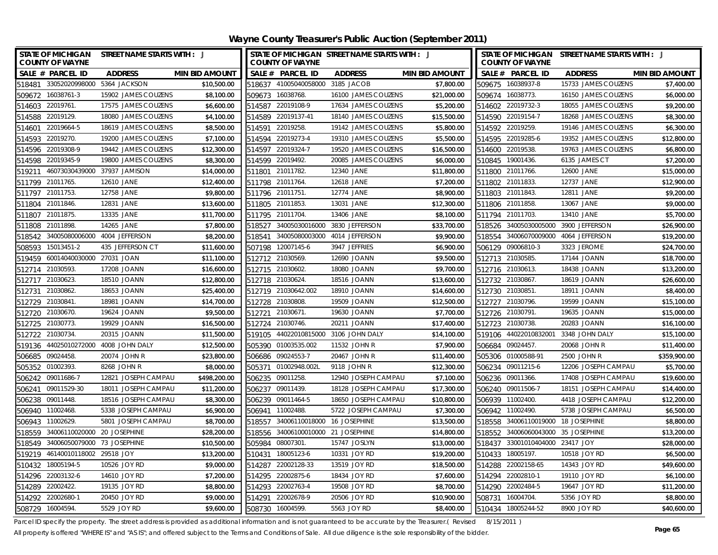| STATE OF MICHIGAN STREET NAME STARTS WITH : J             | STATE OF MICHIGAN STREET NAME STARTS WITH : J             | STATE OF MICHIGAN STREET NAME STARTS WITH : J           |
|-----------------------------------------------------------|-----------------------------------------------------------|---------------------------------------------------------|
| <b>COUNTY OF WAYNE</b>                                    | <b>COUNTY OF WAYNE</b>                                    | <b>COUNTY OF WAYNE</b>                                  |
| <b>MIN BID AMOUNT</b>                                     | SALE # PARCEL ID                                          | <b>MIN BID AMOUNT</b>                                   |
| SALE # PARCEL ID                                          | <b>MIN BID AMOUNT</b>                                     | SALE # PARCEL ID                                        |
| <b>ADDRESS</b>                                            | <b>ADDRESS</b>                                            | <b>ADDRESS</b>                                          |
| \$10,500.00<br>518481 33052020998000 5364 JACKSON         | \$7,800.00<br>518637 41005040058000 3185 JACOB            | 15733 JAMES COUZENS<br>\$7,400.00<br>509675 16038937-8  |
| 509672 16038761-3                                         | 509673 16038768.                                          | 509674 16038773.                                        |
| 15902 JAMES COUZENS                                       | 16100 JAMES COUZENS                                       | 16150 JAMES COUZENS                                     |
| \$8,100.00                                                | \$21,000.00                                               | \$6,000.00                                              |
| \$6,600.00                                                | 514587 22019108-9                                         | \$9,200.00                                              |
| 514603 22019761.                                          | 17634 JAMES COUZENS                                       | 514602 22019732-3                                       |
| 17575 JAMES COUZENS                                       | \$5,200.00                                                | 18055 JAMES COUZENS                                     |
| 514588 22019129.                                          | 18140 JAMES COUZENS                                       | 18268 JAMES COUZENS                                     |
| 18080 JAMES COUZENS                                       | 514589 22019137-41                                        | \$8,300.00                                              |
| \$4,100.00                                                | \$15,500.00                                               | 514590 22019154-7                                       |
| 22019664-5<br>18619 JAMES COUZENS<br>\$8,500.00<br>514601 | 514591 22019258.<br>19142 JAMES COUZENS<br>\$5,800.00     | 514592 22019259.<br>19146 JAMES COUZENS<br>\$6,300.00   |
| 22019270.<br>19200 JAMES COUZENS<br>\$7,100.00<br>514593  | 514594 22019273-4<br>19310 JAMES COUZENS<br>\$5,500.00    | 514595 22019285-6<br>19352 JAMES COUZENS<br>\$12,800.00 |
| 514596 22019308-9                                         | 514597 22019324-7                                         | 514600 22019538.                                        |
| 19442 JAMES COUZENS                                       | 19520 JAMES COUZENS                                       | 19763 JAMES COUZENS                                     |
| \$12,300.00                                               | \$16,500.00                                               | \$6,800.00                                              |
| 19800 JAMES COUZENS                                       | 20085 JAMES COUZENS                                       | 6135 JAMES CT                                           |
| 514598 22019345-9                                         | 514599 22019492.                                          | 510845 19001436.                                        |
| \$8,300.00                                                | \$6,000.00                                                | \$7,200.00                                              |
| 46073030439000 37937 JAMISON                              | 511801 21011782.                                          | 511800 21011766.                                        |
| \$14,000.00                                               | 12340 JANE                                                | 12600 JANE                                              |
| 519211                                                    | \$11,800.00                                               | \$15,000.00                                             |
| 511799 21011765.                                          | 12618 JANE                                                | 511802 21011833.                                        |
| \$12,400.00                                               | \$7,200.00                                                | 12737 JANE                                              |
| 12610 JANE                                                | 511798 21011764.                                          | \$12,900.00                                             |
| 511797 21011753.                                          | 12774 JANE                                                | 511803 21011843.                                        |
| 12758 JANE                                                | 511796 21011751.                                          | 12811 JANE                                              |
| \$9,800.00                                                | \$8,900.00                                                | \$9,200.00                                              |
| 511804 21011846.                                          | 13031 JANE                                                | 511806 21011858.                                        |
| 12831 JANE                                                | 511805 21011853.                                          | 13067 JANE                                              |
| \$13,600.00                                               | \$12,300.00                                               | \$9,000.00                                              |
| 21011875.<br>13335 JANE<br>\$11,700.00<br>511807          | 511795 21011704.<br>13406 JANE<br>\$8,100.00              | \$5,700.00<br>511794 21011703.<br>13410 JANE            |
| 14265 JANE<br>\$7,800.00<br>21011898.<br>511808           | 34005030016000<br>3830 JEFFERSON<br>\$33,700.00<br>518527 | 518526 34005030005000<br>3900 JEFFERSON<br>\$26,900.00  |
| 34005080006000 4004 JEFFERSON<br>\$8,200.00<br>518542     | 34005080003000<br>4014 JEFFERSON<br>\$9,900.00<br>518541  | 518554 34006070009000<br>4064 JEFFERSON<br>\$19,200.00  |
| 15013451-2<br>435 JEFFERSON CT<br>\$11,600.00<br>508593   | \$6,900.00<br>507198 12007145-6<br>3947 JEFFRIES          | \$24,700.00<br>506129 09006810-3<br>3323 JEROME         |
| 60014040030000 27031 JOAN                                 | \$9,500.00                                                | 512713 21030585.                                        |
| \$11,100.00                                               | 512712 21030569.                                          | 17144 JOANN                                             |
| 519459                                                    | 12690 JOANN                                               | \$18,700.00                                             |
| 512714 21030593.                                          | \$9,700.00                                                | 18438 JOANN                                             |
| 17208 JOANN                                               | 512715 21030602.                                          | \$13,200.00                                             |
| \$16,600.00                                               | 18080 JOANN                                               | 512716 21030613.                                        |
| \$12,800.00                                               | 512718 21030624                                           | 18619 JOANN                                             |
| 512717 21030623.                                          | 18516 JOANN                                               | \$26,600.00                                             |
| 18510 JOANN                                               | \$13,600.00                                               | 512732 21030867.                                        |
| 21030862<br>18653 JOANN<br>\$25,400.00<br>512731          | 512719 21030642.002<br>18910 JOANN<br>\$14,600.00         | \$8,400.00<br>512730 21030851<br>18911 JOANN            |
| 21030841.<br>18981 JOANN<br>\$14,700.00<br>512729         | 512728 21030808.<br>19509 JOANN<br>\$12,500.00            | 512727 21030796.<br>19599 JOANN<br>\$15,100.00          |
| 512720 21030670.                                          | 512721 21030671.                                          | 512726 21030791.                                        |
| 19624 JOANN                                               | 19630 JOANN                                               | 19635 JOANN                                             |
| \$9,500.00                                                | \$7,700.00                                                | \$15,000.00                                             |
| 512725 21030773.                                          | 512724 21030746.                                          | 512723 21030738.                                        |
| 19929 JOANN                                               | 20211 JOANN                                               | 20283 JOANN                                             |
| \$16,500.00                                               | \$17,400.00                                               | \$16,100.00                                             |
| 512722 21030734<br>20315 JOANN<br>\$11,500.00             | 519105 44022010815000 3106 JOHN DALY<br>\$14,100.00       | 519106 44022010832001<br>3348 JOHN DALY<br>\$15,100.00  |
| \$12,500.00<br>519136 44025010272000 4008 JOHN DALY       | 505390 01003535.002<br>11532 JOHN R<br>\$7,900.00         | 506684 09024457.<br>20068 JOHN R<br>\$11,400.00         |
| 506685 09024458                                           | 506686 09024553-7                                         | 505306 01000588-91                                      |
| \$23,800.00                                               | \$11,400.00                                               | 2500 JOHN R                                             |
| 20074 JOHN R                                              | 20467 JOHN R                                              | \$359,900.00                                            |
| \$8,000.00                                                | 505371 01002948.002L                                      | 506234 09011215-6                                       |
| 505352 01002393.                                          | 9118 JOHN R                                               | 12206 JOSEPH CAMPAU                                     |
| 8268 JOHN R                                               | \$12,300.00                                               | \$5,700.00                                              |
| \$498,200.00                                              | \$7,100.00                                                | \$19,600.00                                             |
| 506242 09011686-7                                         | 506235 09011258.                                          | 506236 09011366.                                        |
| 12821 JOSEPH CAMPAU                                       | 12940 JOSEPH CAMPAU                                       | 17408 JOSEPH CAMPAU                                     |
| \$11,200.00                                               | \$17,300.00                                               | \$14,400.00                                             |
| 506241 09011529-30                                        | 506237 09011439.                                          | 506240 09011506-7                                       |
| 18011 JOSEPH CAMPAU                                       | 18128 JOSEPH CAMPAU                                       | 18151 JOSEPH CAMPAU                                     |
| \$8,300.00                                                | \$10,800.00                                               | \$12,200.00                                             |
| 506238 09011448.                                          | 506239 09011464-5                                         | 506939 11002400.                                        |
| 18516 JOSEPH CAMPAU                                       | 18650 JOSEPH CAMPAU                                       | 4418 JOSEPH CAMPAU                                      |
| \$6,900.00                                                | \$7,300.00                                                | \$6,500.00                                              |
| 506940 11002468                                           | 506941 11002488.                                          | 506942 11002490.                                        |
| 5338 JOSEPH CAMPAU                                        | 5722 JOSEPH CAMPAU                                        | 5738 JOSEPH CAMPAU                                      |
| 506943 11002629.<br>5801 JOSEPH CAMPAU<br>\$8,700.00      | 518557 34006110018000 16 JOSEPHINE<br>\$13,500.00         | \$8,800.00<br>518558 34006110019000 18 JOSEPHINE        |
| 518559<br>34006110020000 20 JOSEPHINE<br>\$28,200.00      | 518556 34006100010000 21 JOSEPHINE<br>\$14,800.00         | 518552 34006060043000 35 JOSEPHINE<br>\$13,200.00       |
| 518549 34006050079000 73 JOSEPHINE<br>\$10,500.00         | 505984 08007301.<br>15747 JOSLYN<br>\$13,000.00           | 518437 33001010404000 23417 JOY<br>\$28,000.00          |
| 519219 46140010118002 29518 JOY<br>\$13,200.00            | 510431 18005123-6<br>10331 JOY RD<br>\$19,200.00          | 510433 18005197.<br>\$6,500.00<br>10518 JOY RD          |
| 18005194-5<br>\$9,000.00<br>510432<br>10526 JOY RD        | 22002128-33<br>\$18,500.00<br>514287<br>13519 JOY RD      | \$49,600.00<br>14343 JOY RD<br>514288 22002158-65       |
| \$7,200.00<br>514296 22003132-6<br>14610 JOY RD           | 22002875-6<br>\$7,600.00<br>514295<br>18434 JOY RD        | \$6,100.00<br>514294 22002810-1<br>19110 JOY RD         |
| 514289 22002422.                                          | 19508 JOY RD                                              | 19647 JOY RD                                            |
| 19135 JOY RD                                              | \$8,700.00                                                | \$11,200.00                                             |
| \$8,800.00                                                | 514293 22002763-4                                         | 514290 22002484-5                                       |
| 514292 22002680-1<br>\$9,000.00<br>20450 JOY RD           | \$10,900.00<br>22002678-9<br>20506 JOY RD<br>514291       | \$8,800.00<br>508731 16004704.<br>5356 JOY RD           |
| \$9,600.00<br>508729 16004594.<br>5529 JOY RD             | \$8,400.00<br>16004599.<br>5563 JOY RD<br>508730          | \$40,600.00<br>510434 18005244-52<br>8900 JOY RD        |

Parcel ID specify the property. The street address is provided as additional information and is not guaranteed to be accurate by the Treasurer.( Revised 8/15/2011 )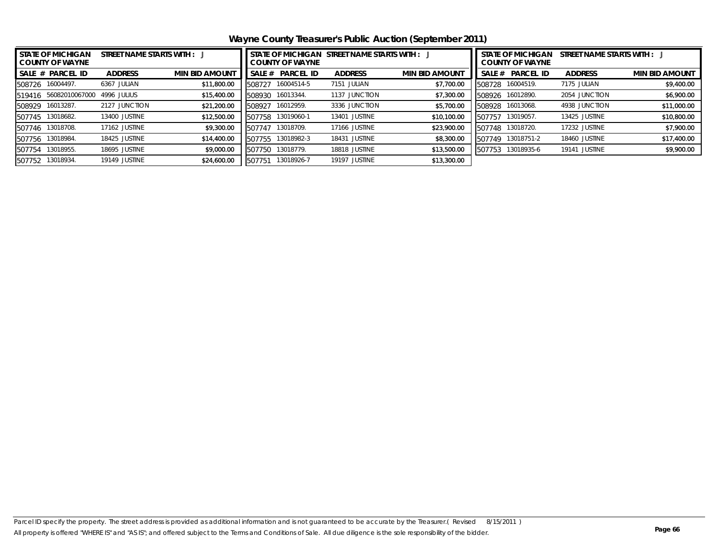**Wayne County Treasurer's Public Auction (September 2011)**

| <b>STATE OF MICHIGAN</b><br><b>COUNTY OF WAYNE</b> | STATE OF MICHIGAN STREET NAME STARTS WITH : J<br><b>COUNTY OF WAYNE</b> |                       |        |                  |                | <b>STATE OF MICHIGAN</b><br>STREET NAME STARTS WITH :<br><b>COUNTY OF WAYNE</b> |        |                  |                |                       |
|----------------------------------------------------|-------------------------------------------------------------------------|-----------------------|--------|------------------|----------------|---------------------------------------------------------------------------------|--------|------------------|----------------|-----------------------|
| SALE # PARCEL ID                                   | <b>ADDRESS</b>                                                          | <b>MIN BID AMOUNT</b> | SALE # | <b>PARCEL ID</b> | <b>ADDRESS</b> | <b>MIN BID AMOUNT</b>                                                           | SALE#  | <b>PARCEL ID</b> | <b>ADDRESS</b> | <b>MIN BID AMOUNT</b> |
| 16004497.<br>508726                                | 6367 JULIAN                                                             | \$11,800.00           | 508727 | 16004514-5       | 7151 JULIAN    | \$7,700.00                                                                      | 508728 | 16004519.        | 7175 JULIAN    | \$9,400.00            |
| 56082010067000<br>519416                           | 4996 JULIUS                                                             | \$15,400.00           | 508930 | 16013344.        | 1137 JUNCTION  | \$7,300.00                                                                      | 508926 | 16012890.        | 2054 JUNCTION  | \$6,900.00            |
| 16013287.<br>508929                                | 2127 JUNCTION                                                           | \$21,200.00           | 508927 | 16012959.        | 3336 JUNCTION  | \$5,700.00                                                                      | 508928 | 16013068.        | 4938 JUNCTION  | \$11,000.00           |
| 13018682.<br>507745                                | 13400 JUSTINE                                                           | \$12,500.00           | 507758 | 13019060-1       | 13401 JUSTINE  | \$10,100.00                                                                     | 507757 | 13019057.        | 13425 JUSTINE  | \$10,800.00           |
| 13018708.<br>507746                                | 17162 JUSTINE                                                           | \$9,300.00            | 507747 | 13018709.        | 17166 JUSTINE  | \$23,900.00                                                                     | 507748 | 13018720.        | 17232 JUSTINE  | \$7,900.00            |
| 13018984.<br>507756                                | 18425 JUSTINE                                                           | \$14,400.00           | 507755 | 13018982-3       | 18431 JUSTINE  | \$8,300.00                                                                      | 507749 | 13018751-2       | 18460 JUSTINE  | \$17,400.00           |
| 13018955.<br>507754                                | 18695 JUSTINE                                                           | \$9,000.00            | 507750 | 13018779.        | 18818 JUSTINE  | \$13,500.00                                                                     | 507753 | 13018935-6       | 19141 JUSTINE  | \$9,900.00            |
| 13018934.<br>507752                                | 19149 JUSTINE                                                           | \$24,600.00           | 507751 | 13018926-7       | 19197 JUSTINE  | \$13,300.00                                                                     |        |                  |                |                       |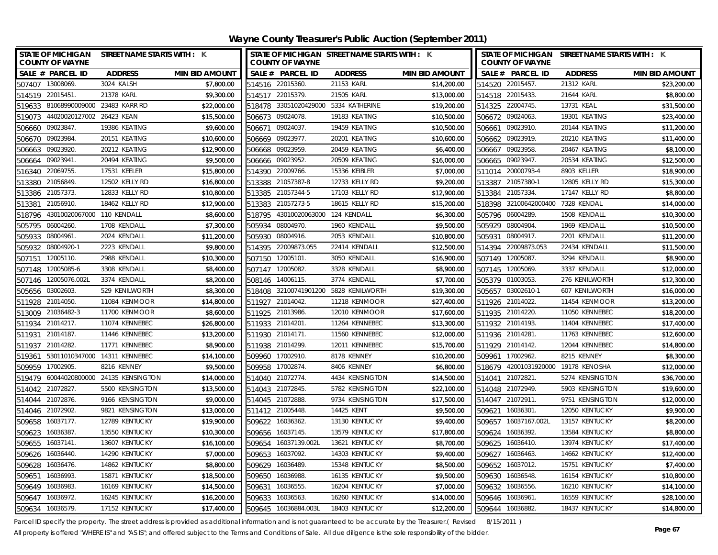**Wayne County Treasurer's Public Auction (September 2011)**

| STATE OF MICHIGAN STREET NAME STARTS WITH : K<br><b>COUNTY OF WAYNE</b> |                 |                       |        | <b>COUNTY OF WAYNE</b> | STATE OF MICHIGAN STREET NAME STARTS WITH : K |                       | STATE OF MICHIGAN STREET NAME STARTS WITH : K<br><b>COUNTY OF WAYNE</b> |                       |                                     |                       |  |
|-------------------------------------------------------------------------|-----------------|-----------------------|--------|------------------------|-----------------------------------------------|-----------------------|-------------------------------------------------------------------------|-----------------------|-------------------------------------|-----------------------|--|
| SALE # PARCEL ID                                                        | <b>ADDRESS</b>  | <b>MIN BID AMOUNT</b> |        | SALE # PARCEL ID       | <b>ADDRESS</b>                                | <b>MIN BID AMOUNT</b> |                                                                         | SALE # PARCEL ID      | <b>ADDRESS</b>                      | <b>MIN BID AMOUNT</b> |  |
| 507407 13008069.                                                        | 3024 KALSH      | \$7,800.00            |        | 514516 22015360.       | 21153 KARL                                    | \$14,200.00           |                                                                         | 514520 22015457.      | 21312 KARL                          | \$23,200.00           |  |
| 514519 22015451.                                                        | 21378 KARL      | \$9,300.00            |        | 514517 22015379.       | 21505 KARL                                    | \$13,000.00           |                                                                         | 514518 22015433.      | 21644 KARL                          | \$8,800.00            |  |
| 519633 81068990009000 23483 KARR RD                                     |                 | \$22,000.00           |        |                        | 518478 33051020429000 5334 KATHERINE          | \$19,200.00           |                                                                         | 514325 22004745.      | 13731 KEAL                          | \$31,500.00           |  |
| 519073 44020020127002 26423 KEAN                                        |                 | \$15,500.00           |        | 506673 09024078.       | 19183 KEATING                                 | \$10,500.00           |                                                                         | 506672 09024063.      | 19301 KEATING                       | \$23,400.00           |  |
| 09023847.<br>506660                                                     | 19386 KEATING   | \$9,600.00            | 506671 | 09024037               | 19459 KEATING                                 | \$10,500.00           | 506661                                                                  | 09023910.             | 20144 KEATING                       | \$11,200.00           |  |
| 09023984<br>506670                                                      | 20151 KEATING   | \$10,600.00           | 506669 | 09023977.              | 20201 KEATING                                 | \$10,600.00           | 506662                                                                  | 09023919.             | 20210 KEATING                       | \$11,400.00           |  |
| 09023920.<br>506663                                                     | 20212 KEATING   | \$12,900.00           | 506668 | 09023959.              | 20459 KEATING                                 | \$6,400.00            |                                                                         | 506667 09023958.      | 20467 KEATING                       | \$8,100.00            |  |
| 506664 09023941.                                                        | 20494 KEATING   | \$9,500.00            |        | 506666 09023952.       | 20509 KEATING                                 | \$16,000.00           |                                                                         | 506665 09023947.      | 20534 KEATING                       | \$12,500.00           |  |
| 22069755<br>516340                                                      | 17531 KEELER    | \$15,800.00           | 514390 | 22009766.              | 15336 KEIBLER                                 | \$7,000.00            |                                                                         | 511014 20000793-4     | 8903 KELLER                         | \$18,900.00           |  |
| 513380 21056849.                                                        | 12502 KELLY RD  | \$16,800.00           |        | 513388 21057387-8      | 12733 KELLY RD                                | \$9,200.00            |                                                                         | 513387 21057380-1     | 12805 KELLY RD                      | \$15,300.00           |  |
| 513386 21057373.                                                        | 12833 KELLY RD  | \$10,800.00           |        | 513385 21057344-5      | 17103 KELLY RD                                | \$12,900.00           |                                                                         | 513384 21057334.      | 17147 KELLY RD                      | \$8,800.00            |  |
| 21056910.<br>513381                                                     | 18462 KELLY RD  | \$12,900.00           | 513383 | 21057273-5             | 18615 KELLY RD                                | \$15,200.00           |                                                                         | 518398 32100642000400 | 7328 KENDAL                         | \$14,000.00           |  |
| 43010020067000 110 KENDALL<br>518796                                    |                 | \$8,600.00            | 518795 | 43010020063000         | 124 KENDALL                                   | \$6,300.00            | 505796                                                                  | 06004289.             | 1508 KENDALL                        | \$10,300.00           |  |
| 06004260.<br>505795                                                     | 1708 KENDALL    | \$7,300.00            | 505934 | 08004970.              | 1960 KENDALL                                  | \$9,500.00            |                                                                         | 505929 08004904       | 1969 KENDALL                        | \$10,500.00           |  |
| 505933 08004961.                                                        | 2024 KENDALL    | \$11,200.00           | 505930 | 08004916.              | 2053 KENDALL                                  | \$10,800.00           |                                                                         | 505931 08004917.      | 2201 KENDALL                        | \$11,200.00           |  |
| 08004920-1<br>505932                                                    | 2223 KENDALL    | \$9,800.00            | 514395 | 22009873.055           | 22414 KENDALL                                 | \$12,500.00           |                                                                         | 514394 22009873.053   | 22434 KENDALL                       | \$11,500.00           |  |
| 12005110.<br>507151                                                     | 2988 KENDALL    | \$10,300.00           |        | 507150 12005101.       | 3050 KENDALL                                  | \$16,900.00           |                                                                         | 507149 12005087.      | 3294 KENDALL                        | \$8,900.00            |  |
| 507148 12005085-6                                                       | 3308 KENDALL    | \$8,400.00            |        | 507147 12005082.       | 3328 KENDALL                                  | \$8,900.00            |                                                                         | 507145 12005069.      | 3337 KENDALL                        | \$12,000.00           |  |
| 507146 12005076.002L                                                    | 3374 KENDALL    | \$8,200.00            |        | 508146 14006115.       | 3774 KENDALL                                  | \$7,700.00            |                                                                         | 505379 01003053.      | 276 KENILWORTH                      | \$12,300.00           |  |
| 505656 03002603.                                                        | 529 KENILWORTH  | \$8,300.00            |        |                        | 518408 32100741901200 5828 KENILWORTH         | \$19,300.00           |                                                                         | 505657 03002610-1     | 607 KENILWORTH                      | \$16,000.00           |  |
| 511928 21014050.                                                        | 11084 KENMOOR   | \$14,800.00           | 511927 | 21014042.              | 11218 KENMOOR                                 | \$27,400.00           |                                                                         | 511926 21014022.      | 11454 KENMOOR                       | \$13,200.00           |  |
| 513009 21036482-3                                                       | 11700 KENMOOR   | \$8,600.00            |        | 511925 21013986.       | 12010 KENMOOR                                 | \$17,600.00           |                                                                         | 511935 21014220.      | 11050 KENNEBEC                      | \$18,200.00           |  |
| 511934 21014217.                                                        | 11074 KENNEBEC  | \$26,800.00           |        | 511933 21014201.       | 11264 KENNEBEC                                | \$13,300.00           |                                                                         | 511932 21014193.      | 11404 KENNEBEC                      | \$17,400.00           |  |
| 21014187.<br>511931                                                     | 11446 KENNEBEC  | \$13,200.00           |        | 511930 21014171.       | 11560 KENNEBEC                                | \$12,000.00           |                                                                         | 511936 21014281       | 11763 KENNEBEC                      | \$12,600.00           |  |
| 21014282.<br>511937                                                     | 11771 KENNEBEC  | \$8,900.00            |        | 511938 21014299.       | 12011 KENNEBEC                                | \$15,700.00           |                                                                         | 511929 21014142.      | 12044 KENNEBEC                      | \$14,800.00           |  |
| 519361 53011010347000 14311 KENNEBEC                                    |                 | \$14,100.00           |        | 509960 17002910.       | 8178 KENNEY                                   | \$10,200.00           |                                                                         | 509961 17002962.      | 8215 KENNEY                         | \$8,300.00            |  |
| 509959 17002905.                                                        | 8216 KENNEY     | \$9,500.00            |        | 509958 17002874.       | 8406 KENNEY                                   | \$6,800.00            |                                                                         |                       | 518679 42001031920000 19178 KENOSHA | \$12,000.00           |  |
| 519479 60044020800000 24135 KENSINGTON                                  |                 | \$14,000.00           |        | 514040 21072774.       | 4434 KENSINGTON                               | \$14,500.00           |                                                                         | 514041 21072821       | 5274 KENSINGTON                     | \$36,700.00           |  |
| 514042 21072827.                                                        | 5500 KENSINGTON | \$13,500.00           |        | 514043 21072845.       | 5782 KENSINGTON                               | \$22,100.00           |                                                                         | 514048 21072949.      | 5903 KENSINGTON                     | \$19,600.00           |  |
| 514044 21072876.                                                        | 9166 KENSINGTON | \$9,000.00            |        | 514045 21072888.       | 9734 KENSINGTON                               | \$17,500.00           |                                                                         | 514047 21072911.      | 9751 KENSINGTON                     | \$12,000.00           |  |
| 514046 21072902.                                                        | 9821 KENSINGTON | \$13,000.00           |        | 511412 21005448.       | 14425 KENT                                    | \$9,500.00            |                                                                         | 509621 16036301       | 12050 KENTUCKY                      | \$9,900.00            |  |
| 509658 16037177.                                                        | 12789 KENTUCKY  | \$19,900.00           |        | 509622 16036362.       | 13130 KENTUCKY                                | \$9,400.00            |                                                                         | 509657 16037167.002L  | 13157 KENTUCKY                      | \$8,200.00            |  |
| 509623<br>16036387.                                                     | 13550 KENTUCKY  | \$10,300.00           |        | 509656 16037145.       | 13579 KENTUCKY                                | \$17,800.00           |                                                                         | 509624 16036392.      | 13584 KENTUCKY                      | \$8,800.00            |  |
| 509655 16037141.                                                        | 13607 KENTUCKY  | \$16,100.00           |        | 509654 16037139.002L   | 13621 KENTUCKY                                | \$8,700.00            |                                                                         | 509625 16036410.      | 13974 KENTUCKY                      | \$17,400.00           |  |
| 509626 16036440.                                                        | 14290 KENTUCKY  | \$7,000.00            |        | 509653 16037092.       | 14303 KENTUCKY                                | \$9,400.00            |                                                                         | 509627 16036463.      | 14662 KENTUCKY                      | \$12,400.00           |  |
| 16036476.<br>509628                                                     | 14862 KENTUCKY  | \$8,800.00            | 509629 | 16036489.              | 15348 KENTUCKY                                | \$8,500.00            | 509652                                                                  | 16037012.             | 15751 KENTUCKY                      | \$7,400.00            |  |
| 509651<br>16036993.                                                     | 15871 KENTUCKY  | \$18,500.00           | 509650 | 16036988.              | 16135 KENTUCKY                                | \$9,500.00            | 509630                                                                  | 16036548.             | 16154 KENTUCKY                      | \$10,800.00           |  |
| 16036983.<br>509649                                                     | 16169 KENTUCKY  | \$14,500.00           | 509631 | 16036555.              | 16204 KENTUCKY                                | \$7,000.00            | 509632                                                                  | 16036556.             | 16210 KENTUCKY                      | \$14,100.00           |  |
| 509647 16036972.                                                        | 16245 KENTUCKY  | \$16,200.00           | 509633 | 16036563               | 16260 KENTUCKY                                | \$14,000.00           |                                                                         | 509646 16036961       | 16559 KENTUCKY                      | \$28,100.00           |  |
| 509634 16036579.                                                        | 17152 KENTUCKY  | \$17,400.00           |        | 509645 16036884.003L   | 18403 KENTUCKY                                | \$12,200.00           |                                                                         | 509644 16036882.      | 18437 KENTUCKY                      | \$14,800.00           |  |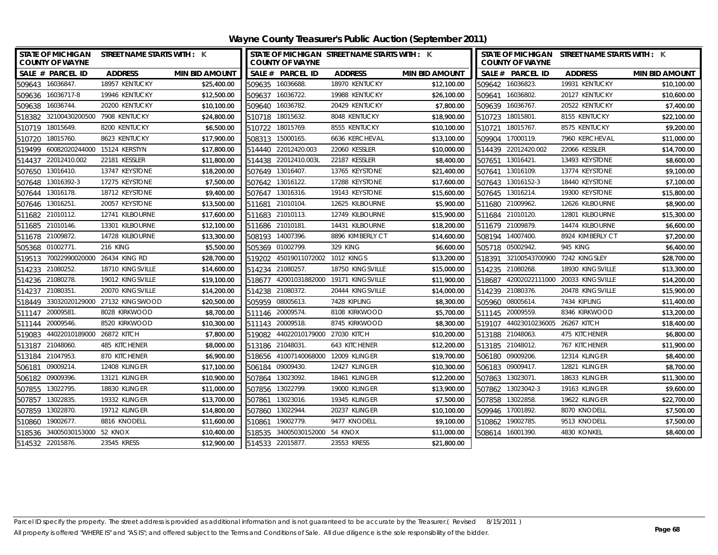| STATE OF MICHIGAN STREET NAME STARTS WITH : K<br><b>COUNTY OF WAYNE</b> |                  |                       | STATE OF MICHIGAN STREET NAME STARTS WITH : K<br><b>COUNTY OF WAYNE</b> |                                  |                                 |                       |        | <b>COUNTY OF WAYNE</b>              | STATE OF MICHIGAN STREET NAME STARTS WITH : K |                       |
|-------------------------------------------------------------------------|------------------|-----------------------|-------------------------------------------------------------------------|----------------------------------|---------------------------------|-----------------------|--------|-------------------------------------|-----------------------------------------------|-----------------------|
| SALE # PARCEL ID                                                        | <b>ADDRESS</b>   | <b>MIN BID AMOUNT</b> | SALE # PARCEL ID                                                        |                                  | <b>ADDRESS</b>                  | <b>MIN BID AMOUNT</b> |        | SALE # PARCEL ID                    | <b>ADDRESS</b>                                | <b>MIN BID AMOUNT</b> |
| 509643 16036847.                                                        | 18957 KENTUCKY   | \$25,400.00           | 509635 16036688.                                                        |                                  | 18970 KENTUCKY                  | \$12,100.00           |        | 509642 16036823.                    | 19931 KENTUCKY                                | \$10,100.00           |
| 509636 16036717-8                                                       | 19946 KENTUCKY   | \$12,500.00           | 509637 16036722.                                                        |                                  | 19988 KENTUCKY                  | \$26,100.00           |        | 509641 16036802.                    | 20127 KENTUCKY                                | \$10,600.00           |
| 509638 16036744.                                                        | 20200 KENTUCKY   | \$10,100.00           | 509640 16036782.                                                        |                                  | 20429 KENTUCKY                  | \$7,800.00            |        | 509639 16036767.                    | 20522 KENTUCKY                                | \$7,400.00            |
| 518382 32100430200500 7908 KENTUCKY                                     |                  | \$24,800.00           | 510718                                                                  | 18015632.                        | 8048 KENTUCKY                   | \$18,900.00           |        | 510723 18015801.                    | 8155 KENTUCKY                                 | \$22,100.00           |
| 510719 18015649.                                                        | 8200 KENTUCKY    | \$6,500.00            | 510722 18015769.                                                        |                                  | 8555 KENTUCKY                   | \$10,100.00           |        | 510721 18015767.                    | 8575 KENTUCKY                                 | \$9,200.00            |
| 510720 18015760.                                                        | 8623 KENTUCKY    | \$17,900.00           | 508313 15000165.                                                        |                                  | 6636 KERCHEVAL                  | \$13,100.00           |        | 509904 17000119.                    | 7960 KERCHEVAL                                | \$11,000.00           |
| 519499 60082020244000 15124 KERSTYN                                     |                  | \$17,800.00           | 514440 22012420.003                                                     |                                  | 22060 KESSLER                   | \$10,000.00           |        | 514439 22012420.002                 | 22066 KESSLER                                 | \$14,700.00           |
| 514437 22012410.002                                                     | 22181 KESSLER    | \$11,800.00           | 514438 22012410.003L                                                    |                                  | 22187 KESSLER                   | \$8,400.00            |        | 507651 13016421.                    | 13493 KEYSTONE                                | \$8,600.00            |
| 507650 13016410.                                                        | 13747 KEYSTONE   | \$18,200.00           | 507649 13016407.                                                        |                                  | 13765 KEYSTONE                  | \$21,400.00           |        | 507641 13016109.                    | 13774 KEYSTONE                                | \$9,100.00            |
| 507648 13016392-3                                                       | 17275 KEYSTONE   | \$7,500.00            | 507642 13016122.                                                        |                                  | 17288 KEYSTONE                  | \$17,600.00           |        | 507643 13016152-3                   | 18440 KEYSTONE                                | \$7,100.00            |
| 507644 13016178.                                                        | 18712 KEYSTONE   | \$9,400.00            | 507647 13016316.                                                        |                                  | 19143 KEYSTONE                  | \$15,600.00           |        | 507645 13016214.                    | 19300 KEYSTONE                                | \$15,800.00           |
| 507646 13016251.                                                        | 20057 KEYSTONE   | \$13,500.00           | 511681 21010104.                                                        |                                  | 12625 KILBOURNE                 | \$5,900.00            |        | 511680 21009962.                    | 12626 KILBOURNE                               | \$8,900.00            |
| 511682 21010112.                                                        | 12741 KILBOURNE  | \$17,600.00           | 511683 21010113.                                                        |                                  | 12749 KILBOURNE                 | \$15,900.00           |        | 511684 21010120.                    | 12801 KILBOURNE                               | \$15,300.00           |
| 511685 21010146.                                                        | 13301 KILBOURNE  | \$12,100.00           | 511686 21010181.                                                        |                                  | 14431 KILBOURNE                 | \$18,200.00           |        | 511679 21009879.                    | 14474 KILBOURNE                               | \$6,600.00            |
| 511678 21009872.                                                        | 14728 KILBOURNE  | \$13,300.00           | 508193 14007396.                                                        |                                  | 8896 KIMBERLY CT                | \$14,600.00           |        | 508194 14007400.                    | 8924 KIMBERLY CT                              | \$7,200.00            |
| 505368 01002771.                                                        | <b>216 KING</b>  | \$5,500.00            | 505369 01002799.                                                        |                                  | <b>329 KING</b>                 | \$6,600.00            |        | 505718 05002942.                    | <b>945 KING</b>                               | \$6,400.00            |
| 519513 70022990020000 26434 KING RD                                     |                  | \$28,700.00           |                                                                         | 519202 45019011072002 1012 KINGS |                                 | \$13,200.00           |        | 518391 32100543700900 7242 KINGSLEY |                                               | \$28,700.00           |
| 514233 21080252.                                                        | 18710 KINGSVILLE | \$14,600.00           | 514234                                                                  | 21080257.                        | 18750 KINGSVILLE                | \$15,000.00           |        | 514235 21080268.                    | 18930 KINGSVILLE                              | \$13,300.00           |
| 514236 21080278.                                                        | 19012 KINGSVILLE | \$19,100.00           | 518677                                                                  |                                  | 42001031882000 19171 KINGSVILLE | \$11,900.00           |        |                                     | 518687 42002022111000 20033 KINGSVILLE        | \$14,200.00           |
| 514237 21080351.                                                        | 20070 KINGSVILLE | \$14,200.00           | 514238 21080372.                                                        |                                  | 20444 KINGSVILLE                | \$14,000.00           |        | 514239 21080376.                    | 20478 KINGSVILLE                              | \$15,900.00           |
| 518449 33032020129000 27132 KINGSWOOD                                   |                  | \$20,500.00           | 505959 08005613.                                                        |                                  | 7428 KIPLING                    | \$8,300.00            |        | 505960 08005614.                    | 7434 KIPLING                                  | \$11,400.00           |
| 20009581.<br>511147                                                     | 8028 KIRKWOOD    | \$8,700.00            | 511146 20009574.                                                        |                                  | 8108 KIRKWOOD                   | \$5,700.00            |        | 511145 20009559.                    | 8346 KIRKWOOD                                 | \$13,200.00           |
| 20009546.<br>511144                                                     | 8520 KIRKWOOD    | \$10,300.00           | 511143 20009518.                                                        |                                  | 8745 KIRKWOOD                   | \$8,300.00            | 519107 | 44023010236005 26267 KITCH          |                                               | \$18,400.00           |
| 44022010189000 26872 KITCH<br>519083                                    |                  | \$7,800.00            | 519082                                                                  | 44022010179000 27030 KITCH       |                                 | \$10,200.00           |        | 513188 21048063.                    | 475 KITCHENER                                 | \$6,800.00            |
| 513187 21048060.                                                        | 485 KITCHENER    | \$8,000.00            | 513186 21048031.                                                        |                                  | 643 KITCHENER                   | \$12,200.00           |        | 513185 21048012.                    | 767 KITCHENER                                 | \$11,900.00           |
| 513184 21047953.                                                        | 870 KITCHENER    | \$6,900.00            | 518656                                                                  |                                  | 41007140068000 12009 KLINGER    | \$19,700.00           |        | 506180 09009206.                    | 12314 KLINGER                                 | \$8,400.00            |
| 09009214.<br>506181                                                     | 12408 KLINGER    | \$17,100.00           | 506184                                                                  | 09009430.                        | 12427 KLINGER                   | \$10,300.00           |        | 506183 09009417.                    | 12821 KLINGER                                 | \$8,700.00            |
| 506182 09009396.                                                        | 13121 KLINGER    | \$10,900.00           | 507864                                                                  | 13023092.                        | 18461 KLINGER                   | \$12,200.00           |        | 507863 13023071.                    | 18633 KLINGER                                 | \$11,300.00           |
| 507855 13022795.                                                        | 18830 KLINGER    | \$11,000.00           | 507856 13022799.                                                        |                                  | 19000 KLINGER                   | \$13,900.00           |        | 507862 13023042-3                   | 19163 KLINGER                                 | \$9,600.00            |
| 507857 13022835.                                                        | 19332 KLINGER    | \$13,700.00           | 507861                                                                  | 13023016.                        | 19345 KLINGER                   | \$7,500.00            |        | 507858 13022858.                    | 19622 KLINGER                                 | \$22,700.00           |
| 507859 13022870.                                                        | 19712 KLINGER    | \$14,800.00           | 507860                                                                  | 13022944.                        | 20237 KLINGER                   | \$10,100.00           |        | 509946 17001892.                    | 8070 KNODELL                                  | \$7,500.00            |
| 510860 19002677.                                                        | 8816 KNODELL     | \$11,600.00           | 510861                                                                  | 19002779.                        | 9477 KNODELL                    | \$9,100.00            |        | 510862 19002785                     | 9513 KNODELL                                  | \$7,500.00            |
| 518536 34005030153000 52 KNOX                                           |                  | \$10,400.00           | 518535                                                                  | 34005030152000 54 KNOX           |                                 | \$11,000.00           |        | 508614 16001390.                    | 4830 KONKEL                                   | \$8,400.00            |
| 514532 22015876.                                                        | 23545 KRESS      | \$12,900.00           | 514533 22015877.                                                        |                                  | 23553 KRESS                     | \$21,800.00           |        |                                     |                                               |                       |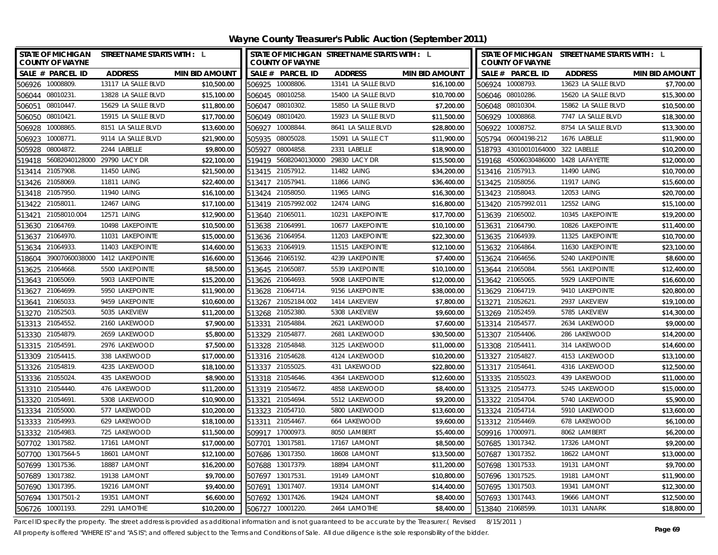| STATE OF MICHIGAN STREET NAME STARTS WITH : L<br><b>COUNTY OF WAYNE</b> |                                |                       |        | <b>COUNTY OF WAYNE</b>              | STATE OF MICHIGAN STREET NAME STARTS WITH : L |                       |        | <b>COUNTY OF WAYNE</b>               | STATE OF MICHIGAN STREET NAME STARTS WITH : L |                       |
|-------------------------------------------------------------------------|--------------------------------|-----------------------|--------|-------------------------------------|-----------------------------------------------|-----------------------|--------|--------------------------------------|-----------------------------------------------|-----------------------|
| SALE # PARCEL ID                                                        | <b>ADDRESS</b>                 | <b>MIN BID AMOUNT</b> |        | SALE # PARCEL ID                    | <b>ADDRESS</b>                                | <b>MIN BID AMOUNT</b> |        | SALE # PARCEL ID                     | <b>ADDRESS</b>                                | <b>MIN BID AMOUNT</b> |
| 506926 10008809.                                                        | 13117 LA SALLE BLVD            | \$10,500.00           |        | 506925 10008806                     | 13141 LA SALLE BLVD                           | \$16,100.00           |        | 506924 10008793.                     | 13623 LA SALLE BLVD                           | \$7,700.00            |
| 506044 08010231.                                                        | 13828 LA SALLE BLVD            | \$15,100.00           |        | 506045 08010258.                    | 15400 LA SALLE BLVD                           | \$10,700.00           |        | 506046 08010286.                     | 15620 LA SALLE BLVD                           | \$15,300.00           |
| 506051 08010447.                                                        | 15629 LA SALLE BLVD            | \$11,800.00           |        | 506047 08010302.                    | 15850 LA SALLE BLVD                           | \$7,200.00            |        | 506048 08010304.                     | 15862 LA SALLE BLVD                           | \$10,500.00           |
| 506050 08010421.                                                        | 15915 LA SALLE BLVD            | \$17,700.00           |        | 506049 08010420.                    | 15923 LA SALLE BLVD                           | \$11,500.00           |        | 506929 10008868.                     | 7747 LA SALLE BLVD                            | \$18,300.00           |
| 506928 10008865                                                         | 8151 LA SALLE BLVD             | \$13,600.00           |        | 506927 10008844.                    | 8641 LA SALLE BLVD                            | \$28,800.00           |        | 506922 10008752.                     | 8754 LA SALLE BLVD                            | \$13,300.00           |
| 506923<br>10008771.                                                     | 9114 LA SALLE BLVD             | \$21,900.00           | 505935 | 08005028                            | 15091 LA SALLE CT                             | \$11,900.00           |        | 505794 06004198-212                  | 1676 LABELLE                                  | \$11,900.00           |
| 505928<br>08004872.                                                     | 2244 LABELLE                   | \$9,800.00            | 505927 | 08004858                            | 2331 LABELLE                                  | \$18,900.00           |        | 518793 43010010164000 322 LABELLE    |                                               | \$10,200.00           |
| 519418 56082040128000 29790 LACY DR                                     |                                | \$22,100.00           |        | 519419 56082040130000 29830 LACY DR |                                               | \$15,500.00           |        | 519168 45006030486000 1428 LAFAYETTE |                                               | \$12,000.00           |
| 21057908<br>513414                                                      | 11450 LAING                    | \$21,500.00           |        | 513415 21057912.                    | <b>11482 LAING</b>                            | \$34,200.00           |        | 513416 21057913.                     | 11490 LAING                                   | \$10,700.00           |
| 513426 21058069                                                         | 11811 LAING                    | \$22,400.00           |        | 513417 21057941.                    | 11866 LAING                                   | \$36,400.00           |        | 513425 21058056.                     | <b>11917 LAING</b>                            | \$15,600.00           |
| 513418 21057950.                                                        | 11940 LAING                    | \$16,100.00           |        | 513424 21058050.                    | 11965 LAING                                   | \$16,300.00           |        | 513423 21058043.                     | 12053 LAING                                   | \$20,700.00           |
| 513422 21058011.                                                        | 12467 LAING                    | \$17,100.00           |        | 513419 21057992.002                 | 12474 LAING                                   | \$16,800.00           |        | 513420 21057992.011                  | 12552 LAING                                   | \$15,100.00           |
| 21058010.004<br>513421                                                  | 12571 LAING                    | \$12,900.00           |        | 513640 21065011                     | 10231 LAKEPOINTE                              | \$17,700.00           |        | 513639 21065002.                     | 10345 LAKEPOINTE                              | \$19,200.00           |
| 21064769<br>513630                                                      | 10498 LAKEPOINTE               | \$10,500.00           | 513638 | 21064991.                           | 10677 LAKEPOINTE                              | \$10,100.00           | 513631 | 21064790.                            | 10826 LAKEPOINTE                              | \$11,400.00           |
| 513637 21064970.                                                        | 11031 LAKEPOINTE               | \$15,000.00           |        | 513636 21064954.                    | 11203 LAKEPOINTE                              | \$22,300.00           |        | 513635 21064939.                     | 11325 LAKEPOINTE                              | \$10,700.00           |
| 21064933<br>513634                                                      | 11403 LAKEPOINTE               | \$14,600.00           |        | 513633 21064919.                    | 11515 LAKEPOINTE                              | \$12,100.00           |        | 513632 21064864.                     | 11630 LAKEPOINTE                              | \$23,100.00           |
| 518604                                                                  | 39007060038000 1412 LAKEPOINTE | \$16,600.00           |        | 513646 21065192.                    | 4239 LAKEPOINTE                               | \$7,400.00            |        | 513624 21064656.                     | 5240 LAKEPOINTE                               | \$8,600.00            |
| 21064668<br>513625                                                      | 5500 LAKEPOINTE                | \$8,500.00            |        | 513645 21065087.                    | 5539 LAKEPOINTE                               | \$10,100.00           |        | 513644 21065084.                     | 5561 LAKEPOINTE                               | \$12,400.00           |
| 513643 21065069.                                                        | 5903 LAKEPOINTE                | \$15,200.00           |        | 513626 21064693.                    | 5908 LAKEPOINTE                               | \$12,000.00           |        | 513642 21065065.                     | 5929 LAKEPOINTE                               | \$16,600.00           |
| 21064699<br>513627                                                      | 5950 LAKEPOINTE                | \$11,900.00           | 513628 | 21064714                            | 9156 LAKEPOINTE                               | \$38,000.00           |        | 513629 21064719.                     | 9410 LAKEPOINTE                               | \$20,800.00           |
| 21065033<br>513641                                                      | 9459 LAKEPOINTE                | \$10,600.00           | 513267 | 21052184.002                        | 1414 LAKEVIEW                                 | \$7,800.00            | 513271 | 21052621.                            | 2937 LAKEVIEW                                 | \$19,100.00           |
| 513270 21052503                                                         | 5035 LAKEVIEW                  | \$11,200.00           |        | 513268 21052380.                    | 5308 LAKEVIEW                                 | \$9,600.00            |        | 513269 21052459.                     | 5785 LAKEVIEW                                 | \$14,300.00           |
| 513313 21054552.                                                        | 2160 LAKEWOOD                  | \$7,900.00            |        | 513331 21054884.                    | 2621 LAKEWOOD                                 | \$7,600.00            |        | 513314 21054577.                     | 2634 LAKEWOOD                                 | \$9,000.00            |
| 513330 21054879.                                                        | 2659 LAKEWOOD                  | \$5,800.00            |        | 513329 21054877.                    | 2681 LAKEWOOD                                 | \$30,500.00           |        | 513307 21054406.                     | 286 LAKEWOOD                                  | \$14,200.00           |
| 513315 21054591.                                                        | 2976 LAKEWOOD                  | \$7,500.00            |        | 513328 21054848.                    | 3125 LAKEWOOD                                 | \$11,000.00           |        | 513308 21054411.                     | 314 LAKEWOOD                                  | \$14,600.00           |
| 513309 21054415                                                         | 338 LAKEWOOD                   | \$17,000.00           |        | 513316 21054628                     | 4124 LAKEWOOD                                 | \$10,200.00           |        | 513327 21054827.                     | 4153 LAKEWOOD                                 | \$13,100.00           |
| 513326 21054819                                                         | 4235 LAKEWOOD                  | \$18,100.00           |        | 513337 21055025                     | 431 LAKEWOOD                                  | \$22,800.00           |        | 513317 21054641.                     | 4316 LAKEWOOD                                 | \$12,500.00           |
| 513336 21055024                                                         | 435 LAKEWOOD                   | \$8,900.00            |        | 513318 21054646.                    | 4364 LAKEWOOD                                 | \$12,600.00           |        | 513335 21055023.                     | 439 LAKEWOOD                                  | \$11,000.00           |
| 513310 21054440.                                                        | 476 LAKEWOOD                   | \$11,200.00           |        | 513319 21054672.                    | 4858 LAKEWOOD                                 | \$8,400.00            |        | 513325 21054773.                     | 5245 LAKEWOOD                                 | \$15,000.00           |
| 513320 21054691.                                                        | 5308 LAKEWOOD                  | \$10,900.00           |        | 513321 21054694                     | 5512 LAKEWOOD                                 | \$9,200.00            |        | 513322 21054704.                     | 5740 LAKEWOOD                                 | \$5,900.00            |
| 513334 21055000                                                         | 577 LAKEWOOD                   | \$10,200.00           |        | 513323 21054710                     | 5800 LAKEWOOD                                 | \$13,600.00           |        | 513324 21054714.                     | 5910 LAKEWOOD                                 | \$13,600.00           |
| 513333 21054993.                                                        | 629 LAKEWOOD                   | \$18,100.00           |        | 513311 21054467                     | 664 LAKEWOOD                                  | \$9,600.00            |        | 513312 21054469.                     | 678 LAKEWOOD                                  | \$6,100.00            |
| 513332 21054983.                                                        | 725 LAKEWOOD                   | \$11,500.00           |        | 509917 17000973.                    | 8050 LAMBERT                                  | \$5,400.00            |        | 509916 17000971.                     | 8062 LAMBERT                                  | \$6,200.00            |
| 507702 13017582                                                         | 17161 LAMONT                   | \$17,000.00           |        | 507701 13017581                     | 17167 LAMONT                                  | \$8,500.00            |        | 507685 13017342.                     | 17326 LAMONT                                  | \$9,200.00            |
| 507700 13017564-5                                                       | 18601 LAMONT                   | \$12,100.00           |        | 507686 13017350                     | 18608 LAMONT                                  | \$13,500.00           |        | 507687 13017352.                     | 18622 LAMONT                                  | \$13,000.00           |
| 13017536<br>507699                                                      | 18887 LAMONT                   | \$16,200.00           |        | 507688 13017379.                    | 18894 LAMONT                                  | \$11,200.00           |        | 507698 13017533.                     | 19131 LAMONT                                  | \$9,700.00            |
| 13017382.<br>507689                                                     | 19138 LAMONT                   | \$9,700.00            | 507697 | 13017531.                           | 19149 LAMONT                                  | \$10,800.00           |        | 507696 13017525.                     | 19181 LAMONT                                  | \$11,900.00           |
| 13017395<br>507690                                                      | 19216 LAMONT                   | \$9,400.00            | 507691 | 13017407                            | 19314 LAMONT                                  | \$14,400.00           |        | 507695 13017503.                     | 19341 LAMONT                                  | \$12,300.00           |
| 507694 13017501-2                                                       | 19351 LAMONT                   | \$6,600.00            |        | 507692 13017426.                    | 19424 LAMONT                                  | \$8,400.00            |        | 507693 13017443.                     | 19666 LAMONT                                  | \$12,500.00           |
| 506726 10001193.                                                        | 2291 LAMOTHE                   | \$10,200.00           |        | 506727 10001220.                    | 2464 LAMOTHE                                  | \$8,400.00            |        | 513840 21068599.                     | 10131 LANARK                                  | \$18,800.00           |

Parcel ID specify the property. The street address is provided as additional information and is not guaranteed to be accurate by the Treasurer.( Revised 8/15/2011 )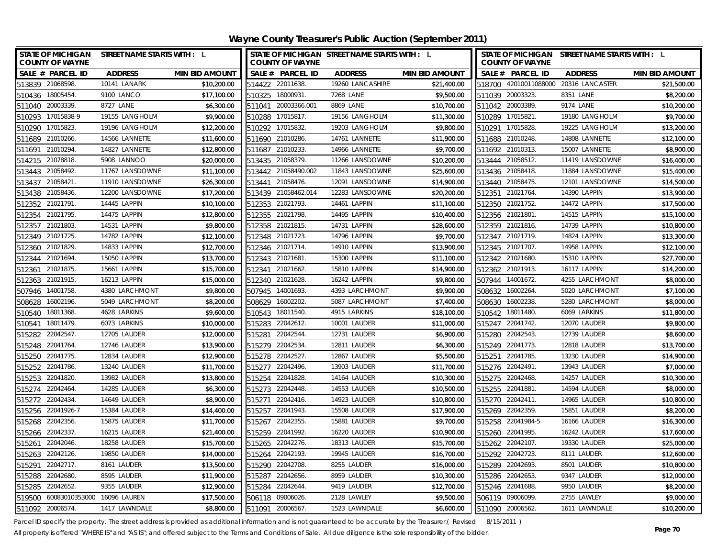| STATE OF MICHIGAN STREET NAME STARTS WITH : L<br><b>COUNTY OF WAYNE</b> |                 |                       |                  | <b>COUNTY OF WAYNE</b> | STATE OF MICHIGAN STREET NAME STARTS WITH : L |                       |                  | <b>COUNTY OF WAYNE</b> | STATE OF MICHIGAN STREET NAME STARTS WITH : L |                       |
|-------------------------------------------------------------------------|-----------------|-----------------------|------------------|------------------------|-----------------------------------------------|-----------------------|------------------|------------------------|-----------------------------------------------|-----------------------|
| SALE # PARCEL ID                                                        | <b>ADDRESS</b>  | <b>MIN BID AMOUNT</b> |                  | SALE # PARCEL ID       | <b>ADDRESS</b>                                | <b>MIN BID AMOUNT</b> |                  | SALE # PARCEL ID       | <b>ADDRESS</b>                                | <b>MIN BID AMOUNT</b> |
| 513839 21068598                                                         | 10141 LANARK    | \$10,200.00           | 514422 22011638. |                        | 19260 LANCASHIRE                              | \$21,400.00           |                  |                        | 518700 42010011088000 20316 LANCASTER         | \$21,500.00           |
| 510436 18005454                                                         | 9100 LANCO      | \$17,100.00           | 510325 18000931. |                        | 7268 LANE                                     | \$9,500.00            | 511039 20003323. |                        | 8351 LANE                                     | \$8,200.00            |
| 511040 20003339.                                                        | 8727 LANE       | \$6,300.00            |                  | 511041 20003366.001    | 8869 LANE                                     | \$10,700.00           | 511042 20003389. |                        | 9174 LANE                                     | \$10,200.00           |
| 510293 17015838-9                                                       | 19155 LANGHOLM  | \$9,900.00            | 510288 17015817. |                        | 19156 LANGHOLM                                | \$11,300.00           | 510289 17015821. |                        | 19180 LANGHOLM                                | \$9,700.00            |
| 510290 17015823.                                                        | 19196 LANGHOLM  | \$12,200.00           | 510292 17015832  |                        | 19203 LANGHOLM                                | \$9,800.00            | 510291 17015828. |                        | 19225 LANGHOLM                                | \$13,200.00           |
| 511689 21010266.                                                        | 14566 LANNETTE  | \$11,600.00           | 511690 21010286. |                        | 14761 LANNETTE                                | \$11,900.00           | 511688 21010248. |                        | 14808 LANNETTE                                | \$12,100.00           |
| 511691 21010294                                                         | 14827 LANNETTE  | \$12,800.00           | 511687 21010233  |                        | 14966 LANNETTE                                | \$9,700.00            | 511692 21010313. |                        | 15007 LANNETTE                                | \$8,900.00            |
| 514215 21078818.                                                        | 5908 LANNOO     | \$20,000.00           | 513435 21058379. |                        | 11266 LANSDOWNE                               | \$10,200.00           | 513444 21058512. |                        | 11419 LANSDOWNE                               | \$16,400.00           |
| 513443 21058492.                                                        | 11767 LANSDOWNE | \$11,100.00           |                  | 513442 21058490.002    | 11843 LANSDOWNE                               | \$25,600.00           | 513436 21058418. |                        | 11884 LANSDOWNE                               | \$15,400.00           |
| 21058421.<br>513437                                                     | 11910 LANSDOWNE | \$26,300.00           | 513441 21058476. |                        | 12091 LANSDOWNE                               | \$14,900.00           | 513440 21058475. |                        | 12101 LANSDOWNE                               | \$14,500.00           |
| 513438 21058436                                                         | 12200 LANSDOWNE | \$17,200.00           |                  | 513439 21058462.014    | 12283 LANSDOWNE                               | \$20,200.00           | 512351 21021764. |                        | 14390 LAPPIN                                  | \$13,900.00           |
| 512352 21021791.                                                        | 14445 LAPPIN    | \$10,100.00           | 512353 21021793. |                        | 14461 LAPPIN                                  | \$11,100.00           |                  | 512350 21021752.       | 14472 LAPPIN                                  | \$17,500.00           |
| 21021795<br>512354                                                      | 14475 LAPPIN    | \$12,800.00           | 512355 21021798. |                        | 14495 LAPPIN                                  | \$10,400.00           | 512356 21021801. |                        | 14515 LAPPIN                                  | \$15,100.00           |
| 21021803<br>512357                                                      | 14531 LAPPIN    | \$9,800.00            | 512358 21021815. |                        | 14731 LAPPIN                                  | \$28,600.00           |                  | 512359 21021816.       | 14739 LAPPIN                                  | \$10,800.00           |
| 512349 21021725.                                                        | 14782 LAPPIN    | \$12,100.00           | 512348 21021723. |                        | 14796 LAPPIN                                  | \$9,700.00            | 512347 21021719. |                        | 14824 LAPPIN                                  | \$13,300.00           |
| 512360 21021829.                                                        | 14833 LAPPIN    | \$12,700.00           | 512346 21021714. |                        | 14910 LAPPIN                                  | \$13,900.00           |                  | 512345 21021707.       | 14958 LAPPIN                                  | \$12,100.00           |
| 21021694<br>512344                                                      | 15050 LAPPIN    | \$13,700.00           | 512343 21021681  |                        | 15300 LAPPIN                                  | \$11,100.00           | 512342 21021680. |                        | 15310 LAPPIN                                  | \$27,700.00           |
| 21021875<br>512361                                                      | 15661 LAPPIN    | \$15,700.00           | 512341           | 21021662.              | 15810 LAPPIN                                  | \$14,900.00           |                  | 512362 21021913.       | 16117 LAPPIN                                  | \$14,200.00           |
| 512363 21021915.                                                        | 16213 LAPPIN    | \$15,000.00           | 512340 21021628. |                        | 16242 LAPPIN                                  | \$9,800.00            |                  | 507944 14001672.       | 4255 LARCHMONT                                | \$8,000.00            |
| 14001758<br>507946                                                      | 4380 LARCHMONT  | \$9,800.00            | 507945           | 14001693               | 4393 LARCHMONT                                | \$9,900.00            | 508632 16002264  |                        | 5020 LARCHMONT                                | \$7,100.00            |
| 16002196.<br>508628                                                     | 5049 LARCHMONT  | \$8,200.00            | 508629           | 16002202               | 5087 LARCHMONT                                | \$7,400.00            | 508630           | 16002238.              | 5280 LARCHMONT                                | \$8,000.00            |
| 18011368<br>510540                                                      | 4628 LARKINS    | \$9,600.00            | 510543           | 18011540.              | 4915 LARKINS                                  | \$18,100.00           | 510542           | 18011480.              | 6069 LARKINS                                  | \$11,800.00           |
| 18011479.<br>510541                                                     | 6073 LARKINS    | \$10,000.00           | 515283 22042612. |                        | 10001 LAUDER                                  | \$11,000.00           | 515247 22041742. |                        | 12070 LAUDER                                  | \$9,800.00            |
| 22042547<br>515282                                                      | 12705 LAUDER    | \$12,000.00           | 515281           | 22042544.              | 12731 LAUDER                                  | \$6,900.00            | 515280 22042543. |                        | 12739 LAUDER                                  | \$8,600.00            |
| 515248 22041764.                                                        | 12746 LAUDER    | \$13,900.00           | 515279 22042534. |                        | 12811 LAUDER                                  | \$6,300.00            | 515249 22041773. |                        | 12818 LAUDER                                  | \$13,700.00           |
| 515250 22041775                                                         | 12834 LAUDER    | \$12,900.00           | 515278 22042527  |                        | 12867 LAUDER                                  | \$5,500.00            | 515251 22041785. |                        | 13230 LAUDER                                  | \$14,900.00           |
| 515252 22041786.                                                        | 13240 LAUDER    | \$11,700.00           | 515277 22042496. |                        | 13903 LAUDER                                  | \$11,700.00           | 515276 22042491. |                        | 13943 LAUDER                                  | \$7,000.00            |
| 515253 22041820                                                         | 13982 LAUDER    | \$13,800.00           | 515254 22041828  |                        | 14164 LAUDER                                  | \$10,300.00           | 515275 22042468. |                        | 14257 LAUDER                                  | \$10,300.00           |
| 515274<br>22042464                                                      | 14285 LAUDER    | \$6,300.00            | 515273 22042448. |                        | 14553 LAUDER                                  | \$10,500.00           | 515255 22041881. |                        | 14594 LAUDER                                  | \$8,000.00            |
| 515272 22042434.                                                        | 14649 LAUDER    | \$8,900.00            | 515271 22042416. |                        | 14923 LAUDER                                  | \$10,800.00           | 515270 22042411. |                        | 14965 LAUDER                                  | \$10,800.00           |
| 515256 22041926-7                                                       | 15384 LAUDER    | \$14,400.00           | 515257 22041943. |                        | 15508 LAUDER                                  | \$17,900.00           | 515269 22042359. |                        | 15851 LAUDER                                  | \$8,200.00            |
| 515268 22042356.                                                        | 15875 LAUDER    | \$11,700.00           | 515267 22042355  |                        | 15881 LAUDER                                  | \$9,700.00            |                  | 515258 22041984-5      | 16166 LAUDER                                  | \$16,300.00           |
| 515266 22042337.                                                        | 16215 LAUDER    | \$21,400.00           | 515259 22041992  |                        | 16220 LAUDER                                  | \$10,900.00           | 515260 22041995. |                        | 16242 LAUDER                                  | \$17,600.00           |
| 515261 22042046.                                                        | 18258 LAUDER    | \$15,700.00           | 515265 22042276. |                        | 18313 LAUDER                                  | \$15,700.00           | 515262 22042107. |                        | 19330 LAUDER                                  | \$25,000.00           |
| 515263 22042126.                                                        | 19850 LAUDER    | \$14,000.00           | 515264 22042193  |                        | 19945 LAUDER                                  | \$16,700.00           | 515292 22042723. |                        | 8111 LAUDER                                   | \$12,600.00           |
| 22042717.<br>515291                                                     | 8161 LAUDER     | \$13,500.00           | 515290 22042708  |                        | 8255 LAUDER                                   | \$16,000.00           | 515289 22042693. |                        | 8501 LAUDER                                   | \$10,800.00           |
| 22042680.<br>515288                                                     | 8595 LAUDER     | \$11,900.00           | 515287           | 22042656.              | 8959 LAUDER                                   | \$10,300.00           | 515286 22042653. |                        | 9347 LAUDER                                   | \$12,000.00           |
| 22042652.<br>515285                                                     | 9355 LAUDER     | \$12,900.00           | 515284 22042644. |                        | 9419 LAUDER                                   | \$12,700.00           |                  | 515246 22041688.       | 9950 LAUDER                                   | \$8,200.00            |
| 519500 60083010353000 16096 LAUREN                                      |                 | \$17,500.00           | 506118 09006026. |                        | 2128 LAWLEY                                   | \$9,500.00            | 506119 09006099. |                        | 2755 LAWLEY                                   | \$9,000.00            |
| 511092 20006574                                                         | 1417 LAWNDALE   | \$8,800.00            | 511091 20006567  |                        | 1523 LAWNDALE                                 | \$6,600.00            | 511090 20006562. |                        | 1611 LAWNDALE                                 | \$10,200.00           |

Parcel ID specify the property. The street address is provided as additional information and is not guaranteed to be accurate by the Treasurer.( Revised 8/15/2011 )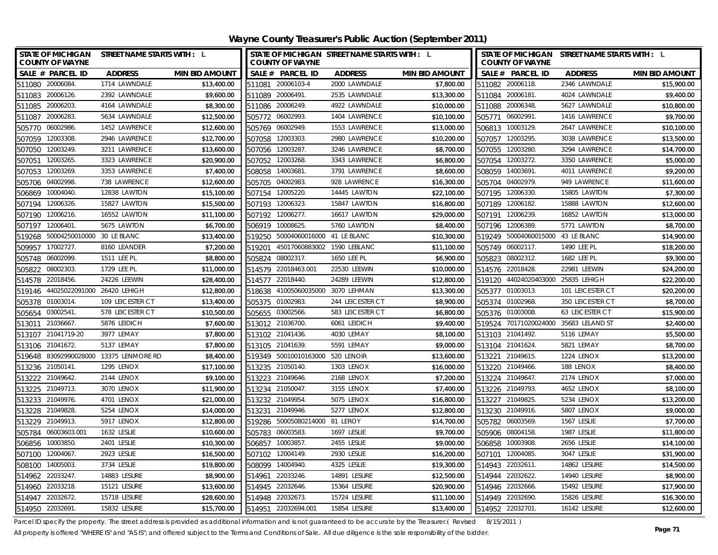| STATE OF MICHIGAN STREET NAME STARTS WITH : L<br><b>COUNTY OF WAYNE</b> |                   |                       | <b>COUNTY OF WAYNE</b>            | STATE OF MICHIGAN STREET NAME STARTS WITH : L |                       | STATE OF MICHIGAN STREET NAME STARTS WITH : L<br><b>COUNTY OF WAYNE</b> |                        |                       |  |  |
|-------------------------------------------------------------------------|-------------------|-----------------------|-----------------------------------|-----------------------------------------------|-----------------------|-------------------------------------------------------------------------|------------------------|-----------------------|--|--|
| SALE # PARCEL ID                                                        | <b>ADDRESS</b>    | <b>MIN BID AMOUNT</b> | SALE # PARCEL ID                  | <b>ADDRESS</b>                                | <b>MIN BID AMOUNT</b> | SALE # PARCEL ID                                                        | <b>ADDRESS</b>         | <b>MIN BID AMOUNT</b> |  |  |
| 511080 20006084                                                         | 1714 LAWNDALE     | \$13,400.00           | 511081 20006103-4                 | 2000 LAWNDALE                                 | \$7,800.00            | 511082 20006118.                                                        | 2346 LAWNDALE          | \$15,900.00           |  |  |
| 511083 20006126.                                                        | 2392 LAWNDALE     | \$9,600.00            | 511089 20006491.                  | 2535 LAWNDALE                                 | \$13,300.00           | 511084 20006181.                                                        | 4024 LAWNDALE          | \$9,400.00            |  |  |
| 511085 20006203.                                                        | 4164 LAWNDALE     | \$8,300.00            | 511086 20006249.                  | 4922 LAWNDALE                                 | \$10,000.00           | 511088 20006348.                                                        | 5627 LAWNDALE          | \$10,800.00           |  |  |
| 511087 20006283.                                                        | 5634 LAWNDALE     | \$12,500.00           | 505772 06002993                   | 1404 LAWRENCE                                 | \$10,100.00           | 505771 06002991.                                                        | 1416 LAWRENCE          | \$9,700.00            |  |  |
| 505770 06002986.                                                        | 1452 LAWRENCE     | \$12,600.00           | 505769 06002949.                  | 1553 LAWRENCE                                 | \$13,000.00           | 506813 10003129.                                                        | 2647 LAWRENCE          | \$10,100.00           |  |  |
| 12003308<br>507059                                                      | 2946 LAWRENCE     | \$12,700.00           | 507058 12003303                   | 2980 LAWRENCE                                 | \$10,200.00           | 507057 12003295.                                                        | 3038 LAWRENCE          | \$13,500.00           |  |  |
| 507050 12003249.                                                        | 3211 LAWRENCE     | \$13,600.00           | 507056 12003287                   | 3246 LAWRENCE                                 | \$8,700.00            | 507055 12003280.                                                        | 3294 LAWRENCE          | \$14,700.00           |  |  |
| 12003265<br>507051                                                      | 3323 LAWRENCE     | \$20,900.00           | 507052 12003268                   | 3343 LAWRENCE                                 | \$6,800.00            | 507054 12003272.                                                        | 3350 LAWRENCE          | \$5,000.00            |  |  |
| 12003269<br>507053                                                      | 3353 LAWRENCE     | \$7,400.00            | 14003681<br>508058                | 3791 LAWRENCE                                 | \$8,600.00            | 508059 14003691.                                                        | 4011 LAWRENCE          | \$9,200.00            |  |  |
| 04002998<br>505706                                                      | 738 LAWRENCE      | \$12,600.00           | 505705 04002983                   | 928 LAWRENCE                                  | \$16,300.00           | 505704 04002979.                                                        | 949 LAWRENCE           | \$11,600.00           |  |  |
| 10004040.<br>506869                                                     | 12838 LAWTON      | \$15,100.00           | 507154 12005220.                  | 14445 LAWTON                                  | \$22,100.00           | 507195 12006330.                                                        | 15805 LAWTON           | \$7,300.00            |  |  |
| 12006326.<br>507194                                                     | 15827 LAWTON      | \$15,500.00           | 507193 12006323.                  | 15847 LAWTON                                  | \$16,800.00           | 507189 12006182.                                                        | 15888 LAWTON           | \$12,600.00           |  |  |
| 12006216.<br>507190                                                     | 16552 LAWTON      | \$11,100.00           | 12006277<br>507192                | 16617 LAWTON                                  | \$29,000.00           | 507191 12006239.                                                        | 16852 LAWTON           | \$13,000.00           |  |  |
| 12006401.<br>507197                                                     | 5675 LAWTON       | \$6,700.00            | 10008625.<br>506919               | 5760 LAWTON                                   | \$8,400.00            | 12006389.<br>507196                                                     | 5771 LAWTON            | \$8,700.00            |  |  |
| 50004250010000 30 LE BLANC<br>519268                                    |                   | \$13,400.00           | 519250                            | 50004060016000 41 LE BLANC                    | \$10,300.00           | 519249 50004060015000 43 LE BLANC                                       |                        | \$14,900.00           |  |  |
| 17002727<br>509957                                                      | 8160 LEANDER      | \$7,200.00            | 45017060883002<br>519201          | 1590 LEBLANC                                  | \$11,100.00           | 505749 06002117.                                                        | 1490 LEE PL            | \$18,200.00           |  |  |
| 06002099<br>505748                                                      | 1511 LEE PL       | \$8,800.00            | 08002317.<br>505824               | 1650 LEE PL                                   | \$6,900.00            | 08002312.<br>505823                                                     | 1682 LEE PL            | \$9,300.00            |  |  |
| 08002303<br>505822                                                      | 1729 LEE PL       | \$11,000.00           | 514579 22018463.001               | 22530 LEEWIN                                  | \$10,000.00           | 514576 22018428.                                                        | 22981 LEEWIN           | \$24,200.00           |  |  |
| 514578 22018456.                                                        | 24226 LEEWIN      | \$28,400.00           | 514577 22018440.                  | 24289 LEEWIN                                  | \$12,800.00           | 519120 44024020403000 25835 LEHIGH                                      |                        | \$22,200.00           |  |  |
| 519146 44025022091000 26420 LEHIGH                                      |                   | \$12,800.00           | 518638 41005060035000 3070 LEHMAN |                                               | \$13,300.00           | 505377 01003013.                                                        | 101 LEICESTER CT       | \$20,200.00           |  |  |
| 01003014.<br>505378                                                     | 109 LEICESTER CT  | \$13,400.00           | 505375 01002983.                  | 244 LEICESTER CT                              | \$8,900.00            | 505374 01002968.                                                        | 350 LEICESTER CT       | \$8,700.00            |  |  |
| 03002541.<br>505654                                                     | 578 LEICESTER CT  | \$10,500.00           | 505655 03002566.                  | 583 LEICESTER CT                              | \$6,800.00            | 505376 01003008.                                                        | <b>63 LEICESTER CT</b> | \$15,900.00           |  |  |
| 513011 21036667.                                                        | 5876 LEIDICH      | \$7,600.00            | 513012 21036700.                  | 6061 LEIDICH                                  | \$9,400.00            | 519524 70171020024000 35683 LELAND ST                                   |                        | \$2,400.00            |  |  |
| 21041719-20<br>513107                                                   | 3977 LEMAY        | \$7,800.00            | 513102 21041436.                  | 4030 LEMAY                                    | \$8,100.00            | 513103 21041492.                                                        | 5116 LEMAY             | \$5,500.00            |  |  |
| 513106 21041672.                                                        | 5137 LEMAY        | \$7,800.00            | 513105 21041639.                  | 5591 LEMAY                                    | \$9,000.00            | 513104 21041624.                                                        | 5821 LEMAY             | \$8,700.00            |  |  |
| 519648 83092990028000 13375 LENMORE RD                                  |                   | \$8,400.00            | 519349 50010010163000 520 LENOIR  |                                               | \$13,600.00           | 513221 21049615.                                                        | 1224 LENOX             | \$13,200.00           |  |  |
| 513236 21050141.                                                        | <b>1295 LENOX</b> | \$17,100.00           | 513235 21050140.                  | 1303 LENOX                                    | \$16,000.00           | 513220 21049466.                                                        | 188 LENOX              | \$8,400.00            |  |  |
| 513222 21049642.                                                        | 2144 LENOX        | \$9,100.00            | 513223 21049646.                  | 2168 LENOX                                    | \$7,200.00            | 513224 21049647.                                                        | 2174 LENOX             | \$7,000.00            |  |  |
| 513225 21049713.                                                        | 3070 LENOX        | \$11,900.00           | 513234 21050047.                  | 3155 LENOX                                    | \$7,400.00            | 513226 21049793.                                                        | 4652 LENOX             | \$8,100.00            |  |  |
| 513233 21049976.                                                        | 4701 LENOX        | \$21,000.00           | 513232 21049954.                  | 5075 LENOX                                    | \$16,800.00           | 513227 21049825.                                                        | 5234 LENOX             | \$13,200.00           |  |  |
| 513228 21049828                                                         | 5254 LENOX        | \$14,000.00           | 513231 21049946.                  | 5277 LENOX                                    | \$12,800.00           | 513230 21049916.                                                        | <b>5807 LENOX</b>      | \$9,000.00            |  |  |
| 513229 21049913.                                                        | <b>5917 LENOX</b> | \$12,800.00           | 519286                            | 50005080214000 81 LEROY                       | \$14,700.00           | 505782 06003569.                                                        | 1567 LESLIE            | \$7,700.00            |  |  |
| 505784 06003603.001                                                     | 1632 LESLIE       | \$10,600.00           | 505783<br>06003583                | 1697 LESLIE                                   | \$9,700.00            | 505906 08004158.                                                        | 1987 LESLIE            | \$11,800.00           |  |  |
| 10003850<br>506856                                                      | 2401 LESLIE       | \$10,300.00           | 10003857<br>506857                | 2455 LESLIE                                   | \$9,000.00            | 506858 10003908.                                                        | 2656 LESLIE            | \$14,100.00           |  |  |
| 507100 12004067.                                                        | 2923 LESLIE       | \$16,500.00           | 507102 12004149                   | 2930 LESLIE                                   | \$16,200.00           | 507101<br>12004085.                                                     | 3047 LESLIE            | \$31,900.00           |  |  |
| 14005003.<br>508100                                                     | 3734 LESLIE       | \$19,800.00           | 14004940.<br>508099               | 4325 LESLIE                                   | \$19,300.00           | 514943 22032611.                                                        | 14862 LESURE           | \$14,500.00           |  |  |
| 514962 22033247                                                         | 14883 LESURE      | \$8,900.00            | 514961 22033246.                  | 14891 LESURE                                  | \$12,500.00           | 514944 22032622.                                                        | 14940 LESURE           | \$8,900.00            |  |  |
| 514960 22033218.                                                        | 15121 LESURE      | \$13,600.00           | 514945 22032646.                  | 15364 LESURE                                  | \$20,900.00           | 514946 22032666.                                                        | 15492 LESURE           | \$17,900.00           |  |  |
| 514947 22032672.                                                        | 15718 LESURE      | \$28,600.00           | 514948 22032673.                  | 15724 LESURE                                  | \$11,100.00           | 514949 22032690.                                                        | 15826 LESURE           | \$16,300.00           |  |  |
| 514950 22032691.                                                        | 15832 LESURE      | \$15,700.00           | 514951 22032694.001               | 15854 LESURE                                  | \$13,400.00           | 514952 22032701.                                                        | 16142 LESURE           | \$12,600.00           |  |  |

Parcel ID specify the property. The street address is provided as additional information and is not guaranteed to be accurate by the Treasurer.( Revised 8/15/2011 )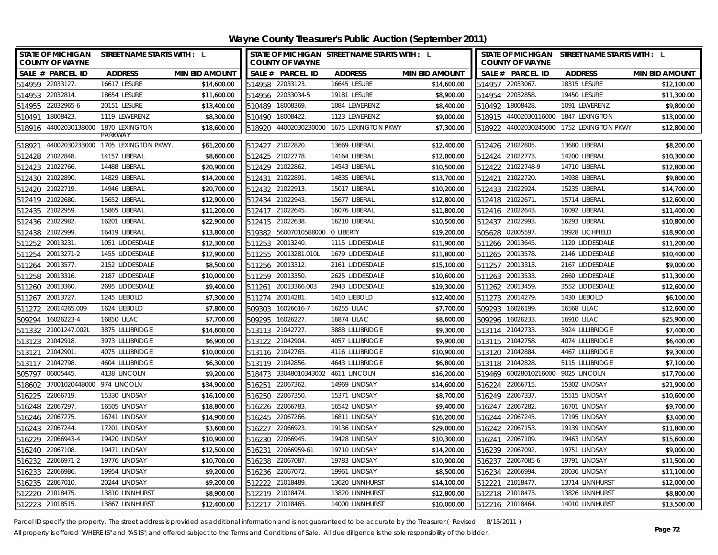**Wayne County Treasurer's Public Auction (September 2011)**

| STATE OF MICHIGAN STREET NAME STARTS WITH : L<br><b>COUNTY OF WAYNE</b> |                                     |                       |        | <b>COUNTY OF WAYNE</b>             | STATE OF MICHIGAN STREET NAME STARTS WITH : L |                       |        | <b>COUNTY OF WAYNE</b>             | STATE OF MICHIGAN STREET NAME STARTS WITH : L |                       |
|-------------------------------------------------------------------------|-------------------------------------|-----------------------|--------|------------------------------------|-----------------------------------------------|-----------------------|--------|------------------------------------|-----------------------------------------------|-----------------------|
| SALE # PARCEL ID                                                        | <b>ADDRESS</b>                      | <b>MIN BID AMOUNT</b> |        | SALE # PARCEL ID                   | <b>ADDRESS</b>                                | <b>MIN BID AMOUNT</b> |        | SALE # PARCEL ID                   | <b>ADDRESS</b>                                | <b>MIN BID AMOUNT</b> |
| 514959 22033127.                                                        | 16617 LESURE                        | \$14,600.00           |        | 514958 22033123.                   | 16645 LESURE                                  | \$14,600.00           |        | 514957 22033067.                   | 18315 LESURE                                  | \$12,100.00           |
| 514953 22032814.                                                        | 18654 LESURE                        | \$11,600.00           |        | 514956 22033034-5                  | 19181 LESURE                                  | \$8,900.00            |        | 514954 22032858.                   | 19450 LESURE                                  | \$11,300.00           |
| 514955 22032965-6                                                       | 20151 LESURE                        | \$13,400.00           |        | 510489 18008369.                   | 1084 LEWERENZ                                 | \$8,400.00            |        | 510492 18008428.                   | 1091 LEWERENZ                                 | \$9,800.00            |
| 510491 18008423.                                                        | 1119 LEWERENZ                       | \$8,300.00            |        | 510490 18008422.                   | 1123 LEWERENZ                                 | \$9,000.00            |        |                                    | 518915 44002030116000 1847 LEXINGTON          | \$13,000.00           |
| 518916 44002030138000 1870 LEXINGTON                                    | PARKWAY                             | \$18,600.00           |        |                                    | 518920 44002030230000 1675 LEXINGTON PKWY     | \$7,300.00            |        |                                    | 518922 44002030245000 1752 LEXINGTON PKWY     | \$12,800.00           |
| 518921                                                                  | 44002030233000 1705 LEXINGTON PKWY. | \$61,200.00           |        | 512427 21022820.                   | 13669 LIBERAL                                 | \$12,400.00           |        | 512426 21022805.                   | 13680 LIBERAL                                 | \$8,200.00            |
| 512428 21022848.                                                        | 14157 LIBERAL                       | \$8.600.00            |        | 512425 21022778.                   | 14164 LIBERAL                                 | \$12,000.00           |        | 512424 21022773.                   | 14200 LIBERAL                                 | \$10,300.00           |
| 512423 21022766.                                                        | 14488 LIBERAL                       | \$20,900.00           |        | 512429 21022862.                   | 14543 LIBERAL                                 | \$10,500.00           |        | 512422 21022748-9                  | 14710 LIBERAL                                 | \$12,800.00           |
| 512430 21022890.                                                        | 14829 LIBERAL                       | \$14,200.00           |        | 512431 21022891                    | 14835 LIBERAL                                 | \$13,700.00           |        | 512421 21022720.                   | 14938 LIBERAL                                 | \$9,800.00            |
| 512420 21022719.                                                        | 14946 LIBERAL                       | \$20,700.00           |        | 512432 21022913.                   | 15017 LIBERAL                                 | \$10,200.00           |        | 512433 21022924.                   | 15235 LIBERAL                                 | \$14,700.00           |
| 512419 21022680.                                                        | 15652 LIBERAL                       | \$12,900.00           |        | 512434 21022943.                   | 15677 LIBERAL                                 | \$12,800.00           |        | 512418 21022671.                   | 15714 LIBERAL                                 | \$12,600.00           |
| 512435 21022959.                                                        | 15865 LIBERAL                       | \$11,200.00           |        | 512417 21022645.                   | 16076 LIBERAL                                 | \$11,800.00           |        | 512416 21022643.                   | 16092 LIBERAL                                 | \$11,400.00           |
| 512436 21022982.                                                        | 16201 LIBERAL                       | \$22,900.00           |        | 512415 21022638.                   | 16210 LIBERAL                                 | \$10,500.00           |        | 512437 21022993.                   | 16293 LIBERAL                                 | \$10,800.00           |
| 512438 21022999.                                                        | 16419 LIBERAL                       | \$13,800.00           |        | 519382 56007010588000 0 LIBERTY    |                                               | \$19,200.00           |        | 505628 02005597.                   | 19928 LICHFIELD                               | \$18,900.00           |
| 511252 20013231.                                                        | 1051 LIDDESDALE                     | \$12,300.00           |        | 511253 20013240.                   | 1115 LIDDESDALE                               | \$11,900.00           |        | 511266 20013645.                   | 1120 LIDDESDALE                               | \$11,200.00           |
| 511254 20013271-2                                                       | 1455 LIDDESDALE                     | \$12,900.00           |        | 511255 20013281.010L               | 1679 LIDDESDALE                               | \$11,800.00           |        | 511265 20013578.                   | 2146 LIDDESDALE                               | \$10,400.00           |
| 511264 20013577.                                                        | 2152 LIDDESDALE                     | \$8,500.00            |        | 511256 20013312.                   | 2161 LIDDESDALE                               | \$15,100.00           |        | 511257 20013313.                   | 2167 LIDDESDALE                               | \$9,000.00            |
| 511258 20013316.                                                        | 2187 LIDDESDALE                     | \$10,000.00           |        | 511259 20013350.                   | 2625 LIDDESDALE                               | \$10,600.00           |        | 511263 20013533.                   | 2660 LIDDESDALE                               | \$11,300.00           |
| 511260 20013360.                                                        | 2695 LIDDESDALE                     | \$9,400.00            |        | 511261 20013366.003                | 2943 LIDDESDALE                               | \$19,300.00           |        | 511262 20013459.                   | 3552 LIDDESDALE                               | \$12,600.00           |
| 511267 20013727.                                                        | 1245 LIEBOLD                        | \$7,300.00            |        | 511274 20014281                    | 1410 LIEBOLD                                  | \$12,400.00           |        | 511273 20014279.                   | 1430 LIEBOLD                                  | \$6,100.00            |
| 511272 20014265.009                                                     | 1624 LIEBOLD                        | \$7,800.00            |        | 509303 16026616-7                  | 16255 LILAC                                   | \$7,700.00            |        | 509293 16026199.                   | 16568 LILAC                                   | \$12,600.00           |
| 509294 16026223-4                                                       | 16850 LILAC                         | \$7,700.00            |        | 509295 16026227.                   | <b>16874 LILAC</b>                            | \$8,600.00            |        | 509296 16026233.                   | 16910 LILAC                                   | \$25,900.00           |
| 511332 21001247.002L                                                    | 3875 LILLIBRIDGE                    | \$14,600.00           |        | 513113 21042727.                   | 3888 LILLIBRIDGE                              | \$9,300.00            |        | 513114 21042733.                   | 3924 LILLIBRIDGE                              | \$7,400.00            |
| 513123 21042918.                                                        | 3973 LILLIBRIDGE                    | \$6,900.00            |        | 513122 21042904.                   | 4057 LILLIBRIDGE                              | \$9,900.00            |        | 513115 21042758.                   | 4074 LILLIBRIDGE                              | \$6,400.00            |
| 513121 21042901                                                         | 4075 LILLIBRIDGE                    | \$10,000.00           |        | 513116 21042765.                   | 4116 LILLIBRIDGE                              | \$10,900.00           |        | 513120 21042884                    | 4467 LILLIBRIDGE                              | \$9,300.00            |
| 513117 21042798.                                                        | 4604 LILLIBRIDGE                    | \$6,300.00            |        | 513119 21042856.                   | 4643 LILLIBRIDGE                              | \$6,800.00            |        | 513118 21042828.                   | 5115 LILLIBRIDGE                              | \$7,100.00            |
| 505797 06005445.                                                        | 4138 LINCOLN                        | \$9,200.00            |        | 518473 33048010343002 4611 LINCOLN |                                               | \$16,200.00           |        | 519469 60028010216000 9025 LINCOLN |                                               | \$17,700.00           |
| 518602 37001020448000 974 LINCOLN                                       |                                     | \$34,900.00           |        | 516251 22067362.                   | 14969 LINDSAY                                 | \$14,600.00           |        | 516224 22066715.                   | 15302 LINDSAY                                 | \$21,900.00           |
| 516225 22066719.                                                        | 15330 LINDSAY                       | \$16,100.00           |        | 516250 22067350.                   | 15371 LINDSAY                                 | \$8,700.00            |        | 516249 22067337.                   | 15515 LINDSAY                                 | \$10,600.00           |
| 516248 22067297.                                                        | 16505 LINDSAY                       | \$18,800.00           |        | 516226 22066783                    | 16542 LINDSAY                                 | \$9,400.00            |        | 516247 22067282                    | 16701 LINDSAY                                 | \$9,700.00            |
| 516246 22067275.                                                        | 16741 LINDSAY                       | \$14,900.00           |        | 516245 22067266.                   | 16811 LINDSAY                                 | \$16,200.00           |        | 516244 22067245.                   | 17195 LINDSAY                                 | \$3,400.00            |
| 516243 22067244.                                                        | 17201 LINDSAY                       | \$3,600.00            |        | 516227 22066923                    | 19136 LINDSAY                                 | \$29,000.00           |        | 516242 22067153.                   | 19139 LINDSAY                                 | \$11,800.00           |
| 516229 22066943-4                                                       | 19420 LINDSAY                       | \$10,900.00           |        | 516230 22066945.                   | 19428 LINDSAY                                 | \$10,300.00           |        | 516241 22067109.                   | 19463 LINDSAY                                 | \$15,600.00           |
| 516240 22067108.                                                        | 19471 LINDSAY                       | \$12,500.00           | 516231 | 22066959-61                        | 19710 LINDSAY                                 | \$14,200.00           |        | 516239 22067092.                   | 19751 LINDSAY                                 | \$9,000.00            |
| 516232<br>22066971-2                                                    | 19776 LINDSAY                       | \$10,700.00           | 516238 | 22067087                           | 19783 LINDSAY                                 | \$10,900.00           | 516237 | 22067085-6                         | 19791 LINDSAY                                 | \$11,500.00           |
| 516233 22066986.                                                        | 19954 LINDSAY                       | \$9,200.00            |        | 516236 22067072.                   | 19961 LINDSAY                                 | \$8,500.00            | 516234 | 22066994                           | 20036 LINDSAY                                 | \$11,100.00           |
| 516235 22067010.                                                        | 20244 LINDSAY                       | \$9,200.00            |        | 512222 21018489.                   | 13620 LINNHURST                               | \$14,100.00           |        | 512221 21018477.                   | 13714 LINNHURST                               | \$12,000.00           |
| 512220 21018475.                                                        | 13810 LINNHURST                     | \$8,900.00            |        | 512219 21018474                    | 13820 LINNHURST                               | \$12,800.00           |        | 512218 21018473.                   | 13826 LINNHURST                               | \$8,800.00            |
| 512223 21018515.                                                        | 13867 LINNHURST                     | \$12,400.00           |        | 512217 21018465                    | 14000 LINNHURST                               | \$10,000.00           |        | 512216 21018464                    | 14010 LINNHURST                               | \$13,500.00           |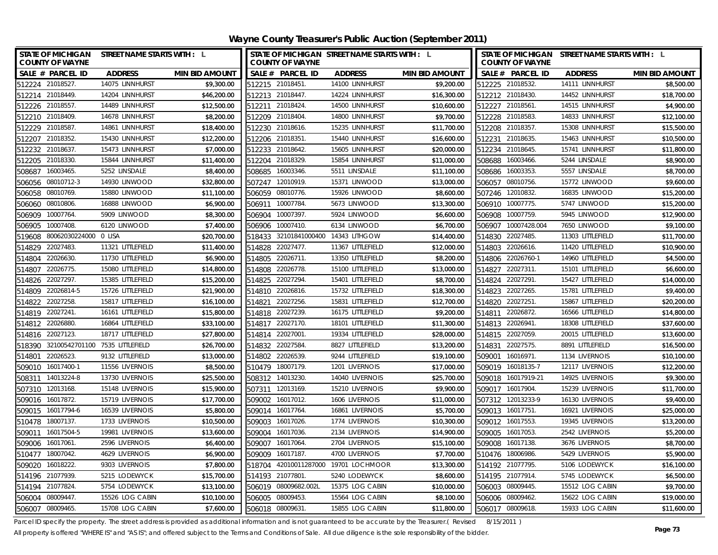| Wayne County Treasurer's Public Auction (September 2011) |
|----------------------------------------------------------|
|----------------------------------------------------------|

| STATE OF MICHIGAN STREET NAME STARTS WITH : L<br><b>COUNTY OF WAYNE</b> |                   |                       |                  | <b>COUNTY OF WAYNE</b>       | STATE OF MICHIGAN STREET NAME STARTS WITH : L |                       | STATE OF MICHIGAN STREET NAME STARTS WITH : L<br><b>COUNTY OF WAYNE</b> |                   |                       |
|-------------------------------------------------------------------------|-------------------|-----------------------|------------------|------------------------------|-----------------------------------------------|-----------------------|-------------------------------------------------------------------------|-------------------|-----------------------|
| SALE # PARCEL ID                                                        | <b>ADDRESS</b>    | <b>MIN BID AMOUNT</b> |                  | SALE # PARCEL ID             | <b>ADDRESS</b>                                | <b>MIN BID AMOUNT</b> | SALE # PARCEL ID                                                        | <b>ADDRESS</b>    | <b>MIN BID AMOUNT</b> |
| 512224 21018527.                                                        | 14075 LINNHURST   | \$9,300.00            |                  | 512215 21018451              | 14100 LINNHURST                               | \$9,200.00            | 512225 21018532.                                                        | 14111 LINNHURST   | \$8,500.00            |
| 512214 21018449.                                                        | 14204 LINNHURST   | \$46,200.00           |                  | 512213 21018447.             | 14224 LINNHURST                               | \$16,300.00           | 512212 21018430.                                                        | 14452 LINNHURST   | \$18,700.00           |
| 512226 21018557.                                                        | 14489 LINNHURST   | \$12,500.00           |                  | 512211 21018424.             | 14500 LINNHURST                               | \$10,600.00           | 512227 21018561.                                                        | 14515 LINNHURST   | \$4,900.00            |
| 512210 21018409.                                                        | 14678 LINNHURST   | \$8,200.00            |                  | 512209 21018404              | 14800 LINNHURST                               | \$9,700.00            | 512228 21018583.                                                        | 14833 LINNHURST   | \$12,100.00           |
| 512229 21018587                                                         | 14861 LINNHURST   | \$18,400.00           |                  | 512230 21018616.             | 15235 LINNHURST                               | \$11,700.00           | 512208 21018357.                                                        | 15308 LINNHURST   | \$15,500.00           |
| 512207 21018352.                                                        | 15430 LINNHURST   | \$12,200.00           |                  | 512206 21018351              | 15440 LINNHURST                               | \$16,600.00           | 512231 21018635.                                                        | 15463 LINNHURST   | \$10,500.00           |
| 512232 21018637.                                                        | 15473 LINNHURST   | \$7,000.00            |                  | 512233 21018642.             | 15605 LINNHURST                               | \$20,000.00           | 512234 21018645.                                                        | 15741 LINNHURST   | \$11,800.00           |
| 512205 21018330.                                                        | 15844 LINNHURST   | \$11,400.00           |                  | 512204 21018329              | 15854 LINNHURST                               | \$11,000.00           | 508688 16003466.                                                        | 5244 LINSDALE     | \$8,900.00            |
| 16003465<br>508687                                                      | 5252 LINSDALE     | \$8,400.00            |                  | 508685 16003346.             | 5511 LINSDALE                                 | \$11,100.00           | 508686 16003353.                                                        | 5557 LINSDALE     | \$8,700.00            |
| 08010712-3<br>506056                                                    | 14930 LINWOOD     | \$32,800.00           |                  | 507247 12010919.             | 15371 LINWOOD                                 | \$13,000.00           | 506057 08010756.                                                        | 15772 LINWOOD     | \$9,600.00            |
| 08010769<br>506058                                                      | 15880 LINWOOD     | \$11,100.00           |                  | 506059 08010776.             | 15926 LINWOOD                                 | \$8,600.00            | 507246 12010832.                                                        | 16835 LINWOOD     | \$15,200.00           |
| 506060 08010806.                                                        | 16888 LINWOOD     | \$6,900.00            | 506911           | 10007784                     | 5673 LINWOOD                                  | \$13,300.00           | 506910 10007775.                                                        | 5747 LINWOOD      | \$15,200.00           |
| 10007764<br>506909                                                      | 5909 LINWOOD      | \$8,300.00            | 506904           | 10007397.                    | 5924 LINWOOD                                  | \$6,600.00            | 10007759.<br>506908                                                     | 5945 LINWOOD      | \$12,900.00           |
| 10007408.<br>506905                                                     | 6120 LINWOOD      | \$7,400.00            | 506906           | 10007410.                    | 6134 LINWOOD                                  | \$6,700.00            | 10007428.004<br>506907                                                  | 7650 LINWOOD      | \$9,100.00            |
| 80062030224000 0 LISA<br>519608                                         |                   | \$20,700.00           | 518433           | 32101841000400 14343 LITHGOW |                                               | \$14,400.00           | 514830 22027485.                                                        | 11303 LITTLEFIELD | \$11,700.00           |
| 22027483<br>514829                                                      | 11321 LITTLEFIELD | \$11,400.00           | 514828           | 22027477.                    | 11367 LITTLEFIELD                             | \$12,000.00           | 514803 22026616.                                                        | 11420 LITTLEFIELD | \$10,900.00           |
| 22026630.<br>514804                                                     | 11730 LITTLEFIELD | \$6,900.00            | 514805           | 22026711                     | 13350 LITTLEFIELD                             | \$8,200.00            | 22026760-1<br>514806                                                    | 14960 LITTLEFIELD | \$4,500.00            |
| 22026775<br>514807                                                      | 15080 LITTLEFIELD | \$14,800.00           | 514808           | 22026778.                    | 15100 LITTLEFIELD                             | \$13,000.00           | 22027311.<br>514827                                                     | 15101 LITTLEFIELD | \$6,600.00            |
| 22027297.<br>514826                                                     | 15385 LITTLEFIELD | \$15,200.00           | 514825           | 22027294                     | 15401 LITTLEFIELD                             | \$8,700.00            | 514824 22027291.                                                        | 15427 LITTLEFIELD | \$14,000.00           |
| 514809 22026814-5                                                       | 15726 LITTLEFIELD | \$21,900.00           |                  | 514810 22026816              | 15732 LITTLEFIELD                             | \$18,300.00           | 514823 22027265                                                         | 15781 LITTLEFIELD | \$9,400.00            |
| 22027258.<br>514822                                                     | 15817 LITTLEFIELD | \$16,100.00           | 514821           | 22027256.                    | 15831 LITTLEFIELD                             | \$12,700.00           | 514820 22027251.                                                        | 15867 LITTLEFIELD | \$20,200.00           |
| 514819 22027241.                                                        | 16161 LITTLEFIELD | \$15,800.00           |                  | 514818 22027239.             | 16175 LITTLEFIELD                             | \$9,200.00            | 514811 22026872.                                                        | 16566 LITTLEFIELD | \$14,800.00           |
| 514812 22026880                                                         | 16864 LITTLEFIELD | \$33,100.00           |                  | 514817 22027170.             | 18101 LITTLEFIELD                             | \$11,300.00           | 514813 22026941.                                                        | 18308 LITTLEFIELD | \$37,600.00           |
| 514816 22027123.                                                        | 18717 LITTLEFIELD | \$27,800.00           |                  | 514814 22027001              | 19334 LITTLEFIELD                             | \$28,000.00           | 514815 22027059.                                                        | 20015 LITTLEFIELD | \$13,600.00           |
| 518390 32100542701100 7535 LITTLEFIELD                                  |                   | \$26,700.00           |                  | 514832 22027584.             | 8827 LITTLEFIELD                              | \$13,200.00           | 514831 22027575.                                                        | 8891 LITTLEFIELD  | \$16,500.00           |
| 514801 22026523                                                         | 9132 LITTLEFIELD  | \$13,000.00           |                  | 514802 22026539.             | 9244 LITTLEFIELD                              | \$19,100.00           | 509001 16016971.                                                        | 1134 LIVERNOIS    | \$10,100.00           |
| 509010 16017400-1                                                       | 11556 LIVERNOIS   | \$8,500.00            |                  | 510479 18007179              | 1201 LIVERNOIS                                | \$17,000.00           | 509019 16018135-7                                                       | 12117 LIVERNOIS   | \$12,200.00           |
| 508311 14013224-8                                                       | 13730 LIVERNOIS   | \$25,500.00           |                  | 508312 14013230              | 14040 LIVERNOIS                               | \$25,700.00           | 509018 16017919-21                                                      | 14925 LIVERNOIS   | \$9,300.00            |
| 507310 12013168.                                                        | 15148 LIVERNOIS   | \$15,900.00           |                  | 507311 12013169              | 15210 LIVERNOIS                               | \$9,900.00            | 509017 16017904.                                                        | 15239 LIVERNOIS   | \$11,700.00           |
| 509016 16017872.                                                        | 15719 LIVERNOIS   | \$17,700.00           |                  | 509002 16017012              | 1606 LIVERNOIS                                | \$11,000.00           | 507312 12013233-9                                                       | 16130 LIVERNOIS   | \$9,400.00            |
| 509015 16017794-6                                                       | 16539 LIVERNOIS   | \$5,800.00            |                  | 509014 16017764              | 16861 LIVERNOIS                               | \$5,700.00            | 509013 16017751.                                                        | 16921 LIVERNOIS   | \$25,000.00           |
| 510478<br>18007137.                                                     | 1733 LIVERNOIS    | \$10,500.00           |                  | 509003 16017026              | 1774 LIVERNOIS                                | \$10,300.00           | 509012 16017553.                                                        | 19345 LIVERNOIS   | \$13,200.00           |
| 509011<br>16017504-5                                                    | 19981 LIVERNOIS   | \$13,600.00           | 509004           | 16017036.                    | 2134 LIVERNOIS                                | \$14,900.00           | 509005<br>16017053.                                                     | 2542 LIVERNOIS    | \$5,200.00            |
| 509006 16017061                                                         | 2596 LIVERNOIS    | \$6,400.00            | 509007           | 16017064                     | 2704 LIVERNOIS                                | \$15,100.00           | 509008 16017138.                                                        | 3676 LIVERNOIS    | \$8,700.00            |
| 18007042<br>510477                                                      | 4629 LIVERNOIS    | \$6,900.00            |                  | 509009 16017187.             | 4700 LIVERNOIS                                | \$7,700.00            | 510476 18006986.                                                        | 5429 LIVERNOIS    | \$5,900.00            |
| 16018222<br>509020                                                      | 9303 LIVERNOIS    | \$7,800.00            | 518704           |                              | 42010011287000 19701 LOCHMOOR                 | \$13,300.00           | 514192 21077795.                                                        | 5106 LODEWYCK     | \$16,100.00           |
| 21077939<br>514196                                                      | 5215 LODEWYCK     | \$15,700.00           | 514193           | 21077801                     | 5240 LODEWYCK                                 | \$8,600.00            | 514195 21077914.                                                        | 5745 LODEWYCK     | \$6,500.00            |
| 514194 21077824                                                         | 5754 LODEWYCK     | \$13,100.00           | 506019           | 08009682.002L                | 15375 LOG CABIN                               | \$10,000.00           | 506003 08009445.                                                        | 15512 LOG CABIN   | \$9,700.00            |
| 506004 08009447                                                         | 15526 LOG CABIN   | \$10,100.00           |                  | 506005 08009453.             | 15564 LOG CABIN                               | \$8,100.00            | 506006 08009462.                                                        | 15622 LOG CABIN   | \$19,000.00           |
| 506007 08009465                                                         | 15708 LOG CABIN   | \$7,600.00            | 506018 08009631. |                              | 15855 LOG CABIN                               | \$11,800.00           | 506017 08009618.                                                        | 15933 LOG CABIN   | \$11,600.00           |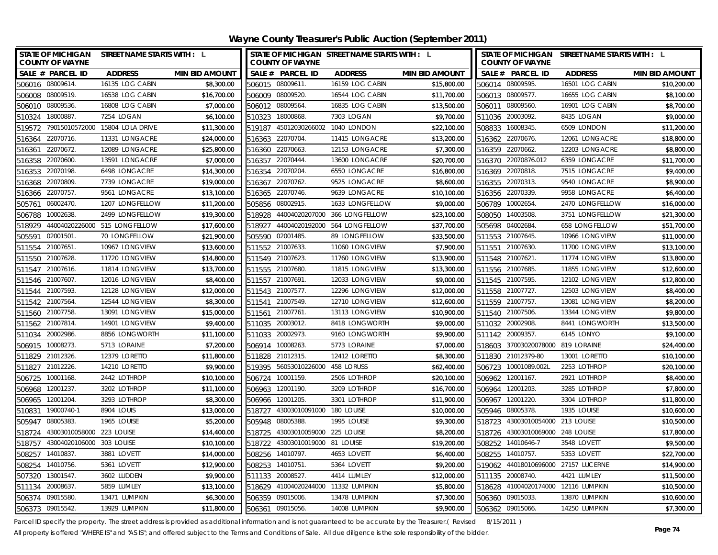| STATE OF MICHIGAN STREET NAME STARTS WITH : L<br><b>COUNTY OF WAYNE</b> |                               |                       | <b>COUNTY OF WAYNE</b>           |                           | STATE OF MICHIGAN STREET NAME STARTS WITH : L |                       | STATE OF MICHIGAN STREET NAME STARTS WITH : L<br><b>COUNTY OF WAYNE</b> |                 |                       |
|-------------------------------------------------------------------------|-------------------------------|-----------------------|----------------------------------|---------------------------|-----------------------------------------------|-----------------------|-------------------------------------------------------------------------|-----------------|-----------------------|
| SALE # PARCEL ID                                                        | <b>ADDRESS</b>                | <b>MIN BID AMOUNT</b> | SALE # PARCEL ID                 |                           | <b>ADDRESS</b>                                | <b>MIN BID AMOUNT</b> | SALE # PARCEL ID                                                        | <b>ADDRESS</b>  | <b>MIN BID AMOUNT</b> |
| 506016 08009614                                                         | 16135 LOG CABIN               | \$8,300.00            | 506015 08009611.                 |                           | 16159 LOG CABIN                               | \$15,800.00           | 506014 08009595.                                                        | 16501 LOG CABIN | \$10,200.00           |
| 506008 08009519.                                                        | 16538 LOG CABIN               | \$16,700.00           | 506009 08009520.                 |                           | 16544 LOG CABIN                               | \$11,700.00           | 506013 08009577.                                                        | 16655 LOG CABIN | \$8,100.00            |
| 506010 08009536.                                                        | 16808 LOG CABIN               | \$7,000.00            | 506012 08009564.                 |                           | 16835 LOG CABIN                               | \$13,500.00           | 506011 08009560.                                                        | 16901 LOG CABIN | \$8,700.00            |
| 510324 18000887                                                         | 7254 LOGAN                    | \$6,100.00            | 510323 18000868.                 |                           | 7303 LOGAN                                    | \$9,700.00            | 511036 20003092.                                                        | 8435 LOGAN      | \$9,000.00            |
| 519572 79015010572000 15804 LOLA DRIVE                                  |                               | \$11,300.00           |                                  |                           | 519187 45012030266002 1040 LONDON             | \$22,100.00           | 508833 16008345.                                                        | 6509 LONDON     | \$11,200.00           |
| 22070716.<br>516364                                                     | 11331 LONGACRE                | \$24,000.00           | 516363 22070704.                 |                           | 11415 LONGACRE                                | \$13,200.00           | 516362 22070676.                                                        | 12061 LONGACRE  | \$18,800.00           |
| 22070672.<br>516361                                                     | 12089 LONGACRE                | \$25,800.00           | 516360 22070663.                 |                           | 12153 LONGACRE                                | \$7,300.00            | 516359 22070662.                                                        | 12203 LONGACRE  | \$8,800.00            |
| 516358 22070600.                                                        | 13591 LONGACRE                | \$7,000.00            | 516357 22070444.                 |                           | 13600 LONGACRE                                | \$20,700.00           | 516370 22070876.012                                                     | 6359 LONGACRE   | \$11,700.00           |
| 22070198<br>516353                                                      | 6498 LONGACRE                 | \$14,300.00           | 516354 22070204                  |                           | 6550 LONGACRE                                 | \$16,800.00           | 516369 22070818.                                                        | 7515 LONGACRE   | \$9,400.00            |
| 22070809<br>516368                                                      | 7739 LONGACRE                 | \$19,000.00           | 516367 22070762.                 |                           | 9525 LONGACRE                                 | \$8,600.00            | 516355 22070313.                                                        | 9540 LONGACRE   | \$8,900.00            |
| 516366 22070757.                                                        | 9561 LONGACRE                 | \$13,100.00           | 516365 22070746.                 |                           | 9639 LONGACRE                                 | \$10,100.00           | 516356 22070339.                                                        | 9958 LONGACRE   | \$6,400.00            |
| 06002470.<br>505761                                                     | 1207 LONGFELLOW               | \$11,200.00           | 505856 08002915.                 |                           | 1633 LONGFELLOW                               | \$9,000.00            | 506789 10002654.                                                        | 2470 LONGFELLOW | \$16,000.00           |
| 10002638.<br>506788                                                     | 2499 LONGFELLOW               | \$19,300.00           |                                  |                           | 518928 44004020207000 366 LONGFELLOW          | \$23,100.00           | 508050 14003508.                                                        | 3751 LONGFELLOW | \$21,300.00           |
| 518929                                                                  | 44004020226000 515 LONGFELLOW | \$17,600.00           | 518927                           |                           | 44004020192000 564 LONGFELLOW                 | \$37,700.00           | 505698 04002684.                                                        | 658 LONGFELLOW  | \$51,700.00           |
| 02001501<br>505591                                                      | 70 LONGFELLOW                 | \$21,900.00           | 505590                           | 02001485.                 | 89 LONGFELLOW                                 | \$33,500.00           | 511553 21007645.                                                        | 10966 LONGVIEW  | \$11,000.00           |
| 511554 21007651                                                         | 10967 LONGVIEW                | \$13,600.00           | 511552 21007633.                 |                           | 11060 LONGVIEW                                | \$7,900.00            | 511551 21007630.                                                        | 11700 LONGVIEW  | \$13,100.00           |
| 21007628<br>511550                                                      | 11720 LONGVIEW                | \$14,800.00           | 511549 21007623                  |                           | 11760 LONGVIEW                                | \$13,900.00           | 511548 21007621.                                                        | 11774 LONGVIEW  | \$13,800.00           |
| 511547 21007616.                                                        | 11814 LONGVIEW                | \$13,700.00           | 511555 21007680.                 |                           | 11815 LONGVIEW                                | \$13,300.00           | 511556 21007685.                                                        | 11855 LONGVIEW  | \$12,600.00           |
| 511546 21007607                                                         | 12016 LONGVIEW                | \$8,400.00            | 511557 21007691.                 |                           | 12033 LONGVIEW                                | \$9,000.00            | 511545 21007595.                                                        | 12102 LONGVIEW  | \$12,800.00           |
| 511544 21007593.                                                        | 12128 LONGVIEW                | \$12,000.00           | 511543 21007577.                 |                           | 12296 LONGVIEW                                | \$12,000.00           | 511558 21007727.                                                        | 12503 LONGVIEW  | \$8,400.00            |
| 511542 21007564                                                         | 12544 LONGVIEW                | \$8,300.00            | 511541 21007549.                 |                           | 12710 LONGVIEW                                | \$12,600.00           | 511559 21007757.                                                        | 13081 LONGVIEW  | \$8,200.00            |
| 511560 21007758.                                                        | 13091 LONGVIEW                | \$15,000.00           | 511561 21007761                  |                           | 13113 LONGVIEW                                | \$10,900.00           | 511540 21007506.                                                        | 13344 LONGVIEW  | \$9,800.00            |
| 511562 21007814.                                                        | 14901 LONGVIEW                | \$9,400.00            | 511035 20003012.                 |                           | 8418 LONGWORTH                                | \$9,000.00            | 511032 20002908.                                                        | 8441 LONGWORTH  | \$13,500.00           |
| 511034 20002986.                                                        | 8856 LONGWORTH                | \$11,100.00           | 511033 20002973                  |                           | 9160 LONGWORTH                                | \$9,900.00            | 511142 20009357.                                                        | 6145 LONYO      | \$9,100.00            |
| 10008273.<br>506915                                                     | 5713 LORAINE                  | \$7,200.00            | 506914 10008263.                 |                           | 5773 LORAINE                                  | \$7,000.00            | 518603 37003020078000 819 LORAINE                                       |                 | \$24,400.00           |
| 511829 21012326.                                                        | 12379 LORETTO                 | \$11,800.00           | 511828 21012315.                 |                           | 12412 LORETTO                                 | \$8,300.00            | 511830 21012379-80                                                      | 13001 LORETTO   | \$10,100.00           |
| 511827 21012226                                                         | 14210 LORETTO                 | \$9,900.00            | 519395 56053010226000 458 LORUSS |                           |                                               | \$62,400.00           | 506723 10001089.002L                                                    | 2253 LOTHROP    | \$20,100.00           |
| 10001168<br>506725                                                      | 2442 LOTHROP                  | \$10,100.00           | 506724 10001159                  |                           | 2506 LOTHROP                                  | \$20,100.00           | 506962 12001167.                                                        | 2921 LOTHROP    | \$8,400.00            |
| 12001237.<br>506968                                                     | 3202 LOTHROP                  | \$11,100.00           | 506963 12001190.                 |                           | 3209 LOTHROP                                  | \$16,700.00           | 506964 12001203.                                                        | 3285 LOTHROP    | \$7,800.00            |
| 506965<br>12001204                                                      | 3293 LOTHROP                  | \$8,300.00            | 506966 12001205.                 |                           | 3301 LOTHROP                                  | \$11,900.00           | 506967 12001220.                                                        | 3304 LOTHROP    | \$11,800.00           |
| 19000740-1<br>510831                                                    | 8904 LOUIS                    | \$13,000.00           | 518727 43003010091000 180 LOUISE |                           |                                               | \$10,000.00           | 505946 08005378.                                                        | 1935 LOUISE     | \$10,600.00           |
| 08005383<br>505947                                                      | 1965 LOUISE                   | \$5,200.00            | 505948 08005388                  |                           | 1995 LOUISE                                   | \$9,300.00            | 518723 43003010054000 213 LOUISE                                        |                 | \$10,500.00           |
| 518724<br>43003010058000 223 LOUISE                                     |                               | \$14,400.00           | 518725                           | 43003010059000 225 LOUISE |                                               | \$8,200.00            | 518726 43003010069000 248 LOUISE                                        |                 | \$17,800.00           |
| 518757 43004020106000 303 LOUISE                                        |                               | \$10,100.00           | 518722 43003010019000 81 LOUISE  |                           |                                               | \$19,200.00           | 508252 14010646-7                                                       | 3548 LOVETT     | \$9,500.00            |
| 14010837<br>508257                                                      | 3881 LOVETT                   | \$14,000.00           | 508256 14010797.                 |                           | 4653 LOVETT                                   | \$6,400.00            | 508255 14010757.                                                        | 5353 LOVETT     | \$22,700.00           |
| 508254<br>14010756.                                                     | 5361 LOVETT                   | \$12,900.00           | 508253 14010751                  |                           | 5364 LOVETT                                   | \$9,200.00            | 519062 44018010696000 27157 LUCERNE                                     |                 | \$14,900.00           |
| 507320<br>13001547                                                      | 3602 LUDDEN                   | \$9,900.00            | 511133                           | 20008527.                 | 4414 LUMLEY                                   | \$12,000.00           | 511135 20008740.                                                        | 4421 LUMLEY     | \$11,500.00           |
| 20008637<br>511134                                                      | 5859 LUMLEY                   | \$13,100.00           |                                  |                           | 518629 41004020244000 11332 LUMPKIN           | \$5,800.00            | 518628 41004020174000 12116 LUMPKIN                                     |                 | \$10,500.00           |
| 506374 09015580                                                         | 13471 LUMPKIN                 | \$6,300.00            | 506359 09015006.                 |                           | 13478 LUMPKIN                                 | \$7,300.00            | 506360 09015033.                                                        | 13870 LUMPKIN   | \$10,600.00           |
| 506373 09015542                                                         | 13929 LUMPKIN                 | \$11,800.00           | 506361 09015056.                 |                           | 14008 LUMPKIN                                 | \$9,900.00            | 506362 09015066.                                                        | 14250 LUMPKIN   | \$7,300.00            |

Parcel ID specify the property. The street address is provided as additional information and is not guaranteed to be accurate by the Treasurer.( Revised 8/15/2011 )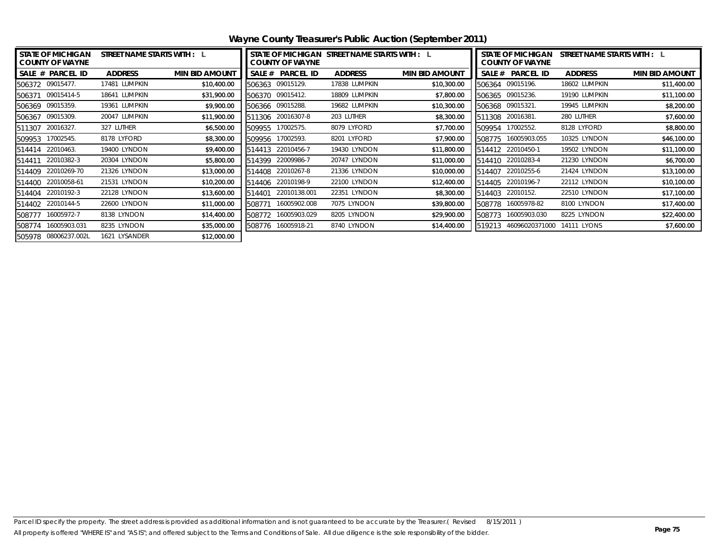| <b>STATE OF MICHIGAN</b><br><b>COUNTY OF WAYNE</b> | STREET NAME STARTS WITH : L |                       | STATE OF MICHIGAN STREET NAME STARTS WITH : L<br><b>COUNTY OF WAYNE</b> |                  |                |                       | <b>STATE OF MICHIGAN</b><br>STREET NAME STARTS WITH : L<br><b>COUNTY OF WAYNE</b> |                   |                |                       |
|----------------------------------------------------|-----------------------------|-----------------------|-------------------------------------------------------------------------|------------------|----------------|-----------------------|-----------------------------------------------------------------------------------|-------------------|----------------|-----------------------|
| SALE # PARCEL ID                                   | <b>ADDRESS</b>              | <b>MIN BID AMOUNT</b> | SALE #                                                                  | <b>PARCEL ID</b> | <b>ADDRESS</b> | <b>MIN BID AMOUNT</b> |                                                                                   | SALE # PARCEL ID  | <b>ADDRESS</b> | <b>MIN BID AMOUNT</b> |
| 506372 09015477.                                   | 17481 LUMPKIN               | \$10,400.00           | 506363                                                                  | 09015129.        | 17838 LUMPKIN  | \$10,300.00           |                                                                                   | 506364 09015196.  | 18602 LUMPKIN  | \$11,400.00           |
| 09015414-5<br>506371                               | 18641 LUMPKIN               | \$31,900.00           | 506370 09015412.                                                        |                  | 18809 LUMPKIN  | \$7,800.00            |                                                                                   | 506365 09015236.  | 19190 LUMPKIN  | \$11,100.00           |
| 506369 09015359.                                   | 19361 LUMPKIN               | \$9,900.00            | 506366 09015288.                                                        |                  | 19682 LUMPKIN  | \$10,300.00           |                                                                                   | 506368 09015321.  | 19945 LUMPKIN  | \$8,200.00            |
| 506367 09015309.                                   | 20047 LUMPKIN               | \$11,900.00           | 511306                                                                  | 20016307-8       | 203 LUTHER     | \$8,300.00            |                                                                                   | 511308 20016381.  | 280 LUTHER     | \$7,600.00            |
| 20016327.<br>511307                                | 327 LUTHER                  | \$6,500.00            | 509955                                                                  | 17002575.        | 8079 LYFORD    | \$7,700.00            | 509954                                                                            | 17002552.         | 8128 LYFORD    | \$8,800.00            |
| 509953 17002545.                                   | 8178 LYFORD                 | \$8,300.00            | 509956                                                                  | 17002593.        | 8201 LYFORD    | \$7,900.00            | 508775                                                                            | 16005903.055      | 10325 LYNDON   | \$46,100.00           |
| 22010463.<br>514414                                | 19400 LYNDON                | \$9,400.00            | 514413                                                                  | 22010456-7       | 19430 LYNDON   | \$11,800.00           |                                                                                   | 514412 22010450-1 | 19502 LYNDON   | \$11,100.00           |
| 22010382-3<br>514411                               | 20304 LYNDON                | \$5,800.00            | 514399                                                                  | 22009986-7       | 20747 LYNDON   | \$11,000.00           |                                                                                   | 514410 22010283-4 | 21230 LYNDON   | \$6,700.00            |
| 22010269-70<br>514409                              | 21326 LYNDON                | \$13,000.00           | 514408                                                                  | 22010267-8       | 21336 LYNDON   | \$10,000.00           | 514407                                                                            | 22010255-6        | 21424 LYNDON   | \$13,100.00           |
| 22010058-61<br>514400                              | 21531 LYNDON                | \$10,200.00           | 514406                                                                  | 22010198-9       | 22100 LYNDON   | \$12,400.00           |                                                                                   | 514405 22010196-7 | 22112 LYNDON   | \$10,100.00           |
| 22010192-3<br>514404                               | 22128 LYNDON                | \$13,600.00           | 514401                                                                  | 22010138.001     | 22351 LYNDON   | \$8,300.00            |                                                                                   | 514403 22010152.  | 22510 LYNDON   | \$17,100.00           |
| 514402 22010144-5                                  | 22600 LYNDON                | \$11,000.00           | 508771                                                                  | 16005902.008     | 7075 LYNDON    | \$39,800.00           | 508778                                                                            | 16005978-82       | 8100 LYNDON    | \$17,400.00           |
| 16005972-7<br>508777                               | 8138 LYNDON                 | \$14,400.00           | 508772                                                                  | 16005903.029     | 8205 LYNDON    | \$29,900.00           | 508773                                                                            | 16005903.030      | 8225 LYNDON    | \$22,400.00           |
| 16005903.031<br>508774                             | 8235 LYNDON                 | \$35,000.00           | 508776                                                                  | 16005918-21      | 8740 LYNDON    | \$14,400.00           | 519213                                                                            | 46096020371000    | 14111 LYONS    | \$7,600.00            |
| 505978 08006237.002L                               | 1621 LYSANDER               | \$12,000.00           |                                                                         |                  |                |                       |                                                                                   |                   |                |                       |

**Wayne County Treasurer's Public Auction (September 2011)**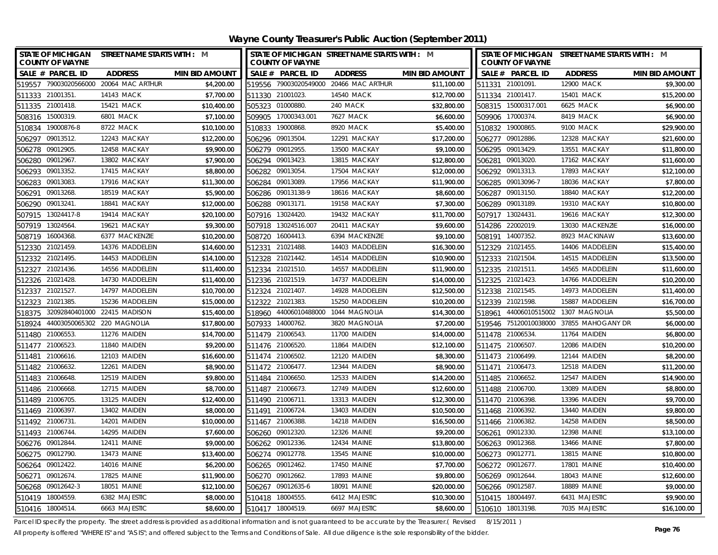| STATE OF MICHIGAN STREET NAME STARTS WITH : M<br><b>COUNTY OF WAYNE</b> |                              |                       |                  | STATE OF MICHIGAN STREET NAME STARTS WITH : M<br><b>COUNTY OF WAYNE</b> |                                        |                       |        | STATE OF MICHIGAN STREET NAME STARTS WITH : M<br><b>COUNTY OF WAYNE</b> |                                         |                       |  |
|-------------------------------------------------------------------------|------------------------------|-----------------------|------------------|-------------------------------------------------------------------------|----------------------------------------|-----------------------|--------|-------------------------------------------------------------------------|-----------------------------------------|-----------------------|--|
| SALE # PARCEL ID                                                        | <b>ADDRESS</b>               | <b>MIN BID AMOUNT</b> |                  | SALE # PARCEL ID                                                        | <b>ADDRESS</b>                         | <b>MIN BID AMOUNT</b> |        | SALE # PARCEL ID                                                        | <b>ADDRESS</b>                          | <b>MIN BID AMOUNT</b> |  |
| 519557 79003020566000                                                   | 20064 MAC ARTHUR             | \$4,200.00            |                  |                                                                         | 519556 79003020549000 20466 MAC ARTHUR | \$11,100.00           |        | 511331 21001091.                                                        | 12900 MACK                              | \$9,300.00            |  |
| 511333 21001351                                                         | 14143 MACK                   | \$7,700.00            |                  | 511330 21001023.                                                        | 14540 MACK                             | \$12,700.00           |        | 511334 21001417.                                                        | 15401 MACK                              | \$15,200.00           |  |
| 511335 21001418.                                                        | 15421 MACK                   | \$10,400.00           |                  | 505323 01000880.                                                        | 240 MACK                               | \$32,800.00           |        | 508315 15000317.001                                                     | <b>6625 MACK</b>                        | \$6,900.00            |  |
| 508316 15000319.                                                        | <b>6801 MACK</b>             | \$7,100.00            |                  | 509905 17000343.001                                                     | 7627 MACK                              | \$6,600.00            |        | 509906 17000374.                                                        | 8419 MACK                               | \$6,900.00            |  |
| 510834 19000876-8                                                       | 8722 MACK                    | \$10,100.00           |                  | 510833 19000868                                                         | 8920 MACK                              | \$5,400.00            |        | 510832 19000865.                                                        | 9100 MACK                               | \$29,900.00           |  |
| 09013512.<br>506297                                                     | 12243 MACKAY                 | \$12,200.00           |                  | 506296 09013504                                                         | 12291 MACKAY                           | \$17,200.00           |        | 506277 09012886.                                                        | 12328 MACKAY                            | \$21,600.00           |  |
| 506278 09012905.                                                        | 12458 MACKAY                 | \$9,900.00            |                  | 506279 09012955.                                                        | 13500 MACKAY                           | \$9,100.00            |        | 506295 09013429.                                                        | 13551 MACKAY                            | \$11,800.00           |  |
| 506280 09012967.                                                        | 13802 MACKAY                 | \$7,900.00            | 506294 09013423  |                                                                         | 13815 MACKAY                           | \$12,800.00           |        | 506281 09013020.                                                        | 17162 MACKAY                            | \$11,600.00           |  |
| 506293 09013352.                                                        | 17415 MACKAY                 | \$8,800.00            | 506282 09013054  |                                                                         | 17504 MACKAY                           | \$12,000.00           |        | 506292 09013313.                                                        | 17893 MACKAY                            | \$12,100.00           |  |
| 506283<br>09013083                                                      | 17916 MACKAY                 | \$11,300.00           |                  | 506284 09013089.                                                        | 17956 MACKAY                           | \$11,900.00           |        | 506285 09013096-7                                                       | 18036 MACKAY                            | \$7,800.00            |  |
| 506291<br>09013268                                                      | 18519 MACKAY                 | \$5,900.00            |                  | 506286 09013138-9                                                       | 18616 MACKAY                           | \$8,600.00            |        | 506287 09013150.                                                        | 18840 MACKAY                            | \$12,200.00           |  |
| 506290 09013241.                                                        | 18841 MACKAY                 | \$12,000.00           |                  | 506288 09013171.                                                        | 19158 MACKAY                           | \$7,300.00            |        | 506289 09013189.                                                        | 19310 MACKAY                            | \$10,800.00           |  |
| 13024417-8<br>507915                                                    | 19414 MACKAY                 | \$20,100.00           | 507916 13024420  |                                                                         | 19432 MACKAY                           | \$11,700.00           |        | 507917 13024431.                                                        | 19616 MACKAY                            | \$12,300.00           |  |
| 13024564<br>507919                                                      | 19621 MACKAY                 | \$9,300.00            | 507918           | 13024516.007                                                            | 20411 MACKAY                           | \$9,600.00            |        | 514286 22002019.                                                        | 13030 MACKENZIE                         | \$16,000.00           |  |
| 16004368<br>508719                                                      | 6377 MACKENZIE               | \$10,200.00           | 508720           | 16004413.                                                               | 6394 MACKENZIE                         | \$9,100.00            |        | 508191 14007352.                                                        | 8923 MACKINAW                           | \$13,600.00           |  |
| 512330 21021459.                                                        | 14376 MADDELEIN              | \$14,600.00           |                  | 512331 21021488.                                                        | 14403 MADDELEIN                        | \$16,300.00           |        | 512329 21021455.                                                        | 14406 MADDELEIN                         | \$15,400.00           |  |
| 21021495<br>512332                                                      | 14453 MADDELEIN              | \$14,100.00           |                  | 512328 21021442.                                                        | 14514 MADDELEIN                        | \$10,900.00           |        | 512333 21021504                                                         | 14515 MADDELEIN                         | \$13,500.00           |  |
| 21021436<br>512327                                                      | 14556 MADDELEIN              | \$11,400.00           |                  | 512334 21021510.                                                        | 14557 MADDELEIN                        | \$11,900.00           |        | 512335 21021511.                                                        | 14565 MADDELEIN                         | \$11,600.00           |  |
| 512326 21021428                                                         | 14730 MADDELEIN              | \$11,400.00           |                  | 512336 21021519.                                                        | 14737 MADDELEIN                        | \$14,000.00           |        | 512325 21021423.                                                        | 14766 MADDELEIN                         | \$10,200.00           |  |
| 512337 21021527                                                         | 14797 MADDELEIN              | \$10,700.00           |                  | 512324 21021407.                                                        | 14928 MADDELEIN                        | \$12,500.00           |        | 512338 21021545.                                                        | 14973 MADDELEIN                         | \$11,400.00           |  |
| 21021385<br>512323                                                      | 15236 MADDELEIN              | \$15,000.00           | 512322           | 21021383                                                                | 15250 MADDELEIN                        | \$10,200.00           |        | 512339 21021598.                                                        | 15887 MADDELEIN                         | \$16,700.00           |  |
| 518375                                                                  | 32092840401000 22415 MADISON | \$15,400.00           | 518960           | 44006010488000                                                          | 1044 MAGNOLIA                          | \$14,300.00           | 518961 |                                                                         | 44006010515002 1307 MAGNOLIA            | \$5,500.00            |  |
| 44003050065302 220 MAGNOLIA<br>518924                                   |                              | \$17,800.00           | 507933           | 14000762.                                                               | 3820 MAGNOLIA                          | \$7,200.00            |        |                                                                         | 519546 75120010038000 37855 MAHOGANY DR | \$6,000.00            |  |
| 511480 21006553.                                                        | 11276 MAIDEN                 | \$14,700.00           | 511479 21006543  |                                                                         | 11700 MAIDEN                           | \$14,000.00           |        | 511478 21006534.                                                        | 11764 MAIDEN                            | \$6,800.00            |  |
| 21006523<br>511477                                                      | 11840 MAIDEN                 | \$9,200.00            |                  | 511476 21006520.                                                        | 11864 MAIDEN                           | \$12,100.00           |        | 511475 21006507.                                                        | 12086 MAIDEN                            | \$10,200.00           |  |
| 511481<br>21006616                                                      | 12103 MAIDEN                 | \$16,600.00           |                  | 511474 21006502.                                                        | 12120 MAIDEN                           | \$8,300.00            |        | 511473 21006499.                                                        | 12144 MAIDEN                            | \$8,200.00            |  |
| 511482 21006632.                                                        | 12261 MAIDEN                 | \$8,900.00            | 511472 21006477  |                                                                         | 12344 MAIDEN                           | \$8,900.00            |        | 511471 21006473.                                                        | 12518 MAIDEN                            | \$11,200.00           |  |
| 511483 21006648                                                         | 12519 MAIDEN                 | \$9,800.00            | 511484 21006650  |                                                                         | 12533 MAIDEN                           | \$14,200.00           |        | 511485 21006652.                                                        | 12547 MAIDEN                            | \$14,900.00           |  |
| 511486 21006668                                                         | 12715 MAIDEN                 | \$8,700.00            | 511487 21006673  |                                                                         | 12749 MAIDEN                           | \$12,600.00           |        | 511488 21006700.                                                        | 13089 MAIDEN                            | \$8,800.00            |  |
| 511489 21006705                                                         | 13125 MAIDEN                 | \$12,400.00           | 511490 21006711  |                                                                         | 13313 MAIDEN                           | \$12,300.00           |        | 511470 21006398.                                                        | 13396 MAIDEN                            | \$9,700.00            |  |
| 511469 21006397.                                                        | 13402 MAIDEN                 | \$8,000.00            | 511491 21006724  |                                                                         | 13403 MAIDEN                           | \$10,500.00           |        | 511468 21006392.                                                        | 13440 MAIDEN                            | \$9,800.00            |  |
| 511492 21006731.                                                        | 14201 MAIDEN                 | \$10,000.00           | 511467 21006388  |                                                                         | 14218 MAIDEN                           | \$16,500.00           |        | 511466 21006382.                                                        | 14258 MAIDEN                            | \$8,500.00            |  |
| 511493 21006744                                                         | 14295 MAIDEN                 | \$7,600.00            |                  | 506260 09012320.                                                        | 12326 MAINE                            | \$9,200.00            |        | 506261 09012330.                                                        | 12398 MAINE                             | \$13,100.00           |  |
| 506276 09012844.                                                        | 12411 MAINE                  | \$9,000.00            |                  | 506262 09012336.                                                        | 12434 MAINE                            | \$13,800.00           |        | 506263 09012368.                                                        | 13466 MAINE                             | \$7,800.00            |  |
| 506275 09012790.                                                        | 13473 MAINE                  | \$13,400.00           | 506274 09012778  |                                                                         | 13545 MAINE                            | \$10,000.00           |        | 506273 09012771.                                                        | 13815 MAINE                             | \$10,800.00           |  |
| 506264 09012422                                                         | 14016 MAINE                  | \$6,200.00            | 506265 09012462  |                                                                         | 17450 MAINE                            | \$7,700.00            |        | 506272 09012677.                                                        | 17801 MAINE                             | \$10,400.00           |  |
| 09012674<br>506271                                                      | 17825 MAINE                  | \$11,900.00           | 506270           | 09012662                                                                | 17893 MAINE                            | \$9,800.00            |        | 506269 09012644.                                                        | 18043 MAINE                             | \$12,600.00           |  |
| 506268 09012642-3                                                       | 18051 MAINE                  | \$12,100.00           |                  | 506267 09012635-6                                                       | 18091 MAINE                            | \$20,000.00           |        | 506266 09012587.                                                        | 18889 MAINE                             | \$9,000.00            |  |
| 510419 18004559                                                         | 6382 MAJESTIC                | \$8,000.00            | 510418 18004555  |                                                                         | 6412 MAJESTIC                          | \$10,300.00           |        | 510415 18004497.                                                        | 6431 MAJESTIC                           | \$9,900.00            |  |
| 510416 18004514                                                         | 6663 MAJESTIC                | \$8,600.00            | 510417 18004519. |                                                                         | 6697 MAJESTIC                          | \$8,600.00            |        | 510610 18013198.                                                        | 7035 MAJESTIC                           | \$16,100.00           |  |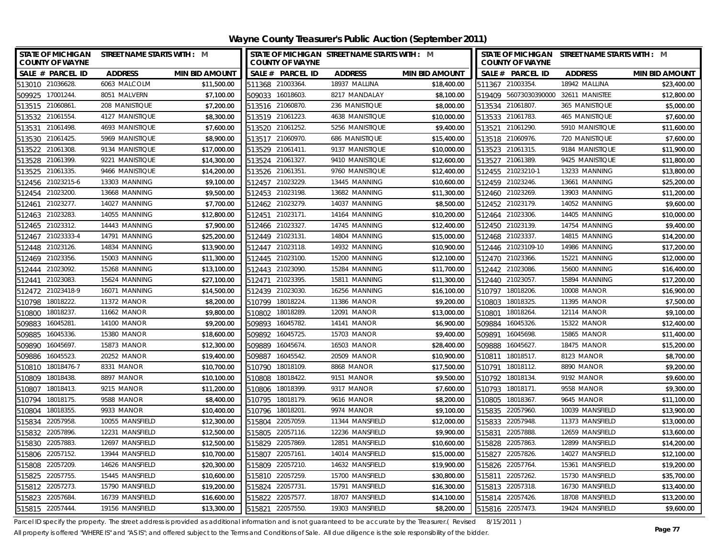| STATE OF MICHIGAN STREET NAME STARTS WITH : M<br><b>COUNTY OF WAYNE</b> |                    |                       | STATE OF MICHIGAN STREET NAME STARTS WITH : M<br><b>COUNTY OF WAYNE</b> |                       |                       | STATE OF MICHIGAN STREET NAME STARTS WITH : M<br><b>COUNTY OF WAYNE</b> |                 |                       |  |
|-------------------------------------------------------------------------|--------------------|-----------------------|-------------------------------------------------------------------------|-----------------------|-----------------------|-------------------------------------------------------------------------|-----------------|-----------------------|--|
| SALE # PARCEL ID                                                        | <b>ADDRESS</b>     | <b>MIN BID AMOUNT</b> | SALE # PARCEL ID                                                        | <b>ADDRESS</b>        | <b>MIN BID AMOUNT</b> | SALE # PARCEL ID                                                        | <b>ADDRESS</b>  | <b>MIN BID AMOUNT</b> |  |
| 513010 21036628                                                         | 6063 MALCOLM       | \$11,500.00           | 511368 21003364.                                                        | 18937 MALLINA         | \$18,400.00           | 511367 21003354.                                                        | 18942 MALLINA   | \$23,400.00           |  |
| 509925 17001244.                                                        | 8051 MALVERN       | \$7,100.00            | 509033 16018603.                                                        | 8217 MANDALAY         | \$8,100.00            | 519409 56073030390000                                                   | 32611 MANISTEE  | \$12,800.00           |  |
| 513515 21060861                                                         | 208 MANISTIQUE     | \$7,200.00            | 513516 21060870.                                                        | 236 MANISTIQUE        | \$8,000.00            | 513534 21061807.                                                        | 365 MANISTIQUE  | \$5,000.00            |  |
| 513532 21061554                                                         | 4127 MANISTIQUE    | \$8,300.00            | 513519 21061223                                                         | 4638 MANISTIQUE       | \$10,000.00           | 513533 21061783.                                                        | 465 MANISTIQUE  | \$7,600.00            |  |
| 513531 21061498                                                         | 4693 MANISTIQUE    | \$7,600.00            | 513520 21061252                                                         | 5256 MANISTIQUE       | \$9,400.00            | 513521 21061290.                                                        | 5910 MANISTIQUE | \$11,600.00           |  |
| 513530 21061425.                                                        | 5969 MANISTIQUE    | \$8,900.00            | 513517 21060970.                                                        | <b>686 MANISTIQUE</b> | \$15,400.00           | 513518 21060976.                                                        | 720 MANISTIQUE  | \$7,600.00            |  |
| 513522 21061308                                                         | 9134 MANISTIQUE    | \$17,000.00           | 513529 21061411.                                                        | 9137 MANISTIQUE       | \$10,000.00           | 513523 21061315.                                                        | 9184 MANISTIQUE | \$11,900.00           |  |
| 513528 21061399.                                                        | 9221 MANISTIQUE    | \$14,300.00           | 513524 21061327.                                                        | 9410 MANISTIQUE       | \$12,600.00           | 513527 21061389.                                                        | 9425 MANISTIQUE | \$11,800.00           |  |
| 21061335<br>513525                                                      | 9466 MANISTIQUE    | \$14,200.00           | 513526 21061351                                                         | 9760 MANISTIQUE       | \$12,400.00           | 512455 21023210-1                                                       | 13233 MANNING   | \$13,800.00           |  |
| 512456 21023215-6                                                       | 13303 MANNING      | \$9,100.00            | 512457 21023229                                                         | 13445 MANNING         | \$10,600.00           | 512459 21023246.                                                        | 13661 MANNING   | \$25,200.00           |  |
| 512454 21023200                                                         | 13668 MANNING      | \$9,500.00            | 512453 21023198.                                                        | 13682 MANNING         | \$11,300.00           | 512460 21023269.                                                        | 13903 MANNING   | \$11,200.00           |  |
| 512461 21023277.                                                        | 14027 MANNING      | \$7,700.00            | 512462 21023279.                                                        | 14037 MANNING         | \$8,500.00            | 512452 21023179.                                                        | 14052 MANNING   | \$9,600.00            |  |
| 21023283<br>512463                                                      | 14055 MANNING      | \$12,800.00           | 512451 21023171.                                                        | 14164 MANNING         | \$10,200.00           | 512464 21023306.                                                        | 14405 MANNING   | \$10,000.00           |  |
| 21023312.<br>512465                                                     | 14443 MANNING      | \$7,900.00            | 512466 21023327.                                                        | 14745 MANNING         | \$12,400.00           | 512450 21023139.                                                        | 14754 MANNING   | \$9,400.00            |  |
| 512467 21023333-4                                                       | 14791 MANNING      | \$25,200.00           | 512449 21023131                                                         | 14804 MANNING         | \$15,000.00           | 512468 21023337.                                                        | 14815 MANNING   | \$14,200.00           |  |
| 512448 21023126.                                                        | 14834 MANNING      | \$13,900.00           | 512447 21023118.                                                        | 14932 MANNING         | \$10,900.00           | 512446 21023109-10                                                      | 14986 MANNING   | \$17,200.00           |  |
| 21023356.<br>512469                                                     | 15003 MANNING      | \$11,300.00           | 512445 21023100.                                                        | 15200 MANNING         | \$12,100.00           | 512470 21023366.                                                        | 15221 MANNING   | \$12,000.00           |  |
| 512444 21023092.                                                        | 15268 MANNING      | \$13,100.00           | 512443 21023090.                                                        | 15284 MANNING         | \$11,700.00           | 512442 21023086.                                                        | 15600 MANNING   | \$16,400.00           |  |
| 512441 21023083.                                                        | 15624 MANNING      | \$27,100.00           | 512471 21023395.                                                        | 15811 MANNING         | \$11,300.00           | 512440 21023057.                                                        | 15894 MANNING   | \$17,200.00           |  |
| 512472 21023418-9                                                       | 16071 MANNING      | \$14,500.00           | 512439 21023030                                                         | 16256 MANNING         | \$16,100.00           | 510797 18018206.                                                        | 10008 MANOR     | \$16,900.00           |  |
| 18018222.<br>510798                                                     | 11372 MANOR        | \$8,200.00            | 510799<br>18018224                                                      | 11386 MANOR           | \$9,200.00            | 18018325.<br>510803                                                     | 11395 MANOR     | \$7,500.00            |  |
| 18018237.<br>510800                                                     | 11662 MANOR        | \$9,800.00            | 18018289<br>510802                                                      | 12091 MANOR           | \$13,000.00           | 18018264<br>510801                                                      | 12114 MANOR     | \$9,100.00            |  |
| 509883 16045281.                                                        | 14100 MANOR        | \$9,200.00            | 509893 16045782.                                                        | 14141 MANOR           | \$6,900.00            | 509884 16045326.                                                        | 15322 MANOR     | \$12,400.00           |  |
| 509885<br>16045336                                                      | <b>15380 MANOR</b> | \$18,600.00           | 509892 16045725                                                         | 15703 MANOR           | \$9,400.00            | 509891 16045698.                                                        | 15865 MANOR     | \$11,400.00           |  |
| 509890<br>16045697.                                                     | 15873 MANOR        | \$12,300.00           | 509889 16045674.                                                        | 16503 MANOR           | \$28,400.00           | 509888 16045627.                                                        | 18475 MANOR     | \$15,200.00           |  |
| 509886 16045523                                                         | 20252 MANOR        | \$19,400.00           | 509887 16045542.                                                        | 20509 MANOR           | \$10,900.00           | 510811 18018517.                                                        | 8123 MANOR      | \$8,700.00            |  |
| 510810 18018476-7                                                       | 8331 MANOR         | \$10,700.00           | 510790 18018109                                                         | 8868 MANOR            | \$17,500.00           | 510791 18018112.                                                        | 8890 MANOR      | \$9,200.00            |  |
| 510809 18018438                                                         | 8897 MANOR         | \$10,100.00           | 510808 18018422                                                         | 9151 MANOR            | \$9,500.00            | 510792 18018134                                                         | 9192 MANOR      | \$9,600.00            |  |
| 18018413.<br>510807                                                     | 9215 MANOR         | \$11,200.00           | 18018399<br>510806                                                      | 9317 MANOR            | \$7,600.00            | 510793 18018171.                                                        | 9558 MANOR      | \$9,300.00            |  |
| 18018175<br>510794                                                      | 9588 MANOR         | \$8,400.00            | 510795 18018179                                                         | 9616 MANOR            | \$8,200.00            | 510805 18018367.                                                        | 9645 MANOR      | \$11,100.00           |  |
| 18018355<br>510804                                                      | 9933 MANOR         | \$10,400.00           | 510796 18018201                                                         | 9974 MANOR            | \$9,100.00            | 515835 22057960.                                                        | 10039 MANSFIELD | \$13,900.00           |  |
| 515834 22057958.                                                        | 10055 MANSFIELD    | \$12,300.00           | 515804 22057059                                                         | 11344 MANSFIELD       | \$12,000.00           | 515833 22057948.                                                        | 11373 MANSFIELD | \$13,000.00           |  |
| 22057896<br>515832                                                      | 12231 MANSFIELD    | \$12,500.00           | 515805<br>22057116.                                                     | 12236 MANSFIELD       | \$9,900.00            | 22057888.<br>515831                                                     | 12659 MANSFIELD | \$13,600.00           |  |
| 515830 22057883                                                         | 12697 MANSFIELD    | \$12,500.00           | 515829 22057869                                                         | 12851 MANSFIELD       | \$10,600.00           | 515828 22057863.                                                        | 12899 MANSFIELD | \$14,200.00           |  |
| 515806 22057152.                                                        | 13944 MANSFIELD    | \$10,700.00           | 515807 22057161                                                         | 14014 MANSFIELD       | \$15,000.00           | 515827 22057826.                                                        | 14027 MANSFIELD | \$12,100.00           |  |
| 22057209<br>515808                                                      | 14626 MANSFIELD    | \$20,300.00           | 22057210.<br>515809                                                     | 14632 MANSFIELD       | \$19,900.00           | 515826 22057764                                                         | 15361 MANSFIELD | \$19,200.00           |  |
| 22057755<br>515825                                                      | 15445 MANSFIELD    | \$10,600.00           | 22057259.<br>515810                                                     | 15700 MANSFIELD       | \$30,800.00           | 515811<br>22057262.                                                     | 15730 MANSFIELD | \$35,700.00           |  |
| 22057273<br>515812                                                      | 15790 MANSFIELD    | \$19,200.00           | 22057731<br>515824                                                      | 15791 MANSFIELD       | \$16,300.00           | 22057318.<br>515813                                                     | 16730 MANSFIELD | \$13,400.00           |  |
| 22057684<br>515823                                                      | 16739 MANSFIELD    | \$16,600.00           | 22057577<br>515822                                                      | 18707 MANSFIELD       | \$14,100.00           | 515814 22057426.                                                        | 18708 MANSFIELD | \$13,200.00           |  |
| 515815 22057444                                                         | 19156 MANSFIELD    | \$13,300.00           | 22057550.<br>515821                                                     | 19303 MANSFIELD       | \$8,200.00            | 515816 22057473.                                                        | 19424 MANSFIELD | \$9,600.00            |  |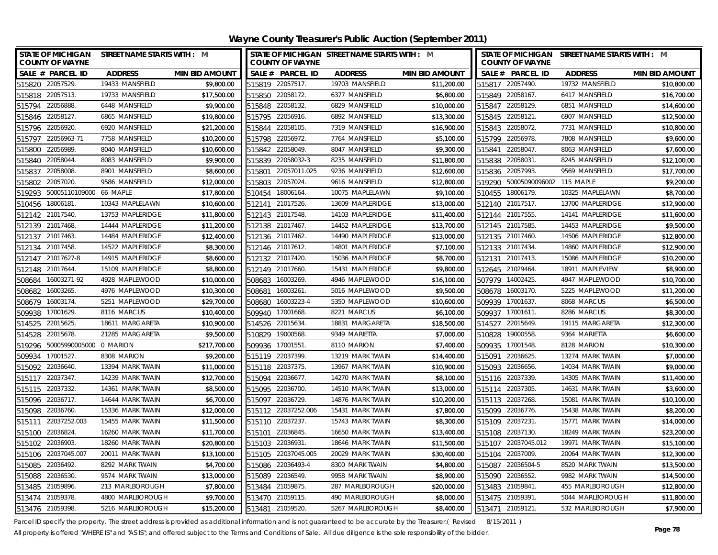| <b>STATE OF MICHIGAN</b><br><b>COUNTY OF WAYNE</b> | STREET NAME STARTS WITH : M |                       | <b>COUNTY OF WAYNE</b> | STATE OF MICHIGAN STREET NAME STARTS WITH : M |                       | STATE OF MICHIGAN STREET NAME STARTS WITH : M<br><b>COUNTY OF WAYNE</b> |                  |                       |  |
|----------------------------------------------------|-----------------------------|-----------------------|------------------------|-----------------------------------------------|-----------------------|-------------------------------------------------------------------------|------------------|-----------------------|--|
| SALE # PARCEL ID                                   | <b>ADDRESS</b>              | <b>MIN BID AMOUNT</b> | SALE # PARCEL ID       | <b>ADDRESS</b>                                | <b>MIN BID AMOUNT</b> | SALE # PARCEL ID                                                        | <b>ADDRESS</b>   | <b>MIN BID AMOUNT</b> |  |
| 515820 22057529.                                   | 19433 MANSFIELD             | \$9,800.00            | 515819 22057517.       | 19703 MANSFIELD                               | \$11,200.00           | 515817 22057490.                                                        | 19732 MANSFIELD  | \$10,800.00           |  |
| 515818 22057513.                                   | 19733 MANSFIELD             | \$17,500.00           | 515850 22058172.       | 6377 MANSFIELD                                | \$6,800.00            | 515849 22058167.                                                        | 6417 MANSFIELD   | \$16,700.00           |  |
| 515794 22056888.                                   | 6448 MANSFIELD              | \$9,900.00            | 515848 22058132.       | 6829 MANSFIELD                                | \$10,000.00           | 515847 22058129.                                                        | 6851 MANSFIELD   | \$14,600.00           |  |
| 515846 22058127.                                   | 6865 MANSFIELD              | \$19,800.00           | 515795 22056916.       | 6892 MANSFIELD                                | \$13,300.00           | 515845 22058121.                                                        | 6907 MANSFIELD   | \$12,500.00           |  |
| 515796 22056920.                                   | 6920 MANSFIELD              | \$21,200.00           | 515844 22058105.       | 7319 MANSFIELD                                | \$16,900.00           | 515843 22058072.                                                        | 7731 MANSFIELD   | \$10,800.00           |  |
| 515797<br>22056963-71                              | 7758 MANSFIELD              | \$10,200.00           | 515798 22056972.       | 7764 MANSFIELD                                | \$5,100.00            | 515799 22056978.                                                        | 7808 MANSFIELD   | \$9,600.00            |  |
| 22056989<br>515800                                 | 8040 MANSFIELD              | \$10,600.00           | 515842 22058049.       | 8047 MANSFIELD                                | \$9,300.00            | 515841 22058047.                                                        | 8063 MANSFIELD   | \$7,600.00            |  |
| 515840 22058044.                                   | 8083 MANSFIELD              | \$9,900.00            | 515839 22058032-3      | 8235 MANSFIELD                                | \$11,800.00           | 515838 22058031.                                                        | 8245 MANSFIELD   | \$12,100.00           |  |
| 22058008<br>515837                                 | 8901 MANSFIELD              | \$8,600.00            | 22057011.025<br>515801 | 9236 MANSFIELD                                | \$12,600.00           | 515836 22057993.                                                        | 9569 MANSFIELD   | \$17,700.00           |  |
| 22057020<br>515802                                 | 9586 MANSFIELD              | \$12,000.00           | 515803 22057024.       | 9616 MANSFIELD                                | \$12,800.00           | 519290 50005090096002 115 MAPLE                                         |                  | \$9,200.00            |  |
| 50005110109000 66 MAPLE<br>519293                  |                             | \$17,800.00           | 510454 18006164.       | 10075 MAPLELAWN                               | \$9,100.00            | 510455 18006179.                                                        | 10325 MAPLELAWN  | \$8,700.00            |  |
| 18006181<br>510456                                 | 10343 MAPLELAWN             | \$10,600.00           | 512141 21017526.       | 13609 MAPLERIDGE                              | \$13,000.00           | 512140 21017517.                                                        | 13700 MAPLERIDGE | \$12,900.00           |  |
| 21017540<br>512142                                 | 13753 MAPLERIDGE            | \$11,800.00           | 512143 21017548.       | 14103 MAPLERIDGE                              | \$11,400.00           | 512144 21017555.                                                        | 14141 MAPLERIDGE | \$11,600.00           |  |
| 512139<br>21017468                                 | 14444 MAPLERIDGE            | \$11,200.00           | 512138 21017467.       | 14452 MAPLERIDGE                              | \$13,700.00           | 512145 21017585.                                                        | 14453 MAPLERIDGE | \$9,500.00            |  |
| 512137<br>21017463                                 | 14484 MAPLERIDGE            | \$12,400.00           | 512136 21017462.       | 14490 MAPLERIDGE                              | \$13,000.00           | 512135 21017460.                                                        | 14506 MAPLERIDGE | \$12,800.00           |  |
| 512134 21017458.                                   | 14522 MAPLERIDGE            | \$8,300.00            | 512146 21017612.       | 14801 MAPLERIDGE                              | \$7,100.00            | 512133 21017434.                                                        | 14860 MAPLERIDGE | \$12,900.00           |  |
| 21017627-8<br>512147                               | 14915 MAPLERIDGE            | \$8,600.00            | 512132 21017420.       | 15036 MAPLERIDGE                              | \$8,700.00            | 512131 21017413.                                                        | 15086 MAPLERIDGE | \$10,200.00           |  |
| 21017644.<br>512148                                | 15109 MAPLERIDGE            | \$8,800.00            | 512149 21017660.       | 15431 MAPLERIDGE                              | \$9,800.00            | 512645 21029464.                                                        | 18911 MAPLEVIEW  | \$8,900.00            |  |
| 16003271-92<br>508684                              | 4928 MAPLEWOOD              | \$10,000.00           | 16003269.<br>508683    | 4946 MAPLEWOOD                                | \$16,100.00           | 507979 14002425.                                                        | 4947 MAPLEWOOD   | \$10,700.00           |  |
| 16003265.<br>508682                                | 4976 MAPLEWOOD              | \$10,300.00           | 16003261<br>508681     | 5016 MAPLEWOOD                                | \$9,500.00            | 508678 16003170.                                                        | 5225 MAPLEWOOD   | \$11,200.00           |  |
| 16003174.<br>508679                                | 5251 MAPLEWOOD              | \$29,700.00           | 16003223-4<br>508680   | 5350 MAPLEWOOD                                | \$10,600.00           | 509939 17001637.                                                        | 8068 MARCUS      | \$6,500.00            |  |
| 17001629.<br>509938                                | 8116 MARCUS                 | \$10,400.00           | 509940<br>17001668.    | 8221 MARCUS                                   | \$6,100.00            | 509937<br>17001611.                                                     | 8286 MARCUS      | \$8,300.00            |  |
| 22015625<br>514525                                 | 18611 MARGARETA             | \$10,900.00           | 22015634<br>514526     | 18831 MARGARETA                               | \$18,500.00           | 22015649.<br>514527                                                     | 19115 MARGARETA  | \$12,300.00           |  |
| 22015678<br>514528                                 | 21285 MARGARETA             | \$9,500.00            | 510829 19000568.       | 9349 MARIETTA                                 | \$7,000.00            | 19000558<br>510828                                                      | 9364 MARIETTA    | \$6,600.00            |  |
| 50005990005000 0 MARION<br>519296                  |                             | \$217,700.00          | 509936 17001551.       | 8110 MARION                                   | \$7,400.00            | 17001548.<br>509935                                                     | 8128 MARION      | \$10,300.00           |  |
| 509934 17001527.                                   | 8308 MARION                 | \$9,200.00            | 515119 22037399.       | 13219 MARK TWAIN                              | \$14,400.00           | 515091<br>22036625                                                      | 13274 MARK TWAIN | \$7,000.00            |  |
| 515092 22036640.                                   | 13394 MARK TWAIN            | \$11,000.00           | 515118 22037375.       | 13967 MARK TWAIN                              | \$10,900.00           | 515093 22036656.                                                        | 14034 MARK TWAIN | \$9,000.00            |  |
| 515117 22037347.                                   | 14239 MARK TWAIN            | \$12,700.00           | 515094 22036677.       | 14270 MARK TWAIN                              | \$8,100.00            | 515116 22037339                                                         | 14305 MARK TWAIN | \$11,400.00           |  |
| 515115 22037332.                                   | 14361 MARK TWAIN            | \$8,500.00            | 515095 22036700.       | 14510 MARK TWAIN                              | \$13,000.00           | 515114 22037305.                                                        | 14631 MARK TWAIN | \$3,600.00            |  |
| 515096 22036717.                                   | 14644 MARK TWAIN            | \$6,700.00            | 515097 22036729.       | 14876 MARK TWAIN                              | \$10,200.00           | 515113 22037268.                                                        | 15081 MARK TWAIN | \$10,100.00           |  |
| 515098 22036760.                                   | 15336 MARK TWAIN            | \$12,000.00           | 515112 22037252.006    | 15431 MARK TWAIN                              | \$7,800.00            | 515099 22036776.                                                        | 15438 MARK TWAIN | \$8,200.00            |  |
| 22037252.003<br>515111                             | 15455 MARK TWAIN            | \$11,500.00           | 515110 22037237.       | 15743 MARK TWAIN                              | \$8,300.00            | 515109 22037231                                                         | 15771 MARK TWAIN | \$14,000.00           |  |
| 515100 22036824.                                   | 16260 MARK TWAIN            | \$11,700.00           | 515101 22036845.       | 16650 MARK TWAIN                              | \$13,400.00           | 515108 22037130.                                                        | 18249 MARK TWAIN | \$23,200.00           |  |
| 515102 22036903.                                   | 18260 MARK TWAIN            | \$20,800.00           | 515103 22036931        | 18646 MARK TWAIN                              | \$11,500.00           | 515107 22037045.012                                                     | 19971 MARK TWAIN | \$15,100.00           |  |
| 515106 22037045.007                                | 20011 MARK TWAIN            | \$13,100.00           | 515105 22037045.005    | 20029 MARK TWAIN                              | \$30,400.00           | 515104 22037009                                                         | 20064 MARK TWAIN | \$12,300.00           |  |
| 22036492<br>515085                                 | 8292 MARK TWAIN             | \$4,700.00            | 515086 22036493-4      | 8300 MARK TWAIN                               | \$4,800.00            | 515087 22036504-5                                                       | 8520 MARK TWAIN  | \$13,500.00           |  |
| 515088<br>22036530                                 | 9574 MARK TWAIN             | \$13,000.00           | 515089 22036549.       | 9958 MARK TWAIN                               | \$8,900.00            | 515090 22036552.                                                        | 9982 MARK TWAIN  | \$14,500.00           |  |
| 513485 21059896.                                   | 213 MARLBOROUGH             | \$7,800.00            | 513484 21059875.       | 287 MARLBOROUGH                               | \$20,000.00           | 513483 21059841.                                                        | 455 MARLBOROUGH  | \$12,800.00           |  |
| 513474 21059378.                                   | 4800 MARLBOROUGH            | \$9,700.00            | 513470 21059115.       | 490 MARLBOROUGH                               | \$8,000.00            | 513475 21059391.                                                        | 5044 MARLBOROUGH | \$11,800.00           |  |
| 513476 21059398.                                   | 5216 MARLBOROUGH            | \$15,200.00           | 513481 21059520.       | 5267 MARLBOROUGH                              | \$8,400.00            | 513471 21059121.                                                        | 532 MARLBOROUGH  | \$7,900.00            |  |

Parcel ID specify the property. The street address is provided as additional information and is not guaranteed to be accurate by the Treasurer.(Revised 8/15/2011)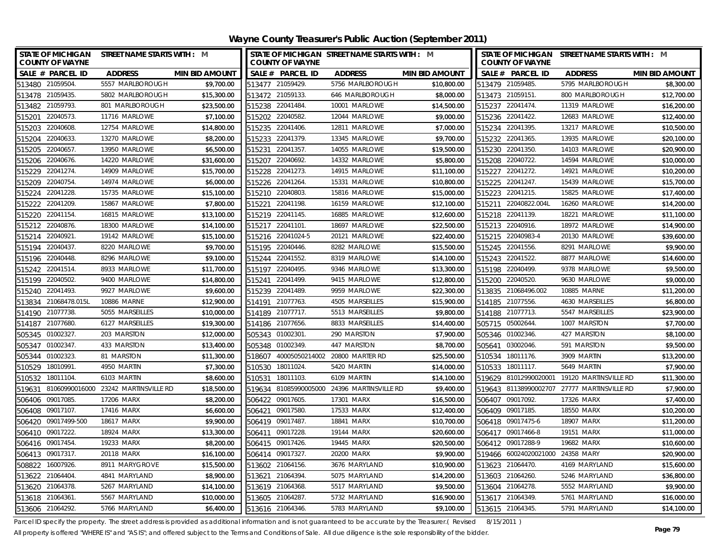| <b>COUNTY OF WAYNE</b>                      | STATE OF MICHIGAN STREET NAME STARTS WITH : M |                       |                  | STATE OF MICHIGAN STREET NAME STARTS WITH : M<br><b>COUNTY OF WAYNE</b> |                                             |                       |                  | STATE OF MICHIGAN STREET NAME STARTS WITH : M<br><b>COUNTY OF WAYNE</b> |                                             |                       |  |
|---------------------------------------------|-----------------------------------------------|-----------------------|------------------|-------------------------------------------------------------------------|---------------------------------------------|-----------------------|------------------|-------------------------------------------------------------------------|---------------------------------------------|-----------------------|--|
| SALE # PARCEL ID                            | <b>ADDRESS</b>                                | <b>MIN BID AMOUNT</b> |                  | SALE # PARCEL ID                                                        | <b>ADDRESS</b>                              | <b>MIN BID AMOUNT</b> |                  | SALE # PARCEL ID                                                        | <b>ADDRESS</b>                              | <b>MIN BID AMOUNT</b> |  |
| 513480 21059504                             | 5557 MARLBOROUGH                              | \$9,700.00            |                  | 513477 21059429.                                                        | 5756 MARLBOROUGH                            | \$10,800.00           | 513479 21059485. |                                                                         | 5795 MARLBOROUGH                            | \$8,300.00            |  |
| 513478 21059435.                            | 5802 MARLBOROUGH                              | \$15,300.00           | 513472 21059133. |                                                                         | 646 MARLBOROUGH                             | \$8,000.00            | 513473 21059151. |                                                                         | 800 MARLBOROUGH                             | \$12,700.00           |  |
| 513482 21059793.                            | 801 MARLBOROUGH                               | \$23,500.00           | 515238 22041484  |                                                                         | 10001 MARLOWE                               | \$14,500.00           | 515237 22041474. |                                                                         | 11319 MARLOWE                               | \$16,200.00           |  |
| 515201 22040573.                            | 11716 MARLOWE                                 | \$7,100.00            | 515202 22040582  |                                                                         | 12044 MARLOWE                               | \$9,000.00            | 515236 22041422. |                                                                         | 12683 MARLOWE                               | \$12,400.00           |  |
| 515203 22040608                             | 12754 MARLOWE                                 | \$14,800.00           | 515235 22041406  |                                                                         | 12811 MARLOWE                               | \$7,000.00            | 515234 22041395. |                                                                         | 13217 MARLOWE                               | \$10,500.00           |  |
| 22040633<br>515204                          | 13270 MARLOWE                                 | \$8,200.00            | 515233 22041379. |                                                                         | 13345 MARLOWE                               | \$9,700.00            | 515232 22041365. |                                                                         | 13935 MARLOWE                               | \$20,100.00           |  |
| 515205<br>22040657.                         | 13950 MARLOWE                                 | \$6,500.00            | 515231 22041357  |                                                                         | 14055 MARLOWE                               | \$19,500.00           | 515230 22041350. |                                                                         | 14103 MARLOWE                               | \$20,900.00           |  |
| 515206 22040676.                            | 14220 MARLOWE                                 | \$31,600.00           | 515207 22040692. |                                                                         | 14332 MARLOWE                               | \$5,800.00            | 515208 22040722. |                                                                         | 14594 MARLOWE                               | \$10,000.00           |  |
| 22041274<br>515229                          | 14909 MARLOWE                                 | \$15,700.00           | 515228 22041273  |                                                                         | 14915 MARLOWE                               | \$11,100.00           | 515227 22041272. |                                                                         | 14921 MARLOWE                               | \$10,200.00           |  |
| 22040754<br>515209                          | 14974 MARLOWE                                 | \$6,000.00            | 515226 22041264. |                                                                         | 15331 MARLOWE                               | \$10,800.00           | 515225 22041247. |                                                                         | 15439 MARLOWE                               | \$15,700.00           |  |
| 22041228<br>515224                          | 15735 MARLOWE                                 | \$15,100.00           | 515210 22040803  |                                                                         | 15816 MARLOWE                               | \$15,000.00           | 515223 22041215. |                                                                         | 15825 MARLOWE                               | \$17,400.00           |  |
| 515222 22041209.                            | 15867 MARLOWE                                 | \$7,800.00            | 515221 22041198  |                                                                         | 16159 MARLOWE                               | \$12,100.00           |                  | 515211 22040822.004L                                                    | 16260 MARLOWE                               | \$14,200.00           |  |
| 22041154<br>515220                          | 16815 MARLOWE                                 | \$13,100.00           | 515219 22041145. |                                                                         | 16885 MARLOWE                               | \$12,600.00           | 515218 22041139. |                                                                         | 18221 MARLOWE                               | \$11,100.00           |  |
| 22040876.<br>515212                         | 18300 MARLOWE                                 | \$14,100.00           | 515217 22041101. |                                                                         | 18697 MARLOWE                               | \$22,500.00           | 515213 22040916. |                                                                         | 18972 MARLOWE                               | \$14,900.00           |  |
| 22040921<br>515214                          | 19142 MARLOWE                                 | \$15,100.00           |                  | 515216 22041024-5                                                       | 20121 MARLOWE                               | \$22,400.00           |                  | 515215 22040983-4                                                       | 20130 MARLOWE                               | \$39,600.00           |  |
| 22040437.<br>515194                         | 8220 MARLOWE                                  | \$9,700.00            |                  | 515195 22040446.                                                        | 8282 MARLOWE                                | \$15,500.00           | 515245 22041556. |                                                                         | 8291 MARLOWE                                | \$9,900.00            |  |
| 22040448<br>515196                          | 8296 MARLOWE                                  | \$9,100.00            | 515244 22041552. |                                                                         | 8319 MARLOWE                                | \$14,100.00           | 515243 22041522. |                                                                         | 8877 MARLOWE                                | \$14,600.00           |  |
| 22041514.<br>515242                         | 8933 MARLOWE                                  | \$11,700.00           | 515197           | 22040495.                                                               | 9346 MARLOWE                                | \$13,300.00           | 515198 22040499. |                                                                         | 9378 MARLOWE                                | \$9,500.00            |  |
| 515199 22040502.                            | 9400 MARLOWE                                  | \$14,800.00           | 515241           | 22041499.                                                               | 9415 MARLOWE                                | \$12,800.00           | 515200 22040520. |                                                                         | 9630 MARLOWE                                | \$9,000.00            |  |
| 515240 22041493.                            | 9927 MARLOWE                                  | \$9,600.00            | 515239 22041489. |                                                                         | 9959 MARLOWE                                | \$22,300.00           |                  | 513835 21068496.002                                                     | 10885 MARNE                                 | \$11,200.00           |  |
| 21068478.015L<br>513834                     | 10886 MARNE                                   | \$12,900.00           | 514191           | 21077763                                                                | 4505 MARSEILLES                             | \$15,900.00           | 514185 21077556. |                                                                         | 4630 MARSEILLES                             | \$6,800.00            |  |
| 21077738<br>514190                          | 5055 MARSEILLES                               | \$10,000.00           | 514189           | 21077717.                                                               | 5513 MARSEILLES                             | \$9,800.00            | 514188 21077713. |                                                                         | 5547 MARSEILLES                             | \$23,900.00           |  |
| 514187 21077680.                            | 6127 MARSEILLES                               | \$19,300.00           | 514186           | 21077656.                                                               | 8833 MARSEILLES                             | \$14,400.00           | 505715 05002644. |                                                                         | 1007 MARSTON                                | \$7,700.00            |  |
| 505345 01002327                             | 203 MARSTON                                   | \$12,000.00           | 505343 01002301  |                                                                         | 290 MARSTON                                 | \$7,900.00            | 505346 01002346. |                                                                         | 427 MARSTON                                 | \$8,100.00            |  |
| 505347 01002347.                            | 433 MARSTON                                   | \$13,400.00           | 505348           | 01002349.                                                               | 447 MARSTON                                 | \$8,700.00            | 505641           | 03002046.                                                               | 591 MARSTON                                 | \$9,500.00            |  |
| 505344 01002323                             | 81 MARSTON                                    | \$11,300.00           | 518607           |                                                                         | 40005050214002 20800 MARTER RD              | \$25,500.00           | 510534 18011176. |                                                                         | 3909 MARTIN                                 | \$13,200.00           |  |
| 510529 18010991                             | 4950 MARTIN                                   | \$7,300.00            | 510530 18011024  |                                                                         | 5420 MARTIN                                 | \$14,000.00           | 510533 18011117. |                                                                         | 5649 MARTIN                                 | \$7,900.00            |  |
| 510532 18011104                             | 6103 MARTIN                                   | \$8,600.00            | 510531 18011103. |                                                                         | 6109 MARTIN                                 | \$14,100.00           |                  |                                                                         | 519629 81012990020001 19120 MARTINSVILLE RD | \$11,300.00           |  |
| 519631 81060990016000 23242 MARTINSVILLE RD |                                               | \$18,500.00           |                  |                                                                         | 519634 81085990005000 24396 MARTINSVILLE RD | \$9,400.00            |                  |                                                                         | 519643 81138990002707 27777 MARTINSVILLE RD | \$7,900.00            |  |
| 506406 09017085.                            | 17206 MARX                                    | \$8,200.00            | 506422 09017605  |                                                                         | 17301 MARX                                  | \$16,500.00           | 506407 09017092. |                                                                         | 17326 MARX                                  | \$7,400.00            |  |
| 506408 09017107.                            | 17416 MARX                                    | \$6,600.00            | 506421 09017580. |                                                                         | 17533 MARX                                  | \$12,400.00           | 506409 09017185. |                                                                         | 18550 MARX                                  | \$10,200.00           |  |
| 506420 09017499-500                         | 18617 MARX                                    | \$9,900.00            | 506419 09017487  |                                                                         | 18841 MARX                                  | \$10,700.00           |                  | 506418 09017475-6                                                       | 18907 MARX                                  | \$11,200.00           |  |
| 506410 09017222.                            | 18924 MARX                                    | \$13,300.00           | 506411 09017228  |                                                                         | 19144 MARX                                  | \$20,600.00           |                  | 506417 09017466-8                                                       | 19151 MARX                                  | \$11,000.00           |  |
| 506416 09017454                             | 19233 MARX                                    | \$8,200.00            | 506415 09017426  |                                                                         | 19445 MARX                                  | \$20,500.00           |                  | 506412 09017288-9                                                       | 19682 MARX                                  | \$10,600.00           |  |
| 506413 09017317.                            | 20118 MARX                                    | \$16,100.00           | 506414 09017327  |                                                                         | 20200 MARX                                  | \$9,900.00            |                  | 519466 60024020021000 24358 MARY                                        |                                             | \$20,900.00           |  |
| 508822 16007926.                            | 8911 MARYGROVE                                | \$15,500.00           | 513602 21064156  |                                                                         | 3676 MARYLAND                               | \$10,900.00           | 513623 21064470. |                                                                         | 4169 MARYLAND                               | \$15,600.00           |  |
| 21064404<br>513622                          | 4841 MARYLAND                                 | \$8,900.00            | 513621 21064394  |                                                                         | 5075 MARYLAND                               | \$14,200.00           | 513603 21064260. |                                                                         | 5246 MARYLAND                               | \$36,800.00           |  |
| 513620 21064378                             | 5267 MARYLAND                                 | \$14,100.00           | 513619 21064368  |                                                                         | 5517 MARYLAND                               | \$9,500.00            | 513604 21064278. |                                                                         | 5552 MARYLAND                               | \$9,900.00            |  |
| 513618 21064361                             | 5567 MARYLAND                                 | \$10,000.00           | 513605 21064287  |                                                                         | 5732 MARYLAND                               | \$16,900.00           | 513617 21064349. |                                                                         | 5761 MARYLAND                               | \$16,000.00           |  |
| 513606 21064292                             | 5766 MARYLAND                                 | \$6,400.00            | 513616 21064346. |                                                                         | 5783 MARYLAND                               | \$9,100.00            | 513615 21064345. |                                                                         | 5791 MARYLAND                               | \$14,100.00           |  |

Parcel ID specify the property. The street address is provided as additional information and is not guaranteed to be accurate by the Treasurer.(Revised 8/15/2011)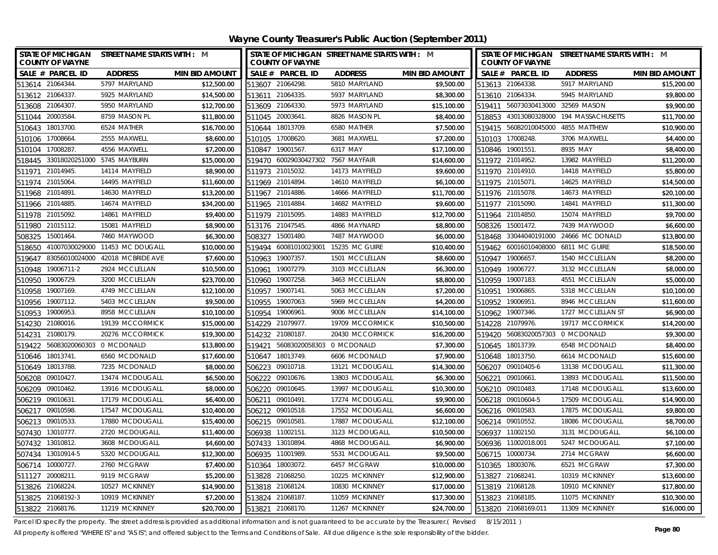**Wayne County Treasurer's Public Auction (September 2011)**

|                  | <b>STATE OF MICHIGAN</b><br><b>COUNTY OF WAYNE</b> | STREET NAME STARTS WITH : M      |                       |        | STATE OF MICHIGAN STREET NAME STARTS WITH : M<br><b>COUNTY OF WAYNE</b> |                 |                       | STATE OF MICHIGAN STREET NAME STARTS WITH : M<br><b>COUNTY OF WAYNE</b> |                                   |                                       |                       |
|------------------|----------------------------------------------------|----------------------------------|-----------------------|--------|-------------------------------------------------------------------------|-----------------|-----------------------|-------------------------------------------------------------------------|-----------------------------------|---------------------------------------|-----------------------|
|                  | SALE # PARCEL ID                                   | <b>ADDRESS</b>                   | <b>MIN BID AMOUNT</b> |        | SALE # PARCEL ID                                                        | <b>ADDRESS</b>  | <b>MIN BID AMOUNT</b> |                                                                         | SALE # PARCEL ID                  | <b>ADDRESS</b>                        | <b>MIN BID AMOUNT</b> |
| 513614 21064344. |                                                    | 5797 MARYLAND                    | \$12,500.00           |        | 513607 21064298.                                                        | 5810 MARYLAND   | \$9,500.00            |                                                                         | 513613 21064338.                  | 5917 MARYLAND                         | \$15,200.00           |
| 513612 21064337. |                                                    | 5925 MARYLAND                    | \$14,500.00           |        | 513611 21064335.                                                        | 5937 MARYLAND   | \$8,300.00            |                                                                         | 513610 21064334.                  | 5945 MARYLAND                         | \$9,800.00            |
| 513608 21064307. |                                                    | 5950 MARYLAND                    | \$12,700.00           |        | 513609 21064330.                                                        | 5973 MARYLAND   | \$15,100.00           |                                                                         | 519411 56073030413000 32569 MASON |                                       | \$9,900.00            |
| 511044 20003584. |                                                    | 8759 MASON PL                    | \$11,800.00           |        | 511045 20003641                                                         | 8826 MASON PL   | \$8,400.00            |                                                                         | 518853 43013080328000             | 194 MASSACHUSETTS                     | \$11,700.00           |
| 510643           | 18013700                                           | 6524 MATHER                      | \$16,700.00           |        | 510644 18013709                                                         | 6580 MATHER     | \$7,500.00            |                                                                         | 519415 56082010045000             | 4855 MATTHEW                          | \$10,900.00           |
| 510106 17008664. |                                                    | 2555 MAXWELL                     | \$8,600.00            |        | 510105 17008620.                                                        | 3681 MAXWELL    | \$7,200.00            |                                                                         | 510103 17008248.                  | 3706 MAXWELL                          | \$4,400.00            |
| 510104 17008287. |                                                    | 4556 MAXWELL                     | \$7,200.00            |        | 510847 19001567.                                                        | 6317 MAY        | \$17,100.00           |                                                                         | 510846 19001551.                  | 8935 MAY                              | \$8,400.00            |
|                  | 518445 33018020251000 5745 MAYBURN                 |                                  | \$15,000.00           |        | 519470 60029030427302 7567 MAYFAIR                                      |                 | \$14,600.00           |                                                                         | 511972 21014952.                  | 13982 MAYFIELD                        | \$11,200.00           |
| 511971           | 21014945.                                          | 14114 MAYFIELD                   | \$8,900.00            |        | 511973 21015032.                                                        | 14173 MAYFIELD  | \$9,600.00            |                                                                         | 511970 21014910.                  | 14418 MAYFIELD                        | \$5,800.00            |
| 511974 21015064. |                                                    | 14495 MAYFIELD                   | \$11,600.00           |        | 511969 21014894.                                                        | 14610 MAYFIELD  | \$6,100.00            |                                                                         | 511975 21015071.                  | 14625 MAYFIELD                        | \$14,500.00           |
| 511968 21014891  |                                                    | 14630 MAYFIELD                   | \$13,200.00           |        | 511967 21014886.                                                        | 14666 MAYFIELD  | \$11,700.00           |                                                                         | 511976 21015078.                  | 14673 MAYFIELD                        | \$20,100.00           |
| 511966 21014885. |                                                    | 14674 MAYFIELD                   | \$34,200.00           |        | 511965 21014884                                                         | 14682 MAYFIELD  | \$9,600.00            |                                                                         | 511977 21015090.                  | 14841 MAYFIELD                        | \$11,300.00           |
| 511978           | 21015092                                           | 14861 MAYFIELD                   | \$9,400.00            |        | 511979 21015095.                                                        | 14883 MAYFIELD  | \$12,700.00           |                                                                         | 511964 21014850.                  | 15074 MAYFIELD                        | \$9,700.00            |
| 511980           | 21015112.                                          | 15081 MAYFIELD                   | \$8,900.00            |        | 513176 21047545.                                                        | 4866 MAYNARD    | \$8,800.00            |                                                                         | 508326 15001472.                  | 7439 MAYWOOD                          | \$6,600.00            |
| 508325           | 15001464.                                          | 7460 MAYWOOD                     | \$6,300.00            | 508327 | 15001480.                                                               | 7487 MAYWOOD    | \$6,000.00            |                                                                         |                                   | 518468 33044040191000 24666 MC DONALD | \$13,800.00           |
| 518650           |                                                    | 41007030029000 11453 MC DOUGALL  | \$10,000.00           | 519494 | 60081010023001                                                          | 15235 MC GUIRE  | \$10,400.00           |                                                                         | 519462 60016010408000             | 6811 MC GUIRE                         | \$18,500.00           |
| 519647           |                                                    | 83056010024000 42018 MCBRIDE AVE | \$7,600.00            | 510963 | 19007357                                                                | 1501 MCCLELLAN  | \$8,600.00            |                                                                         | 510947 19006657.                  | 1540 MCCLELLAN                        | \$8,200.00            |
| 510948           | 19006711-2                                         | 2924 MCCLELLAN                   | \$10,500.00           | 510961 | 19007279.                                                               | 3103 MCCLELLAN  | \$6,300.00            |                                                                         | 510949 19006727.                  | 3132 MCCLELLAN                        | \$8,000.00            |
| 510950 19006729. |                                                    | 3200 MCCLELLAN                   | \$23,700.00           |        | 510960 19007258.                                                        | 3463 MCCLELLAN  | \$8,800.00            |                                                                         | 510959 19007183.                  | 4551 MCCLELLAN                        | \$5,000.00            |
| 510958 19007169. |                                                    | 4749 MCCLELLAN                   | \$12,100.00           |        | 510957 19007141                                                         | 5063 MCCLELLAN  | \$7,200.00            |                                                                         | 510951 19006865.                  | 5318 MCCLELLAN                        | \$10,100.00           |
| 510956           | 19007112.                                          | 5403 MCCLELLAN                   | \$9,500.00            | 510955 | 19007063.                                                               | 5969 MCCLELLAN  | \$4,200.00            |                                                                         | 510952 19006951.                  | 8946 MCCLELLAN                        | \$11,600.00           |
| 510953 19006953. |                                                    | 8958 MCCLELLAN                   | \$10,100.00           |        | 510954 19006961                                                         | 9006 MCCLELLAN  | \$14,100.00           |                                                                         | 510962 19007346.                  | 1727 MCCLELLAN ST                     | \$6,900.00            |
| 514230 21080016. |                                                    | 19139 MCCORMICK                  | \$15,000.00           |        | 514229 21079977.                                                        | 19709 MCCORMICK | \$10,500.00           |                                                                         | 514228 21079976.                  | 19717 MCCORMICK                       | \$14,200.00           |
| 514231           | 21080179                                           | 20276 MCCORMICK                  | \$19,300.00           |        | 514232 21080187.                                                        | 20430 MCCORMICK | \$16,200.00           |                                                                         | 519420 56083020057303 0 MCDONALD  |                                       | \$9,300.00            |
|                  | 519422 56083020060303 0 MCDONALD                   |                                  | \$13,800.00           | 519421 | 56083020058303 0 MCDONALD                                               |                 | \$7,300.00            |                                                                         | 510645 18013739.                  | 6548 MCDONALD                         | \$8,400.00            |
| 510646 18013741. |                                                    | 6560 MCDONALD                    | \$17,600.00           |        | 510647 18013749.                                                        | 6606 MCDONALD   | \$7,900.00            |                                                                         | 510648 18013750.                  | 6614 MCDONALD                         | \$15,600.00           |
| 510649 18013788. |                                                    | 7235 MCDONALD                    | \$8,000.00            |        | 506223 09010718.                                                        | 13121 MCDOUGALL | \$14,300.00           |                                                                         | 506207 09010405-6                 | 13138 MCDOUGALL                       | \$11,300.00           |
| 506208 09010427. |                                                    | 13474 MCDOUGALL                  | \$6,500.00            |        | 506222 09010676.                                                        | 13803 MCDOUGALL | \$6,300.00            |                                                                         | 506221 09010661                   | 13893 MCDOUGALL                       | \$11,500.00           |
| 506209 09010462. |                                                    | 13916 MCDOUGALL                  | \$8,000.00            |        | 506220 09010645.                                                        | 13997 MCDOUGALL | \$10,300.00           |                                                                         | 506210 09010483.                  | 17148 MCDOUGALL                       | \$13,600.00           |
| 506219 09010631. |                                                    | 17179 MCDOUGALL                  | \$6,400.00            |        | 506211 09010491                                                         | 17274 MCDOUGALL | \$9,900.00            |                                                                         | 506218 09010604-5                 | 17509 MCDOUGALL                       | \$14,900.00           |
| 506217 09010598. |                                                    | 17547 MCDOUGALL                  | \$10,400.00           |        | 506212 09010518.                                                        | 17552 MCDOUGALL | \$6,600.00            |                                                                         | 506216 09010583.                  | 17875 MCDOUGALL                       | \$9,800.00            |
| 506213 09010533. |                                                    | 17880 MCDOUGALL                  | \$15,400.00           |        | 506215 09010581                                                         | 17887 MCDOUGALL | \$12,100.00           |                                                                         | 506214 09010552.                  | 18086 MCDOUGALL                       | \$8,700.00            |
| 507430 13010777  |                                                    | 2720 MCDOUGALL                   | \$11,400.00           |        | 506938 11002151                                                         | 3123 MCDOUGALL  | \$10,500.00           |                                                                         | 506937 11002150.                  | 3131 MCDOUGALL                        | \$6,100.00            |
| 507432 13010812. |                                                    | 3608 MCDOUGALL                   | \$4,600.00            |        | 507433 13010894                                                         | 4868 MCDOUGALL  | \$6,900.00            |                                                                         | 506936 11002018.001               | 5247 MCDOUGALL                        | \$7,100.00            |
|                  | 507434 13010914-5                                  | 5320 MCDOUGALL                   | \$12,300.00           |        | 506935 11001989                                                         | 5531 MCDOUGALL  | \$9,500.00            |                                                                         | 506715 10000734.                  | 2714 MCGRAW                           | \$6,600.00            |
| 506714 10000727. |                                                    | 2760 MCGRAW                      | \$7,400.00            |        | 510364 18003072                                                         | 6457 MCGRAW     | \$10,000.00           |                                                                         | 510365 18003076.                  | 6521 MCGRAW                           | \$7,300.00            |
| 511127           | 20008211                                           | 9119 MCGRAW                      | \$5,200.00            |        | 513828 21068250                                                         | 10225 MCKINNEY  | \$12,900.00           |                                                                         | 513827 21068241.                  | 10319 MCKINNEY                        | \$13,600.00           |
| 513826 21068224. |                                                    | 10527 MCKINNEY                   | \$14,900.00           |        | 513818 21068124.                                                        | 10830 MCKINNEY  | \$17,000.00           |                                                                         | 513819 21068128.                  | 10910 MCKINNEY                        | \$17,800.00           |
|                  | 513825 21068192-3                                  | 10919 MCKINNEY                   | \$7,200.00            |        | 513824 21068187.                                                        | 11059 MCKINNEY  | \$17,300.00           |                                                                         | 513823 21068185.                  | 11075 MCKINNEY                        | \$10,300.00           |
| 513822 21068176. |                                                    | 11219 MCKINNEY                   | \$20,700.00           |        | 513821 21068170.                                                        | 11267 MCKINNEY  | \$24,700.00           |                                                                         | 513820 21068169.011               | 11309 MCKINNEY                        | \$16,000.00           |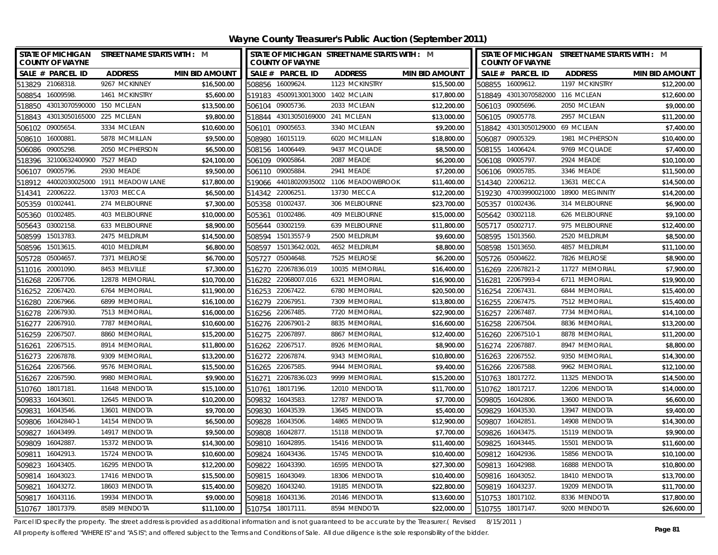| STATE OF MICHIGAN STREET NAME STARTS WITH : M<br><b>COUNTY OF WAYNE</b> |                       |                  | <b>COUNTY OF WAYNE</b>            | STATE OF MICHIGAN STREET NAME STARTS WITH : M |                       |        | <b>COUNTY OF WAYNE</b>           | STATE OF MICHIGAN STREET NAME STARTS WITH : M |                       |
|-------------------------------------------------------------------------|-----------------------|------------------|-----------------------------------|-----------------------------------------------|-----------------------|--------|----------------------------------|-----------------------------------------------|-----------------------|
| SALE # PARCEL ID<br><b>ADDRESS</b>                                      | <b>MIN BID AMOUNT</b> |                  | SALE # PARCEL ID                  | <b>ADDRESS</b>                                | <b>MIN BID AMOUNT</b> |        | SALE # PARCEL ID                 | <b>ADDRESS</b>                                | <b>MIN BID AMOUNT</b> |
| 513829 21068318.<br>9267 MCKINNEY                                       | \$16,500.00           | 508856 16009624. |                                   | 1123 MCKINSTRY                                | \$15,500.00           |        | 508855 16009612.                 | 1197 MCKINSTRY                                | \$12,200.00           |
| 508854 16009598.<br>1461 MCKINSTRY                                      | \$5,600.00            |                  | 519183 45009130013000 1402 MCLAIN |                                               | \$17,800.00           |        | 518849 43013070582000 116 MCLEAN |                                               | \$12,600.00           |
| 518850 43013070590000 150 MCLEAN                                        | \$13,500.00           | 506104 09005736. |                                   | 2033 MCLEAN                                   | \$12,200.00           |        | 506103 09005696.                 | 2050 MCLEAN                                   | \$9,000.00            |
| 518843 43013050165000 225 MCLEAN                                        | \$9,800.00            |                  | 518844 43013050169000 241 MCLEAN  |                                               | \$13,000.00           |        | 506105 09005778.                 | 2957 MCLEAN                                   | \$11,200.00           |
| 3334 MCLEAN<br>506102 09005654.                                         | \$10,600.00           | 506101           | 09005653.                         | 3340 MCLEAN                                   | \$9,200.00            |        | 518842 43013050129000 69 MCLEAN  |                                               | \$7,400.00            |
| 5878 MCMILLAN<br>16000881<br>508610                                     | \$9,500.00            | 508980           | 16015119.                         | 6020 MCMILLAN                                 | \$18,800.00           |        | 506087 09005329.                 | 1981 MCPHERSON                                | \$10,400.00           |
| 2050 MCPHERSON<br>506086<br>09005298                                    | \$6,500.00            | 508156 14006449. |                                   | 9437 MCQUADE                                  | \$8,500.00            |        | 508155 14006424.                 | 9769 MCQUADE                                  | \$7,400.00            |
| 518396 32100632400900 7527 MEAD                                         | \$24,100.00           | 506109 09005864. |                                   | 2087 MEADE                                    | \$6,200.00            |        | 506108 09005797.                 | 2924 MEADE                                    | \$10,100.00           |
| 09005796.<br>2930 MEADE<br>506107                                       | \$9,500.00            | 506110           | 09005884                          | 2941 MEADE                                    | \$7,200.00            |        | 506106 09005785.                 | 3346 MEADE                                    | \$11,500.00           |
| 44002030025000 1911 MEADOW LANE<br>518912                               | \$17,800.00           | 519066           |                                   | 44018020935002 1106 MEADOWBROOK               | \$11,400.00           |        | 514340 22006212.                 | 13631 MECCA                                   | \$14,500.00           |
| 22006222.<br>13703 MECCA<br>514341                                      | \$6,500.00            | 514342 22006251  |                                   | 13730 MECCA                                   | \$12,200.00           |        |                                  | 519230 47003990021000 18900 MEGINNITY         | \$14,200.00           |
| 505359 01002441.<br>274 MELBOURNE                                       | \$7,300.00            | 505358 01002437. |                                   | 306 MELBOURNE                                 | \$23,700.00           |        | 505357 01002436.                 | 314 MELBOURNE                                 | \$6,900.00            |
| 01002485<br>403 MELBOURNE<br>505360                                     | \$10,000.00           | 505361           | 01002486.                         | 409 MELBOURNE                                 | \$15,000.00           |        | 505642 03002118.                 | 626 MELBOURNE                                 | \$9,100.00            |
| 03002158<br>633 MELBOURNE<br>505643                                     | \$8,900.00            | 505644           | 03002159.                         | 639 MELBOURNE                                 | \$11,800.00           |        | 505717 05002717.                 | 975 MELBOURNE                                 | \$12,400.00           |
| 508599 15013783.<br>2475 MELDRUM                                        | \$14,500.00           | 508594           | 15013557-9                        | 2500 MELDRUM                                  | \$9,600.00            | 508595 | 15013560.                        | 2520 MELDRUM                                  | \$8,500.00            |
| 508596 15013615.<br>4010 MELDRUM                                        | \$6,800.00            | 508597           | 15013642.002L                     | 4652 MELDRUM                                  | \$8,800.00            |        | 508598 15013650.                 | 4857 MELDRUM                                  | \$11,100.00           |
| 05004657<br>7371 MELROSE<br>505728                                      | \$6,700.00            | 505727           | 05004648.                         | 7525 MELROSE                                  | \$6,200.00            | 505726 | 05004622.                        | 7826 MELROSE                                  | \$8,900.00            |
| 511016 20001090.<br>8453 MELVILLE                                       | \$7,300.00            | 516270           | 22067836.019                      | 10035 MEMORIAL                                | \$16,400.00           |        | 516269 22067821-2                | 11727 MEMORIAL                                | \$7,900.00            |
| 22067706.<br>12878 MEMORIAL<br>516268                                   | \$10,700.00           | 516282           | 22068007.016                      | 6321 MEMORIAL                                 | \$16,900.00           | 516281 | 22067993-4                       | 6711 MEMORIAL                                 | \$19,900.00           |
| 22067420<br>6764 MEMORIAL<br>516252                                     | \$11,900.00           | 516253           | 22067422.                         | 6780 MEMORIAL                                 | \$20,500.00           |        | 516254 22067431.                 | 6844 MEMORIAL                                 | \$15,400.00           |
| 22067966.<br>6899 MEMORIAL<br>516280                                    | \$16,100.00           | 516279           | 22067951                          | 7309 MEMORIAL                                 | \$13,800.00           | 516255 | 22067475.                        | 7512 MEMORIAL                                 | \$15,400.00           |
| 22067930<br>7513 MEMORIAL<br>516278                                     | \$16,000.00           | 516256           | 22067485.                         | 7720 MEMORIAL                                 | \$22,900.00           |        | 516257 22067487.                 | 7734 MEMORIAL                                 | \$14,100.00           |
| 22067910<br>7787 MEMORIAL<br>516277                                     | \$10,600.00           |                  | 516276 22067901-2                 | 8835 MEMORIAL                                 | \$16,600.00           |        | 516258 22067504.                 | 8836 MEMORIAL                                 | \$13,200.00           |
| 22067507<br>8860 MEMORIAL<br>516259                                     | \$15,200.00           | 516275 22067897  |                                   | 8867 MEMORIAL                                 | \$12,400.00           |        | 516260 22067510-1                | 8878 MEMORIAL                                 | \$11,200.00           |
| 22067515<br>8914 MEMORIAL<br>516261                                     | \$11,800.00           | 516262 22067517. |                                   | 8926 MEMORIAL                                 | \$8,900.00            |        | 516274 22067887.                 | 8947 MEMORIAL                                 | \$8,800.00            |
| 516273 22067878.<br>9309 MEMORIAL                                       | \$13,200.00           | 516272 22067874. |                                   | 9343 MEMORIAL                                 | \$10,800.00           |        | 516263 22067552.                 | 9350 MEMORIAL                                 | \$14,300.00           |
| 516264 22067566.<br>9576 MEMORIAL                                       | \$15,500.00           | 516265 22067585  |                                   | 9944 MEMORIAL                                 | \$9,400.00            |        | 516266 22067588.                 | 9962 MEMORIAL                                 | \$12,100.00           |
| 516267 22067590.<br>9980 MEMORIAL                                       | \$9,900.00            |                  | 516271 22067836.023               | 9999 MEMORIAL                                 | \$15,200.00           |        | 510763 18017272.                 | 11325 MENDOTA                                 | \$14,500.00           |
| 510760<br>18017181<br>11648 MENDOTA                                     | \$15,100.00           | 510761           | 18017196.                         | 12010 MENDOTA                                 | \$11,700.00           |        | 510762 18017217.                 | 12206 MENDOTA                                 | \$14,000.00           |
| 509833 16043601<br>12645 MENDOTA                                        | \$10,200.00           | 509832           | 16043583                          | 12787 MENDOTA                                 | \$7,700.00            |        | 509805 16042806.                 | 13600 MENDOTA                                 | \$6,600.00            |
| 509831<br>16043546<br>13601 MENDOTA                                     | \$9,700.00            | 509830           | 16043539.                         | 13645 MENDOTA                                 | \$5,400.00            |        | 509829 16043530.                 | 13947 MENDOTA                                 | \$9,400.00            |
| 509806 16042840-1<br>14154 MENDOTA                                      | \$6,500.00            | 509828           | 16043506.                         | 14865 MENDOTA                                 | \$12,900.00           |        | 509807 16042851                  | 14908 MENDOTA                                 | \$14,300.00           |
| 509827<br>16043499.<br>14917 MENDOTA                                    | \$9,500.00            | 509808           | 16042877.                         | 15118 MENDOTA                                 | \$7,700.00            | 509826 | 16043475.                        | 15119 MENDOTA                                 | \$9,900.00            |
| 509809 16042887.<br>15372 MENDOTA                                       | \$14,300.00           | 509810           | 16042895.                         | 15416 MENDOTA                                 | \$11,400.00           |        | 509825 16043445.                 | 15501 MENDOTA                                 | \$11,600.00           |
| 16042913.<br>509811<br>15724 MENDOTA                                    | \$10,600.00           | 509824           | 16043436.                         | 15745 MENDOTA                                 | \$10,400.00           |        | 509812 16042936.                 | 15856 MENDOTA                                 | \$10,100.00           |
| 16295 MENDOTA<br>509823<br>16043405.                                    | \$12,200.00           | 509822           | 16043390.                         | 16595 MENDOTA                                 | \$27,300.00           |        | 509813 16042988.                 | 16888 MENDOTA                                 | \$10,800.00           |
| 16043023.<br>509814<br>17416 MENDOTA                                    | \$15,500.00           | 509815           | 16043049.                         | 18306 MENDOTA                                 | \$10,400.00           |        | 509816 16043052.                 | 18410 MENDOTA                                 | \$13,700.00           |
| 16043272.<br>18603 MENDOTA<br>509821                                    | \$15,400.00           | 509820           | 16043240.                         | 19185 MENDOTA                                 | \$22,800.00           |        | 509819 16043237.                 | 19209 MENDOTA                                 | \$11,700.00           |
| 509817 16043116.<br>19934 MENDOTA                                       | \$9,000.00            | 509818           | 16043136.                         | 20146 MENDOTA                                 | \$13,600.00           |        | 510753 18017102.                 | 8336 MENDOTA                                  | \$17,800.00           |
| 510767 18017379.<br>8589 MENDOTA                                        | \$11,100.00           | 510754 18017111  |                                   | 8594 MENDOTA                                  | \$22,000.00           |        | 510755 18017147.                 | 9200 MENDOTA                                  | \$26,600.00           |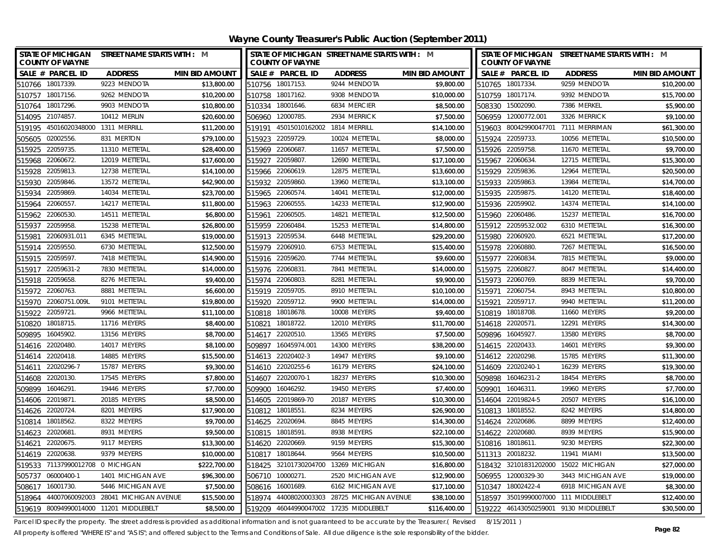**Wayne County Treasurer's Public Auction (September 2011)**

|                  | <b>COUNTY OF WAYNE</b>      | STATE OF MICHIGAN STREET NAME STARTS WITH : M |                       | STATE OF MICHIGAN STREET NAME STARTS WITH : M<br><b>COUNTY OF WAYNE</b> |                    |                                      | STATE OF MICHIGAN STREET NAME STARTS WITH : M<br><b>COUNTY OF WAYNE</b> |                 |                       |                                       |                       |
|------------------|-----------------------------|-----------------------------------------------|-----------------------|-------------------------------------------------------------------------|--------------------|--------------------------------------|-------------------------------------------------------------------------|-----------------|-----------------------|---------------------------------------|-----------------------|
|                  | SALE # PARCEL ID            | <b>ADDRESS</b>                                | <b>MIN BID AMOUNT</b> |                                                                         | SALE # PARCEL ID   | <b>ADDRESS</b>                       | <b>MIN BID AMOUNT</b>                                                   |                 | SALE # PARCEL ID      | <b>ADDRESS</b>                        | <b>MIN BID AMOUNT</b> |
| 510766 18017339. |                             | 9223 MENDOTA                                  | \$13,800.00           |                                                                         | 510756 18017153.   | 9244 MENDOTA                         | \$9,800.00                                                              |                 | 510765 18017334.      | 9259 MENDOTA                          | \$10,200.00           |
| 510757 18017156. |                             | 9262 MENDOTA                                  | \$10,200.00           |                                                                         | 510758 18017162.   | 9308 MENDOTA                         | \$10,000.00                                                             |                 | 510759 18017174.      | 9392 MENDOTA                          | \$15,700.00           |
| 510764           | 18017296.                   | 9903 MENDOTA                                  | \$10,800.00           |                                                                         | 510334 18001646.   | 6834 MERCIER                         | \$8,500.00                                                              |                 | 508330 15002090.      | 7386 MERKEL                           | \$5,900.00            |
| 514095 21074857. |                             | 10412 MERLIN                                  | \$20,600.00           |                                                                         | 506960 12000785.   | 2934 MERRICK                         | \$7,500.00                                                              |                 | 506959 12000772.001   | 3326 MERRICK                          | \$9,100.00            |
| 519195           | 45016020348000 1311 MERRILL |                                               | \$11,200.00           | 519191                                                                  | 45015010162002     | 1814 MERRILL                         | \$14,100.00                                                             |                 | 519603 80042990047701 | 7111 MERRIMAN                         | \$61,300.00           |
| 505605           | 02002556                    | 831 MERTON                                    | \$79,100.00           | 515923                                                                  | 22059729.          | 10024 METTETAL                       | \$8,000.00                                                              |                 | 515924 22059733.      | 10056 METTETAL                        | \$10,500.00           |
| 515925           | 22059735.                   | 11310 METTETAL                                | \$28,400.00           |                                                                         | 515969 22060687.   | 11657 METTETAL                       | \$7,500.00                                                              |                 | 515926 22059758.      | 11670 METTETAL                        | \$9,700.00            |
| 515968           | 22060672.                   | 12019 METTETAL                                | \$17,600.00           | 515927                                                                  | 22059807.          | 12690 METTETAL                       | \$17,100.00                                                             |                 | 515967 22060634.      | 12715 METTETAL                        | \$15,300.00           |
| 515928           | 22059813                    | 12738 METTETAL                                | \$14,100.00           | 515966                                                                  | 22060619.          | 12875 METTETAL                       | \$13,600.00                                                             |                 | 515929 22059836.      | 12964 METTETAL                        | \$20,500.00           |
| 515930           | 22059846                    | 13572 METTETAL                                | \$42,900.00           | 515932                                                                  | 22059860.          | 13960 METTETAL                       | \$13,100.00                                                             | 515933          | 22059863.             | 13984 METTETAL                        | \$14,700.00           |
| 515934           | 22059869.                   | 14034 METTETAL                                | \$23,700.00           |                                                                         | 515965 22060574.   | 14041 METTETAL                       | \$12,000.00                                                             |                 | 515935 22059875.      | 14120 METTETAL                        | \$18,400.00           |
| 515964           | 22060557.                   | 14217 METTETAL                                | \$11,800.00           |                                                                         | 515963 22060555.   | 14233 METTETAL                       | \$12,900.00                                                             |                 | 515936 22059902.      | 14374 METTETAL                        | \$14,100.00           |
| 515962           | 22060530.                   | 14511 METTETAL                                | \$6,800.00            | 515961                                                                  | 22060505           | 14821 METTETAL                       | \$12,500.00                                                             |                 | 515960 22060486.      | 15237 METTETAL                        | \$16,700.00           |
| 515937           | 22059958                    | 15238 METTETAL                                | \$26,800.00           | 515959                                                                  | 22060484           | 15253 METTETAL                       | \$14,800.00                                                             |                 | 515912 22059532.002   | 6310 METTETAL                         | \$16,300.00           |
| 515981           | 22060931.011                | 6345 METTETAL                                 | \$19,000.00           | 515913                                                                  | 22059534           | 6448 METTETAL                        | \$29,200.00                                                             |                 | 515980 22060920.      | 6521 METTETAL                         | \$17,200.00           |
| 515914           | 22059550                    | 6730 METTETAL                                 | \$12,500.00           | 515979                                                                  | 22060910.          | 6753 METTETAL                        | \$15,400.00                                                             | 515978 22060880 |                       | 7267 METTETAL                         | \$16,500.00           |
| 515915           | 22059597                    | 7418 METTETAL                                 | \$14,900.00           | 515916                                                                  | 22059620.          | 7744 METTETAL                        | \$9,600.00                                                              | 515977          | 22060834              | 7815 METTETAL                         | \$9,000.00            |
| 515917           | 22059631-2                  | 7830 METTETAL                                 | \$14,000.00           |                                                                         | 515976 22060831    | 7841 METTETAL                        | \$14,000.00                                                             | 515975 22060827 |                       | 8047 METTETAL                         | \$14,400.00           |
| 515918           | 22059658                    | 8276 METTETAL                                 | \$9,400.00            |                                                                         | 515974 22060803    | 8281 METTETAL                        | \$9,900.00                                                              |                 | 515973 22060769.      | 8839 METTETAL                         | \$9,700.00            |
| 515972           | 22060763                    | 8881 METTETAL                                 | \$6,600.00            | 515919                                                                  | 22059705           | 8910 METTETAL                        | \$10,100.00                                                             |                 | 515971 22060754       | 8943 METTETAL                         | \$10,800.00           |
|                  | 515970 22060751.009L        | 9101 METTETAL                                 | \$19,800.00           | 515920                                                                  | 22059712.          | 9900 METTETAL                        | \$14,000.00                                                             | 515921          | 22059717.             | 9940 METTETAL                         | \$11,200.00           |
| 515922           | 22059721                    | 9966 METTETAL                                 | \$11,100.00           |                                                                         | 510818 18018678    | 10008 MEYERS                         | \$9,400.00                                                              |                 | 510819 18018708.      | 11660 MEYERS                          | \$9,200.00            |
| 510820           | 18018715                    | 11716 MEYERS                                  | \$8,400.00            | 510821                                                                  | 18018722.          | 12010 MEYERS                         | \$11,700.00                                                             |                 | 514618 22020571.      | 12291 MEYERS                          | \$14,300.00           |
| 509895           | 16045902                    | 13156 MEYERS                                  | \$8,700.00            |                                                                         | 514617 22020510.   | 13565 MEYERS                         | \$7,500.00                                                              |                 | 509896 16045927       | 13580 MEYERS                          | \$8,700.00            |
| 514616 22020480. |                             | 14017 MEYERS                                  | \$8,100.00            | 509897                                                                  | 16045974.001       | 14300 MEYERS                         | \$38,200.00                                                             |                 | 514615 22020433.      | 14601 MEYERS                          | \$9,300.00            |
| 514614 22020418. |                             | 14885 MEYERS                                  | \$15,500.00           |                                                                         | 514613 22020402-3  | 14947 MEYERS                         | \$9,100.00                                                              |                 | 514612 22020298.      | 15785 MEYERS                          | \$11,300.00           |
|                  | 514611 22020296-7           | 15787 MEYERS                                  | \$9,300.00            |                                                                         | 514610 22020255-6  | 16179 MEYERS                         | \$24,100.00                                                             |                 | 514609 22020240-1     | 16239 MEYERS                          | \$19,300.00           |
| 514608 22020130  |                             | 17545 MEYERS                                  | \$7,800.00            |                                                                         | 514607 22020070-1  | 18237 MEYERS                         | \$10,300.00                                                             |                 | 509898 16046231-2     | 18454 MEYERS                          | \$8,700.00            |
| 509899           | 16046291.                   | 19446 MEYERS                                  | \$7,700.00            | 509900                                                                  | 16046292.          | 19450 MEYERS                         | \$7,400.00                                                              | 509901          | 16046311.             | 19960 MEYERS                          | \$7,700.00            |
| 514606 22019871. |                             | 20185 MEYERS                                  | \$8,500.00            |                                                                         | 514605 22019869-70 | 20187 MEYERS                         | \$10,300.00                                                             |                 | 514604 22019824-5     | 20507 MEYERS                          | \$16,100.00           |
| 514626 22020724  |                             | 8201 MEYERS                                   | \$17,900.00           |                                                                         | 510812 18018551    | 8234 MEYERS                          | \$26,900.00                                                             |                 | 510813 18018552.      | 8242 MEYERS                           | \$14,800.00           |
| 510814 18018562. |                             | 8322 MEYERS                                   | \$9,700.00            | 514625                                                                  | 22020694           | 8845 MEYERS                          | \$14,300.00                                                             |                 | 514624 22020686.      | 8899 MEYERS                           | \$12,400.00           |
| 514623           | 22020681                    | 8931 MEYERS                                   | \$9,500.00            | 510815                                                                  | 18018591           | 8938 MEYERS                          | \$22,100.00                                                             |                 | 514622 22020680.      | 8939 MEYERS                           | \$15,900.00           |
| 514621           | 22020675                    | 9117 MEYERS                                   | \$13,300.00           |                                                                         | 514620 22020669.   | 9159 MEYERS                          | \$15,300.00                                                             |                 | 510816 18018611.      | 9230 MEYERS                           | \$22,300.00           |
| 514619 22020638. |                             | 9379 MEYERS                                   | \$10,000.00           |                                                                         | 510817 18018644.   | 9564 MEYERS                          | \$10,500.00                                                             |                 | 511313 20018232.      | 11941 MIAMI                           | \$13,500.00           |
| 519533           | 71137990012708 0 MICHIGAN   |                                               | \$222,700.00          | 518425                                                                  |                    | 32101730204700 13269 MICHIGAN        | \$16,800.00                                                             |                 | 518432 32101831202000 | 15022 MICHIGAN                        | \$27,000.00           |
| 505737           | 06000400-1                  | 1401 MICHIGAN AVE                             | \$96,300.00           | 506710                                                                  | 10000271.          | 2520 MICHIGAN AVE                    | \$12,900.00                                                             | 506955          | 12000329-30           | 3443 MICHIGAN AVE                     | \$19,000.00           |
| 508617           | 16001730.                   | 5446 MICHIGAN AVE                             | \$7,500.00            | 508616                                                                  | 16001689.          | 6162 MICHIGAN AVE                    | \$17,100.00                                                             |                 | 510347 18002422-4     | 6918 MICHIGAN AVE                     | \$8,300.00            |
|                  |                             | 518964 44007060092003 28041 MICHIGAN AVENUE   | \$15,500.00           | 518974                                                                  |                    | 44008020003303 28725 MICHIGAN AVENUE | \$38,100.00                                                             | 518597          |                       | 35019990007000 111 MIDDLEBELT         | \$12,400.00           |
|                  |                             | 519619 80094990014000 11201 MIDDLEBELT        | \$8,500.00            | 519209                                                                  |                    | 46044990047002 17235 MIDDLEBELT      | \$116,400.00                                                            |                 |                       | 519222 46143050259001 9130 MIDDLEBELT | \$30,500.00           |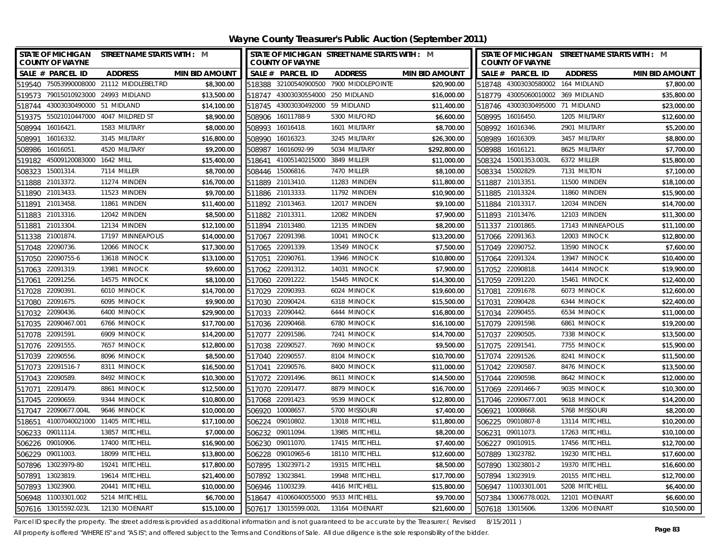| STATE OF MICHIGAN STREET NAME STARTS WITH : M<br><b>COUNTY OF WAYNE</b> |                      | <b>COUNTY OF WAYNE</b>            | STATE OF MICHIGAN STREET NAME STARTS WITH : M |                       |                   | <b>COUNTY OF WAYNE</b>            | STATE OF MICHIGAN STREET NAME STARTS WITH : M |                       |
|-------------------------------------------------------------------------|----------------------|-----------------------------------|-----------------------------------------------|-----------------------|-------------------|-----------------------------------|-----------------------------------------------|-----------------------|
| SALE # PARCEL ID<br><b>ADDRESS</b><br><b>MIN BID AMOUNT</b>             |                      | SALE # PARCEL ID                  | <b>ADDRESS</b>                                | <b>MIN BID AMOUNT</b> |                   | SALE # PARCEL ID                  | <b>ADDRESS</b>                                | <b>MIN BID AMOUNT</b> |
| 519540 75053990008000 21112 MIDDLEBELT RD<br>\$8,300.00                 |                      |                                   | 518388 32100540900500 7900 MIDDLEPOINTE       | \$20,900.00           |                   | 518748 43003030580002 164 MIDLAND |                                               | \$7,800.00            |
| 519573 79015010923000 24993 MIDLAND<br>\$13,500.00                      |                      | 518747 43003030554000 250 MIDLAND |                                               | \$16,000.00           |                   | 518779 43005060010002 369 MIDLAND |                                               | \$35,800.00           |
| 43003030490000 51 MIDLAND<br>\$14,100.00<br>518744                      |                      | 518745 43003030492000 59 MIDLAND  |                                               | \$11,400.00           |                   | 518746 43003030495000 71 MIDLAND  |                                               | \$23,000.00           |
| 519375 55021010447000 4047 MILDRED ST                                   | \$8,900.00           | 508906 16011788-9                 | 5300 MILFORD                                  | \$6,600.00            | 508995 16016450.  |                                   | 1205 MILITARY                                 | \$12,600.00           |
| \$8,000.00<br>508994 16016421<br>1583 MILITARY                          |                      | 508993 16016418.                  | 1601 MILITARY                                 | \$8,700.00            | 508992 16016346.  |                                   | 2901 MILITARY                                 | \$5,200.00            |
| 16016332.<br>\$16,800.00<br>508991<br>3145 MILITARY                     | 508990               | 16016323.                         | 3245 MILITARY                                 | \$26,300.00           | 508989            | 16016309.                         | 3457 MILITARY                                 | \$8,800.00            |
| \$9,200.00<br>508986<br>16016051<br>4520 MILITARY                       | 508987               | 16016092-99                       | 5034 MILITARY                                 | \$292,800.00          | 508988            | 16016121                          | 8625 MILITARY                                 | \$7,700.00            |
| 45009120083000 1642 MILL<br>\$15,400.00<br>519182                       | 518641               | 41005140215000 3849 MILLER        |                                               | \$11,000.00           |                   | 508324 15001353.003L              | 6372 MILLER                                   | \$15,800.00           |
| 15001314.<br>7114 MILLER<br>508323                                      | \$8,700.00           | 508446 15006816.                  | 7470 MILLER                                   | \$8,100.00            | 508334 15002829.  |                                   | 7131 MILTON                                   | \$7,100.00            |
| 21013372.<br>11274 MINDEN<br>\$16,700.00<br>511888                      |                      | 511889 21013410.                  | 11283 MINDEN                                  | \$11,800.00           | 511887 21013351.  |                                   | 11500 MINDEN                                  | \$18,100.00           |
| 511890 21013433.<br>11523 MINDEN<br>\$9,700.00                          |                      | 511886 21013333.                  | 11792 MINDEN                                  | \$10,900.00           | 511885 21013324.  |                                   | 11860 MINDEN                                  | \$15,900.00           |
| 21013458<br>11861 MINDEN<br>\$11,400.00<br>511891                       |                      | 511892 21013463.                  | 12017 MINDEN                                  | \$9,100.00            | 511884 21013317.  |                                   | 12034 MINDEN                                  | \$14,700.00           |
| 21013316<br>12042 MINDEN<br>511883                                      | \$8,500.00<br>511882 | 21013311                          | 12082 MINDEN                                  | \$7,900.00            | 511893 21013476.  |                                   | 12103 MINDEN                                  | \$11,300.00           |
| 21013304.<br>12134 MINDEN<br>\$12,100.00<br>511881                      | 511894               | 21013480                          | 12135 MINDEN                                  | \$8,200.00            | 511337 21001865.  |                                   | 17143 MINNEAPOLIS                             | \$11,100.00           |
| 21001874<br>17197 MINNEAPOLIS<br>\$14,000.00<br>511338                  |                      | 517067 22091398.                  | 10041 MINOCK                                  | \$13,200.00           | 517066 22091363.  |                                   | 12003 MINOCK                                  | \$12,800.00           |
| 22090736.<br>12066 MINOCK<br>\$17,300.00<br>517048                      |                      | 517065 22091339.                  | 13549 MINOCK                                  | \$7,500.00            | 517049 22090752.  |                                   | 13590 MINOCK                                  | \$7,600.00            |
| 22090755-6<br>13618 MINOCK<br>\$13,100.00<br>517050                     | 517051               | 22090761                          | 13946 MINOCK                                  | \$10,800.00           | 517064 22091324.  |                                   | 13947 MINOCK                                  | \$10,400.00           |
| 22091319.<br>13981 MINOCK<br>\$9,600.00<br>517063                       |                      | 517062 22091312.                  | 14031 MINOCK                                  | \$7,900.00            | 517052 22090818.  |                                   | 14414 MINOCK                                  | \$19,900.00           |
| 22091256.<br>14575 MINOCK<br>517061                                     | \$8,100.00           | 517060 22091222.                  | 15445 MINOCK                                  | \$14,300.00           | 517059 22091220.  |                                   | 15461 MINOCK                                  | \$12,400.00           |
| 22090391<br>6010 MINOCK<br>\$14,700.00<br>517028                        | 517029               | 22090393                          | 6024 MINOCK                                   | \$19,600.00           | 517081            | 22091678.                         | 6073 MINOCK                                   | \$12,600.00           |
| 22091675.<br>6095 MINOCK<br>\$9,900.00<br>517080                        | 517030               | 22090424                          | 6318 MINOCK                                   | \$15,500.00           | 517031            | 22090428.                         | 6344 MINOCK                                   | \$22,400.00           |
| 22090436<br>6400 MINOCK<br>\$29,900.00<br>517032                        | 517033               | 22090442.                         | 6444 MINOCK                                   | \$16,800.00           | 517034            | 22090455.                         | 6534 MINOCK                                   | \$11,000.00           |
| 517035 22090467.001<br>6766 MINOCK<br>\$17,700.00                       |                      | 517036 22090468.                  | 6780 MINOCK                                   | \$16,100.00           | 517079 22091598.  |                                   | 6861 MINOCK                                   | \$19,200.00           |
| \$14,200.00<br>517078 22091591<br>6909 MINOCK                           |                      | 517077 22091586                   | 7241 MINOCK                                   | \$14,700.00           | 517037 22090505.  |                                   | 7338 MINOCK                                   | \$13,500.00           |
| \$12,800.00<br>517076 22091555.<br>7657 MINOCK                          |                      | 517038 22090527.                  | 7690 MINOCK                                   | \$9,500.00            | 517075 22091541.  |                                   | 7755 MINOCK                                   | \$15,900.00           |
| \$8,500.00<br>517039 22090556.<br>8096 MINOCK                           |                      | 517040 22090557                   | 8104 MINOCK                                   | \$10,700.00           | 517074 22091526.  |                                   | 8241 MINOCK                                   | \$11,500.00           |
| 8311 MINOCK<br>\$16,500.00<br>517073 22091516-7                         |                      | 517041 22090576.                  | 8400 MINOCK                                   | \$11,000.00           | 517042 22090587.  |                                   | 8476 MINOCK                                   | \$13,500.00           |
| \$10,300.00<br>517043 22090589<br>8492 MINOCK                           |                      | 517072 22091496                   | 8611 MINOCK                                   | \$14,500.00           | 517044 22090598.  |                                   | 8642 MINOCK                                   | \$12,000.00           |
| \$12,500.00<br>517071<br>22091479<br>8861 MINOCK                        |                      | 517070 22091477.                  | 8879 MINOCK                                   | \$16,700.00           | 517069 22091466-7 |                                   | 9035 MINOCK                                   | \$10,300.00           |
| \$10,800.00<br>517045 22090659.<br>9344 MINOCK                          |                      | 517068 22091423                   | 9539 MINOCK                                   | \$12,800.00           |                   | 517046 22090677.001               | 9618 MINOCK                                   | \$14,200.00           |
| \$10,000.00<br>517047 22090677.004L<br>9646 MINOCK                      | 506920               | 10008657                          | 5700 MISSOURI                                 | \$7,400.00            | 506921            | 10008668.                         | 5768 MISSOURI                                 | \$8,200.00            |
| 41007040021000 11405 MITCHELL<br>\$17,100.00<br>518651                  |                      | 506224 09010802                   | 13018 MITCHELL                                | \$11,800.00           |                   | 506225 09010807-8                 | 13114 MITCHELL                                | \$10,200.00           |
| 506233<br>09011114.<br>13857 MITCHELL<br>\$7,000.00                     | 506232               | 09011094.                         | 13985 MITCHELL                                | \$8,200.00            | 506231            | 09011073.                         | 17263 MITCHELL                                | \$10,100.00           |
| 506226 09010906.<br>17400 MITCHELL<br>\$16,900.00                       |                      | 506230 09011070.                  | 17415 MITCHELL                                | \$7,400.00            | 506227 09010915.  |                                   | 17456 MITCHELL                                | \$12,700.00           |
| \$13,800.00<br>506229 09011003.<br>18099 MITCHELL                       |                      | 506228 09010965-6                 | 18110 MITCHELL                                | \$12,600.00           | 507889            | 13023782.                         | 19230 MITCHELL                                | \$17,600.00           |
| 507896 13023979-80<br>19241 MITCHELL<br>\$17,800.00                     |                      | 507895 13023971-2                 | 19315 MITCHELL                                | \$8,500.00            |                   | 507890 13023801-2                 | 19370 MITCHELL                                | \$16,600.00           |
| 13023819.<br>19614 MITCHELL<br>\$21,400.00<br>507891                    | 507892               | 13023841.                         | 19948 MITCHELL                                | \$17,700.00           | 507894            | 13023919.                         | 20155 MITCHELL                                | \$12,700.00           |
| 13023900<br>20441 MITCHELL<br>\$10,000.00<br>507893                     | 506946               | 11003239.                         | 4416 MITCHELL                                 | \$15,800.00           |                   | 506947 11003301.001               | 5208 MITCHELL                                 | \$6,400.00            |
| 506948 11003301.002<br>5214 MITCHELL                                    | \$6,700.00<br>518647 | 41006040055000 9533 MITCHELL      |                                               | \$9,700.00            |                   | 507384 13006778.002L              | 12101 MOENART                                 | \$6,600.00            |
| \$15,100.00<br>507616 13015592.023L<br>12130 MOENART                    |                      | 507617 13015599.002L              | 13164 MOENART                                 | \$21,600.00           | 507618 13015606.  |                                   | 13206 MOENART                                 | \$10,500.00           |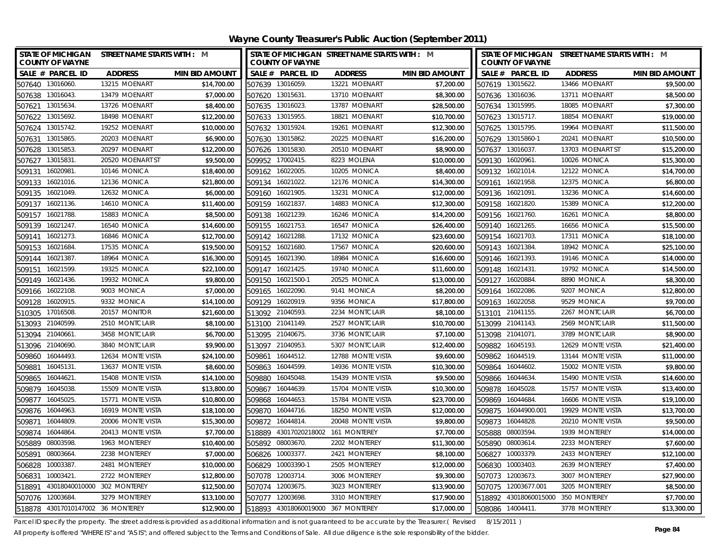| STATE OF MICHIGAN STREET NAME STARTS WITH : M<br><b>COUNTY OF WAYNE</b> |                   |                       | STATE OF MICHIGAN STREET NAME STARTS WITH : M<br><b>COUNTY OF WAYNE</b> |                  |                                    |                       |                  | STATE OF MICHIGAN STREET NAME STARTS WITH : M<br><b>COUNTY OF WAYNE</b> |                                    |                       |
|-------------------------------------------------------------------------|-------------------|-----------------------|-------------------------------------------------------------------------|------------------|------------------------------------|-----------------------|------------------|-------------------------------------------------------------------------|------------------------------------|-----------------------|
| SALE # PARCEL ID                                                        | <b>ADDRESS</b>    | <b>MIN BID AMOUNT</b> |                                                                         | SALE # PARCEL ID | <b>ADDRESS</b>                     | <b>MIN BID AMOUNT</b> |                  | SALE # PARCEL ID                                                        | <b>ADDRESS</b>                     | <b>MIN BID AMOUNT</b> |
| 507640 13016060.                                                        | 13215 MOENART     | \$14,700.00           | 507639 13016059                                                         |                  | 13221 MOENART                      | \$7,200.00            |                  | 507619 13015622.                                                        | 13466 MOENART                      | \$9,500.00            |
| 507638 13016043.                                                        | 13479 MOENART     | \$7,000.00            | 507620 13015631                                                         |                  | 13710 MOENART                      | \$8,300.00            |                  | 507636 13016036.                                                        | 13711 MOENART                      | \$8,500.00            |
| 507621 13015634                                                         | 13726 MOENART     | \$8,400.00            | 507635 13016023                                                         |                  | 13787 MOENART                      | \$28,500.00           |                  | 507634 13015995.                                                        | 18085 MOENART                      | \$7,300.00            |
| 507622 13015692.                                                        | 18498 MOENART     | \$12,200.00           | 507633 13015955                                                         |                  | 18821 MOENART                      | \$10,700.00           |                  | 507623 13015717.                                                        | 18854 MOENART                      | \$19,000.00           |
| 507624 13015742                                                         | 19252 MOENART     | \$10,000.00           | 507632 13015924                                                         |                  | 19261 MOENART                      | \$12,300.00           |                  | 507625 13015795.                                                        | 19964 MOENART                      | \$11,500.00           |
| 13015865<br>507631                                                      | 20203 MOENART     | \$6,900.00            | 507630 13015862                                                         |                  | 20225 MOENART                      | \$16,200.00           |                  | 507629 13015860-1                                                       | 20241 MOENART                      | \$10,500.00           |
| 13015853<br>507628                                                      | 20297 MOENART     | \$12,200.00           | 507626 13015830.                                                        |                  | 20510 MOENART                      | \$8,900.00            |                  | 507637 13016037.                                                        | 13703 MOENART ST                   | \$15,200.00           |
| 13015831<br>507627                                                      | 20520 MOENART ST  | \$9,500.00            | 509952 17002415.                                                        |                  | 8223 MOLENA                        | \$10,000.00           |                  | 509130 16020961.                                                        | 10026 MONICA                       | \$15,300.00           |
| 16020981<br>509131                                                      | 10146 MONICA      | \$18,400.00           | 509162 16022005                                                         |                  | 10205 MONICA                       | \$8,400.00            |                  | 509132 16021014.                                                        | 12122 MONICA                       | \$14,700.00           |
| 16021016.<br>509133                                                     | 12136 MONICA      | \$21,800.00           | 509134 16021022.                                                        |                  | 12176 MONICA                       | \$14,300.00           |                  | 509161 16021958.                                                        | 12375 MONICA                       | \$6,800.00            |
| 509135<br>16021049.                                                     | 12632 MONICA      | \$6,000.00            | 509160                                                                  | 16021905.        | 13231 MONICA                       | \$12,000.00           |                  | 509136 16021091.                                                        | 13236 MONICA                       | \$14,600.00           |
| 16021136.<br>509137                                                     | 14610 MONICA      | \$11,400.00           | 509159 16021837.                                                        |                  | 14883 MONICA                       | \$12,300.00           |                  | 509158 16021820.                                                        | 15389 MONICA                       | \$12,200.00           |
| 16021788<br>509157                                                      | 15883 MONICA      | \$8,500.00            | 509138                                                                  | 16021239         | 16246 MONICA                       | \$14,200.00           | 509156           | 16021760.                                                               | 16261 MONICA                       | \$8,800.00            |
| 16021247.<br>509139                                                     | 16540 MONICA      | \$14,600.00           | 509155                                                                  | 16021753.        | 16547 MONICA                       | \$26,400.00           | 509140           | 16021265.                                                               | 16656 MONICA                       | \$15,500.00           |
| 16021273.<br>509141                                                     | 16846 MONICA      | \$12,700.00           | 509142                                                                  | 16021288         | 17132 MONICA                       | \$23,600.00           |                  | 509154 16021703.                                                        | 17311 MONICA                       | \$18,100.00           |
| 16021684<br>509153                                                      | 17535 MONICA      | \$19,500.00           | 509152                                                                  | 16021680         | 17567 MONICA                       | \$20,600.00           | 509143           | 16021384                                                                | 18942 MONICA                       | \$25,100.00           |
| 16021387<br>509144                                                      | 18964 MONICA      | \$16,300.00           | 509145                                                                  | 16021390         | 18984 MONICA                       | \$16,600.00           | 509146           | 16021393.                                                               | 19146 MONICA                       | \$14,000.00           |
| 16021599<br>509151                                                      | 19325 MONICA      | \$22,100.00           | 509147                                                                  | 16021425         | 19740 MONICA                       | \$11,600.00           | 509148           | 16021431                                                                | 19792 MONICA                       | \$14,500.00           |
| 16021436<br>509149                                                      | 19932 MONICA      | \$9,800.00            | 509150                                                                  | 16021500-1       | 20525 MONICA                       | \$13,000.00           | 509127           | 16020884                                                                | 8890 MONICA                        | \$8,300.00            |
| 509166 16022108.                                                        | 9003 MONICA       | \$7,000.00            | 509165 16022090                                                         |                  | 9141 MONICA                        | \$8,200.00            |                  | 509164 16022086.                                                        | 9207 MONICA                        | \$12,800.00           |
| 509128<br>16020915                                                      | 9332 MONICA       | \$14,100.00           | 509129 16020919.                                                        |                  | 9356 MONICA                        | \$17,800.00           |                  | 509163 16022058.                                                        | 9529 MONICA                        | \$9,700.00            |
| 17016508<br>510305                                                      | 20157 MONITOR     | \$21,600.00           | 513092 21040593                                                         |                  | 2234 MONTCLAIR                     | \$8,100.00            |                  | 513101 21041155.                                                        | 2267 MONTCLAIR                     | \$6,700.00            |
| 513093 21040599.                                                        | 2510 MONTCLAIR    | \$8,100.00            | 513100 21041149.                                                        |                  | 2527 MONTCLAIR                     | \$10,700.00           | 513099 21041143. |                                                                         | 2569 MONTCLAIR                     | \$11,500.00           |
| 21040661<br>513094                                                      | 3458 MONTCLAIR    | \$6,700.00            | 513095 21040675.                                                        |                  | 3736 MONTCLAIR                     | \$7,100.00            |                  | 513098 21041071.                                                        | 3789 MONTCLAIR                     | \$8,900.00            |
| 513096 21040690.                                                        | 3840 MONTCLAIR    | \$9,900.00            | 513097 21040953.                                                        |                  | 5307 MONTCLAIR                     | \$12,400.00           | 509882           | 16045193.                                                               | 12629 MONTE VISTA                  | \$21,400.00           |
| 509860 16044493                                                         | 12634 MONTE VISTA | \$24,100.00           | 509861 16044512.                                                        |                  | 12788 MONTE VISTA                  | \$9,600.00            |                  | 509862 16044519.                                                        | 13144 MONTE VISTA                  | \$11,000.00           |
| 16045131.<br>509881                                                     | 13637 MONTE VISTA | \$8,600.00            | 509863 16044599                                                         |                  | 14936 MONTE VISTA                  | \$10,300.00           |                  | 509864 16044602.                                                        | 15002 MONTE VISTA                  | \$9,800.00            |
| 509865<br>16044621                                                      | 15408 MONTE VISTA | \$14,100.00           | 509880                                                                  | 16045048         | 15439 MONTE VISTA                  | \$9,500.00            |                  | 509866 16044634                                                         | 15490 MONTE VISTA                  | \$14,600.00           |
| 16045038<br>509879                                                      | 15509 MONTE VISTA | \$13,800.00           | 509867                                                                  | 16044639         | 15704 MONTE VISTA                  | \$10,300.00           | 509878           | 16045028.                                                               | 15757 MONTE VISTA                  | \$13,400.00           |
| 509877<br>16045025                                                      | 15771 MONTE VISTA | \$10,800.00           | 509868                                                                  | 16044653         | 15784 MONTE VISTA                  | \$23,700.00           |                  | 509869 16044684.                                                        | 16606 MONTE VISTA                  | \$19,100.00           |
| 509876 16044963.                                                        | 16919 MONTE VISTA | \$18,100.00           | 509870                                                                  | 16044716.        | 18250 MONTE VISTA                  | \$12,000.00           |                  | 509875 16044900.001                                                     | 19929 MONTE VISTA                  | \$13,700.00           |
| 16044809<br>509871                                                      | 20006 MONTE VISTA | \$15,300.00           | 509872                                                                  | 16044814.        | 20048 MONTE VISTA                  | \$9,800.00            | 509873           | 16044828.                                                               | 20210 MONTE VISTA                  | \$9,500.00            |
| 16044864<br>509874                                                      | 20413 MONTE VISTA | \$7.700.00            | 518889                                                                  |                  | 43017020218002 161 MONTEREY        | \$7,700.00            |                  | 505888 08003594.                                                        | 1939 MONTEREY                      | \$14,000.00           |
| 505889<br>08003598                                                      | 1963 MONTEREY     | \$10,400.00           | 505892                                                                  | 08003670.        | 2202 MONTEREY                      | \$11,300.00           |                  | 505890 08003614.                                                        | 2233 MONTEREY                      | \$7,600.00            |
| 08003664<br>505891                                                      | 2238 MONTEREY     | \$7,000.00            | 506826                                                                  | 10003377.        | 2421 MONTEREY                      | \$8,100.00            | 506827           | 10003379.                                                               | 2433 MONTEREY                      | \$12,100.00           |
| 506828<br>10003387                                                      | 2481 MONTEREY     | \$10,000.00           | 506829                                                                  | 10003390-1       | 2505 MONTEREY                      | \$12,000.00           | 506830           | 10003403.                                                               | 2639 MONTEREY                      | \$7,400.00            |
| 506831<br>10003421                                                      | 2722 MONTEREY     | \$12,800.00           | 507078 12003714                                                         |                  | 3006 MONTEREY                      | \$9,300.00            |                  | 507073 12003673.                                                        | 3007 MONTEREY                      | \$27,900.00           |
| 43018040010000 302 MONTEREY<br>518891                                   |                   | \$12,500.00           | 507074 12003675.                                                        |                  | 3023 MONTEREY                      | \$13,900.00           |                  | 507075 12003677.001                                                     | 3205 MONTEREY                      | \$8,500.00            |
| 507076 12003684                                                         | 3279 MONTEREY     | \$13,100.00           | 507077 12003698                                                         |                  | 3310 MONTEREY                      | \$17,900.00           |                  |                                                                         | 518892 43018060015000 350 MONTEREY | \$7,700.00            |
| 518878 43017010147002 36 MONTEREY                                       |                   | \$12,900.00           |                                                                         |                  | 518893 43018060019000 367 MONTEREY | \$17,000.00           |                  | 508086 14004411.                                                        | 3778 MONTEREY                      | \$13,300.00           |

Parcel ID specify the property. The street address is provided as additional information and is not guaranteed to be accurate by the Treasurer.( Revised 8/15/2011 )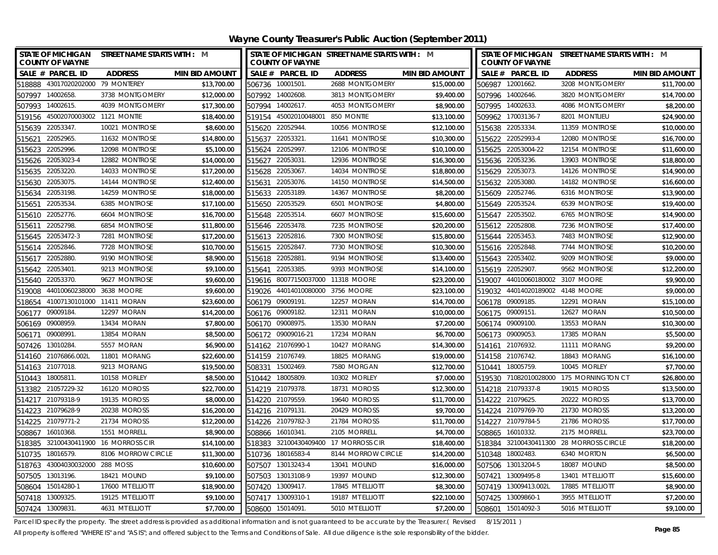| <b>STATE OF MICHIGAN</b><br><b>COUNTY OF WAYNE</b> | STREET NAME STARTS WITH : M |                   | <b>COUNTY OF WAYNE</b>     | STATE OF MICHIGAN STREET NAME STARTS WITH : M |                       |        | <b>COUNTY OF WAYNE</b>           | STATE OF MICHIGAN STREET NAME STARTS WITH : M |                       |
|----------------------------------------------------|-----------------------------|-------------------|----------------------------|-----------------------------------------------|-----------------------|--------|----------------------------------|-----------------------------------------------|-----------------------|
| SALE # PARCEL ID<br><b>ADDRESS</b>                 | <b>MIN BID AMOUNT</b>       |                   | SALE # PARCEL ID           | <b>ADDRESS</b>                                | <b>MIN BID AMOUNT</b> |        | SALE # PARCEL ID                 | <b>ADDRESS</b>                                | <b>MIN BID AMOUNT</b> |
| 518888 43017020202000 79 MONTEREY                  | \$13,700.00                 | 506736 10001501   |                            | 2688 MONTGOMERY                               | \$15,000.00           |        | 506987 12001662.                 | 3208 MONTGOMERY                               | \$11,700.00           |
| 507997 14002658.<br>3738 MONTGOMERY                | \$12,000.00                 | 507992 14002608.  |                            | 3813 MONTGOMERY                               | \$9,400.00            |        | 507996 14002646.                 | 3820 MONTGOMERY                               | \$14,700.00           |
| 507993 14002615.<br>4039 MONTGOMERY                | \$17,300.00                 | 507994 14002617.  |                            | 4053 MONTGOMERY                               | \$8,900.00            |        | 507995 14002633.                 | 4086 MONTGOMERY                               | \$8,200.00            |
| 519156 45002070003002 1121 MONTIE                  | \$18,400.00                 |                   | 519154 45002010048001      | 850 MONTIE                                    | \$13,100.00           |        | 509962 17003136-7                | 8201 MONTLIEU                                 | \$24,900.00           |
| 515639 22053347.<br>10021 MONTROSE                 | \$8,600.00                  | 515620 22052944.  |                            | 10056 MONTROSE                                | \$12,100.00           |        | 515638 22053334                  | 11359 MONTROSE                                | \$10,000.00           |
| 22052965.<br>11632 MONTROSE<br>515621              | \$14,800.00                 | 515637 22053321.  |                            | 11641 MONTROSE                                | \$10,300.00           |        | 515622 22052993-4                | 12080 MONTROSE                                | \$16,700.00           |
| 22052996.<br>515623<br>12098 MONTROSE              | \$5,100.00                  | 515624            | 22052997.                  | 12106 MONTROSE                                | \$10,100.00           |        | 515625 22053004-22               | 12154 MONTROSE                                | \$11,600.00           |
| 515626 22053023-4<br>12882 MONTROSE                | \$14,000.00                 | 515627 22053031.  |                            | 12936 MONTROSE                                | \$16,300.00           |        | 515636 22053236.                 | 13903 MONTROSE                                | \$18,800.00           |
| 22053220<br>14033 MONTROSE<br>515635               | \$17,200.00                 | 515628            | 22053067                   | 14034 MONTROSE                                | \$18,800.00           |        | 515629 22053073.                 | 14126 MONTROSE                                | \$14,900.00           |
| 22053075<br>14144 MONTROSE<br>515630               | \$12,400.00                 | 515631            | 22053076.                  | 14150 MONTROSE                                | \$14,500.00           |        | 515632 22053080.                 | 14182 MONTROSE                                | \$16,600.00           |
| 22053198<br>14259 MONTROSE<br>515634               | \$18,000.00                 | 515633 22053189.  |                            | 14367 MONTROSE                                | \$8,200.00            |        | 515609 22052746.                 | 6316 MONTROSE                                 | \$13,900.00           |
| 22053534<br>6385 MONTROSE<br>515651                | \$17,100.00                 | 515650 22053529.  |                            | 6501 MONTROSE                                 | \$4,800.00            |        | 515649 22053524.                 | 6539 MONTROSE                                 | \$19,400.00           |
| 22052776.<br>6604 MONTROSE<br>515610               | \$16,700.00                 | 515648 22053514.  |                            | 6607 MONTROSE                                 | \$15,600.00           |        | 515647 22053502.                 | 6765 MONTROSE                                 | \$14,900.00           |
| 22052798<br>6854 MONTROSE<br>515611                | \$11,800.00                 | 515646 22053478.  |                            | 7235 MONTROSE                                 | \$20,200.00           |        | 515612 22052808.                 | 7236 MONTROSE                                 | \$17,400.00           |
| 22053472-3<br>7281 MONTROSE<br>515645              | \$17,200.00                 | 515613 22052816.  |                            | 7300 MONTROSE                                 | \$15,800.00           |        | 515644 22053453.                 | 7483 MONTROSE                                 | \$12,900.00           |
| 22052846<br>7728 MONTROSE<br>515614                | \$10,700.00                 | 515615 22052847.  |                            | 7730 MONTROSE                                 | \$10,300.00           |        | 515616 22052848.                 | 7744 MONTROSE                                 | \$10,200.00           |
| 22052880<br>9190 MONTROSE<br>515617                | \$8,900.00                  | 515618            | 22052881                   | 9194 MONTROSE                                 | \$13,400.00           | 515643 | 22053402.                        | 9209 MONTROSE                                 | \$9,000.00            |
| 22053401<br>9213 MONTROSE<br>515642                | \$9,100.00                  | 515641            | 22053385.                  | 9393 MONTROSE                                 | \$14,100.00           |        | 515619 22052907.                 | 9562 MONTROSE                                 | \$12,200.00           |
| 22053370.<br>9627 MONTROSE<br>515640               | \$9,600.00                  | 519616            | 80077150037000 11318 MOORE |                                               | \$23,200.00           | 519007 | 44010060180002 3107 MOORE        |                                               | \$9,900.00            |
| 44010060238000 3638 MOORE<br>519008                | \$9,600.00                  | 519026            | 44014010080000             | 3756 MOORE                                    | \$23,100.00           |        | 519032 44014020189002 4148 MOORE |                                               | \$9,000.00            |
| 41007130101000 11411 MORAN<br>518654               | \$23,600.00                 | 506179            | 09009191.                  | 12257 MORAN                                   | \$14,700.00           | 506178 | 09009185.                        | 12291 MORAN                                   | \$15,100.00           |
| 09009184<br>12297 MORAN<br>506177                  | \$14,200.00                 | 506176 09009182.  |                            | 12311 MORAN                                   | \$10,000.00           |        | 506175 09009151.                 | 12627 MORAN                                   | \$10,500.00           |
| 13434 MORAN<br>09008959<br>506169                  | \$7,800.00                  | 506170 09008975.  |                            | 13530 MORAN                                   | \$7,200.00            |        | 506174 09009100.                 | 13553 MORAN                                   | \$10,300.00           |
| 09008991<br>13854 MORAN<br>506171                  | \$8,500.00                  |                   | 506172 09009016-21         | 17234 MORAN                                   | \$6,700.00            |        | 506173 09009053.                 | 17385 MORAN                                   | \$5,500.00            |
| 13010284.<br>5557 MORAN<br>507426                  | \$6,900.00                  | 514162 21076990-1 |                            | 10427 MORANG                                  | \$14,300.00           |        | 514161 21076932.                 | 11111 MORANG                                  | \$9,200.00            |
| 514160 21076866.002L<br>11801 MORANG               | \$22,600.00                 | 514159 21076749.  |                            | 18825 MORANG                                  | \$19,000.00           |        | 514158 21076742.                 | 18843 MORANG                                  | \$16,100.00           |
| 514163 21077018.<br>9213 MORANG                    | \$19,500.00                 | 508331 15002469.  |                            | 7580 MORGAN                                   | \$12,700.00           |        | 510441 18005759.                 | 10045 MORLEY                                  | \$7,700.00            |
| 510443 18005811.<br>10158 MORLEY                   | \$8,500.00                  | 510442 18005809.  |                            | 10302 MORLEY                                  | \$7,000.00            |        |                                  | 519530 71082010028000 175 MORNINGTON CT       | \$26,800.00           |
| 513382 21057229-32<br>16120 MOROSS                 | \$22,700.00                 | 514219 21079378.  |                            | 18731 MOROSS                                  | \$12,300.00           |        | 514218 21079337-8                | 19015 MOROSS                                  | \$13,500.00           |
| 514217 21079318-9<br>19135 MOROSS                  | \$8,000.00                  | 514220 21079559.  |                            | 19640 MOROSS                                  | \$11,700.00           |        | 514222 21079625.                 | 20222 MOROSS                                  | \$13,700.00           |
| 20238 MOROSS<br>514223 21079628-9                  | \$16,200.00                 | 514216 21079131.  |                            | 20429 MOROSS                                  | \$9,700.00            |        | 514224 21079769-70               | 21730 MOROSS                                  | \$13,200.00           |
| 21079771-2<br>21734 MOROSS<br>514225               | \$12,200.00                 | 514226 21079782-3 |                            | 21784 MOROSS                                  | \$11,700.00           |        | 514227 21079784-5                | 21786 MOROSS                                  | \$17,700.00           |
| 16010368<br>1551 MORRELL<br>508867                 | \$8,900.00                  | 508866 16010341.  |                            | 2105 MORRELL                                  | \$4,700.00            |        | 508865 16010332.                 | 2175 MORRELL                                  | \$23,700.00           |
| 518385 32100430411900 16 MORROSS CIR               | \$14,100.00                 |                   |                            | 518383 32100430409400 17 MORROSS CIR          | \$18,400.00           |        |                                  | 518384 32100430411300 28 MORROSS CIRCLE       | \$18,200.00           |
| 510735<br>18016579<br>8106 MORROW CIRCLE           | \$11,300.00                 | 510736 18016583-4 |                            | 8144 MORROW CIRCLE                            | \$14,200.00           |        | 510348 18002483.                 | 6340 MORTON                                   | \$6,500.00            |
| 43004030032000 288 MOSS<br>518763                  | \$10,600.00                 | 507507 13013243-4 |                            | 13041 MOUND                                   | \$16,000.00           |        | 507506 13013204-5                | 18087 MOUND                                   | \$8,500.00            |
| 13013196.<br>507505<br>18421 MOUND                 | \$9,100.00                  |                   | 507503 13013108-9          | 19397 MOUND                                   | \$12,300.00           |        | 507421 13009495-8                | 13401 MT ELLIOTT                              | \$15,600.00           |
| 15014280-1<br>17600 MT ELLIOTT<br>508604           | \$18,900.00                 | 507420            | 13009417.                  | 17845 MT ELLIOTT                              | \$8,300.00            |        | 507419 13009413.002L             | 17885 MT ELLIOTT                              | \$8,900.00            |
| 507418 13009325.<br>19125 MT ELLIOTT               | \$9,100.00                  | 507417 13009310-1 |                            | 19187 MT ELLIOTT                              | \$22,100.00           |        | 507425 13009860-1                | 3955 MT ELLIOTT                               | \$7,200.00            |
| 507424 13009831<br>4631 MT ELLIOTT                 | \$7,700.00                  | 508600 15014091.  |                            | 5010 MT ELLIOTT                               | \$7,200.00            |        | 508601 15014092-3                | 5016 MT ELLIOTT                               | \$9,100.00            |

Parcel ID specify the property. The street address is provided as additional information and is not guaranteed to be accurate by the Treasurer.( Revised 8/15/2011 )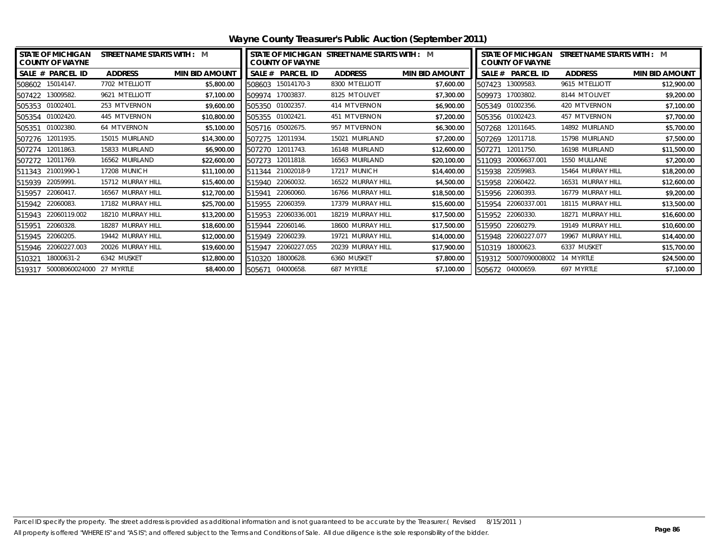|                  | <b>STATE OF MICHIGAN</b><br><b>COUNTY OF WAYNE</b> | STREET NAME STARTS WITH : M |                       |                  | <b>COUNTY OF WAYNE</b> | STATE OF MICHIGAN STREET NAME STARTS WITH : M |                       |        | <b>STATE OF MICHIGAN</b><br><b>COUNTY OF WAYNE</b> | STREET NAME STARTS WITH : M |                       |
|------------------|----------------------------------------------------|-----------------------------|-----------------------|------------------|------------------------|-----------------------------------------------|-----------------------|--------|----------------------------------------------------|-----------------------------|-----------------------|
|                  | SALE # PARCEL ID                                   | <b>ADDRESS</b>              | <b>MIN BID AMOUNT</b> | SALE #           | <b>PARCEL ID</b>       | <b>ADDRESS</b>                                | <b>MIN BID AMOUNT</b> |        | SALE # PARCEL ID                                   | <b>ADDRESS</b>              | <b>MIN BID AMOUNT</b> |
| 508602 15014147. |                                                    | 7702 MT ELLIOTT             | \$5,800.00            | 508603           | 15014170-3             | 8300 MT ELLIOTT                               | \$7,600.00            | 507423 | 13009583.                                          | 9615 MT ELLIOTT             | \$12,900.00           |
| 507422 13009582. |                                                    | 9621 MT ELLIOTT             | \$7,100.00            | 509974 17003837. |                        | 8125 MT OLIVET                                | \$7,300.00            |        | 509973 17003802.                                   | 8144 MT OLIVET              | \$9,200.00            |
| 505353 01002401. |                                                    | 253 MT VERNON               | \$9,600.00            | 505350 01002357. |                        | 414 MT VERNON                                 | \$6,900.00            |        | 505349 01002356.                                   | 420 MT VERNON               | \$7,100.00            |
| 505354           | 01002420                                           | 445 MT VERNON               | \$10,800.00           | 505355           | 01002421.              | 451 MT VERNON                                 | \$7,200.00            |        | 505356 01002423.                                   | 457 MT VERNON               | \$7,700.00            |
| 505351           | 01002380                                           | 64 MT VERNON                | \$5,100.00            |                  | 505716 05002675.       | 957 MT VERNON                                 | \$6,300.00            | 507268 | 12011645.                                          | 14892 MUIRLAND              | \$5,700.00            |
| 507276 12011935. |                                                    | 15015 MUIRLAND              | \$14,300.00           | 507275           | 12011934.              | 15021 MUIRLAND                                | \$7,200.00            | 507269 | 12011718.                                          | 15798 MUIRLAND              | \$7,500.00            |
| 507274           | 12011863.                                          | 15833 MUIRLAND              | \$6,900.00            | 507270           | 12011743.              | 16148 MUIRLAND                                | \$12,600.00           | 507271 | 12011750.                                          | 16198 MUIRLAND              | \$11,500.00           |
| 507272           | 12011769.                                          | 16562 MUIRLAND              | \$22,600.00           | 507273           | 12011818.              | 16563 MUIRLAND                                | \$20,100.00           | 511093 | 20006637.001                                       | 1550 MULLANE                | \$7,200.00            |
| 511343           | 21001990-1                                         | 17208 MUNICH                | \$11,100.00           | 511344           | 21002018-9             | 17217 MUNICH                                  | \$14,400.00           | 515938 | 22059983.                                          | 15464 MURRAY HILL           | \$18,200.00           |
| 515939           | 22059991                                           | 15712 MURRAY HILL           | \$15,400.00           | 515940           | 22060032.              | 16522 MURRAY HILL                             | \$4,500.00            | 515958 | 22060422.                                          | 16531 MURRAY HILL           | \$12,600.00           |
| 515957           | 22060417                                           | 16567 MURRAY HILL           | \$12,700.00           | 515941           | 22060060.              | 16766 MURRAY HILL                             | \$18,500.00           | 515956 | 22060393.                                          | 16779 MURRAY HILL           | \$9,200.00            |
| 515942           | 22060083                                           | 17182 MURRAY HILL           | \$25,700.00           | 515955           | 22060359.              | 17379 MURRAY HILL                             | \$15,600.00           | 515954 | 22060337.001                                       | 18115 MURRAY HILL           | \$13,500.00           |
| 515943           | 22060119.002                                       | 18210 MURRAY HILL           | \$13,200.00           | 515953           | 22060336.001           | 18219 MURRAY HILL                             | \$17,500.00           |        | 515952 22060330.                                   | 18271 MURRAY HILL           | \$16,600.00           |
| 515951           | 22060328.                                          | 18287 MURRAY HILL           | \$18,600.00           | 515944           | 22060146.              | 18600 MURRAY HILL                             | \$17,500.00           | 515950 | 22060279.                                          | 19149 MURRAY HILL           | \$10,600.00           |
| 515945           | 22060205                                           | 19442 MURRAY HILL           | \$12,000.00           | 515949           | 22060239.              | 19721 MURRAY HILL                             | \$14,000.00           | 515948 | 22060227.077                                       | 19967 MURRAY HILL           | \$14,400.00           |
| 515946           | 22060227.003                                       | 20026 MURRAY HILL           | \$19,600.00           | 515947           | 22060227.055           | 20239 MURRAY HILL                             | \$17,900.00           | 510319 | 18000623.                                          | 6337 MUSKET                 | \$15,700.00           |
| 510321           | 18000631-2                                         | 6342 MUSKET                 | \$12,800.00           | 510320           | 18000628.              | 6360 MUSKET                                   | \$7,800.00            | 519312 | 50007090008002                                     | 14 MYRTLE                   | \$24,500.00           |
|                  | 519317 50008060024000 27 MYRTLE                    |                             | \$8,400.00            | 505671 04000658. |                        | 687 MYRTLE                                    | \$7,100.00            |        | 505672 04000659.                                   | 697 MYRTLE                  | \$7,100.00            |

**Wayne County Treasurer's Public Auction (September 2011)**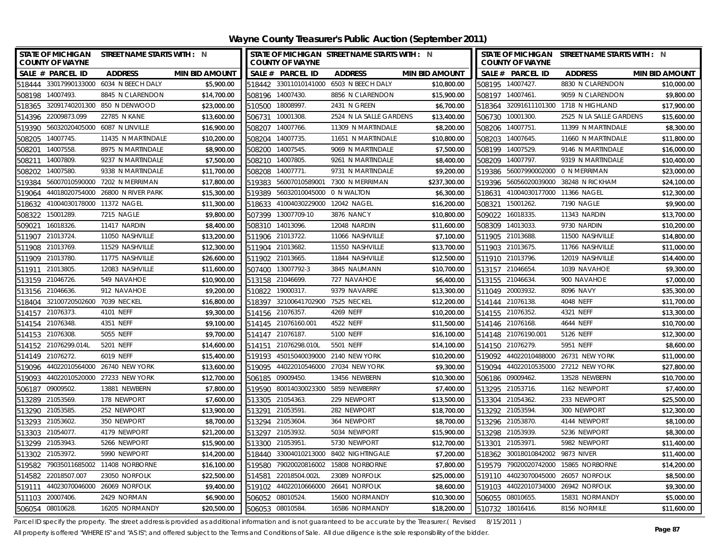| STATE OF MICHIGAN STREET NAME STARTS WITH : N<br><b>COUNTY OF WAYNE</b> |                       | STATE OF MICHIGAN STREET NAME STARTS WITH : N<br><b>COUNTY OF WAYNE</b> |                              |                       | <b>COUNTY OF WAYNE</b>                | STATE OF MICHIGAN STREET NAME STARTS WITH : N |                       |
|-------------------------------------------------------------------------|-----------------------|-------------------------------------------------------------------------|------------------------------|-----------------------|---------------------------------------|-----------------------------------------------|-----------------------|
| SALE # PARCEL ID<br><b>ADDRESS</b>                                      | <b>MIN BID AMOUNT</b> | SALE # PARCEL ID                                                        | <b>ADDRESS</b>               | <b>MIN BID AMOUNT</b> | SALE # PARCEL ID                      | <b>ADDRESS</b>                                | <b>MIN BID AMOUNT</b> |
| 518444 33017990133000 6034 N BEECH DALY                                 | \$5,900.00            | 518442 33011010141000 6503 N BEECH DALY                                 |                              | \$10,800.00           | 508195 14007427.                      | 8830 N CLARENDON                              | \$10,000.00           |
| 508198 14007493.<br>8845 N CLARENDON                                    | \$14,700.00           | 508196 14007430.                                                        | 8856 N CLARENDON             | \$15,900.00           | 508197 14007461.                      | 9059 N CLARENDON                              | \$9,800.00            |
| 518365 32091740201300 850 N DENWOOD                                     | \$23,000.00           | 510500 18008997.                                                        | 2431 N GREEN                 | \$6,700.00            | 518364 32091611101300 1718 N HIGHLAND |                                               | \$17,900.00           |
| 514396 22009873.099<br>22785 N KANE                                     | \$13,600.00           | 506731 10001308                                                         | 2524 N LA SALLE GARDENS      | \$13,400.00           | 506730 10001300.                      | 2525 N LA SALLE GARDENS                       | \$15,600.00           |
| 519390 56032020405000 6087 N LINVILLE                                   | \$16,900.00           | 508207 14007766                                                         | 11309 N MARTINDALE           | \$8,200.00            | 508206 14007751.                      | 11399 N MARTINDALE                            | \$8,300.00            |
| 14007745.<br>11435 N MARTINDALE<br>508205                               | \$10,200.00           | 508204 14007735                                                         | 11651 N MARTINDALE           | \$10,800.00           | 508203 14007645.                      | 11660 N MARTINDALE                            | \$11,800.00           |
| 508201<br>14007558.<br>8975 N MARTINDALE                                | \$8,900.00            | 508200 14007545.                                                        | 9069 N MARTINDALE            | \$7,500.00            | 508199 14007529.                      | 9146 N MARTINDALE                             | \$16,000.00           |
| 14007809<br>9237 N MARTINDALE<br>508211                                 | \$7,500.00            | 508210 14007805.                                                        | 9261 N MARTINDALE            | \$8,400.00            | 508209 14007797.                      | 9319 N MARTINDALE                             | \$10,400.00           |
| 14007580<br>9338 N MARTINDALE<br>508202                                 | \$11,700.00           | 508208 14007771.                                                        | 9731 N MARTINDALE            | \$9,200.00            | 519386 56007990002000 0 N MERRIMAN    |                                               | \$23,000.00           |
| 56007010590000 7202 N MERRIMAN<br>519384                                | \$17,800.00           | 56007010589001<br>519383                                                | 7300 N MERRIMAN              | \$237,300.00          | 519396 56056020039000 38248 N RICKHAM |                                               | \$24,100.00           |
| 44018020754000 26800 N RIVER PARK<br>519064                             | \$15,300.00           | 56032010045000 0 N WALTON<br>519389                                     |                              | \$6,300.00            | 518631 41004030177000 11366 NAGEL     |                                               | \$12,300.00           |
| 41004030178000 11372 NAGEL<br>518632                                    | \$11,300.00           | 518633 41004030229000 12042 NAGEL                                       |                              | \$16,200.00           | 508321 15001262.                      | 7190 NAGLE                                    | \$9,900.00            |
| 15001289.<br>7215 NAGLE<br>508322                                       | \$9,800.00            | 507399 13007709-10                                                      | 3876 NANCY                   | \$10,800.00           | 16018335.<br>509022                   | 11343 NARDIN                                  | \$13,700.00           |
| 16018326.<br>11417 NARDIN<br>509021                                     | \$8,400.00            | 508310 14013096.                                                        | 12048 NARDIN                 | \$11,600.00           | 14013033.<br>508309                   | 9730 NARDIN                                   | \$10,200.00           |
| 21013724<br>11050 NASHVILLE<br>511907                                   | \$13,200.00           | 511906 21013722.                                                        | 11066 NASHVILLE              | \$7,100.00            | 511905 21013688.                      | 11500 NASHVILLE                               | \$14,800.00           |
| 511908 21013769.<br>11529 NASHVILLE                                     | \$12,300.00           | 511904 21013682.                                                        | 11550 NASHVILLE              | \$13,700.00           | 511903 21013675.                      | 11766 NASHVILLE                               | \$11,000.00           |
| 511909 21013780.<br>11775 NASHVILLE                                     | \$26,600.00           | 511902 21013665.                                                        | 11844 NASHVILLE              | \$12,500.00           | 511910 21013796.                      | 12019 NASHVILLE                               | \$14,400.00           |
| 511911 21013805.<br>12083 NASHVILLE                                     | \$11,600.00           | 13007792-3<br>507400                                                    | 3845 NAUMANN                 | \$10,700.00           | 513157 21046654.                      | 1039 NAVAHOE                                  | \$9,300.00            |
| 513159 21046726.<br>549 NAVAHOE                                         | \$10,900.00           | 513158 21046699                                                         | 727 NAVAHOE                  | \$6,400.00            | 513155 21046634                       | 900 NAVAHOE                                   | \$7,000.00            |
| 513156 21046636.<br>912 NAVAHOE                                         | \$9,200.00            | 19000317.<br>510822                                                     | 9379 NAVARRE                 | \$13,300.00           | 511049 20003932.                      | 8096 NAVY                                     | \$35,300.00           |
| 32100720502600 7039 NECKEL<br>518404                                    | \$16,800.00           | 32100641702900<br>518397                                                | 7525 NECKEL                  | \$12,200.00           | 514144 21076138.                      | 4048 NEFF                                     | \$11,700.00           |
| 21076373.<br>4101 NEFF<br>514157                                        | \$9,300.00            | 514156 21076357.                                                        | 4269 NEFF                    | \$10,200.00           | 514155 21076352.                      | 4321 NEFF                                     | \$13,300.00           |
| 514154 21076348.<br>4351 NEFF                                           | \$9,100.00            | 514145 21076160.001                                                     | 4522 NEFF                    | \$11,500.00           | 514146 21076168.                      | 4644 NEFF                                     | \$10,700.00           |
| 514153 21076308<br>5055 NEFF                                            | \$9,700.00            | 514147 21076187.                                                        | 5100 NEFF                    | \$16,100.00           | 514148 21076190.001                   | 5126 NEFF                                     | \$12,300.00           |
| 514152 21076299.014L<br>5201 NEFF                                       | \$14,600.00           | 514151 21076298.010L                                                    | 5501 NEFF                    | \$14,100.00           | 514150 21076279.                      | 5951 NEFF                                     | \$8,600.00            |
| 514149 21076272.<br>6019 NEFF                                           | \$15,400.00           | 519193 45015040039000 2140 NEW YORK                                     |                              | \$10,200.00           | 519092 44022010488000 26731 NEW YORK  |                                               | \$11,000.00           |
| 519096 44022010564000 26740 NEW YORK                                    | \$13,600.00           | 519095 44022010546000 27034 NEW YORK                                    |                              | \$9,300.00            | 519094 44022010535000 27212 NEW YORK  |                                               | \$27,800.00           |
| 519093 44022010520000 27233 NEW YORK                                    | \$12,700.00           | 506185 09009450.                                                        | 13456 NEWBERN                | \$10,300.00           | 506186 09009462.                      | 13528 NEWBERN                                 | \$10,700.00           |
| 506187<br>09009502.<br>13881 NEWBERN                                    | \$7,800.00            | 519590 80014030023300 5859 NEWBERRY                                     |                              | \$7,400.00            | 513295 21053716.                      | 1162 NEWPORT                                  | \$7,400.00            |
| 513289 21053569.<br>178 NEWPORT                                         | \$7,600.00            | 513305 21054363.                                                        | 229 NEWPORT                  | \$13,500.00           | 513304 21054362.                      | 233 NEWPORT                                   | \$25,500.00           |
| 513290 21053585<br>252 NEWPORT                                          | \$13,900.00           | 513291 21053591                                                         | 282 NEWPORT                  | \$18,700.00           | 513292 21053594.                      | 300 NEWPORT                                   | \$12,300.00           |
| 21053602<br>350 NEWPORT<br>513293                                       | \$8,700.00            | 513294 21053604                                                         | 364 NEWPORT                  | \$8,700.00            | 513296 21053870.                      | 4144 NEWPORT                                  | \$8,100.00            |
| 513303<br>21054077<br>4179 NEWPORT                                      | \$21,200.00           | 513297<br>21053932.                                                     | 5034 NEWPORT                 | \$15,900.00           | 513298 21053939.                      | 5236 NEWPORT                                  | \$8,300.00            |
| 513299 21053943.<br>5266 NEWPORT                                        | \$15,900.00           | 513300 21053951                                                         | 5730 NEWPORT                 | \$12,700.00           | 513301 21053971.                      | 5982 NEWPORT                                  | \$11,400.00           |
| 513302 21053972.<br>5990 NEWPORT                                        | \$14,200.00           | 518440 33004010213000 8402 NIGHTINGALE                                  |                              | \$7,200.00            | 518362 30018010842002 9873 NIVER      |                                               | \$11,400.00           |
| 79035011685002 11408 NORBORNE<br>519582                                 | \$16,100.00           | 79020020816002<br>519580                                                | 15808 NORBORNE               | \$7,800.00            | 519579 79020020742000                 | 15865 NORBORNE                                | \$14,200.00           |
| 22018507.007<br>23050 NORFOLK<br>514582                                 | \$22,500.00           | 22018504.002L<br>514581                                                 | 23089 NORFOLK                | \$25,000.00           | 519110 44023070045000                 | 26057 NORFOLK                                 | \$8,500.00            |
| 44023070046000 26069 NORFOLK<br>519111                                  | \$9,400.00            | 519102                                                                  | 44022010666000 26641 NORFOLK | \$8,600.00            | 519103 44022010734000 26942 NORFOLK   |                                               | \$9,300.00            |
| 511103 20007406<br>2429 NORMAN                                          | \$6,900.00            | 506052 08010524.                                                        | 15600 NORMANDY               | \$10,300.00           | 506055 08010655.                      | 15831 NORMANDY                                | \$5,000.00            |
| 506054 08010628<br>16205 NORMANDY                                       | \$20,500.00           | 506053 08010584.                                                        | 16586 NORMANDY               | \$18,200.00           | 510732 18016416.                      | 8156 NORMILE                                  | \$11,600.00           |

Parcel ID specify the property. The street address is provided as additional information and is not guaranteed to be accurate by the Treasurer.( Revised 8/15/2011 )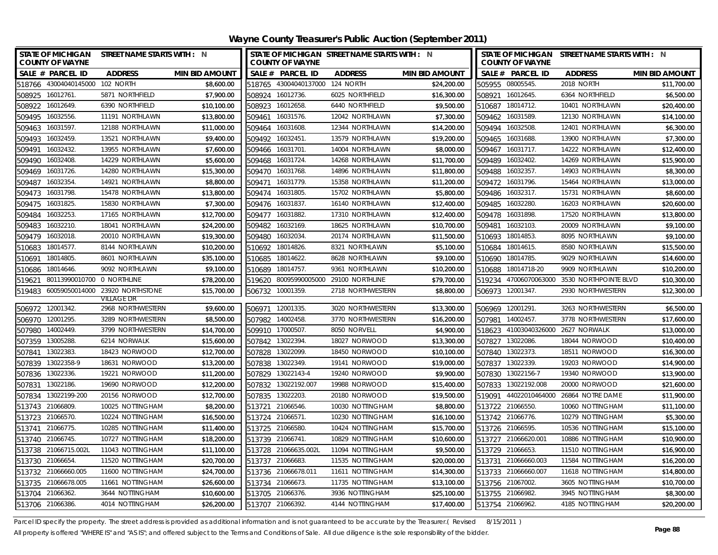|                   | STATE OF MICHIGAN STREET NAME STARTS WITH : N<br><b>COUNTY OF WAYNE</b> |                                 |                       | STATE OF MICHIGAN STREET NAME STARTS WITH : N<br><b>COUNTY OF WAYNE</b> |                                 |                   |                       | STATE OF MICHIGAN STREET NAME STARTS WITH : N<br><b>COUNTY OF WAYNE</b> |                                    |                                        |                       |
|-------------------|-------------------------------------------------------------------------|---------------------------------|-----------------------|-------------------------------------------------------------------------|---------------------------------|-------------------|-----------------------|-------------------------------------------------------------------------|------------------------------------|----------------------------------------|-----------------------|
|                   | SALE # PARCEL ID                                                        | <b>ADDRESS</b>                  | <b>MIN BID AMOUNT</b> |                                                                         | SALE # PARCEL ID                | <b>ADDRESS</b>    | <b>MIN BID AMOUNT</b> |                                                                         | SALE # PARCEL ID                   | <b>ADDRESS</b>                         | <b>MIN BID AMOUNT</b> |
|                   | 518766 43004040145000 102 NORTH                                         |                                 | \$8,600.00            |                                                                         | 518765 43004040137000 124 NORTH |                   | \$24,200.00           |                                                                         | 505955 08005545.                   | 2018 NORTH                             | \$11,700.00           |
| 508925            | 16012761.                                                               | 5871 NORTHFIELD                 | \$7,900.00            | 508924                                                                  | 16012736.                       | 6025 NORTHFIELD   | \$16,300.00           | 508921                                                                  | 16012645.                          | 6364 NORTHFIELD                        | \$6,500.00            |
| 508922            | 16012649.                                                               | 6390 NORTHFIELD                 | \$10,100.00           | 508923                                                                  | 16012658.                       | 6440 NORTHFIELD   | \$9,500.00            | 510687                                                                  | 18014712.                          | 10401 NORTHLAWN                        | \$20,400.00           |
| 509495            | 16032556.                                                               | 11191 NORTHLAWN                 | \$13,800.00           | 509461                                                                  | 16031576.                       | 12042 NORTHLAWN   | \$7,300.00            | 509462                                                                  | 16031589.                          | 12130 NORTHLAWN                        | \$14,100.00           |
| 509463            | 16031597.                                                               | 12188 NORTHLAWN                 | \$11,000.00           | 509464                                                                  | 16031608.                       | 12344 NORTHLAWN   | \$14,200.00           |                                                                         | 509494 16032508.                   | 12401 NORTHLAWN                        | \$6,300.00            |
| 509493            | 16032459.                                                               | 13521 NORTHLAWN                 | \$9,400.00            | 509492                                                                  | 16032451                        | 13579 NORTHLAWN   | \$19,200.00           | 509465                                                                  | 16031688.                          | 13900 NORTHLAWN                        | \$7,300.00            |
| 509491            | 16032432.                                                               | 13955 NORTHLAWN                 | \$7,600.00            | 509466                                                                  | 16031701.                       | 14004 NORTHLAWN   | \$8,000.00            | 509467                                                                  | 16031717.                          | 14222 NORTHLAWN                        | \$12,400.00           |
| 509490            | 16032408.                                                               | 14229 NORTHLAWN                 | \$5,600.00            | 509468                                                                  | 16031724.                       | 14268 NORTHLAWN   | \$11,700.00           |                                                                         | 509489 16032402.                   | 14269 NORTHLAWN                        | \$15,900.00           |
| 509469 16031726.  |                                                                         | 14280 NORTHLAWN                 | \$15,300.00           |                                                                         | 509470 16031768.                | 14896 NORTHLAWN   | \$11,800.00           |                                                                         | 509488 16032357.                   | 14903 NORTHLAWN                        | \$8,300.00            |
| 509487            | 16032354                                                                | 14921 NORTHLAWN                 | \$8,800.00            | 509471                                                                  | 16031779.                       | 15358 NORTHLAWN   | \$11,200.00           |                                                                         | 509472 16031796.                   | 15464 NORTHLAWN                        | \$13,000.00           |
| 509473            | 16031798.                                                               | 15478 NORTHLAWN                 | \$13,800.00           | 509474                                                                  | 16031805.                       | 15702 NORTHLAWN   | \$5,800.00            |                                                                         | 509486 16032317.                   | 15731 NORTHLAWN                        | \$8,600.00            |
| 509475            | 16031825.                                                               | 15830 NORTHLAWN                 | \$7,300.00            |                                                                         | 509476 16031837.                | 16140 NORTHLAWN   | \$12,400.00           | 509485                                                                  | 16032280.                          | 16203 NORTHLAWN                        | \$20,600.00           |
| 509484            | 16032253.                                                               | 17165 NORTHLAWN                 | \$12,700.00           |                                                                         | 509477 16031882.                | 17310 NORTHLAWN   | \$12,400.00           |                                                                         | 509478 16031898.                   | 17520 NORTHLAWN                        | \$13,800.00           |
| 509483            | 16032210.                                                               | 18041 NORTHLAWN                 | \$24,200.00           | 509482                                                                  | 16032169.                       | 18625 NORTHLAWN   | \$10,700.00           |                                                                         | 509481 16032103.                   | 20009 NORTHLAWN                        | \$9,100.00            |
| 509479            | 16032018.                                                               | 20010 NORTHLAWN                 | \$19,300.00           | 509480                                                                  | 16032034.                       | 20174 NORTHLAWN   | \$11,500.00           | 510693                                                                  | 18014853                           | 8095 NORTHLAWN                         | \$9,100.00            |
| 510683            | 18014577.                                                               | 8144 NORTHLAWN                  | \$10,200.00           | 510692                                                                  | 18014826.                       | 8321 NORTHLAWN    | \$5,100.00            |                                                                         | 510684 18014615.                   | 8580 NORTHLAWN                         | \$15,500.00           |
| 510691            | 18014805.                                                               | 8601 NORTHLAWN                  | \$35,100.00           | 510685                                                                  | 18014622.                       | 8628 NORTHLAWN    | \$9,100.00            |                                                                         | 510690 18014785.                   | 9029 NORTHLAWN                         | \$14,600.00           |
| 510686            | 18014646.                                                               | 9092 NORTHLAWN                  | \$9,100.00            | 510689                                                                  | 18014757.                       | 9361 NORTHLAWN    | \$10,200.00           |                                                                         | 510688 18014718-20                 | 9909 NORTHLAWN                         | \$10,200.00           |
| 519621            | 80113990010700 0 NORTHLINE                                              |                                 | \$78,200.00           |                                                                         | 519620 80095990005000           | 29100 NORTHLINE   | \$79,700.00           |                                                                         | 519234 47006070063000              | 3530 NORTHPOINTE BLVD                  | \$10,300.00           |
| 519483            |                                                                         | 60059050014000 23920 NORTHSTONE | \$15,700.00           | 506732                                                                  | 10001359.                       | 2718 NORTHWESTERN | \$8,800.00            |                                                                         | 506973 12001347.                   | 2930 NORTHWESTERN                      | \$12,300.00           |
| 506972 12001342.  |                                                                         | Village Dr<br>2968 NORTHWESTERN | \$9,600.00            |                                                                         | 506971 12001335.                | 3020 NORTHWESTERN | \$13,300.00           |                                                                         | 506969 12001291.                   | 3263 NORTHWESTERN                      | \$6,500.00            |
| 506970 12001295.  |                                                                         | 3289 NORTHWESTERN               | \$8,500.00            |                                                                         | 507982 14002458                 | 3770 NORTHWESTERN | \$16,200.00           |                                                                         | 507981 14002457.                   | 3778 NORTHWESTERN                      | \$17,600.00           |
| 507980 14002449.  |                                                                         | 3799 NORTHWESTERN               | \$14,700.00           |                                                                         | 509910 17000507.                | 8050 NORVELL      | \$4,900.00            |                                                                         | 518623 41003040326000 2627 NORWALK |                                        | \$13,000.00           |
| 507359 13005288.  |                                                                         | 6214 NORWALK                    | \$15,600.00           |                                                                         | 507842 13022394.                | 18027 NORWOOD     | \$13,300.00           |                                                                         | 507827 13022086.                   | 18044 NORWOOD                          | \$10,400.00           |
| 507841 13022383.  |                                                                         | 18423 NORWOOD                   | \$12,700.00           |                                                                         | 507828 13022099.                | 18450 NORWOOD     | \$10,100.00           |                                                                         | 507840 13022373.                   | 18511 NORWOOD                          | \$16,300.00           |
| 507839 13022358-9 |                                                                         | 18631 NORWOOD                   | \$13,200.00           |                                                                         | 507838 13022349.                | 19141 NORWOOD     | \$19,000.00           |                                                                         | 507837 13022339.                   | 19203 NORWOOD                          | \$14,900.00           |
| 507836 13022336.  |                                                                         | 19221 NORWOOD                   | \$11,200.00           |                                                                         | 507829 13022143-4               | 19240 NORWOOD     | \$9,900.00            |                                                                         | 507830 13022156-7                  | 19340 NORWOOD                          | \$13,900.00           |
| 507831 13022186.  |                                                                         | 19690 NORWOOD                   | \$12,200.00           |                                                                         | 507832 13022192.007             | 19988 NORWOOD     | \$15,400.00           |                                                                         | 507833 13022192.008                | 20000 NORWOOD                          | \$21,600.00           |
|                   | 507834 13022199-200                                                     | 20156 NORWOOD                   | \$12,700.00           | 507835                                                                  | 13022203.                       | 20180 NORWOOD     | \$19,500.00           |                                                                         |                                    | 519091 44022010464000 26864 NOTRE DAME | \$11,900.00           |
| 513743 21066809.  |                                                                         | 10025 NOTTINGHAM                | \$8,200.00            |                                                                         | 513721 21066546.                | 10030 NOTTINGHAM  | \$8,800.00            |                                                                         | 513722 21066550.                   | 10060 NOTTINGHAM                       | \$11,100.00           |
| 513723 21066570.  |                                                                         | 10224 NOTTINGHAM                | \$16,500.00           |                                                                         | 513724 21066571                 | 10230 NOTTINGHAM  | \$16,100.00           |                                                                         | 513742 21066776.                   | 10279 NOTTINGHAM                       | \$5,300.00            |
| 513741 21066775.  |                                                                         | 10285 NOTTINGHAM                | \$11,400.00           |                                                                         | 513725 21066580.                | 10424 NOTTINGHAM  | \$15,700.00           |                                                                         | 513726 21066595                    | 10536 NOTTINGHAM                       | \$15,100.00           |
| 513740 21066745.  |                                                                         | 10727 NOTTINGHAM                | \$18,200.00           |                                                                         | 513739 21066741                 | 10829 NOTTINGHAM  | \$10,600.00           |                                                                         | 513727 21066620.001                | 10886 NOTTINGHAM                       | \$10,900.00           |
|                   | 513738 21066715.002L                                                    | 11043 NOTTINGHAM                | \$11,100.00           |                                                                         | 513728 21066635.002L            | 11094 NOTTINGHAM  | \$9,500.00            |                                                                         | 513729 21066653                    | 11510 NOTTINGHAM                       | \$16,900.00           |
| 513730            | 21066654                                                                | 11520 NOTTINGHAM                | \$20,700.00           |                                                                         | 513737 21066683.                | 11535 NOTTINGHAM  | \$20,000.00           |                                                                         | 513731 21066660.003                | 11584 NOTTINGHAM                       | \$16,200.00           |
|                   | 513732 21066660.005                                                     | 11600 NOTTINGHAM                | \$24,700.00           |                                                                         | 513736 21066678.011             | 11611 NOTTINGHAM  | \$14,300.00           |                                                                         | 513733 21066660.007                | 11618 NOTTINGHAM                       | \$14,800.00           |
|                   | 513735 21066678.005                                                     | 11661 NOTTINGHAM                | \$26,600.00           |                                                                         | 513734 21066673.                | 11735 NOTTINGHAM  | \$13,100.00           |                                                                         | 513756 21067002.                   | 3605 NOTTINGHAM                        | \$10,700.00           |
| 513704 21066362   |                                                                         | 3644 NOTTINGHAM                 | \$10,600.00           |                                                                         | 513705 21066376.                | 3936 NOTTINGHAM   | \$25,100.00           |                                                                         | 513755 21066982.                   | 3945 NOTTINGHAM                        | \$8,300.00            |
| 513706 21066386.  |                                                                         | 4014 NOTTINGHAM                 | \$26,200.00           |                                                                         | 513707 21066392.                | 4144 NOTTINGHAM   | \$17,400.00           |                                                                         | 513754 21066962.                   | 4185 NOTTINGHAM                        | \$20,200.00           |

Parcel ID specify the property. The street address is provided as additional information and is not guaranteed to be accurate by the Treasurer.(Revised 8/15/2011)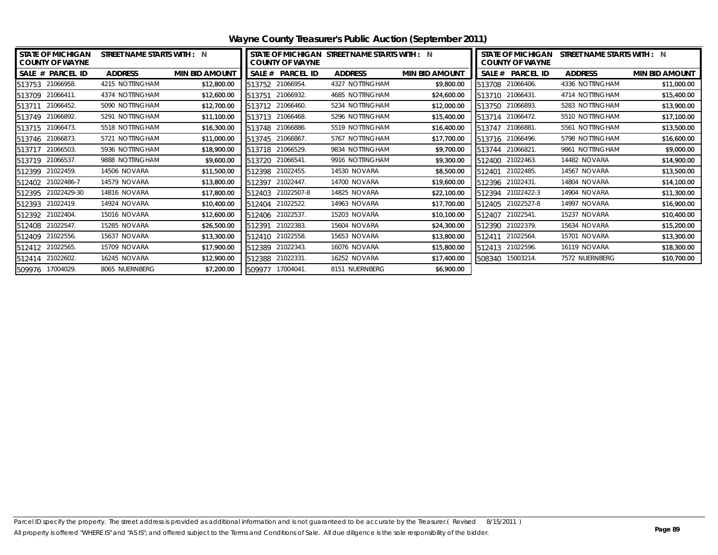| <b>STATE OF MICHIGAN</b><br><b>COUNTY OF WAYNE</b> | STREET NAME STARTS WITH : N |                       | <b>COUNTY OF WAYNE</b>     | STATE OF MICHIGAN STREET NAME STARTS WITH : N |                       | <b>STATE OF MICHIGAN</b><br><b>COUNTY OF WAYNE</b> | STREET NAME STARTS WITH : N |                       |
|----------------------------------------------------|-----------------------------|-----------------------|----------------------------|-----------------------------------------------|-----------------------|----------------------------------------------------|-----------------------------|-----------------------|
| SALE # PARCEL ID                                   | <b>ADDRESS</b>              | <b>MIN BID AMOUNT</b> | <b>PARCEL ID</b><br>SALE # | <b>ADDRESS</b>                                | <b>MIN BID AMOUNT</b> | SALE # PARCEL ID                                   | <b>ADDRESS</b>              | <b>MIN BID AMOUNT</b> |
| 513753 21066958.                                   | 4215 NOTTINGHAM             | \$12,800.00           | 21066954.<br>513752        | 4327 NOTTINGHAM                               | \$9,800.00            | 21066406.<br>513708                                | 4336 NOTTINGHAM             | \$11,000.00           |
| 513709<br>21066411                                 | 4374 NOTTINGHAM             | \$12,600.00           | 21066932.<br>513751        | 4685 NOTTINGHAM                               | \$24,600.00           | 513710 21066431.                                   | 4714 NOTTINGHAM             | \$15,400.00           |
| 21066452<br>513711                                 | 5090 NOTTINGHAM             | \$12,700.00           | 513712 21066460.           | 5234 NOTTINGHAM                               | \$12,000.00           | 513750 21066893.                                   | 5283 NOTTINGHAM             | \$13,900.00           |
| 21066892<br>513749                                 | 5291 NOTTINGHAM             | \$11,100.00           | 21066468.<br>513713        | 5296 NOTTINGHAM                               | \$15,400.00           | 21066472.<br>513714                                | 5510 NOTTINGHAM             | \$17,100.00           |
| 513715 21066473.                                   | 5518 NOTTINGHAM             | \$16,300.00           | 21066886.<br>513748        | 5519 NOTTINGHAM                               | \$16,400.00           | 21066881<br>513747                                 | 5561 NOTTINGHAM             | \$13,500.00           |
| 21066873<br>513746                                 | 5721 NOTTINGHAM             | \$11,000.00           | 21066867<br>513745         | 5767 NOTTINGHAM                               | \$17,700.00           | 513716 21066496.                                   | 5798 NOTTINGHAM             | \$16,600.00           |
| 513717<br>21066503                                 | 5936 NOTTINGHAM             | \$18,900.00           | 21066529.<br>513718        | 9834 NOTTINGHAM                               | \$9,700.00            | 21066821<br>513744                                 | 9861 NOTTINGHAM             | \$9,000.00            |
| 513719 21066537.                                   | 9888 NOTTINGHAM             | \$9,600.00            | 21066541<br>513720         | 9916 NOTTINGHAM                               | \$9,300.00            | 21022463.<br>512400                                | 14482 NOVARA                | \$14,900.00           |
| 21022459<br>512399                                 | 14506 NOVARA                | \$11,500.00           | 21022455.<br>512398        | 14530 NOVARA                                  | \$8,500.00            | 21022485.<br>512401                                | 14567 NOVARA                | \$13,500.00           |
| 21022486-7<br>512402                               | 14579 NOVARA                | \$13,800.00           | 21022447<br>512397         | 14700 NOVARA                                  | \$19,600.00           | 21022431<br>512396                                 | 14804 NOVARA                | \$14,100.00           |
| 21022429-30<br>512395                              | 14816 NOVARA                | \$17,800.00           | 21022507-8<br>512403       | 14825 NOVARA                                  | \$22,100.00           | 21022422-3<br>512394                               | 14904 NOVARA                | \$11,300.00           |
| 512393 21022419.                                   | 14924 NOVARA                | \$10,400.00           | 21022522.<br>512404        | 14963 NOVARA                                  | \$17,700.00           | 21022527-8<br>512405                               | 14997 NOVARA                | \$16,900.00           |
| 512392 21022404.                                   | 15016 NOVARA                | \$12,600.00           | 21022537<br>512406         | 15203 NOVARA                                  | \$10,100.00           | 21022541<br>512407                                 | 15237 NOVARA                | \$10,400.00           |
| 21022547<br>512408                                 | 15285 NOVARA                | \$26,500.00           | 21022383.<br>512391        | 15604 NOVARA                                  | \$24,300.00           | 21022379.<br>512390                                | 15634 NOVARA                | \$15,200.00           |
| 21022556.<br>512409                                | 15637 NOVARA                | \$13,300.00           | 21022558.<br>512410        | 15653 NOVARA                                  | \$13,800.00           | 21022564<br>512411                                 | 15701 NOVARA                | \$13,300.00           |
| 21022565.<br>512412                                | 15709 NOVARA                | \$17,900.00           | 21022343.<br>512389        | 16076 NOVARA                                  | \$15,800.00           | 21022596.<br>512413                                | 16119 NOVARA                | \$18,300.00           |
| 21022602<br>512414                                 | 16245 NOVARA                | \$12,900.00           | 21022331.<br>512388        | 16252 NOVARA                                  | \$17,400.00           | 508340 15003214.                                   | 7572 NUERNBERG              | \$10,700.00           |
| 509976 17004029.                                   | 8065 NUERNBERG              | \$7,200.00            | 509977 17004041.           | 8151 NUERNBERG                                | \$6,900.00            |                                                    |                             |                       |

**Wayne County Treasurer's Public Auction (September 2011)**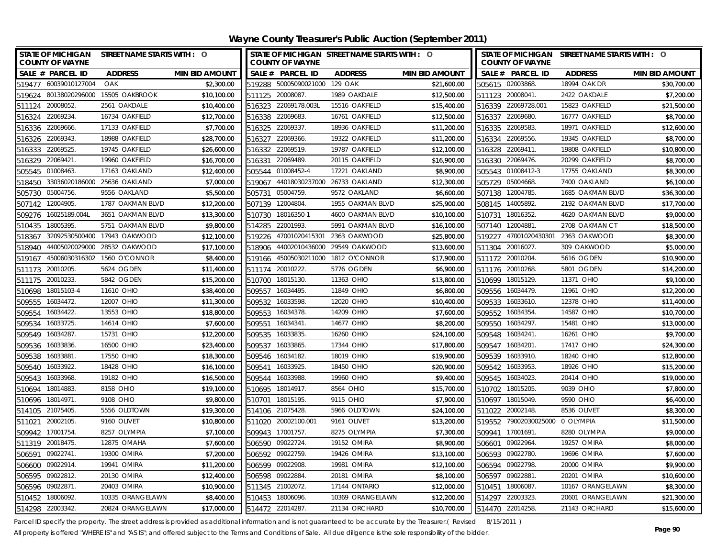| STATE OF MICHIGAN STREET NAME STARTS WITH : O<br><b>COUNTY OF WAYNE</b> |                       | STATE OF MICHIGAN STREET NAME STARTS WITH : O<br><b>COUNTY OF WAYNE</b> |                    |                       | STATE OF MICHIGAN STREET NAME STARTS WITH : 0<br><b>COUNTY OF WAYNE</b> |                  |                       |
|-------------------------------------------------------------------------|-----------------------|-------------------------------------------------------------------------|--------------------|-----------------------|-------------------------------------------------------------------------|------------------|-----------------------|
| SALE # PARCEL ID<br><b>ADDRESS</b>                                      | <b>MIN BID AMOUNT</b> | SALE # PARCEL ID                                                        | <b>ADDRESS</b>     | <b>MIN BID AMOUNT</b> | SALE # PARCEL ID                                                        | <b>ADDRESS</b>   | <b>MIN BID AMOUNT</b> |
| 519477 60039010127004<br>OAK                                            | \$2,300.00            | 519288 50005090021000 129 OAK                                           |                    | \$21,600.00           | 505615 02003868.                                                        | 18994 OAK DR     | \$30,700.00           |
| 15505 OAKBROOK<br>519624 80138020296000                                 | \$10,100.00           | 20008087<br>511125                                                      | 1989 OAKDALE       | \$12,500.00           | 511123 20008041                                                         | 2422 OAKDALE     | \$7,200.00            |
| 511124 20008052<br>2561 OAKDALE                                         | \$10,400.00           | 516323 22069178.003L                                                    | 15516 OAKFIELD     | \$15,400.00           | 516339 22069728.001                                                     | 15823 OAKFIELD   | \$21,500.00           |
| 516324 22069234<br>16734 OAKFIELD                                       | \$12,700.00           | 516338 22069683                                                         | 16761 OAKFIELD     | \$12,500.00           | 516337 22069680.                                                        | 16777 OAKFIELD   | \$8,700.00            |
| 516336 22069666<br>17133 OAKFIELD                                       | \$7,700.00            | 516325 22069337                                                         | 18936 OAKFIELD     | \$11,200.00           | 516335 22069583.                                                        | 18971 OAKFIELD   | \$12,600.00           |
| 22069343.<br>18988 OAKFIELD<br>516326                                   | \$28,700.00           | 22069366.<br>516327                                                     | 19322 OAKFIELD     | \$11,200.00           | 516334 22069556.                                                        | 19345 OAKFIELD   | \$8,700.00            |
| 22069525<br>19745 OAKFIELD<br>516333                                    | \$26,600.00           | 516332 22069519.                                                        | 19787 OAKFIELD     | \$12,100.00           | 516328 22069411.                                                        | 19808 OAKFIELD   | \$10,800.00           |
| 516329 22069421.<br>19960 OAKFIELD                                      | \$16,700.00           | 22069489.<br>516331                                                     | 20115 OAKFIELD     | \$16,900.00           | 516330 22069476.                                                        | 20299 OAKFIELD   | \$8,700.00            |
| 01008463<br>17163 OAKLAND<br>505545                                     | \$12,400.00           | 505544 01008452-4                                                       | 17221 OAKLAND      | \$8,900.00            | 505543 01008412-3                                                       | 17755 OAKLAND    | \$8,300.00            |
| 33036020186000<br>518450<br>25636 OAKLAND                               | \$7,000.00            | 519067 44018030237000                                                   | 26733 OAKLAND      | \$12,300.00           | 505729 05004668.                                                        | 7400 OAKLAND     | \$6,100.00            |
| 05004756<br>9556 OAKLAND<br>505730                                      | \$5,500.00            | 05004759.<br>505731                                                     | 9572 OAKLAND       | \$6,600.00            | 507138 12004785.                                                        | 1685 OAKMAN BLVD | \$36,300.00           |
| 12004905<br>1787 OAKMAN BLVD<br>507142                                  | \$12,200.00           | 507139 12004804                                                         | 1955 OAKMAN BLVD   | \$25,900.00           | 508145 14005892.                                                        | 2192 OAKMAN BLVD | \$17,700.00           |
| 16025189.004L<br>3651 OAKMAN BLVD<br>509276                             | \$13,300.00           | 18016350-1<br>510730                                                    | 4600 OAKMAN BLVD   | \$10,100.00           | 18016352.<br>510731                                                     | 4620 OAKMAN BLVD | \$9,000.00            |
| 18005395<br>5751 OAKMAN BLVD<br>510435                                  | \$9,800.00            | 22001993.<br>514285                                                     | 5991 OAKMAN BLVD   | \$16,100.00           | 12004881<br>507140                                                      | 2708 OAKMAN CT   | \$18,500.00           |
| 32092530500400<br>17943 OAKWOOD<br>518367                               | \$12,100.00           | 47001020415301<br>519226                                                | 2363 OAKWOOD       | \$25,800.00           | 519227 47001020430301                                                   | 2363 OAKWOOD     | \$8,300.00            |
| 44005020029000<br>28532 OAKWOOD<br>518940                               | \$17,100.00           | 44002010436000<br>518906                                                | 29549 OAKWOOD      | \$13,600.00           | 511304 20016027.                                                        | 309 OAKWOOD      | \$5,000.00            |
| 45006030316302 1560 O'CONNOR<br>519167                                  | \$8,400.00            | 45005030211000<br>519166                                                | 1812 O'CONNOR      | \$17,900.00           | 511172 20010204.                                                        | 5616 OGDEN       | \$10,900.00           |
| 20010205<br>5624 OGDEN<br>511173                                        | \$11,400.00           | 20010222.<br>511174                                                     | 5776 OGDEN         | \$6,900.00            | 511176 20010268.                                                        | 5801 OGDEN       | \$14,200.00           |
| 20010233.<br>5842 OGDEN<br>511175                                       | \$15,200.00           | 18015130.<br>510700                                                     | 11363 OHIO         | \$13,800.00           | 510699 18015129.                                                        | 11371 OHIO       | \$9,100.00            |
| 18015103-4<br>11610 OHIO<br>510698                                      | \$38,400.00           | 16034495<br>509557                                                      | 11849 OHIO         | \$6,800.00            | 509556 16034479.                                                        | 11961 OHIO       | \$12,200.00           |
| 16034472.<br>12007 OHIO<br>509555                                       | \$11,300.00           | 16033598.<br>509532                                                     | 12020 OHIO         | \$10,400.00           | 16033610.<br>509533                                                     | 12378 OHIO       | \$11,400.00           |
| 16034422.<br>13553 OHIO<br>509554                                       | \$18,800.00           | 16034378.<br>509553                                                     | 14209 OHIO         | \$7,600.00            | 16034354.<br>509552                                                     | 14587 OHIO       | \$10,700.00           |
| 16033725<br>14614 OHIO<br>509534                                        | \$7,600.00            | 16034341<br>509551                                                      | 14677 OHIO         | \$8,200.00            | 16034297.<br>509550                                                     | 15481 OHIO       | \$13,000.00           |
| 16034287<br>15731 OHIO<br>509549                                        | \$12,200.00           | 16033835<br>509535                                                      | 16260 OHIO         | \$24,100.00           | 16034241<br>509548                                                      | 16261 OHIO       | \$9,700.00            |
| 16033836<br>16500 OHIO<br>509536                                        | \$23,400.00           | 509537<br>16033865                                                      | 17344 OHIO         | \$17,800.00           | 509547<br>16034201                                                      | 17417 OHIO       | \$24,300.00           |
| 509538<br>16033881<br>17550 OHIO                                        | \$18,300.00           | 509546<br>16034182                                                      | 18019 OHIO         | \$19,900.00           | 509539<br>16033910.                                                     | 18240 OHIO       | \$12,800.00           |
| 16033922.<br>18428 OHIO<br>509540                                       | \$16,100.00           | 509541<br>16033925                                                      | 18450 OHIO         | \$20,900.00           | 509542 16033953.                                                        | 18926 OHIO       | \$15,200.00           |
| 509543<br>16033968<br>19182 OHIO                                        | \$16,500.00           | 509544<br>16033988                                                      | 19960 OHIO         | \$9,400.00            | 509545 16034023.                                                        | 20414 OHIO       | \$19,000.00           |
| 510694<br>18014883<br>8158 OHIO                                         | \$19,100.00           | 510695<br>18014917                                                      | 8564 OHIO          | \$15,700.00           | 18015205.<br>510702                                                     | 9039 OHIO        | \$7,800.00            |
| 510696 18014971.<br>9108 OHIO                                           | \$9,800.00            | 510701<br>18015195.                                                     | 9115 OHIO          | \$7,900.00            | 510697 18015049.                                                        | 9590 OHIO        | \$6,400.00            |
| 514105 21075405.<br>5556 OLDTOWN                                        | \$19,300.00           | 514106 21075428                                                         | 5966 OLDTOWN       | \$24,100.00           | 511022 20002148.                                                        | 8536 OLIVET      | \$8,300.00            |
| 20002105<br>9160 OLIVET<br>511021                                       | \$10,800.00           | 20002100.001<br>511020                                                  | 9161 OLIVET        | \$13,200.00           | 519552 79002030025000                                                   | 0 OLYMPIA        | \$11,500.00           |
| 509942<br>8257 OLYMPIA<br>17001754                                      | \$7,100.00            | 509943<br>17001757                                                      | 8275 OLYMPIA       | \$7,300.00            | 509941<br>17001691.                                                     | 8280 OLYMPIA     | \$9,000.00            |
| 511319 20018475.<br>12875 OMAHA                                         | \$7,600.00            | 09022724.<br>506590                                                     | 19152 OMIRA        | \$8,900.00            | 09022964.<br>506601                                                     | 19257 OMIRA      | \$8,000.00            |
| 09022741.<br>19300 OMIRA<br>506591                                      | \$7,200.00            | 506592 09022759                                                         | <b>19426 OMIRA</b> | \$13,100.00           | 506593<br>09022780.                                                     | 19696 OMIRA      | \$7,600.00            |
| 506600<br>09022914<br>19941 OMIRA                                       | \$11,200.00           | 506599 09022908                                                         | 19981 OMIRA        | \$12,100.00           | 506594<br>09022798.                                                     | 20000 OMIRA      | \$9,900.00            |
| 09022812.<br>506595<br>20130 OMIRA                                      | \$12,400.00           | 09022884<br>506598                                                      | 20181 OMIRA        | \$8,100.00            | 09022881<br>506597                                                      | 20201 OMIRA      | \$10,600.00           |
| 09022871.<br>20403 OMIRA<br>506596                                      | \$10,900.00           | 511345 21002072.                                                        | 17144 ONTARIO      | \$12,000.00           | 18006087<br>510451                                                      | 10167 ORANGELAWN | \$8,300.00            |
| 18006092<br>10335 ORANGELAWN<br>510452                                  | \$8,400.00            | 510453 18006096                                                         | 10369 ORANGELAWN   | \$12,200.00           | 514297 22003323.                                                        | 20601 ORANGELAWN | \$21,300.00           |
| 514298 22003342.<br>20824 ORANGELAWN                                    | \$17,000.00           | 514472 22014287                                                         | 21134 ORCHARD      | \$10,700.00           | 514470 22014258.                                                        | 21143 ORCHARD    | \$15,600.00           |

Parcel ID specify the property. The street address is provided as additional information and is not guaranteed to be accurate by the Treasurer.(Revised 8/15/2011)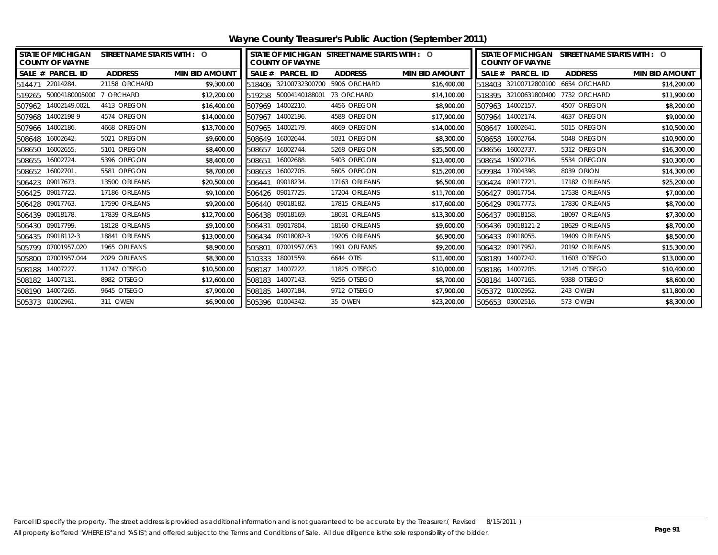|                   | <b>STATE OF MICHIGAN</b><br><b>COUNTY OF WAYNE</b> | STREET NAME STARTS WITH : 0 |                       |        | <b>COUNTY OF WAYNE</b> | STATE OF MICHIGAN STREET NAME STARTS WITH : O |                       |        | <b>STATE OF MICHIGAN</b><br><b>COUNTY OF WAYNE</b> | STREET NAME STARTS WITH : 0 |                       |
|-------------------|----------------------------------------------------|-----------------------------|-----------------------|--------|------------------------|-----------------------------------------------|-----------------------|--------|----------------------------------------------------|-----------------------------|-----------------------|
|                   | SALE # PARCEL ID                                   | <b>ADDRESS</b>              | <b>MIN BID AMOUNT</b> |        | SALE # PARCEL ID       | <b>ADDRESS</b>                                | <b>MIN BID AMOUNT</b> |        | SALE # PARCEL ID                                   | <b>ADDRESS</b>              | <b>MIN BID AMOUNT</b> |
| 514471 22014284.  |                                                    | 21158 ORCHARD               | \$9,300.00            | 518406 | 32100732300700         | 5906 ORCHARD                                  | \$16,400.00           | 518403 | 32100712800100                                     | 6654 ORCHARD                | \$14,200.00           |
|                   | 519265 50004180005000                              | 7 ORCHARD                   | \$12,200.00           | 519258 | 50004140188001         | 73 ORCHARD                                    | \$14,100.00           |        | 518395 32100631800400                              | 7732 ORCHARD                | \$11,900.00           |
|                   | 507962 14002149.002L                               | 4413 OREGON                 | \$16,400.00           | 507969 | 14002210.              | 4456 OREGON                                   | \$8,900.00            |        | 507963 14002157.                                   | 4507 OREGON                 | \$8,200.00            |
| 507968 14002198-9 |                                                    | 4574 OREGON                 | \$14,000.00           | 507967 | 14002196.              | 4588 OREGON                                   | \$17,900.00           | 507964 | 14002174.                                          | 4637 OREGON                 | \$9,000.00            |
| 507966 14002186.  |                                                    | 4668 OREGON                 | \$13,700.00           | 507965 | 14002179.              | 4669 OREGON                                   | \$14,000.00           |        | 508647 16002641.                                   | 5015 OREGON                 | \$10,500.00           |
| 508648 16002642.  |                                                    | 5021 OREGON                 | \$9,600.00            | 508649 | 16002644.              | 5031 OREGON                                   | \$8,300.00            |        | 508658 16002764.                                   | 5048 OREGON                 | \$10,900.00           |
| 508650 16002655.  |                                                    | 5101 OREGON                 | \$8,400.00            | 508657 | 16002744.              | 5268 OREGON                                   | \$35,500.00           |        | 508656 16002737.                                   | 5312 OREGON                 | \$16,300.00           |
| 508655 16002724.  |                                                    | 5396 OREGON                 | \$8,400.00            | 508651 | 16002688.              | 5403 OREGON                                   | \$13,400.00           | 508654 | 16002716.                                          | 5534 OREGON                 | \$10,300.00           |
| 508652 16002701.  |                                                    | 5581 OREGON                 | \$8,700.00            | 508653 | 16002705.              | 5605 OREGON                                   | \$15,200.00           | 509984 | 17004398.                                          | 8039 ORION                  | \$14,300.00           |
| 506423 09017673.  |                                                    | 13500 ORLEANS               | \$20,500.00           | 506441 | 09018234.              | 17163 ORLEANS                                 | \$6,500.00            |        | 506424 09017721.                                   | 17182 ORLEANS               | \$25,200.00           |
| 506425 09017722.  |                                                    | 17186 ORLEANS               | \$9,100.00            | 506426 | 09017725.              | 17204 ORLEANS                                 | \$11,700.00           |        | 506427 09017754.                                   | 17538 ORLEANS               | \$7,000.00            |
| 506428 09017763.  |                                                    | 17590 ORLEANS               | \$9,200.00            |        | 506440 09018182.       | 17815 ORLEANS                                 | \$17,600.00           |        | 506429 09017773.                                   | 17830 ORLEANS               | \$8,700.00            |
| 506439 09018178.  |                                                    | 17839 ORLEANS               | \$12,700.00           |        | 506438 09018169.       | 18031 ORLEANS                                 | \$13,300.00           |        | 506437 09018158.                                   | 18097 ORLEANS               | \$7,300.00            |
| 506430 09017799.  |                                                    | 18128 ORLEANS               | \$9,100.00            | 506431 | 09017804.              | 18160 ORLEANS                                 | \$9,600.00            |        | 506436 09018121-2                                  | 18629 ORLEANS               | \$8,700.00            |
| 506435 09018112-3 |                                                    | 18841 ORLEANS               | \$13,000.00           | 506434 | 09018082-3             | 19205 ORLEANS                                 | \$6,900.00            |        | 506433 09018055.                                   | 19409 ORLEANS               | \$8,500.00            |
| 505799            | 07001957.020                                       | 1965 ORLEANS                | \$8,900.00            | 505801 | 07001957.053           | 1991 ORLEANS                                  | \$9,200.00            |        | 506432 09017952.                                   | 20192 ORLEANS               | \$15,300.00           |
|                   | 505800 07001957.044                                | 2029 ORLEANS                | \$8,300.00            | 510333 | 18001559.              | 6644 OTIS                                     | \$11,400.00           |        | 508189 14007242.                                   | 11603 OTSEGO                | \$13,000.00           |
| 508188 14007227.  |                                                    | 11747 OTSEGO                | \$10,500.00           | 508187 | 14007222.              | 11825 OTSEGO                                  | \$10,000.00           |        | 508186 14007205.                                   | 12145 OTSEGO                | \$10,400.00           |
| 508182 14007131.  |                                                    | 8982 OTSEGO                 | \$12,600.00           | 508183 | 14007143.              | 9256 OTSEGO                                   | \$8,700.00            |        | 508184 14007165.                                   | 9388 OTSEGO                 | \$8,600.00            |
| 508190 14007265.  |                                                    | 9645 OTSEGO                 | \$7,900.00            |        | 508185 14007184.       | 9712 OTSEGO                                   | \$7,900.00            |        | 505372 01002952.                                   | 243 OWEN                    | \$11,800.00           |
| 505373 01002961.  |                                                    | 311 OWEN                    | \$6,900.00            |        | 505396 01004342.       | 35 OWEN                                       | \$23,200.00           |        | 505653 03002516.                                   | 573 OWEN                    | \$8,300.00            |

**Wayne County Treasurer's Public Auction (September 2011)**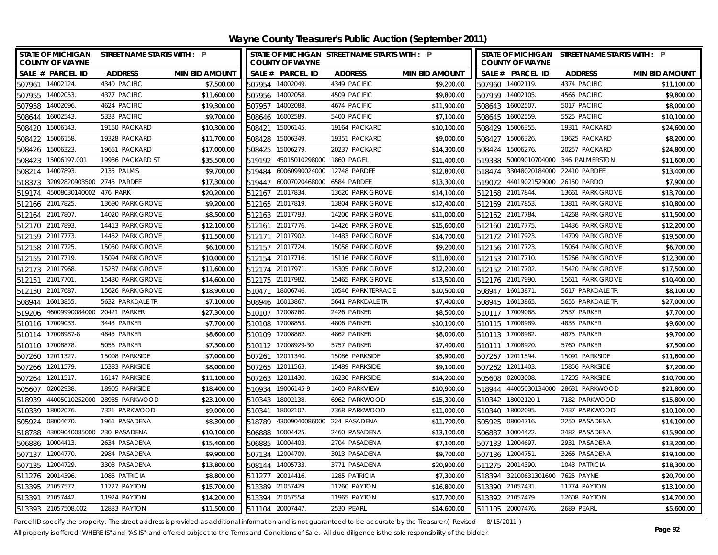**Wayne County Treasurer's Public Auction (September 2011)**

|        | <b>COUNTY OF WAYNE</b>             | STATE OF MICHIGAN STREET NAME STARTS WITH : P |                       |        | <b>COUNTY OF WAYNE</b> | STATE OF MICHIGAN STREET NAME STARTS WITH : P |                       |        | <b>COUNTY OF WAYNE</b> | STATE OF MICHIGAN STREET NAME STARTS WITH : P |                       |
|--------|------------------------------------|-----------------------------------------------|-----------------------|--------|------------------------|-----------------------------------------------|-----------------------|--------|------------------------|-----------------------------------------------|-----------------------|
|        | SALE # PARCEL ID                   | <b>ADDRESS</b>                                | <b>MIN BID AMOUNT</b> |        | SALE # PARCEL ID       | <b>ADDRESS</b>                                | <b>MIN BID AMOUNT</b> |        | SALE # PARCEL ID       | <b>ADDRESS</b>                                | <b>MIN BID AMOUNT</b> |
|        | 507961 14002124                    | 4340 PACIFIC                                  | \$7,500.00            |        | 507954 14002049.       | 4349 PACIFIC                                  | \$9,200.00            |        | 507960 14002119.       | 4374 PACIFIC                                  | \$11,100.00           |
| 507955 | 14002053                           | 4377 PACIFIC                                  | \$11,600.00           |        | 507956 14002058.       | 4509 PACIFIC                                  | \$9,800.00            |        | 507959 14002105.       | 4566 PACIFIC                                  | \$9,800.00            |
|        | 507958 14002096.                   | 4624 PACIFIC                                  | \$19,300.00           |        | 507957 14002088.       | 4674 PACIFIC                                  | \$11,900.00           |        | 508643 16002507.       | 5017 PACIFIC                                  | \$8,000.00            |
|        | 508644 16002543.                   | 5333 PACIFIC                                  | \$9,700.00            |        | 508646 16002589.       | 5400 PACIFIC                                  | \$7,100.00            |        | 508645 16002559.       | 5525 PACIFIC                                  | \$10,100.00           |
| 508420 | 15006143                           | 19150 PACKARD                                 | \$10,300.00           | 508421 | 15006145.              | 19164 PACKARD                                 | \$10,100.00           |        | 508429 15006355.       | 19311 PACKARD                                 | \$24,600.00           |
| 508422 | 15006158                           | 19328 PACKARD                                 | \$11,700.00           | 508428 | 15006349.              | 19351 PACKARD                                 | \$9,000.00            | 508427 | 15006326.              | 19625 PACKARD                                 | \$8,200.00            |
| 508426 | 15006323                           | 19651 PACKARD                                 | \$17,000.00           | 508425 | 15006279.              | 20237 PACKARD                                 | \$14,300.00           | 508424 | 15006276.              | 20257 PACKARD                                 | \$24,800.00           |
| 508423 | 15006197.001                       | 19936 PACKARD ST                              | \$35,500.00           | 519192 | 45015010298000         | <b>1860 PAGEL</b>                             | \$11,400.00           |        | 519338 50009010704000  | 346 PALMERSTON                                | \$11,600.00           |
| 508214 | 14007893                           | 2135 PALMS                                    | \$9,700.00            | 519484 | 60060990024000         | 12748 PARDEE                                  | \$12,800.00           | 518474 | 33048020184000         | 22410 PARDEE                                  | \$13,400.00           |
| 518373 | 32092820903500 2745 PARDEE         |                                               | \$17,300.00           | 519447 | 60007020468000         | 6584 PARDEE                                   | \$13,300.00           |        | 519072 44019021529000  | 26150 PARDO                                   | \$7,900.00            |
| 519174 | 45008030140002 476 PARK            |                                               | \$20,200.00           |        | 512167 21017834.       | 13620 PARK GROVE                              | \$14,100.00           |        | 512168 21017844.       | 13661 PARK GROVE                              | \$13,700.00           |
|        | 512166 21017825                    | 13690 PARK GROVE                              | \$9,200.00            |        | 512165 21017819.       | 13804 PARK GROVE                              | \$12,400.00           |        | 512169 21017853.       | 13811 PARK GROVE                              | \$10,800.00           |
| 512164 | 21017807.                          | 14020 PARK GROVE                              | \$8,500.00            | 512163 | 21017793.              | 14200 PARK GROVE                              | \$11,000.00           |        | 512162 21017784.       | 14268 PARK GROVE                              | \$11,500.00           |
|        | 512170 21017893.                   | 14413 PARK GROVE                              | \$12,100.00           | 512161 | 21017776.              | 14426 PARK GROVE                              | \$15,600.00           |        | 512160 21017775.       | 14436 PARK GROVE                              | \$12,200.00           |
|        | 512159 21017773.                   | 14452 PARK GROVE                              | \$11,500.00           | 512171 | 21017902               | 14483 PARK GROVE                              | \$14,700.00           |        | 512172 21017923.       | 14709 PARK GROVE                              | \$19,500.00           |
|        | 512158 21017725.                   | 15050 PARK GROVE                              | \$6,100.00            | 512157 | 21017724               | 15058 PARK GROVE                              | \$9,200.00            |        | 512156 21017723.       | 15064 PARK GROVE                              | \$6,700.00            |
| 512155 | 21017719.                          | 15094 PARK GROVE                              | \$10,000.00           | 512154 | 21017716.              | 15116 PARK GROVE                              | \$11,800.00           |        | 512153 21017710.       | 15266 PARK GROVE                              | \$12,300.00           |
|        | 512173 21017968.                   | 15287 PARK GROVE                              | \$11,600.00           |        | 512174 21017971        | 15305 PARK GROVE                              | \$12,200.00           |        | 512152 21017702.       | 15420 PARK GROVE                              | \$17,500.00           |
|        | 512151 21017701.                   | 15430 PARK GROVE                              | \$14,600.00           |        | 512175 21017982        | 15465 PARK GROVE                              | \$13,500.00           |        | 512176 21017990.       | 15611 PARK GROVE                              | \$10,400.00           |
| 512150 | 21017687                           | 15626 PARK GROVE                              | \$18,900.00           | 510471 | 18006746               | 10546 PARK TERRACE                            | \$10,500.00           |        | 508947 16013871        | 5617 PARKDALE TR                              | \$8,100.00            |
| 508944 | 16013855                           | 5632 PARKDALE TR                              | \$7,100.00            | 508946 | 16013867               | 5641 PARKDALE TR                              | \$7,400.00            |        | 508945 16013865.       | 5655 PARKDALE TR                              | \$27,000.00           |
|        | 519206 46009990084000 20421 PARKER |                                               | \$27,300.00           |        | 510107 17008760.       | 2426 PARKER                                   | \$8,500.00            |        | 510117 17009068.       | 2537 PARKER                                   | \$7,700.00            |
|        | 510116 17009033.                   | 3443 PARKER                                   | \$7,700.00            |        | 510108 17008853        | 4806 PARKER                                   | \$10,100.00           |        | 510115 17008989.       | 4833 PARKER                                   | \$9,600.00            |
|        | 510114 17008987-8                  | 4845 PARKER                                   | \$8,600.00            |        | 510109 17008862        | 4862 PARKER                                   | \$8,000.00            |        | 510113 17008982.       | 4875 PARKER                                   | \$9,700.00            |
|        | 510110 17008878.                   | 5056 PARKER                                   | \$7,300.00            |        | 510112 17008929-30     | 5757 PARKER                                   | \$7,400.00            | 510111 | 17008920.              | 5760 PARKER                                   | \$7,500.00            |
|        | 507260 12011327.                   | 15008 PARKSIDE                                | \$7,000.00            |        | 507261 12011340.       | 15086 PARKSIDE                                | \$5,900.00            |        | 507267 12011594.       | 15091 PARKSIDE                                | \$11,600.00           |
|        | 507266 12011579.                   | 15383 PARKSIDE                                | \$8,000.00            |        | 507265 12011563.       | 15489 PARKSIDE                                | \$9,100.00            |        | 507262 12011403.       | 15856 PARKSIDE                                | \$7,200.00            |
|        | 507264 12011517.                   | 16147 PARKSIDE                                | \$11,100.00           |        | 507263 12011430.       | 16230 PARKSIDE                                | \$14,200.00           |        | 505608 02003008.       | 17205 PARKSIDE                                | \$10,700.00           |
| 505607 | 02002938                           | 18905 PARKSIDE                                | \$18,400.00           |        | 510934 19006145-9      | 1400 PARKVIEW                                 | \$10,900.00           |        | 518944 44005030134000  | 28631 PARKWOOD                                | \$21,800.00           |
|        |                                    | 518939 44005010252000 28935 PARKWOOD          | \$23,100.00           |        | 510343 18002138.       | 6962 PARKWOOD                                 | \$15,300.00           |        | 510342 18002120-1      | 7182 PARKWOOD                                 | \$15,800.00           |
| 510339 | 18002076.                          | 7321 PARKWOOD                                 | \$9,000.00            | 510341 | 18002107.              | 7368 PARKWOOD                                 | \$11,000.00           |        | 510340 18002095.       | 7437 PARKWOOD                                 | \$10,100.00           |
| 505924 | 08004670                           | 1961 PASADENA                                 | \$8,300.00            | 518789 | 43009040086000         | 224 PASADENA                                  | \$11,700.00           |        | 505925 08004716.       | 2250 PASADENA                                 | \$14,100.00           |
| 518788 | 43009040085000 230 PASADENA        |                                               | \$10,100.00           | 506888 | 10004425.              | 2460 PASADENA                                 | \$13,100.00           | 506887 | 10004422.              | 2482 PASADENA                                 | \$15,900.00           |
|        | 506886 10004413.                   | 2634 PASADENA                                 | \$15,400.00           | 506885 | 10004403               | 2704 PASADENA                                 | \$7,100.00            |        | 507133 12004697.       | 2931 PASADENA                                 | \$13,200.00           |
|        | 507137 12004770.                   | 2984 PASADENA                                 | \$9,900.00            |        | 507134 12004709        | 3013 PASADENA                                 | \$9,700.00            |        | 507136 12004751.       | 3266 PASADENA                                 | \$19,100.00           |
| 507135 | 12004729                           | 3303 PASADENA                                 | \$13,800.00           |        | 508144 14005733        | 3771 PASADENA                                 | \$20,900.00           |        | 511275 20014390.       | 1043 PATRICIA                                 | \$18,300.00           |
|        | 511276 20014396.                   | 1085 PATRICIA                                 | \$8,800.00            |        | 511277 20014416.       | 1285 PATRICIA                                 | \$7,300.00            |        | 518394 32100631301600  | 7625 PAYNE                                    | \$20,700.00           |
|        | 513395 21057577.                   | 11727 PAYTON                                  | \$15,700.00           |        | 513389 21057429.       | 11760 PAYTON                                  | \$16,800.00           |        | 513390 21057431.       | 11774 PAYTON                                  | \$13,100.00           |
|        | 513391 21057442.                   | 11924 PAYTON                                  | \$14,200.00           |        | 513394 21057554.       | 11965 PAYTON                                  | \$17,700.00           |        | 513392 21057479.       | 12608 PAYTON                                  | \$14,700.00           |
|        | 513393 21057508.002                | 12883 PAYTON                                  | \$11,500.00           |        | 511104 20007447.       | 2530 PEARL                                    | \$14,600.00           |        | 511105 20007476.       | 2689 PEARL                                    | \$5,600.00            |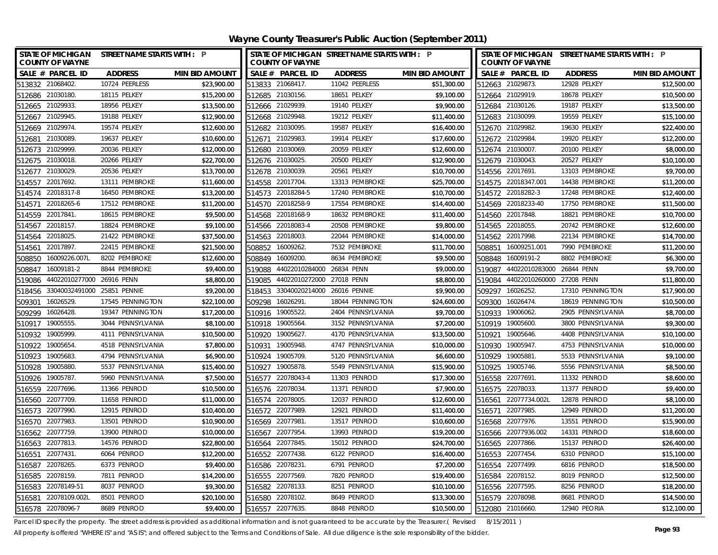**Wayne County Treasurer's Public Auction (September 2011)**

| <b>STATE OF MICHIGAN</b><br><b>COUNTY OF WAYNE</b> | <b>STREET NAME STARTS WITH : P</b> |                       |        | <b>COUNTY OF WAYNE</b>    | STATE OF MICHIGAN STREET NAME STARTS WITH : P |                       |        | <b>COUNTY OF WAYNE</b>    | STATE OF MICHIGAN STREET NAME STARTS WITH : P |                       |
|----------------------------------------------------|------------------------------------|-----------------------|--------|---------------------------|-----------------------------------------------|-----------------------|--------|---------------------------|-----------------------------------------------|-----------------------|
| SALE # PARCEL ID                                   | <b>ADDRESS</b>                     | <b>MIN BID AMOUNT</b> |        | SALE # PARCEL ID          | <b>ADDRESS</b>                                | <b>MIN BID AMOUNT</b> |        | SALE # PARCEL ID          | <b>ADDRESS</b>                                | <b>MIN BID AMOUNT</b> |
| 513832 21068402.                                   | 10724 PEERLESS                     | \$23,900.00           |        | 513833 21068417.          | 11042 PEERLESS                                | \$51,300.00           |        | 512663 21029873.          | 12928 PELKEY                                  | \$12,500.00           |
| 512686 21030180.                                   | 18115 PELKEY                       | \$15,200.00           |        | 512685 21030156.          | 18651 PFIKFY                                  | \$9,100.00            |        | 512664 21029919.          | 18678 PELKEY                                  | \$10,500.00           |
| 512665 21029933.                                   | 18956 PELKEY                       | \$13,500.00           |        | 512666 21029939.          | 19140 PELKEY                                  | \$9,900.00            |        | 512684 21030126.          | 19187 PELKEY                                  | \$13,500.00           |
| 512667 21029945.                                   | 19188 PELKEY                       | \$12,900.00           |        | 512668 21029948.          | 19212 PELKEY                                  | \$11,400.00           |        | 512683 21030099.          | 19559 PELKEY                                  | \$15,100.00           |
| 21029974.<br>512669                                | 19574 PELKEY                       | \$12,600.00           |        | 512682 21030095.          | 19587 PELKEY                                  | \$16,400.00           |        | 512670 21029982.          | 19630 PELKEY                                  | \$22,400.00           |
| 21030089<br>512681                                 | 19637 PELKEY                       | \$10,600.00           | 512671 | 21029983                  | 19914 PELKEY                                  | \$17,600.00           |        | 512672 21029984.          | 19920 PELKEY                                  | \$12,200.00           |
| 512673 21029999.                                   | 20036 PELKEY                       | \$12,000.00           |        | 512680 21030069.          | 20059 PELKEY                                  | \$12,600.00           |        | 512674 21030007.          | 20100 PELKEY                                  | \$8,000.00            |
| 512675 21030018.                                   | 20266 PELKEY                       | \$22,700.00           |        | 512676 21030025.          | 20500 PELKEY                                  | \$12,900.00           |        | 512679 21030043.          | 20527 PELKEY                                  | \$10,100.00           |
| 21030029<br>512677                                 | 20536 PELKEY                       | \$13,700.00           |        | 512678 21030039.          | 20561 PELKEY                                  | \$10,700.00           |        | 514556 22017691.          | 13103 PEMBROKE                                | \$9,700.00            |
| 22017692<br>514557                                 | 13111 PEMBROKE                     | \$11,600.00           |        | 514558 22017704.          | 13313 PEMBROKE                                | \$25,700.00           |        | 514575 22018347.001       | 14438 PEMBROKE                                | \$11,200.00           |
| 22018317-8<br>514574                               | 16450 PEMBROKE                     | \$13,200.00           |        | 514573 22018284-5         | 17240 PEMBROKE                                | \$10,700.00           |        | 514572 22018282-3         | 17248 PEMBROKE                                | \$12,400.00           |
| 22018265-6<br>514571                               | 17512 PEMBROKE                     | \$11,200.00           |        | 514570 22018258-9         | 17554 PEMBROKE                                | \$14,400.00           |        | 514569 22018233-40        | 17750 PEMBROKE                                | \$11,500.00           |
| 22017841<br>514559                                 | 18615 PEMBROKE                     | \$9,500.00            | 514568 | 22018168-9                | 18632 PEMBROKE                                | \$11,400.00           |        | 514560 22017848.          | 18821 PEMBROKE                                | \$10,700.00           |
| 22018157.<br>514567                                | 18824 PEMBROKE                     | \$9,100.00            |        | 514566 22018083-4         | 20508 PEMBROKE                                | \$9,800.00            | 514565 | 22018055.                 | 20742 PEMBROKE                                | \$12,600.00           |
| 22018025<br>514564                                 | 21422 PEMBROKE                     | \$37,500.00           |        | 514563 22018003           | 22044 PEMBROKE                                | \$14,000.00           |        | 514562 22017998.          | 22134 PEMBROKE                                | \$14,700.00           |
| 22017897<br>514561                                 | 22415 PEMBROKE                     | \$21,500.00           | 508852 | 16009262                  | 7532 PEMBROKE                                 | \$11,700.00           |        | 508851 16009251.001       | 7990 PEMBROKE                                 | \$11,200.00           |
| 16009226.007L<br>508850                            | 8202 PEMBROKE                      | \$12,600.00           | 508849 | 16009200.                 | 8634 PEMBROKE                                 | \$9,500.00            | 508848 | 16009191-2                | 8802 PEMBROKE                                 | \$6,300.00            |
| 16009181-2<br>508847                               | 8844 PEMBROKE                      | \$9,400.00            | 519088 | 44022010284000 26834 PENN |                                               | \$9,000.00            | 519087 | 44022010283000 26844 PENN |                                               | \$9,700.00            |
| 44022010277000 26916 PENN<br>519086                |                                    | \$8,800.00            | 519085 | 44022010272000 27018 PENN |                                               | \$8,800.00            |        | 519084 44022010260000     | 27208 PENN                                    | \$11,800.00           |
| 518456 33040032491000 25851 PENNIE                 |                                    | \$9,200.00            | 518453 | 33040020214000            | 26016 PENNIE                                  | \$9,900.00            |        | 509297 16026252.          | 17310 PENNINGTON                              | \$17,900.00           |
| 16026529.<br>509301                                | 17545 PENNINGTON                   | \$22,100.00           | 509298 | 16026291.                 | 18044 PENNINGTON                              | \$24,600.00           |        | 509300 16026474.          | 18619 PENNINGTON                              | \$10,500.00           |
| 509299<br>16026428                                 | 19347 PENNINGTON                   | \$17,200.00           |        | 510916 19005522.          | 2404 PENNSYLVANIA                             | \$9,700.00            | 510933 | 19006062.                 | 2905 PENNSYLVANIA                             | \$8,700.00            |
| 19005555.<br>510917                                | 3044 PENNSYLVANIA                  | \$8,100.00            |        | 510918 19005564.          | 3152 PENNSYLVANIA                             | \$7,200.00            |        | 510919 19005600.          | 3800 PENNSYLVANIA                             | \$9,300.00            |
| 19005999.<br>510932                                | 4111 PENNSYLVANIA                  | \$10,500.00           | 510920 | 19005627                  | 4170 PENNSYLVANIA                             | \$13,500.00           |        | 510921 19005646.          | 4408 PENNSYLVANIA                             | \$10,100.00           |
| 19005654<br>510922                                 | 4518 PENNSYLVANIA                  | \$7,800.00            | 510931 | 19005948.                 | 4747 PENNSYLVANIA                             | \$10,000.00           |        | 510930 19005947.          | 4753 PENNSYLVANIA                             | \$10,000.00           |
| 510923 19005683.                                   | 4794 PENNSYLVANIA                  | \$6,900.00            |        | 510924 19005709.          | 5120 PENNSYLVANIA                             | \$6,600.00            |        | 510929 19005881           | 5533 PENNSYLVANIA                             | \$9,100.00            |
| 19005880<br>510928                                 | 5537 PENNSYLVANIA                  | \$15,400.00           |        | 510927 19005878           | 5549 PENNSYLVANIA                             | \$15,900.00           |        | 510925 19005746.          | 5556 PENNSYLVANIA                             | \$8,500.00            |
| 19005787<br>510926                                 | 5960 PENNSYLVANIA                  | \$7,500.00            |        | 516577 22078043-4         | 11303 PENROD                                  | \$17,300.00           |        | 516558 22077691           | 11332 PENROD                                  | \$8,600.00            |
| 516559<br>22077696.                                | 11366 PENROD                       | \$10,500.00           |        | 516576 22078034           | 11371 PENROD                                  | \$7,900.00            |        | 516575 22078033.          | 11377 PENROD                                  | \$9,400.00            |
| 22077709.<br>516560                                | 11658 PENROD                       | \$11,000.00           |        | 516574 22078005           | 12037 PENROD                                  | \$12,600.00           |        | 516561 22077734.002L      | 12878 PENROD                                  | \$8,100.00            |
| 516573 22077990.                                   | 12915 PENROD                       | \$10,400.00           |        | 516572 22077989           | 12921 PENROD                                  | \$11,400.00           |        | 516571 22077985.          | 12949 PENROD                                  | \$11,200.00           |
| 22077983.<br>516570                                | 13501 PENROD                       | \$10,900.00           |        | 516569 22077981           | 13517 PENROD                                  | \$10,600.00           |        | 516568 22077976.          | 13551 PENROD                                  | \$15,900.00           |
| 22077759<br>516562                                 | 13900 PENROD                       | \$10,000.00           | 516567 | 22077954.                 | 13993 PENROD                                  | \$19,200.00           |        | 516566 22077936.002       | 14331 PENROD                                  | \$18,600.00           |
| 516563 22077813.                                   | 14576 PENROD                       | \$22,800.00           |        | 516564 22077845.          | 15012 PENROD                                  | \$24,700.00           |        | 516565 22077866.          | 15137 PENROD                                  | \$26,400.00           |
| 22077431<br>516551                                 | 6064 PENROD                        | \$12,200.00           |        | 516552 22077438           | 6122 PENROD                                   | \$16,400.00           |        | 516553 22077454.          | 6310 PENROD                                   | \$15,100.00           |
| 22078265<br>516587                                 | 6373 PENROD                        | \$9,400.00            | 516586 | 22078231                  | 6791 PENROD                                   | \$7,200.00            | 516554 | 22077499.                 | 6816 PENROD                                   | \$18,500.00           |
| 516585<br>22078159                                 | 7811 PENROD                        | \$14,200.00           | 516555 | 22077569.                 | 7820 PENROD                                   | \$19,400.00           | 516584 | 22078152.                 | 8019 PENROD                                   | \$12,500.00           |
| 22078149-51<br>516583                              | 8037 PENROD                        | \$9,300.00            | 516582 | 22078133.                 | 8251 PENROD                                   | \$10,100.00           |        | 516556 22077595.          | 8256 PENROD                                   | \$18,200.00           |
| 22078109.002L<br>516581                            | 8501 PENROD                        | \$20,100.00           | 516580 | 22078102                  | 8649 PENROD                                   | \$13,300.00           |        | 516579 22078098.          | 8681 PENROD                                   | \$14,500.00           |
| 516578 22078096-7                                  | 8689 PENROD                        | \$9,400.00            | 516557 | 22077635                  | 8848 PENROD                                   | \$10,500.00           |        | 512080 21016660.          | 12940 PEORIA                                  | \$12,100.00           |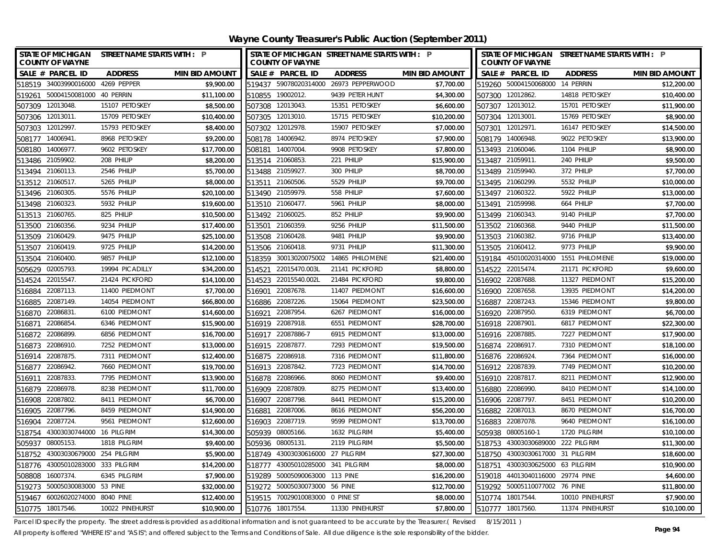| STATE OF MICHIGAN STREET NAME STARTS WITH : P        | STATE OF MICHIGAN STREET NAME STARTS WITH : P              | STATE OF MICHIGAN STREET NAME STARTS WITH : P       |
|------------------------------------------------------|------------------------------------------------------------|-----------------------------------------------------|
| <b>COUNTY OF WAYNE</b>                               | <b>COUNTY OF WAYNE</b>                                     | <b>COUNTY OF WAYNE</b>                              |
| SALE # PARCEL ID                                     | SALE # PARCEL ID                                           | SALE # PARCEL ID                                    |
| <b>ADDRESS</b>                                       | <b>ADDRESS</b>                                             | <b>ADDRESS</b>                                      |
| <b>MIN BID AMOUNT</b>                                | <b>MIN BID AMOUNT</b>                                      | <b>MIN BID AMOUNT</b>                               |
| 518519 34003990016000 4269 PEPPER                    | 519437 59078020314000 26973 PEPPERWOOD                     | 519260 50004150068000 14 PERRIN                     |
| \$9,900.00                                           | \$7,700.00                                                 | \$12,200.00                                         |
| 519261 50004150081000 40 PERRIN<br>\$11,100.00       | 510855 19002012.<br>9439 PETER HUNT<br>\$4,300.00          | 507300 12012862.<br>14818 PETOSKEY<br>\$10,400.00   |
| 507309 12013048.                                     | 507308 12013043.                                           | 507307 12013012.                                    |
| 15107 PETOSKEY                                       | 15351 PETOSKEY                                             | 15701 PETOSKEY                                      |
| \$8,500.00                                           | \$6,600.00                                                 | \$11,900.00                                         |
| 507306 12013011.                                     | 15715 PETOSKEY                                             | 507304 12013001.                                    |
| 15709 PETOSKEY                                       | \$10,200.00                                                | 15769 PETOSKEY                                      |
| \$10,400.00                                          | 507305 12013010.                                           | \$8,900.00                                          |
| 507303 12012997.                                     | \$7,000.00                                                 | \$14,500.00                                         |
| \$8,400.00                                           | 507302 12012978                                            | 507301 12012971.                                    |
| 15793 PETOSKEY                                       | 15907 PETOSKEY                                             | 16147 PETOSKEY                                      |
| \$9,200.00<br>508177<br>14006941.<br>8968 PETOSKEY   | \$7,900.00<br>508178 14006942.<br>8974 PETOSKEY            | 508179 14006948.<br>9022 PETOSKEY<br>\$13,900.00    |
| 508180 14006977.                                     | 508181 14007004                                            | 1104 PHILIP                                         |
| 9602 PETOSKEY                                        | 9908 PETOSKEY                                              | \$8,900.00                                          |
| \$17,700.00                                          | \$7,800.00                                                 | 513493 21060046.                                    |
| 513486 21059902.                                     | 221 PHILIP                                                 | 513487 21059911.                                    |
| 208 PHILIP                                           | \$15,900.00                                                | 240 PHILIP                                          |
| \$8,200.00                                           | 513514 21060853.                                           | \$9,500.00                                          |
| 513494 21060113.                                     | 513488 21059927                                            | \$7,700.00                                          |
| 2546 PHILIP                                          | 300 PHILIP                                                 | 513489 21059940.                                    |
| \$5,700.00                                           | \$8,700.00                                                 | 372 PHILIP                                          |
| 513512 21060517.                                     | 513511 21060506.                                           | 513495 21060299.                                    |
| 5265 PHILIP                                          | 5529 PHILIP                                                | 5532 PHILIP                                         |
| \$8,000.00                                           | \$9,700.00                                                 | \$10,000.00                                         |
| 513496 21060305.                                     | 558 PHILIP                                                 | 513497 21060322.                                    |
| 5576 PHILIP                                          | 513490 21059979                                            | 5922 PHILIP                                         |
| \$20,100.00                                          | \$7,600.00                                                 | \$13,000.00                                         |
| 513498 21060323.                                     | 5961 PHILIP                                                | 513491 21059998.                                    |
| 5932 PHILIP                                          | 513510 21060477.                                           | 664 PHILIP                                          |
| \$19,600.00                                          | \$8,000.00                                                 | \$7,700.00                                          |
| 21060765<br>825 PHILIP<br>\$10,500.00<br>513513      | 852 PHILIP<br>513492 21060025<br>\$9,900.00                | \$7,700.00<br>513499 21060343.<br>9140 PHILIP       |
| 21060356<br>9234 PHILIP<br>\$17,400.00<br>513500     | 9256 PHILIP<br>21060359.<br>\$11,500.00<br>513501          | 9440 PHILIP<br>513502 21060368.<br>\$11,500.00      |
| 513509 21060429.<br>9475 PHILIP<br>\$25,100.00       | 9481 PHILIP<br>21060428.<br>513508<br>\$9,900.00           | 513503 21060382.<br>9716 PHILIP<br>\$13,400.00      |
| 513507 21060419.                                     | 513506 21060418.                                           | 513505 21060412.                                    |
| 9725 PHILIP                                          | 9731 PHILIP                                                | 9773 PHILIP                                         |
| \$14,200.00                                          | \$11,300.00                                                | \$9,900.00                                          |
| 21060400<br>9857 PHILIP<br>\$12,100.00<br>513504     | 30013020075002<br>14865 PHILOMENE<br>\$21,400.00<br>518359 | \$19,000.00<br>519184 45010020314000 1551 PHILOMENE |
| \$34,200.00                                          | 22015470.003L                                              | 22015474.                                           |
| 02005793                                             | 21141 PICKFORD                                             | 21171 PICKFORD                                      |
| 19994 PICADILLY                                      | \$8,800.00                                                 | \$9,600.00                                          |
| 505629                                               | 514521                                                     | 514522                                              |
| 22015547.<br>21424 PICKFORD<br>\$14,100.00<br>514524 | 22015540.002L<br>21484 PICKFORD<br>\$9,800.00<br>514523    | 516902 22087688.<br>11327 PIEDMONT<br>\$15,200.00   |
| 22087113.                                            | 22087678                                                   | 22087658.                                           |
| 11400 PIEDMONT                                       | 11407 PIEDMONT                                             | 13935 PIEDMONT                                      |
| \$7,700.00                                           | \$16,600.00                                                | \$14,200.00                                         |
| 516884                                               | 516901                                                     | 516900                                              |
| 22087149.                                            | 22087226.                                                  | \$9,800.00                                          |
| 14054 PIEDMONT                                       | 15064 PIEDMONT                                             | 22087243.                                           |
| \$66,800.00                                          | \$23,500.00                                                | 15346 PIEDMONT                                      |
| 516885                                               | 516886                                                     | 516887                                              |
| 22086831<br>6100 PIEDMONT<br>\$14,600.00<br>516870   | 22087954<br>6267 PIEDMONT<br>\$16,000.00<br>516921         | 516920 22087950.<br>6319 PIEDMONT<br>\$6,700.00     |
| 22086854<br>6346 PIEDMONT<br>\$15,900.00<br>516871   | 516919 22087918.<br>6551 PIEDMONT<br>\$28,700.00           | 516918 22087901.<br>6817 PIEDMONT<br>\$22,300.00    |
| 516872 22086899.                                     | 516917 22087886-7                                          | \$17,900.00                                         |
| 6856 PIEDMONT                                        | 6915 PIEDMONT                                              | 516916 22087885.                                    |
| \$16,700.00                                          | \$13,000.00                                                | 7227 PIEDMONT                                       |
| 516873 22086910.                                     | 516915 22087877.                                           | 516874 22086917.                                    |
| 7252 PIEDMONT                                        | 7293 PIEDMONT                                              | 7310 PIEDMONT                                       |
| \$13,000.00                                          | \$19,500.00                                                | \$18,100.00                                         |
| \$12,400.00                                          | \$11,800.00                                                | \$16,000.00                                         |
| 516914 22087875                                      | 516875 22086918                                            | 516876 22086924                                     |
| 7311 PIEDMONT                                        | 7316 PIEDMONT                                              | 7364 PIEDMONT                                       |
| 7660 PIEDMONT                                        | \$14,700.00                                                | 7749 PIEDMONT                                       |
| \$19,700.00                                          | 516913 22087842.                                           | \$10,200.00                                         |
| 516877 22086942.                                     | 7723 PIEDMONT                                              | 516912 22087839.                                    |
| \$13,900.00<br>22087833<br>7795 PIEDMONT<br>516911   | \$9,400.00<br>516878 22086966<br>8060 PIEDMONT             | \$12,900.00<br>516910 22087817.<br>8211 PIEDMONT    |
| \$11,700.00<br>516879<br>22086978.<br>8238 PIEDMONT  | \$13,400.00<br>516909 22087809<br>8275 PIEDMONT            | \$14,100.00<br>516880 22086990.<br>8410 PIEDMONT    |
| \$6,700.00                                           | 516907 22087798                                            | \$10,200.00                                         |
| 516908 22087802                                      | 8441 PIEDMONT                                              | 516906 22087797.                                    |
| 8411 PIEDMONT                                        | \$15,200.00                                                | 8451 PIEDMONT                                       |
| 516905 22087796.                                     | \$56,200.00                                                | \$16,700.00                                         |
| \$14,900.00                                          | 516881 22087006                                            | 516882 22087013.                                    |
| 8459 PIEDMONT                                        | 8616 PIEDMONT                                              | 8670 PIEDMONT                                       |
| 22087724<br>9561 PIEDMONT<br>\$12,600.00<br>516904   | 22087719.<br>9599 PIEDMONT<br>\$13,700.00<br>516903        | 516883 22087078.<br>9640 PIEDMONT<br>\$16,100.00    |
| 518754<br>43003030744000 16 PILGRIM<br>\$14,300.00   | 505939<br>08005166.<br>1632 PILGRIM<br>\$5,400.00          | 505938 08005160-1<br>1720 PILGRIM<br>\$10,100.00    |
| 08005153<br>1818 PILGRIM<br>\$9,400.00<br>505937     | 505936 08005131.<br>2119 PILGRIM<br>\$5,500.00             | 518753 43003030689000 222 PILGRIM<br>\$11,300.00    |
| 43003030679000 254 PILGRIM<br>\$5,900.00<br>518752   | \$27,300.00<br>518749 43003030616000 27 PILGRIM            | \$18,600.00<br>518750 43003030617000 31 PILGRIM     |
| 43005010283000 333 PILGRIM<br>\$14,200.00<br>518776  | 43005010285000 341 PILGRIM<br>\$8,000.00<br>518777         | \$10,900.00<br>518751 43003030625000 63 PILGRIM     |
| 16007374.<br>\$7,900.00<br>508808<br>6345 PILGRIM    | 50005090063000 113 PINE<br>\$16,200.00<br>519289           | \$4,600.00<br>519018 44013040116000 29774 PINE      |
| 50005030083000 53 PINE<br>\$32,000.00<br>519273      | 50005030073000 56 PINE<br>\$12,700.00<br>519272            | \$11,800.00<br>519292 50005110077002 76 PINE        |
| 519467 60026020274000 8040 PINE<br>\$12,400.00       | 519515 70029010083000 0 PINE ST<br>\$8,000.00              | \$7,900.00<br>510774 18017544.<br>10010 PINEHURST   |
| \$10,900.00                                          | \$7,800.00                                                 | \$10,100.00                                         |
| 510775 18017546.                                     | 510776 18017554.                                           | 510777 18017560.                                    |
| 10022 PINEHURST                                      | 11330 PINEHURST                                            | 11374 PINEHURST                                     |

Parcel ID specify the property. The street address is provided as additional information and is not guaranteed to be accurate by the Treasurer.( Revised 8/15/2011 )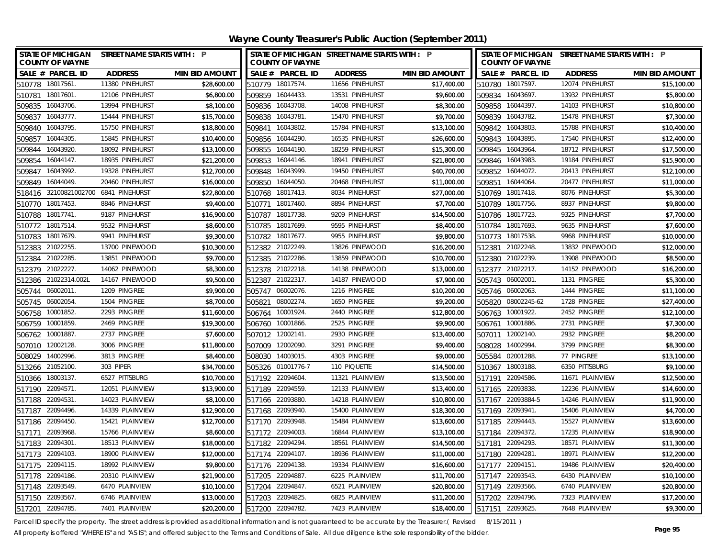| <b>STATE OF MICHIGAN</b><br><b>COUNTY OF WAYNE</b> | <b>STREET NAME STARTS WITH : P</b>      | <b>COUNTY OF WAYNE</b> | STATE OF MICHIGAN STREET NAME STARTS WITH : P |                       |                  | <b>COUNTY OF WAYNE</b> | STATE OF MICHIGAN STREET NAME STARTS WITH : P |                       |
|----------------------------------------------------|-----------------------------------------|------------------------|-----------------------------------------------|-----------------------|------------------|------------------------|-----------------------------------------------|-----------------------|
| SALE # PARCEL ID                                   | <b>ADDRESS</b><br><b>MIN BID AMOUNT</b> | SALE # PARCEL ID       | <b>ADDRESS</b>                                | <b>MIN BID AMOUNT</b> |                  | SALE # PARCEL ID       | <b>ADDRESS</b>                                | <b>MIN BID AMOUNT</b> |
| 510778 18017561                                    | 11380 PINEHURST<br>\$28,600.00          | 510779 18017574.       | 11656 PINEHURST                               | \$17,400.00           |                  | 510780 18017597.       | 12074 PINEHURST                               | \$15,100.00           |
| 510781 18017601                                    | 12106 PINEHURST<br>\$6,800.00           | 509859 16044433.       | 13531 PINEHURST                               | \$9,600.00            | 509834 16043697. |                        | 13932 PINEHURST                               | \$5,800.00            |
| 509835 16043706.                                   | 13994 PINEHURST<br>\$8,100.00           | 509836 16043708.       | 14008 PINEHURST                               | \$8,300.00            | 509858 16044397. |                        | 14103 PINEHURST                               | \$10,800.00           |
| 509837 16043777.                                   | 15444 PINEHURST<br>\$15,700.00          | 509838 16043781        | 15470 PINEHURST                               | \$9,700.00            | 509839 16043782. |                        | 15478 PINEHURST                               | \$7,300.00            |
| 509840 16043795.                                   | \$18,800.00<br>15750 PINEHURST          | 509841 16043802        | 15784 PINEHURST                               | \$13,100.00           | 509842 16043803. |                        | 15788 PINEHURST                               | \$10,400.00           |
| 509857 16044305.                                   | \$10,400.00<br>15845 PINEHURST          | 509856 16044290.       | 16535 PINEHURST                               | \$26,600.00           | 509843 16043895. |                        | 17540 PINEHURST                               | \$12,400.00           |
| 509844 16043920.                                   | \$13,100.00<br>18092 PINEHURST          | 509855 16044190.       | 18259 PINEHURST                               | \$15,300.00           | 509845 16043964. |                        | 18712 PINEHURST                               | \$17,500.00           |
| 509854 16044147.                                   | \$21,200.00<br>18935 PINEHURST          | 509853 16044146.       | 18941 PINEHURST                               | \$21,800.00           | 509846 16043983. |                        | 19184 PINEHURST                               | \$15,900.00           |
| 16043992.<br>509847                                | 19328 PINEHURST<br>\$12,700.00          | 509848 16043999.       | 19450 PINEHURST                               | \$40,700.00           | 509852 16044072. |                        | 20413 PINEHURST                               | \$12,100.00           |
| 16044049.<br>509849                                | 20460 PINEHURST<br>\$16,000.00          | 16044050.<br>509850    | 20468 PINEHURST                               | \$11,000.00           | 509851 16044064. |                        | 20477 PINEHURST                               | \$11,000.00           |
| 518416 32100821002700 6841 PINEHURST               | \$22,800.00                             | 510768 18017413.       | 8034 PINEHURST                                | \$27,000.00           | 510769 18017418. |                        | 8076 PINEHURST                                | \$5,300.00            |
| 18017453.<br>510770                                | 8846 PINEHURST<br>\$9,400.00            | 18017460.<br>510771    | 8894 PINEHURST                                | \$7,700.00            | 510789 18017756. |                        | 8937 PINEHURST                                | \$9,800.00            |
| 18017741.<br>510788                                | 9187 PINEHURST<br>\$16,900.00           | 18017738.<br>510787    | 9209 PINEHURST                                | \$14,500.00           | 510786 18017723. |                        | 9325 PINEHURST                                | \$7,700.00            |
| 18017514.<br>510772                                | 9532 PINEHURST<br>\$8,600.00            | 18017699.<br>510785    | 9595 PINEHURST                                | \$8,400.00            | 510784           | 18017693.              | 9635 PINEHURST                                | \$7,600.00            |
| 18017679.<br>510783                                | 9941 PINEHURST<br>\$9,300.00            | 510782<br>18017677.    | 9955 PINEHURST                                | \$9,800.00            | 510773 18017538. |                        | 9968 PINEHURST                                | \$10,000.00           |
| 512383 21022255.                                   | \$10,300.00<br>13700 PINEWOOD           | 512382 21022249.       | 13826 PINEWOOD                                | \$16,200.00           | 512381 21022248. |                        | 13832 PINEWOOD                                | \$12,000.00           |
| 21022285.<br>512384                                | 13851 PINEWOOD<br>\$9,700.00            | 512385 21022286.       | 13859 PINEWOOD                                | \$10,700.00           | 512380 21022239. |                        | 13908 PINEWOOD                                | \$8,500.00            |
| 512379 21022227.                                   | 14062 PINEWOOD<br>\$8,300.00            | 512378 21022218.       | 14138 PINEWOOD                                | \$13,000.00           | 512377           | 21022217.              | 14152 PINEWOOD                                | \$16,200.00           |
| 512386 21022314.002L                               | 14167 PINEWOOD<br>\$9,500.00            | 512387 21022317.       | 14187 PINEWOOD                                | \$7,900.00            | 505743 06002001  |                        | 1131 PINGREE                                  | \$5,300.00            |
| 505744 06002011                                    | 1209 PINGREE<br>\$9,900.00              | 505747 06002076.       | 1216 PINGREE                                  | \$10,200.00           | 505746 06002063. |                        | 1444 PINGREE                                  | \$11,100.00           |
| 06002054.<br>505745                                | 1504 PINGREE<br>\$8,700.00              | 08002274.<br>505821    | 1650 PINGREE                                  | \$9,200.00            |                  | 505820 08002245-62     | 1728 PINGREE                                  | \$27,400.00           |
| 10001852.<br>506758                                | 2293 PINGREE<br>\$11,600.00             | 10001924<br>506764     | 2440 PINGREE                                  | \$12,800.00           | 506763           | 10001922.              | 2452 PINGREE                                  | \$12,100.00           |
| 10001859.<br>506759                                | 2469 PINGREE<br>\$19,300.00             | 10001866.<br>506760    | 2525 PINGREE                                  | \$9,900.00            | 506761 10001886. |                        | 2731 PINGREE                                  | \$7,300.00            |
| 506762 10001887                                    | 2737 PINGREE<br>\$7,600.00              | 507012 12002141        | 2930 PINGREE                                  | \$13,400.00           | 507011 12002140  |                        | 2932 PINGREE                                  | \$8,200.00            |
| 507010 12002128.                                   | 3006 PINGREE<br>\$11,800.00             | 507009 12002090.       | 3291 PINGREE                                  | \$9,400.00            | 508028           | 14002994               | 3799 PINGREE                                  | \$8,300.00            |
| 508029 14002996.                                   | \$8,400.00<br>3813 PINGREE              | 508030 14003015.       | 4303 PINGREE                                  | \$9,000.00            | 505584 02001288  |                        | 77 PINGREE                                    | \$13,100.00           |
| 303 PIPER<br>513266 21052100.                      | \$34,700.00                             | 505326 01001776-7      | 110 PIQUETTE                                  | \$14,500.00           | 510367 18003188. |                        | 6350 PITTSBURG                                | \$9,100.00            |
| 510366 18003137                                    | \$10,700.00<br>6527 PITTSBURG           | 517192 22094604        | 11321 PLAINVIEW                               | \$13,500.00           | 517191 22094586  |                        | 11671 PLAINVIEW                               | \$12,500.00           |
| 517190 22094571.                                   | \$13,900.00<br>12051 PLAINVIEW          | 517189 22094559.       | 12133 PLAINVIEW                               | \$13,400.00           | 517165 22093838. |                        | 12236 PLAINVIEW                               | \$14,600.00           |
| 517188 22094531.                                   | 14023 PLAINVIEW<br>\$8,100.00           | 517166 22093880.       | 14218 PLAINVIEW                               | \$10,800.00           |                  | 517167 22093884-5      | 14246 PLAINVIEW                               | \$11,900.00           |
| 517187 22094496.                                   | \$12,900.00<br>14339 PLAINVIEW          | 517168 22093940.       | 15400 PLAINVIEW                               | \$18,300.00           | 517169 22093941. |                        | 15406 PLAINVIEW                               | \$4,700.00            |
| 517186 22094450.                                   | 15421 PLAINVIEW<br>\$12,700.00          | 517170 22093948.       | 15484 PLAINVIEW                               | \$13,600.00           | 517185 22094443. |                        | 15527 PLAINVIEW                               | \$13,600.00           |
| 22093968.<br>517171                                | 15766 PLAINVIEW<br>\$8,600.00           | 517172 22094003.       | 16844 PLAINVIEW                               | \$13,100.00           | 517184 22094372. |                        | 17235 PLAINVIEW                               | \$18,900.00           |
| 517183 22094301                                    | 18513 PLAINVIEW<br>\$18,000.00          | 517182 22094294.       | 18561 PLAINVIEW                               | \$14,500.00           | 517181 22094293. |                        | 18571 PLAINVIEW                               | \$11,300.00           |
| 517173 22094103.                                   | \$12,000.00<br>18900 PLAINVIEW          | 517174 22094107.       | 18936 PLAINVIEW                               | \$11,000.00           | 517180 22094281  |                        | 18971 PLAINVIEW                               | \$12,200.00           |
| 517175 22094115.                                   | 18992 PLAINVIEW<br>\$9,800.00           | 517176 22094138.       | 19334 PLAINVIEW                               | \$16,600.00           | 517177 22094151  |                        | 19486 PLAINVIEW                               | \$20,400.00           |
| 517178 22094186.                                   | 20310 PLAINVIEW<br>\$21,900.00          | 517205 22094887.       | 6225 PLAINVIEW                                | \$11,700.00           | 517147 22093543. |                        | 6430 PLAINVIEW                                | \$10,100.00           |
| 517148 22093549.                                   | 6470 PLAINVIEW<br>\$10,100.00           | 517204 22094847.       | 6521 PLAINVIEW                                | \$20,800.00           | 517149 22093566. |                        | 6740 PLAINVIEW                                | \$20,800.00           |
| 517150 22093567                                    | \$13,000.00<br>6746 PLAINVIEW           | 517203 22094825        | 6825 PLAINVIEW                                | \$11,200.00           | 517202 22094796. |                        | 7323 PLAINVIEW                                | \$17,200.00           |
| 517201 22094785.                                   | \$20,200.00<br>7401 PLAINVIEW           | 517200 22094782.       | 7423 PLAINVIEW                                | \$18,400.00           | 517151 22093625. |                        | 7648 PLAINVIEW                                | \$9,300.00            |

Parcel ID specify the property. The street address is provided as additional information and is not guaranteed to be accurate by the Treasurer.( Revised 8/15/2011 )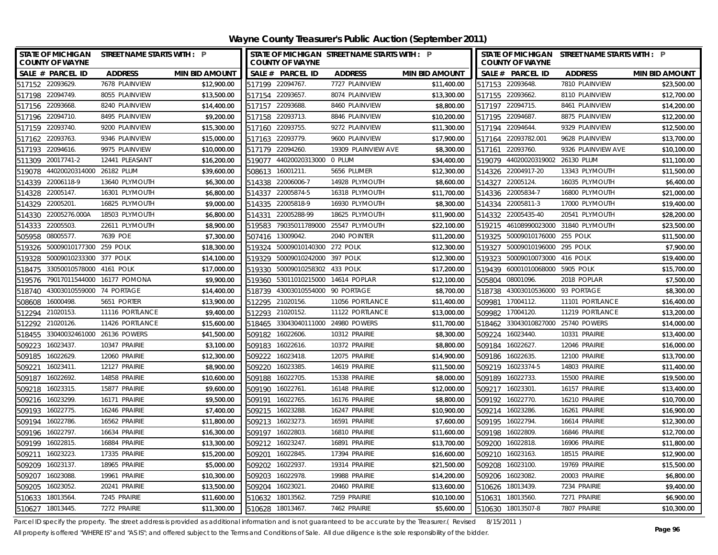**Wayne County Treasurer's Public Auction (September 2011)**

| STATE OF MICHIGAN STREET NAME STARTS WITH : P<br><b>COUNTY OF WAYNE</b> |                             |                       |        | <b>COUNTY OF WAYNE</b>             | STATE OF MICHIGAN STREET NAME STARTS WITH : P |                       |        | <b>COUNTY OF WAYNE</b>             | STATE OF MICHIGAN STREET NAME STARTS WITH : P |                       |
|-------------------------------------------------------------------------|-----------------------------|-----------------------|--------|------------------------------------|-----------------------------------------------|-----------------------|--------|------------------------------------|-----------------------------------------------|-----------------------|
| SALE # PARCEL ID                                                        | <b>ADDRESS</b>              | <b>MIN BID AMOUNT</b> |        | SALE # PARCEL ID                   | <b>ADDRESS</b>                                | <b>MIN BID AMOUNT</b> |        | SALE # PARCEL ID                   | <b>ADDRESS</b>                                | <b>MIN BID AMOUNT</b> |
| 517152 22093629.                                                        | 7678 PLAINVIEW              | \$12,900.00           |        | 517199 22094767.                   | 7727 PLAINVIEW                                | \$11,400.00           |        | 517153 22093648.                   | 7810 PLAINVIEW                                | \$23,500.00           |
| 517198 22094749.                                                        | 8055 PLAINVIEW              | \$13,500.00           |        | 517154 22093657.                   | 8074 PLAINVIEW                                | \$13,300.00           |        | 517155 22093662.                   | 8110 PLAINVIEW                                | \$12,700.00           |
| 517156 22093668.                                                        | 8240 PLAINVIEW              | \$14,400.00           |        | 517157 22093688.                   | 8460 PLAINVIEW                                | \$8,800.00            |        | 517197 22094715.                   | 8461 PLAINVIEW                                | \$14,200.00           |
| 517196 22094710.                                                        | 8495 PLAINVIEW              | \$9,200.00            |        | 517158 22093713.                   | 8846 PLAINVIEW                                | \$10,200.00           |        | 517195 22094687.                   | 8875 PLAINVIEW                                | \$12,200.00           |
| 517159 22093740.                                                        | 9200 PLAINVIEW              | \$15,300.00           |        | 517160 22093755.                   | 9272 PLAINVIEW                                | \$11,300.00           |        | 517194 22094644.                   | 9329 PLAINVIEW                                | \$12,500.00           |
| 22093763<br>517162                                                      | 9346 PLAINVIEW              | \$15,000.00           |        | 517163 22093779.                   | 9600 PLAINVIEW                                | \$17,900.00           |        | 517164 22093782.001                | 9628 PLAINVIEW                                | \$13,700.00           |
| 517193 22094616.                                                        | 9975 PLAINVIEW              | \$10,000.00           |        | 517179 22094260.                   | 19309 PLAINVIEW AVE                           | \$8,300.00            |        | 517161 22093760.                   | 9326 PLAINVIEW AVE                            | \$10,100.00           |
| 511309 20017741-2                                                       | 12441 PLEASANT              | \$16,200.00           | 519077 | 44020020313000 0 PLUM              |                                               | \$34,400.00           |        | 519079 44020020319002 26130 PLUM   |                                               | \$11,100.00           |
| 44020020314000 26182 PLUM<br>519078                                     |                             | \$39,600.00           | 508613 | 16001211.                          | 5656 PLUMER                                   | \$12,300.00           |        | 514326 22004917-20                 | 13343 PLYMOUTH                                | \$11,500.00           |
| 22006118-9<br>514339                                                    | 13640 PLYMOUTH              | \$6,300.00            | 514338 | 22006006-7                         | 14928 PLYMOUTH                                | \$8,600.00            |        | 514327 22005124.                   | 16035 PLYMOUTH                                | \$6,400.00            |
| 22005147.<br>514328                                                     | 16301 PLYMOUTH              | \$6,800.00            |        | 514337 22005874-5                  | 16318 PLYMOUTH                                | \$11,700.00           |        | 514336 22005834-7                  | 16800 PLYMOUTH                                | \$21,000.00           |
| 514329 22005201.                                                        | 16825 PLYMOUTH              | \$9,000.00            | 514335 | 22005818-9                         | 16930 PLYMOUTH                                | \$8,300.00            |        | 514334 22005811-3                  | 17000 PLYMOUTH                                | \$19,400.00           |
| 22005276.000A<br>514330                                                 | 18503 PLYMOUTH              | \$6,800.00            | 514331 | 22005288-99                        | 18625 PLYMOUTH                                | \$11,900.00           |        | 514332 22005435-40                 | 20541 PLYMOUTH                                | \$28,200.00           |
| 22005503.<br>514333                                                     | 22611 PLYMOUTH              | \$8,900.00            | 519583 | 79035011789000                     | 25547 PLYMOUTH                                | \$22,100.00           | 519215 | 46108990023000                     | 31840 PLYMOUTH                                | \$23,500.00           |
| 08005577.<br>505958                                                     | 7639 POE                    | \$7,300.00            | 507416 | 13009042.                          | 2040 POINTER                                  | \$11,200.00           |        | 519325 50009010176000 255 POLK     |                                               | \$11,500.00           |
| 50009010177300<br>519326                                                | 259 POLK                    | \$18,300.00           | 519324 | 50009010140300 272 POLK            |                                               | \$12,300.00           | 519327 | 50009010196000                     | 295 POLK                                      | \$7,900.00            |
| 50009010233300<br>519328                                                | 377 POLK                    | \$14,100.00           | 519329 | 50009010242000                     | 397 POLK                                      | \$12,300.00           | 519323 | 50009010073000                     | 416 POLK                                      | \$19,400.00           |
| 33050010578000<br>518475                                                | 4161 POLK                   | \$17,000.00           | 519330 | 50009010258302                     | 433 POLK                                      | \$17,200.00           |        | 519439 60001010068000              | 5905 POLK                                     | \$15,700.00           |
| 519576                                                                  | 79017011544000 16177 POMONA | \$9,900.00            | 519360 | 53011010215000 14614 POPLAR        |                                               | \$12,100.00           |        | 505804 08001096.                   | 2018 POPLAR                                   | \$7,500.00            |
| 43003010559000 74 PORTAGE<br>518740                                     |                             | \$14,400.00           | 518739 | 43003010554000                     | 90 PORTAGE                                    | \$8,700.00            |        | 518738 43003010536000 93 PORTAGE   |                                               | \$8,300.00            |
| 16000498.<br>508608                                                     | 5651 PORTER                 | \$13,900.00           | 512295 | 21020156.                          | 11056 PORTLANCE                               | \$11,400.00           | 509981 | 17004112.                          | 11101 PORTLANCE                               | \$16,400.00           |
| 21020153.<br>512294                                                     | 11116 PORTLANCE             | \$9,400.00            |        | 512293 21020152.                   | 11122 PORTLANCE                               | \$13,000.00           |        | 509982 17004120.                   | 11219 PORTLANCE                               | \$13,200.00           |
| 512292 21020126.                                                        | 11426 PORTLANCE             | \$15,600.00           |        | 518465 33043040111000 24980 POWERS |                                               | \$11,700.00           |        | 518462 33043010827000 25740 POWERS |                                               | \$14,000.00           |
| 33040032461000 26136 POWERS<br>518455                                   |                             | \$41,500.00           |        | 509182 16022606.                   | 10312 PRAIRIE                                 | \$8,300.00            |        | 509224 16023440.                   | 10331 PRAIRIE                                 | \$13,400.00           |
| 16023437.<br>509223                                                     | 10347 PRAIRIE               | \$3,100.00            |        | 509183 16022616.                   | 10372 PRAIRIE                                 | \$8,800.00            |        | 509184 16022627.                   | 12046 PRAIRIE                                 | \$16,000.00           |
| 509185 16022629.                                                        | 12060 PRAIRIE               | \$12,300.00           | 509222 | 16023418.                          | 12075 PRAIRIE                                 | \$14,900.00           |        | 509186 16022635.                   | 12100 PRAIRIE                                 | \$13,700.00           |
| 509221<br>16023411.                                                     | 12127 PRAIRIE               | \$8,900.00            | 509220 | 16023385.                          | 14619 PRAIRIE                                 | \$11,500.00           |        | 509219 16023374-5                  | 14803 PRAIRIE                                 | \$11,400.00           |
| 509187 16022692.                                                        | 14858 PRAIRIE               | \$10,600.00           | 509188 | 16022705                           | 15338 PRAIRIE                                 | \$8,000.00            |        | 509189 16022733.                   | 15500 PRAIRIE                                 | \$19,500.00           |
| 16023315.<br>509218                                                     | 15877 PRAIRIE               | \$9,600.00            | 509190 | 16022761                           | 16148 PRAIRIE                                 | \$12,000.00           | 509217 | 16023301                           | 16157 PRAIRIE                                 | \$13,400.00           |
| 509216 16023299.                                                        | 16171 PRAIRIE               | \$9,500.00            | 509191 | 16022765.                          | 16176 PRAIRIE                                 | \$8,800.00            |        | 509192 16022770.                   | 16210 PRAIRIE                                 | \$10,700.00           |
| 16022775<br>509193                                                      | 16246 PRAIRIE               | \$7,400.00            | 509215 | 16023288.                          | 16247 PRAIRIE                                 | \$10,900.00           |        | 509214 16023286.                   | 16261 PRAIRIE                                 | \$16,900.00           |
| 509194<br>16022786                                                      | 16562 PRAIRIE               | \$11,800.00           | 509213 | 16023273.                          | 16591 PRAIRIE                                 | \$7,600.00            |        | 509195 16022794.                   | 16614 PRAIRIE                                 | \$12,300.00           |
| 509196<br>16022797.                                                     | 16634 PRAIRIE               | \$16,300.00           | 509197 | 16022803.                          | 16810 PRAIRIE                                 | \$11,600.00           | 509198 | 16022809.                          | 16846 PRAIRIE                                 | \$12,700.00           |
| 509199 16022815                                                         | 16884 PRAIRIE               | \$13,300.00           |        | 509212 16023247.                   | 16891 PRAIRIE                                 | \$13,700.00           |        | 509200 16022818.                   | 16906 PRAIRIE                                 | \$11,800.00           |
| 16023223<br>509211                                                      | 17335 PRAIRIE               | \$15,200.00           | 509201 | 16022845.                          | 17394 PRAIRIE                                 | \$16,600.00           |        | 509210 16023163.                   | 18515 PRAIRIE                                 | \$12,900.00           |
| 16023137<br>509209                                                      | 18965 PRAIRIE               | \$5,000.00            | 509202 | 16022937                           | 19314 PRAIRIE                                 | \$21,500.00           | 509208 | 16023100.                          | 19769 PRAIRIE                                 | \$15,500.00           |
| 16023088<br>509207                                                      | 19961 PRAIRIE               | \$10,300.00           | 509203 | 16022978.                          | 19988 PRAIRIE                                 | \$14,200.00           | 509206 | 16023082.                          | 20003 PRAIRIE                                 | \$6,800.00            |
| 16023052.<br>509205                                                     | 20241 PRAIRIE               | \$13,500.00           | 509204 | 16023021                           | 20460 PRAIRIE                                 | \$13,600.00           |        | 510626 18013439.                   | 7234 PRAIRIE                                  | \$9,400.00            |
| 18013564<br>510633                                                      | 7245 PRAIRIE                | \$11,600.00           | 510632 | 18013562.                          | 7259 PRAIRIE                                  | \$10,100.00           |        | 510631 18013560.                   | 7271 PRAIRIE                                  | \$6,900.00            |
| 18013445.<br>510627                                                     | 7272 PRAIRIE                | \$11,300.00           | 510628 | 18013467                           | 7462 PRAIRIE                                  | \$5,600.00            |        | 510630 18013507-8                  | 7807 PRAIRIE                                  | \$10,300.00           |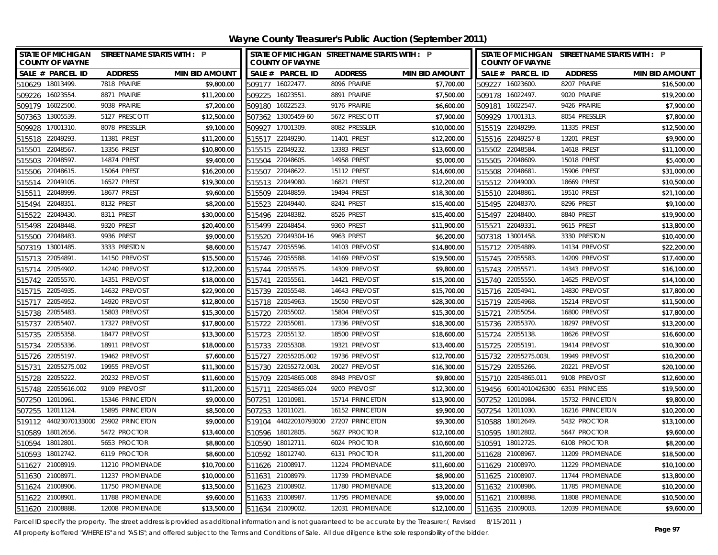**Wayne County Treasurer's Public Auction (September 2011)**

| STATE OF MICHIGAN STREET NAME STARTS WITH : P<br><b>COUNTY OF WAYNE</b> |                 |                       |                  | <b>COUNTY OF WAYNE</b> | STATE OF MICHIGAN STREET NAME STARTS WITH : P |                       |                  | <b>COUNTY OF WAYNE</b> | STATE OF MICHIGAN STREET NAME STARTS WITH : P |                       |
|-------------------------------------------------------------------------|-----------------|-----------------------|------------------|------------------------|-----------------------------------------------|-----------------------|------------------|------------------------|-----------------------------------------------|-----------------------|
| SALE # PARCEL ID                                                        | <b>ADDRESS</b>  | <b>MIN BID AMOUNT</b> |                  | SALE # PARCEL ID       | <b>ADDRESS</b>                                | <b>MIN BID AMOUNT</b> |                  | SALE # PARCEL ID       | <b>ADDRESS</b>                                | <b>MIN BID AMOUNT</b> |
| 510629 18013499.                                                        | 7818 PRAIRIE    | \$9,800.00            |                  | 509177 16022477.       | 8096 PRAIRIE                                  | \$7,700.00            |                  | 509227 16023600.       | 8207 PRAIRIE                                  | \$16,500.00           |
| 509226 16023554                                                         | 8871 PRAIRIE    | \$11,200.00           | 509225           | 16023551               | 8891 PRAIRIE                                  | \$7,500.00            | 509178 16022497. |                        | 9020 PRAIRIE                                  | \$19,200.00           |
| 509179 16022500                                                         | 9038 PRAIRIE    | \$7,200.00            | 509180 16022523. |                        | 9176 PRAIRIE                                  | \$6,600.00            | 509181 16022547. |                        | 9426 PRAIRIE                                  | \$7,900.00            |
| 507363 13005539                                                         | 5127 PRESCOTT   | \$12,500.00           |                  | 507362 13005459-60     | 5672 PRESCOTT                                 | \$7,900.00            |                  | 509929 17001313.       | 8054 PRESSLER                                 | \$7,800.00            |
| 509928<br>17001310                                                      | 8078 PRESSLER   | \$9,100.00            | 509927           | 17001309.              | 8082 PRESSLER                                 | \$10,000.00           | 515519 22049299. |                        | 11335 PREST                                   | \$12,500.00           |
| 22049293<br>515518                                                      | 11381 PREST     | \$11,200.00           | 515517           | 22049290.              | 11401 PREST                                   | \$12,200.00           |                  | 515516 22049257-8      | 13201 PREST                                   | \$9,900.00            |
| 22048567<br>515501                                                      | 13356 PREST     | \$10,800.00           | 515515 22049232. |                        | 13383 PREST                                   | \$13,600.00           | 515502 22048584  |                        | 14618 PREST                                   | \$11,100.00           |
| 22048597<br>515503                                                      | 14874 PREST     | \$9,400.00            | 515504           | 22048605.              | 14958 PREST                                   | \$5,000.00            | 515505 22048609. |                        | 15018 PREST                                   | \$5,400.00            |
| 22048615<br>515506                                                      | 15064 PREST     | \$16,200.00           | 515507           | 22048622               | 15112 PREST                                   | \$14,600.00           | 515508 22048681  |                        | 15906 PREST                                   | \$31,000.00           |
| 22049105<br>515514                                                      | 16527 PREST     | \$19,300.00           | 515513           | 22049080               | 16821 PREST                                   | \$12,200.00           | 515512 22049000  |                        | 18669 PREST                                   | \$10,500.00           |
| 22048999<br>515511                                                      | 18677 PREST     | \$9,600.00            |                  | 515509 22048859.       | 19494 PREST                                   | \$18,300.00           | 515510 22048861  |                        | 19510 PREST                                   | \$21,100.00           |
| 22048351<br>515494                                                      | 8132 PREST      | \$8,200.00            |                  | 515523 22049440.       | 8241 PREST                                    | \$15,400.00           | 515495 22048370. |                        | 8296 PREST                                    | \$9,100.00            |
| 22049430.<br>515522                                                     | 8311 PREST      | \$30,000.00           | 515496           | 22048382.              | 8526 PREST                                    | \$15,400.00           | 515497 22048400  |                        | 8840 PREST                                    | \$19,900.00           |
| 22048448<br>515498                                                      | 9320 PREST      | \$20,400.00           | 515499           | 22048454               | 9360 PREST                                    | \$11,900.00           | 515521           | 22049331               | 9615 PREST                                    | \$13,800.00           |
| 22048483.<br>515500                                                     | 9936 PREST      | \$9,000.00            | 515520           | 22049304-16            | 9963 PREST                                    | \$6,200.00            | 507318 13001458. |                        | 3330 PRESTON                                  | \$10,400.00           |
| 13001485<br>507319                                                      | 3333 PRESTON    | \$8,600.00            | 515747           | 22055596.              | 14103 PREVOST                                 | \$14,800.00           | 515712 22054889. |                        | 14134 PREVOST                                 | \$22,200.00           |
| 22054891<br>515713                                                      | 14150 PREVOST   | \$15,500.00           | 515746           | 22055588               | 14169 PREVOST                                 | \$19,500.00           | 515745 22055583  |                        | 14209 PREVOST                                 | \$17,400.00           |
| 22054902<br>515714                                                      | 14240 PREVOST   | \$12,200.00           | 515744           | 22055575.              | 14309 PREVOST                                 | \$9,800.00            | 515743 22055571. |                        | 14343 PREVOST                                 | \$16,100.00           |
| 22055570.<br>515742                                                     | 14351 PREVOST   | \$18,000.00           | 515741           | 22055561               | 14421 PREVOST                                 | \$15,200.00           | 515740 22055550. |                        | 14625 PREVOST                                 | \$14,100.00           |
| 515715 22054935.                                                        | 14632 PREVOST   | \$22,900.00           | 515739           | 22055548               | 14643 PREVOST                                 | \$15,700.00           | 515716 22054941  |                        | 14830 PREVOST                                 | \$17,800.00           |
| 22054952.<br>515717                                                     | 14920 PREVOST   | \$12,800.00           | 515718           | 22054963               | 15050 PREVOST                                 | \$28,300.00           | 515719 22054968. |                        | 15214 PREVOST                                 | \$11,500.00           |
| 22055483<br>515738                                                      | 15803 PREVOST   | \$15,300.00           | 515720           | 22055002.              | 15804 PREVOST                                 | \$15,300.00           | 515721           | 22055054               | 16800 PREVOST                                 | \$17,800.00           |
| 22055407.<br>515737                                                     | 17327 PREVOST   | \$17,800.00           | 515722           | 22055081               | 17336 PREVOST                                 | \$18,300.00           | 515736 22055370. |                        | 18297 PREVOST                                 | \$13,200.00           |
| 22055358<br>515735                                                      | 18477 PREVOST   | \$13,300.00           | 515723           | 22055132               | 18500 PREVOST                                 | \$18,600.00           | 515724 22055138. |                        | 18626 PREVOST                                 | \$16,600.00           |
| 22055336.<br>515734                                                     | 18911 PREVOST   | \$18,000.00           | 515733           | 22055308               | 19321 PREVOST                                 | \$13,400.00           | 515725           | 22055191               | 19414 PREVOST                                 | \$10,300.00           |
| 22055197<br>515726                                                      | 19462 PREVOST   | \$7,600.00            | 515727           | 22055205.002           | 19736 PREVOST                                 | \$12,700.00           |                  | 515732 22055275.003L   | 19949 PREVOST                                 | \$10,200.00           |
| 515731<br>22055275.002                                                  | 19955 PREVOST   | \$11,300.00           | 515730           | 22055272.003           | 20027 PREVOST                                 | \$16,300.00           | 515729 22055266. |                        | 20221 PREVOST                                 | \$20,100.00           |
| 22055222<br>515728                                                      | 20232 PREVOST   | \$11,600.00           | 515709           | 22054865.008           | 8948 PREVOST                                  | \$9,800.00            |                  | 515710 22054865.011    | 9108 PREVOST                                  | \$12,600.00           |
| 22055616.002<br>515748                                                  | 9109 PREVOST    | \$11,200.00           | 515711           | 22054865.024           | 9200 PREVOST                                  | \$12,300.00           |                  | 519456 60014010426300  | 6351 PRINCESS                                 | \$19,500.00           |
| 507250 12010961.                                                        | 15346 PRINCETON | \$9,000.00            | 507251           | 12010981               | 15714 PRINCETON                               | \$13,900.00           | 507252 12010984  |                        | 15732 PRINCETON                               | \$9,800.00            |
| 507255<br>12011124.                                                     | 15895 PRINCETON | \$8,500.00            | 507253 12011021  |                        | 16152 PRINCETON                               | \$9,900.00            | 507254 12011030. |                        | 16216 PRINCETON                               | \$10,200.00           |
| 519112 44023070133000                                                   | 25902 PRINCETON | \$9,000.00            | 519104           | 44022010793000         | 27207 PRINCETON                               | \$9,300.00            | 510588 18012649. |                        | 5432 PROCTOR                                  | \$13,100.00           |
| 510589<br>18012656.                                                     | 5472 PROCTOR    | \$13,400.00           | 510596           | 18012805.              | 5627 PROCTOR                                  | \$12,100.00           | 510595 18012802. |                        | 5647 PROCTOR                                  | \$9,600.00            |
| 510594 18012801                                                         | 5653 PROCTOR    | \$8,800.00            | 510590 18012711. |                        | 6024 PROCTOR                                  | \$10,600.00           | 510591 18012725. |                        | 6108 PROCTOR                                  | \$8,200.00            |
| 510593 18012742.                                                        | 6119 PROCTOR    | \$8,600.00            | 510592 18012740. |                        | 6131 PROCTOR                                  | \$11,200.00           | 511628 21008967. |                        | 11209 PROMENADE                               | \$18,500.00           |
| 511627 21008919.                                                        | 11210 PROMENADE | \$10,700.00           |                  | 511626 21008917.       | 11224 PROMENADE                               | \$11,600.00           | 511629 21008970. |                        | 11229 PROMENADE                               | \$10,100.00           |
| 511630 21008971.                                                        | 11237 PROMENADE | \$10,000.00           | 511631           | 21008979.              | 11739 PROMENADE                               | \$8,900.00            | 511625 21008907  |                        | 11744 PROMENADE                               | \$13,800.00           |
| 511624 21008906.                                                        | 11750 PROMENADE | \$13,500.00           |                  | 511623 21008902.       | 11780 PROMENADE                               | \$13,200.00           | 511632 21008986. |                        | 11785 PROMENADE                               | \$10,200.00           |
| 511622 21008901                                                         | 11788 PROMENADE | \$9,600.00            | 511633 21008987  |                        | 11795 PROMENADE                               | \$9,000.00            | 511621 21008898. |                        | 11808 PROMENADE                               | \$10,500.00           |
| 511620 21008888                                                         | 12008 PROMENADE | \$13,500.00           | 511634 21009002. |                        | 12031 PROMENADE                               | \$12,100.00           | 511635 21009003. |                        | 12039 PROMENADE                               | \$9,600.00            |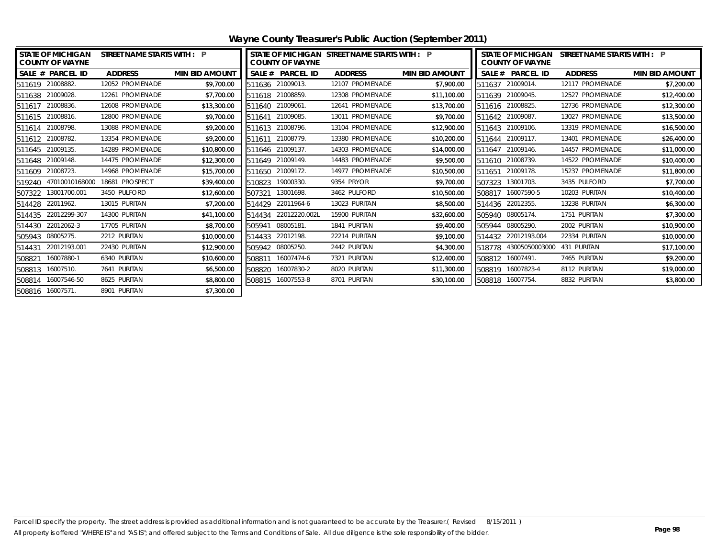| <b>STATE OF MICHIGAN</b><br><b>COUNTY OF WAYNE</b> |                | <b>STREET NAME STARTS WITH: P</b> |                       |                  | <b>COUNTY OF WAYNE</b> | I STATE OF MICHIGAN STREET NAME STARTS WITH : P |                       | <b>STATE OF MICHIGAN</b><br>STREET NAME STARTS WITH : P<br><b>COUNTY OF WAYNE</b> |                     |                 |                       |
|----------------------------------------------------|----------------|-----------------------------------|-----------------------|------------------|------------------------|-------------------------------------------------|-----------------------|-----------------------------------------------------------------------------------|---------------------|-----------------|-----------------------|
| SALE # PARCEL ID                                   |                | <b>ADDRESS</b>                    | <b>MIN BID AMOUNT</b> |                  | SALE # PARCEL ID       | <b>ADDRESS</b>                                  | <b>MIN BID AMOUNT</b> |                                                                                   | SALE # PARCEL ID    | <b>ADDRESS</b>  | <b>MIN BID AMOUNT</b> |
| 511619 21008882.                                   |                | 12052 PROMENADE                   | \$9,700.00            | 511636 21009013. |                        | 12107 PROMENADE                                 | \$7,900.00            |                                                                                   | 511637 21009014.    | 12117 PROMENADE | \$7,200.00            |
| 511638 21009028.                                   |                | 12261 PROMENADE                   | \$7,700.00            | 511618 21008859. |                        | 12308 PROMENADE                                 | \$11,100.00           | 511639                                                                            | 21009045.           | 12527 PROMENADE | \$12,400.00           |
| 511617 21008836.                                   |                | 12608 PROMENADE                   | \$13,300.00           | 511640           | 21009061.              | 12641 PROMENADE                                 | \$13,700.00           |                                                                                   | 511616 21008825.    | 12736 PROMENADE | \$12,300.00           |
| 511615 21008816.                                   |                | 12800 PROMENADE                   | \$9,700.00            | 511641 21009085. |                        | 13011 PROMENADE                                 | \$9,700.00            |                                                                                   | 511642 21009087.    | 13027 PROMENADE | \$13,500.00           |
| 511614 21008798.                                   |                | 13088 PROMENADE                   | \$9,200.00            | 511613           | 21008796.              | 13104 PROMENADE                                 | \$12,900.00           |                                                                                   | 511643 21009106.    | 13319 PROMENADE | \$16,500.00           |
| 511612 21008782.                                   |                | 13354 PROMENADE                   | \$9,200.00            | 511611           | 21008779.              | 13380 PROMENADE                                 | \$10,200.00           |                                                                                   | 511644 21009117.    | 13401 PROMENADE | \$26,400.00           |
| 511645 21009135.                                   |                | 14289 PROMENADE                   | \$10,800.00           | 511646 21009137. |                        | 14303 PROMENADE                                 | \$14,000.00           |                                                                                   | 511647 21009146.    | 14457 PROMENADE | \$11,000.00           |
| 511648 21009148.                                   |                | 14475 PROMENADE                   | \$12,300.00           | 511649 21009149. |                        | 14483 PROMENADE                                 | \$9,500.00            |                                                                                   | 511610 21008739.    | 14522 PROMENADE | \$10,400.00           |
| 511609 21008723.                                   |                | 14968 PROMENADE                   | \$15,700.00           | 511650           | 21009172.              | 14977 PROMENADE                                 | \$10,500.00           | 511651                                                                            | 21009178.           | 15237 PROMENADE | \$11,800.00           |
| 519240                                             | 47010010168000 | 18681 PROSPECT                    | \$39,400.00           | 510823           | 19000330.              | 9354 PRYOR                                      | \$9,700.00            | 507323                                                                            | 13001703.           | 3435 PULFORD    | \$7,700.00            |
| 507322 13001700.001                                |                | 3450 PULFORD                      | \$12,600.00           | 507321           | 13001698.              | 3462 PULFORD                                    | \$10,500.00           | 508817                                                                            | 16007590-5          | 10203 PURITAN   | \$10,400.00           |
| 514428 22011962.                                   |                | 13015 PURITAN                     | \$7,200.00            | 514429           | 22011964-6             | 13023 PURITAN                                   | \$8,500.00            |                                                                                   | 514436 22012355.    | 13238 PURITAN   | \$6,300.00            |
| 514435 22012299-307                                |                | 14300 PURITAN                     | \$41,100.00           | 514434           | 22012220.002L          | 15900 PURITAN                                   | \$32,600.00           |                                                                                   | 505940 08005174.    | 1751 PURITAN    | \$7,300.00            |
| 514430 22012062-3                                  |                | 17705 PURITAN                     | \$8,700.00            | 505941           | 08005181.              | 1841 PURITAN                                    | \$9,400.00            |                                                                                   | 505944 08005290.    | 2002 PURITAN    | \$10,900.00           |
| 505943 08005275.                                   |                | 2212 PURITAN                      | \$10,000.00           | 514433           | 22012198.              | 22214 PURITAN                                   | \$9,100.00            |                                                                                   | 514432 22012193.004 | 22334 PURITAN   | \$10,000.00           |
| 514431                                             | 22012193.001   | 22430 PURITAN                     | \$12,900.00           | 505942           | 08005250.              | 2442 PURITAN                                    | \$4,300.00            | 518778                                                                            | 43005050003000      | 431 PURITAN     | \$17,100.00           |
| 508821                                             | 16007880-1     | 6340 PURITAN                      | \$10,600.00           | 508811           | 16007474-6             | 7321 PURITAN                                    | \$12,400.00           |                                                                                   | 508812 16007491.    | 7465 PURITAN    | \$9,200.00            |
| 508813 16007510.                                   |                | 7641 PURITAN                      | \$6,500.00            |                  | 508820 16007830-2      | 8020 PURITAN                                    | \$11,300.00           |                                                                                   | 508819 16007823-4   | 8112 PURITAN    | \$19,000.00           |
| 508814 16007546-50                                 |                | 8625 PURITAN                      | \$8,800.00            |                  | 508815 16007553-8      | 8701 PURITAN                                    | \$30,100.00           |                                                                                   | 508818 16007754.    | 8832 PURITAN    | \$3,800.00            |
| 508816 16007571.                                   |                | 8901 PURITAN                      | \$7,300.00            |                  |                        |                                                 |                       |                                                                                   |                     |                 |                       |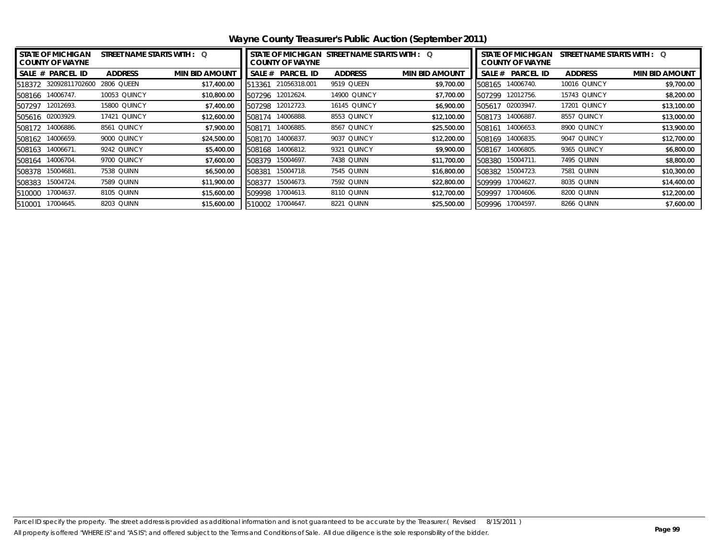| <b>STATE OF MICHIGAN</b><br><b>COUNTY OF WAYNE</b> | STREET NAME STARTS WITH : Q |                       | STATE OF MICHIGAN STREET NAME STARTS WITH : Q<br><b>COUNTY OF WAYNE</b> |                  |                     |                       | <b>STATE OF MICHIGAN</b><br>STREET NAME STARTS WITH : Q<br><b>COUNTY OF WAYNE</b> |                  |                     |                       |  |
|----------------------------------------------------|-----------------------------|-----------------------|-------------------------------------------------------------------------|------------------|---------------------|-----------------------|-----------------------------------------------------------------------------------|------------------|---------------------|-----------------------|--|
| SALE # PARCEL ID                                   | <b>ADDRESS</b>              | <b>MIN BID AMOUNT</b> | SALE #                                                                  | <b>PARCEL ID</b> | <b>ADDRESS</b>      | <b>MIN BID AMOUNT</b> | SALE #                                                                            | <b>PARCEL ID</b> | <b>ADDRESS</b>      | <b>MIN BID AMOUNT</b> |  |
| 518372 32092811702600                              | 2806 QUEEN                  | \$17,400.00           | 513361                                                                  | 21056318.001     | 9519 QUEEN          | \$9,700.00            | 508165                                                                            | 14006740.        | <b>10016 QUINCY</b> | \$9,700.00            |  |
| 508166 14006747.                                   | 10053 QUINCY                | \$10,800.00           | 507296                                                                  | 12012624.        | <b>14900 QUINCY</b> | \$7,700.00            | 507299                                                                            | 12012756.        | 15743 QUINCY        | \$8,200.00            |  |
| 12012693.<br>507297                                | 15800 QUINCY                | \$7,400.00            | 507298                                                                  | 12012723.        | <b>16145 QUINCY</b> | \$6,900.00            |                                                                                   | 505617 02003947. | <b>17201 QUINCY</b> | \$13,100.00           |  |
| 505616 02003929.                                   | 17421 QUINCY                | \$12,600.00           | 508174                                                                  | 14006888.        | 8553 QUINCY         | \$12,100.00           | 508173                                                                            | 14006887.        | 8557 QUINCY         | \$13,000.00           |  |
| 14006886.<br>508172                                | 8561 QUINCY                 | \$7,900.00            | 508171                                                                  | 14006885.        | 8567 QUINCY         | \$25,500.00           | 508161                                                                            | 14006653.        | 8900 QUINCY         | \$13,900.00           |  |
| 14006659.<br>508162                                | 9000 QUINCY                 | \$24,500.00           | 508170                                                                  | 14006837.        | 9037 QUINCY         | \$12,200.00           | 508169                                                                            | 14006835.        | 9047 QUINCY         | \$12,700.00           |  |
| 14006671<br>508163                                 | 9242 QUINCY                 | \$5,400.00            | 508168                                                                  | 14006812.        | 9321 QUINCY         | \$9,900.00            | 508167                                                                            | 14006805.        | 9365 QUINCY         | \$6,800.00            |  |
| 14006704.<br>508164                                | 9700 QUINCY                 | \$7,600.00            | 508379                                                                  | 15004697.        | 7438 QUINN          | \$11,700.00           | 508380                                                                            | 15004711.        | 7495 QUINN          | \$8,800.00            |  |
| 15004681<br>508378                                 | 7538 QUINN                  | \$6,500.00            | 508381                                                                  | 15004718.        | 7545 QUINN          | \$16,800.00           | 508382                                                                            | 15004723.        | 7581 QUINN          | \$10,300.00           |  |
| 15004724.<br>508383                                | 7589 QUINN                  | \$11,900.00           | 508377                                                                  | 15004673.        | 7592 QUINN          | \$22,800.00           | 509999                                                                            | 17004627.        | 8035 QUINN          | \$14,400.00           |  |
| 17004637.<br>510000                                | 8105 QUINN                  | \$15,600.00           | 509998                                                                  | 17004613.        | 8110 QUINN          | \$12,700.00           | 509997                                                                            | 17004606.        | 8200 QUINN          | \$12,200.00           |  |
| 17004645.<br>510001                                | 8203 QUINN                  | \$15,600.00           | 510002                                                                  | 17004647.        | 8221 QUINN          | \$25,500.00           | 509996                                                                            | 17004597.        | 8266 QUINN          | \$7,600.00            |  |
|                                                    |                             |                       |                                                                         |                  |                     |                       |                                                                                   |                  |                     |                       |  |

**Wayne County Treasurer's Public Auction (September 2011)**

 $\exists$ 

 $\overline{\phantom{a}}$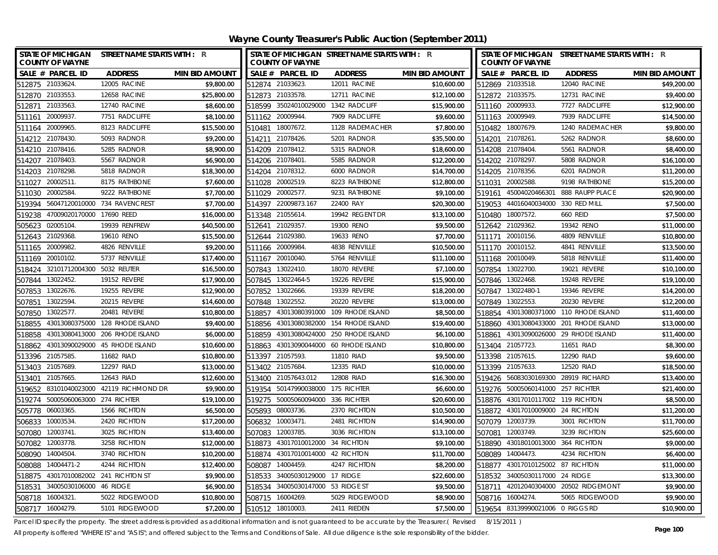**Wayne County Treasurer's Public Auction (September 2011)**

| <b>COUNTY OF WAYNE</b>            | STATE OF MICHIGAN STREET NAME STARTS WITH : R |                       |        | <b>COUNTY OF WAYNE</b>            | STATE OF MICHIGAN STREET NAME STARTS WITH : R |                       |        | <b>COUNTY OF WAYNE</b>            | STATE OF MICHIGAN STREET NAME STARTS WITH : R |                       |
|-----------------------------------|-----------------------------------------------|-----------------------|--------|-----------------------------------|-----------------------------------------------|-----------------------|--------|-----------------------------------|-----------------------------------------------|-----------------------|
| SALE # PARCEL ID                  | <b>ADDRESS</b>                                | <b>MIN BID AMOUNT</b> |        | SALE # PARCEL ID                  | <b>ADDRESS</b>                                | <b>MIN BID AMOUNT</b> |        | SALE # PARCEL ID                  | <b>ADDRESS</b>                                | <b>MIN BID AMOUNT</b> |
| 512875 21033624                   | 12005 RACINE                                  | \$9,800.00            |        | 512874 21033623.                  | 12011 RACINE                                  | \$10,600.00           |        | 512869 21033518.                  | 12040 RACINE                                  | \$49.200.00           |
| 512870 21033553.                  | 12658 RACINE                                  | \$25,800.00           |        | 512873 21033578.                  | 12711 RACINE                                  | \$12,100.00           |        | 512872 21033575.                  | 12731 RACINE                                  | \$9,400.00            |
| 512871 21033563.                  | 12740 RACINE                                  | \$8,600.00            |        | 518599 35024010029000             | 1342 RADCLIFF                                 | \$15,900.00           |        | 511160 20009933.                  | 7727 RADCLIFFE                                | \$12,900.00           |
| 511161 20009937                   | 7751 RADCLIFFE                                | \$8,100.00            |        | 511162 20009944.                  | 7909 RADCLIFFE                                | \$9,600.00            |        | 511163 20009949.                  | 7939 RADCLIFFE                                | \$14,500.00           |
| 20009965<br>511164                | 8123 RADCLIFFE                                | \$15,500.00           | 510481 | 18007672.                         | 1128 RADEMACHER                               | \$7,800.00            |        | 510482 18007679.                  | 1240 RADEMACHER                               | \$9,800.00            |
| 21078430<br>514212                | 5093 RADNOR                                   | \$9,200.00            | 514211 | 21078426.                         | 5201 RADNOR                                   | \$35,500.00           | 514201 | 21078261                          | 5262 RADNOR                                   | \$8,600.00            |
| 514210 21078416.                  | 5285 RADNOR                                   | \$8,900.00            |        | 514209 21078412.                  | 5315 RADNOR                                   | \$18,600.00           |        | 514208 21078404.                  | 5561 RADNOR                                   | \$8,400.00            |
| 21078403<br>514207                | 5567 RADNOR                                   | \$6,900.00            | 514206 | 21078401                          | 5585 RADNOR                                   | \$12,200.00           |        | 514202 21078297.                  | 5808 RADNOR                                   | \$16,100.00           |
| 21078298<br>514203                | 5818 RADNOR                                   | \$18,300.00           |        | 514204 21078312.                  | 6000 RADNOR                                   | \$14,700.00           | 514205 | 21078356.                         | 6201 RADNOR                                   | \$11,200.00           |
| 20002511.<br>511027               | 8175 RATHBONE                                 | \$7,600.00            | 511028 | 20002519.                         | 8223 RATHBONE                                 | \$12,800.00           | 511031 | 20002588.                         | 9198 RATHBONE                                 | \$15,200.00           |
| 20002584<br>511030                | 9222 RATHBONE                                 | \$7,700.00            |        | 511029 20002577.                  | 9231 RATHBONE                                 | \$9,100.00            | 519161 | 45004020466301                    | 888 RAUPP PLACE                               | \$20,900.00           |
| 519394                            | 56047120010000 734 RAVENCREST                 | \$7,700.00            | 514397 | 22009873.167                      | 22400 RAY                                     | \$20,300.00           | 519053 | 44016040034000                    | 330 RED MILL                                  | \$7,500.00            |
| 47009020170000<br>519238          | 17690 REED                                    | \$16,000.00           | 513348 | 21055614                          | 19942 REGENT DR                               | \$13,100.00           | 510480 | 18007572.                         | 660 REID                                      | \$7,500.00            |
| 02005104.<br>505623               | 19939 RENFREW                                 | \$40,500.00           | 512641 | 21029357                          | 19300 RENO                                    | \$9,500.00            |        | 512642 21029362.                  | 19342 RENO                                    | \$11,000.00           |
| 512643 21029368.                  | 19610 RENO                                    | \$15,500.00           | 512644 | 21029380.                         | 19633 RENO                                    | \$7,700.00            | 511171 | 20010156.                         | 4809 RENVILLE                                 | \$10,800.00           |
| 20009982<br>511165                | 4826 RENVILLE                                 | \$9,200.00            | 511166 | 20009984                          | 4838 RENVILLE                                 | \$10,500.00           |        | 511170 20010152.                  | 4841 RENVILLE                                 | \$13,500.00           |
| 20010102.<br>511169               | 5737 RENVILLE                                 | \$17,400.00           | 511167 | 20010040.                         | 5764 RENVILLE                                 | \$11,100.00           |        | 511168 20010049.                  | 5818 RENVILLE                                 | \$11,400.00           |
| 518424                            | 32101712004300 5032 REUTER                    | \$16,500.00           |        | 507843 13022410.                  | 18070 REVERE                                  | \$7,100.00            | 507854 | 13022700.                         | 19021 REVERE                                  | \$10,100.00           |
| 507844 13022452.                  | 19152 REVERE                                  | \$17,900.00           |        | 507845 13022464-5                 | 19226 REVERE                                  | \$15,900.00           |        | 507846 13022468.                  | 19248 REVERE                                  | \$19,100.00           |
| 507853 13022676.                  | 19255 REVERE                                  | \$12,900.00           |        | 507852 13022666.                  | 19339 REVERE                                  | \$18,200.00           |        | 507847 13022480-1                 | 19346 REVERE                                  | \$14,200.00           |
| 13022594<br>507851                | 20215 REVERE                                  | \$14,600.00           | 507848 | 13022552.                         | 20220 REVERE                                  | \$13,000.00           | 507849 | 13022553.                         | 20230 REVERE                                  | \$12,200.00           |
| 13022577.<br>507850               | 20481 REVERE                                  | \$10,800.00           | 518857 | 43013080391000                    | 109 RHODE ISLAND                              | \$8,500.00            | 518854 | 43013080371000                    | 110 RHODE ISLAND                              | \$11,400.00           |
| 518855                            | 43013080375000 128 RHODE ISLAND               | \$9,400.00            | 518856 | 43013080382000                    | 154 RHODE ISLAND                              | \$19,400.00           |        | 518860 43013080433000             | 201 RHODE ISLAND                              | \$13,000.00           |
| 43013080413000<br>518858          | 206 RHODE ISLAND                              | \$6,000.00            | 518859 | 43013080424000                    | 250 RHODE ISLAND                              | \$6,100.00            | 518861 | 43013090026000                    | 29 RHODE ISLAND                               | \$11,400.00           |
| 518862                            | 43013090029000   45 RHODE ISLAND              | \$10,600.00           | 518863 |                                   | 43013090044000 60 RHODE ISLAND                | \$10,800.00           |        | 513404 21057723.                  | 11651 RIAD                                    | \$8,300.00            |
| 513396 21057585                   | 11682 RIAD                                    | \$10,800.00           |        | 513397 21057593.                  | 11810 RIAD                                    | \$9,500.00            |        | 513398 21057615.                  | 12290 RIAD                                    | \$9,600.00            |
| 513403 21057689.                  | 12297 RIAD                                    | \$13,000.00           |        | 513402 21057684.                  | 12335 RIAD                                    | \$10,000.00           |        | 513399 21057633.                  | 12520 RIAD                                    | \$18,500.00           |
| 21057665<br>513401                | 12643 RIAD                                    | \$12,600.00           |        | 513400 21057643.012               | 12808 RIAD                                    | \$16,300.00           |        |                                   | 519426 56083030169300 28919 RICHARD           | \$13,400.00           |
| 519652                            | 83101040023000 42119 RICHMOND DR              | \$9,900.00            |        | 519354 50147990038000             | 175 RICHTER                                   | \$6,600.00            |        | 519276 50005060141000 257 RICHTER |                                               | \$21,400.00           |
| 519274 50005060063000 274 RICHTER |                                               | \$19,100.00           |        | 519275 50005060094000 336 RICHTER |                                               | \$20,600.00           |        | 518876 43017010117002 119 RICHTON |                                               | \$8,500.00            |
| 505778 06003365.                  | 1566 RICHTON                                  | \$6,500.00            |        | 505893 08003736.                  | 2370 RICHTON                                  | \$10,500.00           |        | 518872 43017010009000 24 RICHTON  |                                               | \$11,200.00           |
| 10003534<br>506833                | 2420 RICHTON                                  | \$17,200.00           | 506832 | 10003471                          | 2481 RICHTON                                  | \$14,900.00           |        | 507079 12003739.                  | 3001 RICHTON                                  | \$11,700.00           |
| 12003741.<br>507080               | 3025 RICHTON                                  | \$13,400.00           | 507083 | 12003785.                         | 3036 RICHTON                                  | \$13,100.00           | 507081 | 12003749.                         | 3239 RICHTON                                  | \$25,600.00           |
| 507082<br>12003778                | 3258 RICHTON                                  | \$12,000.00           |        | 518873 43017010012000 34 RICHTON  |                                               | \$9,100.00            |        | 518890 43018010013000             | 364 RICHTON                                   | \$9,000.00            |
| 14004504<br>508090                | 3740 RICHTON                                  | \$10,200.00           |        | 518874 43017010014000 42 RICHTON  |                                               | \$11,700.00           | 508089 | 14004473.                         | 4234 RICHTON                                  | \$6,400.00            |
| 14004471-2<br>508088              | 4244 RICHTON                                  | \$12,400.00           | 508087 | 14004459.                         | 4247 RICHTON                                  | \$8,200.00            | 518877 | 43017010125002 87 RICHTON         |                                               | \$11,000.00           |
| 518875                            | 43017010082002 241 RICHTON ST                 | \$9,900.00            | 518533 | 34005030129000 17 RIDGE           |                                               | \$22,600.00           | 518532 | 34005030117000                    | 24 RIDGE                                      | \$13,300.00           |
| 518531                            | 34005030106000 46 RIDGE                       | \$6,900.00            | 518534 | 34005030147000 53 RIDGE ST        |                                               | \$9,500.00            | 518711 |                                   | 42012040304000 20502 RIDGEMONT                | \$9,900.00            |
| 508718 16004321                   | 5022 RIDGEWOOD                                | \$10,800.00           | 508715 | 16004269                          | 5029 RIDGEWOOD                                | \$8,900.00            |        | 508716 16004274.                  | 5065 RIDGEWOOD                                | \$9,900.00            |
| 508717 16004279                   | 5101 RIDGEWOOD                                | \$7,200.00            |        | 510512 18010003.                  | 2411 RIEDEN                                   | \$7,500.00            |        | 519654 83139990021006 0 RIGGS RD  |                                               | \$10,900.00           |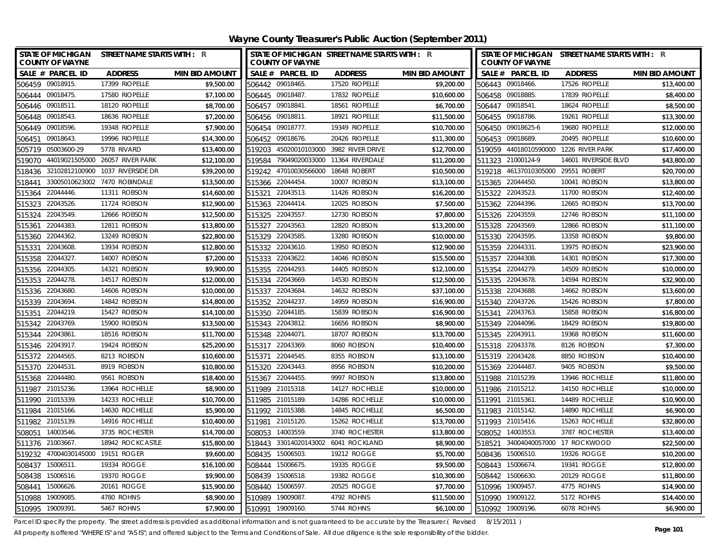| <b>STATE OF MICHIGAN</b><br><b>COUNTY OF WAYNE</b> | <b>STREET NAME STARTS WITH : R</b> |                       |                  | <b>COUNTY OF WAYNE</b> | STATE OF MICHIGAN STREET NAME STARTS WITH : R |                       |        | <b>COUNTY OF WAYNE</b> | STATE OF MICHIGAN STREET NAME STARTS WITH : R |                       |
|----------------------------------------------------|------------------------------------|-----------------------|------------------|------------------------|-----------------------------------------------|-----------------------|--------|------------------------|-----------------------------------------------|-----------------------|
| SALE # PARCEL ID                                   | <b>ADDRESS</b>                     | <b>MIN BID AMOUNT</b> |                  | SALE # PARCEL ID       | <b>ADDRESS</b>                                | <b>MIN BID AMOUNT</b> |        | SALE # PARCEL ID       | <b>ADDRESS</b>                                | <b>MIN BID AMOUNT</b> |
| 506459 09018915.                                   | 17399 RIOPELLE                     | \$9,500.00            |                  | 506442 09018465.       | 17520 RIOPELLE                                | \$9,200.00            |        | 506443 09018466.       | 17526 RIOPELLE                                | \$13,400.00           |
| 506444 09018475.                                   | 17580 RIOPELLE                     | \$7,100.00            | 506445 09018487. |                        | 17832 RIOPELLE                                | \$10,600.00           |        | 506458 09018885.       | 17839 RIOPELLE                                | \$8,400.00            |
| 506446 09018511                                    | 18120 RIOPELLE                     | \$8,700.00            | 506457 09018841  |                        | 18561 RIOPELLE                                | \$6,700.00            |        | 506447 09018541.       | 18624 RIOPELLE                                | \$8,500.00            |
| 506448 09018543.                                   | 18636 RIOPELLE                     | \$7,200.00            | 506456 09018811. |                        | 18921 RIOPELLE                                | \$11,500.00           |        | 506455 09018786.       | 19261 RIOPELLE                                | \$13,300.00           |
| 506449 09018596.                                   | 19348 RIOPELLE                     | \$7,900.00            | 506454 09018777. |                        | 19349 RIOPELLE                                | \$10,700.00           |        | 506450 09018625-6      | 19680 RIOPELLE                                | \$12,000.00           |
| 09018643<br>506451                                 | 19996 RIOPELLE                     | \$14,300.00           |                  | 506452 09018676.       | 20426 RIOPELLE                                | \$11,300.00           |        | 506453 09018689        | 20495 RIOPELLE                                | \$10,600.00           |
| 505719 05003600-29                                 | 5778 RIVARD                        | \$13,400.00           | 519203           | 45020010103000         | 3982 RIVER DRIVE                              | \$12,700.00           |        | 519059 44018010590000  | 1226 RIVER PARK                               | \$17,400.00           |
| 519070 44019021505000 26057 RIVER PARK             |                                    | \$12,100.00           | 519584           | 79049020033000         | 11364 RIVERDALE                               | \$11,200.00           |        | 511323 21000124-9      | 14601 RIVERSIDE BLVD                          | \$43,800.00           |
| 32102812100900<br>518436                           | 1037 RIVERSIDE DR                  | \$39,200.00           |                  | 519242 47010030566000  | 18648 ROBERT                                  | \$10,500.00           |        | 519218 46137010305000  | 29551 ROBERT                                  | \$20,700.00           |
| 518441                                             | 33005010623002 7470 ROBINDALE      | \$13,500.00           | 515366 22044454. |                        | 10007 ROBSON                                  | \$13,100.00           |        | 515365 22044450.       | 10041 ROBSON                                  | \$13,800.00           |
| 22044446<br>515364                                 | 11311 ROBSON                       | \$14,600.00           | 515321           | 22043513.              | 11426 ROBSON                                  | \$16,200.00           |        | 515322 22043523.       | 11700 ROBSON                                  | \$12,400.00           |
| 22043526<br>515323                                 | 11724 ROBSON                       | \$12,900.00           | 515363 22044414. |                        | 12025 ROBSON                                  | \$7,500.00            |        | 515362 22044396.       | 12665 ROBSON                                  | \$13,700.00           |
| 22043549.<br>515324                                | 12666 ROBSON                       | \$12,500.00           | 515325 22043557. |                        | 12730 ROBSON                                  | \$7,800.00            |        | 515326 22043559.       | 12746 ROBSON                                  | \$11,100.00           |
| 22044383<br>515361                                 | 12811 ROBSON                       | \$13,800.00           | 515327           | 22043563.              | 12820 ROBSON                                  | \$13,200.00           | 515328 | 22043569               | 12866 ROBSON                                  | \$11,100.00           |
| 22044362.<br>515360                                | 13249 ROBSON                       | \$22,800.00           | 515329 22043585. |                        | 13280 ROBSON                                  | \$10,000.00           |        | 515330 22043595.       | 13358 ROBSON                                  | \$9,800.00            |
| 22043608<br>515331                                 | 13934 ROBSON                       | \$12,800.00           | 515332 22043610. |                        | 13950 ROBSON                                  | \$12,900.00           |        | 515359 22044331.       | 13975 ROBSON                                  | \$23,900.00           |
| 22044327<br>515358                                 | 14007 ROBSON                       | \$7,200.00            | 515333           | 22043622.              | 14046 ROBSON                                  | \$15,500.00           | 515357 | 22044308               | 14301 ROBSON                                  | \$17,300.00           |
| 22044305<br>515356                                 | 14321 ROBSON                       | \$9,900.00            | 515355           | 22044293.              | 14405 ROBSON                                  | \$12,100.00           | 515354 | 22044279               | 14509 ROBSON                                  | \$10,000.00           |
| 22044278.<br>515353                                | 14517 ROBSON                       | \$12,000.00           | 515334 22043669. |                        | 14530 ROBSON                                  | \$12,500.00           |        | 515335 22043678.       | 14594 ROBSON                                  | \$32,900.00           |
| 22043680<br>515336                                 | 14606 ROBSON                       | \$10,000.00           | 515337           | 22043684               | 14632 ROBSON                                  | \$37,100.00           |        | 515338 22043688.       | 14662 ROBSON                                  | \$13,600.00           |
| 22043694<br>515339                                 | 14842 ROBSON                       | \$14,800.00           | 515352           | 22044237.              | 14959 ROBSON                                  | \$16,900.00           | 515340 | 22043726               | 15426 ROBSON                                  | \$7,800.00            |
| 22044219.<br>515351                                | 15427 ROBSON                       | \$14,100.00           | 515350           | 22044185.              | 15839 ROBSON                                  | \$16,900.00           | 515341 | 22043763               | 15858 ROBSON                                  | \$16,800.00           |
| 22043769<br>515342                                 | 15900 ROBSON                       | \$13,500.00           | 515343 22043812. |                        | 16656 ROBSON                                  | \$8,900.00            |        | 515349 22044096.       | 18429 ROBSON                                  | \$19,800.00           |
| 22043861<br>515344                                 | 18516 ROBSON                       | \$11,700.00           | 515348 22044071  |                        | 18707 ROBSON                                  | \$13,700.00           |        | 515345 22043911.       | 19368 ROBSON                                  | \$11,600.00           |
| 515346 22043917.                                   | 19424 ROBSON                       | \$25,200.00           | 515317 22043369. |                        | 8060 ROBSON                                   | \$10,400.00           |        | 515318 22043378.       | 8126 ROBSON                                   | \$7,300.00            |
| 515372 22044565.                                   | 8213 ROBSON                        | \$10,600.00           | 515371 22044545  |                        | 8355 ROBSON                                   | \$13,100.00           |        | 515319 22043428        | 8850 ROBSON                                   | \$10,400.00           |
| 515370 22044531.                                   | 8919 ROBSON                        | \$10,800.00           | 515320 22043443. |                        | 8956 ROBSON                                   | \$10,200.00           |        | 515369 22044487        | 9405 ROBSON                                   | \$9,500.00            |
| 515368 22044480.                                   | 9561 ROBSON                        | \$18,400.00           | 515367 22044455  |                        | 9997 ROBSON                                   | \$13,800.00           |        | 511988 21015239        | 13946 ROCHELLE                                | \$11,800.00           |
| 511987 21015236.                                   | 13964 ROCHELLE                     | \$8,900.00            | 511989 21015318. |                        | 14127 ROCHELLE                                | \$10,000.00           |        | 511986 21015212.       | 14150 ROCHELLE                                | \$10,000.00           |
| 511990 21015339.                                   | 14233 ROCHELLE                     | \$10,700.00           | 511985 21015189. |                        | 14286 ROCHELLE                                | \$10,000.00           |        | 511991 21015361        | 14489 ROCHELLE                                | \$10,900.00           |
| 511984 21015166.                                   | 14630 ROCHELLE                     | \$5,900.00            | 511992 21015388. |                        | 14845 ROCHELLE                                | \$6,500.00            |        | 511983 21015142.       | 14890 ROCHELLE                                | \$6,900.00            |
| 511982 21015139.                                   | 14916 ROCHELLE                     | \$10,400.00           | 511981 21015120. |                        | 15262 ROCHELLE                                | \$13,700.00           |        | 511993 21015416.       | 15263 ROCHELLE                                | \$32,800.00           |
| 14003546<br>508051                                 | 3735 ROCHESTER                     | \$14,700.00           | 508053 14003559. |                        | 3740 ROCHESTER                                | \$13,800.00           |        | 508052 14003553        | 3787 ROCHESTER                                | \$13,400.00           |
| 511376 21003667.                                   | 18942 ROCKCASTLE                   | \$15,800.00           |                  |                        | 518443 33014020143002 6041 ROCKLAND           | \$8,900.00            |        |                        | 518521 34004040057000 17 ROCKWOOD             | \$22,500.00           |
| 47004030145000 19151 ROGER<br>519232               |                                    | \$9,600.00            | 508435           | 15006503.              | 19212 ROGGE                                   | \$5,700.00            |        | 508436 15006510        | 19326 ROGGE                                   | \$10,200.00           |
| 508437<br>15006511                                 | 19334 ROGGE                        | \$16,100.00           | 508444 15006675. |                        | 19335 ROGGE                                   | \$9,500.00            |        | 508443 15006674        | 19341 ROGGE                                   | \$12,800.00           |
| 15006516.<br>508438                                | 19370 ROGGE                        | \$9,900.00            | 508439           | 15006518.              | 19382 ROGGE                                   | \$10,300.00           |        | 508442 15006630.       | 20129 ROGGE                                   | \$11,800.00           |
| 15006626.<br>508441                                | 20161 ROGGE                        | \$15,900.00           | 508440           | 15006597.              | 20525 ROGGE                                   | \$7,700.00            |        | 510996 19009457.       | 4775 ROHNS                                    | \$14,900.00           |
| 19009085.<br>510988                                | 4780 ROHNS                         | \$8,900.00            | 510989           | 19009087.              | 4792 ROHNS                                    | \$11,500.00           | 510990 | 19009122.              | 5172 ROHNS                                    | \$14,400.00           |
| 510995 19009391                                    | <b>5467 ROHNS</b>                  | \$7,900.00            | 510991           | 19009160               | 5744 ROHNS                                    | \$6,100.00            |        | 510992 19009196.       | 6078 ROHNS                                    | \$6,900.00            |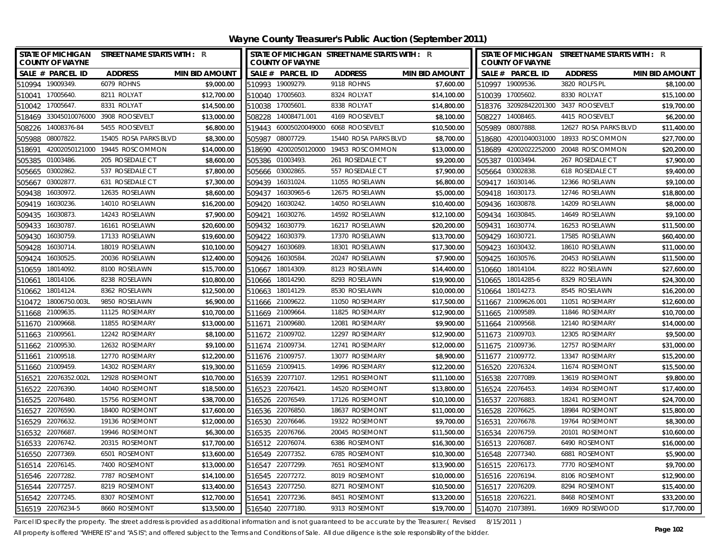|        | <b>COUNTY OF WAYNE</b> | STATE OF MICHIGAN STREET NAME STARTS WITH : R |                       |        | <b>COUNTY OF WAYNE</b> | STATE OF MICHIGAN STREET NAME STARTS WITH : R |                       |        | <b>COUNTY OF WAYNE</b> | STATE OF MICHIGAN STREET NAME STARTS WITH : R |                       |
|--------|------------------------|-----------------------------------------------|-----------------------|--------|------------------------|-----------------------------------------------|-----------------------|--------|------------------------|-----------------------------------------------|-----------------------|
|        | SALE # PARCEL ID       | <b>ADDRESS</b>                                | <b>MIN BID AMOUNT</b> |        | SALE # PARCEL ID       | <b>ADDRESS</b>                                | <b>MIN BID AMOUNT</b> |        | SALE # PARCEL ID       | <b>ADDRESS</b>                                | <b>MIN BID AMOUNT</b> |
|        | 510994 19009349.       | 6079 ROHNS                                    | \$9,000.00            |        | 510993 19009279.       | 9118 ROHNS                                    | \$7,600.00            |        | 510997 19009536.       | 3820 ROLFS PL                                 | \$8,100.00            |
| 510041 | 17005640               | 8211 ROLYAT                                   | \$12,700.00           | 510040 | 17005603               | 8324 ROLYAT                                   | \$14,100.00           | 510039 | 17005602.              | 8330 ROLYAT                                   | \$15,100.00           |
|        | 510042 17005647        | 8331 ROLYAT                                   | \$14,500.00           |        | 510038 17005601        | 8338 ROLYAT                                   | \$14,800.00           |        |                        | 518376 32092842201300 3437 ROOSEVELT          | \$19,700.00           |
|        |                        | 518469 33045010076000 3908 ROOSEVELT          | \$13,000.00           |        | 508228 14008471.001    | 4169 ROOSEVELT                                | \$8,100.00            | 508227 | 14008465.              | 4415 ROOSEVELT                                | \$6,200.00            |
|        | 508226 14008376-84     | 5455 ROOSEVELT                                | \$6,800.00            |        |                        | 519443 60005020049000 6068 ROOSEVELT          | \$10,500.00           |        | 505989 08007888.       | 12627 ROSA PARKS BLVD                         | \$11,400.00           |
| 505988 | 08007822.              | 15405 ROSA PARKS BLVD                         | \$8,300.00            | 505987 | 08007729.              | 15440 ROSA PARKS BLVD                         | \$8,700.00            |        |                        | 518680 42001040031000 18933 ROSCOMMON         | \$27,700.00           |
| 518691 |                        | 42002050121000 19445 ROSCOMMON                | \$14,000.00           | 518690 |                        | 42002050120000 19453 ROSCOMMON                | \$13,000.00           | 518689 | 42002022252000         | 20048 ROSCOMMON                               | \$20,200.00           |
|        | 505385 01003486.       | 205 ROSEDALE CT                               | \$8,600.00            |        | 505386 01003493.       | 261 ROSEDALE CT                               | \$9,200.00            |        | 505387 01003494.       | 267 ROSEDALE CT                               | \$7,900.00            |
| 505665 | 03002862               | 537 ROSEDALE CT                               | \$7,800.00            |        | 505666 03002865        | 557 ROSEDALE CT                               | \$7,900.00            |        | 505664 03002838.       | 618 ROSEDALE CT                               | \$9,400.00            |
| 505667 | 03002877.              | 631 ROSEDALE CT                               | \$7,300.00            |        | 509439 16031024.       | 11055 ROSELAWN                                | \$6,800.00            |        | 509417 16030146.       | 12366 ROSELAWN                                | \$9,100.00            |
| 509438 | 16030972.              | 12635 ROSELAWN                                | \$8,600.00            | 509437 | 16030965-6             | 12675 ROSELAWN                                | \$5,000.00            |        | 509418 16030173.       | 12746 ROSELAWN                                | \$18,800.00           |
| 509419 | 16030236               | 14010 ROSELAWN                                | \$16,200.00           | 509420 | 16030242.              | 14050 ROSELAWN                                | \$10,400.00           |        | 509436 16030878.       | 14209 ROSELAWN                                | \$8,000.00            |
| 509435 | 16030873               | 14243 ROSELAWN                                | \$7,900.00            | 509421 | 16030276               | 14592 ROSELAWN                                | \$12,100.00           | 509434 | 16030845.              | 14649 ROSELAWN                                | \$9,100.00            |
| 509433 | 16030787               | 16161 ROSELAWN                                | \$20,600.00           | 509432 | 16030779               | 16217 ROSELAWN                                | \$20,200.00           | 509431 | 16030774.              | 16253 ROSELAWN                                | \$11,500.00           |
| 509430 | 16030759               | 17133 ROSELAWN                                | \$19,600.00           | 509422 | 16030379.              | 17370 ROSELAWN                                | \$13,700.00           | 509429 | 16030721.              | 17585 ROSELAWN                                | \$60,400.00           |
| 509428 | 16030714               | 18019 ROSELAWN                                | \$10,100.00           | 509427 | 16030689.              | 18301 ROSELAWN                                | \$17,300.00           |        | 509423 16030432.       | 18610 ROSELAWN                                | \$11,000.00           |
| 509424 | 16030525               | 20036 ROSELAWN                                | \$12,400.00           | 509426 | 16030584               | 20247 ROSELAWN                                | \$7,900.00            | 509425 | 16030576.              | 20453 ROSELAWN                                | \$11,500.00           |
| 510659 | 18014092.              | 8100 ROSELAWN                                 | \$15,700.00           | 510667 | 18014309.              | 8123 ROSELAWN                                 | \$14,400.00           | 510660 | 18014104.              | 8222 ROSELAWN                                 | \$27,600.00           |
| 510661 | 18014106.              | 8238 ROSELAWN                                 | \$10,800.00           | 510666 | 18014290.              | 8293 ROSELAWN                                 | \$19,900.00           | 510665 | 18014285-6             | 8329 ROSELAWN                                 | \$24,300.00           |
| 510662 | 18014124               | 8362 ROSELAWN                                 | \$12,500.00           |        | 510663 18014129.       | 8530 ROSELAWN                                 | \$10,000.00           |        | 510664 18014273.       | 8545 ROSELAWN                                 | \$16,200.00           |
| 510472 | 18006750.003L          | 9850 ROSELAWN                                 | \$6,900.00            |        | 511666 21009622.       | 11050 ROSEMARY                                | \$17,500.00           |        | 511667 21009626.001    | 11051 ROSEMARY                                | \$12,600.00           |
| 511668 | 21009635               | 11125 ROSEMARY                                | \$10,700.00           |        | 511669 21009664        | 11825 ROSEMARY                                | \$12,900.00           |        | 511665 21009589.       | 11846 ROSEMARY                                | \$10,700.00           |
|        | 511670 21009668.       | 11855 ROSEMARY                                | \$13,000.00           | 511671 | 21009680               | 12081 ROSEMARY                                | \$9,900.00            |        | 511664 21009568.       | 12140 ROSEMARY                                | \$14,000.00           |
| 511663 | 21009561               | 12242 ROSEMARY                                | \$8,100.00            |        | 511672 21009702        | 12297 ROSEMARY                                | \$12,900.00           |        | 511673 21009703        | 12305 ROSEMARY                                | \$9,500.00            |
| 511662 | 21009530               | 12632 ROSEMARY                                | \$9,100.00            |        | 511674 21009734        | 12741 ROSEMARY                                | \$12,000.00           |        | 511675 21009736.       | 12757 ROSEMARY                                | \$31,000.00           |
| 511661 | 21009518               | 12770 ROSEMARY                                | \$12,200.00           |        | 511676 21009757        | 13077 ROSEMARY                                | \$8,900.00            |        | 511677 21009772.       | 13347 ROSEMARY                                | \$15,200.00           |
|        | 511660 21009459.       | 14302 ROSEMARY                                | \$19,300.00           |        | 511659 21009415        | 14996 ROSEMARY                                | \$12,200.00           |        | 516520 22076324        | 11674 ROSEMONT                                | \$15,500.00           |
| 516521 | 22076352.002L          | 12928 ROSEMONT                                | \$10,700.00           |        | 516539 22077107        | 12951 ROSEMONT                                | \$11,100.00           |        | 516538 22077089        | 13619 ROSEMONT                                | \$9,800.00            |
| 516522 | 22076390               | 14040 ROSEMONT                                | \$18,500.00           |        | 516523 22076421        | 14520 ROSEMONT                                | \$13,800.00           |        | 516524 22076453.       | 14934 ROSEMONT                                | \$17,400.00           |
|        | 516525 22076480        | 15756 ROSEMONT                                | \$38,700.00           |        | 516526 22076549.       | 17126 ROSEMONT                                | \$10,100.00           |        | 516537 22076883.       | 18241 ROSEMONT                                | \$24,700.00           |
| 516527 | 22076590               | 18400 ROSEMONT                                | \$17,600.00           |        | 516536 22076850        | 18637 ROSEMONT                                | \$11,000.00           |        | 516528 22076625.       | 18984 ROSEMONT                                | \$15,800.00           |
| 516529 | 22076632               | 19136 ROSEMONT                                | \$12,000.00           |        | 516530 22076646.       | 19322 ROSEMONT                                | \$9,700.00            |        | 516531 22076678.       | 19764 ROSEMONT                                | \$8,300.00            |
| 516532 | 22076687               | 19946 ROSEMONT                                | \$6,300.00            |        | 516535 22076766.       | 20045 ROSEMONT                                | \$11,500.00           |        | 516534 22076759.       | 20101 ROSEMONT                                | \$10,600.00           |
|        | 516533 22076742.       | 20315 ROSEMONT                                | \$17,700.00           |        | 516512 22076074        | 6386 ROSEMONT                                 | \$16,300.00           |        | 516513 22076087        | 6490 ROSEMONT                                 | \$16,000.00           |
|        | 516550 22077369.       | 6501 ROSEMONT                                 | \$13,600.00           |        | 516549 22077352        | 6785 ROSEMONT                                 | \$10,300.00           |        | 516548 22077340.       | 6881 ROSEMONT                                 | \$5,900.00            |
| 516514 | 22076145               | 7400 ROSEMONT                                 | \$13,000.00           |        | 516547 22077299        | 7651 ROSEMONT                                 | \$13,900.00           |        | 516515 22076173.       | 7770 ROSEMONT                                 | \$9,700.00            |
| 516546 | 22077282.              | 7787 ROSEMONT                                 | \$14,100.00           | 516545 | 22077272.              | 8019 ROSEMONT                                 | \$10,000.00           |        | 516516 22076194.       | 8106 ROSEMONT                                 | \$12,900.00           |
| 516544 | 22077257.              | 8219 ROSEMONT                                 | \$13,400.00           |        | 516543 22077250.       | 8271 ROSEMONT                                 | \$10,500.00           |        | 516517 22076209.       | 8294 ROSEMONT                                 | \$15,400.00           |
|        | 516542 22077245        | 8307 ROSEMONT                                 | \$12,700.00           |        | 516541 22077236.       | 8451 ROSEMONT                                 | \$13,200.00           |        | 516518 22076221.       | 8468 ROSEMONT                                 | \$33,200.00           |
|        | 516519 22076234-5      | 8660 ROSEMONT                                 | \$13,500.00           |        | 516540 22077180.       | 9313 ROSEMONT                                 | \$19,700.00           |        | 514070 21073891.       | 16909 ROSEWOOD                                | \$17,700.00           |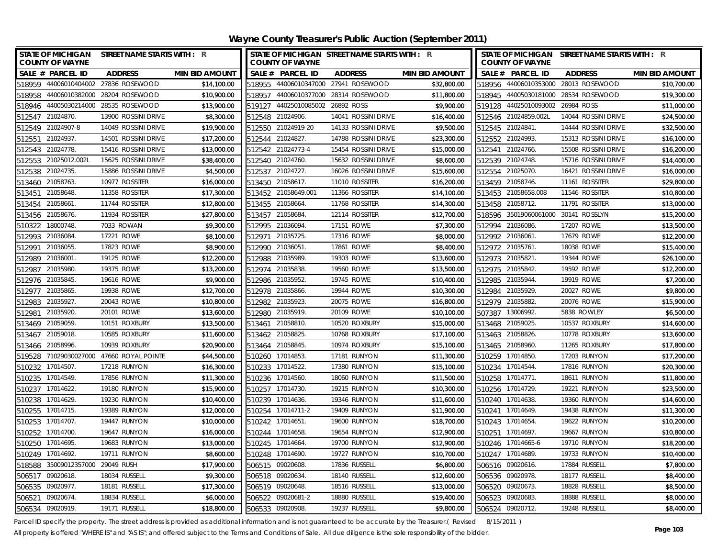| <b>STATE OF MICHIGAN</b><br><b>COUNTY OF WAYNE</b> | <b>STREET NAME STARTS WITH : R</b> |                       |        | <b>COUNTY OF WAYNE</b>           | STATE OF MICHIGAN STREET NAME STARTS WITH : R |                       |        | <b>COUNTY OF WAYNE</b>              | STATE OF MICHIGAN STREET NAME STARTS WITH : R |                       |
|----------------------------------------------------|------------------------------------|-----------------------|--------|----------------------------------|-----------------------------------------------|-----------------------|--------|-------------------------------------|-----------------------------------------------|-----------------------|
| SALE # PARCEL ID                                   | <b>ADDRESS</b>                     | <b>MIN BID AMOUNT</b> |        | SALE # PARCEL ID                 | <b>ADDRESS</b>                                | <b>MIN BID AMOUNT</b> |        | SALE # PARCEL ID                    | <b>ADDRESS</b>                                | <b>MIN BID AMOUNT</b> |
| 518959 44006010404002 27836 ROSEWOOD               |                                    | \$14,100.00           |        |                                  | 518955 44006010347000 27941 ROSEWOOD          | \$32,800.00           |        |                                     | 518956 44006010353000 28013 ROSEWOOD          | \$10,700.00           |
| 518958                                             | 44006010382000 28204 ROSEWOOD      | \$10,900.00           |        | 518957 44006010377000            | 28314 ROSEWOOD                                | \$11,800.00           |        | 518945 44005030181000               | 28534 ROSEWOOD                                | \$19,300.00           |
| 518946 44005030214000 28535 ROSEWOOD               |                                    | \$13,900.00           |        | 519127 44025010085002 26892 ROSS |                                               | \$9,900.00            |        | 519128 44025010093002 26984 ROSS    |                                               | \$11,000.00           |
| 512547 21024870.                                   | 13900 ROSSINI DRIVE                | \$8,300.00            |        | 512548 21024906.                 | 14041 ROSSINI DRIVE                           | \$16,400.00           |        | 512546 21024859.002L                | 14044 ROSSINI DRIVE                           | \$24,500.00           |
| 512549 21024907-8                                  | 14049 ROSSINI DRIVE                | \$19,900.00           |        | 512550 21024919-20               | 14133 ROSSINI DRIVE                           | \$9,500.00            |        | 512545 21024841.                    | 14444 ROSSINI DRIVE                           | \$32,500.00           |
| 21024937<br>512551                                 | 14501 ROSSINI DRIVE                | \$17,200.00           |        | 512544 21024827.                 | 14788 ROSSINI DRIVE                           | \$23,300.00           |        | 512552 21024993.                    | 15313 ROSSINI DRIVE                           | \$16,100.00           |
| 512543 21024778.                                   | 15416 ROSSINI DRIVE                | \$13,000.00           |        | 512542 21024773-4                | 15454 ROSSINI DRIVE                           | \$15,000.00           |        | 512541 21024766.                    | 15508 ROSSINI DRIVE                           | \$16,200.00           |
| 512553 21025012.002L                               | 15625 ROSSINI DRIVE                | \$38,400.00           |        | 512540 21024760.                 | 15632 ROSSINI DRIVE                           | \$8,600.00            |        | 512539 21024748.                    | 15716 ROSSINI DRIVE                           | \$14,400.00           |
| 21024735<br>512538                                 | 15886 ROSSINI DRIVE                | \$4,500.00            |        | 512537 21024727.                 | 16026 ROSSINI DRIVE                           | \$15,600.00           |        | 512554 21025070.                    | 16421 ROSSINI DRIVE                           | \$16,000.00           |
| 513460 21058763.                                   | 10977 ROSSITER                     | \$16,000.00           |        | 513450 21058617.                 | 11010 ROSSITER                                | \$16,200.00           |        | 513459 21058746.                    | 11161 ROSSITER                                | \$29,800.00           |
| 21058648<br>513451                                 | 11358 ROSSITER                     | \$17,300.00           |        | 513452 21058649.001              | 11366 ROSSITER                                | \$14,100.00           |        | 513453 21058658.008                 | 11546 ROSSITER                                | \$10,800.00           |
| 513454 21058661                                    | 11744 ROSSITER                     | \$12,800.00           |        | 513455 21058664.                 | 11768 ROSSITER                                | \$14,300.00           |        | 513458 21058712.                    | 11791 ROSSITER                                | \$13,000.00           |
| 21058676<br>513456                                 | 11934 ROSSITER                     | \$27,800.00           |        | 513457 21058684.                 | 12114 ROSSITER                                | \$12,700.00           |        | 518596 35019060061000 30141 ROSSLYN |                                               | \$15,200.00           |
| 18000748<br>510322                                 | 7033 ROWAN                         | \$9,300.00            |        | 512995 21036094.                 | 17151 ROWE                                    | \$7,300.00            | 512994 | 21036086.                           | 17207 ROWE                                    | \$13,500.00           |
| 21036084<br>512993                                 | 17221 ROWE                         | \$8,100.00            | 512971 | 21035725.                        | 17316 ROWE                                    | \$8,000.00            |        | 512992 21036061.                    | 17679 ROWE                                    | \$12,200.00           |
| 21036055.<br>512991                                | 17823 ROWE                         | \$8,900.00            |        | 512990 21036051.                 | 17861 ROWE                                    | \$8,400.00            |        | 512972 21035761.                    | 18038 ROWE                                    | \$15,400.00           |
| 21036001<br>512989                                 | 19125 ROWE                         | \$12,200.00           | 512988 | 21035989                         | 19303 ROWE                                    | \$13,600.00           | 512973 | 21035821                            | 19344 ROWE                                    | \$26,100.00           |
| 21035980<br>512987                                 | 19375 ROWE                         | \$13,200.00           |        | 512974 21035838.                 | 19560 ROWE                                    | \$13,500.00           |        | 512975 21035842.                    | 19592 ROWE                                    | \$12,200.00           |
| 512976 21035845.                                   | 19616 ROWE                         | \$9,900.00            |        | 512986 21035952.                 | 19745 ROWE                                    | \$10,400.00           |        | 512985 21035944.                    | 19919 ROWE                                    | \$7,200.00            |
| 21035865<br>512977                                 | 19938 ROWE                         | \$12,700.00           |        | 512978 21035866.                 | 19944 ROWE                                    | \$10,300.00           |        | 512984 21035929                     | 20027 ROWE                                    | \$9,800.00            |
| 21035927<br>512983                                 | 20043 ROWE                         | \$10,800.00           |        | 512982 21035923.                 | 20075 ROWE                                    | \$16,800.00           |        | 512979 21035882.                    | 20076 ROWE                                    | \$15,900.00           |
| 21035920<br>512981                                 | 20101 ROWE                         | \$13,600.00           |        | 512980 21035919.                 | 20109 ROWE                                    | \$10,100.00           |        | 507387 13006992.                    | 5838 ROWLEY                                   | \$6,500.00            |
| 513469 21059059.                                   | 10151 ROXBURY                      | \$13,500.00           |        | 513461 21058810.                 | 10520 ROXBURY                                 | \$15,000.00           |        | 513468 21059025.                    | 10537 ROXBURY                                 | \$14,600.00           |
| 513467 21059018.                                   | 10585 ROXBURY                      | \$11,600.00           |        | 513462 21058825.                 | 10768 ROXBURY                                 | \$17,100.00           |        | 513463 21058826.                    | 10778 ROXBURY                                 | \$13,600.00           |
| 513466 21058996.                                   | 10939 ROXBURY                      | \$20,900.00           |        | 513464 21058845.                 | 10974 ROXBURY                                 | \$15,100.00           |        | 513465 21058960.                    | 11265 ROXBURY                                 | \$17,800.00           |
| 519528 71029030027000 47660 ROYAL POINTE           |                                    | \$44,500.00           |        | 510260 17014853.                 | 17181 RUNYON                                  | \$11,300.00           |        | 510259 17014850.                    | 17203 RUNYON                                  | \$17,200.00           |
| 510232 17014507.                                   | 17218 RUNYON                       | \$16,300.00           |        | 510233 17014522.                 | 17380 RUNYON                                  | \$15,100.00           |        | 510234 17014544.                    | 17816 RUNYON                                  | \$20,300.00           |
| 510235 17014549.                                   | 17856 RUNYON                       | \$11,300.00           |        | 510236 17014560.                 | 18060 RUNYON                                  | \$11,500.00           |        | 510258 17014771.                    | 18611 RUNYON                                  | \$11,800.00           |
| 17014622.<br>510237                                | 19180 RUNYON                       | \$15,900.00           |        | 510257 17014730.                 | 19215 RUNYON                                  | \$10,300.00           |        | 510256 17014729.                    | 19221 RUNYON                                  | \$23,500.00           |
| 510238 17014629.                                   | 19230 RUNYON                       | \$10,400.00           |        | 510239 17014636.                 | 19346 RUNYON                                  | \$11,600.00           |        | 510240 17014638.                    | 19360 RUNYON                                  | \$14,600.00           |
| 510255 17014715.                                   | 19389 RUNYON                       | \$12,000.00           |        | 510254 17014711-2                | 19409 RUNYON                                  | \$11,900.00           |        | 510241 17014649.                    | 19438 RUNYON                                  | \$11,300.00           |
| 510253 17014707.                                   | 19447 RUNYON                       | \$10,000.00           |        | 510242 17014651                  | 19600 RUNYON                                  | \$18,700.00           |        | 510243 17014654                     | 19622 RUNYON                                  | \$10,200.00           |
| 510252 17014700.                                   | 19647 RUNYON                       | \$16,000.00           |        | 510244 17014658.                 | 19654 RUNYON                                  | \$12,900.00           |        | 510251 17014697.                    | 19667 RUNYON                                  | \$10,800.00           |
| 510250 17014695.                                   | 19683 RUNYON                       | \$13,000.00           |        | 510245 17014664.                 | 19700 RUNYON                                  | \$12,900.00           |        | 510246 17014665-6                   | 19710 RUNYON                                  | \$18,200.00           |
| 510249 17014692.                                   | 19711 RUNYON                       | \$8,600.00            |        | 510248 17014690.                 | 19727 RUNYON                                  | \$10,700.00           |        | 510247 17014689.                    | 19733 RUNYON                                  | \$10,400.00           |
| 35009012357000 29049 RUSH<br>518588                |                                    | \$17.900.00           |        | 506515 09020608.                 | 17836 RUSSELL                                 | \$6,800.00            |        | 506516 09020616.                    | 17884 RUSSELL                                 | \$7,800.00            |
| 09020618<br>506517                                 | 18034 RUSSELL                      | \$9,300.00            | 506518 | 09020634                         | 18140 RUSSELL                                 | \$12,600.00           |        | 506536 09020978.                    | 18177 RUSSELL                                 | \$8,400.00            |
| 09020977.<br>506535                                | 18181 RUSSELL                      | \$17,300.00           | 506519 | 09020648.                        | 18516 RUSSELL                                 | \$13,000.00           |        | 506520 09020673.                    | 18828 RUSSELL                                 | \$8,500.00            |
| 09020674<br>506521                                 | 18834 RUSSELL                      | \$6,000.00            | 506522 | 09020681-2                       | 18880 RUSSELL                                 | \$19,400.00           | 506523 | 09020683                            | 18888 RUSSELL                                 | \$8,000.00            |
| 506534 09020919.                                   | 19171 RUSSELL                      | \$18,800.00           |        | 506533 09020908.                 | 19237 RUSSELL                                 | \$9,800.00            |        | 506524 09020712.                    | 19248 RUSSELL                                 | \$8,400.00            |

Parcel ID specify the property. The street address is provided as additional information and is not guaranteed to be accurate by the Treasurer.( Revised 8/15/2011 )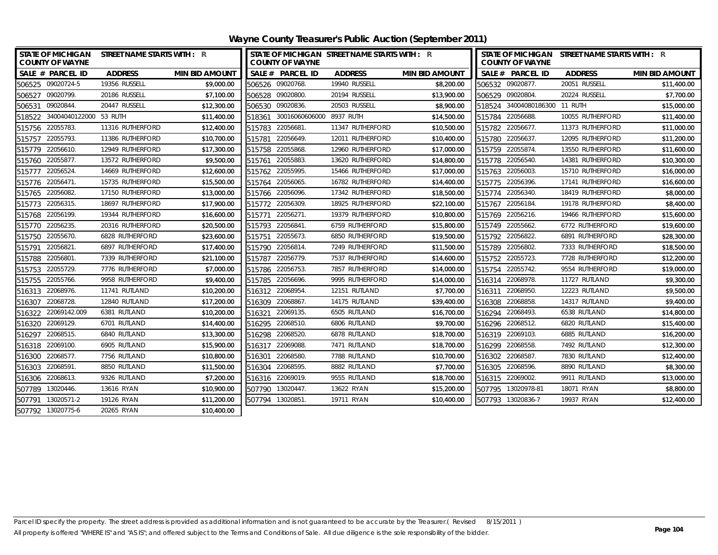| STATE OF MICHIGAN STREET NAME STARTS WITH : R<br><b>COUNTY OF WAYNE</b> |                  |                       | STATE OF MICHIGAN STREET NAME STARTS WITH : R<br><b>COUNTY OF WAYNE</b> |                  |                       | STATE OF MICHIGAN STREET NAME STARTS WITH : R<br><b>COUNTY OF WAYNE</b> |                  |                       |
|-------------------------------------------------------------------------|------------------|-----------------------|-------------------------------------------------------------------------|------------------|-----------------------|-------------------------------------------------------------------------|------------------|-----------------------|
| SALE # PARCEL ID                                                        | <b>ADDRESS</b>   | <b>MIN BID AMOUNT</b> | SALE # PARCEL ID                                                        | <b>ADDRESS</b>   | <b>MIN BID AMOUNT</b> | SALE # PARCEL ID                                                        | <b>ADDRESS</b>   | <b>MIN BID AMOUNT</b> |
| 506525 09020724-5                                                       | 19356 RUSSELL    | \$9,000.00            | 506526 09020768.                                                        | 19940 RUSSELL    | \$8,200.00            | 506532 09020877.                                                        | 20051 RUSSELL    | \$11,400.00           |
| 506527 09020799.                                                        | 20186 RUSSELL    | \$7,100.00            | 506528 09020800.                                                        | 20194 RUSSELL    | \$13,900.00           | 506529 09020804.                                                        | 20224 RUSSELL    | \$7,700.00            |
| 506531 09020844.                                                        | 20447 RUSSELL    | \$12,300.00           | 506530 09020836.                                                        | 20503 RUSSELL    | \$8,900.00            | 518524 34004080186300 11 RUTH                                           |                  | \$15,000.00           |
| 518522 34004040122000 53 RUTH                                           |                  | \$11,400.00           | 30016060606000 8937 RUTH<br>518361                                      |                  | \$14,500.00           | 515784 22056688.                                                        | 10055 RUTHERFORD | \$11,400.00           |
| 515756 22055783.                                                        | 11316 RUTHERFORD | \$12,400.00           | 515783 22056681.                                                        | 11347 RUTHERFORD | \$10,500.00           | 515782 22056677.                                                        | 11373 RUTHERFORD | \$11,000.00           |
| 515757 22055793.                                                        | 11386 RUTHERFORD | \$10,700.00           | 515781<br>22056649.                                                     | 12011 RUTHERFORD | \$10,400.00           | 515780 22056637.                                                        | 12095 RUTHERFORD | \$11,200.00           |
| 22056610.<br>515779                                                     | 12949 RUTHERFORD | \$17,300.00           | 515758 22055868.                                                        | 12960 RUTHERFORD | \$17,000.00           | 515759 22055874.                                                        | 13550 RUTHERFORD | \$11,600.00           |
| 515760 22055877.                                                        | 13572 RUTHERFORD | \$9,500.00            | 515761 22055883.                                                        | 13620 RUTHERFORD | \$14,800.00           | 515778 22056540.                                                        | 14381 RUTHERFORD | \$10,300.00           |
| 22056524.<br>515777                                                     | 14669 RUTHERFORD | \$12,600.00           | 22055995.<br>515762                                                     | 15466 RUTHERFORD | \$17,000.00           | 515763 22056003.                                                        | 15710 RUTHERFORD | \$16,000.00           |
| 515776 22056471.                                                        | 15735 RUTHERFORD | \$15,500.00           | 515764<br>22056065                                                      | 16782 RUTHERFORD | \$14,400.00           | 515775 22056396.                                                        | 17141 RUTHERFORD | \$16,600.00           |
| 515765 22056082.                                                        | 17150 RUTHERFORD | \$13,000.00           | 515766 22056096.                                                        | 17342 RUTHERFORD | \$18,500.00           | 515774 22056340.                                                        | 18419 RUTHERFORD | \$8,000.00            |
| 515773 22056315.                                                        | 18697 RUTHERFORD | \$17,900.00           | 515772 22056309.                                                        | 18925 RUTHERFORD | \$22,100.00           | 515767 22056184.                                                        | 19178 RUTHERFORD | \$8,400.00            |
| 515768 22056199.                                                        | 19344 RUTHERFORD | \$16,600.00           | 22056271.<br>515771                                                     | 19379 RUTHERFORD | \$10,800.00           | 515769 22056216.                                                        | 19466 RUTHERFORD | \$15,600.00           |
| 515770 22056235.                                                        | 20316 RUTHERFORD | \$20.500.00           | 22056841.<br>515793                                                     | 6759 RUTHERFORD  | \$15,800.00           | 515749 22055662.                                                        | 6772 RUTHERFORD  | \$19,600.00           |
| 515750 22055670.                                                        | 6828 RUTHERFORD  | \$23,600.00           | 22055673.<br>515751                                                     | 6850 RUTHERFORD  | \$19,500.00           | 515792 22056822.                                                        | 6891 RUTHERFORD  | \$28,300.00           |
| 22056821<br>515791                                                      | 6897 RUTHERFORD  | \$17,400.00           | 22056814.<br>515790                                                     | 7249 RUTHERFORD  | \$11,500.00           | 515789 22056802.                                                        | 7333 RUTHERFORD  | \$18,500.00           |
| 515788 22056801.                                                        | 7339 RUTHERFORD  | \$21,100.00           | 515787 22056779.                                                        | 7537 RUTHERFORD  | \$14,600.00           | 515752 22055723.                                                        | 7728 RUTHERFORD  | \$12,200.00           |
| 515753 22055729.                                                        | 7776 RUTHERFORD  | \$7,000.00            | 515786 22056753.                                                        | 7857 RUTHERFORD  | \$14,000.00           | 515754 22055742.                                                        | 9554 RUTHERFORD  | \$19,000.00           |
| 515755 22055766.                                                        | 9958 RUTHERFORD  | \$9,400.00            | 515785<br>22056696.                                                     | 9995 RUTHERFORD  | \$14,000.00           | 516314 22068978.                                                        | 11727 RUTLAND    | \$9,300.00            |
| 516313 22068976.                                                        | 11741 RUTLAND    | \$10,200.00           | 516312 22068954                                                         | 12151 RUTLAND    | \$7,700.00            | 22068950.<br>516311                                                     | 12223 RUTLAND    | \$9,500.00            |
| 516307 22068728.                                                        | 12840 RUTLAND    | \$17,200.00           | 516309 22068867.                                                        | 14175 RUTLAND    | \$39,400.00           | 516308 22068858.                                                        | 14317 RUTLAND    | \$9,400.00            |
| 516322 22069142.009                                                     | 6381 RUTLAND     | \$10,200.00           | 516321 22069135.                                                        | 6505 RUTLAND     | \$16,700.00           | 516294 22068493.                                                        | 6538 RUTLAND     | \$14,800.00           |
| 516320 22069129.                                                        | 6701 RUTLAND     | \$14,400.00           | 22068510.<br>516295                                                     | 6806 RUTLAND     | \$9,700.00            | 516296 22068512.                                                        | 6820 RUTLAND     | \$15,400.00           |
| 516297 22068515.                                                        | 6840 RUTLAND     | \$13,300.00           | 516298 22068520.                                                        | 6878 RUTLAND     | \$18,700.00           | 516319 22069103.                                                        | 6885 RUTLAND     | \$16,200.00           |
| 516318 22069100.                                                        | 6905 RUTLAND     | \$15,900.00           | 22069088.<br>516317                                                     | 7471 RUTLAND     | \$18,700.00           | 516299 22068558.                                                        | 7492 RUTLAND     | \$12,300.00           |
| 516300 22068577.                                                        | 7756 RUTLAND     | \$10,800.00           | 516301 22068580.                                                        | 7788 RUTLAND     | \$10,700.00           | 516302 22068587.                                                        | 7830 RUTLAND     | \$12,400.00           |
| 516303 22068591.                                                        | 8850 RUTLAND     | \$11,500.00           | 516304 22068595.                                                        | 8882 RUTLAND     | \$7,700.00            | 516305 22068596.                                                        | 8890 RUTLAND     | \$8,300.00            |
| 516306 22068613.                                                        | 9326 RUTLAND     | \$7,200.00            | 516316 22069019.                                                        | 9555 RUTLAND     | \$18,700.00           | 516315 22069002.                                                        | 9911 RUTLAND     | \$13,000.00           |
| 507789 13020446.                                                        | 13616 RYAN       | \$10,900.00           | 507790 13020447.                                                        | 13622 RYAN       | \$15,200.00           | 507795 13020978-81                                                      | 18071 RYAN       | \$8,800.00            |
| 507791 13020571-2                                                       | 19126 RYAN       | \$11,200.00           | 13020851<br>507794                                                      | 19711 RYAN       | \$10,400.00           | 507793 13020836-7                                                       | 19937 RYAN       | \$12,400.00           |
| 507792 13020775-6                                                       | 20265 RYAN       | \$10,400.00           |                                                                         |                  |                       |                                                                         |                  |                       |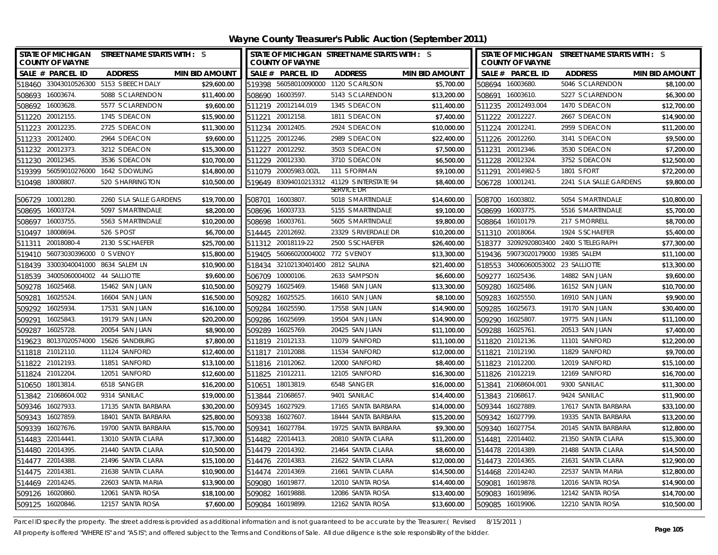| <b>STATE OF MICHIGAN</b><br><b>COUNTY OF WAYNE</b> |            | STREET NAME STARTS WITH : S             |                       |        | <b>COUNTY OF WAYNE</b>            | STATE OF MICHIGAN STREET NAME STARTS WITH : S |                       |        | <b>COUNTY OF WAYNE</b>             | STATE OF MICHIGAN STREET NAME STARTS WITH : S |                       |
|----------------------------------------------------|------------|-----------------------------------------|-----------------------|--------|-----------------------------------|-----------------------------------------------|-----------------------|--------|------------------------------------|-----------------------------------------------|-----------------------|
| SALE # PARCEL ID                                   |            | <b>ADDRESS</b>                          | <b>MIN BID AMOUNT</b> |        | SALE # PARCEL ID                  | <b>ADDRESS</b>                                | <b>MIN BID AMOUNT</b> |        | SALE # PARCEL ID                   | <b>ADDRESS</b>                                | <b>MIN BID AMOUNT</b> |
|                                                    |            | 518460 33043010526300 5153 S BEECH DALY | \$29,600.00           |        |                                   | 519398 56058010090000 1120 S CARLSON          | \$5,700.00            |        | 508694 16003680.                   | 5046 S CLARENDON                              | \$8,100.00            |
| 16003674<br>508693                                 |            | 5088 S CLARENDON                        | \$11,400.00           | 508690 | 16003597.                         | 5143 S CLARENDON                              | \$13,200.00           |        | 508691 16003610.                   | 5227 S CLARENDON                              | \$6,300.00            |
| 508692 16003628.                                   |            | 5577 S CLARENDON                        | \$9,600.00            |        | 511219 20012144.019               | 1345 S DEACON                                 | \$11,400.00           |        | 511235 20012493.004                | 1470 S DEACON                                 | \$12,700.00           |
| 20012155.<br>511220                                |            | 1745 S DEACON                           | \$15,900.00           | 511221 | 20012158.                         | 1811 S DEACON                                 | \$7,400.00            |        | 511222 20012227.                   | 2667 S DEACON                                 | \$14,900.00           |
| 20012235.<br>511223                                |            | 2725 S DEACON                           | \$11,300.00           | 511234 | 20012405.                         | 2924 S DEACON                                 | \$10,000.00           |        | 511224 20012241.                   | 2959 S DEACON                                 | \$11,200.00           |
| 20012400<br>511233                                 |            | 2964 S DEACON                           | \$9,600.00            |        | 511225 20012246.                  | 2989 S DEACON                                 | \$22,400.00           |        | 511226 20012260.                   | 3141 S DEACON                                 | \$9,500.00            |
| 20012373<br>511232                                 |            | 3212 S DEACON                           | \$15,300.00           | 511227 | 20012292.                         | 3503 S DEACON                                 | \$7,500.00            |        | 511231 20012346.                   | 3530 S DEACON                                 | \$7,200.00            |
| 20012345<br>511230                                 |            | 3536 S DEACON                           | \$10,700.00           |        | 511229 20012330.                  | 3710 S DEACON                                 | \$6,500.00            |        | 511228 20012324.                   | 3752 S DEACON                                 | \$12,500.00           |
|                                                    |            | 519399 56059010276000 1642 S DOWLING    | \$14,800.00           |        | 511079 20005983.002L              | 111 S FORMAN                                  | \$9,100.00            |        | 511291 20014982-5                  | 1801 S FORT                                   | \$72,200.00           |
| 18008807<br>510498                                 |            | 520 S HARRINGTON                        | \$10,500.00           |        |                                   | 519649 83094010213312 41129 SINTERSTATE 94    | \$8,400.00            |        | 506728 10001241.                   | 2241 S LA SALLE GARDENS                       | \$9,800.00            |
|                                                    |            |                                         |                       |        |                                   | SERVICE DR                                    |                       |        |                                    |                                               |                       |
| 10001280<br>506729                                 |            | 2260 S LA SALLE GARDENS                 | \$19,700.00           | 508701 | 16003807.                         | 5018 S MARTINDALE                             | \$14,600.00           |        | 508700 16003802.                   | 5054 S MARTINDALE                             | \$10,800.00           |
| 508695 16003724.                                   |            | 5097 S MARTINDALE                       | \$8,200.00            |        | 508696 16003733.                  | 5155 S MARTINDALE                             | \$9,100.00            |        | 508699 16003775.                   | 5516 S MARTINDALE                             | \$5,700.00            |
| 508697 16003755.                                   |            | 5563 S MARTINDALE                       | \$10,200.00           |        | 508698 16003761.                  | 5605 S MARTINDALE                             | \$9,800.00            |        | 508864 16010179.                   | 217 S MORRELL                                 | \$8,700.00            |
| 510497 18008694.                                   |            | 526 S POST                              | \$6,700.00            |        | 514445 22012692.                  | 23329 S RIVERDALE DR                          | \$10,200.00           |        | 511310 20018064                    | 1924 S SCHAEFER                               | \$5,400.00            |
| 511311                                             | 20018080-4 | 2130 S SCHAEFER                         | \$25,700.00           |        | 511312 20018119-22                | 2500 S SCHAEFER                               | \$26,400.00           |        |                                    | 518377 32092920803400 2400 STELEGRAPH         | \$77,300.00           |
| 519410 56073030396000 0 S VENOY                    |            |                                         | \$15,800.00           |        | 519405 56066020004002 772 S VENOY |                                               | \$13,300.00           |        | 519436 59073020179000 19385 SALEM  |                                               | \$11,100.00           |
|                                                    |            | 518439 33003040041000 8634 SALEM LN     | \$10,900.00           |        | 518434 32102130401400 2812 SALINA |                                               | \$21,400.00           |        | 518553 34006060053002 23 SALLIOTTE |                                               | \$13,300.00           |
| 518539                                             |            | 34005060004002 44 SALLIOTTE             | \$9,600.00            |        | 506709 10000106.                  | 2633 SAMPSON                                  | \$6,600.00            |        | 509277 16025436.                   | 14882 SAN JUAN                                | \$9,600.00            |
| 16025468<br>509278                                 |            | 15462 SAN JUAN                          | \$10,500.00           |        | 509279 16025469.                  | 15468 SAN JUAN                                | \$13,300.00           |        | 509280 16025486.                   | 16152 SAN JUAN                                | \$10,700.00           |
| 16025524.<br>509281                                |            | 16604 SAN JUAN                          | \$16,500.00           |        | 509282 16025525.                  | 16610 SAN JUAN                                | \$8,100.00            |        | 509283 16025550.                   | 16910 SAN JUAN                                | \$9,900.00            |
| 509292 16025934.                                   |            | 17531 SAN JUAN                          | \$16,100.00           |        | 509284 16025590.                  | 17558 SAN JUAN                                | \$14,900.00           |        | 509285 16025673.                   | 19170 SAN JUAN                                | \$30,400.00           |
| 16025843.<br>509291                                |            | 19179 SAN JUAN                          | \$20,200.00           |        | 509286 16025699.                  | 19504 SAN JUAN                                | \$14,900.00           |        | 509290 16025807.                   | 19775 SAN JUAN                                | \$11,100.00           |
| 16025728.<br>509287                                |            | 20054 SAN JUAN                          | \$8,900.00            |        | 509289 16025769.                  | 20425 SAN JUAN                                | \$11,100.00           |        | 509288 16025761.                   | 20513 SAN JUAN                                | \$7,400.00            |
|                                                    |            | 519623 80137020574000 15626 SANDBURG    | \$7,800.00            |        | 511819 21012133.                  | 11079 SANFORD                                 | \$11,100.00           |        | 511820 21012136.                   | 11101 SANFORD                                 | \$12,200.00           |
| 511818 21012110.                                   |            | 11124 SANFORD                           | \$12,400.00           |        | 511817 21012088.                  | 11534 SANFORD                                 | \$12,000.00           |        | 511821 21012190.                   | 11829 SANFORD                                 | \$9,700.00            |
| 511822 21012193.                                   |            | 11851 SANFORD                           | \$13,100.00           |        | 511816 21012062.                  | 12000 SANFORD                                 | \$8,400.00            |        | 511823 21012200.                   | 12019 SANFORD                                 | \$15,100.00           |
| 511824 21012204.                                   |            | 12051 SANFORD                           | \$12,600.00           |        | 511825 21012211.                  | 12105 SANFORD                                 | \$16,300.00           |        | 511826 21012219.                   | 12169 SANFORD                                 | \$16,700.00           |
| 510650 18013814.                                   |            | 6518 SANGER                             | \$16,200.00           |        | 510651 18013819.                  | 6548 SANGER                                   | \$16,000.00           |        | 513841 21068604.001                | 9300 SANILAC                                  | \$11,300.00           |
| 513842 21068604.002                                |            | 9314 SANILAC                            | \$19,000.00           |        | 513844 21068657.                  | 9401 SANILAC                                  | \$14,400.00           |        | 513843 21068617.                   | 9424 SANILAC                                  | \$11,900.00           |
| 509346 16027933                                    |            | 17135 SANTA BARBARA                     | \$30,200.00           |        | 509345 16027929.                  | 17165 SANTA BARBARA                           | \$14,000.00           |        | 509344 16027889.                   | 17617 SANTA BARBARA                           | \$33,100.00           |
| 509343<br>16027859.                                |            | 18401 SANTA BARBARA                     | \$25,800.00           | 509338 | 16027607                          | 18444 SANTA BARBARA                           | \$15,200.00           | 509342 | 16027799.                          | 19335 SANTA BARBARA                           | \$13,200.00           |
| 509339<br>16027676.                                |            | 19700 SANTA BARBARA                     | \$15,700.00           | 509341 | 16027784.                         | 19725 SANTA BARBARA                           | \$9,300.00            |        | 509340 16027754                    | 20145 SANTA BARBARA                           | \$12,800.00           |
| 514483 22014441                                    |            | 13010 SANTA CLARA                       | \$17,300.00           | 514482 | 22014413.                         | 20810 SANTA CLARA                             | \$11,200.00           |        | 514481 22014402.                   | 21350 SANTA CLARA                             | \$15,300.00           |
| 514480 22014395.                                   |            | 21440 SANTA CLARA                       | \$10,500.00           |        | 514479 22014392.                  | 21464 SANTA CLARA                             | \$8,600.00            |        | 514478 22014389.                   | 21488 SANTA CLARA                             | \$14,500.00           |
| 22014388<br>514477                                 |            | 21496 SANTA CLARA                       | \$15,100.00           | 514476 | 22014383.                         | 21622 SANTA CLARA                             | \$12,000.00           | 514473 | 22014365.                          | 21631 SANTA CLARA                             | \$12,900.00           |
| 514475 22014381                                    |            | 21638 SANTA CLARA                       | \$10,900.00           | 514474 | 22014369.                         | 21661 SANTA CLARA                             | \$14,500.00           |        | 514468 22014240.                   | 22537 SANTA MARIA                             | \$12,800.00           |
| 514469 22014245.                                   |            | 22603 SANTA MARIA                       | \$13,900.00           | 509080 | 16019877.                         | 12010 SANTA ROSA                              | \$14,400.00           | 509081 | 16019878.                          | 12016 SANTA ROSA                              | \$14,900.00           |
| 509126 16020860.                                   |            | 12061 SANTA ROSA                        | \$18,100.00           |        | 509082 16019888.                  | 12086 SANTA ROSA                              | \$13,400.00           |        | 509083 16019896.                   | 12142 SANTA ROSA                              | \$14,700.00           |
| 509125 16020846.                                   |            | 12157 SANTA ROSA                        | \$7,600.00            |        | 509084 16019899.                  | 12162 SANTA ROSA                              | \$13,600.00           |        | 509085 16019906.                   | 12210 SANTA ROSA                              | \$10,500.00           |

Parcel ID specify the property. The street address is provided as additional information and is not guaranteed to be accurate by the Treasurer.(Revised 8/15/2011)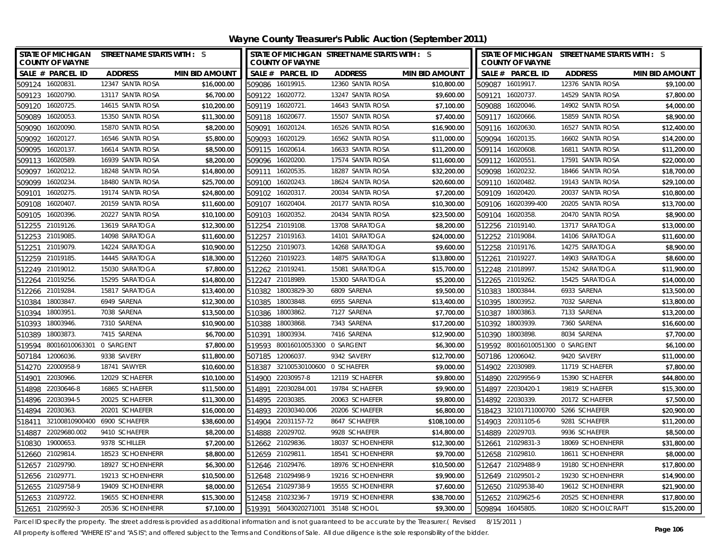| <b>STATE OF MICHIGAN</b><br><b>COUNTY OF WAYNE</b> | <b>STREET NAME STARTS WITH : S</b> |                       | <b>COUNTY OF WAYNE</b> | STATE OF MICHIGAN STREET NAME STARTS WITH : S |                       | STATE OF MICHIGAN STREET NAME STARTS WITH : S<br><b>COUNTY OF WAYNE</b> |                          |                                     |                       |
|----------------------------------------------------|------------------------------------|-----------------------|------------------------|-----------------------------------------------|-----------------------|-------------------------------------------------------------------------|--------------------------|-------------------------------------|-----------------------|
| SALE # PARCEL ID                                   | <b>ADDRESS</b>                     | <b>MIN BID AMOUNT</b> | SALE # PARCEL ID       | <b>ADDRESS</b>                                | <b>MIN BID AMOUNT</b> |                                                                         | SALE # PARCEL ID         | <b>ADDRESS</b>                      | <b>MIN BID AMOUNT</b> |
| 509124 16020831                                    | 12347 SANTA ROSA                   | \$16,000.00           | 509086 16019915.       | 12360 SANTA ROSA                              | \$10,800.00           | 509087 16019917.                                                        |                          | 12376 SANTA ROSA                    | \$9,100.00            |
| 509123 16020790.                                   | 13117 SANTA ROSA                   | \$6,700.00            | 509122 16020772.       | 13247 SANTA ROSA                              | \$9,600.00            | 509121 16020737.                                                        |                          | 14529 SANTA ROSA                    | \$7,800.00            |
| 509120 16020725.                                   | 14615 SANTA ROSA                   | \$10,200.00           | 509119 16020721.       | 14643 SANTA ROSA                              | \$7,100.00            | 509088 16020046.                                                        |                          | 14902 SANTA ROSA                    | \$4,000.00            |
| 509089 16020053.                                   | 15350 SANTA ROSA                   | \$11,300.00           | 509118 16020677.       | 15507 SANTA ROSA                              | \$7,400.00            | 509117 16020666.                                                        |                          | 15859 SANTA ROSA                    | \$8,900.00            |
| 509090 16020090.                                   | 15870 SANTA ROSA                   | \$8,200.00            | 509091 16020124.       | 16526 SANTA ROSA                              | \$16,900.00           | 509116 16020630.                                                        |                          | 16527 SANTA ROSA                    | \$12,400.00           |
| 509092 16020127.                                   | 16546 SANTA ROSA                   | \$5,800.00            | 509093 16020129.       | 16562 SANTA ROSA                              | \$11,000.00           | 509094 16020135.                                                        |                          | 16602 SANTA ROSA                    | \$14,200.00           |
| 509095 16020137.                                   | 16614 SANTA ROSA                   | \$8,500.00            | 509115 16020614.       | 16633 SANTA ROSA                              | \$11,200.00           | 509114 16020608.                                                        |                          | 16811 SANTA ROSA                    | \$11,200.00           |
| 509113 16020589.                                   | 16939 SANTA ROSA                   | \$8,200.00            | 509096 16020200.       | 17574 SANTA ROSA                              | \$11,600.00           | 509112 16020551.                                                        |                          | 17591 SANTA ROSA                    | \$22,000.00           |
| 16020212.<br>509097                                | 18248 SANTA ROSA                   | \$14,800.00           | 509111 16020535.       | 18287 SANTA ROSA                              | \$32,200.00           | 509098 16020232.                                                        |                          | 18466 SANTA ROSA                    | \$18,700.00           |
| 16020234<br>509099                                 | 18480 SANTA ROSA                   | \$25,700.00           | 509100 16020243.       | 18624 SANTA ROSA                              | \$20,600.00           | 509110 16020482.                                                        |                          | 19143 SANTA ROSA                    | \$29,100.00           |
| 16020275.<br>509101                                | 19174 SANTA ROSA                   | \$24,800.00           | 509102 16020317.       | 20034 SANTA ROSA                              | \$7,200.00            | 509109 16020420.                                                        |                          | 20037 SANTA ROSA                    | \$10,800.00           |
| 16020407.<br>509108                                | 20159 SANTA ROSA                   | \$11,600.00           | 509107 16020404.       | 20177 SANTA ROSA                              | \$10,300.00           |                                                                         | 509106 16020399-400      | 20205 SANTA ROSA                    | \$13,700.00           |
| 16020396.<br>509105                                | 20227 SANTA ROSA                   | \$10,100.00           | 509103 16020352.       | 20434 SANTA ROSA                              | \$23,500.00           | 509104 16020358.                                                        |                          | 20470 SANTA ROSA                    | \$8,900.00            |
| 21019126.<br>512255                                | 13619 SARATOGA                     | \$12,300.00           | 512254 21019108.       | 13708 SARATOGA                                | \$8,200.00            | 512256 21019140.                                                        |                          | 13717 SARATOGA                      | \$13,000.00           |
| 512253<br>21019085.                                | 14098 SARATOGA                     | \$11,600.00           | 512257 21019163.       | 14101 SARATOGA                                | \$24,000.00           | 512252 21019084                                                         |                          | 14106 SARATOGA                      | \$11,600.00           |
| 21019079.<br>512251                                | 14224 SARATOGA                     | \$10,900.00           | 512250 21019073.       | 14268 SARATOGA                                | \$9,600.00            | 512258 21019176.                                                        |                          | 14275 SARATOGA                      | \$8,900.00            |
| 21019185.<br>512259                                | 14445 SARATOGA                     | \$18,300.00           | 512260 21019223.       | 14875 SARATOGA                                | \$13,800.00           | 512261 21019227.                                                        |                          | 14903 SARATOGA                      | \$8,600.00            |
| 512249 21019012.                                   | 15030 SARATOGA                     | \$7,800.00            | 512262 21019241.       | 15081 SARATOGA                                | \$15,700.00           | 512248 21018997.                                                        |                          | 15242 SARATOGA                      | \$11,900.00           |
| 512264 21019256.                                   | 15295 SARATOGA                     | \$14,800.00           | 512247 21018989.       | 15300 SARATOGA                                | \$5,200.00            | 512265 21019262.                                                        |                          | 15425 SARATOGA                      | \$14,000.00           |
| 512266 21019284.                                   | 15817 SARATOGA                     | \$13,400.00           | 510382 18003829-30     | 6809 SARENA                                   | \$9,500.00            | 510383 18003844                                                         |                          | 6933 SARENA                         | \$13,500.00           |
| 18003847.<br>510384                                | 6949 SARENA                        | \$12,300.00           | 510385<br>18003848.    | 6955 SARENA                                   | \$13,400.00           | 510395                                                                  | 18003952.                | 7032 SARENA                         | \$13,800.00           |
| 510394<br>18003951                                 | 7038 SARENA                        | \$13,500.00           | 510386<br>18003862     | 7127 SARENA                                   | \$7,700.00            | 510387                                                                  | 18003863                 | 7133 SARENA                         | \$13,200.00           |
| 18003946.<br>510393                                | 7310 SARENA                        | \$10,900.00           | 18003868.<br>510388    | 7343 SARENA                                   | \$17,200.00           | 510392                                                                  | 18003939.                | 7360 SARENA                         | \$16,600.00           |
| 18003873.<br>510389                                | 7415 SARENA                        | \$6,700.00            | 18003934.<br>510391    | 7416 SARENA                                   | \$12,900.00           | 510390                                                                  | 18003898.                | 8034 SARENA                         | \$7,700.00            |
| 519594<br>80016010063301 0 SARGENT                 |                                    | \$7,800.00            | 519593                 | 80016010053300 0 SARGENT                      | \$6,300.00            | 519592                                                                  | 80016010051300 0 SARGENT |                                     | \$6,100.00            |
| 507184 12006036.                                   | 9338 SAVERY                        | \$11,800.00           | 507185 12006037.       | 9342 SAVERY                                   | \$12,700.00           | 507186 12006042.                                                        |                          | 9420 SAVERY                         | \$11,000.00           |
| 514270 22000958-9                                  | 18741 SAWYER                       | \$10,600.00           |                        | 518387 32100530100600 0 SCHAEFER              | \$9,000.00            | 514902 22030989.                                                        |                          | 11719 SCHAEFER                      | \$7,800.00            |
| 22030966.<br>514901                                | 12029 SCHAEFER                     | \$10,100.00           | 514900 22030957-8      | 12119 SCHAEFER                                | \$9,800.00            |                                                                         | 514890 22029956-9        | 15390 SCHAEFER                      | \$44,800.00           |
| 514898<br>22030646-8                               | 16865 SCHAEFER                     | \$11,500.00           | 514891<br>22030284.001 | 19784 SCHAEFER                                | \$9,900.00            | 514897                                                                  | 22030420-1               | 19819 SCHAEFER                      | \$15,300.00           |
| 514896 22030394-5                                  | 20025 SCHAEFER                     | \$11,300.00           | 514895<br>22030385.    | 20063 SCHAEFER                                | \$9,800.00            | 514892 22030339.                                                        |                          | 20172 SCHAEFER                      | \$7,500.00            |
| 514894 22030363.                                   | 20201 SCHAEFER                     | \$16,000.00           | 514893 22030340.006    | 20206 SCHAEFER                                | \$6,800.00            |                                                                         |                          | 518423 32101711000700 5266 SCHAEFER | \$20,900.00           |
| 518411                                             | 32100810900400 6900 SCHAEFER       | \$38,600.00           | 22031157-72<br>514904  | 8647 SCHAEFER                                 | \$108,100.00          |                                                                         | 514903 22031105-6        | 9281 SCHAEFER                       | \$11,200.00           |
| 22029680.002<br>514887                             | 9410 SCHAEFER                      | \$8,200.00            | 514888<br>22029702.    | 9928 SCHAEFER                                 | \$14,800.00           | 514889 22029703.                                                        |                          | 9936 SCHAEFER                       | \$8,500.00            |
| 510830 19000653.                                   | 9378 SCHILLER                      | \$7,200.00            | 512662 21029836.       | 18037 SCHOENHERR                              | \$12,300.00           |                                                                         | 512661 21029831-3        | 18069 SCHOENHERR                    | \$31,800.00           |
| 512660 21029814.                                   | 18523 SCHOENHERR                   | \$8,800.00            | 512659 21029811.       | 18541 SCHOENHERR                              | \$9,700.00            | 512658 21029810.                                                        |                          | 18611 SCHOENHERR                    | \$8,000.00            |
| 512657 21029790.                                   | 18927 SCHOENHERR                   | \$6,300.00            | 512646 21029476.       | 18976 SCHOENHERR                              | \$10,500.00           |                                                                         | 512647 21029488-9        | 19180 SCHOENHERR                    | \$17,800.00           |
| 512656 21029771.                                   | 19213 SCHOENHERR                   | \$10,500.00           | 512648 21029498-9      | 19216 SCHOENHERR                              | \$9,900.00            |                                                                         | 512649 21029501-2        | 19230 SCHOENHERR                    | \$14,900.00           |
| 512655 21029758-9                                  | 19409 SCHOENHERR                   | \$8,000.00            | 512654 21029738-9      | 19555 SCHOENHERR                              | \$7,600.00            |                                                                         | 512650 21029538-40       | 19612 SCHOENHERR                    | \$21,900.00           |
| 512653 21029722.                                   | 19655 SCHOENHERR                   | \$15,300.00           | 512458 21023236-7      | 19719 SCHOENHERR                              | \$38,700.00           |                                                                         | 512652 21029625-6        | 20525 SCHOENHERR                    | \$17,800.00           |
| 512651 21029592-3                                  | 20536 SCHOENHERR                   | \$7,100.00            |                        | 519391 56043020271001 35148 SCHOOL            | \$9,300.00            | 509894 16045805.                                                        |                          | 10820 SCHOOLCRAFT                   | \$15,200.00           |

Parcel ID specify the property. The street address is provided as additional information and is not guaranteed to be accurate by the Treasurer.( Revised 8/15/2011 )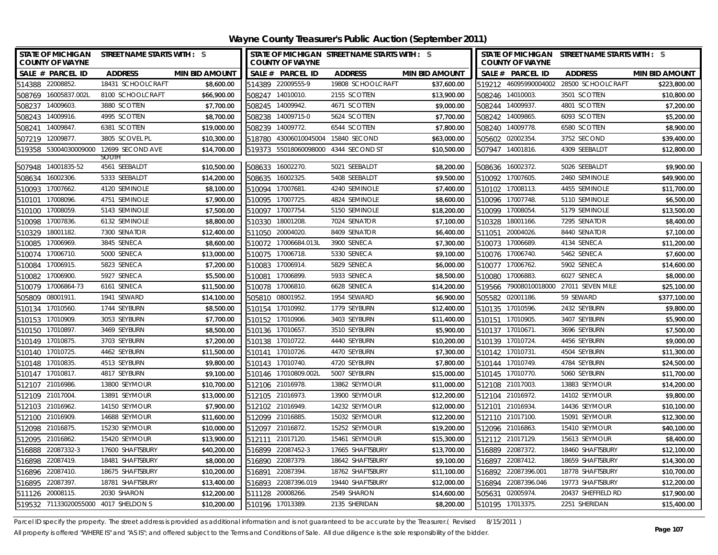| <b>STATE OF MICHIGAN</b><br><b>COUNTY OF WAYNE</b>    | <b>STREET NAME STARTS WITH : S</b> | <b>COUNTY OF WAYNE</b>               | STATE OF MICHIGAN STREET NAME STARTS WITH : S |                       |        | <b>COUNTY OF WAYNE</b>               | STATE OF MICHIGAN STREET NAME STARTS WITH : S |                       |
|-------------------------------------------------------|------------------------------------|--------------------------------------|-----------------------------------------------|-----------------------|--------|--------------------------------------|-----------------------------------------------|-----------------------|
| SALE # PARCEL ID<br><b>ADDRESS</b>                    | <b>MIN BID AMOUNT</b>              | SALE # PARCEL ID                     | <b>ADDRESS</b>                                | <b>MIN BID AMOUNT</b> |        | SALE # PARCEL ID                     | <b>ADDRESS</b>                                | <b>MIN BID AMOUNT</b> |
| 18431 SCHOOLCRAFT<br>514388 22008852.                 | \$8,600.00                         | 514389 22009555-9                    | 19808 SCHOOLCRAFT                             | \$37,600.00           |        | 519212 46095990004002                | 28500 SCHOOLCRAFT                             | \$223,800.00          |
| 508769 16005837.002L<br>8100 SCHOOLCRAFT              | \$66,900.00<br>508247              | 14010010.                            | 2155 SCOTTEN                                  | \$13,900.00           |        | 508246 14010003.                     | 3501 SCOTTEN                                  | \$10,800.00           |
| 14009603.<br>3880 SCOTTEN<br>508237                   | \$7,700.00                         | 508245 14009942.                     | 4671 SCOTTEN                                  | \$9,000.00            |        | 508244 14009937.                     | 4801 SCOTTEN                                  | \$7,200.00            |
| 508243 14009916.<br>4995 SCOTTEN                      | \$8,700.00<br>508238               | 14009715-0                           | 5624 SCOTTEN                                  | \$7,700.00            |        | 508242 14009865.                     | 6093 SCOTTEN                                  | \$5,200.00            |
| 14009847.<br>6381 SCOTTEN<br>508241                   | \$19,000.00<br>508239              | 14009772.                            | 6544 SCOTTEN                                  | \$7,800.00            |        | 508240 14009778.                     | 6580 SCOTTEN                                  | \$8,900.00            |
| 3805 SCOVEL PL<br>507219 12009877.                    | \$10,300.00                        | 518780 43006010045004 15840 SECOND   |                                               | \$63,000.00           |        | 505602 02002354                      | 3752 SECOND                                   | \$39,400.00           |
| 519358 53004030009000 12699 SECOND AVE                | \$14,700.00                        | 519373 55018060098000 4344 SECOND ST |                                               | \$10,500.00           |        | 507947 14001816.                     | 4309 SEEBALDT                                 | \$12,800.00           |
| <b>SOUIH</b><br>4561 SEEBALDT                         | \$10,500.00                        |                                      | 5021 SEEBALDT                                 | \$8,200.00            |        |                                      | 5026 SEEBALDT                                 | \$9,900.00            |
| 507948 14001835-52<br>5333 SEEBALDT                   | \$14,200.00                        | 508633 16002270.                     | 5408 SEEBALDT                                 | \$9,500.00            |        | 508636 16002372.<br>510092 17007605. | 2460 SEMINOLE                                 | \$49,900.00           |
| 508634 16002306.<br>510093 17007662.<br>4120 SEMINOLE | \$8,100.00                         | 508635 16002325.<br>510094 17007681  | 4240 SEMINOLE                                 | \$7,400.00            |        | 510102 17008113.                     | 4455 SEMINOLE                                 | \$11,700.00           |
| 17008096.<br>4751 SEMINOLE<br>510101                  | \$7,900.00                         | 510095 17007725.                     | 4824 SEMINOLE                                 | \$8,600.00            |        | 510096 17007748.                     | 5110 SEMINOLE                                 | \$6,500.00            |
| 5143 SEMINOLE<br>510100 17008059.                     | \$7,500.00                         | 510097 17007754.                     | 5150 SEMINOLE                                 | \$18,200.00           |        | 510099 17008054.                     | 5179 SEMINOLE                                 | \$13,500.00           |
| 510098 17007836.<br>6132 SEMINOLE                     | \$8,800.00                         | 510330 18001208.                     | 7024 SENATOR                                  | \$7,100.00            |        | 510328 18001166.                     | 7295 SENATOR                                  | \$8,400.00            |
| 7300 SENATOR<br>510329 18001182.                      | \$12,400.00                        | 511050 20004020.                     | 8409 SENATOR                                  | \$6,400.00            |        | 511051 20004026.                     | 8440 SENATOR                                  | \$7,100.00            |
| 510085<br>17006969.<br>3845 SENECA                    | \$8,600.00                         | 510072 17006684.013L                 | 3900 SENECA                                   | \$7,300.00            |        | 510073 17006689.                     | 4134 SENECA                                   | \$11,200.00           |
| 510074 17006710.<br>5000 SENECA                       | \$13,000.00                        | 510075 17006718.                     | 5330 SENECA                                   | \$9,100.00            |        | 510076 17006740.                     | 5462 SENECA                                   | \$7,600.00            |
| 510084 17006915.<br>5823 SENECA                       | \$7,200.00                         | 510083 17006914.                     | 5829 SENECA                                   | \$6,000.00            |        | 510077 17006762.                     | 5902 SENECA                                   | \$14,600.00           |
| 5927 SENECA<br>510082 17006900.                       | \$5,500.00                         | 510081 17006899.                     | 5933 SENECA                                   | \$8,500.00            |        | 510080 17006883                      | 6027 SENECA                                   | \$8,000.00            |
| 510079 17006864-73<br>6161 SENECA                     | \$11,500.00                        | 510078 17006810.                     | 6628 SENECA                                   | \$14,200.00           |        |                                      | 519566 79008010018000 27011 SEVEN MILE        | \$25,100.00           |
| 505809 08001911<br>1941 SEWARD                        | \$14,100.00                        | 505810 08001952.                     | 1954 SEWARD                                   | \$6,900.00            |        | 505582 02001186.                     | 59 SEWARD                                     | \$377,100.00          |
| 510134 17010560.<br>1744 SEYBURN                      | \$8,500.00                         | 510154 17010992.                     | 1779 SEYBURN                                  | \$12,400.00           |        | 510135 17010596.                     | 2432 SEYBURN                                  | \$9,800.00            |
| 510153 17010909.<br>3053 SEYBURN                      | \$7,700.00                         | 510152 17010906.                     | 3403 SEYBURN                                  | \$11,400.00           |        | 510151 17010905.                     | 3407 SEYBURN                                  | \$5,900.00            |
| 510150 17010897.<br>3469 SEYBURN                      | \$8,500.00                         | 510136 17010657.                     | 3510 SEYBURN                                  | \$5,900.00            |        | 510137 17010671.                     | 3696 SEYBURN                                  | \$7,500.00            |
| 510149 17010875.<br>3703 SEYBURN                      | \$7,200.00                         | 510138 17010722.                     | 4440 SEYBURN                                  | \$10,200.00           |        | 510139 17010724.                     | 4456 SEYBURN                                  | \$9,000.00            |
| 510140 17010725.<br>4462 SEYBURN                      | \$11,500.00                        | 510141 17010726.                     | 4470 SEYBURN                                  | \$7,300.00            |        | 510142 17010731.                     | 4504 SEYBURN                                  | \$11,300.00           |
| 510148 17010835<br>4513 SEYBURN                       | \$9,800.00                         | 510143 17010740.                     | 4720 SEYBURN                                  | \$7,800.00            |        | 510144 17010749.                     | 4784 SEYBURN                                  | \$24,500.00           |
| 510147 17010817.<br>4817 SEYBURN                      | \$9,100.00                         | 510146 17010809.002L                 | 5007 SEYBURN                                  | \$15,000.00           |        | 510145 17010770.                     | 5060 SEYBURN                                  | \$11,700.00           |
| 512107 21016986.<br>13800 SEYMOUR                     | \$10,700.00                        | 512106 21016978.                     | 13862 SEYMOUR                                 | \$11,000.00           |        | 512108 21017003.                     | 13883 SEYMOUR                                 | \$14,200.00           |
| 512109 21017004.<br>13891 SEYMOUR                     | \$13,000.00                        | 512105 21016973.                     | 13900 SEYMOUR                                 | \$12,200.00           |        | 512104 21016972.                     | 14102 SEYMOUR                                 | \$9,800.00            |
| 512103 21016962.<br>14150 SEYMOUR                     | \$7,900.00                         | 512102 21016949.                     | 14232 SEYMOUR                                 | \$12,000.00           |        | 512101 21016934                      | 14436 SEYMOUR                                 | \$10,100.00           |
| 21016909<br>14688 SEYMOUR<br>512100                   | \$11,600.00                        | 512099 21016885.                     | 15032 SEYMOUR                                 | \$12,200.00           |        | 512110 21017100.                     | 15091 SEYMOUR                                 | \$12,300.00           |
| 512098 21016875.<br>15230 SEYMOUR                     | \$10,000.00                        | 512097 21016872.                     | 15252 SEYMOUR                                 | \$19,200.00           |        | 512096 21016863                      | 15410 SEYMOUR                                 | \$40,100.00           |
| 512095 21016862.<br>15420 SEYMOUR                     | \$13,900.00                        | 512111 21017120.                     | 15461 SEYMOUR                                 | \$15,300.00           |        | 512112 21017129.                     | 15613 SEYMOUR                                 | \$8,400.00            |
| 516888 22087332-3<br>17600 SHAFTSBURY                 | \$40,200.00                        | 516899 22087452-3                    | 17665 SHAFTSBURY                              | \$13,700.00           |        | 516889 22087372.                     | 18460 SHAFTSBURY                              | \$12,100.00           |
| 22087419.<br>18481 SHAFTSBURY<br>516898               | \$8,000.00<br>516890               | 22087379.                            | 18642 SHAFTSBURY                              | \$9,100.00            | 516897 | 22087412.                            | 18659 SHAFTSBURY                              | \$14,300.00           |
| 516896 22087410.<br>18675 SHAFTSBURY                  | \$10,200.00<br>516891              | 22087394.                            | 18762 SHAFTSBURY                              | \$11,100.00           | 516892 | 22087396.001                         | 18778 SHAFTSBURY                              | \$10,700.00           |
| 516895 22087397.<br>18781 SHAFTSBURY                  | \$13,400.00<br>516893              | 22087396.019                         | 19440 SHAFTSBURY                              | \$12,000.00           |        | 516894 22087396.046                  | 19773 SHAFTSBURY                              | \$12,200.00           |
| 511126 20008115.<br>2030 SHARON                       | \$12,200.00                        | 511128 20008266.                     | 2549 SHARON                                   | \$14,600.00           |        | 505631 02005974                      | 20437 SHEFFIELD RD                            | \$17,900.00           |
| 519532 71133020055000 4017 SHELDON S                  | \$10,200.00                        | 510196 17013389.                     | 2135 SHERIDAN                                 | \$8,200.00            |        | 510195 17013375.                     | 2251 SHERIDAN                                 | \$15,400.00           |

Parcel ID specify the property. The street address is provided as additional information and is not guaranteed to be accurate by the Treasurer.(Revised 8/15/2011)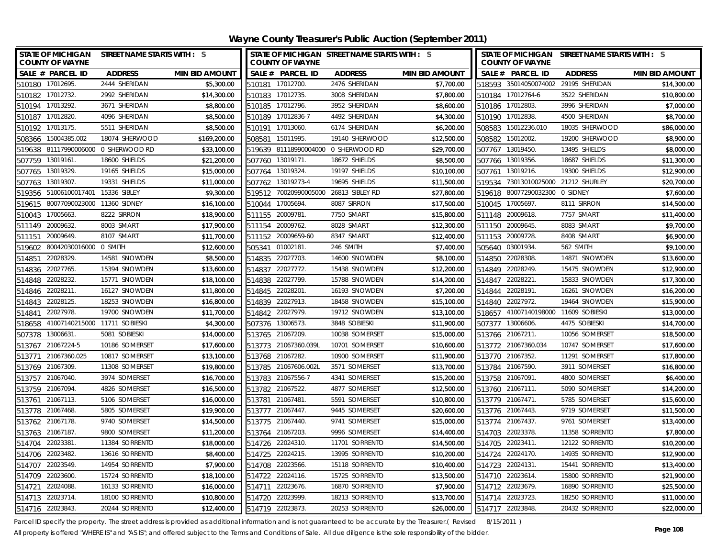**Wayne County Treasurer's Public Auction (September 2011)**

|        | <b>COUNTY OF WAYNE</b>               | STATE OF MICHIGAN STREET NAME STARTS WITH : S |                       |                  | <b>COUNTY OF WAYNE</b> | STATE OF MICHIGAN STREET NAME STARTS WITH : S |                       | <b>COUNTY OF WAYNE</b> | STATE OF MICHIGAN STREET NAME STARTS WITH : S |                |                       |
|--------|--------------------------------------|-----------------------------------------------|-----------------------|------------------|------------------------|-----------------------------------------------|-----------------------|------------------------|-----------------------------------------------|----------------|-----------------------|
|        | SALE # PARCEL ID                     | <b>ADDRESS</b>                                | <b>MIN BID AMOUNT</b> |                  | SALE # PARCEL ID       | <b>ADDRESS</b>                                | <b>MIN BID AMOUNT</b> |                        | SALE # PARCEL ID                              | <b>ADDRESS</b> | <b>MIN BID AMOUNT</b> |
|        | 510180 17012695.                     | 2444 SHERIDAN                                 | \$5,300.00            |                  | 510181 17012700.       | 2476 SHERIDAN                                 | \$7,700.00            |                        | 518593 35014050074002                         | 29195 SHERIDAN | \$14,300.00           |
|        | 510182 17012732.                     | 2992 SHERIDAN                                 | \$14,300.00           |                  | 510183 17012735.       | 3008 SHERIDAN                                 | \$7,800.00            |                        | 510184 17012764-6                             | 3522 SHERIDAN  | \$10,800.00           |
|        | 510194 17013292.                     | 3671 SHERIDAN                                 | \$8,800.00            |                  | 510185 17012796.       | 3952 SHERIDAN                                 | \$8,600.00            |                        | 510186 17012803.                              | 3996 SHERIDAN  | \$7,000.00            |
|        | 510187 17012820.                     | 4096 SHERIDAN                                 | \$8,500.00            |                  | 510189 17012836-7      | 4492 SHERIDAN                                 | \$4,300.00            |                        | 510190 17012838.                              | 4500 SHERIDAN  | \$8,700.00            |
| 510192 | 17013175.                            | 5511 SHERIDAN                                 | \$8,500.00            | 510191           | 17013060.              | 6174 SHERIDAN                                 | \$6,200.00            | 508583                 | 15012236.010                                  | 18035 SHERWOOD | \$86,000.00           |
| 508366 | 15004385.002                         | 18074 SHERWOOD                                | \$169,200.00          | 508581           | 15011995.              | 19140 SHERWOOD                                | \$12,500.00           |                        | 508582 15012002.                              | 19200 SHERWOOD | \$8,900.00            |
|        |                                      | 519638 81117990006000 0 SHERWOOD RD           | \$33,100.00           |                  |                        | 519639 81118990004000 0 SHERWOOD RD           | \$29,700.00           |                        | 507767 13019450.                              | 13495 SHIELDS  | \$8,000.00            |
|        | 507759 13019161.                     | 18600 SHIELDS                                 | \$21,200.00           | 507760           | 13019171.              | 18672 SHIELDS                                 | \$8,500.00            |                        | 507766 13019356.                              | 18687 SHIELDS  | \$11,300.00           |
| 507765 | 13019329.                            | 19165 SHIELDS                                 | \$15,000.00           | 507764           | 13019324.              | 19197 SHIELDS                                 | \$10,100.00           | 507761                 | 13019216.                                     | 19300 SHIELDS  | \$12,900.00           |
| 507763 | 13019307.                            | 19331 SHIELDS                                 | \$11,000.00           | 507762           | 13019273-4             | 19695 SHIELDS                                 | \$11,500.00           | 519534                 | 73013010025000                                | 21212 SHURLEY  | \$20,700.00           |
|        | 519356 51006100017401 15336 SIBLEY   |                                               | \$9,300.00            |                  |                        | 519512 70020990005000 26813 SIBLEY RD         | \$27,800.00           |                        | 519618 80077290032300 0 SIDNEY                |                | \$7,600.00            |
|        | 519615 80077090023000 11360 SIDNEY   |                                               | \$16,100.00           |                  | 510044 17005694        | 8087 SIRRON                                   | \$17,500.00           |                        | 510045 17005697.                              | 8111 SIRRON    | \$14,500.00           |
| 510043 | 17005663.                            | 8222 SIRRON                                   | \$18,900.00           | 511155           | 20009781               | 7750 SMART                                    | \$15,800.00           |                        | 511148 20009618.                              | 7757 SMART     | \$11,400.00           |
|        | 511149 20009632.                     | 8003 SMART                                    | \$17,900.00           | 511154           | 20009762.              | 8028 SMART                                    | \$12,300.00           |                        | 511150 20009645.                              | 8083 SMART     | \$9,700.00            |
| 511151 | 20009649.                            | 8107 SMART                                    | \$11,700.00           |                  | 511152 20009659-60     | 8347 SMART                                    | \$12,400.00           |                        | 511153 20009728.                              | 8408 SMART     | \$6,900.00            |
| 519602 | 80042030016000 0 SMITH               |                                               | \$12,600.00           | 505341           | 01002181               | 246 SMITH                                     | \$7,400.00            |                        | 505640 03001934.                              | 562 SMITH      | \$9,100.00            |
| 514851 | 22028329.                            | 14581 SNOWDEN                                 | \$8,500.00            |                  | 514835 22027703.       | 14600 SNOWDEN                                 | \$8,100.00            |                        | 514850 22028308.                              | 14871 SNOWDEN  | \$13,600.00           |
|        | 514836 22027765.                     | 15394 SNOWDEN                                 | \$13,600.00           |                  | 514837 22027772.       | 15438 SNOWDEN                                 | \$12,200.00           |                        | 514849 22028249.                              | 15475 SNOWDEN  | \$12,900.00           |
|        | 514848 22028232.                     | 15771 SNOWDEN                                 | \$18,100.00           |                  | 514838 22027799.       | 15788 SNOWDEN                                 | \$14,200.00           |                        | 514847 22028221.                              | 15833 SNOWDEN  | \$17,300.00           |
|        | 514846 22028211.                     | 16127 SNOWDEN                                 | \$11,800.00           | 514845 22028201  |                        | 16193 SNOWDEN                                 | \$7,200.00            |                        | 514844 22028191.                              | 16261 SNOWDEN  | \$16,200.00           |
|        | 514843 22028125.                     | 18253 SNOWDEN                                 | \$16,800.00           |                  | 514839 22027913.       | 18458 SNOWDEN                                 | \$15,100.00           |                        | 514840 22027972.                              | 19464 SNOWDEN  | \$15,900.00           |
|        | 514841 22027978.                     | 19700 SNOWDEN                                 | \$11,700.00           |                  | 514842 22027979.       | 19712 SNOWDEN                                 | \$13,100.00           |                        | 518657 41007140198000                         | 11609 SOBIESKI | \$13,000.00           |
|        | 518658 41007140215000 11711 SOBIESKI |                                               | \$4,300.00            |                  | 507376 13006573.       | 3848 SOBIESKI                                 | \$11,900.00           |                        | 507377 13006606.                              | 4475 SOBIESKI  | \$14,700.00           |
|        | 507378 13006631.                     | 5081 SOBIESKI                                 | \$14,000.00           |                  | 513765 21067209.       | 10038 SOMERSET                                | \$15,000.00           |                        | 513766 21067211.                              | 10056 SOMERSET | \$18,500.00           |
|        | 513767 21067224-5                    | 10186 SOMERSET                                | \$17,600.00           |                  | 513773 21067360.039L   | 10701 SOMERSET                                | \$10,600.00           |                        | 513772 21067360.034                           | 10747 SOMERSET | \$17,600.00           |
|        | 513771 21067360.025                  | 10817 SOMERSET                                | \$13,100.00           |                  | 513768 21067282.       | 10900 SOMERSET                                | \$11,900.00           |                        | 513770 21067352.                              | 11291 SOMERSET | \$17,800.00           |
|        | 513769 21067309                      | 11308 SOMERSET                                | \$19,800.00           |                  | 513785 21067606.002L   | 3571 SOMERSET                                 | \$13,700.00           |                        | 513784 21067590.                              | 3911 SOMERSET  | \$16,800.00           |
|        | 513757 21067040.                     | 3974 SOMERSET                                 | \$16,700.00           |                  | 513783 21067556-7      | 4341 SOMERSET                                 | \$15,200.00           |                        | 513758 21067091.                              | 4800 SOMERSET  | \$6,400.00            |
|        | 513759 21067094.                     | 4826 SOMERSET                                 | \$16,500.00           |                  | 513782 21067522.       | 4877 SOMERSET                                 | \$12,500.00           |                        | 513760 21067111.                              | 5090 SOMERSET  | \$14,200.00           |
|        | 513761 21067113.                     | 5106 SOMERSET                                 | \$16,000.00           |                  | 513781 21067481        | 5591 SOMERSET                                 | \$10,800.00           |                        | 513779 21067471.                              | 5785 SOMERSET  | \$15,600.00           |
|        | 513778 21067468                      | 5805 SOMERSET                                 | \$19,900.00           |                  | 513777 21067447.       | 9445 SOMERSET                                 | \$20,600.00           |                        | 513776 21067443.                              | 9719 SOMERSET  | \$11,500.00           |
|        | 513762 21067178.                     | 9740 SOMERSET                                 | \$14,500.00           |                  | 513775 21067440.       | 9741 SOMERSET                                 | \$15,000.00           |                        | 513774 21067437.                              | 9761 SOMERSET  | \$13,400.00           |
|        | 513763 21067187.                     | 9800 SOMERSET                                 | \$11,200.00           |                  | 513764 21067203.       | 9996 SOMERSET                                 | \$14,400.00           |                        | 514703 22023378.                              | 11358 SORRENTO | \$7,800.00            |
|        | 514704 22023381                      | 11384 SORRENTO                                | \$18,000.00           |                  | 514726 22024310.       | 11701 SORRENTO                                | \$14,500.00           |                        | 514705 22023411.                              | 12122 SORRENTO | \$10,200.00           |
|        | 514706 22023482.                     | 13616 SORRENTO                                | \$8,400.00            |                  | 514725 22024215.       | 13995 SORRENTO                                | \$10,200.00           |                        | 514724 22024170.                              | 14935 SORRENTO | \$12,900.00           |
| 514707 | 22023549.                            | 14954 SORRENTO                                | \$7,900.00            |                  | 514708 22023566.       | 15118 SORRENTO                                | \$10,400.00           | 514723 22024131        |                                               | 15441 SORRENTO | \$13,400.00           |
| 514709 | 22023600                             | 15724 SORRENTO                                | \$18,100.00           | 514722           | 22024116.              | 15725 SORRENTO                                | \$13,500.00           |                        | 514710 22023614.                              | 15800 SORRENTO | \$21,900.00           |
| 514721 | 22024088.                            | 16133 SORRENTO                                | \$16,000.00           | 514711           | 22023676.              | 16870 SORRENTO                                | \$7,900.00            |                        | 514712 22023679.                              | 16890 SORRENTO | \$25,500.00           |
|        | 514713 22023714                      | 18100 SORRENTO                                | \$10,800.00           |                  | 514720 22023999.       | 18213 SORRENTO                                | \$13,700.00           |                        | 514714 22023723.                              | 18250 SORRENTO | \$11,000.00           |
|        | 514716 22023843.                     | 20244 SORRENTO                                | \$12,400.00           | 514719 22023873. |                        | 20253 SORRENTO                                | \$26,000.00           |                        | 514717 22023848.                              | 20432 SORRENTO | \$22,000.00           |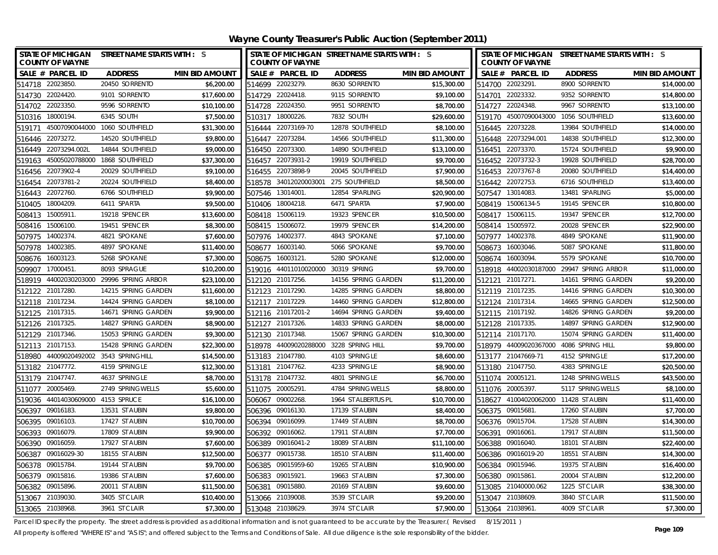**Wayne County Treasurer's Public Auction (September 2011)**

| <b>STATE OF MICHIGAN</b><br><b>COUNTY OF WAYNE</b> | STREET NAME STARTS WITH : S    |                       |        | <b>COUNTY OF WAYNE</b>             | STATE OF MICHIGAN STREET NAME STARTS WITH : S |                       |        | <b>COUNTY OF WAYNE</b>               | STATE OF MICHIGAN STREET NAME STARTS WITH : S |                       |
|----------------------------------------------------|--------------------------------|-----------------------|--------|------------------------------------|-----------------------------------------------|-----------------------|--------|--------------------------------------|-----------------------------------------------|-----------------------|
| SALE # PARCEL ID                                   | <b>ADDRESS</b>                 | <b>MIN BID AMOUNT</b> |        | SALE # PARCEL ID                   | <b>ADDRESS</b>                                | <b>MIN BID AMOUNT</b> |        | SALE # PARCEL ID                     | <b>ADDRESS</b>                                | <b>MIN BID AMOUNT</b> |
| 514718 22023850.                                   | 20450 SORRENTO                 | \$6,200.00            |        | 514699 22023279.                   | 8630 SORRENTO                                 | \$15,300.00           |        | 514700 22023291.                     | 8900 SORRENTO                                 | \$14,000.00           |
| 514730 22024420.                                   | 9101 SORRENTO                  | \$17,600.00           |        | 514729 22024418.                   | 9115 SORRENTO                                 | \$9,100.00            |        | 514701 22023332.                     | 9352 SORRENTO                                 | \$14,800.00           |
| 514702 22023350.                                   | 9596 SORRENTO                  | \$10,100.00           |        | 514728 22024350.                   | 9951 SORRENTO                                 | \$8,700.00            |        | 514727 22024348.                     | 9967 SORRENTO                                 | \$13,100.00           |
| 510316 18000194.                                   | 6345 SOUTH                     | \$7,500.00            |        | 510317 18000226.                   | 7832 SOUTH                                    | \$29,600.00           |        | 519170 45007090043000                | 1056 SOUTHFIELD                               | \$13,600.00           |
| 519171                                             | 45007090044000 1060 SOUTHFIELD | \$31,300.00           |        | 516444 22073169-70                 | 12878 SOUTHFIELD                              | \$8,100.00            |        | 516445 22073228.                     | 13984 SOUTHFIELD                              | \$14,000.00           |
| 22073272.<br>516446                                | 14520 SOUTHFIELD               | \$9,800.00            | 516447 | 22073284.                          | 14566 SOUTHFIELD                              | \$11,300.00           |        | 516448 22073294.001                  | 14838 SOUTHFIELD                              | \$12,300.00           |
| 516449 22073294.002L                               | 14844 SOUTHFIELD               | \$9,000.00            |        | 516450 22073300.                   | 14890 SOUTHFIELD                              | \$13,100.00           |        | 516451 22073370.                     | 15724 SOUTHFIELD                              | \$9,900.00            |
| 45005020788000<br>519163                           | 1868 SOUTHFIELD                | \$37,300.00           |        | 516457 22073931-2                  | 19919 SOUTHFIELD                              | \$9,700.00            |        | 516452 22073732-3                    | 19928 SOUTHFIELD                              | \$28,700.00           |
| 22073902-4<br>516456                               | 20029 SOUTHFIELD               | \$9,100.00            | 516455 | 22073898-9                         | 20045 SOUTHFIELD                              | \$7,900.00            |        | 516453 22073767-8                    | 20080 SOUTHFIELD                              | \$14,400.00           |
| 22073781-2<br>516454                               | 20224 SOUTHFIELD               | \$8,400.00            | 518578 | 34012020003001                     | 275 SOUTHFIELD                                | \$8,500.00            |        | 516442 22072753.                     | 6716 SOUTHFIELD                               | \$13,400.00           |
| 22072760<br>516443                                 | 6766 SOUTHFIELD                | \$9,900.00            | 507546 | 13014001                           | 12854 SPARLING                                | \$20,900.00           |        | 507547 13014083.                     | 13481 SPARLING                                | \$5,000.00            |
| 18004209.<br>510405                                | 6411 SPARTA                    | \$9,500.00            | 510406 | 18004218.                          | 6471 SPARTA                                   | \$7,900.00            |        | 508419 15006134-5                    | 19145 SPENCER                                 | \$10,800.00           |
| 15005911.<br>508413                                | 19218 SPENCER                  | \$13,600.00           | 508418 | 15006119.                          | 19323 SPENCER                                 | \$10,500.00           | 508417 | 15006115.                            | 19347 SPENCER                                 | \$12,700.00           |
| 15006100<br>508416                                 | 19451 SPENCER                  | \$8,300.00            |        | 508415 15006072.                   | 19979 SPENCER                                 | \$14,200.00           |        | 508414 15005972.                     | 20028 SPENCER                                 | \$22,900.00           |
| 14002374.<br>507975                                | 4821 SPOKANE                   | \$7,600.00            |        | 507976 14002377.                   | 4843 SPOKANE                                  | \$7,100.00            |        | 507977 14002378.                     | 4849 SPOKANE                                  | \$11,900.00           |
| 14002385<br>507978                                 | 4897 SPOKANE                   | \$11,400.00           |        | 508677 16003140.                   | 5066 SPOKANE                                  | \$9,700.00            |        | 508673 16003046.                     | 5087 SPOKANE                                  | \$11,800.00           |
| 16003123<br>508676                                 | 5268 SPOKANE                   | \$7,300.00            | 508675 | 16003121.                          | 5280 SPOKANE                                  | \$12,000.00           |        | 508674 16003094.                     | 5579 SPOKANE                                  | \$10,700.00           |
| 509907 17000451                                    | 8093 SPRAGUE                   | \$10,200.00           |        | 519016 44011010020000 30319 SPRING |                                               | \$9,700.00            |        |                                      | 518918 44002030187000 29947 SPRING ARBOR      | \$11,000.00           |
| 518919 44002030203000 29996 SPRING ARBOR           |                                | \$23,100.00           |        | 512120 21017256.                   | 14156 SPRING GARDEN                           | \$11,200.00           |        | 512121 21017271.                     | 14161 SPRING GARDEN                           | \$9,200.00            |
| 512122 21017280.                                   | 14215 SPRING GARDEN            | \$11,600.00           |        | 512123 21017290.                   | 14285 SPRING GARDEN                           | \$8,800.00            |        | 512119 21017235.                     | 14416 SPRING GARDEN                           | \$10,300.00           |
| 512118 21017234.                                   | 14424 SPRING GARDEN            | \$8,100.00            |        | 512117 21017229.                   | 14460 SPRING GARDEN                           | \$12,800.00           |        | 512124 21017314.                     | 14665 SPRING GARDEN                           | \$12,500.00           |
| 512125 21017315.                                   | 14671 SPRING GARDEN            | \$9,900.00            |        | 512116 21017201-2                  | 14694 SPRING GARDEN                           | \$9,400.00            |        | 512115 21017192.                     | 14826 SPRING GARDEN                           | \$9,200.00            |
| 512126 21017325.                                   | 14827 SPRING GARDEN            | \$8,900.00            |        | 512127 21017326.                   | 14833 SPRING GARDEN                           | \$8,000.00            |        | 512128 21017335.                     | 14897 SPRING GARDEN                           | \$12,900.00           |
| 512129 21017346.                                   | 15053 SPRING GARDEN            | \$9,300.00            |        | 512130 21017348.                   | 15067 SPRING GARDEN                           | \$10,300.00           |        | 512114 21017170.                     | 15074 SPRING GARDEN                           | \$11,400.00           |
| 512113 21017153.                                   | 15428 SPRING GARDEN            | \$22,300.00           |        |                                    | 518978 44009020288000 3228 SPRING HILL        | \$9,700.00            |        | 518979 44009020367000                | 4086 SPRING HILL                              | \$9,800.00            |
| 518980 44009020492002 3543 SPRINGHILL              |                                | \$14,500.00           |        | 513183 21047780.                   | 4103 SPRINGLE                                 | \$8,600.00            |        | 513177 21047669-71                   | 4152 SPRINGLE                                 | \$17,200.00           |
| 513182 21047772.                                   | 4159 SPRINGLE                  | \$12,300.00           |        | 513181 21047762                    | 4233 SPRINGLE                                 | \$8,900.00            |        | 513180 21047750.                     | 4383 SPRINGLE                                 | \$20,500.00           |
| 513179 21047747.                                   | 4637 SPRINGLE                  | \$8,700.00            |        | 513178 21047732                    | 4801 SPRINGLE                                 | \$6,700.00            |        | 511074 20005121                      | 1248 SPRINGWELLS                              | \$43,500.00           |
| 511077<br>20005469                                 | 2749 SPRINGWELLS               | \$5,600.00            |        | 511075 20005291                    | 4784 SPRINGWELLS                              | \$8,800.00            |        | 511076 20005397.                     | 5117 SPRINGWELLS                              | \$8,100.00            |
| 519036 44014030609000 4153 SPRUCE                  |                                | \$16,100.00           |        | 506067 09002268                    | 1964 ST ALBERTUS PL                           | \$10,700.00           |        | 518627 41004020062000 11428 ST AUBIN |                                               | \$11,400.00           |
| 506397 09016183.                                   | 13531 ST AUBIN                 | \$9,800.00            |        | 506396 09016130.                   | 17139 ST AUBIN                                | \$8,400.00            |        | 506375 09015681                      | 17260 ST AUBIN                                | \$7,700.00            |
| 506395<br>09016103                                 | 17427 ST AUBIN                 | \$10,700.00           |        | 506394 09016099.                   | 17449 ST AUBIN                                | \$8,700.00            |        | 506376 09015704                      | 17528 ST AUBIN                                | \$14,300.00           |
| 09016079.<br>506393                                | 17809 ST AUBIN                 | \$9,900.00            | 506392 | 09016062.                          | 17911 ST AUBIN                                | \$7,700.00            | 506391 | 09016061.                            | 17917 ST AUBIN                                | \$11,500.00           |
| 09016059.<br>506390                                | 17927 ST AUBIN                 | \$7,600.00            |        | 506389 09016041-2                  | 18089 ST AUBIN                                | \$11,100.00           |        | 506388 09016040.                     | 18101 ST AUBIN                                | \$22,400.00           |
| 506387 09016029-30                                 | 18155 ST AUBIN                 | \$12,500.00           |        | 506377 09015738.                   | 18510 ST AUBIN                                | \$11,400.00           |        | 506386 09016019-20                   | 18551 ST AUBIN                                | \$14,300.00           |
| 09015784<br>506378                                 | 19144 ST AUBIN                 | \$9,700.00            | 506385 | 09015959-60                        | 19265 ST AUBIN                                | \$10,900.00           | 506384 | 09015946.                            | 19375 ST AUBIN                                | \$16,400.00           |
| 09015816<br>506379                                 | 19386 ST AUBIN                 | \$7,600.00            | 506383 | 09015921                           | 19663 ST AUBIN                                | \$7,300.00            | 506380 | 09015861                             | 20004 ST AUBIN                                | \$12,200.00           |
| 09015896.<br>506382                                | 20011 ST AUBIN                 | \$11,500.00           | 506381 | 09015880.                          | 20169 ST AUBIN                                | \$9,600.00            |        | 513085 21040000.062                  | 1225 ST CLAIR                                 | \$38,300.00           |
| 513067 21039030.                                   | 3405 ST CLAIR                  | \$10,400.00           |        | 513066 21039008                    | 3539 ST CLAIR                                 | \$9,200.00            |        | 513047 21038609.                     | 3840 ST CLAIR                                 | \$11,500.00           |
| 513065 21038968.                                   | 3961 ST CLAIR                  | \$7,300.00            |        | 513048 21038629                    | 3974 ST CLAIR                                 | \$7,900.00            |        | 513064 21038961.                     | 4009 ST CLAIR                                 | \$7,300.00            |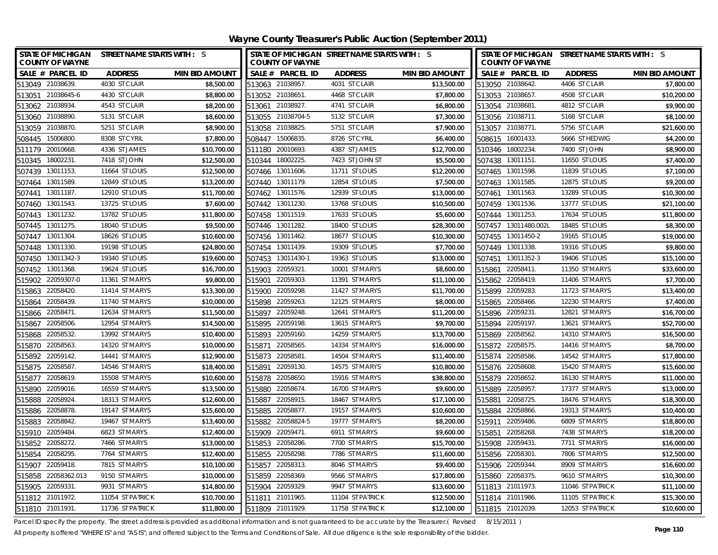**Wayne County Treasurer's Public Auction (September 2011)**

| <b>STATE OF MICHIGAN</b><br><b>COUNTY OF WAYNE</b> | STREET NAME STARTS WITH : S |                       | STATE OF MICHIGAN STREET NAME STARTS WITH : S<br><b>COUNTY OF WAYNE</b> |                  |                       | <b>COUNTY OF WAYNE</b> | STATE OF MICHIGAN STREET NAME STARTS WITH : S |                       |  |
|----------------------------------------------------|-----------------------------|-----------------------|-------------------------------------------------------------------------|------------------|-----------------------|------------------------|-----------------------------------------------|-----------------------|--|
| SALE # PARCEL ID                                   | <b>ADDRESS</b>              | <b>MIN BID AMOUNT</b> | SALE # PARCEL ID                                                        | <b>ADDRESS</b>   | <b>MIN BID AMOUNT</b> | SALE # PARCEL ID       | <b>ADDRESS</b>                                | <b>MIN BID AMOUNT</b> |  |
| 513049 21038639.                                   | 4030 ST CLAIR               | \$8,500.00            | 513063 21038957.                                                        | 4031 ST CLAIR    | \$13,500.00           | 513050 21038642.       | 4406 ST CLAIR                                 | \$7,800.00            |  |
| 21038645-6<br>513051                               | 4430 ST CLAIR               | \$8,800.00            | 513052 21038651.                                                        | 4468 ST CLAIR    | \$7,800.00            | 513053 21038657.       | 4508 ST CLAIR                                 | \$10,200.00           |  |
| 513062 21038934.                                   | 4543 ST CLAIR               | \$8,200.00            | 513061 21038927.                                                        | 4741 ST CLAIR    | \$6,800.00            | 513054 21038681.       | 4812 ST CLAIR                                 | \$9,900.00            |  |
| 513060 21038890.                                   | 5131 ST CLAIR               | \$8,600.00            | 513055 21038704-5                                                       | 5132 ST CLAIR    | \$7,300.00            | 513056 21038711.       | 5168 ST CLAIR                                 | \$8,100.00            |  |
| 513059 21038870.                                   | 5251 ST CLAIR               | \$8,900.00            | 513058 21038825.                                                        | 5751 ST CLAIR    | \$7,900.00            | 513057 21038771.       | 5756 ST CLAIR                                 | \$21,600.00           |  |
| 15006800<br>508445                                 | 8308 ST CYRIL               | \$7,800.00            | 15006835.<br>508447                                                     | 8726 ST CYRIL    | \$6,400.00            | 508615 16001433.       | 5666 ST HEDWIG                                | \$4,200.00            |  |
| 511179<br>20010668                                 | 4336 ST JAMES               | \$10,700.00           | 20010693.<br>511180                                                     | 4387 ST JAMES    | \$12,700.00           | 510346 18002234.       | 7400 ST JOHN                                  | \$8,900.00            |  |
| 18002231<br>510345                                 | 7418 ST JOHN                | \$12,500.00           | 510344 18002225.                                                        | 7423 ST JOHN ST  | \$5,500.00            | 507438 13011151.       | 11650 ST LOUIS                                | \$7,400.00            |  |
| 13011153.<br>507439                                | 11664 ST LOUIS              | \$12,500.00           | 13011606<br>507466                                                      | 11711 ST LOUIS   | \$12,200.00           | 507465 13011598.       | 11839 ST LOUIS                                | \$7,100.00            |  |
| 13011589.<br>507464                                | 12849 ST LOUIS              | \$13,200.00           | 13011179.<br>507440                                                     | 12854 ST LOUIS   | \$7,500.00            | 507463 13011585.       | 12875 ST LOUIS                                | \$9,200.00            |  |
| 13011187<br>507441                                 | 12910 ST LOUIS              | \$11,700.00           | 507462 13011576.                                                        | 12939 ST LOUIS   | \$13,000.00           | 507461 13011563.       | 13289 ST LOUIS                                | \$10,300.00           |  |
| 507460 13011543.                                   | 13725 ST LOUIS              | \$7,600.00            | 507442 13011230.                                                        | 13768 ST LOUIS   | \$10,500.00           | 507459 13011536.       | 13777 ST LOUIS                                | \$21,100.00           |  |
| 13011232.<br>507443                                | 13782 ST LOUIS              | \$11,800.00           | 13011519.<br>507458                                                     | 17633 ST LOUIS   | \$5,600.00            | 507444 13011253.       | 17634 ST LOUIS                                | \$11,800.00           |  |
| 13011275.<br>507445                                | 18040 ST LOUIS              | \$9,500.00            | 13011282.<br>507446                                                     | 18400 ST LOUIS   | \$28,300.00           | 507457 13011480.002L   | 18485 ST LOUIS                                | \$8,300.00            |  |
| 13011304<br>507447                                 | 18626 ST LOUIS              | \$10,600.00           | 13011462<br>507456                                                      | 18677 ST LOUIS   | \$10,300.00           | 507455 13011450-2      | 19165 ST LOUIS                                | \$19,000.00           |  |
| 13011330<br>507448                                 | 19198 ST LOUIS              | \$24,800.00           | 507454 13011439                                                         | 19309 ST LOUIS   | \$7,700.00            | 507449 13011338.       | 19316 ST LOUIS                                | \$9,800.00            |  |
| 13011342-3<br>507450                               | 19340 ST LOUIS              | \$19,600.00           | 13011430-1<br>507453                                                    | 19363 ST LOUIS   | \$13,000.00           | 13011352-3<br>507451   | 19406 ST LOUIS                                | \$15,100.00           |  |
| 13011368.<br>507452                                | 19624 ST LOUIS              | \$16,700.00           | 22059321<br>515903                                                      | 10001 ST MARYS   | \$8,600.00            | 22058411.<br>515861    | 11350 ST MARYS                                | \$33,600.00           |  |
| 515902 22059307-0                                  | 11361 ST MARYS              | \$9,800.00            | 22059303<br>515901                                                      | 11391 ST MARYS   | \$11,100.00           | 515862 22058419.       | 11406 ST MARYS                                | \$7,700.00            |  |
| 22058420<br>515863                                 | 11414 ST MARYS              | \$13,300.00           | 22059298<br>515900                                                      | 11427 ST MARYS   | \$11,700.00           | 515899 22059283.       | 11723 ST MARYS                                | \$13,400.00           |  |
| 22058439.<br>515864                                | 11740 ST MARYS              | \$10,000.00           | 515898<br>22059263                                                      | 12125 ST MARYS   | \$8,000.00            | 515865 22058466.       | 12230 ST MARYS                                | \$7,400.00            |  |
| 515866 22058471.                                   | 12634 ST MARYS              | \$11,500.00           | 22059248.<br>515897                                                     | 12641 ST MARYS   | \$11,200.00           | 515896 22059231.       | 12821 ST MARYS                                | \$16,700.00           |  |
| 515867 22058506.                                   | 12954 ST MARYS              | \$14,500.00           | 515895 22059198.                                                        | 13615 ST MARYS   | \$9,700.00            | 515894 22059197.       | 13621 ST MARYS                                | \$52,700.00           |  |
| 22058532<br>515868                                 | 13992 ST MARYS              | \$10,400.00           | 515893 22059160.                                                        | 14259 ST MARYS   | \$13,700.00           | 515869 22058562.       | 14310 ST MARYS                                | \$16,500.00           |  |
| 22058563<br>515870                                 | 14320 ST MARYS              | \$10,000.00           | 515871<br>22058565.                                                     | 14334 ST MARYS   | \$16,000.00           | 515872 22058575.       | 14416 ST MARYS                                | \$8,700.00            |  |
| 515892 22059142.                                   | 14441 ST MARYS              | \$12,900.00           | 515873 22058581                                                         | 14504 ST MARYS   | \$11,400.00           | 515874 22058586.       | 14542 ST MARYS                                | \$17,800.00           |  |
| 515875 22058587.                                   | 14546 ST MARYS              | \$18,400.00           | 515891 22059130.                                                        | 14575 ST MARYS   | \$10,800.00           | 515876 22058608.       | 15420 ST MARYS                                | \$15,600.00           |  |
| 22058619<br>515877                                 | 15508 ST MARYS              | \$10,600.00           | 515878 22058650.                                                        | 15916 ST MARYS   | \$38,800.00           | 515879 22058652.       | 16130 ST MARYS                                | \$11,000.00           |  |
| 22059016.<br>515890                                | 16559 ST MARYS              | \$13,500.00           | 22058674.<br>515880                                                     | 16700 ST MARYS   | \$9,600.00            | 515889 22058957.       | 17377 ST MARYS                                | \$13,000.00           |  |
| 515888 22058924.                                   | 18313 ST MARYS              | \$12,600.00           | 515887<br>22058915.                                                     | 18467 ST MARYS   | \$17,100.00           | 515881 22058725.       | 18476 ST MARYS                                | \$18,300.00           |  |
| 515886 22058878.                                   | 19147 ST MARYS              | \$15,600.00           | 22058877.<br>515885                                                     | 19157 ST MARYS   | \$10,600.00           | 515884 22058866.       | 19313 ST MARYS                                | \$10,400.00           |  |
| 515883 22058842.                                   | 19467 ST MARYS              | \$13,400.00           | 515882<br>22058824-5                                                    | 19777 ST MARYS   | \$8,200.00            | 515911 22059486.       | 6809 ST MARYS                                 | \$18,800.00           |  |
| 515910 22059484.                                   | 6823 ST MARYS               | \$12,400.00           | 515909<br>22059471.                                                     | 6911 ST MARYS    | \$9,600.00            | 515851 22058268.       | 7438 ST MARYS                                 | \$18,200.00           |  |
| 515852 22058272.                                   | 7466 ST MARYS               | \$13,000.00           | 515853 22058286.                                                        | 7700 ST MARYS    | \$15,700.00           | 515908 22059431        | 7711 ST MARYS                                 | \$16,000.00           |  |
| 515854 22058295.                                   | 7764 ST MARYS               | \$12,400.00           | 515855 22058298                                                         | 7786 ST MARYS    | \$11,600.00           | 515856 22058301        | 7806 ST MARYS                                 | \$12,500.00           |  |
| 22059418<br>515907                                 | 7815 ST MARYS               | \$10,100.00           | 515857<br>22058313.                                                     | 8046 ST MARYS    | \$9,400.00            | 515906 22059344.       | 8909 ST MARYS                                 | \$16,600.00           |  |
| 22058362.013<br>515858                             | 9150 ST MARYS               | \$10,000.00           | 22058369.<br>515859                                                     | 9566 ST MARYS    | \$17,800.00           | 515860 22058375.       | 9610 ST MARYS                                 | \$10,300.00           |  |
| 515905 22059331                                    | 9931 ST MARYS               | \$14,800.00           | 515904 22059329.                                                        | 9947 ST MARYS    | \$13,600.00           | 511813 21011973.       | 11046 ST PATRICK                              | \$11,100.00           |  |
| 511812 21011972.                                   | 11054 ST PATRICK            | \$10,700.00           | 511811 21011965.                                                        | 11104 ST PATRICK | \$12,500.00           | 511814 21011986.       | 11105 ST PATRICK                              | \$15,300.00           |  |
| 511810 21011931                                    | 11736 ST PATRICK            | \$11,800.00           | 511809 21011929.                                                        | 11758 ST PATRICK | \$12,100.00           | 511815 21012039.       | 12053 ST PATRICK                              | \$10,600.00           |  |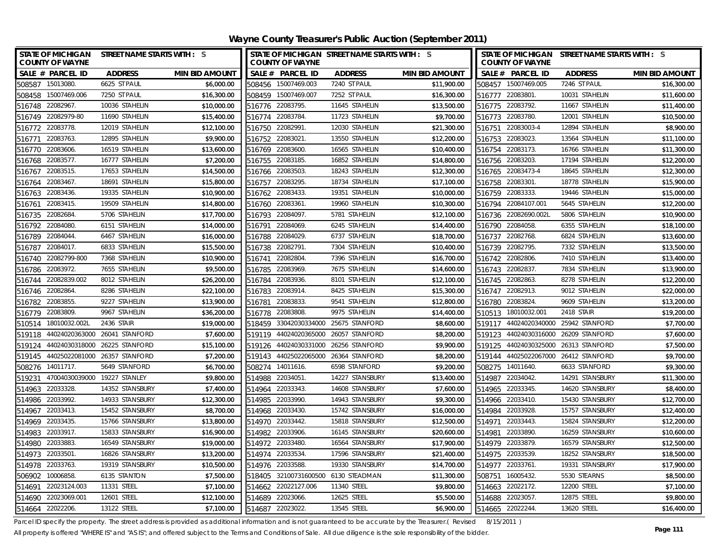**Wayne County Treasurer's Public Auction (September 2011)**

| <b>COUNTY OF WAYNE</b>   | STATE OF MICHIGAN STREET NAME STARTS WITH : S |                       |        | <b>COUNTY OF WAYNE</b> | STATE OF MICHIGAN STREET NAME STARTS WITH : S |                       | STATE OF MICHIGAN STREET NAME STARTS WITH : S<br><b>COUNTY OF WAYNE</b> |                       |                 |                       |
|--------------------------|-----------------------------------------------|-----------------------|--------|------------------------|-----------------------------------------------|-----------------------|-------------------------------------------------------------------------|-----------------------|-----------------|-----------------------|
| SALE # PARCEL ID         | <b>ADDRESS</b>                                | <b>MIN BID AMOUNT</b> |        | SALE # PARCEL ID       | <b>ADDRESS</b>                                | <b>MIN BID AMOUNT</b> |                                                                         | SALE # PARCEL ID      | <b>ADDRESS</b>  | <b>MIN BID AMOUNT</b> |
| 508587 15013080.         | 6625 ST PAUL                                  | \$6,000.00            |        | 508456 15007469.003    | 7240 ST PAUL                                  | \$11,900.00           |                                                                         | 508457 15007469.005   | 7246 ST PAUL    | \$16,300.00           |
| 15007469.006<br>508458   | 7250 ST PAUL                                  | \$16,300.00           |        | 508459 15007469.007    | 7252 ST PAUL                                  | \$16,300.00           |                                                                         | 516777 22083801.      | 10031 STAHELIN  | \$11,600.00           |
| 516748 22082967          | 10036 STAHELIN                                | \$10,000.00           |        | 516776 22083795.       | 11645 STAHELIN                                | \$13,500.00           |                                                                         | 516775 22083792.      | 11667 STAHELIN  | \$11,400.00           |
| 516749 22082979-80       | 11690 STAHELIN                                | \$15,400.00           |        | 516774 22083784.       | 11723 STAHELIN                                | \$9,700.00            |                                                                         | 516773 22083780.      | 12001 STAHELIN  | \$10,500.00           |
| 22083778.<br>516772      | 12019 STAHELIN                                | \$12,100.00           |        | 516750 22082991        | 12030 STAHELIN                                | \$21,300.00           |                                                                         | 516751 22083003-4     | 12894 STAHELIN  | \$8,900.00            |
| 22083763.<br>516771      | 12895 STAHELIN                                | \$9,900.00            |        | 516752 22083021        | 13550 STAHELIN                                | \$12,200.00           |                                                                         | 516753 22083023.      | 13564 STAHELIN  | \$11,100.00           |
| 22083606.<br>516770      | 16519 STAHELIN                                | \$13,600.00           |        | 516769 22083600.       | 16565 STAHELIN                                | \$10,400.00           |                                                                         | 516754 22083173.      | 16766 STAHELIN  | \$11,300.00           |
| 22083577.<br>516768      | 16777 STAHELIN                                | \$7,200.00            |        | 516755 22083185.       | 16852 STAHELIN                                | \$14,800.00           |                                                                         | 516756 22083203.      | 17194 STAHELIN  | \$12,200.00           |
| 22083515<br>516767       | 17653 STAHELIN                                | \$14,500.00           | 516766 | 22083503               | 18243 STAHELIN                                | \$12,300.00           |                                                                         | 516765 22083473-4     | 18645 STAHELIN  | \$12,300.00           |
| 22083467.<br>516764      | 18691 STAHELIN                                | \$15,800.00           | 516757 | 22083295.              | 18734 STAHELIN                                | \$17,100.00           |                                                                         | 516758 22083301.      | 18778 STAHELIN  | \$15,900.00           |
| 22083436.<br>516763      | 19335 STAHELIN                                | \$10,900.00           |        | 516762 22083433.       | 19351 STAHELIN                                | \$10,000.00           |                                                                         | 516759 22083333.      | 19446 STAHELIN  | \$15,000.00           |
| 22083415.<br>516761      | 19509 STAHELIN                                | \$14,800.00           | 516760 | 22083361               | 19960 STAHELIN                                | \$10,300.00           |                                                                         | 516794 22084107.001   | 5645 STAHELIN   | \$12,200.00           |
| 22082684<br>516735       | 5706 STAHELIN                                 | \$17,700.00           | 516793 | 22084097               | 5781 STAHELIN                                 | \$12,100.00           |                                                                         | 516736 22082690.002L  | 5806 STAHELIN   | \$10,900.00           |
| 22084080.<br>516792      | 6151 STAHELIN                                 | \$14,000.00           | 516791 | 22084069               | 6245 STAHELIN                                 | \$14,400.00           |                                                                         | 516790 22084058.      | 6355 STAHELIN   | \$18,100.00           |
| 22084044.<br>516789      | 6467 STAHELIN                                 | \$16,000.00           | 516788 | 22084029               | 6737 STAHELIN                                 | \$18,700.00           |                                                                         | 516737 22082768.      | 6824 STAHELIN   | \$13,600.00           |
| 22084017.<br>516787      | 6833 STAHELIN                                 | \$15,500.00           | 516738 | 22082791               | 7304 STAHELIN                                 | \$10,400.00           |                                                                         | 516739 22082795.      | 7332 STAHELIN   | \$13,500.00           |
| 22082799-800<br>516740   | 7368 STAHELIN                                 | \$10,900.00           | 516741 | 22082804               | 7396 STAHELIN                                 | \$16,700.00           | 516742                                                                  | 22082806.             | 7410 STAHELIN   | \$13,400.00           |
| 516786 22083972.         | 7655 STAHELIN                                 | \$9,500.00            | 516785 | 22083969               | 7675 STAHELIN                                 | \$14,600.00           |                                                                         | 516743 22082837.      | 7834 STAHELIN   | \$13,900.00           |
| 516744 22082839.002      | 8012 STAHELIN                                 | \$26,200.00           | 516784 | 22083936.              | 8101 STAHELIN                                 | \$12,100.00           |                                                                         | 516745 22082863.      | 8278 STAHELIN   | \$12,200.00           |
| 516746 22082864          | 8286 STAHELIN                                 | \$22,100.00           | 516783 | 22083914               | 8425 STAHELIN                                 | \$15,300.00           |                                                                         | 516747 22082913.      | 9012 STAHELIN   | \$22,000.00           |
| 22083855<br>516782       | 9227 STAHELIN                                 | \$13,900.00           | 516781 | 22083833.              | 9541 STAHELIN                                 | \$12,800.00           |                                                                         | 516780 22083824.      | 9609 STAHELIN   | \$13,200.00           |
| 516779 22083809.         | 9967 STAHELIN                                 | \$36,200.00           | 516778 | 22083808               | 9975 STAHELIN                                 | \$14,400.00           |                                                                         | 510513 18010032.001   | 2418 STAIR      | \$19,200.00           |
| 18010032.002L<br>510514  | 2436 STAIR                                    | \$19,000.00           |        | 518459 33042030334000  | 25675 STANFORD                                | \$8,600.00            |                                                                         | 519117 44024020340000 | 25942 STANFORD  | \$7,700.00            |
| 44024020363000<br>519118 | 26041 STANFORD                                | \$7,600.00            | 519119 | 44024020365000         | 26057 STANFORD                                | \$8,200.00            |                                                                         | 519123 44024030316000 | 26209 STANFORD  | \$7,600.00            |
| 519124<br>44024030318000 | 26225 STANFORD                                | \$15,100.00           | 519126 | 44024030331000         | 26256 STANFORD                                | \$9,900.00            |                                                                         | 519125 44024030325000 | 26313 STANFORD  | \$7,500.00            |
| 519145 44025022081000    | 26357 STANFORD                                | \$7,200.00            |        | 519143 44025022065000  | 26364 STANFORD                                | \$8,200.00            |                                                                         | 519144 44025022067000 | 26412 STANFORD  | \$9,700.00            |
| 508276 14011717.         | 5649 STANFORD                                 | \$6,700.00            |        | 508274 14011616.       | 6598 STANFORD                                 | \$9,200.00            |                                                                         | 508275 14011640.      | 6633 STANFORD   | \$9,300.00            |
| 519231                   | 47004030039000 19227 STANLEY                  | \$9,800.00            |        | 514988 22034051        | 14227 STANSBURY                               | \$13,400.00           |                                                                         | 514987 22034042.      | 14291 STANSBURY | \$11,300.00           |
| 22033328.<br>514963      | 14352 STANSBURY                               | \$7,400.00            |        | 514964 22033343.       | 14608 STANSBURY                               | \$7,600.00            |                                                                         | 514965 22033345.      | 14620 STANSBURY | \$8,400.00            |
| 514986 22033992.         | 14933 STANSBURY                               | \$12,300.00           | 514985 | 22033990.              | 14943 STANSBURY                               | \$9,300.00            |                                                                         | 514966 22033410.      | 15430 STANSBURY | \$12,700.00           |
| 22033413.<br>514967      | 15452 STANSBURY                               | \$8,700.00            |        | 514968 22033430.       | 15742 STANSBURY                               | \$16,000.00           |                                                                         | 514984 22033928.      | 15757 STANSBURY | \$12,400.00           |
| 514969<br>22033435       | 15766 STANSBURY                               | \$13,800.00           | 514970 | 22033442.              | 15818 STANSBURY                               | \$12,500.00           | 514971                                                                  | 22033443.             | 15824 STANSBURY | \$12,200.00           |
| 514983<br>22033917.      | 15833 STANSBURY                               | \$16,900.00           |        | 514982 22033906.       | 16145 STANSBURY                               | \$20,600.00           | 514981                                                                  | 22033890.             | 16259 STANSBURY | \$10,600.00           |
| 514980 22033883          | 16549 STANSBURY                               | \$19,000.00           |        | 514972 22033480.       | 16564 STANSBURY                               | \$17,900.00           |                                                                         | 514979 22033879.      | 16579 STANSBURY | \$12,500.00           |
| 514973 22033501          | 16826 STANSBURY                               | \$13,200.00           |        | 514974 22033534        | 17596 STANSBURY                               | \$21,400.00           |                                                                         | 514975 22033539.      | 18252 STANSBURY | \$18,500.00           |
| 22033763<br>514978       | 19319 STANSBURY                               | \$10,500.00           | 514976 | 22033588.              | 19330 STANSBURY                               | \$14,700.00           | 514977 22033761                                                         |                       | 19331 STANSBURY | \$17,900.00           |
| 10006858<br>506902       | 6135 STANTON                                  | \$7,500.00            | 518405 |                        | 32100731600500 6130 STEADMAN                  | \$11,300.00           | 508751                                                                  | 16005432.             | 5530 STEARNS    | \$8,500.00            |
| 22023124.003<br>514691   | 11331 STEEL                                   | \$7,100.00            | 514662 | 22022127.006           | 11340 STEEL                                   | \$9,800.00            |                                                                         | 514663 22022172.      | 12200 STEEL     | \$7,100.00            |
| 514690 22023069.001      | 12601 STEEL                                   | \$12,100.00           |        | 514689 22023066.       | 12625 STEEL                                   | \$5,500.00            |                                                                         | 514688 22023057.      | 12875 STEEL     | \$9,800.00            |
| 514664 22022206.         | 13122 STEEL                                   | \$7,100.00            | 514687 | 22023022               | 13545 STEEL                                   | \$6,900.00            |                                                                         | 514665 22022244.      | 13620 STEEL     | \$16,400.00           |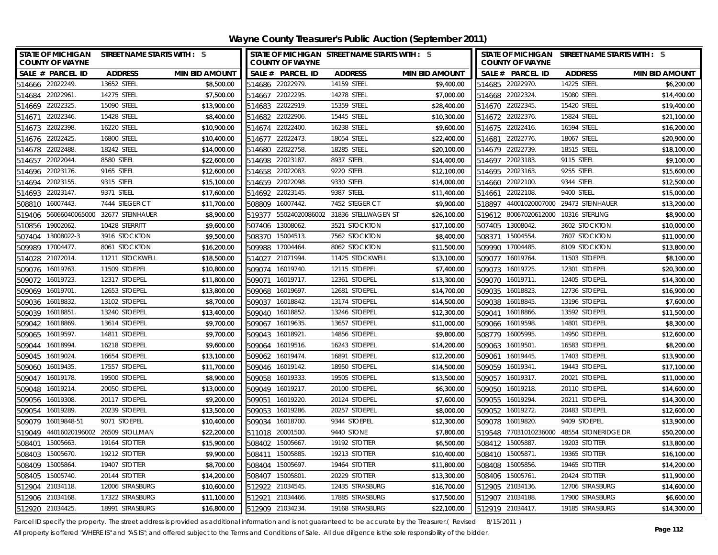**Wayne County Treasurer's Public Auction (September 2011)**

| STATE OF MICHIGAN STREET NAME STARTS WITH : S<br><b>COUNTY OF WAYNE</b> |                               |                       | <b>COUNTY OF WAYNE</b>   | STATE OF MICHIGAN STREET NAME STARTS WITH : S |                       | STATE OF MICHIGAN STREET NAME STARTS WITH : S<br><b>COUNTY OF WAYNE</b> |                |                     |                       |
|-------------------------------------------------------------------------|-------------------------------|-----------------------|--------------------------|-----------------------------------------------|-----------------------|-------------------------------------------------------------------------|----------------|---------------------|-----------------------|
| SALE # PARCEL ID                                                        | <b>ADDRESS</b>                | <b>MIN BID AMOUNT</b> | SALE # PARCEL ID         | <b>ADDRESS</b>                                | <b>MIN BID AMOUNT</b> | SALE # PARCEL ID                                                        |                | <b>ADDRESS</b>      | <b>MIN BID AMOUNT</b> |
| 514666 22022249.                                                        | 13652 STEEL                   | \$8.500.00            | 514686 22022979.         | 14159 STEEL                                   | \$9,400.00            | 514685 22022970.                                                        |                | 14225 STEEL         | \$6,200.00            |
| 514684 22022961.                                                        | 14275 STEEL                   | \$7.500.00            | 514667 22022295.         | 14278 STEEL                                   | \$7,000.00            | 514668 22022324.                                                        |                | 15080 STEEL         | \$14,400.00           |
| 514669 22022325.                                                        | 15090 STEEL                   | \$13,900.00           | 514683 22022919.         | 15359 STEEL                                   | \$28,400.00           | 514670 22022345.                                                        |                | 15420 STEEL         | \$19,400.00           |
| 514671 22022346.                                                        | 15428 STEEL                   | \$8,400.00            | 514682 22022906.         | 15445 STEEL                                   | \$10,300.00           | 514672 22022376.                                                        |                | 15824 STEEL         | \$21,100.00           |
| 22022398<br>514673                                                      | 16220 STEEL                   | \$10,900.00           | 514674 22022400.         | 16238 STEEL                                   | \$9,600.00            | 514675 22022416.                                                        |                | 16594 STEEL         | \$16,200.00           |
| 22022425<br>514676                                                      | 16800 STEEL                   | \$10,400.00           | 22022473.<br>514677      | 18054 STEEL                                   | \$22,400.00           | 514681                                                                  | 22022776.      | 18067 STEEL         | \$20,900.00           |
| 514678 22022488.                                                        | 18242 STEEL                   | \$14,000.00           | 22022758.<br>514680      | 18285 STEEL                                   | \$20,100.00           | 514679 22022739.                                                        |                | 18515 STEEL         | \$18,100.00           |
| 22022044<br>514657                                                      | 8580 STEEL                    | \$22,600.00           | 22023187<br>514698       | 8937 STEEL                                    | \$14,400.00           | 514697 22023183.                                                        |                | 9115 STEEL          | \$9,100.00            |
| 22023176.<br>514696                                                     | 9165 STEEL                    | \$12,600.00           | 22022083<br>514658       | 9220 STEEL                                    | \$12,100.00           | 514695                                                                  | 22023163.      | 9255 STEEL          | \$15,600.00           |
| 22023155<br>514694                                                      | 9315 STEEL                    | \$15,100.00           | 22022098.<br>514659      | 9330 STEEL                                    | \$14,000.00           | 514660                                                                  | 22022100.      | 9344 STEEL          | \$12,500.00           |
| 22023147.<br>514693                                                     | 9371 STEEL                    | \$17,600.00           | 514692 22023145.         | 9387 STEEL                                    | \$11,400.00           | 514661                                                                  | 22022108.      | 9400 STEEL          | \$15,000.00           |
| 16007443<br>508810                                                      | 7444 STEGER CT                | \$11,700.00           | 16007442.<br>508809      | 7452 STEGER CT                                | \$9,900.00            | 518897                                                                  | 44001020007000 | 29473 STEINHAUER    | \$13,200.00           |
| 56066040065000<br>519406                                                | 32677 STEINHAUER              | \$8,900.00            | 55024020086002<br>519377 | 31836 STELLWAGEN ST                           | \$26,100.00           | 519612                                                                  | 80067020612000 | 10316 STERLING      | \$8,900.00            |
| 19002062.<br>510856                                                     | 10428 STERRITT                | \$9,600.00            | 13008062.<br>507406      | 3521 STOCKTON                                 | \$17,100.00           | 507405                                                                  | 13008042.      | 3602 STOCKTON       | \$10,000.00           |
| 13008022-3<br>507404                                                    | 3916 STOCKTON                 | \$9,500.00            | 15004513.<br>508370      | 7562 STOCKTON                                 | \$8,400.00            | 508371                                                                  | 15004554.      | 7607 STOCKTON       | \$11,000.00           |
| 17004477<br>509989                                                      | 8061 STOCKTON                 | \$16,200.00           | 17004464<br>509988       | 8062 STOCKTON                                 | \$11,500.00           | 509990                                                                  | 17004485.      | 8109 STOCKTON       | \$13,800.00           |
| 21072014.<br>514028                                                     | 11211 STOCKWELL               | \$18,500.00           | 21071994<br>514027       | 11425 STOCKWELL                               | \$13,100.00           | 509077                                                                  | 16019764       | 11503 STOEPEL       | \$8,100.00            |
| 509076 16019763.                                                        | 11509 STOEPEL                 | \$10,800.00           | 16019740.<br>509074      | 12115 STOEPEL                                 | \$7,400.00            | 509073                                                                  | 16019725.      | 12301 STOEPEL       | \$20,300.00           |
| 16019723.<br>509072                                                     | 12317 STOEPEL                 | \$11,800.00           | 16019717.<br>509071      | 12361 STOEPEL                                 | \$13,300.00           | 509070 16019711.                                                        |                | 12405 STOEPEL       | \$14,300.00           |
| 509069 16019701.                                                        | 12653 STOEPEL                 | \$13,800.00           | 16019697<br>509068       | 12681 STOEPEL                                 | \$14,700.00           | 509035                                                                  | 16018823.      | 12736 STOEPEL       | \$16,900.00           |
| 16018832.<br>509036                                                     | 13102 STOEPEL                 | \$8,700.00            | 509037<br>16018842.      | 13174 STOEPEL                                 | \$14,500.00           | 509038 16018845.                                                        |                | 13196 STOEPEL       | \$7,600.00            |
| 16018851.<br>509039                                                     | 13240 STOEPEL                 | \$13,400.00           | 16018852.<br>509040      | 13246 STOEPEL                                 | \$12,300.00           | 509041 16018866.                                                        |                | 13592 STOEPEL       | \$11,500.00           |
| 16018869<br>509042                                                      | 13614 STOEPEL                 | \$9,700.00            | 16019635.<br>509067      | 13657 STOEPEL                                 | \$11,000.00           | 509066 16019598.                                                        |                | 14801 STOEPEL       | \$8,300.00            |
| 16019597<br>509065                                                      | 14811 STOEPEL                 | \$9,700.00            | 509043<br>16018921       | 14856 STOEPEL                                 | \$9,800.00            | 508779 16005995.                                                        |                | 14950 STOEPEL       | \$12,600.00           |
| 16018994<br>509044                                                      | 16218 STOEPEL                 | \$9,600.00            | 509064<br>16019516.      | 16243 STOEPEL                                 | \$14,200.00           | 509063 16019501.                                                        |                | 16583 STOEPEL       | \$8,200.00            |
| 509045 16019024                                                         | 16654 STOEPEL                 | \$13,100.00           | 509062 16019474.         | 16891 STOEPEL                                 | \$12,200.00           | 509061 16019445.                                                        |                | 17403 STOEPEL       | \$13,900.00           |
| 509060 16019435                                                         | 17557 STOEPEL                 | \$11,700.00           | 509046 16019142.         | 18950 STOEPEL                                 | \$14,500.00           | 509059 16019341.                                                        |                | 19443 STOEPEL       | \$17,100.00           |
| 509047 16019178.                                                        | 19500 STOEPEL                 | \$8,900.00            | 509058 16019333.         | 19505 STOEPEL                                 | \$13,500.00           | 509057 16019317.                                                        |                | 20021 STOEPEL       | \$11,000.00           |
| 509048<br>16019214.                                                     | 20050 STOEPEL                 | \$13,000.00           | 509049<br>16019217.      | 20100 STOEPEL                                 | \$6,300.00            | 509050 16019218.                                                        |                | 20110 STOEPEL       | \$14,600.00           |
| 509056 16019308                                                         | 20117 STOEPEL                 | \$9,200.00            | 509051<br>16019220.      | 20124 STOEPEL                                 | \$7,600.00            | 509055 16019294.                                                        |                | 20211 STOEPEL       | \$14,300.00           |
| 16019289<br>509054                                                      | 20239 STOEPEL                 | \$13,500.00           | 16019286.<br>509053      | 20257 STOEPEL                                 | \$8,000.00            | 509052 16019272.                                                        |                | 20483 STOEPEL       | \$12,600.00           |
| 509079<br>16019848-51                                                   | 9071 STOEPEL                  | \$10,400.00           | 509034<br>16018700       | 9344 STOEPEL                                  | \$12,300.00           | 509078 16019820.                                                        |                | 9409 STOEPEL        | \$13,900.00           |
| 519049                                                                  | 44016020196002 26509 STOLLMAN | \$22,200.00           | 511018<br>20001500       | 9440 STONE                                    | \$7,800.00            | 519548 77031010236000                                                   |                | 48554 STONERIDGE DR | \$50,200.00           |
| 15005663<br>508401                                                      | 19164 STOTTER                 | \$15,900.00           | 508402 15005667          | 19192 STOTTER                                 | \$6,500.00            | 508412 15005887                                                         |                | 19203 STOTTER       | \$13,800.00           |
| 15005670.<br>508403                                                     | 19212 STOTTER                 | \$9,900.00            | 15005885<br>508411       | 19213 STOTTER                                 | \$10,400.00           | 508410 15005871.                                                        |                | 19365 STOTTER       | \$16,100.00           |
| 15005864<br>508409                                                      | 19407 STOTTER                 | \$8,700.00            | 15005697.<br>508404      | 19464 STOTTER                                 | \$11,800.00           | 508408 15005856.                                                        |                | 19465 STOTTER       | \$14,200.00           |
| 15005740.<br>508405                                                     | 20144 STOTTER                 | \$14,200.00           | 15005801<br>508407       | 20229 STOTTER                                 | \$13,300.00           | 508406 15005761.                                                        |                | 20424 STOTTER       | \$11,900.00           |
| 512904 21034118.                                                        | 12006 STRASBURG               | \$10,600.00           | 512922<br>21034545.      | 12435 STRASBURG                               | \$16,700.00           | 512905 21034136.                                                        |                | 12706 STRASBURG     | \$14,600.00           |
| 512906 21034168                                                         | 17322 STRASBURG               | \$11,100.00           | 21034466.<br>512921      | 17885 STRASBURG                               | \$17,500.00           | 512907 21034188.                                                        |                | 17900 STRASBURG     | \$6,600.00            |
| 512920 21034425                                                         | 18991 STRASBURG               | \$16,800.00           | 512909 21034234          | 19168 STRASBURG                               | \$22,100.00           | 512919 21034417.                                                        |                | 19185 STRASBURG     | \$14,300.00           |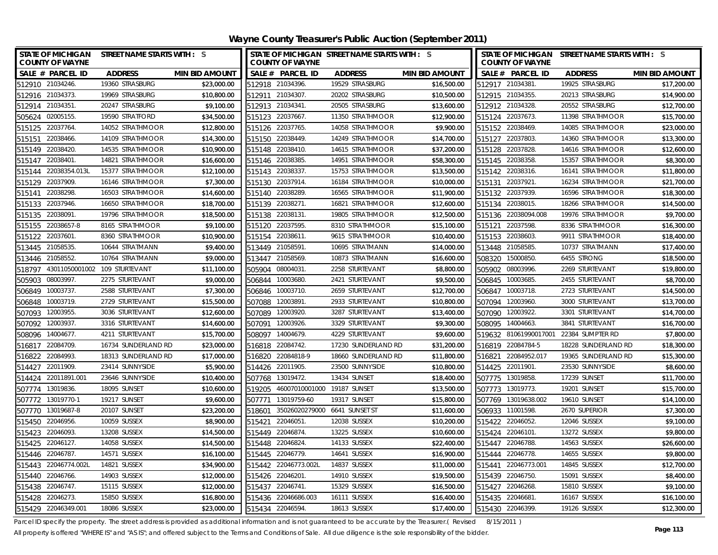**Wayne County Treasurer's Public Auction (September 2011)**

| <b>STATE OF MICHIGAN</b><br><b>COUNTY OF WAYNE</b> | STREET NAME STARTS WITH : S   |                       |        | <b>COUNTY OF WAYNE</b>        | STATE OF MICHIGAN STREET NAME STARTS WITH : S |                       |                  | STATE OF MICHIGAN STREET NAME STARTS WITH : S<br><b>COUNTY OF WAYNE</b> |                     |                       |
|----------------------------------------------------|-------------------------------|-----------------------|--------|-------------------------------|-----------------------------------------------|-----------------------|------------------|-------------------------------------------------------------------------|---------------------|-----------------------|
| SALE # PARCEL ID                                   | <b>ADDRESS</b>                | <b>MIN BID AMOUNT</b> |        | SALE # PARCEL ID              | <b>ADDRESS</b>                                | <b>MIN BID AMOUNT</b> |                  | SALE # PARCEL ID                                                        | <b>ADDRESS</b>      | <b>MIN BID AMOUNT</b> |
| 512910 21034246.                                   | 19360 STRASBURG               | \$23,000.00           |        | 512918 21034396.              | 19529 STRASBURG                               | \$16,500.00           |                  | 512917 21034381.                                                        | 19925 STRASBURG     | \$17,200.00           |
| 512916 21034373.                                   | 19969 STRASBURG               | \$10,800.00           |        | 512911 21034307.              | 20202 STRASBURG                               | \$10,500.00           |                  | 512915 21034355.                                                        | 20213 STRASBURG     | \$14,900.00           |
| 512914 21034351                                    | 20247 STRASBURG               | \$9,100.00            |        | 512913 21034341               | 20505 STRASBURG                               | \$13,600.00           |                  | 512912 21034328.                                                        | 20552 STRASBURG     | \$12,700.00           |
| 505624 02005155.                                   | 19590 STRATFORD               | \$34,500.00           |        | 515123 22037667.              | 11350 STRATHMOOR                              | \$12,900.00           |                  | 515124 22037673.                                                        | 11398 STRATHMOOR    | \$15,700.00           |
| 22037764<br>515125                                 | 14052 STRATHMOOR              | \$12,800.00           |        | 515126 22037765.              | 14058 STRATHMOOR                              | \$9,900.00            |                  | 515152 22038469.                                                        | 14085 STRATHMOOR    | \$23,000.00           |
| 22038466<br>515151                                 | 14109 STRATHMOOR              | \$14,300.00           |        | 515150 22038449.              | 14249 STRATHMOOR                              | \$14,700.00           |                  | 515127 22037803.                                                        | 14360 STRATHMOOR    | \$13,300.00           |
| 515149<br>22038420                                 | 14535 STRATHMOOR              | \$10,900.00           |        | 515148 22038410.              | 14615 STRATHMOOR                              | \$37,200.00           |                  | 515128 22037828.                                                        | 14616 STRATHMOOR    | \$12,600.00           |
| 22038401<br>515147                                 | 14821 STRATHMOOR              | \$16,600.00           |        | 515146 22038385.              | 14951 STRATHMOOR                              | \$58,300.00           |                  | 515145 22038358.                                                        | 15357 STRATHMOOR    | \$8,300.00            |
| 22038354.013L<br>515144                            | 15377 STRATHMOOR              | \$12,100.00           |        | 515143 22038337               | 15753 STRATHMOOR                              | \$13,500.00           |                  | 515142 22038316.                                                        | 16141 STRATHMOOR    | \$11,800.00           |
| 22037909<br>515129                                 | 16146 STRATHMOOR              | \$7,300.00            | 515130 | 22037914.                     | 16184 STRATHMOOR                              | \$10,000.00           |                  | 515131 22037921.                                                        | 16234 STRATHMOOR    | \$21,700.00           |
| 22038298<br>515141                                 | 16503 STRATHMOOR              | \$14,600.00           |        | 515140 22038289.              | 16565 STRATHMOOR                              | \$11,900.00           |                  | 515132 22037939.                                                        | 16596 STRATHMOOR    | \$18,300.00           |
| 515133 22037946.                                   | 16650 STRATHMOOR              | \$18,700.00           |        | 515139 22038271               | 16821 STRATHMOOR                              | \$12,600.00           |                  | 515134 22038015.                                                        | 18266 STRATHMOOR    | \$14,500.00           |
| 22038091<br>515135                                 | 19796 STRATHMOOR              | \$18,500.00           | 515138 | 22038131                      | 19805 STRATHMOOR                              | \$12,500.00           |                  | 515136 22038094.008                                                     | 19976 STRATHMOOR    | \$9,700.00            |
| 22038657-8<br>515155                               | 8165 STRATHMOOR               | \$9,100.00            | 515120 | 22037595.                     | 8310 STRATHMOOR                               | \$15,100.00           | 515121           | 22037598.                                                               | 8336 STRATHMOOR     | \$16,300.00           |
| 22037601<br>515122                                 | 8360 STRATHMOOR               | \$10,900.00           |        | 515154 22038611               | 9615 STRATHMOOR                               | \$10,400.00           |                  | 515153 22038603.                                                        | 9911 STRATHMOOR     | \$18,400.00           |
| 513445 21058535.                                   | 10644 STRATMANN               | \$9,400.00            | 513449 | 21058591                      | 10695 STRATMANN                               | \$14,000.00           |                  | 513448 21058585.                                                        | 10737 STRATMANN     | \$17,400.00           |
| 21058552<br>513446                                 | 10764 STRATMANN               | \$9,000.00            | 513447 | 21058569                      | 10873 STRATMANN                               | \$16,600.00           | 508320           | 15000850.                                                               | 6455 STRONG         | \$18,500.00           |
| 518797                                             | 43011050001002 109 STURTEVANT | \$11,100.00           | 505904 | 08004031                      | 2258 STURTEVANT                               | \$8,800.00            | 505902           | 08003996.                                                               | 2269 STURTEVANT     | \$19,800.00           |
| 08003997<br>505903                                 | 2275 STURTEVANT               | \$9,000.00            | 506844 | 10003680.                     | 2421 STURTEVANT                               | \$9,500.00            |                  | 506845 10003685.                                                        | 2455 STURTEVANT     | \$8,700.00            |
| 10003737<br>506849                                 | 2588 STURTEVANT               | \$7,300.00            | 506846 | 10003710                      | 2659 STURTEVANT                               | \$12,700.00           |                  | 506847 10003718.                                                        | 2723 STURTEVANT     | \$14,500.00           |
| 10003719.<br>506848                                | 2729 STURTEVANT               | \$15,500.00           | 507088 | 12003891                      | 2933 STURTEVANT                               | \$10,800.00           |                  | 507094 12003960.                                                        | 3000 STURTEVANT     | \$13,700.00           |
| 507093 12003955.                                   | 3036 STURTEVANT               | \$12,600.00           | 507089 | 12003920                      | 3287 STURTEVANT                               | \$13,400.00           |                  | 507090 12003922.                                                        | 3301 STURTEVANT     | \$14,700.00           |
| 507092 12003937.                                   | 3316 STURTEVANT               | \$14,600.00           | 507091 | 12003926.                     | 3329 STURTEVANT                               | \$9,300.00            |                  | 508095 14004663.                                                        | 3841 STURTEVANT     | \$16,700.00           |
| 508096 14004677                                    | 4211 STURTEVANT               | \$15,700.00           |        | 508097 14004679.              | 4229 STURTEVANT                               | \$9,600.00            |                  | 519632 81061990017001                                                   | 22384 SUMPTER RD    | \$7,800.00            |
| 516817<br>22084709.                                | 16734 SUNDERLAND RD           | \$23,000.00           |        | 516818 22084742.              | 17230 SUNDERLAND RD                           | \$31,200.00           |                  | 516819 22084784-5                                                       | 18228 SUNDERLAND RD | \$18,300.00           |
| 516822 22084993.                                   | 18313 SUNDERLAND RD           | \$17,000.00           |        | 516820 22084818-9             | 18660 SUNDERLAND RD                           | \$11,800.00           |                  | 516821 22084952.017                                                     | 19365 SUNDERLAND RD | \$15,300.00           |
| 514427 22011909.                                   | 23414 SUNNYSIDE               | \$5,900.00            |        | 514426 22011905.              | 23500 SUNNYSIDE                               | \$10,800.00           |                  | 514425 22011901.                                                        | 23530 SUNNYSIDE     | \$8,600.00            |
| 514424 22011891.001                                | 23646 SUNNYSIDE               | \$10,400.00           |        | 507768 13019472.              | 13434 SUNSET                                  | \$18,400.00           |                  | 507775 13019858.                                                        | 17239 SUNSET        | \$11,700.00           |
| 507774 13019836.                                   | 18095 SUNSET                  | \$10,600.00           | 519205 | 46007010001000 19187 SUNSET   |                                               | \$13,500.00           |                  | 507773 13019773.                                                        | 19201 SUNSET        | \$15,700.00           |
| 507772 13019770-1                                  | 19217 SUNSET                  | \$9,600.00            | 507771 | 13019759-60                   | 19317 SUNSET                                  | \$15,800.00           |                  | 507769 13019638.002                                                     | 19610 SUNSET        | \$14,100.00           |
| 507770 13019687-8                                  | 20107 SUNSET                  | \$23,200.00           | 518601 | 35026020279000 6641 SUNSET ST |                                               | \$11,600.00           |                  | 506933 11001598.                                                        | 2670 SUPERIOR       | \$7,300.00            |
| 515450<br>22046956.                                | 10059 SUSSEX                  | \$8,900.00            | 515421 | 22046051                      | 12038 SUSSEX                                  | \$10,200.00           |                  | 515422 22046052.                                                        | 12046 SUSSEX        | \$9,100.00            |
| 515423<br>22046093                                 | 13208 SUSSEX                  | \$14,500.00           | 515449 | 22046874.                     | 13225 SUSSEX                                  | \$10,600.00           |                  | 515424 22046101                                                         | 13272 SUSSEX        | \$9,800.00            |
| 515425 22046127.                                   | 14058 SUSSEX                  | \$14,500.00           |        | 515448 22046824.              | 14133 SUSSEX                                  | \$22,400.00           |                  | 515447 22046788.                                                        | 14563 SUSSEX        | \$26,600.00           |
| 515446 22046787                                    | 14571 SUSSEX                  | \$16,100.00           |        | 515445 22046779.              | 14641 SUSSEX                                  | \$16,900.00           |                  | 515444 22046778.                                                        | 14655 SUSSEX        | \$9,800.00            |
| 22046774.002L<br>515443                            | 14821 SUSSEX                  | \$34,900.00           |        | 515442 22046773.002L          | 14837 SUSSEX                                  | \$11,000.00           |                  | 515441 22046773.001                                                     | 14845 SUSSEX        | \$12,700.00           |
| 22046766.<br>515440                                | 14903 SUSSEX                  | \$12,000.00           | 515426 | 22046201                      | 14910 SUSSEX                                  | \$19,500.00           |                  | 515439 22046750.                                                        | 15091 SUSSEX        | \$8,400.00            |
| 515438 22046747.                                   | 15115 SUSSEX                  | \$12,000.00           | 515437 | 22046741.                     | 15329 SUSSEX                                  | \$16,500.00           |                  | 515427 22046268.                                                        | 15810 SUSSEX        | \$9,100.00            |
| 515428 22046273.                                   | 15850 SUSSEX                  | \$16,800.00           |        | 515436 22046686.003           | 16111 SUSSEX                                  | \$16,400.00           | 515435 22046681. |                                                                         | 16167 SUSSEX        | \$16,100.00           |
| 515429 22046349.001                                | 18086 SUSSEX                  | \$23,000.00           |        | 515434 22046594.              | 18613 SUSSEX                                  | \$17,400.00           |                  | 515430 22046399.                                                        | 19126 SUSSEX        | \$12,300.00           |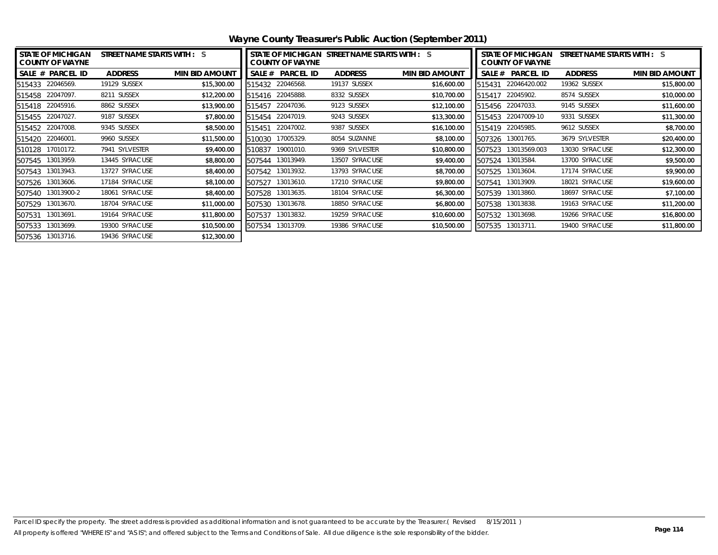| <b>STATE OF MICHIGAN</b><br><b>COUNTY OF WAYNE</b> | STREET NAME STARTS WITH : S |                       |        | <b>COUNTY OF WAYNE</b> | STATE OF MICHIGAN STREET NAME STARTS WITH : S |                       | <b>STATE OF MICHIGAN</b><br>STREET NAME STARTS WITH : S<br><b>COUNTY OF WAYNE</b> |                    |                |                       |
|----------------------------------------------------|-----------------------------|-----------------------|--------|------------------------|-----------------------------------------------|-----------------------|-----------------------------------------------------------------------------------|--------------------|----------------|-----------------------|
| SALE # PARCEL ID                                   | <b>ADDRESS</b>              | <b>MIN BID AMOUNT</b> |        | SALE # PARCEL ID       | <b>ADDRESS</b>                                | <b>MIN BID AMOUNT</b> |                                                                                   | SALE # PARCEL ID   | <b>ADDRESS</b> | <b>MIN BID AMOUNT</b> |
| 515433 22046569.                                   | 19129 SUSSEX                | \$15,300.00           | 515432 | 22046568.              | 19137 SUSSEX                                  | \$16,600.00           | 515431                                                                            | 22046420.002       | 19362 SUSSEX   | \$15,800.00           |
| 515458 22047097.                                   | 8211 SUSSEX                 | \$12,200.00           | 515416 | 22045888.              | 8332 SUSSEX                                   | \$10,700.00           | 515417                                                                            | 22045902.          | 8574 SUSSEX    | \$10,000.00           |
| 515418 22045916.                                   | 8862 SUSSEX                 | \$13,900.00           | 515457 | 22047036.              | 9123 SUSSEX                                   | \$12,100.00           |                                                                                   | 515456 22047033.   | 9145 SUSSEX    | \$11,600.00           |
| 515455 22047027.                                   | 9187 SUSSEX                 | \$7,800.00            | 515454 | 22047019.              | 9243 SUSSEX                                   | \$13,300.00           |                                                                                   | 515453 22047009-10 | 9331 SUSSEX    | \$11,300.00           |
| 515452 22047008.                                   | 9345 SUSSEX                 | \$8,500.00            | 515451 | 22047002.              | 9387 SUSSEX                                   | \$16,100.00           |                                                                                   | 515419 22045985.   | 9612 SUSSEX    | \$8,700.00            |
| 515420 22046001.                                   | 9960 SUSSEX                 | \$11,500.00           | 510030 | 17005329.              | 8054 SUZANNE                                  | \$8,100.00            |                                                                                   | 507326 13001765.   | 3679 SYLVESTER | \$20,400.00           |
| 510128 17010172.                                   | 7941 SYLVESTER              | \$9,400.00            | 510837 | 19001010.              | 9369 SYLVESTER                                | \$10,800.00           | 507523                                                                            | 13013569.003       | 13030 SYRACUSE | \$12,300.00           |
| 507545 13013959.                                   | 13445 SYRACUSE              | \$8,800.00            | 507544 | 13013949.              | 13507 SYRACUSE                                | \$9,400.00            |                                                                                   | 507524 13013584.   | 13700 SYRACUSE | \$9,500.00            |
| 507543 13013943.                                   | 13727 SYRACUSE              | \$8,400.00            | 507542 | 13013932.              | 13793 SYRACUSE                                | \$8,700.00            | 507525                                                                            | 13013604.          | 17174 SYRACUSE | \$9,900.00            |
| 13013606.<br>507526                                | 17184 SYRACUSE              | \$8,100.00            | 507527 | 13013610.              | 17210 SYRACUSE                                | \$9,800.00            | 507541                                                                            | 13013909.          | 18021 SYRACUSE | \$19,600.00           |
| 13013900-2<br>507540                               | 18061 SYRACUSE              | \$8,400.00            | 507528 | 13013635.              | 18104 SYRACUSE                                | \$6,300.00            | 507539                                                                            | 13013860.          | 18697 SYRACUSE | \$7,100.00            |
| 13013670.<br>507529                                | 18704 SYRACUSE              | \$11,000.00           | 507530 | 13013678.              | 18850 SYRACUSE                                | \$6,800.00            | 507538                                                                            | 13013838.          | 19163 SYRACUSE | \$11,200.00           |
| 13013691.<br>507531                                | 19164 SYRACUSE              | \$11,800.00           | 507537 | 13013832.              | 19259 SYRACUSE                                | \$10,600.00           |                                                                                   | 507532 13013698.   | 19266 SYRACUSE | \$16,800.00           |
| 507533 13013699.                                   | 19300 SYRACUSE              | \$10,500.00           | 507534 | 13013709.              | 19386 SYRACUSE                                | \$10,500.00           |                                                                                   | 507535 13013711.   | 19400 SYRACUSE | \$11,800.00           |
| 507536 13013716.                                   | 19436 SYRACUSE              | \$12,300.00           |        |                        |                                               |                       |                                                                                   |                    |                |                       |

**Wayne County Treasurer's Public Auction (September 2011)**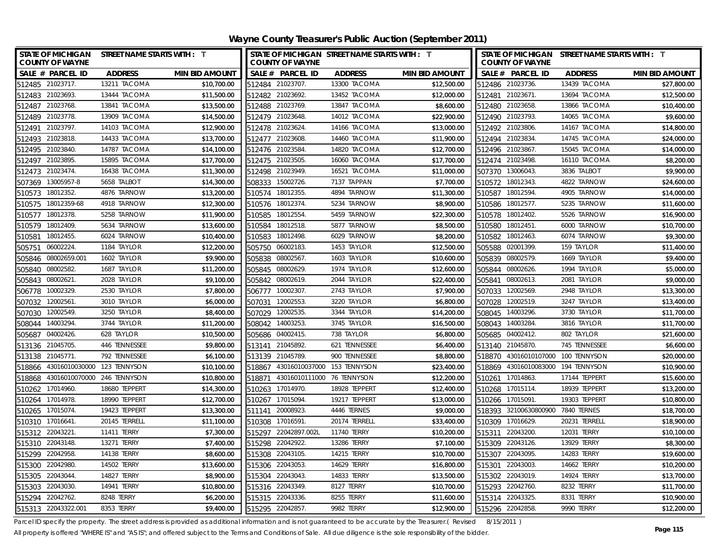| STATE OF MICHIGAN STREET NAME STARTS WITH : T<br><b>COUNTY OF WAYNE</b> |                |                       | STATE OF MICHIGAN STREET NAME STARTS WITH : T<br><b>COUNTY OF WAYNE</b> |                |                       | STATE OF MICHIGAN STREET NAME STARTS WITH : T<br><b>COUNTY OF WAYNE</b> |                   |                       |
|-------------------------------------------------------------------------|----------------|-----------------------|-------------------------------------------------------------------------|----------------|-----------------------|-------------------------------------------------------------------------|-------------------|-----------------------|
| SALE # PARCEL ID                                                        | <b>ADDRESS</b> | <b>MIN BID AMOUNT</b> | SALE # PARCEL ID                                                        | <b>ADDRESS</b> | <b>MIN BID AMOUNT</b> | SALE # PARCEL ID                                                        | <b>ADDRESS</b>    | <b>MIN BID AMOUNT</b> |
| 512485 21023717.                                                        | 13211 TACOMA   | \$10,700.00           | 512484 21023707                                                         | 13300 TACOMA   | \$12,500.00           | 512486 21023736.                                                        | 13439 TACOMA      | \$27,800.00           |
| 512483 21023693.                                                        | 13444 TACOMA   | \$11,500.00           | 512482 21023692.                                                        | 13452 TACOMA   | \$12,000.00           | 512481 21023671.                                                        | 13694 TACOMA      | \$12,500.00           |
| 512487 21023768.                                                        | 13841 TACOMA   | \$13,500.00           | 512488 21023769.                                                        | 13847 TACOMA   | \$8,600.00            | 512480 21023658.                                                        | 13866 TACOMA      | \$10,400.00           |
| 512489 21023778.                                                        | 13909 TACOMA   | \$14,500.00           | 512479 21023648.                                                        | 14012 TACOMA   | \$22,900.00           | 512490 21023793.                                                        | 14065 TACOMA      | \$9,600.00            |
| 512491 21023797.                                                        | 14103 TACOMA   | \$12,900.00           | 512478 21023624                                                         | 14166 TACOMA   | \$13,000.00           | 512492 21023806                                                         | 14167 TACOMA      | \$14,800.00           |
| 21023818<br>512493                                                      | 14433 TACOMA   | \$13,700.00           | 512477 21023608.                                                        | 14460 TACOMA   | \$11,900.00           | 512494 21023834                                                         | 14745 TACOMA      | \$24,000.00           |
| 512495 21023840.                                                        | 14787 TACOMA   | \$14,100.00           | 512476 21023584                                                         | 14820 TACOMA   | \$12,700.00           | 512496 21023867.                                                        | 15045 TACOMA      | \$14,000.00           |
| 512497 21023895.                                                        | 15895 TACOMA   | \$17,700.00           | 512475 21023505.                                                        | 16060 TACOMA   | \$17,700.00           | 512474 21023498.                                                        | 16110 TACOMA      | \$8,200.00            |
| 512473 21023474.                                                        | 16438 TACOMA   | \$11,300.00           | 512498 21023949.                                                        | 16521 TACOMA   | \$11,000.00           | 507370 13006043.                                                        | 3836 TALBOT       | \$9,900.00            |
| 507369 13005957-8                                                       | 5658 TALBOT    | \$14,300.00           | 15002726.<br>508333                                                     | 7137 TAPPAN    | \$7,700.00            | 510572 18012343.                                                        | 4822 TARNOW       | \$24,600.00           |
| 510573 18012352.                                                        | 4876 TARNOW    | \$13,200.00           | 510574 18012355                                                         | 4894 TARNOW    | \$11,300.00           | 510587 18012594.                                                        | 4905 TARNOW       | \$14,000.00           |
| 510575 18012359-68                                                      | 4918 TARNOW    | \$12,300.00           | 510576 18012374.                                                        | 5234 TARNOW    | \$8,900.00            | 510586 18012577.                                                        | 5235 TARNOW       | \$11,600.00           |
| 18012378.<br>510577                                                     | 5258 TARNOW    | \$11,900.00           | 18012554<br>510585                                                      | 5459 TARNOW    | \$22,300.00           | 18012402.<br>510578                                                     | 5526 TARNOW       | \$16,900.00           |
| 18012409.<br>510579                                                     | 5634 TARNOW    | \$13,600.00           | 18012518<br>510584                                                      | 5877 TARNOW    | \$8,500.00            | 18012451<br>510580                                                      | 6000 TARNOW       | \$10,700.00           |
| 18012455.<br>510581                                                     | 6024 TARNOW    | \$10,400.00           | 18012498<br>510583                                                      | 6029 TARNOW    | \$8,200.00            | 18012463<br>510582                                                      | 6074 TARNOW       | \$9,300.00            |
| 06002224<br>505751                                                      | 1184 TAYLOR    | \$12,200.00           | 06002183<br>505750                                                      | 1453 TAYLOR    | \$12,500.00           | 02001399<br>505588                                                      | 159 TAYLOR        | \$11,400.00           |
| 08002659.001<br>505846                                                  | 1602 TAYLOR    | \$9,900.00            | 08002567<br>505838                                                      | 1603 TAYLOR    | \$10,600.00           | 08002579<br>505839                                                      | 1669 TAYLOR       | \$9,400.00            |
| 08002582<br>505840                                                      | 1687 TAYLOR    | \$11,200.00           | 505845 08002629                                                         | 1974 TAYLOR    | \$12,600.00           | 08002626.<br>505844                                                     | 1994 TAYLOR       | \$5,000.00            |
| 505843 08002621                                                         | 2028 TAYLOR    | \$9,100.00            | 505842 08002619                                                         | 2044 TAYLOR    | \$22,400.00           | 08002613.<br>505841                                                     | 2081 TAYLOR       | \$9,000.00            |
| 506778 10002329                                                         | 2530 TAYLOR    | \$7,800.00            | 506777 10002307                                                         | 2743 TAYLOR    | \$7,900.00            | 507033 12002569.                                                        | 2948 TAYLOR       | \$13,300.00           |
| 507032 12002561                                                         | 3010 TAYLOR    | \$6,000.00            | 507031 12002553                                                         | 3220 TAYLOR    | \$6,800.00            | 507028<br>12002519.                                                     | 3247 TAYLOR       | \$13,400.00           |
| 507030<br>12002549                                                      | 3250 TAYLOR    | \$8,400.00            | 507029 12002535                                                         | 3344 TAYLOR    | \$14,200.00           | 14003296.<br>508045                                                     | 3730 TAYLOR       | \$11,700.00           |
| 508044 14003294.                                                        | 3744 TAYLOR    | \$11,200.00           | 508042 14003253.                                                        | 3745 TAYLOR    | \$16,500.00           | 508043 14003284.                                                        | 3816 TAYLOR       | \$11,700.00           |
| 04002426<br>505687                                                      | 628 TAYLOR     | \$10,500.00           | 505686 04002415.                                                        | 738 TAYLOR     | \$6,800.00            | 505685 04002412.                                                        | 802 TAYLOR        | \$21,600.00           |
| 513136 21045705.                                                        | 446 TENNESSEE  | \$9,800.00            | 513141 21045892.                                                        | 621 TENNESSEE  | \$6,400.00            | 513140 21045870.                                                        | 745 TENNESSEE     | \$6,600.00            |
| 513138 21045771                                                         | 792 TENNESSEE  | \$6,100.00            | 513139 21045789.                                                        | 900 TENNESSEE  | \$8,800.00            | 518870 43016010107000 100 TENNYSON                                      |                   | \$20,000.00           |
| 518866 43016010030000 123 TENNYSON                                      |                | \$10,100.00           | 518867 43016010037000 153 TENNYSON                                      |                | \$23,400.00           | 518869 43016010083000 194 TENNYSON                                      |                   | \$10,900.00           |
| 518868 43016010070000                                                   | 246 TENNYSON   | \$10,800.00           | 518871 43016010111000 76 TENNYSON                                       |                | \$12,200.00           | 510261 17014863.                                                        | 17144 TEPPERT     | \$15,600.00           |
| 510262 17014960.                                                        | 18680 TEPPERT  | \$14,300.00           | 510263 17014970.                                                        | 18928 TEPPERT  | \$12,400.00           | 510268 17015114.                                                        | 18939 TEPPERT     | \$13,200.00           |
| 510264 17014978.                                                        | 18990 TEPPERT  | \$12,700.00           | 510267 17015094                                                         | 19217 TEPPERT  | \$13,000.00           | 510266 17015091                                                         | 19303 TEPPERT     | \$10,800.00           |
| 510265 17015074.                                                        | 19423 TEPPERT  | \$13,300.00           | 511141 20008923.                                                        | 4446 TERNES    | \$9,000.00            | 518393 32100630800900                                                   | 7840 TERNES       | \$18,700.00           |
| 510310 17016641                                                         | 20145 TERRELL  | \$11,100.00           | 17016591.<br>510308                                                     | 20174 TERRELL  | \$33,400.00           | 510309 17016629.                                                        | 20231 TERRELL     | \$18,900.00           |
| 515312 22043221.                                                        | 11411 TERRY    | \$7,300.00            | 22042897.002L<br>515297                                                 | 11740 TERRY    | \$10,200.00           | 515311<br>22043200                                                      | 12031 TERRY       | \$10,100.00           |
| 515310 22043148.                                                        | 13271 TERRY    | \$7,400.00            | 515298<br>22042922                                                      | 13286 TERRY    | \$7,100.00            | 515309 22043126.                                                        | 13929 TERRY       | \$8,300.00            |
| 22042958<br>515299                                                      | 14138 TERRY    | \$8,600.00            | 22043105<br>515308                                                      | 14215 TERRY    | \$10,700.00           | 22043095<br>515307                                                      | 14283 TERRY       | \$19,600.00           |
| 22042980<br>515300                                                      | 14502 TERRY    | \$13,600.00           | 22043053<br>515306                                                      | 14629 TERRY    | \$16,800.00           | 22043003.<br>515301                                                     | 14662 TERRY       | \$10,200.00           |
| 515305 22043044                                                         | 14827 TERRY    | \$8,900.00            | 515304 22043043.                                                        | 14833 TERRY    | \$13,500.00           | 515302 22043019.                                                        | 14924 TERRY       | \$13,700.00           |
| 515303 22043030.                                                        | 14941 TERRY    | \$10,800.00           | 515316 22043349.                                                        | 8127 TERRY     | \$10,700.00           | 515293 22042760.                                                        | 8232 TERRY        | \$11,700.00           |
| 515294 22042762.                                                        | 8248 TERRY     | \$6,200.00            | 515315 22043336.                                                        | 8255 TERRY     | \$11,600.00           | 515314 22043325                                                         | 8331 TERRY        | \$10,900.00           |
| 515313 22043322.001                                                     | 8353 TERRY     | \$9,400.00            | 515295 22042857                                                         | 9982 TERRY     | \$12,900.00           | 515296 22042858.                                                        | <b>9990 TERRY</b> | \$12,200.00           |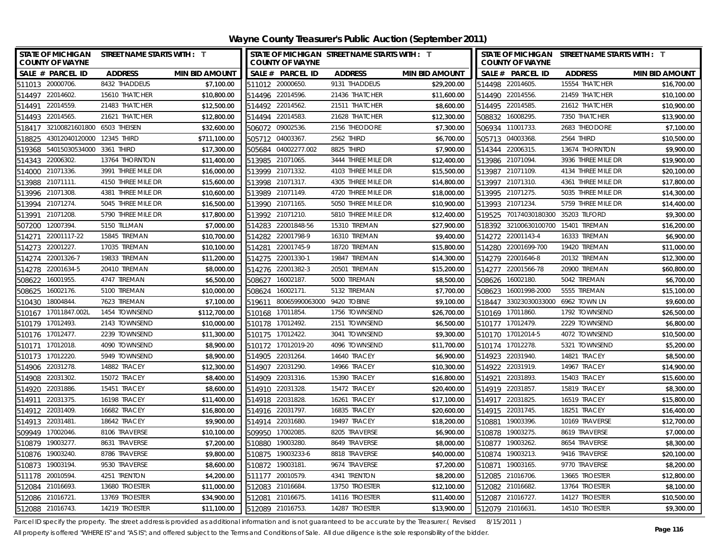| STATE OF MICHIGAN STREET NAME STARTS WITH : T<br><b>COUNTY OF WAYNE</b> |                    |                       |                  | <b>COUNTY OF WAYNE</b> | STATE OF MICHIGAN STREET NAME STARTS WITH : T |                       |        | <b>COUNTY OF WAYNE</b> | STATE OF MICHIGAN STREET NAME STARTS WITH : T |                       |
|-------------------------------------------------------------------------|--------------------|-----------------------|------------------|------------------------|-----------------------------------------------|-----------------------|--------|------------------------|-----------------------------------------------|-----------------------|
| SALE # PARCEL ID                                                        | <b>ADDRESS</b>     | <b>MIN BID AMOUNT</b> |                  | SALE # PARCEL ID       | <b>ADDRESS</b>                                | <b>MIN BID AMOUNT</b> |        | SALE # PARCEL ID       | <b>ADDRESS</b>                                | <b>MIN BID AMOUNT</b> |
| 511013 20000706                                                         | 8432 THADDEUS      | \$7,100.00            | 511012 20000650. |                        | 9131 THADDEUS                                 | \$29,200.00           |        | 514498 22014605.       | 15554 THATCHER                                | \$16,700.00           |
| 22014602<br>514497                                                      | 15610 THATCHER     | \$10,800.00           |                  | 514496 22014596.       | 21436 THATCHER                                | \$11,600.00           |        | 514490 22014556.       | 21459 THATCHER                                | \$10,100.00           |
| 22014559<br>514491                                                      | 21483 THATCHER     | \$12,500.00           | 514492 22014562. |                        | 21511 THATCHER                                | \$8,600.00            |        | 514495 22014585.       | 21612 THATCHER                                | \$10,900.00           |
| 514493 22014565.                                                        | 21621 THATCHER     | \$12,800.00           | 514494 22014583  |                        | 21628 THATCHER                                | \$12,300.00           |        | 508832 16008295.       | 7350 THATCHER                                 | \$13,900.00           |
| 518417 32100821601800 6503 THEISEN                                      |                    | \$32,600.00           | 506072 09002536  |                        | 2156 THEODORE                                 | \$7,300.00            |        | 506934 11001733.       | 2683 THEODORE                                 | \$7,100.00            |
| 43012040120000 12345 THIRD<br>518825                                    |                    | \$711,100.00          | 505712 04003367  |                        | 2562 THIRD                                    | \$6,700.00            |        | 505713 04003368.       | 2564 THIRD                                    | \$10,500.00           |
| 54015030534000 3361 THIRD<br>519368                                     |                    | \$17,300.00           |                  | 505684 04002277.002    | 8825 THIRD                                    | \$7,900.00            |        | 514344 22006315.       | 13674 THORNTON                                | \$9,900.00            |
| 514343 22006302.                                                        | 13764 THORNTON     | \$11,400.00           | 513985 21071065. |                        | 3444 THREE MILE DR                            | \$12,400.00           |        | 513986 21071094.       | 3936 THREE MILE DR                            | \$19,900.00           |
| 514000 21071336.                                                        | 3991 THREE MILE DR | \$16,000.00           | 513999 21071332  |                        | 4103 THREE MILE DR                            | \$15,500.00           |        | 513987 21071109.       | 4134 THREE MILE DR                            | \$20,100.00           |
| 513988<br>21071111.                                                     | 4150 THREE MILE DR | \$15,600.00           |                  | 513998 21071317.       | 4305 THREE MILE DR                            | \$14,800.00           |        | 513997 21071310.       | 4361 THREE MILE DR                            | \$17,800.00           |
| 513996 21071308                                                         | 4381 THREE MILE DR | \$10,600.00           | 513989 21071149. |                        | 4720 THREE MILE DR                            | \$18,000.00           |        | 513995 21071275.       | 5035 THREE MILE DR                            | \$14,300.00           |
| 513994 21071274.                                                        | 5045 THREE MILE DR | \$16,500.00           | 513990 21071165  |                        | 5050 THREE MILE DR                            | \$10,900.00           |        | 513993 21071234.       | 5759 THREE MILE DR                            | \$14,400.00           |
| 21071208<br>513991                                                      | 5790 THREE MILE DR | \$17,800.00           | 513992 21071210. |                        | 5810 THREE MILE DR                            | \$12,400.00           | 519525 | 70174030180300         | 35203 TILFORD                                 | \$9,300.00            |
| 12007394<br>507200                                                      | 5150 TILLMAN       | \$7,000.00            | 514283           | 22001848-56            | 15310 TIREMAN                                 | \$27,900.00           |        | 518392 32100630100700  | 15401 TIREMAN                                 | \$16,200.00           |
| 22001117-22<br>514271                                                   | 15845 TIREMAN      | \$10,700.00           | 514282           | 22001798-9             | 16310 TIREMAN                                 | \$9,400.00            |        | 514272 22001143-4      | 16333 TIREMAN                                 | \$6,900.00            |
| 514273 22001227.                                                        | 17035 TIREMAN      | \$10,100.00           | 514281           | 22001745-9             | 18720 TIREMAN                                 | \$15,800.00           |        | 514280 22001699-700    | 19420 TIREMAN                                 | \$11,000.00           |
| 22001326-7<br>514274                                                    | 19833 TIREMAN      | \$11,200.00           | 514275           | 22001330-1             | 19847 TIREMAN                                 | \$14,300.00           |        | 514279 22001646-8      | 20132 TIREMAN                                 | \$12,300.00           |
| 22001634-5<br>514278                                                    | 20410 TIREMAN      | \$8,000.00            |                  | 514276 22001382-3      | 20501 TIREMAN                                 | \$15,200.00           |        | 514277 22001566-78     | 20900 TIREMAN                                 | \$60,800.00           |
| 16001955<br>508622                                                      | 4747 TIREMAN       | \$6,500.00            | 508627           | 16002187               | 5000 TIREMAN                                  | \$8,500.00            | 508626 | 16002180.              | 5042 TIREMAN                                  | \$6,700.00            |
| 16002176.<br>508625                                                     | 5100 TIREMAN       | \$10,000.00           | 508624           | 16002171.              | 5132 TIREMAN                                  | \$7,700.00            | 508623 | 16001998-2000          | 5555 TIREMAN                                  | \$15,100.00           |
| 18004844<br>510430                                                      | 7623 TIREMAN       | \$7,100.00            | 519611           | 80065990063000         | 9420 TOBINE                                   | \$9,100.00            | 518447 | 33023030033000         | 6962 TOWN LN                                  | \$9,600.00            |
| 17011847.002L<br>510167                                                 | 1454 TOWNSEND      | \$112,700.00          | 510168 17011854  |                        | 1756 TOWNSEND                                 | \$26,700.00           | 510169 | 17011860.              | 1792 TOWNSEND                                 | \$26,500.00           |
| 17012493.<br>510179                                                     | 2143 TOWNSEND      | \$10,000.00           | 510178 17012492. |                        | 2151 TOWNSEND                                 | \$6,500.00            |        | 510177 17012479.       | 2229 TOWNSEND                                 | \$6,800.00            |
| 510176 17012477.                                                        | 2239 TOWNSEND      | \$11,300.00           | 510175 17012422. |                        | 3041 TOWNSEND                                 | \$9,300.00            |        | 510170 17012014-5      | 4072 TOWNSEND                                 | \$10,500.00           |
| 17012018.<br>510171                                                     | 4090 TOWNSEND      | \$8,900.00            | 510172           | 17012019-20            | 4096 TOWNSEND                                 | \$11,700.00           |        | 510174 17012278.       | 5321 TOWNSEND                                 | \$5,200.00            |
| 510173 17012220.                                                        | 5949 TOWNSEND      | \$8,900.00            | 514905 22031264  |                        | 14640 TRACEY                                  | \$6,900.00            |        | 514923 22031940.       | 14821 TRACEY                                  | \$8,500.00            |
| 514906 22031278                                                         | 14882 TRACEY       | \$12,300.00           | 514907 22031290  |                        | 14966 TRACEY                                  | \$10,300.00           |        | 514922 22031919.       | 14967 TRACEY                                  | \$14,900.00           |
| 514908 22031302                                                         | 15072 TRACEY       | \$8,400.00            | 514909 22031316  |                        | 15390 TRACEY                                  | \$16,800.00           |        | 514921 22031893.       | 15403 TRACEY                                  | \$15,600.00           |
| 22031886<br>514920                                                      | 15451 TRACEY       | \$8,600.00            | 514910 22031328  |                        | 15472 TRACEY                                  | \$20,400.00           |        | 514919 22031857.       | 15819 TRACEY                                  | \$8,300.00            |
| 514911 22031375                                                         | 16198 TRACEY       | \$11,400.00           | 514918 22031828  |                        | 16261 TRACEY                                  | \$17,100.00           |        | 514917 22031825.       | 16519 TRACEY                                  | \$15,800.00           |
| 514912 22031409.                                                        | 16682 TRACEY       | \$16,800.00           | 514916 22031797  |                        | 16835 TRACEY                                  | \$20,600.00           |        | 514915 22031745.       | 18251 TRACEY                                  | \$16,400.00           |
| 514913 22031481                                                         | 18642 TRACEY       | \$9,900.00            | 514914 22031680  |                        | 19497 TRACEY                                  | \$18,200.00           |        | 510881 19003396.       | 10169 TRAVERSE                                | \$12,700.00           |
| 509949<br>17002046                                                      | 8106 TRAVERSE      | \$10,100.00           | 509950 17002085  |                        | 8205 TRAVERSE                                 | \$6,900.00            | 510878 | 19003275.              | 8619 TRAVERSE                                 | \$7,000.00            |
| 510879 19003277.                                                        | 8631 TRAVERSE      | \$7,200.00            | 510880           | 19003280               | 8649 TRAVERSE                                 | \$8,000.00            |        | 510877 19003262.       | 8654 TRAVERSE                                 | \$8,300.00            |
| 510876 19003240.                                                        | 8786 TRAVERSE      | \$9,800.00            |                  | 510875 19003233-6      | 8818 TRAVERSE                                 | \$40,000.00           |        | 510874 19003213.       | 9416 TRAVERSE                                 | \$20,100.00           |
| 510873<br>19003194                                                      | 9530 TRAVERSE      | \$8,600.00            | 510872 19003181  |                        | 9674 TRAVERSE                                 | \$7,200.00            |        | 510871 19003165.       | 9770 TRAVERSE                                 | \$8,200.00            |
| 511178 20010594                                                         | 4251 TRENTON       | \$4,200.00            | 511177 20010579  |                        | 4341 TRENTON                                  | \$8,200.00            | 512085 | 21016706.              | 13665 TROESTER                                | \$12,800.00           |
| 512084 21016693.                                                        | 13680 TROESTER     | \$11,000.00           | 512083           | 21016684               | 13750 TROESTER                                | \$12,100.00           |        | 512082 21016682.       | 13764 TROESTER                                | \$8,100.00            |
| 512086 21016721                                                         | 13769 TROESTER     | \$34,900.00           | 512081 21016675  |                        | 14116 TROESTER                                | \$11,400.00           |        | 512087 21016727.       | 14127 TROESTER                                | \$10,500.00           |
| 512088 21016743                                                         | 14219 TROESTER     | \$11,100.00           | 512089 21016753. |                        | 14287 TROESTER                                | \$13,900.00           |        | 512079 21016631.       | 14510 TROESTER                                | \$9,300.00            |

Parcel ID specify the property. The street address is provided as additional information and is not guaranteed to be accurate by the Treasurer.( Revised 8/15/2011 )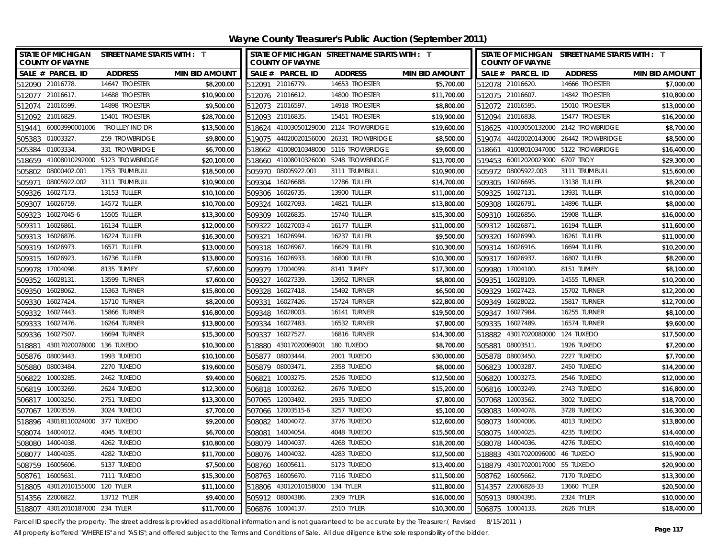| <b>STATE OF MICHIGAN</b><br><b>COUNTY OF WAYNE</b> | <b>STREET NAME STARTS WITH : T</b> |                       |                 | <b>COUNTY OF WAYNE</b>          | STATE OF MICHIGAN STREET NAME STARTS WITH : T |                       | STATE OF MICHIGAN STREET NAME STARTS WITH : T<br><b>COUNTY OF WAYNE</b> |                                  |                                        |                       |
|----------------------------------------------------|------------------------------------|-----------------------|-----------------|---------------------------------|-----------------------------------------------|-----------------------|-------------------------------------------------------------------------|----------------------------------|----------------------------------------|-----------------------|
| SALE # PARCEL ID                                   | <b>ADDRESS</b>                     | <b>MIN BID AMOUNT</b> |                 | SALE # PARCEL ID                | <b>ADDRESS</b>                                | <b>MIN BID AMOUNT</b> |                                                                         | SALE # PARCEL ID                 | <b>ADDRESS</b>                         | <b>MIN BID AMOUNT</b> |
| 512090 21016778.                                   | 14647 TROESTER                     | \$8,200.00            |                 | 512091 21016779.                | 14653 TROESTER                                | \$5,700.00            |                                                                         | 512078 21016620.                 | 14666 TROESTER                         | \$7,000.00            |
| 512077 21016617.                                   | 14688 TROESTER                     | \$10,900.00           |                 | 512076 21016612.                | 14800 TROESTER                                | \$11,700.00           |                                                                         | 512075 21016607.                 | 14842 TROESTER                         | \$10,800.00           |
| 512074 21016599.                                   | 14898 TROESTER                     | \$9,500.00            |                 | 512073 21016597.                | 14918 TROESTER                                | \$8,800.00            |                                                                         | 512072 21016595.                 | 15010 TROESTER                         | \$13,000.00           |
| 512092 21016829.                                   | 15401 TROESTER                     | \$28,700.00           |                 | 512093 21016835.                | 15451 TROESTER                                | \$19,900.00           |                                                                         | 512094 21016838.                 | 15477 TROESTER                         | \$16,200.00           |
| 60003990001006<br>519441                           | trolley ind Dr                     | \$13,500.00           |                 |                                 | 518624 41003050129000 2124 TROWBRIDGE         | \$19,600.00           |                                                                         |                                  | 518625 41003050132000 2142 TROWBRIDGE  | \$8,700.00            |
| 01003327<br>505383                                 | 259 TROWBRIDGE                     | \$9,800.00            | 519075          |                                 | 44020020156000 26331 TROWBRIDGE               | \$8,500.00            |                                                                         |                                  | 519074 44020020143000 26442 TROWBRIDGE | \$8,500.00            |
| 01003334<br>505384                                 | 331 TROWBRIDGE                     | \$6,700.00            |                 |                                 | 518662 41008010348000 5116 TROWBRIDGE         | \$9,600.00            |                                                                         |                                  | 518661 41008010347000 5122 TROWBRIDGE  | \$16,400.00           |
| 518659                                             | 41008010292000 5123 TROWBRIDGE     | \$20,100.00           |                 |                                 | 518660 41008010326000 5248 TROWBRIDGE         | \$13,700.00           |                                                                         | 519453 60012020023000 6707 TROY  |                                        | \$29,300.00           |
| 08000402.001<br>505802                             | 1753 TRUMBULL                      | \$18,500.00           | 505970          | 08005922.001                    | 3111 TRUMBULL                                 | \$10,900.00           |                                                                         | 505972 08005922.003              | 3111 TRUMBULL                          | \$15,600.00           |
| 08005922.002<br>505971                             | 3111 TRUMBULL                      | \$10,900.00           | 509304          | 16026688                        | 12786 TULLER                                  | \$14,700.00           | 509305                                                                  | 16026695.                        | 13138 TULLER                           | \$8,200.00            |
| 16027173.<br>509326                                | 13153 TULLER                       | \$10,100.00           | 509306          | 16026735.                       | 13900 TULLER                                  | \$11,000.00           | 509325                                                                  | 16027131                         | 13931 TULLER                           | \$10,000.00           |
| 16026759.<br>509307                                | 14572 TULLER                       | \$10,700.00           | 509324          | 16027093.                       | 14821 TULLER                                  | \$13,800.00           | 509308                                                                  | 16026791                         | 14896 TULLER                           | \$8,000.00            |
| 16027045-6<br>509323                               | 15505 TULLER                       | \$13,300.00           | 509309          | 16026835.                       | 15740 TULLER                                  | \$15,300.00           | 509310                                                                  | 16026856.                        | 15908 TULLER                           | \$16,000.00           |
| 16026861<br>509311                                 | 16134 TULLER                       | \$12,000.00           | 509322          | 16027003-4                      | 16177 TULLER                                  | \$11,000.00           | 509312                                                                  | 16026871                         | 16194 TULLER                           | \$11,600.00           |
| 16026876<br>509313                                 | 16224 TULLER                       | \$16,300.00           | 509321          | 16026994.                       | 16237 TULLER                                  | \$9,500.00            | 509320                                                                  | 16026990.                        | 16261 TULLER                           | \$11,000.00           |
| 509319 16026973.                                   | <b>16571 TULLER</b>                | \$13,000.00           | 509318          | 16026967                        | 16629 TULLER                                  | \$10,300.00           | 509314                                                                  | 16026916.                        | 16694 TULLER                           | \$10,200.00           |
| 16026923.<br>509315                                | 16736 TULLER                       | \$13,800.00           |                 | 509316 16026933.                | 16800 TULLER                                  | \$10,300.00           | 509317 16026937                                                         |                                  | 16807 TULLER                           | \$8,200.00            |
| 509978 17004098                                    | 8135 TUMEY                         | \$7,600.00            |                 | 509979 17004099.                | 8141 TUMEY                                    | \$17,300.00           |                                                                         | 509980 17004100.                 | 8151 TUMEY                             | \$8,100.00            |
| 16028131<br>509352                                 | 13599 TURNER                       | \$7,600.00            |                 | 509327 16027339.                | 13952 TURNER                                  | \$8,800.00            |                                                                         | 509351 16028109.                 | 14555 TURNER                           | \$10,200.00           |
| 16028062<br>509350                                 | 15363 TURNER                       | \$15,800.00           | 509328          | 16027418.                       | 15492 TURNER                                  | \$6,500.00            |                                                                         | 509329 16027423.                 | 15702 TURNER                           | \$12,200.00           |
| 509330<br>16027424                                 | <b>15710 TURNER</b>                | \$8,200.00            | 509331          | 16027426.                       | 15724 TURNER                                  | \$22,800.00           | 509349                                                                  | 16028022.                        | 15817 TURNER                           | \$12,700.00           |
| 509332<br>16027443.                                | 15866 TURNER                       | \$16,800.00           | 509348          | 16028003.                       | <b>16141 TURNER</b>                           | \$19,500.00           |                                                                         | 509347 16027984.                 | <b>16255 TURNER</b>                    | \$8,100.00            |
| 16027476.<br>509333                                | 16264 TURNER                       | \$13,800.00           |                 | 509334 16027483.                | 16532 TURNER                                  | \$7,800.00            | 509335                                                                  | 16027489.                        | 16574 TURNER                           | \$9,600.00            |
| 16027507<br>509336                                 | <b>16694 TURNER</b>                | \$15,300.00           | 509337          | 16027527.                       | <b>16816 TURNER</b>                           | \$14,300.00           |                                                                         | 518882 43017020080000 124 TUXEDO |                                        | \$17,500.00           |
| 43017020078000 136 TUXEDO<br>518881                |                                    | \$10,300.00           | 518880          | 43017020069001                  | 180 TUXEDO                                    | \$8,700.00            | 505881                                                                  | 08003511.                        | 1926 TUXEDO                            | \$7,200.00            |
| 505876 08003443.                                   | 1993 TUXEDO                        | \$10,100.00           | 505877          | 08003444.                       | 2001 TUXEDO                                   | \$30,000.00           |                                                                         | 505878 08003450.                 | 2227 TUXEDO                            | \$7,700.00            |
| 08003484<br>505880                                 | 2270 TUXEDO                        | \$19,600.00           |                 | 505879 08003471.                | 2358 TUXEDO                                   | \$8,000.00            | 506823                                                                  | 10003287                         | 2450 TUXEDO                            | \$14,200.00           |
| 10003285<br>506822                                 | 2462 TUXEDO                        | \$9,400.00            | 506821          | 10003275.                       | 2526 TUXEDO                                   | \$12,500.00           | 506820                                                                  | 10003273.                        | 2546 TUXEDO                            | \$12,000.00           |
| 10003269<br>506819                                 | 2624 TUXEDO                        | \$12,300.00           | 506818          | 10003262.                       | 2676 TUXEDO                                   | \$15,200.00           | 506816                                                                  | 10003249.                        | 2743 TUXEDO                            | \$16,800.00           |
| 10003250<br>506817                                 | 2751 TUXEDO                        | \$13,300.00           | 507065          | 12003492.                       | 2935 TUXEDO                                   | \$7,800.00            | 507068                                                                  | 12003562.                        | 3002 TUXEDO                            | \$18,700.00           |
| 12003559<br>507067                                 | 3024 TUXEDO                        | \$7,700.00            |                 | 507066 12003515-6               | 3257 TUXEDO                                   | \$5,100.00            |                                                                         | 508083 14004078.                 | 3728 TUXEDO                            | \$16,300.00           |
| 43018110024000 377 TUXEDO<br>518896                |                                    | \$9,200.00            | 508082          | 14004072.                       | 3776 TUXEDO                                   | \$12,600.00           |                                                                         | 508073 14004006.                 | 4013 TUXEDO                            | \$13,800.00           |
| 508074 14004012.                                   | 4045 TUXEDO                        | \$6,700.00            | 508081 14004054 |                                 | 4048 TUXEDO                                   | \$15,500.00           |                                                                         | 508075 14004025.                 | 4235 TUXEDO                            | \$14,400.00           |
| 508080 14004038.                                   | 4262 TUXEDO                        | \$10,800.00           |                 | 508079 14004037                 | 4268 TUXEDO                                   | \$18,200.00           |                                                                         | 508078 14004036.                 | 4276 TUXEDO                            | \$10,400.00           |
| 508077 14004035.                                   | 4282 TUXEDO                        | \$11,700.00           | 508076 14004032 |                                 | 4283 TUXEDO                                   | \$12,500.00           |                                                                         | 518883 43017020096000 46 TUXEDO  |                                        | \$15,900.00           |
| 16005606<br>508759                                 | 5137 TUXEDO                        | \$7,500.00            | 508760 16005611 |                                 | 5173 TUXEDO                                   | \$13,400.00           |                                                                         | 518879 43017020017000 55 TUXEDO  |                                        | \$20,900.00           |
| 16005631<br>508761                                 | 7111 TUXEDO                        | \$15,300.00           |                 | 508763 16005670.                | 7116 TUXEDO                                   | \$11,500.00           |                                                                         | 508762 16005662.                 | 7170 TUXEDO                            | \$13,300.00           |
| 43012010155000 120 TYLER<br>518805                 |                                    | \$11,100.00           |                 | 518806 43012010158000 134 TYLER |                                               | \$11,800.00           |                                                                         | 514357 22006828-33               | 13660 TYLER                            | \$20,500.00           |
| 514356 22006822.                                   | 13712 TYLER                        | \$9,400.00            |                 | 505912 08004386.                | 2309 TYLER                                    | \$16,000.00           |                                                                         | 505913 08004395.                 | 2324 TYLER                             | \$10,000.00           |
| 518807 43012010187000 234 TYLER                    |                                    | \$11,700.00           |                 | 506876 10004137.                | <b>2510 TYLER</b>                             | \$10,300.00           | 506875 10004133.                                                        |                                  | 2626 TYLER                             | \$18,400.00           |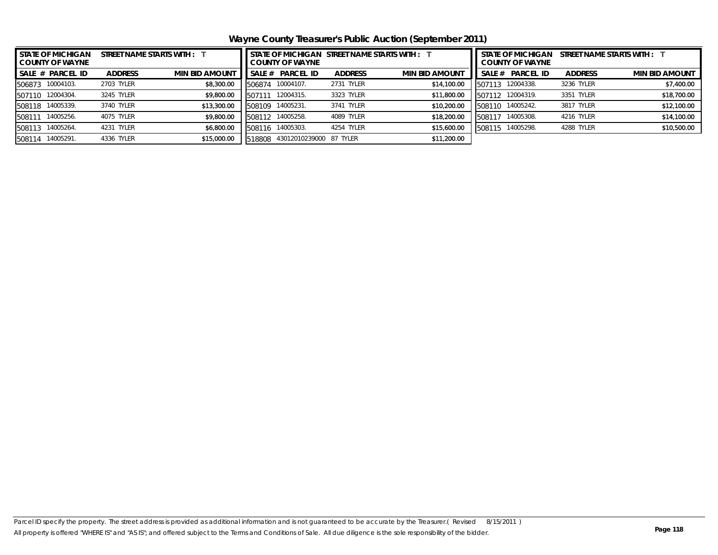**Wayne County Treasurer's Public Auction (September 2011)**

| <b>STATE OF MICHIGAN</b><br><b>COUNTY OF WAYNE</b> | STREET NAME STARTS WITH : | STATE OF MICHIGAN STREET NAME STARTS WITH : 1<br><b>COUNTY OF WAYNE</b> |        |                         |                |                       | <b>STATE OF MICHIGAN</b><br>STREET NAME STARTS WITH :<br><b>COUNTY OF WAYNE</b> |                  |                |                       |
|----------------------------------------------------|---------------------------|-------------------------------------------------------------------------|--------|-------------------------|----------------|-----------------------|---------------------------------------------------------------------------------|------------------|----------------|-----------------------|
| <b>SALE # PARCEL ID</b>                            | <b>ADDRESS</b>            | <b>MIN BID AMOUNT</b>                                                   | SALE # | <b>PARCEL ID</b>        | <b>ADDRESS</b> | <b>MIN BID AMOUNT</b> | SALE#                                                                           | <b>PARCEL ID</b> | <b>ADDRESS</b> | <b>MIN BID AMOUNT</b> |
| 10004103.<br>506873                                | 2703 TYLER                | \$8,300.00                                                              | 506874 | 10004107.               | 2731 TYLER     | \$14,100.00           | 507113                                                                          | 12004338.        | 3236 TYLER     | \$7,400.00            |
| 507110 12004304.                                   | 3245 TYLER                | \$9,800.00                                                              | .15071 | 12004315.               | 3323 TYLER     | \$11,800.00           |                                                                                 | 507112 12004319. | 3351 TYLER     | \$18,700.00           |
| 14005339.<br>508118                                | 3740 TYLER                | \$13,300.00                                                             | 508109 | 14005231.               | 3741 TYLER     | \$10,200.00           |                                                                                 | 508110 14005242. | 3817 TYLER     | \$12,100.00           |
| 14005256.<br>508111                                | 4075 TYLER                | \$9,800.00                                                              | 508112 | 14005258.               | 4089 TYLER     | \$18,200.00           | 508117                                                                          | 14005308.        | 4216 TYLER     | \$14,100.00           |
| 14005264.<br>508113                                | <b>TYLER</b><br>4231      | \$6,800.00                                                              | 508116 | 14005303.               | 4254 TYLER     | \$15,600.00           | 508115                                                                          | 14005298.        | 4288 TYLER     | \$10,500.00           |
| 14005291<br>508114                                 | 4336 TYLER                | \$15,000.00                                                             | 518808 | 43012010239000 87 TYLER |                | \$11,200.00           |                                                                                 |                  |                |                       |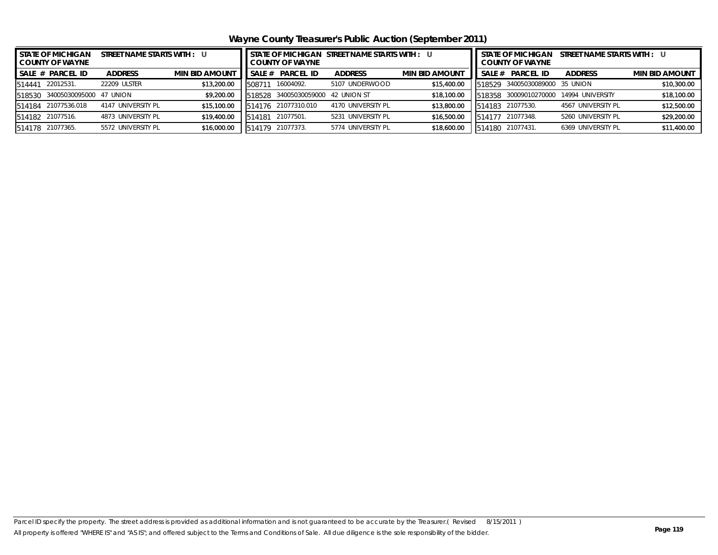**Wayne County Treasurer's Public Auction (September 2011)**

| <b>I STATE OF MICHIGAN</b><br>STREET NAME STARTS WITH : U<br><b>COUNTY OF WAYNE</b> |                         |                    |                       |        | <b>COUNTY OF WAYNE</b>     | STATE OF MICHIGAN STREET NAME STARTS WITH : U |                       | <b>STATE OF MICHIGAN</b><br>STREET NAME STARTS WITH : U<br><b>COUNTY OF WAYNE</b> |                                |                    |                       |  |
|-------------------------------------------------------------------------------------|-------------------------|--------------------|-----------------------|--------|----------------------------|-----------------------------------------------|-----------------------|-----------------------------------------------------------------------------------|--------------------------------|--------------------|-----------------------|--|
|                                                                                     | SALE # PARCEL ID        | <b>ADDRESS</b>     | <b>MIN BID AMOUNT</b> | SALE # | <b>PARCEL ID</b>           | <b>ADDRESS</b>                                | <b>MIN BID AMOUNT</b> | SALE #                                                                            | PARCEL ID                      | <b>ADDRESS</b>     | <b>MIN BID AMOUNT</b> |  |
| 514441                                                                              | 22012531.               | 22209 ULSTER       | \$13,200.00           | 50871  | 16004092.                  | 5107 UNDERWOOD                                | \$15,400.00           |                                                                                   | 518529 34005030089000 35 UNION |                    | \$10,300.00           |  |
| 518530                                                                              | 34005030095000 47 UNION |                    | \$9,200.00            | 518528 | 34005030059000 42 UNION ST |                                               | \$18,100.00           |                                                                                   | 518358 30009010270000          | 14994 UNIVERSITY   | \$18,100.00           |  |
|                                                                                     | 514184 21077536.018     | 4147 UNIVERSITY PL | \$15,100.00           | 514176 | 21077310.010               | 4170 UNIVERSITY PL                            | \$13,800.00           |                                                                                   | 514183 21077530.               | 4567 UNIVERSITY PL | \$12,500.00           |  |
|                                                                                     | 514182 21077516.        | 4873 UNIVERSITY PL | \$19,400.00           | 514181 | 21077501.                  | 5231 UNIVERSITY PL                            | \$16,500.00           |                                                                                   | 514177 21077348.               | 5260 UNIVERSITY PL | \$29,200.00           |  |
|                                                                                     | 514178 21077365.        | 5572 UNIVERSITY PL | \$16,000.00           | 514179 | 21077373.                  | 5774 UNIVERSITY PL                            | \$18,600.00           | 514180                                                                            | 21077431.                      | 6369 UNIVERSITY PL | \$11,400.00           |  |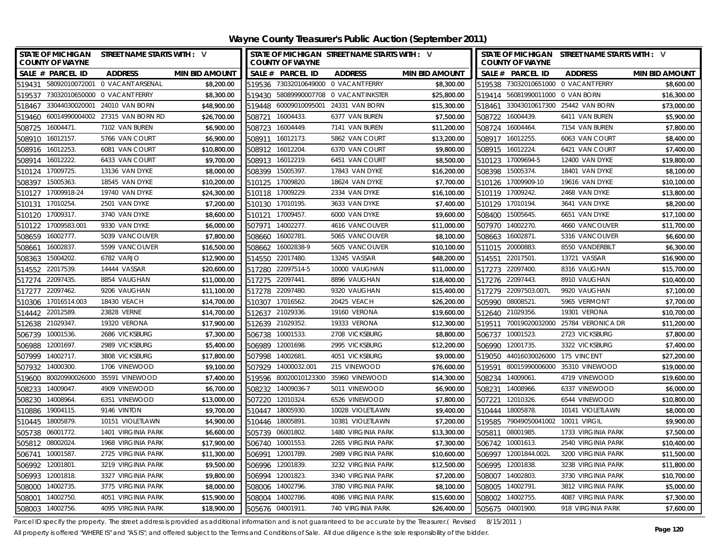| STATE OF MICHIGAN STREET NAME STARTS WITH : V<br><b>COUNTY OF WAYNE</b> |             |                  | <b>COUNTY OF WAYNE</b> | STATE OF MICHIGAN STREET NAME STARTS WITH : V |                       |        | <b>COUNTY OF WAYNE</b>             | STATE OF MICHIGAN STREET NAME STARTS WITH : V |                       |
|-------------------------------------------------------------------------|-------------|------------------|------------------------|-----------------------------------------------|-----------------------|--------|------------------------------------|-----------------------------------------------|-----------------------|
| SALE # PARCEL ID<br><b>ADDRESS</b><br><b>MIN BID AMOUNT</b>             |             |                  | SALE # PARCEL ID       | <b>ADDRESS</b>                                | <b>MIN BID AMOUNT</b> |        | SALE # PARCEL ID                   | <b>ADDRESS</b>                                | <b>MIN BID AMOUNT</b> |
| 519431 58092010072001 0 VACANT ARSENAL                                  | \$8,200.00  |                  |                        | 519536 73032010649000 0 VACANT FERRY          | \$8,300.00            |        |                                    | 519538 73032010651000 0 VACANT FERRY          | \$8,600.00            |
| 519537 73032010650000 0 VACANT FERRY                                    | \$8,300.00  |                  |                        | 519430 58089990007708 0 VACANT INKSTER        | \$25,800.00           |        | 519414 56081990011000 0 VAN BORN   |                                               | \$16,300.00           |
| 518467 33044030020001 24010 VAN BORN                                    | \$48,900.00 |                  |                        | 519448 60009010095001 24331 VAN BORN          | \$15,300.00           |        |                                    | 518461 33043010617300 25442 VAN BORN          | \$73,000.00           |
| 519460 60014990004002 27315 VAN BORN RD                                 | \$26,700.00 | 508721 16004433. |                        | 6377 VAN BUREN                                | \$7,500.00            |        | 508722 16004439.                   | 6411 VAN BUREN                                | \$5,900.00            |
| 508725 16004471.<br>7102 VAN BUREN                                      | \$6,900.00  | 508723 16004449. |                        | 7141 VAN BUREN                                | \$11,200.00           |        | 508724 16004464.                   | 7154 VAN BUREN                                | \$7,800.00            |
| 508910 16012157.<br>5766 VAN COURT                                      | \$6,900.00  | 508911 16012173. |                        | 5862 VAN COURT                                | \$13,200.00           |        | 508917 16012255.                   | 6063 VAN COURT                                | \$8,400.00            |
| 6081 VAN COURT<br>508916 16012253.                                      | \$10,800.00 | 508912 16012204  |                        | 6370 VAN COURT                                | \$9,800.00            |        | 508915 16012224.                   | 6421 VAN COURT                                | \$7,400.00            |
| 16012222.<br>6433 VAN COURT<br>508914                                   | \$9,700.00  | 508913 16012219. |                        | 6451 VAN COURT                                | \$8,500.00            |        | 510123 17009694-5                  | 12400 VAN DYKE                                | \$19,800.00           |
| 17009725<br>13136 VAN DYKE<br>510124                                    | \$8,000.00  | 508399 15005397. |                        | 17843 VAN DYKE                                | \$16,200.00           |        | 508398 15005374.                   | 18401 VAN DYKE                                | \$8,100.00            |
| 15005363<br>18545 VAN DYKE<br>508397                                    | \$10,200.00 | 510125 17009820  |                        | 18624 VAN DYKE                                | \$7,700.00            |        | 510126 17009909-10                 | 19616 VAN DYKE                                | \$10,100.00           |
| 510127 17009918-24<br>19740 VAN DYKE                                    | \$24,300.00 | 510118 17009229. |                        | 2334 VAN DYKE                                 | \$16,100.00           |        | 510119 17009242.                   | 2468 VAN DYKE                                 | \$13,800.00           |
| 510131 17010254<br>2501 VAN DYKE                                        | \$7,200.00  | 510130 17010195  |                        | 3633 VAN DYKE                                 | \$7,400.00            |        | 510129 17010194.                   | 3641 VAN DYKE                                 | \$8,200.00            |
| 3740 VAN DYKE<br>510120 17009317                                        | \$8,600.00  | 510121 17009457  |                        | 6000 VAN DYKE                                 | \$9,600.00            |        | 508400 15005645.                   | 6651 VAN DYKE                                 | \$17,100.00           |
| 17009583.001<br>9330 VAN DYKE<br>510122                                 | \$6,000.00  | 507971           | 14002277.              | 4616 VANCOUVER                                | \$11,000.00           | 507970 | 14002270.                          | 4660 VANCOUVER                                | \$11,700.00           |
| 508659<br>16002777.<br>5039 VANCOUVER                                   | \$7,800.00  | 508660           | 16002781               | 5065 VANCOUVER                                | \$8,100.00            |        | 508663 16002871.                   | 5316 VANCOUVER                                | \$6,600.00            |
| 16002837.<br>5599 VANCOUVER<br>508661                                   | \$16,500.00 |                  | 508662 16002838-9      | 5605 VANCOUVER                                | \$10,100.00           |        | 511015 20000883.                   | 8550 VANDERBILT                               | \$6,300.00            |
| 6782 VARJO<br>15004202<br>508363                                        | \$12,900.00 | 514550           | 22017480.              | 13245 VASSAR                                  | \$48,200.00           |        | 514551 22017501.                   | 13721 VASSAR                                  | \$16,900.00           |
| 14444 VASSAR<br>514552<br>22017539                                      | \$20,600.00 | 517280           | 22097514-5             | 10000 VAUGHAN                                 | \$11,000.00           |        | 517273 22097400.                   | 8316 VAUGHAN                                  | \$15,700.00           |
| 8854 VAUGHAN<br>517274 22097435.                                        | \$11,000.00 | 517275 22097441  |                        | 8896 VAUGHAN                                  | \$18,400.00           |        | 517276 22097443.                   | 8910 VAUGHAN                                  | \$10,400.00           |
| 22097462.<br>9206 VAUGHAN<br>517277                                     | \$11,100.00 | 517278 22097480. |                        | 9320 VAUGHAN                                  | \$15,400.00           |        | 517279 22097503.007L               | 9920 VAUGHAN                                  | \$7,100.00            |
| 17016514.003<br>18430 VEACH<br>510306                                   | \$14,700.00 | 510307           | 17016562               | 20425 VEACH                                   | \$26,200.00           |        | 505990 08008521.                   | 5965 VERMONT                                  | \$7,700.00            |
| 22012589.<br>23828 VERNE<br>514442                                      | \$14,700.00 | 512637           | 21029336.              | 19160 VERONA                                  | \$19,600.00           | 512640 | 21029356.                          | 19301 VERONA                                  | \$10,700.00           |
| 512638 21029347.<br>19320 VERONA                                        | \$17,900.00 | 512639           | 21029352.              | 19333 VERONA                                  | \$12,300.00           | 519511 |                                    | 70019020032000 25784 VERONICA DR              | \$11,200.00           |
| 10001536<br>2686 VICKSBURG<br>506739                                    | \$7,300.00  | 506738           | 10001533               | 2708 VICKSBURG                                | \$8,800.00            |        | 506737 10001523.                   | 2723 VICKSBURG                                | \$7,800.00            |
| 12001697<br>2989 VICKSBURG<br>506988                                    | \$5,400.00  | 506989           | 12001698               | 2995 VICKSBURG                                | \$12,200.00           | 506990 | 12001735.                          | 3322 VICKSBURG                                | \$7,400.00            |
| 14002717.<br>507999<br>3808 VICKSBURG                                   | \$17,800.00 | 507998           | 14002681               | 4051 VICKSBURG                                | \$9,000.00            |        | 519050 44016030026000 175 VINCENT  |                                               | \$27,200.00           |
| 507932 14000300.<br>1706 VINEWOOD                                       | \$9,100.00  |                  | 507929 14000032.001    | 215 VINEWOOD                                  | \$76,600.00           |        |                                    | 519591 80015990006000 35310 VINEWOOD          | \$19,000.00           |
| 519600 80020990026000 35591 VINEWOOD                                    | \$7,400.00  |                  |                        | 519596 80020010123300 35960 VINEWOOD          | \$14,300.00           |        | 508234 14009061                    | 4719 VINEWOOD                                 | \$19,600.00           |
| 14009047.<br>4909 VINEWOOD<br>508233                                    | \$6,700.00  |                  | 508232 14009036-7      | 5011 VINEWOOD                                 | \$6,900.00            |        | 508231 14008966.                   | 6337 VINEWOOD                                 | \$6,000.00            |
| 508230 14008964<br>6351 VINEWOOD                                        | \$13,000.00 | 507220 12010324  |                        | 6526 VINEWOOD                                 | \$7,800.00            |        | 507221 12010326.                   | 6544 VINEWOOD                                 | \$10,800.00           |
| 9146 VINTON<br>510886 19004115.                                         | \$9,700.00  | 510447 18005930. |                        | 10028 VIOLETLAWN                              | \$9,400.00            |        | 510444 18005878.                   | 10141 VIOLETLAWN                              | \$8,000.00            |
| 510445 18005879.<br>10151 VIOLETLAWN                                    | \$4,900.00  | 510446 18005891  |                        | 10381 VIOLETLAWN                              | \$7,200.00            |        | 519585 79049050041002 10011 VIRGIL |                                               | \$9,900.00            |
| 505738 06001772<br>1401 VIRGINIA PARK                                   | \$6,600.00  | 505739 06001802  |                        | 1480 VIRGINIA PARK                            | \$13,300.00           |        | 505811 08001985.                   | 1733 VIRGINIA PARK                            | \$7,500.00            |
| 505812 08002024<br>1968 VIRGINIA PARK                                   | \$17,900.00 | 506740 10001553  |                        | 2265 VIRGINIA PARK                            | \$7,300.00            |        | 506742 10001613.                   | 2540 VIRGINIA PARK                            | \$10,400.00           |
| 506741 10001587<br>2725 VIRGINIA PARK                                   | \$11,300.00 | 506991 12001789  |                        | 2989 VIRGINIA PARK                            | \$10,600.00           |        | 506997 12001844.002L               | 3200 VIRGINIA PARK                            | \$11,500.00           |
| 12001801<br>3219 VIRGINIA PARK<br>506992                                | \$9,500.00  | 506996 12001839  |                        | 3232 VIRGINIA PARK                            | \$12,500.00           |        | 506995 12001838.                   | 3238 VIRGINIA PARK                            | \$11,800.00           |
| 506993<br>12001818<br>3327 VIRGINIA PARK                                | \$9,800.00  | 506994 12001823  |                        | 3340 VIRGINIA PARK                            | \$7,200.00            | 508007 | 14002803.                          | 3730 VIRGINIA PARK                            | \$10,700.00           |
| 508000 14002735.<br>3775 VIRGINIA PARK                                  | \$8,000.00  | 508006 14002796  |                        | 3780 VIRGINIA PARK                            | \$8,100.00            |        | 508005 14002791.                   | 3812 VIRGINIA PARK                            | \$5,000.00            |
| 508001 14002750.<br>4051 VIRGINIA PARK                                  | \$15,900.00 | 508004 14002786  |                        | 4086 VIRGINIA PARK                            | \$15,600.00           |        | 508002 14002755.                   | 4087 VIRGINIA PARK                            | \$7,300.00            |
| 508003 14002756<br>4095 VIRGINIA PARK                                   | \$18,900.00 | 505676 04001911  |                        | 740 VIRGINIA PARK                             | \$26,400.00           |        | 505675 04001900.                   | 918 VIRGINIA PARK                             | \$7,600.00            |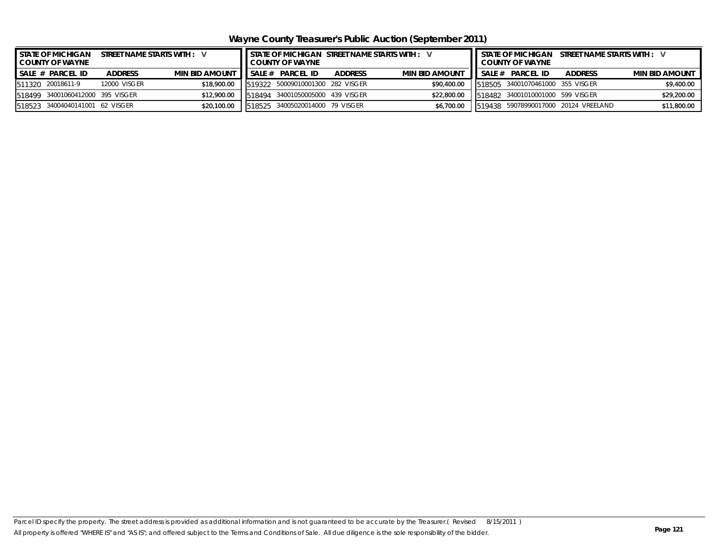**Wayne County Treasurer's Public Auction (September 2011)**

| <b>I STATE OF MICHIGAN</b><br>STREET NAME STARTS WITH : V<br>COUNTY OF WAYNE |                                  |                |                       | STATE OF MICHIGAN STREET NAME STARTS WITH : V<br><b>COUNTY OF WAYNE</b> |                                  |                |                       |  | STATE OF MICHIGAN STREET NAME STARTS WITH : V<br><b>II COUNTY OF WAYNE</b> |                                      |                       |  |  |
|------------------------------------------------------------------------------|----------------------------------|----------------|-----------------------|-------------------------------------------------------------------------|----------------------------------|----------------|-----------------------|--|----------------------------------------------------------------------------|--------------------------------------|-----------------------|--|--|
|                                                                              | I SALE # PARCEL ID               | <b>ADDRESS</b> | <b>MIN BID AMOUNT</b> |                                                                         | SALE # PARCEL ID                 | <b>ADDRESS</b> | <b>MIN BID AMOUNT</b> |  | SALE # PARCEL ID                                                           | <b>ADDRESS</b>                       | <b>MIN BID AMOUNT</b> |  |  |
|                                                                              | 511320 20018611-9                | 12000 VISGER   | \$18,900.00           |                                                                         | 519322 50009010001300 282 VISGER |                | \$90,400.00           |  | 518505 34001070461000 355 VISGER                                           |                                      | \$9,400.00            |  |  |
|                                                                              | 518499 34001060412000 395 VISGER |                | \$12,900.00           |                                                                         | 518494 34001050005000 439 VISGER |                | \$22,800.00           |  | 518482 34001010001000 599 VISGER                                           |                                      | \$29,200.00           |  |  |
|                                                                              | 518523 34004040141001 62 VISGER  |                | \$20,100.00           |                                                                         | 1518525 34005020014000 79 VISGER |                | \$6,700.00            |  |                                                                            | 519438 59078990017000 20124 VREELAND | \$11,800.00           |  |  |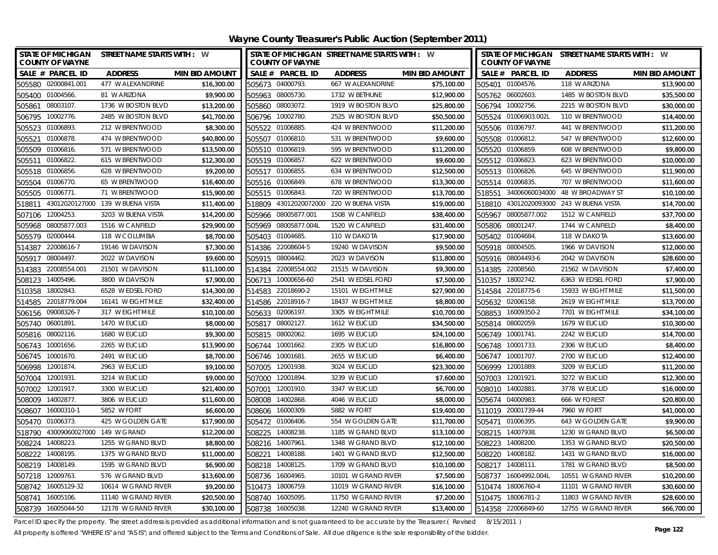| <b>STATE OF MICHIGAN</b><br>STREET NAME STARTS WITH : W<br><b>COUNTY OF WAYNE</b> |                       | <b>COUNTY OF WAYNE</b> | STATE OF MICHIGAN STREET NAME STARTS WITH : W |                       | STATE OF MICHIGAN STREET NAME STARTS WITH : W<br><b>COUNTY OF WAYNE</b> |                     |                       |
|-----------------------------------------------------------------------------------|-----------------------|------------------------|-----------------------------------------------|-----------------------|-------------------------------------------------------------------------|---------------------|-----------------------|
| SALE # PARCEL ID<br><b>ADDRESS</b>                                                | <b>MIN BID AMOUNT</b> | SALE # PARCEL ID       | <b>ADDRESS</b>                                | <b>MIN BID AMOUNT</b> | SALE # PARCEL ID                                                        | <b>ADDRESS</b>      | <b>MIN BID AMOUNT</b> |
| 505580 02000841.001<br>477 W ALEXANDRINE                                          | \$16,300.00           | 505673 04000793        | 667 W ALEXANDRINE                             | \$75,100.00           | 505401 01004576.                                                        | 118 W ARIZONA       | \$13,900.00           |
| 505400 01004566.<br>81 W ARIZONA                                                  | \$9,900.00            | 505963 08005730.       | 1732 W BETHUNE                                | \$12,900.00           | 505762 06002603.                                                        | 1485 W BOSTON BLVD  | \$35,500.00           |
| 505861 08003107<br>1736 W BOSTON BLVD                                             | \$13,200.00           | 505860 08003072.       | 1919 W BOSTON BLVD                            | \$25,800.00           | 506794 10002756.                                                        | 2215 W BOSTON BLVD  | \$30,000.00           |
| 506795 10002776.<br>2485 W BOSTON BLVD                                            | \$41,700.00           | 506796 10002780.       | 2525 W BOSTON BLVD                            | \$50,500.00           | 505524 01006903.002L                                                    | 110 W BRENTWOOD     | \$14,400.00           |
| 505523 01006893.<br>212 W BRENTWOOD                                               | \$8,300.00            | 505522 01006885        | 424 W BRENTWOOD                               | \$11,200.00           | 505506 01006797.                                                        | 441 W BRENTWOOD     | \$11,200.00           |
| 505521<br>01006878.<br>474 W BRENTWOOD                                            | \$40,800.00           | 505507 01006810.       | 531 W BRENTWOOD                               | \$9,600.00            | 505508 01006812.                                                        | 547 W BRENTWOOD     | \$12,600.00           |
| 505509 01006816.<br>571 W BRENTWOOD                                               | \$13,500.00           | 505510 01006819.       | 595 W BRENTWOOD                               | \$11,200.00           | 505520 01006859.                                                        | 608 W BRENTWOOD     | \$9,800.00            |
| 615 W BRENTWOOD<br>505511 01006822.                                               | \$12,300.00           | 505519 01006857.       | 622 W BRENTWOOD                               | \$9,600.00            | 505512 01006823.                                                        | 623 W BRENTWOOD     | \$10,000.00           |
| 505518 01006856.<br>628 W BRENTWOOD                                               | \$9,200.00            | 505517 01006855        | 634 W BRENTWOOD                               | \$12,500.00           | 505513 01006826.                                                        | 645 W BRENTWOOD     | \$11,900.00           |
| 01006770.<br>65 W BRENTWOOD<br>505504                                             | \$16,400.00           | 505516 01006849.       | 678 W BRENTWOOD                               | \$13,300.00           | 505514 01006835.                                                        | 707 W BRENTWOOD     | \$11,600.00           |
| 505505 01006771<br>71 W BRENTWOOD                                                 | \$15,900.00           | 505515 01006843.       | 720 W BRENTWOOD                               | \$13,700.00           | 518551 34006060034000 48 W BROADWAY ST                                  |                     | \$10,100.00           |
| 43012020127000 139 W BUENA VISTA<br>518811                                        | \$11,400.00           |                        | 518809 43012020072000 220 W BUENA VISTA       | \$19,000.00           | 518810 43012020093000 243 W BUENA VISTA                                 |                     | \$14,700.00           |
| 12004253.<br>3203 W BUENA VISTA<br>507106                                         | \$14,200.00           | 505966 08005877.001    | 1508 W CANFIELD                               | \$38,400.00           | 505967 08005877.002                                                     | 1512 W CANFIELD     | \$37,700.00           |
| 08005877.003<br>1516 W CANFIELD<br>505968                                         | \$29,900.00           | 505969 08005877.004L   | 1520 W CANFIELD                               | \$31,400.00           | 08001247.<br>505806                                                     | 1744 W CANFIELD     | \$8,400.00            |
| 505579<br>02000444.<br>118 W COLUMBIA                                             | \$8,700.00            | 505403 01004685        | 110 W DAKOTA                                  | \$17,900.00           | 505402<br>01004684                                                      | 118 W DAKOTA        | \$13,600.00           |
| 22008616-7<br>19146 W DAVISON<br>514387                                           | \$7,300.00            | 514386 22008604-5      | 19240 W DAVISON                               | \$9,500.00            | 505918 08004505.                                                        | 1966 W DAVISON      | \$12,000.00           |
| 08004497.<br>2022 W DAVISON<br>505917                                             | \$9,600.00            | 505915 08004462.       | 2023 W DAVISON                                | \$11,800.00           | 505916 08004493-6                                                       | 2042 W DAVISON      | \$28,600.00           |
| 22008554.001<br>21501 W DAVISON<br>514383                                         | \$11,100.00           | 22008554.002<br>514384 | 21515 W DAVISON                               | \$9,300.00            | 22008560.<br>514385                                                     | 21562 W DAVISON     | \$7,400.00            |
| 14005496.<br>3800 W DAVISON<br>508123                                             | \$7,900.00            | 10000656-60<br>506713  | 2541 W EDSEL FORD                             | \$7,500.00            | 510357 18002742.                                                        | 6363 W EDSEL FORD   | \$7,900.00            |
| 18002843.<br>6528 W EDSEL FORD<br>510358                                          | \$14,300.00           | 514583 22018690-2      | 15101 W EIGHT MILE                            | \$27,900.00           | 22018775-6<br>514584                                                    | 15933 W EIGHT MILE  | \$11,500.00           |
| 22018779.004<br>514585<br>16141 W EIGHT MILE                                      | \$32,400.00           | 514586<br>22018916-7   | 18437 W EIGHT MILE                            | \$8,800.00            | 505632<br>02006158.                                                     | 2619 W EIGHT MILE   | \$13,700.00           |
| 09008326-7<br>317 W EIGHT MILE<br>506156                                          | \$10,100.00           | 505633<br>02006197.    | 3305 W EIGHT MILE                             | \$10,700.00           | 508853<br>16009350-2                                                    | 7701 W EIGHT MILE   | \$34,100.00           |
| 505740 06001891<br>1470 W EUCLID                                                  | \$8,000.00            | 505817 08002127.       | 1612 W EUCLID                                 | \$34,500.00           | 505814 08002059.                                                        | 1679 W EUCLID       | \$10,300.00           |
| 505816 08002116.<br>1680 W EUCLID                                                 | \$9,300.00            | 505815 08002062        | 1695 W EUCLID                                 | \$24,100.00           | 506749 10001741.                                                        | 2242 W EUCLID       | \$14,700.00           |
| 10001656.<br>2265 W EUCLID<br>506743                                              | \$13,900.00           | 10001662.<br>506744    | 2305 W EUCLID                                 | \$16,800.00           | 10001733.<br>506748                                                     | 2306 W EUCLID       | \$8,400.00            |
| 506745 10001670.<br>2491 W EUCLID                                                 | \$8,700.00            | 506746 10001681        | 2655 W EUCLID                                 | \$6,400.00            | 506747 10001707                                                         | 2700 W EUCLID       | \$12,400.00           |
| 506998 12001874.<br>2963 W EUCLID                                                 | \$9,100.00            | 507005 12001938.       | 3024 W EUCLID                                 | \$23,300.00           | 506999 12001889                                                         | 3209 W EUCLID       | \$11,200.00           |
| 507004 12001931<br>3214 W EUCLID                                                  | \$9,000.00            | 507000 12001894        | 3239 W EUCLID                                 | \$7,600.00            | 507003 12001921                                                         | 3272 W EUCLID       | \$12,300.00           |
| 507002<br>12001917.<br>3300 W EUCLID                                              | \$21,400.00           | 507001<br>12001910.    | 3347 W EUCLID                                 | \$6,700.00            | 508010 14002881                                                         | 3778 W EUCLID       | \$16,000.00           |
| 508009 14002877.<br>3806 W EUCLID                                                 | \$11,600.00           | 508008 14002868.       | 4046 W EUCLID                                 | \$8,000.00            | 505674 04000983                                                         | 666 W FOREST        | \$20,800.00           |
| 508607 16000310-1<br>5852 W FORT                                                  | \$6,600.00            | 508606 16000309.       | 5882 W FORT                                   | \$19,400.00           | 511019 20001739-44                                                      | 7960 W FORT         | \$41,000.00           |
| 505470 01006373.<br>425 W GOLDEN GATE                                             | \$17,900.00           | 505472 01006406.       | 554 W GOLDEN GATE                             | \$11,700.00           | 505471 01006395.                                                        | 643 W GOLDEN GATE   | \$9,900.00            |
| 518790<br>43009060027000 149 W GRAND                                              | \$12,200.00           | 508225 14008238.       | 1185 W GRAND BLVD                             | \$13,100.00           | 508215 14007938.                                                        | 1230 W GRAND BLVD   | \$6,500.00            |
| 508224 14008223.<br>1255 W GRAND BLVD                                             | \$8,800.00            | 508216 14007961        | 1348 W GRAND BLVD                             | \$12,100.00           | 508223 14008200                                                         | 1353 W GRAND BLVD   | \$20,500.00           |
| 508222 14008195.<br>1375 W GRAND BLVD                                             | \$11,000.00           | 508221 14008188.       | 1401 W GRAND BLVD                             | \$12,500.00           | 508220 14008182.                                                        | 1431 W GRAND BLVD   | \$16,000.00           |
| 508219 14008149.<br>1595 W GRAND BLVD                                             | \$6,900.00            | 508218 14008125        | 1709 W GRAND BLVD                             | \$10,100.00           | 508217 14008111                                                         | 1781 W GRAND BLVD   | \$8,500.00            |
| 12009763.<br>507218<br>576 W GRAND BLVD                                           | \$13,600.00           | 508736<br>16004965.    | 10101 W GRAND RIVER                           | \$7,500.00            | 508737 16004992.004L                                                    | 10551 W GRAND RIVER | \$10,200.00           |
| 508742 16005129-32<br>10614 W GRAND RIVER                                         | \$9,200.00            | 510473<br>18006759.    | 11019 W GRAND RIVER                           | \$16,100.00           | 510474 18006760-4                                                       | 11101 W GRAND RIVER | \$30,600.00           |
| 508741 16005106.<br>11140 W GRAND RIVER                                           | \$20,500.00           | 508740 16005095        | 11750 W GRAND RIVER                           | \$7,200.00            | 510475 18006781-2                                                       | 11803 W GRAND RIVER | \$28,600.00           |
| 508739 16005044-50<br>12178 W GRAND RIVER                                         | \$30.100.00           | 508738 16005038.       | 12240 W GRAND RIVER                           | \$13,400.00           | 514358 22006849-60                                                      | 12755 W GRAND RIVER | \$66,700.00           |

Parcel ID specify the property. The street address is provided as additional information and is not guaranteed to be accurate by the Treasurer.( Revised 8/15/2011)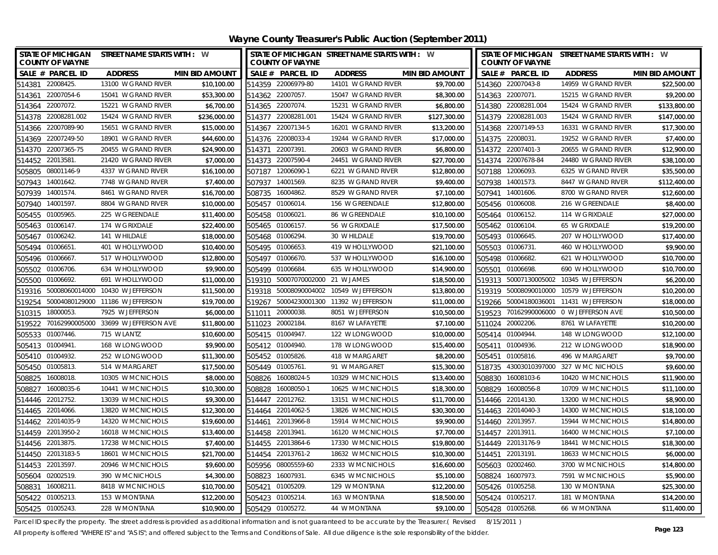| <b>STATE OF MICHIGAN</b><br><b>COUNTY OF WAYNE</b> | STREET NAME STARTS WITH : W          |                       |                     | <b>COUNTY OF WAYNE</b>    | STATE OF MICHIGAN STREET NAME STARTS WITH : W |                       |        | <b>COUNTY OF WAYNE</b> | STATE OF MICHIGAN STREET NAME STARTS WITH : W |                       |
|----------------------------------------------------|--------------------------------------|-----------------------|---------------------|---------------------------|-----------------------------------------------|-----------------------|--------|------------------------|-----------------------------------------------|-----------------------|
| SALE # PARCEL ID                                   | <b>ADDRESS</b>                       | <b>MIN BID AMOUNT</b> | SALE # PARCEL ID    |                           | <b>ADDRESS</b>                                | <b>MIN BID AMOUNT</b> |        | SALE # PARCEL ID       | <b>ADDRESS</b>                                | <b>MIN BID AMOUNT</b> |
| 514381 22008425.                                   | 13100 W GRAND RIVER                  | \$10,100.00           | 514359 22006979-80  |                           | 14101 W GRAND RIVER                           | \$9,700.00            |        | 514360 22007043-8      | 14959 W GRAND RIVER                           | \$22,500.00           |
| 514361 22007054-6                                  | 15041 W GRAND RIVER                  | \$53,300.00           | 514362 22007057.    |                           | 15047 W GRAND RIVER                           | \$8,300.00            |        | 514363 22007071.       | 15215 W GRAND RIVER                           | \$9,200.00            |
| 514364 22007072.                                   | 15221 W GRAND RIVER                  | \$6,700.00            | 514365 22007074.    |                           | 15231 W GRAND RIVER                           | \$6,800.00            |        | 514380 22008281.004    | 15424 W GRAND RIVER                           | \$133,800.00          |
| 514378 22008281.002                                | 15424 W GRAND RIVER                  | \$236,000.00          | 514377 22008281.001 |                           | 15424 W GRAND RIVER                           | \$127,300.00          |        | 514379 22008281.003    | 15424 W GRAND RIVER                           | \$147,000.00          |
| 514366 22007089-90                                 | 15651 W GRAND RIVER                  | \$15,000.00           | 514367 22007134-5   |                           | 16201 W GRAND RIVER                           | \$13,200.00           |        | 514368 22007149-53     | 16331 W GRAND RIVER                           | \$17,300.00           |
| 514369 22007249-50                                 | 18901 W GRAND RIVER                  | \$44,600.00           | 514376 22008033-4   |                           | 19244 W GRAND RIVER                           | \$17,000.00           |        | 514375 22008031.       | 19252 W GRAND RIVER                           | \$7,400.00            |
| 514370 22007365-75                                 | 20455 W GRAND RIVER                  | \$24,900.00           | 514371 22007391     |                           | 20603 W GRAND RIVER                           | \$6,800.00            |        | 514372 22007401-3      | 20655 W GRAND RIVER                           | \$12,900.00           |
| 514452 22013581.                                   | 21420 W GRAND RIVER                  | \$7,000.00            | 514373 22007590-4   |                           | 24451 W GRAND RIVER                           | \$27,700.00           |        | 514374 22007678-84     | 24480 W GRAND RIVER                           | \$38,100.00           |
| 08001146-9<br>505805                               | 4337 W GRAND RIVER                   | \$16,100.00           | 507187 12006090-1   |                           | 6221 W GRAND RIVER                            | \$12,800.00           |        | 507188 12006093.       | 6325 W GRAND RIVER                            | \$35,500.00           |
| 14001642.<br>507943                                | 7748 W GRAND RIVER                   | \$7,400.00            | 507937              | 14001569.                 | 8235 W GRAND RIVER                            | \$9,400.00            |        | 507938 14001573.       | 8447 W GRAND RIVER                            | \$112,400.00          |
| 507939 14001574.                                   | 8461 W GRAND RIVER                   | \$16,700.00           | 508735 16004862.    |                           | 8529 W GRAND RIVER                            | \$7,100.00            |        | 507941 14001606.       | 8700 W GRAND RIVER                            | \$12,600.00           |
| 14001597.<br>507940                                | 8804 W GRAND RIVER                   | \$10,000.00           | 505457 01006014.    |                           | 156 W GREENDALE                               | \$12,800.00           |        | 505456 01006008.       | 216 W GREENDALE                               | \$8,400.00            |
| 01005965.<br>505455                                | 225 W GREENDALE                      | \$11,400.00           | 505458 01006021     |                           | 86 W GREENDALE                                | \$10,100.00           |        | 505464 01006152.       | 114 W GRIXDALE                                | \$27,000.00           |
| 505463<br>01006147.                                | 174 W GRIXDALE                       | \$22,400.00           | 505465 01006157.    |                           | 56 W GRIXDALE                                 | \$17,500.00           |        | 505462 01006104        | 65 W GRIXDALE                                 | \$19,200.00           |
| 505467 01006242.                                   | 141 W HILDALE                        | \$18,000.00           | 505468 01006294.    |                           | 30 W HILDALE                                  | \$19,700.00           |        | 505493 01006645.       | 207 W HOLLYWOOD                               | \$17,400.00           |
| 505494 01006651                                    | 401 W HOLLYWOOD                      | \$10,400.00           | 505495 01006653.    |                           | 419 W HOLLYWOOD                               | \$21,100.00           |        | 505503 01006731.       | 460 W HOLLYWOOD                               | \$9,900.00            |
| 01006667<br>505496                                 | 517 W HOLLYWOOD                      | \$12,800.00           | 505497 01006670.    |                           | 537 W HOLLYWOOD                               | \$16,100.00           |        | 505498 01006682.       | 621 W HOLLYWOOD                               | \$10,700.00           |
| 01006706.<br>505502                                | 634 W HOLLYWOOD                      | \$9,900.00            | 505499 01006684.    |                           | 635 W HOLLYWOOD                               | \$14,900.00           | 505501 | 01006698.              | 690 W HOLLYWOOD                               | \$10,700.00           |
| 01006692.<br>505500                                | 691 W HOLLYWOOD                      | \$11,000.00           | 519310              | 50007070002000 21 W JAMES |                                               | \$18,500.00           |        |                        | 519313 50007130005002 10345 W JEFFERSON       | \$6,200.00            |
| 519316 50008060014000 10430 W JEFFERSON            |                                      | \$11,500.00           |                     |                           | 519318 50008090004002 10549 W JEFFERSON       | \$13,800.00           |        | 519319 50008090010000  | 10579 W JEFFERSON                             | \$10,200.00           |
| 519254                                             | 50004080129000 11186 W JEFFERSON     | \$19,700.00           | 519267              | 50004230001300            | 11392 W JEFFERSON                             | \$11,000.00           | 519266 | 50004180036001         | 11431 W JEFFERSON                             | \$18,000.00           |
| 18000053.<br>510315                                | 7925 W JEFFERSON                     | \$6,000.00            | 511011              | 20000038                  | 8051 W JEFFERSON                              | \$10,500.00           | 519523 |                        | 70162990006000 0 W JEFFERSON AVE              | \$10,500.00           |
| 519522                                             | 70162990005000 33699 W JEFFERSON AVE | \$11,800.00           | 511023 20002184.    |                           | 8167 W LAFAYETTE                              | \$7,100.00            |        | 511024 20002206.       | 8761 W LAFAYETTE                              | \$10,200.00           |
| 505533 01007446.                                   | 715 W LANTZ                          | \$10,600.00           | 505415 01004947     |                           | 122 W LONGWOOD                                | \$10,000.00           |        | 505414 01004944        | 148 W LONGWOOD                                | \$12,100.00           |
| 505413 01004941.                                   | 168 W LONGWOOD                       | \$9,900.00            | 505412 01004940.    |                           | 178 W LONGWOOD                                | \$15,400.00           | 505411 | 01004936.              | 212 W LONGWOOD                                | \$18,900.00           |
| 505410 01004932.                                   | 252 W LONGWOOD                       | \$11,300.00           | 505452 01005826.    |                           | 418 W MARGARET                                | \$8,200.00            | 505451 | 01005816.              | 496 W MARGARET                                | \$9,700.00            |
| 505450 01005813.                                   | 514 W MARGARET                       | \$17,500.00           | 505449 01005761     |                           | 91 W MARGARET                                 | \$15,300.00           |        |                        | 518735 43003010397000 327 W MC NICHOLS        | \$9,600.00            |
| 508825 16008018.                                   | 10305 W MCNICHOLS                    | \$8,000.00            | 508826 16008024-5   |                           | 10329 W MCNICHOLS                             | \$13,400.00           |        | 508830 16008103-6      | 10420 W MCNICHOLS                             | \$11,900.00           |
| 508827<br>16008035-6                               | 10441 W MCNICHOLS                    | \$10,300.00           | 508828 16008050-1   |                           | 10625 W MCNICHOLS                             | \$18,300.00           | 508829 | 16008056-8             | 10709 W MCNICHOLS                             | \$11,100.00           |
| 514446 22012752.                                   | 13039 W MCNICHOLS                    | \$9,300.00            | 514447 22012762.    |                           | 13151 W MCNICHOLS                             | \$11,700.00           |        | 514466 22014130.       | 13200 W MCNICHOLS                             | \$8,900.00            |
| 514465 22014066.                                   | 13820 W MCNICHOLS                    | \$12,300.00           | 514464 22014062-5   |                           | 13826 W MCNICHOLS                             | \$30,300.00           |        | 514463 22014040-3      | 14300 W MCNICHOLS                             | \$18,100.00           |
| 514462 22014035-9                                  | 14320 W MCNICHOLS                    | \$19,600.00           | 514461 22013966-8   |                           | 15914 W MCNICHOLS                             | \$9,900.00            |        | 514460 22013957.       | 15944 W MCNICHOLS                             | \$14,800.00           |
| 514459 22013950-2                                  | 16018 W MCNICHOLS                    | \$13,400.00           | 514458 22013941     |                           | 16120 W MCNICHOLS                             | \$7,700.00            |        | 514457 22013911.       | 16400 W MCNICHOLS                             | \$7,100.00            |
| 514456 22013875.                                   | 17238 W MCNICHOLS                    | \$7,400.00            | 514455 22013864-6   |                           | 17330 W MCNICHOLS                             | \$19,800.00           |        | 514449 22013176-9      | 18441 W MCNICHOLS                             | \$18,300.00           |
| 514450 22013183-5                                  | 18601 W MCNICHOLS                    | \$21,700.00           | 514454 22013761-2   |                           | 18632 W MCNICHOLS                             | \$10,300.00           |        | 514451 22013191        | 18633 W MCNICHOLS                             | \$6,000.00            |
| 514453 22013597.                                   | 20946 W MCNICHOLS                    | \$9,600.00            | 505956 08005559-60  |                           | 2333 W MCNICHOLS                              | \$16,600.00           |        | 505603 02002460.       | 3700 W MCNICHOLS                              | \$14,800.00           |
| 02002519.<br>505604                                | 390 W MCNICHOLS                      | \$4,300.00            | 508823              | 16007931                  | 6345 W MCNICHOLS                              | \$5,100.00            |        | 508824 16007973.       | 7591 W MCNICHOLS                              | \$5,900.00            |
| 508831<br>16008211                                 | 8418 W MCNICHOLS                     | \$10,700.00           | 505421              | 01005209.                 | 129 W MONTANA                                 | \$12,200.00           |        | 505426 01005258.       | 130 W MONTANA                                 | \$25,300.00           |
| 505422 01005213.                                   | 153 W MONTANA                        | \$12,200.00           | 505423 01005214.    |                           | 163 W MONTANA                                 | \$18,500.00           |        | 505424 01005217.       | 181 W MONTANA                                 | \$14,200.00           |
| 505425 01005243.                                   | 228 W MONTANA                        | \$10,900.00           | 505429 01005272.    |                           | 44 W MONTANA                                  | \$9,100.00            |        | 505428 01005268.       | 66 W MONTANA                                  | \$11,400.00           |

Parcel ID specify the property. The street address is provided as additional information and is not guaranteed to be accurate by the Treasurer.(Revised 8/15/2011)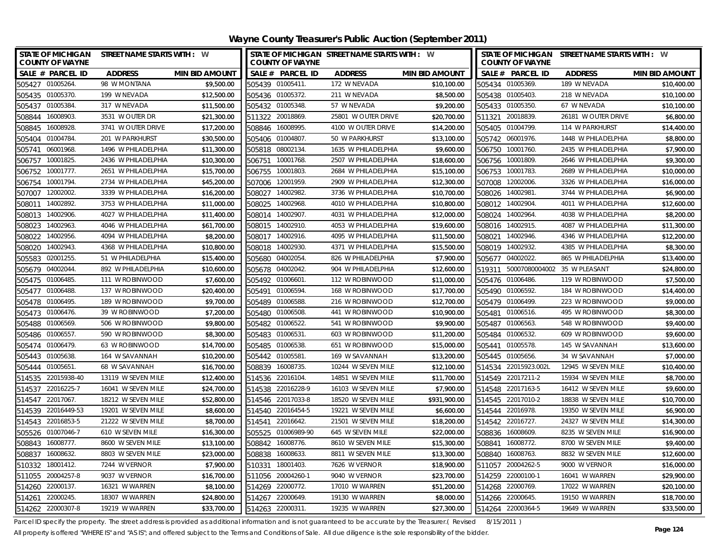| <b>STATE OF MICHIGAN</b><br><b>COUNTY OF WAYNE</b> | STREET NAME STARTS WITH : W |                       |                   | <b>COUNTY OF WAYNE</b> | STATE OF MICHIGAN STREET NAME STARTS WITH : W |                       |        | <b>COUNTY OF WAYNE</b> | STATE OF MICHIGAN STREET NAME STARTS WITH : W |                       |
|----------------------------------------------------|-----------------------------|-----------------------|-------------------|------------------------|-----------------------------------------------|-----------------------|--------|------------------------|-----------------------------------------------|-----------------------|
| SALE # PARCEL ID                                   | <b>ADDRESS</b>              | <b>MIN BID AMOUNT</b> |                   | SALE # PARCEL ID       | <b>ADDRESS</b>                                | <b>MIN BID AMOUNT</b> |        | SALE # PARCEL ID       | <b>ADDRESS</b>                                | <b>MIN BID AMOUNT</b> |
| 505427 01005264                                    | 98 W MONTANA                | \$9,500.00            | 505439 01005411.  |                        | 172 W NEVADA                                  | \$10,100.00           |        | 505434 01005369        | 189 W NEVADA                                  | \$10,400.00           |
| 505435 01005370.                                   | 199 W NEVADA                | \$12,500.00           | 505436 01005372.  |                        | 211 W NEVADA                                  | \$8,500.00            |        | 505438 01005403.       | 218 W NEVADA                                  | \$10,100.00           |
| 01005384<br>505437                                 | 317 W NEVADA                | \$11,500.00           | 505432 01005348   |                        | 57 W NEVADA                                   | \$9,200.00            |        | 505433 01005350        | 67 W NEVADA                                   | \$10,100.00           |
| 16008903<br>508844                                 | 3531 W OUTER DR             | \$21,300.00           | 511322 20018869.  |                        | 25801 W OUTER DRIVE                           | \$20,700.00           | 511321 | 20018839               | 26181 W OUTER DRIVE                           | \$6,800.00            |
| 16008928<br>508845                                 | 3741 W OUTER DRIVE          | \$17,200.00           | 508846 16008995.  |                        | 4100 W OUTER DRIVE                            | \$14,200.00           |        | 505405 01004799.       | 114 W PARKHURST                               | \$14,400.00           |
| 01004784<br>505404                                 | 201 W PARKHURST             | \$30,500.00           | 505406 01004807.  |                        | 50 W PARKHURST                                | \$13,100.00           |        | 505742 06001976.       | 1448 W PHILADELPHIA                           | \$8,800.00            |
| 06001968<br>505741                                 | 1496 W PHILADELPHIA         | \$11,300.00           | 505818 08002134.  |                        | 1635 W PHILADELPHIA                           | \$9,600.00            |        | 506750 10001760        | 2435 W PHILADELPHIA                           | \$7,900.00            |
| 506757<br>10001825                                 | 2436 W PHILADELPHIA         | \$10,300.00           | 506751            | 10001768               | 2507 W PHILADELPHIA                           | \$18,600.00           | 506756 | 10001809               | 2646 W PHILADELPHIA                           | \$9,300.00            |
| 10001777.<br>506752                                | 2651 W PHILADELPHIA         | \$15,700.00           | 506755            | 10001803               | 2684 W PHILADELPHIA                           | \$15,100.00           |        | 506753 10001783        | 2689 W PHILADELPHIA                           | \$10,000.00           |
| 10001794<br>506754                                 | 2734 W PHILADELPHIA         | \$45,200.00           | 507006            | 12001959               | 2909 W PHILADELPHIA                           | \$12,300.00           | 507008 | 12002006               | 3326 W PHILADELPHIA                           | \$16,000.00           |
| 12002002.<br>507007                                | 3339 W PHILADELPHIA         | \$16,200.00           | 508027            | 14002982               | 3736 W PHILADELPHIA                           | \$10,700.00           | 508026 | 14002981               | 3744 W PHILADELPHIA                           | \$6,900.00            |
| 14002892<br>508011                                 | 3753 W PHILADELPHIA         | \$11,000.00           | 508025            | 14002968               | 4010 W PHILADELPHIA                           | \$10,800.00           |        | 508012 14002904        | 4011 W PHILADELPHIA                           | \$12,600.00           |
| 14002906<br>508013                                 | 4027 W PHILADELPHIA         | \$11,400.00           | 508014            | 14002907               | 4031 W PHILADELPHIA                           | \$12,000.00           |        | 508024 14002964        | 4038 W PHILADELPHIA                           | \$8,200.00            |
| 14002963<br>508023                                 | 4046 W PHILADELPHIA         | \$61,700.00           | 508015 14002910.  |                        | 4053 W PHILADELPHIA                           | \$19,600.00           |        | 508016 14002915        | 4087 W PHILADELPHIA                           | \$11,300.00           |
| 14002956.<br>508022                                | 4094 W PHILADELPHIA         | \$8,200.00            | 508017 14002916.  |                        | 4095 W PHILADELPHIA                           | \$11,500.00           | 508021 | 14002946.              | 4346 W PHILADELPHIA                           | \$12,200.00           |
| 14002943<br>508020                                 | 4368 W PHILADELPHIA         | \$10,800.00           | 508018            | 14002930               | 4371 W PHILADELPHIA                           | \$15,500.00           |        | 508019 14002932.       | 4385 W PHILADELPHIA                           | \$8,300.00            |
| 02001255<br>505583                                 | 51 W PHILADELPHIA           | \$15,400.00           | 505680 04002054.  |                        | 826 W PHILADELPHIA                            | \$7,900.00            |        | 505677 04002022.       | 865 W PHILADELPHIA                            | \$13,400.00           |
| 04002044<br>505679                                 | 892 W PHILADELPHIA          | \$10,600.00           | 505678 04002042.  |                        | 904 W PHILADELPHIA                            | \$12,600.00           | 519311 |                        | 50007080004002 35 W PLEASANT                  | \$24,800.00           |
| 01006485<br>505475                                 | 111 W ROBINWOOD             | \$7.600.00            | 505492            | 01006601               | 112 W ROBINWOOD                               | \$11,000.00           |        | 505476 01006486.       | 119 W ROBINWOOD                               | \$7,500.00            |
| 505477 01006488.                                   | 137 W ROBINWOOD             | \$20,400.00           | 505491            | 01006594               | 168 W ROBINWOOD                               | \$17,700.00           |        | 505490 01006592.       | 184 W ROBINWOOD                               | \$14,400.00           |
| 01006495<br>505478                                 | 189 W ROBINWOOD             | \$9,700.00            | 505489            | 01006588               | 216 W ROBINWOOD                               | \$12,700.00           |        | 505479 01006499        | 223 W ROBINWOOD                               | \$9,000.00            |
| 01006476.<br>505473                                | 39 W ROBINWOOD              | \$7,200.00            | 505480 01006508.  |                        | 441 W ROBINWOOD                               | \$10,900.00           | 505481 | 01006516               | 495 W ROBINWOOD                               | \$8,300.00            |
| 01006569<br>505488                                 | 506 W ROBINWOOD             | \$9,800.00            | 505482            | 01006522               | 541 W ROBINWOOD                               | \$9,900.00            | 505487 | 01006563               | 548 W ROBINWOOD                               | \$9,400.00            |
| 505486 01006557                                    | 590 W ROBINWOOD             | \$8,300.00            | 505483 01006531   |                        | 603 W ROBINWOOD                               | \$11,200.00           |        | 505484 01006532.       | 609 W ROBINWOOD                               | \$9,600.00            |
| 01006479<br>505474                                 | 63 W ROBINWOOD              | \$14,700.00           | 505485 01006538   |                        | 651 W ROBINWOOD                               | \$15,000.00           | 505441 | 01005578               | 145 W SAVANNAH                                | \$13,600.00           |
| 505443 01005638                                    | 164 W SAVANNAH              | \$10,200.00           | 505442 01005581   |                        | 169 W SAVANNAH                                | \$13,200.00           |        | 505445 01005656        | 34 W SAVANNAH                                 | \$7,000.00            |
| 01005651<br>505444                                 | 68 W SAVANNAH               | \$16,700.00           | 508839 16008735   |                        | 10244 W SEVEN MILE                            | \$12,100.00           |        | 514534 22015923.002L   | 12945 W SEVEN MILE                            | \$10,400.00           |
| 514535 22015938-40                                 | 13119 W SEVEN MILE          | \$12,400.00           | 514536 22016104   |                        | 14851 W SEVEN MILE                            | \$11,700.00           |        | 514549 22017211-2      | 15934 W SEVEN MILE                            | \$8,700.00            |
| 514537<br>22016225-7                               | 16041 W SEVEN MILE          | \$24,700.00           |                   | 514538 22016228-9      | 16103 W SEVEN MILE                            | \$7,900.00            |        | 514548 22017163-5      | 16412 W SEVEN MILE                            | \$9,600.00            |
| 22017067.<br>514547                                | 18212 W SEVEN MILE          | \$52,800.00           |                   | 514546 22017033-8      | 18520 W SEVEN MILE                            | \$931,900.00          |        | 514545 22017010-2      | 18838 W SEVEN MILE                            | \$10,700.00           |
| 514539 22016449-53                                 | 19201 W SEVEN MILE          | \$8,600.00            |                   | 514540 22016454-5      | 19221 W SEVEN MILE                            | \$6,600.00            |        | 514544 22016978.       | 19350 W SEVEN MILE                            | \$6,900.00            |
| 22016853-5<br>514543                               | 21222 W SEVEN MILE          | \$8,700.00            | 514541            | 22016642               | 21501 W SEVEN MILE                            | \$18,200.00           |        | 514542 22016727        | 24327 W SEVEN MILE                            | \$14,300.00           |
| 505526<br>01007046-7                               | 610 W SEVEN MILE            | \$16,300.00           |                   | 505525 01006989-90     | 645 W SEVEN MILE                              | \$22,000.00           | 508836 | 16008609               | 8235 W SEVEN MILE                             | \$16,900.00           |
| 508843 16008777.                                   | 8600 W SEVEN MILE           | \$13,100.00           | 508842 16008776   |                        | 8610 W SEVEN MILE                             | \$15,300.00           |        | 508841 16008772.       | 8700 W SEVEN MILE                             | \$9,400.00            |
| 508837 16008632.                                   | 8803 W SEVEN MILE           | \$23,000.00           | 508838 16008633.  |                        | 8811 W SEVEN MILE                             | \$13,300.00           |        | 508840 16008763        | 8832 W SEVEN MILE                             | \$12,600.00           |
| 510332<br>18001412.                                | 7244 W VERNOR               | \$7,900.00            | 510331            | 18001403               | 7626 W VERNOR                                 | \$18,900.00           |        | 511057 20004262-5      | 9000 W VERNOR                                 | \$16,000.00           |
| 20004257-8<br>511055                               | 9037 W VERNOR               | \$16,700.00           | 511056 20004260-1 |                        | 9040 W VERNOR                                 | \$23,700.00           |        | 514259 22000100-1      | 16041 W WARREN                                | \$29,900.00           |
| 22000137<br>514260                                 | 16321 W WARREN              | \$8,100.00            | 514269 22000772.  |                        | 17010 W WARREN                                | \$51,200.00           |        | 514268 22000769.       | 17022 W WARREN                                | \$20,100.00           |
| 22000245<br>514261                                 | 18307 W WARREN              | \$24,800.00           | 514267            | 22000649               | 19130 W WARREN                                | \$8,000.00            |        | 514266 22000645.       | 19150 W WARREN                                | \$18,700.00           |
| 514262 22000307-8                                  | 19219 W WARREN              | \$33,700.00           | 514263 22000311.  |                        | 19235 W WARREN                                | \$27.300.00           |        | 514264 22000364-5      | 19649 W WARREN                                | \$33,500.00           |

Parcel ID specify the property. The street address is provided as additional information and is not guaranteed to be accurate by the Treasurer.(Revised 8/15/2011)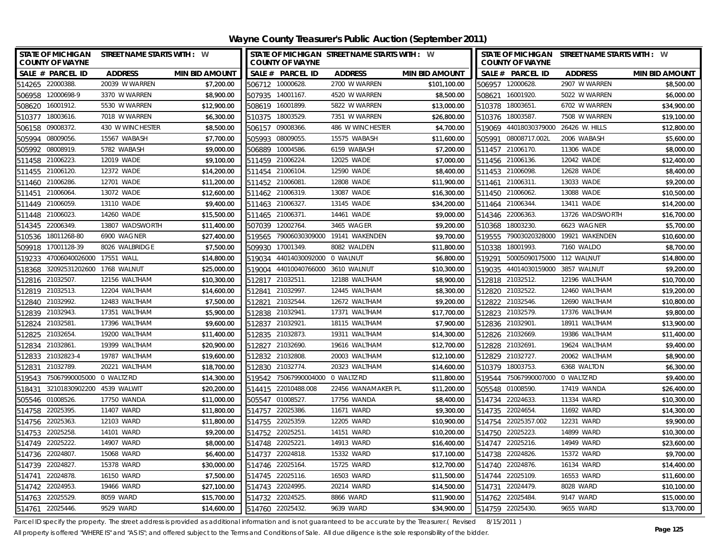| STATE OF MICHIGAN STREET NAME STARTS WITH : W<br><b>COUNTY OF WAYNE</b> |                  |                       |                     | <b>COUNTY OF WAYNE</b>            | STATE OF MICHIGAN STREET NAME STARTS WITH : W |                       |                  | <b>COUNTY OF WAYNE</b>               | STATE OF MICHIGAN STREET NAME STARTS WITH : W |                       |
|-------------------------------------------------------------------------|------------------|-----------------------|---------------------|-----------------------------------|-----------------------------------------------|-----------------------|------------------|--------------------------------------|-----------------------------------------------|-----------------------|
| SALE # PARCEL ID                                                        | <b>ADDRESS</b>   | <b>MIN BID AMOUNT</b> |                     | SALE # PARCEL ID                  | <b>ADDRESS</b>                                | <b>MIN BID AMOUNT</b> |                  | SALE # PARCEL ID                     | <b>ADDRESS</b>                                | <b>MIN BID AMOUNT</b> |
| 514265 22000388.                                                        | 20039 W WARREN   | \$7,200.00            | 506712 10000628     |                                   | 2700 W WARREN                                 | \$101,100.00          |                  | 506957 12000628.                     | 2907 W WARREN                                 | \$8,500.00            |
| 506958 12000698-9                                                       | 3370 W WARREN    | \$8,900.00            | 507935 14001167.    |                                   | 4520 W WARREN                                 | \$8,500.00            | 508621 16001920. |                                      | 5022 W WARREN                                 | \$6,000.00            |
| 508620 16001912.                                                        | 5530 W WARREN    | \$12,900.00           | 508619 16001899.    |                                   | 5822 W WARREN                                 | \$13,000.00           | 510378 18003651. |                                      | 6702 W WARREN                                 | \$34,900.00           |
| 510377 18003616.                                                        | 7018 W WARREN    | \$6,300.00            | 510375 18003529     |                                   | 7351 W WARREN                                 | \$26,800.00           | 510376 18003587. |                                      | 7508 W WARREN                                 | \$19,100.00           |
| 506158 09008372.                                                        | 430 W WINCHESTER | \$8,500.00            | 506157 09008366     |                                   | 486 W WINCHESTER                              | \$4,700.00            |                  | 519069 44018030379000 26426 W. HILLS |                                               | \$12,800.00           |
| 505994<br>08009056.                                                     | 15567 WABASH     | \$7,700.00            | 505993              | 08009055                          | 15575 WABASH                                  | \$11,600.00           |                  | 505991 08008717.002L                 | 2006 WABASH                                   | \$5,600.00            |
| 505992<br>08008919.                                                     | 5782 WABASH      | \$9,000.00            | 506889              | 10004586.                         | 6159 WABASH                                   | \$7,200.00            | 511457 21006170. |                                      | 11306 WADE                                    | \$8,000.00            |
| 511458 21006223.                                                        | 12019 WADE       | \$9,100.00            | 511459 21006224.    |                                   | 12025 WADE                                    | \$7,000.00            | 511456 21006136. |                                      | 12042 WADE                                    | \$12,400.00           |
| 511455 21006120.                                                        | 12372 WADE       | \$14,200.00           | 511454 21006104.    |                                   | 12590 WADE                                    | \$8,400.00            | 511453 21006098. |                                      | 12628 WADE                                    | \$8,400.00            |
| 511460 21006286                                                         | 12701 WADE       | \$11,200.00           | 511452 21006081.    |                                   | 12808 WADE                                    | \$11,900.00           | 511461 21006311. |                                      | 13033 WADE                                    | \$9,200.00            |
| 511451 21006064                                                         | 13072 WADE       | \$12,600.00           | 511462 21006319.    |                                   | 13087 WADE                                    | \$16,300.00           | 511450 21006062. |                                      | 13088 WADE                                    | \$10,500.00           |
| 511449 21006059.                                                        | 13110 WADE       | \$9,400.00            | 511463 21006327.    |                                   | 13145 WADE                                    | \$34,200.00           | 511464 21006344. |                                      | 13411 WADE                                    | \$14,200.00           |
| 21006023<br>511448                                                      | 14260 WADE       | \$15,500.00           | 511465 21006371.    |                                   | 14461 WADE                                    | \$9,000.00            | 514346 22006363. |                                      | 13726 WADSWORTH                               | \$16,700.00           |
| 22006349.<br>514345                                                     | 13807 WADSWORTH  | \$11,400.00           | 507039              | 12002764.                         | 3465 WAGER                                    | \$9,200.00            | 510368           | 18003230.                            | 6623 WAGNER                                   | \$5,700.00            |
| 18011268-80<br>510536                                                   | 6900 WAGNER      | \$27,400.00           | 519565              |                                   | 79006030309000 19141 WAKENDEN                 | \$9,700.00            | 519555           |                                      | 79003020328000 19921 WAKENDEN                 | \$10,600.00           |
| 509918 17001128-39                                                      | 8026 WALBRIDGE   | \$7,500.00            | 509930              | 17001349.                         | 8082 WALDEN                                   | \$11,800.00           | 510338 18001993. |                                      | 7160 WALDO                                    | \$8,700.00            |
| 47006040026000<br>519233                                                | 17551 WALL       | \$14,800.00           | 519034              | 44014030092000 0 WALNUT           |                                               | \$6,800.00            | 519291           | 50005090175000 112 WALNUT            |                                               | \$14,800.00           |
| 518368 32092531202600 1768 WALNUT                                       |                  | \$25,000.00           |                     | 519004 44010040766000 3610 WALNUT |                                               | \$10,300.00           | 519035           | 44014030159000                       | 3857 WALNUT                                   | \$9,200.00            |
| 512816 21032507.                                                        | 12156 WALTHAM    | \$10,300.00           | 512817 21032511.    |                                   | 12188 WALTHAM                                 | \$8,900.00            | 512818 21032512. |                                      | 12196 WALTHAM                                 | \$10,700.00           |
| 512819 21032513.                                                        | 12204 WALTHAM    | \$14,600.00           | 512841              | 21032997                          | 12445 WALTHAM                                 | \$8,300.00            | 512820 21032522. |                                      | 12460 WALTHAM                                 | \$19,200.00           |
| 21032992.<br>512840                                                     | 12483 WALTHAM    | \$7,500.00            | 512821              | 21032544                          | 12672 WALTHAM                                 | \$9,200.00            | 512822           | 21032546.                            | 12690 WALTHAM                                 | \$10,800.00           |
| 512839 21032943.                                                        | 17351 WALTHAM    | \$5,900.00            | 512838 21032941     |                                   | 17371 WALTHAM                                 | \$17,700.00           | 512823 21032579. |                                      | 17376 WALTHAM                                 | \$9,800.00            |
| 512824 21032581.                                                        | 17396 WALTHAM    | \$9,600.00            | 512837 21032921.    |                                   | 18115 WALTHAM                                 | \$7,900.00            | 512836 21032901. |                                      | 18911 WALTHAM                                 | \$13,900.00           |
| 512825 21032654                                                         | 19200 WALTHAM    | \$11,400.00           | 512835 21032873     |                                   | 19311 WALTHAM                                 | \$14,300.00           | 512826 21032669. |                                      | 19386 WALTHAM                                 | \$11,400.00           |
| 512834 21032861.                                                        | 19399 WALTHAM    | \$20,900.00           | 512827 21032690.    |                                   | 19616 WALTHAM                                 | \$12,700.00           | 512828 21032691. |                                      | 19624 WALTHAM                                 | \$9,400.00            |
| 512833 21032823-4                                                       | 19787 WALTHAM    | \$19,600.00           | 512832 21032808     |                                   | 20003 WALTHAM                                 | \$12,100.00           | 512829 21032727. |                                      | 20062 WALTHAM                                 | \$8,900.00            |
| 512831 21032789.                                                        | 20221 WALTHAM    | \$18,700.00           | 512830 21032774.    |                                   | 20323 WALTHAM                                 | \$14,600.00           | 510379 18003753. |                                      | 6368 WALTON                                   | \$6,300.00            |
| 519543 75067990005000 0 WALTZ RD                                        |                  | \$14,300.00           |                     | 519542 75067990004000 0 WALTZ RD  |                                               | \$11,800.00           |                  | 519544 75067990007000 0 WALTZ RD     |                                               | \$9,400.00            |
| 32101830902200 4539 WALWIT<br>518431                                    |                  | \$20,200.00           | 514415 22010488.008 |                                   | 22456 WANAMAKER PL                            | \$11,200.00           | 505548 01008590. |                                      | 17419 WANDA                                   | \$26,400.00           |
| 505546 01008526.                                                        | 17750 WANDA      | \$11,000.00           | 505547 01008527     |                                   | 17756 WANDA                                   | \$8,400.00            | 514734 22024633. |                                      | 11334 WARD                                    | \$10,300.00           |
| 514758 22025395                                                         | 11407 WARD       | \$11,800.00           | 514757 22025386.    |                                   | 11671 WARD                                    | \$9,300.00            | 514735 22024654. |                                      | 11692 WARD                                    | \$14,300.00           |
| 514756 22025363.                                                        | 12103 WARD       | \$11,800.00           | 514755 22025359     |                                   | 12205 WARD                                    | \$10,900.00           |                  | 514754 22025357.002                  | 12231 WARD                                    | \$9,900.00            |
| 514753<br>22025258                                                      | 14101 WARD       | \$9,200.00            | 514752 22025251     |                                   | 14151 WARD                                    | \$10,200.00           | 514750 22025223. |                                      | 14899 WARD                                    | \$10,300.00           |
| 514749 22025222.                                                        | 14907 WARD       | \$8,000.00            | 514748 22025221     |                                   | 14913 WARD                                    | \$16,400.00           | 514747 22025216. |                                      | 14949 WARD                                    | \$23,600.00           |
| 514736 22024807.                                                        | 15068 WARD       | \$6,400.00            | 514737 22024818     |                                   | 15332 WARD                                    | \$17,100.00           | 514738 22024826. |                                      | 15372 WARD                                    | \$9,700.00            |
| 514739 22024827                                                         | 15378 WARD       | \$30,000.00           | 514746 22025164     |                                   | 15725 WARD                                    | \$12,700.00           | 514740 22024876. |                                      | 16134 WARD                                    | \$14,400.00           |
| 22024878.<br>514741                                                     | 16150 WARD       | \$7,500.00            | 514745 22025116.    |                                   | 16503 WARD                                    | \$11,500.00           | 514744 22025109. |                                      | 16553 WARD                                    | \$11,600.00           |
| 514742 22024953.                                                        | 19466 WARD       | \$27,100.00           | 514743 22024995.    |                                   | 20214 WARD                                    | \$14,500.00           | 514731 22024479. |                                      | 8028 WARD                                     | \$10,100.00           |
| 514763 22025529                                                         | 8059 WARD        | \$15,700.00           | 514732 22024525.    |                                   | 8866 WARD                                     | \$11,900.00           | 514762 22025484. |                                      | 9147 WARD                                     | \$15,000.00           |
| 514761 22025446.                                                        | 9529 WARD        | \$14,600.00           | 514760 22025432.    |                                   | 9639 WARD                                     | \$34,900.00           | 514759 22025430. |                                      | 9655 WARD                                     | \$13,700.00           |

Parcel ID specify the property. The street address is provided as additional information and is not guaranteed to be accurate by the Treasurer.( Revised 8/15/2011 )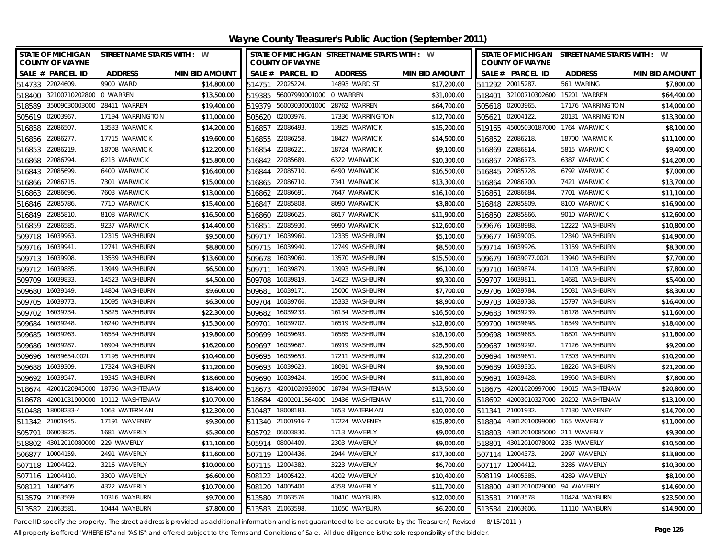| SALE # PARCEL ID<br><b>MIN BID AMOUNT</b><br>SALE # PARCEL ID<br>SALE # PARCEL ID<br><b>ADDRESS</b><br><b>MIN BID AMOUNT</b><br><b>ADDRESS</b><br><b>ADDRESS</b><br><b>MIN BID AMOUNT</b><br>514733 22024609.<br>9900 WARD<br>\$14,800.00<br>514751 22025224.<br>14893 WARD ST<br>\$17,200.00<br>511292 20015287.<br>561 WARING<br>518400 32100710202800 0 WARREN<br>\$13,500.00<br>519385 56007990001000 0 WARREN<br>\$31,000.00<br>518401 32100710302600<br>15201 WARREN<br>518589 35009030003000 28411 WARREN<br>\$19,400.00<br>519379 56003030001000 28762 WARREN<br>\$64,700.00<br>505618 02003965.<br>17176 WARRINGTON<br>505619 02003967.<br>17194 WARRINGTON<br>\$11,000.00<br>505620 02003976.<br>17336 WARRINGTON<br>\$12,700.00<br>505621 02004122.<br>20131 WARRINGTON<br>\$14,200.00<br>519165 45005030187000 1764 WARWICK<br>516858 22086507.<br>13533 WARWICK<br>516857 22086493.<br>13925 WARWICK<br>\$15,200.00<br>516856 22086277.<br>17715 WARWICK<br>\$19,600.00<br>18427 WARWICK<br>18700 WARWICK<br>516855 22086258.<br>\$14,500.00<br>516852 22086218.<br>18708 WARWICK<br>\$12,200.00<br>18724 WARWICK<br>5815 WARWICK<br>516853<br>22086219.<br>516854 22086221<br>\$9,100.00<br>516869 22086814.<br>516868 22086794.<br>6213 WARWICK<br>\$15,800.00<br>516842 22085689.<br>6322 WARWICK<br>\$10,300.00<br>516867 22086773.<br>6387 WARWICK<br>22085699<br>6400 WARWICK<br>\$16,400.00<br>516844 22085710.<br>6490 WARWICK<br>\$16,500.00<br>516845 22085728.<br>6792 WARWICK<br>516843<br>22086715<br>7301 WARWICK<br>\$15,000.00<br>516865 22086710.<br>7341 WARWICK<br>\$13,300.00<br>516864 22086700.<br>7421 WARWICK<br>516866<br>22086696<br>7603 WARWICK<br>\$13,000.00<br>516862 22086691.<br>7647 WARWICK<br>\$16,100.00<br>516861 22086684.<br>7701 WARWICK<br>516863<br>516846 22085786.<br>7710 WARWICK<br>516847 22085808.<br>8090 WARWICK<br>516848 22085809.<br>8100 WARWICK<br>\$15,400.00<br>\$3,800.00<br>9010 WARWICK<br>22085810<br>8108 WARWICK<br>\$16,500.00<br>8617 WARWICK<br>\$11,900.00<br>516850 22085866.<br>516849<br>22086625<br>516860<br>22086585<br>9237 WARWICK<br>\$14,400.00<br>22085930<br>9990 WARWICK<br>\$12,600.00<br>16038988.<br>12222 WASHBURN<br>516859<br>516851<br>509676<br>16039963<br>12315 WASHBURN<br>\$9,500.00<br>12335 WASHBURN<br>509718<br>509717<br>16039960<br>\$5,100.00<br>509677 16039005.<br>12340 WASHBURN<br>509716 16039941<br>12741 WASHBURN<br>\$8,800.00<br>\$8,500.00<br>509714 16039926.<br>16039940.<br>12749 WASHBURN<br>13159 WASHBURN<br>509715<br>16039908.<br>13539 WASHBURN<br>\$13,600.00<br>13570 WASHBURN<br>\$15,500.00<br>16039077.002L<br>13940 WASHBURN<br>16039060<br>509679<br>509713<br>509678<br>16039885.<br>13949 WASHBURN<br>\$6,500.00<br>509711<br>16039879<br>13993 WASHBURN<br>\$6,100.00<br>16039874.<br>14103 WASHBURN<br>509710<br>509712<br>16039833.<br>\$4,500.00<br>\$9,300.00<br>16039811.<br>14523 WASHBURN<br>509708<br>16039819<br>14623 WASHBURN<br>509707<br>14681 WASHBURN<br>509709<br>16039149.<br>14804 WASHBURN<br>\$9,600.00<br>15000 WASHBURN<br>\$7,700.00<br>15031 WASHBURN<br>509681<br>16039171<br>509706<br>16039784.<br>509680<br>16039773.<br>15095 WASHBURN<br>\$6,300.00<br>16039766<br>15333 WASHBURN<br>\$8,900.00<br>16039738.<br>15797 WASHBURN<br>509705<br>509704<br>509703 | STATE OF MICHIGAN STREET NAME STARTS WITH : W |
|------------------------------------------------------------------------------------------------------------------------------------------------------------------------------------------------------------------------------------------------------------------------------------------------------------------------------------------------------------------------------------------------------------------------------------------------------------------------------------------------------------------------------------------------------------------------------------------------------------------------------------------------------------------------------------------------------------------------------------------------------------------------------------------------------------------------------------------------------------------------------------------------------------------------------------------------------------------------------------------------------------------------------------------------------------------------------------------------------------------------------------------------------------------------------------------------------------------------------------------------------------------------------------------------------------------------------------------------------------------------------------------------------------------------------------------------------------------------------------------------------------------------------------------------------------------------------------------------------------------------------------------------------------------------------------------------------------------------------------------------------------------------------------------------------------------------------------------------------------------------------------------------------------------------------------------------------------------------------------------------------------------------------------------------------------------------------------------------------------------------------------------------------------------------------------------------------------------------------------------------------------------------------------------------------------------------------------------------------------------------------------------------------------------------------------------------------------------------------------------------------------------------------------------------------------------------------------------------------------------------------------------------------------------------------------------------------------------------------------------------------------------------------------------------------------------------------------------------------------------------------------------------------------------------------------------------------------------------------------------------------------------------------------------------------------------------------------------------------------------------------------------------------------------------------------------------------------------------------------------------------------------------------------------------------------------------------------------|-----------------------------------------------|
|                                                                                                                                                                                                                                                                                                                                                                                                                                                                                                                                                                                                                                                                                                                                                                                                                                                                                                                                                                                                                                                                                                                                                                                                                                                                                                                                                                                                                                                                                                                                                                                                                                                                                                                                                                                                                                                                                                                                                                                                                                                                                                                                                                                                                                                                                                                                                                                                                                                                                                                                                                                                                                                                                                                                                                                                                                                                                                                                                                                                                                                                                                                                                                                                                                                                                                                                          |                                               |
|                                                                                                                                                                                                                                                                                                                                                                                                                                                                                                                                                                                                                                                                                                                                                                                                                                                                                                                                                                                                                                                                                                                                                                                                                                                                                                                                                                                                                                                                                                                                                                                                                                                                                                                                                                                                                                                                                                                                                                                                                                                                                                                                                                                                                                                                                                                                                                                                                                                                                                                                                                                                                                                                                                                                                                                                                                                                                                                                                                                                                                                                                                                                                                                                                                                                                                                                          | \$7,800.00                                    |
|                                                                                                                                                                                                                                                                                                                                                                                                                                                                                                                                                                                                                                                                                                                                                                                                                                                                                                                                                                                                                                                                                                                                                                                                                                                                                                                                                                                                                                                                                                                                                                                                                                                                                                                                                                                                                                                                                                                                                                                                                                                                                                                                                                                                                                                                                                                                                                                                                                                                                                                                                                                                                                                                                                                                                                                                                                                                                                                                                                                                                                                                                                                                                                                                                                                                                                                                          | \$64,400.00                                   |
|                                                                                                                                                                                                                                                                                                                                                                                                                                                                                                                                                                                                                                                                                                                                                                                                                                                                                                                                                                                                                                                                                                                                                                                                                                                                                                                                                                                                                                                                                                                                                                                                                                                                                                                                                                                                                                                                                                                                                                                                                                                                                                                                                                                                                                                                                                                                                                                                                                                                                                                                                                                                                                                                                                                                                                                                                                                                                                                                                                                                                                                                                                                                                                                                                                                                                                                                          | \$14,000.00                                   |
|                                                                                                                                                                                                                                                                                                                                                                                                                                                                                                                                                                                                                                                                                                                                                                                                                                                                                                                                                                                                                                                                                                                                                                                                                                                                                                                                                                                                                                                                                                                                                                                                                                                                                                                                                                                                                                                                                                                                                                                                                                                                                                                                                                                                                                                                                                                                                                                                                                                                                                                                                                                                                                                                                                                                                                                                                                                                                                                                                                                                                                                                                                                                                                                                                                                                                                                                          | \$13,300.00                                   |
|                                                                                                                                                                                                                                                                                                                                                                                                                                                                                                                                                                                                                                                                                                                                                                                                                                                                                                                                                                                                                                                                                                                                                                                                                                                                                                                                                                                                                                                                                                                                                                                                                                                                                                                                                                                                                                                                                                                                                                                                                                                                                                                                                                                                                                                                                                                                                                                                                                                                                                                                                                                                                                                                                                                                                                                                                                                                                                                                                                                                                                                                                                                                                                                                                                                                                                                                          | \$8,100.00                                    |
|                                                                                                                                                                                                                                                                                                                                                                                                                                                                                                                                                                                                                                                                                                                                                                                                                                                                                                                                                                                                                                                                                                                                                                                                                                                                                                                                                                                                                                                                                                                                                                                                                                                                                                                                                                                                                                                                                                                                                                                                                                                                                                                                                                                                                                                                                                                                                                                                                                                                                                                                                                                                                                                                                                                                                                                                                                                                                                                                                                                                                                                                                                                                                                                                                                                                                                                                          | \$11,100.00                                   |
|                                                                                                                                                                                                                                                                                                                                                                                                                                                                                                                                                                                                                                                                                                                                                                                                                                                                                                                                                                                                                                                                                                                                                                                                                                                                                                                                                                                                                                                                                                                                                                                                                                                                                                                                                                                                                                                                                                                                                                                                                                                                                                                                                                                                                                                                                                                                                                                                                                                                                                                                                                                                                                                                                                                                                                                                                                                                                                                                                                                                                                                                                                                                                                                                                                                                                                                                          | \$9,400.00                                    |
|                                                                                                                                                                                                                                                                                                                                                                                                                                                                                                                                                                                                                                                                                                                                                                                                                                                                                                                                                                                                                                                                                                                                                                                                                                                                                                                                                                                                                                                                                                                                                                                                                                                                                                                                                                                                                                                                                                                                                                                                                                                                                                                                                                                                                                                                                                                                                                                                                                                                                                                                                                                                                                                                                                                                                                                                                                                                                                                                                                                                                                                                                                                                                                                                                                                                                                                                          | \$14,200.00                                   |
|                                                                                                                                                                                                                                                                                                                                                                                                                                                                                                                                                                                                                                                                                                                                                                                                                                                                                                                                                                                                                                                                                                                                                                                                                                                                                                                                                                                                                                                                                                                                                                                                                                                                                                                                                                                                                                                                                                                                                                                                                                                                                                                                                                                                                                                                                                                                                                                                                                                                                                                                                                                                                                                                                                                                                                                                                                                                                                                                                                                                                                                                                                                                                                                                                                                                                                                                          | \$7,000.00                                    |
|                                                                                                                                                                                                                                                                                                                                                                                                                                                                                                                                                                                                                                                                                                                                                                                                                                                                                                                                                                                                                                                                                                                                                                                                                                                                                                                                                                                                                                                                                                                                                                                                                                                                                                                                                                                                                                                                                                                                                                                                                                                                                                                                                                                                                                                                                                                                                                                                                                                                                                                                                                                                                                                                                                                                                                                                                                                                                                                                                                                                                                                                                                                                                                                                                                                                                                                                          | \$13,700.00                                   |
|                                                                                                                                                                                                                                                                                                                                                                                                                                                                                                                                                                                                                                                                                                                                                                                                                                                                                                                                                                                                                                                                                                                                                                                                                                                                                                                                                                                                                                                                                                                                                                                                                                                                                                                                                                                                                                                                                                                                                                                                                                                                                                                                                                                                                                                                                                                                                                                                                                                                                                                                                                                                                                                                                                                                                                                                                                                                                                                                                                                                                                                                                                                                                                                                                                                                                                                                          | \$11,100.00                                   |
|                                                                                                                                                                                                                                                                                                                                                                                                                                                                                                                                                                                                                                                                                                                                                                                                                                                                                                                                                                                                                                                                                                                                                                                                                                                                                                                                                                                                                                                                                                                                                                                                                                                                                                                                                                                                                                                                                                                                                                                                                                                                                                                                                                                                                                                                                                                                                                                                                                                                                                                                                                                                                                                                                                                                                                                                                                                                                                                                                                                                                                                                                                                                                                                                                                                                                                                                          | \$16,900.00                                   |
|                                                                                                                                                                                                                                                                                                                                                                                                                                                                                                                                                                                                                                                                                                                                                                                                                                                                                                                                                                                                                                                                                                                                                                                                                                                                                                                                                                                                                                                                                                                                                                                                                                                                                                                                                                                                                                                                                                                                                                                                                                                                                                                                                                                                                                                                                                                                                                                                                                                                                                                                                                                                                                                                                                                                                                                                                                                                                                                                                                                                                                                                                                                                                                                                                                                                                                                                          | \$12,600.00                                   |
|                                                                                                                                                                                                                                                                                                                                                                                                                                                                                                                                                                                                                                                                                                                                                                                                                                                                                                                                                                                                                                                                                                                                                                                                                                                                                                                                                                                                                                                                                                                                                                                                                                                                                                                                                                                                                                                                                                                                                                                                                                                                                                                                                                                                                                                                                                                                                                                                                                                                                                                                                                                                                                                                                                                                                                                                                                                                                                                                                                                                                                                                                                                                                                                                                                                                                                                                          | \$10,800.00                                   |
|                                                                                                                                                                                                                                                                                                                                                                                                                                                                                                                                                                                                                                                                                                                                                                                                                                                                                                                                                                                                                                                                                                                                                                                                                                                                                                                                                                                                                                                                                                                                                                                                                                                                                                                                                                                                                                                                                                                                                                                                                                                                                                                                                                                                                                                                                                                                                                                                                                                                                                                                                                                                                                                                                                                                                                                                                                                                                                                                                                                                                                                                                                                                                                                                                                                                                                                                          | \$14,900.00                                   |
|                                                                                                                                                                                                                                                                                                                                                                                                                                                                                                                                                                                                                                                                                                                                                                                                                                                                                                                                                                                                                                                                                                                                                                                                                                                                                                                                                                                                                                                                                                                                                                                                                                                                                                                                                                                                                                                                                                                                                                                                                                                                                                                                                                                                                                                                                                                                                                                                                                                                                                                                                                                                                                                                                                                                                                                                                                                                                                                                                                                                                                                                                                                                                                                                                                                                                                                                          | \$8,300.00                                    |
|                                                                                                                                                                                                                                                                                                                                                                                                                                                                                                                                                                                                                                                                                                                                                                                                                                                                                                                                                                                                                                                                                                                                                                                                                                                                                                                                                                                                                                                                                                                                                                                                                                                                                                                                                                                                                                                                                                                                                                                                                                                                                                                                                                                                                                                                                                                                                                                                                                                                                                                                                                                                                                                                                                                                                                                                                                                                                                                                                                                                                                                                                                                                                                                                                                                                                                                                          | \$7,700.00                                    |
|                                                                                                                                                                                                                                                                                                                                                                                                                                                                                                                                                                                                                                                                                                                                                                                                                                                                                                                                                                                                                                                                                                                                                                                                                                                                                                                                                                                                                                                                                                                                                                                                                                                                                                                                                                                                                                                                                                                                                                                                                                                                                                                                                                                                                                                                                                                                                                                                                                                                                                                                                                                                                                                                                                                                                                                                                                                                                                                                                                                                                                                                                                                                                                                                                                                                                                                                          | \$7,800.00                                    |
|                                                                                                                                                                                                                                                                                                                                                                                                                                                                                                                                                                                                                                                                                                                                                                                                                                                                                                                                                                                                                                                                                                                                                                                                                                                                                                                                                                                                                                                                                                                                                                                                                                                                                                                                                                                                                                                                                                                                                                                                                                                                                                                                                                                                                                                                                                                                                                                                                                                                                                                                                                                                                                                                                                                                                                                                                                                                                                                                                                                                                                                                                                                                                                                                                                                                                                                                          | \$5,400.00                                    |
|                                                                                                                                                                                                                                                                                                                                                                                                                                                                                                                                                                                                                                                                                                                                                                                                                                                                                                                                                                                                                                                                                                                                                                                                                                                                                                                                                                                                                                                                                                                                                                                                                                                                                                                                                                                                                                                                                                                                                                                                                                                                                                                                                                                                                                                                                                                                                                                                                                                                                                                                                                                                                                                                                                                                                                                                                                                                                                                                                                                                                                                                                                                                                                                                                                                                                                                                          | \$8,300.00                                    |
|                                                                                                                                                                                                                                                                                                                                                                                                                                                                                                                                                                                                                                                                                                                                                                                                                                                                                                                                                                                                                                                                                                                                                                                                                                                                                                                                                                                                                                                                                                                                                                                                                                                                                                                                                                                                                                                                                                                                                                                                                                                                                                                                                                                                                                                                                                                                                                                                                                                                                                                                                                                                                                                                                                                                                                                                                                                                                                                                                                                                                                                                                                                                                                                                                                                                                                                                          | \$16,400.00                                   |
| 16039734.<br>15825 WASHBURN<br>\$22,300.00<br>16039233<br>16134 WASHBURN<br>\$16,500.00<br>16039239.<br>16178 WASHBURN<br>509702<br>509682<br>509683                                                                                                                                                                                                                                                                                                                                                                                                                                                                                                                                                                                                                                                                                                                                                                                                                                                                                                                                                                                                                                                                                                                                                                                                                                                                                                                                                                                                                                                                                                                                                                                                                                                                                                                                                                                                                                                                                                                                                                                                                                                                                                                                                                                                                                                                                                                                                                                                                                                                                                                                                                                                                                                                                                                                                                                                                                                                                                                                                                                                                                                                                                                                                                                     | \$11,600.00                                   |
| 16039248<br>16240 WASHBURN<br>\$15,300.00<br>16039702<br>16519 WASHBURN<br>\$12,800.00<br>16039698.<br>16549 WASHBURN<br>509701<br>509700<br>509684                                                                                                                                                                                                                                                                                                                                                                                                                                                                                                                                                                                                                                                                                                                                                                                                                                                                                                                                                                                                                                                                                                                                                                                                                                                                                                                                                                                                                                                                                                                                                                                                                                                                                                                                                                                                                                                                                                                                                                                                                                                                                                                                                                                                                                                                                                                                                                                                                                                                                                                                                                                                                                                                                                                                                                                                                                                                                                                                                                                                                                                                                                                                                                                      | \$18,400.00                                   |
| 16039263.<br>16584 WASHBURN<br>\$19,800.00<br>509699<br>16039693<br>16585 WASHBURN<br>\$18,100.00<br>509698<br>16039683.<br>16801 WASHBURN<br>509685                                                                                                                                                                                                                                                                                                                                                                                                                                                                                                                                                                                                                                                                                                                                                                                                                                                                                                                                                                                                                                                                                                                                                                                                                                                                                                                                                                                                                                                                                                                                                                                                                                                                                                                                                                                                                                                                                                                                                                                                                                                                                                                                                                                                                                                                                                                                                                                                                                                                                                                                                                                                                                                                                                                                                                                                                                                                                                                                                                                                                                                                                                                                                                                     | \$11,800.00                                   |
| \$16,200.00<br>16039287.<br>16904 WASHBURN<br>509697<br>16039667<br>16919 WASHBURN<br>\$25,500.00<br>509687<br>16039292.<br>17126 WASHBURN<br>509686                                                                                                                                                                                                                                                                                                                                                                                                                                                                                                                                                                                                                                                                                                                                                                                                                                                                                                                                                                                                                                                                                                                                                                                                                                                                                                                                                                                                                                                                                                                                                                                                                                                                                                                                                                                                                                                                                                                                                                                                                                                                                                                                                                                                                                                                                                                                                                                                                                                                                                                                                                                                                                                                                                                                                                                                                                                                                                                                                                                                                                                                                                                                                                                     | \$9,200.00                                    |
| \$10,400.00<br>\$12,200.00<br>509696 16039654.002L<br>17195 WASHBURN<br>509695<br>16039653<br>17211 WASHBURN<br>509694<br>16039651<br>17303 WASHBURN                                                                                                                                                                                                                                                                                                                                                                                                                                                                                                                                                                                                                                                                                                                                                                                                                                                                                                                                                                                                                                                                                                                                                                                                                                                                                                                                                                                                                                                                                                                                                                                                                                                                                                                                                                                                                                                                                                                                                                                                                                                                                                                                                                                                                                                                                                                                                                                                                                                                                                                                                                                                                                                                                                                                                                                                                                                                                                                                                                                                                                                                                                                                                                                     | \$10,200.00                                   |
| 17324 WASHBURN<br>\$11,200.00<br>509693 16039623<br>\$9,500.00<br>509689 16039335.<br>509688<br>16039309.<br>18091 WASHBURN<br>18226 WASHBURN                                                                                                                                                                                                                                                                                                                                                                                                                                                                                                                                                                                                                                                                                                                                                                                                                                                                                                                                                                                                                                                                                                                                                                                                                                                                                                                                                                                                                                                                                                                                                                                                                                                                                                                                                                                                                                                                                                                                                                                                                                                                                                                                                                                                                                                                                                                                                                                                                                                                                                                                                                                                                                                                                                                                                                                                                                                                                                                                                                                                                                                                                                                                                                                            | \$21,200.00                                   |
| \$18,600.00<br>509692 16039547.<br>19345 WASHBURN<br>509690 16039424<br>19506 WASHBURN<br>\$11,800.00<br>509691 16039428.<br>19950 WASHBURN                                                                                                                                                                                                                                                                                                                                                                                                                                                                                                                                                                                                                                                                                                                                                                                                                                                                                                                                                                                                                                                                                                                                                                                                                                                                                                                                                                                                                                                                                                                                                                                                                                                                                                                                                                                                                                                                                                                                                                                                                                                                                                                                                                                                                                                                                                                                                                                                                                                                                                                                                                                                                                                                                                                                                                                                                                                                                                                                                                                                                                                                                                                                                                                              | \$7,800.00                                    |
| 42001020945000 18736 WASHTENAW<br>\$18,400.00<br>42001020939000<br>\$13,500.00<br>42001020997000<br>518673<br>18784 WASHTENAW<br>518675<br>19015 WASHTENAW<br>518674                                                                                                                                                                                                                                                                                                                                                                                                                                                                                                                                                                                                                                                                                                                                                                                                                                                                                                                                                                                                                                                                                                                                                                                                                                                                                                                                                                                                                                                                                                                                                                                                                                                                                                                                                                                                                                                                                                                                                                                                                                                                                                                                                                                                                                                                                                                                                                                                                                                                                                                                                                                                                                                                                                                                                                                                                                                                                                                                                                                                                                                                                                                                                                     | \$20,800.00                                   |
| \$10,700.00<br>518678<br>42001031900000 19112 WASHTENAW<br>518684<br>42002011564000 19436 WASHTENAW<br>\$11,700.00<br>518692 42003010327000<br>20202 WASHTENAW                                                                                                                                                                                                                                                                                                                                                                                                                                                                                                                                                                                                                                                                                                                                                                                                                                                                                                                                                                                                                                                                                                                                                                                                                                                                                                                                                                                                                                                                                                                                                                                                                                                                                                                                                                                                                                                                                                                                                                                                                                                                                                                                                                                                                                                                                                                                                                                                                                                                                                                                                                                                                                                                                                                                                                                                                                                                                                                                                                                                                                                                                                                                                                           | \$13,100.00                                   |
| \$12,300.00<br>\$10,000.00<br>510488 18008233-4<br>1063 WATERMAN<br>510487 18008183.<br>1653 WATERMAN<br>511341 21001932.<br>17130 WAVENEY                                                                                                                                                                                                                                                                                                                                                                                                                                                                                                                                                                                                                                                                                                                                                                                                                                                                                                                                                                                                                                                                                                                                                                                                                                                                                                                                                                                                                                                                                                                                                                                                                                                                                                                                                                                                                                                                                                                                                                                                                                                                                                                                                                                                                                                                                                                                                                                                                                                                                                                                                                                                                                                                                                                                                                                                                                                                                                                                                                                                                                                                                                                                                                                               | \$14,700.00                                   |
| \$9,300.00<br>511342 21001945.<br>17191 WAVENEY<br>511340 21001916-7<br>17224 WAVENEY<br>\$15,800.00<br>518804 43012010099000 165 WAVERLY                                                                                                                                                                                                                                                                                                                                                                                                                                                                                                                                                                                                                                                                                                                                                                                                                                                                                                                                                                                                                                                                                                                                                                                                                                                                                                                                                                                                                                                                                                                                                                                                                                                                                                                                                                                                                                                                                                                                                                                                                                                                                                                                                                                                                                                                                                                                                                                                                                                                                                                                                                                                                                                                                                                                                                                                                                                                                                                                                                                                                                                                                                                                                                                                | \$11,000.00                                   |
| 505791<br>06003825<br>1681 WAVERLY<br>\$5,300.00<br>505792 06003830<br>1713 WAVERLY<br>\$9,000.00<br>43012010085000 211 WAVERLY<br>518803                                                                                                                                                                                                                                                                                                                                                                                                                                                                                                                                                                                                                                                                                                                                                                                                                                                                                                                                                                                                                                                                                                                                                                                                                                                                                                                                                                                                                                                                                                                                                                                                                                                                                                                                                                                                                                                                                                                                                                                                                                                                                                                                                                                                                                                                                                                                                                                                                                                                                                                                                                                                                                                                                                                                                                                                                                                                                                                                                                                                                                                                                                                                                                                                | \$9,300.00                                    |
| 518802 43012010080000 229 WAVERLY<br>\$11,100.00<br>505914 08004409<br>2303 WAVERLY<br>\$9,000.00<br>518801 43012010078002 235 WAVERLY                                                                                                                                                                                                                                                                                                                                                                                                                                                                                                                                                                                                                                                                                                                                                                                                                                                                                                                                                                                                                                                                                                                                                                                                                                                                                                                                                                                                                                                                                                                                                                                                                                                                                                                                                                                                                                                                                                                                                                                                                                                                                                                                                                                                                                                                                                                                                                                                                                                                                                                                                                                                                                                                                                                                                                                                                                                                                                                                                                                                                                                                                                                                                                                                   | \$10,500.00                                   |
| 10004159<br>2491 WAVERLY<br>\$11,600.00<br>\$17,300.00<br>507114 12004373.<br>507119 12004436<br>2944 WAVERLY<br>2997 WAVERLY<br>506877                                                                                                                                                                                                                                                                                                                                                                                                                                                                                                                                                                                                                                                                                                                                                                                                                                                                                                                                                                                                                                                                                                                                                                                                                                                                                                                                                                                                                                                                                                                                                                                                                                                                                                                                                                                                                                                                                                                                                                                                                                                                                                                                                                                                                                                                                                                                                                                                                                                                                                                                                                                                                                                                                                                                                                                                                                                                                                                                                                                                                                                                                                                                                                                                  | \$13,800.00                                   |
| 3216 WAVERLY<br>\$10,000.00<br>3223 WAVERLY<br>\$6,700.00<br>3286 WAVERLY<br>507118<br>12004422.<br>507115 12004382<br>507117 12004412.                                                                                                                                                                                                                                                                                                                                                                                                                                                                                                                                                                                                                                                                                                                                                                                                                                                                                                                                                                                                                                                                                                                                                                                                                                                                                                                                                                                                                                                                                                                                                                                                                                                                                                                                                                                                                                                                                                                                                                                                                                                                                                                                                                                                                                                                                                                                                                                                                                                                                                                                                                                                                                                                                                                                                                                                                                                                                                                                                                                                                                                                                                                                                                                                  | \$10,300.00                                   |
| \$6,600.00<br>507116 12004410.<br>3300 WAVERLY<br>508122 14005422.<br>4202 WAVERLY<br>\$10,400.00<br>14005385.<br>4289 WAVERLY<br>508119                                                                                                                                                                                                                                                                                                                                                                                                                                                                                                                                                                                                                                                                                                                                                                                                                                                                                                                                                                                                                                                                                                                                                                                                                                                                                                                                                                                                                                                                                                                                                                                                                                                                                                                                                                                                                                                                                                                                                                                                                                                                                                                                                                                                                                                                                                                                                                                                                                                                                                                                                                                                                                                                                                                                                                                                                                                                                                                                                                                                                                                                                                                                                                                                 | \$8,100.00                                    |
| 4322 WAVERLY<br>\$10,700.00<br>4358 WAVERLY<br>\$11,700.00<br>518800 43012010029000 94 WAVERLY<br>14005405<br>508120<br>14005400.<br>508121                                                                                                                                                                                                                                                                                                                                                                                                                                                                                                                                                                                                                                                                                                                                                                                                                                                                                                                                                                                                                                                                                                                                                                                                                                                                                                                                                                                                                                                                                                                                                                                                                                                                                                                                                                                                                                                                                                                                                                                                                                                                                                                                                                                                                                                                                                                                                                                                                                                                                                                                                                                                                                                                                                                                                                                                                                                                                                                                                                                                                                                                                                                                                                                              | \$14,600.00                                   |
| 513579 21063569.<br>\$9,700.00<br>\$12,000.00<br>10316 WAYBURN<br>513580 21063576.<br>10410 WAYBURN<br>513581 21063578.<br>10424 WAYBURN                                                                                                                                                                                                                                                                                                                                                                                                                                                                                                                                                                                                                                                                                                                                                                                                                                                                                                                                                                                                                                                                                                                                                                                                                                                                                                                                                                                                                                                                                                                                                                                                                                                                                                                                                                                                                                                                                                                                                                                                                                                                                                                                                                                                                                                                                                                                                                                                                                                                                                                                                                                                                                                                                                                                                                                                                                                                                                                                                                                                                                                                                                                                                                                                 | \$23,500.00                                   |
| \$7,800.00<br>\$6,200.00<br>513582 21063581<br>513583 21063598.<br>513584 21063606.<br>11110 WAYBURN<br>10444 WAYBURN<br>11050 WAYBURN                                                                                                                                                                                                                                                                                                                                                                                                                                                                                                                                                                                                                                                                                                                                                                                                                                                                                                                                                                                                                                                                                                                                                                                                                                                                                                                                                                                                                                                                                                                                                                                                                                                                                                                                                                                                                                                                                                                                                                                                                                                                                                                                                                                                                                                                                                                                                                                                                                                                                                                                                                                                                                                                                                                                                                                                                                                                                                                                                                                                                                                                                                                                                                                                   | \$14,900.00                                   |

Parcel ID specify the property. The street address is provided as additional information and is not guaranteed to be accurate by the Treasurer.( Revised 8/15/2011 )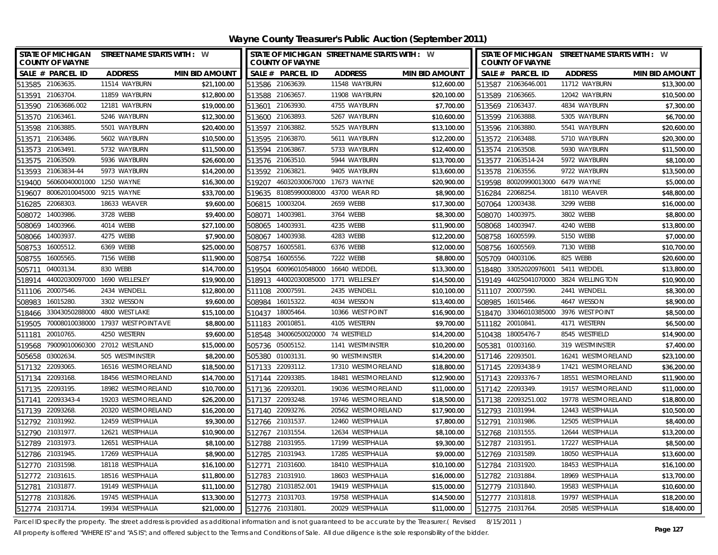| STATE OF MICHIGAN STREET NAME STARTS WITH : W<br><b>COUNTY OF WAYNE</b> |                                     |                       |                  | <b>COUNTY OF WAYNE</b>             | STATE OF MICHIGAN STREET NAME STARTS WITH : W |                       |        | <b>COUNTY OF WAYNE</b>           | STATE OF MICHIGAN STREET NAME STARTS WITH : W |                       |
|-------------------------------------------------------------------------|-------------------------------------|-----------------------|------------------|------------------------------------|-----------------------------------------------|-----------------------|--------|----------------------------------|-----------------------------------------------|-----------------------|
| SALE # PARCEL ID                                                        | <b>ADDRESS</b>                      | <b>MIN BID AMOUNT</b> |                  | SALE # PARCEL ID                   | <b>ADDRESS</b>                                | <b>MIN BID AMOUNT</b> |        | SALE # PARCEL ID                 | <b>ADDRESS</b>                                | <b>MIN BID AMOUNT</b> |
| 513585 21063635.                                                        | 11514 WAYBURN                       | \$21,100.00           |                  | 513586 21063639.                   | 11548 WAYBURN                                 | \$12,600.00           |        | 513587 21063646.001              | 11712 WAYBURN                                 | \$13,300.00           |
| 513591 21063704                                                         | 11859 WAYBURN                       | \$12,800.00           |                  | 513588 21063657.                   | 11908 WAYBURN                                 | \$20,100.00           |        | 513589 21063665.                 | 12042 WAYBURN                                 | \$10,500.00           |
| 513590 21063686.002                                                     | 12181 WAYBURN                       | \$19,000.00           |                  | 513601 21063930.                   | 4755 WAYBURN                                  | \$7,700.00            |        | 513569 21063437.                 | 4834 WAYBURN                                  | \$7,300.00            |
| 513570 21063461.                                                        | 5246 WAYBURN                        | \$12,300.00           | 513600 21063893  |                                    | 5267 WAYBURN                                  | \$10,600.00           |        | 513599 21063888.                 | 5305 WAYBURN                                  | \$6,700.00            |
| 513598 21063885.                                                        | 5501 WAYBURN                        | \$20,400.00           | 513597 21063882  |                                    | 5525 WAYBURN                                  | \$13,100.00           |        | 513596 21063880.                 | 5541 WAYBURN                                  | \$20,600.00           |
| 21063486<br>513571                                                      | 5602 WAYBURN                        | \$10,500.00           | 513595 21063870  |                                    | 5611 WAYBURN                                  | \$12,200.00           |        | 513572 21063488.                 | 5710 WAYBURN                                  | \$20,300.00           |
| 513573 21063491.                                                        | 5732 WAYBURN                        | \$11,500.00           | 513594 21063867  |                                    | 5733 WAYBURN                                  | \$12,400.00           |        | 513574 21063508.                 | 5930 WAYBURN                                  | \$11,500.00           |
| 513575 21063509.                                                        | 5936 WAYBURN                        | \$26,600.00           |                  | 513576 21063510.                   | 5944 WAYBURN                                  | \$13,700.00           |        | 513577 21063514-24               | 5972 WAYBURN                                  | \$8,100.00            |
| 21063834-44<br>513593                                                   | 5973 WAYBURN                        | \$14,200.00           | 513592 21063821  |                                    | 9405 WAYBURN                                  | \$13,600.00           |        | 513578 21063556.                 | 9722 WAYBURN                                  | \$13,500.00           |
| 56060040001000 1250 WAYNE<br>519400                                     |                                     | \$16,300.00           | 519207           | 46032030067000 17673 WAYNE         |                                               | \$20,900.00           |        | 519598 80020990013000 6479 WAYNE |                                               | \$5,000.00            |
| 80062010045000 9215 WAYNE<br>519607                                     |                                     | \$33,700.00           |                  |                                    | 519635 81085990008000 43700 WEAR RD           | \$8,900.00            |        | 516284 22068254.                 | 18110 WEAVER                                  | \$48,800.00           |
| 22068303<br>516285                                                      | 18633 WEAVER                        | \$9,600.00            |                  | 506815 10003204.                   | 2659 WEBB                                     | \$17,300.00           |        | 507064 12003438.                 | 3299 WEBB                                     | \$16,000.00           |
| 14003986<br>508072                                                      | 3728 WEBB                           | \$9,400.00            |                  | 508071 14003981                    | 3764 WEBB                                     | \$8,300.00            |        | 508070 14003975.                 | 3802 WEBB                                     | \$8,800.00            |
| 14003966<br>508069                                                      | 4014 WEBB                           | \$27,100.00           | 508065           | 14003931.                          | 4235 WEBB                                     | \$11,900.00           |        | 508068 14003947.                 | 4240 WEBB                                     | \$13,800.00           |
| 14003937.<br>508066                                                     | 4275 WEBB                           | \$7,900.00            |                  | 508067 14003938.                   | 4283 WEBB                                     | \$12,200.00           |        | 508758 16005599.                 | 5150 WEBB                                     | \$7,000.00            |
| 16005512.<br>508753                                                     | 6369 WEBB                           | \$25,000.00           |                  | 508757 16005581.                   | 6376 WEBB                                     | \$12,000.00           |        | 508756 16005569.                 | 7130 WEBB                                     | \$10,700.00           |
| 16005565<br>508755                                                      | 7156 WEBB                           | \$11,900.00           | 508754           | 16005556.                          | 7222 WEBB                                     | \$8,800.00            |        | 505709 04003106.                 | 825 WEBB                                      | \$20,600.00           |
| 04003134<br>505711                                                      | 830 WEBB                            | \$14,700.00           | 519504           | 60096010548000                     | 16640 WEDDEL                                  | \$13,300.00           | 518480 | 33052020976001                   | 5411 WEDDEL                                   | \$13,800.00           |
| 518914                                                                  | 44002030097000 1690 WELLESLEY       | \$19,900.00           | 518913           |                                    | 44002030085000 1771 WELLESLEY                 | \$14,500.00           |        |                                  | 519149 44025041070000 3824 WELLINGTON         | \$10,900.00           |
| 20007546<br>511106                                                      | 2434 WENDELL                        | \$12,800.00           | 511108           | 20007591                           | 2435 WENDELL                                  | \$10,100.00           |        | 511107 20007590.                 | 2441 WENDELL                                  | \$8,300.00            |
| 16015280.<br>508983                                                     | 3302 WESSON                         | \$9,600.00            | 508984           | 16015322.                          | 4034 WESSON                                   | \$13,400.00           | 508985 | 16015466.                        | 4647 WESSON                                   | \$8,900.00            |
| 33043050288000<br>518466                                                | 4800 WEST LAKE                      | \$15,100.00           | 510437           | 18005464                           | 10366 WEST POINT                              | \$16,900.00           |        | 518470 33046010385000            | 3976 WEST POINT                               | \$8,500.00            |
| 519505                                                                  | 70008010038000 17937 WEST POINT AVE | \$8,800.00            | 511183 20010851. |                                    | 4105 WESTERN                                  | \$9,700.00            |        | 511182 20010841.                 | 4171 WESTERN                                  | \$6,500.00            |
| 20010765<br>511181                                                      | 4250 WESTERN                        | \$9,600.00            |                  | 518548 34006050020000 74 WESTFIELD |                                               | \$14,200.00           |        | 510438 18005476-7                | 8545 WESTFIELD                                | \$14,900.00           |
| 519568                                                                  | 79009010060300 27012 WESTLAND       | \$15,000.00           |                  | 505736 05005152.                   | 1141 WESTMINSTER                              | \$10,200.00           |        | 505381 01003160.                 | 319 WESTMINSTER                               | \$7,400.00            |
| 505658 03002634                                                         | 505 WESTMINSTER                     | \$8,200.00            | 505380 01003131  |                                    | 90 WESTMINSTER                                | \$14,200.00           |        | 517146 22093501.                 | 16241 WESTMORELAND                            | \$23,100.00           |
| 517132 22093065.                                                        | 16516 WESTMORELAND                  | \$18,500.00           |                  | 517133 22093112.                   | 17310 WESTMORELAND                            | \$18,800.00           |        | 517145 22093438-9                | 17421 WESTMORELAND                            | \$36,200.00           |
| 517134 22093168.                                                        | 18456 WESTMORELAND                  | \$14,700.00           | 517144 22093385  |                                    | 18481 WESTMORELAND                            | \$12,900.00           |        | 517143 22093376-7                | 18551 WESTMORELAND                            | \$11,900.00           |
| 517135 22093195.                                                        | 18982 WESTMORELAND                  | \$10,700.00           | 517136 22093201  |                                    | 19036 WESTMORELAND                            | \$11,000.00           |        | 517142 22093349.                 | 19157 WESTMORELAND                            | \$11,000.00           |
| 517141 22093343-4                                                       | 19203 WESTMORELAND                  | \$26,200.00           |                  | 517137 22093248.                   | 19746 WESTMORELAND                            | \$18,500.00           |        | 517138 22093251.002              | 19778 WESTMORELAND                            | \$18,800.00           |
| 517139 22093268                                                         | 20320 WESTMORELAND                  | \$16,200.00           |                  | 517140 22093276.                   | 20562 WESTMORELAND                            | \$17,900.00           |        | 512793 21031994.                 | 12443 WESTPHALIA                              | \$10,500.00           |
| 512792 21031992.                                                        | 12459 WESTPHALIA                    | \$9,300.00            | 512766 21031537  |                                    | 12460 WESTPHALIA                              | \$7,800.00            |        | 512791 21031986.                 | 12505 WESTPHALIA                              | \$8,400.00            |
| 512790 21031977.                                                        | 12621 WESTPHALIA                    | \$10,900.00           | 512767 21031554  |                                    | 12634 WESTPHALIA                              | \$8,100.00            |        | 512768 21031555.                 | 12644 WESTPHALIA                              | \$13,200.00           |
| 512789 21031973.                                                        | 12651 WESTPHALIA                    | \$8,100.00            | 512788 21031955. |                                    | 17199 WESTPHALIA                              | \$9,300.00            |        | 512787 21031951.                 | 17227 WESTPHALIA                              | \$8,500.00            |
| 512786 21031945.                                                        | 17269 WESTPHALIA                    | \$8,900.00            | 512785 21031943  |                                    | 17285 WESTPHALIA                              | \$9,000.00            |        | 512769 21031589.                 | 18050 WESTPHALIA                              | \$13,600.00           |
| 512770 21031598.                                                        | 18118 WESTPHALIA                    | \$16,100.00           | 512771           | 21031600                           | 18410 WESTPHALIA                              | \$10,100.00           |        | 512784 21031920.                 | 18453 WESTPHALIA                              | \$16,100.00           |
| 512772 21031615.                                                        | 18516 WESTPHALIA                    | \$11,800.00           | 512783           | 21031910.                          | 18603 WESTPHALIA                              | \$16,000.00           |        | 512782 21031884.                 | 18969 WESTPHALIA                              | \$13,700.00           |
| 512781 21031877.                                                        | 19149 WESTPHALIA                    | \$11,100.00           |                  | 512780 21031852.001                | 19419 WESTPHALIA                              | \$15,000.00           |        | 512779 21031840.                 | 19583 WESTPHALIA                              | \$10,600.00           |
| 512778 21031826.                                                        | 19745 WESTPHALIA                    | \$13,300.00           |                  | 512773 21031703.                   | 19758 WESTPHALIA                              | \$14,500.00           |        | 512777 21031818.                 | 19797 WESTPHALIA                              | \$18,200.00           |
| 512774 21031714                                                         | 19934 WESTPHALIA                    | \$21,000.00           | 512776 21031801. |                                    | 20029 WESTPHALIA                              | \$11,000.00           |        | 512775 21031764.                 | 20585 WESTPHALIA                              | \$18,400.00           |

Parcel ID specify the property. The street address is provided as additional information and is not guaranteed to be accurate by the Treasurer.( Revised 8/15/2011 )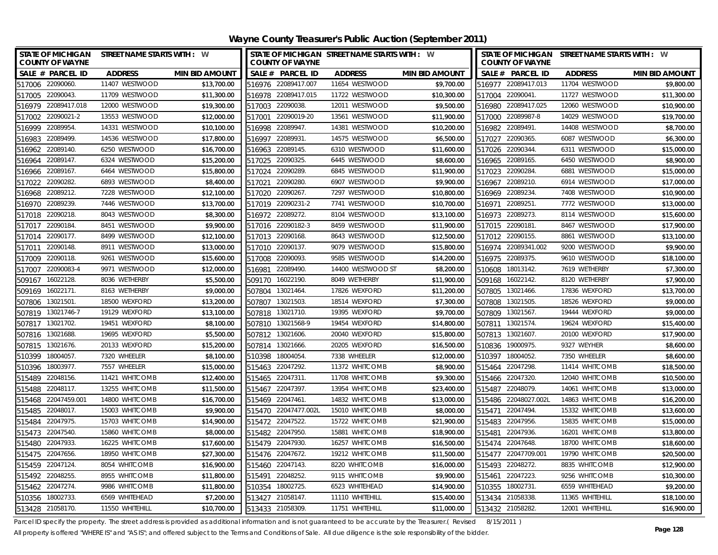| <b>STATE OF MICHIGAN</b><br><b>COUNTY OF WAYNE</b> | STREET NAME STARTS WITH : W |                       | STATE OF MICHIGAN STREET NAME STARTS WITH : W<br><b>COUNTY OF WAYNE</b> |                   |                       | STATE OF MICHIGAN STREET NAME STARTS WITH : W<br><b>COUNTY OF WAYNE</b> |                 |                       |
|----------------------------------------------------|-----------------------------|-----------------------|-------------------------------------------------------------------------|-------------------|-----------------------|-------------------------------------------------------------------------|-----------------|-----------------------|
| SALE # PARCEL ID                                   | <b>ADDRESS</b>              | <b>MIN BID AMOUNT</b> | SALE # PARCEL ID                                                        | <b>ADDRESS</b>    | <b>MIN BID AMOUNT</b> | SALE # PARCEL ID                                                        | <b>ADDRESS</b>  | <b>MIN BID AMOUNT</b> |
| 517006 22090060.                                   | 11407 WESTWOOD              | \$13,700.00           | 516976 22089417.007                                                     | 11654 WESTWOOD    | \$9,700.00            | 516977 22089417.013                                                     | 11704 WESTWOOD  | \$9,800.00            |
| 517005 22090043.                                   | 11709 WESTWOOD              | \$11,300.00           | 516978 22089417.015                                                     | 11722 WESTWOOD    | \$10,300.00           | 517004 22090041.                                                        | 11727 WESTWOOD  | \$11,300.00           |
| 516979 22089417.018                                | 12000 WESTWOOD              | \$19,300.00           | 517003 22090038.                                                        | 12011 WESTWOOD    | \$9,500.00            | 516980 22089417.025                                                     | 12060 WESTWOOD  | \$10,900.00           |
| 517002 22090021-2                                  | 13553 WESTWOOD              | \$12,000.00           | 517001 22090019-20                                                      | 13561 WESTWOOD    | \$11,900.00           | 517000 22089987-8                                                       | 14029 WESTWOOD  | \$19,700.00           |
| 516999 22089954                                    | 14331 WESTWOOD              | \$10,100.00           | 516998 22089947                                                         | 14381 WESTWOOD    | \$10,200.00           | 516982 22089491                                                         | 14408 WESTWOOD  | \$8,700.00            |
| 22089499.<br>516983                                | 14536 WESTWOOD              | \$17,800.00           | 516997 22089931                                                         | 14575 WESTWOOD    | \$6,500.00            | 517027 22090365.                                                        | 6087 WESTWOOD   | \$6,300.00            |
| 516962 22089140.                                   | 6250 WESTWOOD               | \$16,700.00           | 516963 22089145.                                                        | 6310 WESTWOOD     | \$11,600.00           | 517026 22090344.                                                        | 6311 WESTWOOD   | \$15,000.00           |
| 516964 22089147.                                   | 6324 WESTWOOD               | \$15,200.00           | 517025 22090325.                                                        | 6445 WESTWOOD     | \$8,600.00            | 516965 22089165.                                                        | 6450 WESTWOOD   | \$8,900.00            |
| 516966 22089167.                                   | 6464 WESTWOOD               | \$15,800.00           | 517024 22090289.                                                        | 6845 WESTWOOD     | \$11,900.00           | 517023 22090284                                                         | 6881 WESTWOOD   | \$15,000.00           |
| 22090282.<br>517022                                | 6893 WESTWOOD               | \$8,400.00            | 22090280.<br>517021                                                     | 6907 WESTWOOD     | \$9,900.00            | 516967 22089210.                                                        | 6914 WESTWOOD   | \$17,000.00           |
| 516968 22089212.                                   | 7228 WESTWOOD               | \$12,100.00           | 517020 22090267.                                                        | 7297 WESTWOOD     | \$10,800.00           | 516969 22089234                                                         | 7408 WESTWOOD   | \$10,900.00           |
| 516970 22089239.                                   | 7446 WESTWOOD               | \$13,700.00           | 517019 22090231-2                                                       | 7741 WESTWOOD     | \$10,700.00           | 516971 22089251.                                                        | 7772 WESTWOOD   | \$13,000.00           |
| 22090218.<br>517018                                | 8043 WESTWOOD               | \$8,300.00            | 516972 22089272.                                                        | 8104 WESTWOOD     | \$13,100.00           | 516973 22089273.                                                        | 8114 WESTWOOD   | \$15,600.00           |
| 22090184.<br>517017                                | 8451 WESTWOOD               | \$9,900.00            | 517016 22090182-3                                                       | 8459 WESTWOOD     | \$11,900.00           | 517015 22090181.                                                        | 8467 WESTWOOD   | \$17,900.00           |
| 22090177.<br>517014                                | 8499 WESTWOOD               | \$12,100.00           | 517013 22090168.                                                        | 8643 WESTWOOD     | \$12,500.00           | 517012 22090155.                                                        | 8861 WESTWOOD   | \$13,100.00           |
| 22090148.<br>517011                                | 8911 WESTWOOD               | \$13,000.00           | 517010 22090137.                                                        | 9079 WESTWOOD     | \$15,800.00           | 516974 22089341.002                                                     | 9200 WESTWOOD   | \$9,900.00            |
| 22090118.<br>517009                                | 9261 WESTWOOD               | \$15,600.00           | 517008 22090093                                                         | 9585 WESTWOOD     | \$14,200.00           | 516975 22089375.                                                        | 9610 WESTWOOD   | \$18,100.00           |
| 22090083-4<br>517007                               | 9971 WESTWOOD               | \$12,000.00           | 22089490.<br>516981                                                     | 14400 WESTWOOD ST | \$8,200.00            | 510608 18013142.                                                        | 7619 WETHERBY   | \$7,300.00            |
| 16022128.<br>509167                                | 8036 WETHERBY               | \$5,500.00            | 16022190.<br>509170                                                     | 8049 WETHERBY     | \$11,900.00           | 509168 16022142.                                                        | 8120 WETHERBY   | \$7,900.00            |
| 16022171.<br>509169                                | 8163 WETHERBY               | \$9,000.00            | 13021464.<br>507804                                                     | 17826 WEXFORD     | \$11,200.00           | 507805 13021466.                                                        | 17836 WEXFORD   | \$13,700.00           |
| 13021501<br>507806                                 | 18500 WEXFORD               | \$13,200.00           | 13021503<br>507807                                                      | 18514 WEXFORD     | \$7,300.00            | 13021505<br>507808                                                      | 18526 WEXFORD   | \$9,000.00            |
| 13021746-7<br>507819                               | 19129 WEXFORD               | \$13,100.00           | 507818<br>13021710.                                                     | 19395 WEXFORD     | \$9,700.00            | 13021567<br>507809                                                      | 19444 WEXFORD   | \$9,000.00            |
| 13021702.<br>507817                                | 19451 WEXFORD               | \$8,100.00            | 13021568-9<br>507810                                                    | 19454 WEXFORD     | \$14,800.00           | 13021574<br>507811                                                      | 19624 WEXFORD   | \$15,400.00           |
| 507816 13021688                                    | 19695 WEXFORD               | \$5,500.00            | 507812 13021606                                                         | 20040 WEXFORD     | \$15,800.00           | 507813 13021607                                                         | 20100 WEXFORD   | \$17,900.00           |
| 13021676.<br>507815                                | 20133 WEXFORD               | \$15,200.00           | 507814<br>13021666.                                                     | 20205 WEXFORD     | \$16,500.00           | 19000975.<br>510836                                                     | 9327 WEYHER     | \$8,600.00            |
| 510399<br>18004057.                                | 7320 WHEELER                | \$8,100.00            | 510398<br>18004054                                                      | 7338 WHEELER      | \$12,000.00           | 510397 18004052                                                         | 7350 WHEELER    | \$8,600.00            |
| 510396<br>18003977.                                | 7557 WHEELER                | \$15,000.00           | 515463 22047292.                                                        | 11372 WHITCOMB    | \$8,900.00            | 515464 22047298                                                         | 11414 WHITCOMB  | \$18,500.00           |
| 515489 22048156.                                   | 11421 WHITCOMB              | \$12,400.00           | 515465 22047311                                                         | 11708 WHITCOMB    | \$9,300.00            | 515466 22047320                                                         | 12040 WHITCOMB  | \$10,500.00           |
| 22048117.<br>515488                                | 13255 WHITCOMB              | \$11,500.00           | 515467 22047397.                                                        | 13954 WHITCOMB    | \$23,400.00           | 515487 22048079                                                         | 14061 WHITCOMB  | \$13,000.00           |
| 515468 22047459.001                                | 14800 WHITCOMB              | \$16,700.00           | 515469 22047461                                                         | 14832 WHITCOMB    | \$13,000.00           | 515486 22048027.002L                                                    | 14863 WHITCOMB  | \$16,200.00           |
| 515485 22048017.                                   | 15003 WHITCOMB              | \$9,900.00            | 515470 22047477.002L                                                    | 15010 WHITCOMB    | \$8,000.00            | 515471 22047494.                                                        | 15332 WHITCOMB  | \$13,600.00           |
| 515484 22047975.                                   | 15703 WHITCOMB              | \$14,900.00           | 515472 22047522.                                                        | 15722 WHITCOMB    | \$21,900.00           | 515483 22047956                                                         | 15835 WHITCOMB  | \$15,000.00           |
| 515473 22047540.                                   | 15860 WHITCOMB              | \$8,000.00            | 515482 22047950.                                                        | 15881 WHITCOMB    | \$18,900.00           | 515481<br>22047936.                                                     | 16201 WHITCOMB  | \$13,800.00           |
| 515480 22047933.                                   | 16225 WHITCOMB              | \$17,600.00           | 515479 22047930.                                                        | 16257 WHITCOMB    | \$16,500.00           | 515474 22047648                                                         | 18700 WHITCOMB  | \$18,600.00           |
| 515475 22047656.                                   | 18950 WHITCOMB              | \$27,300.00           | 515476 22047672.                                                        | 19212 WHITCOMB    | \$11,500.00           | 515477 22047709.001                                                     | 19790 WHITCOMB  | \$20,500.00           |
| 515459 22047124.                                   | 8054 WHITCOMB               | \$16,900.00           | 515460 22047143                                                         | 8220 WHITCOMB     | \$16,000.00           | 515493 22048272                                                         | 8835 WHITCOMB   | \$12,900.00           |
| 515492 22048255.                                   | 8955 WHITCOMB               | \$11,800.00           | 515491<br>22048252.                                                     | 9115 WHITCOMB     | \$9,900.00            | 515461 22047223                                                         | 9256 WHITCOMB   | \$10,300.00           |
| 515462 22047274.                                   | 9986 WHITCOMB               | \$11,800.00           | 510354 18002725                                                         | 6523 WHITEHEAD    | \$14,900.00           | 510355 18002731                                                         | 6559 WHITEHEAD  | \$9,200.00            |
| 510356 18002733.                                   | 6569 WHITEHEAD              | \$7,200.00            | 513427 21058147.                                                        | 11110 WHITEHILL   | \$15,400.00           | 513434 21058338                                                         | 11365 WHITEHILL | \$18,100.00           |
| 513428 21058170.                                   | 11550 WHITEHILL             | \$10,700.00           | 513433 21058309.                                                        | 11751 WHITEHILL   | \$11,000.00           | 513432 21058282                                                         | 12001 WHITEHILL | \$16,900.00           |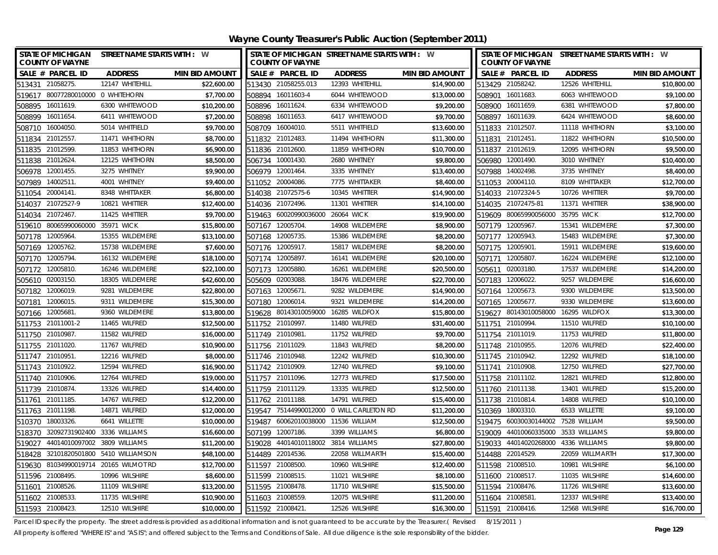| STATE OF MICHIGAN STREET NAME STARTS WITH : W<br><b>COUNTY OF WAYNE</b> |                 |                       |                  | <b>COUNTY OF WAYNE</b>              | STATE OF MICHIGAN STREET NAME STARTS WITH : W |                       |                  | <b>COUNTY OF WAYNE</b>              | STATE OF MICHIGAN STREET NAME STARTS WITH : W |                       |
|-------------------------------------------------------------------------|-----------------|-----------------------|------------------|-------------------------------------|-----------------------------------------------|-----------------------|------------------|-------------------------------------|-----------------------------------------------|-----------------------|
| SALE # PARCEL ID                                                        | <b>ADDRESS</b>  | <b>MIN BID AMOUNT</b> |                  | SALE # PARCEL ID                    | <b>ADDRESS</b>                                | <b>MIN BID AMOUNT</b> |                  | SALE # PARCEL ID                    | <b>ADDRESS</b>                                | <b>MIN BID AMOUNT</b> |
| 513431 21058275.                                                        | 12147 WHITEHILL | \$22,600.00           |                  | 513430 21058255.013                 | 12393 WHITEHILL                               | \$14,900.00           | 513429 21058242. |                                     | 12526 WHITEHILL                               | \$10,800.00           |
| 519617 80077280010000 0 WHITEHORN                                       |                 | \$7,700.00            |                  | 508894 16011603-4                   | 6044 WHITEWOOD                                | \$13,000.00           | 508901 16011683. |                                     | 6063 WHITEWOOD                                | \$9,100.00            |
| 508895 16011619.                                                        | 6300 WHITEWOOD  | \$10,200.00           | 508896 16011624. |                                     | 6334 WHITEWOOD                                | \$9,200.00            | 508900 16011659. |                                     | 6381 WHITEWOOD                                | \$7,800.00            |
| 508899 16011654.                                                        | 6411 WHITEWOOD  | \$7,200.00            | 508898 16011653. |                                     | 6417 WHITEWOOD                                | \$9,700.00            | 508897 16011639. |                                     | 6424 WHITEWOOD                                | \$8,600.00            |
| 508710 16004050.                                                        | 5014 WHITFIELD  | \$9,700.00            | 508709 16004010  |                                     | 5511 WHITFIELD                                | \$13,600.00           | 511833 21012507. |                                     | 11118 WHITHORN                                | \$3,100.00            |
| 511834<br>21012557                                                      | 11471 WHITHORN  | \$8,700.00            | 511832 21012483  |                                     | 11494 WHITHORN                                | \$11,300.00           | 511831 21012451. |                                     | 11822 WHITHORN                                | \$10,500.00           |
| 511835 21012599.                                                        | 11853 WHITHORN  | \$6,900.00            | 511836 21012600. |                                     | 11859 WHITHORN                                | \$10,700.00           | 511837 21012619. |                                     | 12095 WHITHORN                                | \$9,500.00            |
| 511838 21012624                                                         | 12125 WHITHORN  | \$8,500.00            | 506734 10001430. |                                     | 2680 WHITNEY                                  | \$9,800.00            | 506980 12001490. |                                     | 3010 WHITNEY                                  | \$10,400.00           |
| 12001455<br>506978                                                      | 3275 WHITNEY    | \$9,900.00            | 506979 12001464. |                                     | 3335 WHITNEY                                  | \$13,400.00           | 507988 14002498. |                                     | 3735 WHITNEY                                  | \$8,400.00            |
| 507989<br>14002511.                                                     | 4001 WHITNEY    | \$9,400.00            | 511052 20004086. |                                     | 7775 WHITTAKER                                | \$8,400.00            | 511053 20004110. |                                     | 8109 WHITTAKER                                | \$12,700.00           |
| 20004141.<br>511054                                                     | 8348 WHITTAKER  | \$6,800.00            |                  | 514038 21072575-6                   | 10345 WHITTIER                                | \$14,900.00           |                  | 514033 21072324-5                   | 10726 WHITTIER                                | \$9,700.00            |
| 514037 21072527-9                                                       | 10821 WHITTIER  | \$12,400.00           | 514036 21072496. |                                     | 11301 WHITTIER                                | \$14,100.00           |                  | 514035 21072475-81                  | 11371 WHITTIER                                | \$38,900.00           |
| 21072467.<br>514034                                                     | 11425 WHITTIER  | \$9,700.00            |                  | 519463 60020990036000               | 26064 WICK                                    | \$19,900.00           |                  | 519609 80065990056000               | 35795 WICK                                    | \$12,700.00           |
| 519610 80065990060000 35971 WICK                                        |                 | \$15,800.00           | 507167 12005704. |                                     | 14908 WILDEMERE                               | \$8,900.00            | 507179 12005967. |                                     | 15341 WILDEMERE                               | \$7,300.00            |
| 12005964<br>507178                                                      | 15355 WILDEMERE | \$13,100.00           | 507168 12005735. |                                     | 15386 WILDEMERE                               | \$8,200.00            | 507177 12005943. |                                     | 15483 WILDEMERE                               | \$7,300.00            |
| 507169 12005762.                                                        | 15738 WILDEMERE | \$7,600.00            | 507176 12005917. |                                     | 15817 WILDEMERE                               | \$8,200.00            | 507175 12005901. |                                     | 15911 WILDEMERE                               | \$19,600.00           |
| 12005794<br>507170                                                      | 16132 WILDEMERE | \$18,100.00           | 507174 12005897  |                                     | 16141 WILDEMERE                               | \$20,100.00           | 507171 12005807. |                                     | 16224 WILDEMERE                               | \$12,100.00           |
| 12005810<br>507172                                                      | 16246 WILDEMERE | \$22,100.00           | 507173 12005880. |                                     | 16261 WILDEMERE                               | \$20,500.00           | 505611 02003180. |                                     | 17537 WILDEMERE                               | \$14,200.00           |
| 505610 02003150.                                                        | 18305 WILDEMERE | \$42,600.00           | 505609 02003088. |                                     | 18476 WILDEMERE                               | \$22,700.00           | 507183 12006022. |                                     | 9257 WILDEMERE                                | \$16,600.00           |
| 12006019<br>507182                                                      | 9281 WILDEMERE  | \$22,800.00           | 507163 12005671  |                                     | 9282 WILDEMERE                                | \$14,900.00           | 507164           | 12005673.                           | 9300 WILDEMERE                                | \$13,500.00           |
| 12006015.<br>507181                                                     | 9311 WILDEMERE  | \$15,300.00           | 507180           | 12006014.                           | 9321 WILDEMERE                                | \$14,200.00           | 507165           | 12005677.                           | 9330 WILDEMERE                                | \$13,600.00           |
| 12005681<br>507166                                                      | 9360 WILDEMERE  | \$13,800.00           | 519628           |                                     | 80143010059000 16285 WILDFOX                  | \$15,800.00           |                  | 519627 80143010058000 16295 WILDFOX |                                               | \$13,300.00           |
| 511753 21011001-2                                                       | 11465 WILFRED   | \$12,500.00           | 511752 21010997. |                                     | 11480 WILFRED                                 | \$31,400.00           | 511751 21010994. |                                     | 11510 WILFRED                                 | \$10,100.00           |
| 511750 21010987.                                                        | 11582 WILFRED   | \$16,000.00           | 511749 21010981  |                                     | 11752 WILFRED                                 | \$9,700.00            | 511754 21011019. |                                     | 11753 WILFRED                                 | \$11,800.00           |
| 511755 21011020.                                                        | 11767 WILFRED   | \$10,900.00           | 511756 21011029. |                                     | 11843 WILFRED                                 | \$8,200.00            | 511748 21010955. |                                     | 12076 WILFRED                                 | \$22,400.00           |
| 511747 21010951                                                         | 12216 WILFRED   | \$8,000.00            | 511746 21010948  |                                     | 12242 WILFRED                                 | \$10,300.00           | 511745 21010942. |                                     | 12292 WILFRED                                 | \$18,100.00           |
| 511743 21010922                                                         | 12594 WILFRED   | \$16,900.00           | 511742 21010909  |                                     | 12740 WILFRED                                 | \$9,100.00            | 511741 21010908. |                                     | 12750 WILFRED                                 | \$27,700.00           |
| 511740 21010906                                                         | 12764 WILFRED   | \$19,000.00           | 511757 21011096  |                                     | 12773 WILFRED                                 | \$17,500.00           | 511758 21011102. |                                     | 12821 WILFRED                                 | \$12,800.00           |
| 511739 21010874.                                                        | 13326 WILFRED   | \$14,400.00           | 511759 21011129. |                                     | 13335 WILFRED                                 | \$12,500.00           | 511760 21011138. |                                     | 13401 WILFRED                                 | \$15,200.00           |
| 511761 21011185.                                                        | 14767 WILFRED   | \$12,200.00           | 511762 21011188. |                                     | 14791 WILFRED                                 | \$15,400.00           | 511738 21010814. |                                     | 14808 WILFRED                                 | \$10,100.00           |
| 511763 21011198                                                         | 14871 WILFRED   | \$12,000.00           |                  |                                     | 519547 75144990012000 0 WILL CARLETON RD      | \$11,200.00           | 510369 18003310. |                                     | 6533 WILLETTE                                 | \$9,100.00            |
| 510370 18003326                                                         | 6641 WILLETTE   | \$10,000.00           |                  | 519487 60062010038000 11536 WILLIAM |                                               | \$12,500.00           |                  | 519475 60030030144002 7528 WILLIAM  |                                               | \$9,500.00            |
| 32092731902400 3336 WILLIAMS<br>518370                                  |                 | \$16,600.00           | 507199           | 12007186.                           | 3399 WILLIAMS                                 | \$6,800.00            |                  | 519009 44010060335000               | 3533 WILLIAMS                                 | \$9,800.00            |
| 44014010097002 3809 WILLIAMS<br>519027                                  |                 | \$11,200.00           |                  |                                     | 519028 44014010118002 3814 WILLIAMS           | \$27,800.00           |                  | 519033 44014020268000 4336 WILLIAMS |                                               | \$9,800.00            |
| 518428 32101820501800 5410 WILLIAMSON                                   |                 | \$48,100.00           | 514489 22014536. |                                     | 22058 WILLMARTH                               | \$15,400.00           | 514488 22014529. |                                     | 22059 WILLMARTH                               | \$17,300.00           |
| 519630 81034990019714 20165 WILMOT RD                                   |                 | \$12,700.00           | 511597 21008500. |                                     | 10960 WILSHIRE                                | \$12,400.00           | 511598 21008510. |                                     | 10981 WILSHIRE                                | \$6,100.00            |
| 511596 21008495.                                                        | 10996 WILSHIRE  | \$8,600.00            | 511599 21008515. |                                     | 11021 WILSHIRE                                | \$8,100.00            | 511600 21008517. |                                     | 11035 WILSHIRE                                | \$14,600.00           |
| 511601 21008526.                                                        | 11109 WILSHIRE  | \$13,200.00           | 511595 21008478. |                                     | 11710 WILSHIRE                                | \$15,500.00           | 511594 21008476. |                                     | 11726 WILSHIRE                                | \$13,600.00           |
| 511602 21008533                                                         | 11735 WILSHIRE  | \$10,900.00           | 511603 21008559. |                                     | 12075 WILSHIRE                                | \$11,200.00           | 511604 21008581. |                                     | 12337 WILSHIRE                                | \$13,400.00           |
| 511593 21008423.                                                        | 12510 WILSHIRE  | \$10,000.00           | 511592 21008421. |                                     | 12526 WILSHIRE                                | \$16,300.00           | 511591 21008416. |                                     | 12568 WILSHIRE                                | \$16,700.00           |

Parcel ID specify the property. The street address is provided as additional information and is not guaranteed to be accurate by the Treasurer.( Revised 8/15/2011 )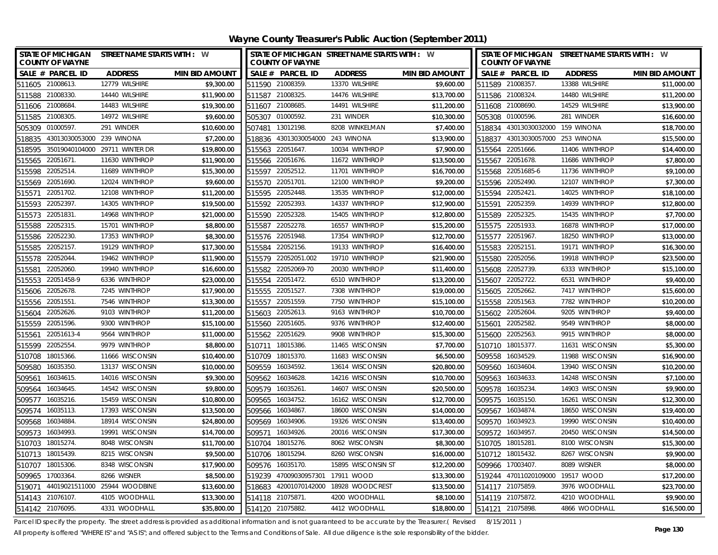**Wayne County Treasurer's Public Auction (September 2011)**

| STATE OF MICHIGAN STREET NAME STARTS WITH : W<br><b>COUNTY OF WAYNE</b> |                               |                       | STATE OF MICHIGAN STREET NAME STARTS WITH : W<br><b>COUNTY OF WAYNE</b> |                           |                                |                       |        | STATE OF MICHIGAN STREET NAME STARTS WITH : W<br><b>COUNTY OF WAYNE</b> |                 |                       |  |
|-------------------------------------------------------------------------|-------------------------------|-----------------------|-------------------------------------------------------------------------|---------------------------|--------------------------------|-----------------------|--------|-------------------------------------------------------------------------|-----------------|-----------------------|--|
| SALE # PARCEL ID                                                        | <b>ADDRESS</b>                | <b>MIN BID AMOUNT</b> |                                                                         | SALE # PARCEL ID          | <b>ADDRESS</b>                 | <b>MIN BID AMOUNT</b> |        | SALE # PARCEL ID                                                        | <b>ADDRESS</b>  | <b>MIN BID AMOUNT</b> |  |
| 511605 21008613.                                                        | 12779 WILSHIRE                | \$9,300.00            |                                                                         | 511590 21008359.          | 13370 WILSHIRE                 | \$9,600.00            |        | 511589 21008357.                                                        | 13388 WILSHIRE  | \$11,000.00           |  |
| 511588 21008330.                                                        | 14440 WILSHIRE                | \$11,900.00           |                                                                         | 511587 21008325.          | 14476 WILSHIRE                 | \$13,700.00           |        | 511586 21008324.                                                        | 14480 WILSHIRE  | \$11,200.00           |  |
| 511606 21008684                                                         | 14483 WILSHIRE                | \$19,300.00           |                                                                         | 511607 21008685.          | 14491 WILSHIRE                 | \$11,200.00           |        | 511608 21008690.                                                        | 14529 WILSHIRE  | \$13,900.00           |  |
| 511585 21008305.                                                        | 14972 WILSHIRE                | \$9,600.00            |                                                                         | 505307 01000592.          | 231 WINDER                     | \$10,300.00           |        | 505308 01000596.                                                        | 281 WINDER      | \$16,600.00           |  |
| 505309 01000597                                                         | 291 WINDER                    | \$10,600.00           | 507481                                                                  | 13012198.                 | 8208 WINKELMAN                 | \$7,400.00            |        | 518834 43013030032000                                                   | 159 WINONA      | \$18,700.00           |  |
| 43013030053000<br>518835                                                | 239 WINONA                    | \$7,200.00            | 518836                                                                  | 43013030054000 243 WINONA |                                | \$13,900.00           | 518837 | 43013030057000                                                          | 253 WINONA      | \$15,500.00           |  |
| 518595 35019040104000 29711 WINTER DR                                   |                               | \$19,800.00           |                                                                         | 515563 22051647.          | 10034 WINTHROP                 | \$7,900.00            |        | 515564 22051666.                                                        | 11406 WINTHROP  | \$14,400.00           |  |
| 515565 22051671.                                                        | 11630 WINTHROP                | \$11,900.00           |                                                                         | 515566 22051676.          | 11672 WINTHROP                 | \$13,500.00           |        | 515567 22051678.                                                        | 11686 WINTHROP  | \$7,800.00            |  |
| 22052514.<br>515598                                                     | 11689 WINTHROP                | \$15,300.00           | 515597                                                                  | 22052512.                 | 11701 WINTHROP                 | \$16,700.00           |        | 515568 22051685-6                                                       | 11736 WINTHROP  | \$9,100.00            |  |
| 515569 22051690.                                                        | 12024 WINTHROP                | \$9,600.00            |                                                                         | 515570 22051701           | 12100 WINTHROP                 | \$9,200.00            |        | 515596 22052490.                                                        | 12107 WINTHROP  | \$7,300.00            |  |
| 22051702.<br>515571                                                     | 12108 WINTHROP                | \$11,200.00           |                                                                         | 515595 22052448.          | 13535 WINTHROP                 | \$12,000.00           |        | 515594 22052421.                                                        | 14025 WINTHROP  | \$18,100.00           |  |
| 22052397<br>515593                                                      | 14305 WINTHROP                | \$19,500.00           | 515592                                                                  | 22052393                  | 14337 WINTHROP                 | \$12,900.00           | 515591 | 22052359.                                                               | 14939 WINTHROP  | \$12,800.00           |  |
| 22051831.<br>515573                                                     | 14968 WINTHROP                | \$21,000.00           | 515590                                                                  | 22052328                  | 15405 WINTHROP                 | \$12,800.00           |        | 515589 22052325.                                                        | 15435 WINTHROP  | \$7,700.00            |  |
| 22052315.<br>515588                                                     | 15701 WINTHROP                | \$8,800.00            | 515587                                                                  | 22052278                  | 16557 WINTHROP                 | \$15,200.00           |        | 515575 22051933.                                                        | 16878 WINTHROP  | \$17,000.00           |  |
| 515586 22052230.                                                        | 17353 WINTHROP                | \$8,300.00            |                                                                         | 515576 22051948.          | 17354 WINTHROP                 | \$12,700.00           |        | 515577 22051967.                                                        | 18250 WINTHROP  | \$13,000.00           |  |
| 22052157<br>515585                                                      | 19129 WINTHROP                | \$17,300.00           | 515584                                                                  | 22052156.                 | 19133 WINTHROP                 | \$16,400.00           |        | 515583 22052151                                                         | 19171 WINTHROP  | \$16,300.00           |  |
| 22052044.<br>515578                                                     | 19462 WINTHROP                | \$11,900.00           | 515579                                                                  | 22052051.002              | 19710 WINTHROP                 | \$21,900.00           |        | 515580 22052056.                                                        | 19918 WINTHROP  | \$23,500.00           |  |
| 22052060.<br>515581                                                     | 19940 WINTHROP                | \$16,600.00           |                                                                         | 515582 22052069-70        | 20030 WINTHROP                 | \$11,400.00           |        | 515608 22052739.                                                        | 6333 WINTHROP   | \$15,100.00           |  |
| 515553 22051458-9                                                       | 6336 WINTHROP                 | \$23,000.00           |                                                                         | 515554 22051472.          | 6510 WINTHROP                  | \$13,200.00           |        | 515607 22052722.                                                        | 6531 WINTHROP   | \$9,400.00            |  |
| 515606 22052678                                                         | 7245 WINTHROP                 | \$17,900.00           |                                                                         | 515555 22051527           | 7308 WINTHROP                  | \$19,000.00           |        | 515605 22052662.                                                        | 7417 WINTHROP   | \$15,600.00           |  |
| 515556<br>22051551.                                                     | 7546 WINTHROP                 | \$13,300.00           |                                                                         | 515557 22051559.          | 7750 WINTHROP                  | \$15,100.00           |        | 515558 22051563.                                                        | 7782 WINTHROP   | \$10,200.00           |  |
| 515604<br>22052626.                                                     | 9103 WINTHROP                 | \$11,200.00           |                                                                         | 515603 22052613.          | 9163 WINTHROP                  | \$10,700.00           |        | 515602 22052604                                                         | 9205 WINTHROP   | \$9,400.00            |  |
| 515559 22051596.                                                        | 9300 WINTHROP                 | \$15,100.00           |                                                                         | 515560 22051605.          | 9376 WINTHROP                  | \$12,400.00           |        | 515601 22052582.                                                        | 9549 WINTHROP   | \$8,000.00            |  |
| 22051613-4<br>515561                                                    | 9564 WINTHROP                 | \$11,000.00           |                                                                         | 515562 22051629.          | 9908 WINTHROP                  | \$15,300.00           |        | 515600 22052563.                                                        | 9915 WINTHROP   | \$8,000.00            |  |
| 22052554<br>515599                                                      | 9979 WINTHROP                 | \$8,800.00            | 510711                                                                  | 18015386.                 | 11465 WISCONSIN                | \$7,700.00            |        | 510710 18015377.                                                        | 11631 WISCONSIN | \$5,300.00            |  |
| 510708 18015366.                                                        | 11666 WISCONSIN               | \$10,400.00           |                                                                         | 510709 18015370.          | 11683 WISCONSIN                | \$6,500.00            |        | 509558 16034529.                                                        | 11988 WISCONSIN | \$16,900.00           |  |
| 509580 16035350.                                                        | 13137 WISCONSIN               | \$10,000.00           |                                                                         | 509559 16034592.          | 13614 WISCONSIN                | \$20,800.00           |        | 509560 16034604                                                         | 13940 WISCONSIN | \$10,200.00           |  |
| 16034615<br>509561                                                      | 14016 WISCONSIN               | \$9,300.00            |                                                                         | 509562 16034628           | 14216 WISCONSIN                | \$10,700.00           |        | 509563 16034633.                                                        | 14248 WISCONSIN | \$7,100.00            |  |
| 16034645<br>509564                                                      | 14542 WISCONSIN               | \$9,800.00            | 509579                                                                  | 16035261                  | 14607 WISCONSIN                | \$20,500.00           |        | 509578 16035234                                                         | 14903 WISCONSIN | \$9,900.00            |  |
| 509577<br>16035216.                                                     | 15459 WISCONSIN               | \$10,800.00           | 509565                                                                  | 16034752.                 | 16162 WISCONSIN                | \$12,700.00           |        | 509575 16035150.                                                        | 16261 WISCONSIN | \$12,300.00           |  |
| 16035113.<br>509574                                                     | 17393 WISCONSIN               | \$13,500.00           |                                                                         | 509566 16034867           | 18600 WISCONSIN                | \$14,000.00           |        | 509567 16034874.                                                        | 18650 WISCONSIN | \$19,400.00           |  |
| 509568<br>16034884                                                      | 18914 WISCONSIN               | \$24,800.00           | 509569                                                                  | 16034906.                 | 19326 WISCONSIN                | \$13,400.00           |        | 509570 16034923.                                                        | 19990 WISCONSIN | \$10,400.00           |  |
| 509573<br>16034993                                                      | 19991 WISCONSIN               | \$14,700.00           | 509571                                                                  | 16034926.                 | 20016 WISCONSIN                | \$17,300.00           |        | 509572 16034957.                                                        | 20450 WISCONSIN | \$14,500.00           |  |
| 510703<br>18015274.                                                     | 8048 WISCONSIN                | \$11,700.00           |                                                                         | 510704 18015276.          | 8062 WISCONSIN                 | \$8,300.00            |        | 510705 18015281                                                         | 8100 WISCONSIN  | \$15,300.00           |  |
| 510713 18015439.                                                        | 8215 WISCONSIN                | \$9,500.00            |                                                                         | 510706 18015294.          | 8260 WISCONSIN                 | \$16,000.00           |        | 510712 18015432.                                                        | 8267 WISCONSIN  | \$9,900.00            |  |
| 18015306.<br>510707                                                     | 8348 WISCONSIN                | \$17,900.00           | 509576                                                                  | 16035170.                 | 15895 WISCONSIN ST             | \$12,200.00           |        | 509966 17003407.                                                        | 8089 WISNER     | \$8,000.00            |  |
| 17003364<br>509965                                                      | 8266 WISNER                   | \$8,500.00            | 519239                                                                  | 47009030957301            | 17911 WOOD                     | \$13,300.00           |        | 519244 47011020109000                                                   | 19517 WOOD      | \$17,200.00           |  |
| 519071                                                                  | 44019021511000 25944 WOODBINE | \$13,600.00           | 518683                                                                  |                           | 42001070142000 18928 WOODCREST | \$13,500.00           |        | 514117 21075859.                                                        | 3976 WOODHALL   | \$23,700.00           |  |
| 514143 21076107.                                                        | 4105 WOODHALL                 | \$13,300.00           |                                                                         | 514118 21075871.          | 4200 WOODHALL                  | \$8,100.00            |        | 514119 21075872.                                                        | 4210 WOODHALL   | \$9,900.00            |  |
| 514142 21076095                                                         | 4331 WOODHALL                 | \$35,800.00           |                                                                         | 514120 21075882.          | 4412 WOODHALL                  | \$18,800.00           |        | 514121 21075898.                                                        | 4866 WOODHALL   | \$16,500.00           |  |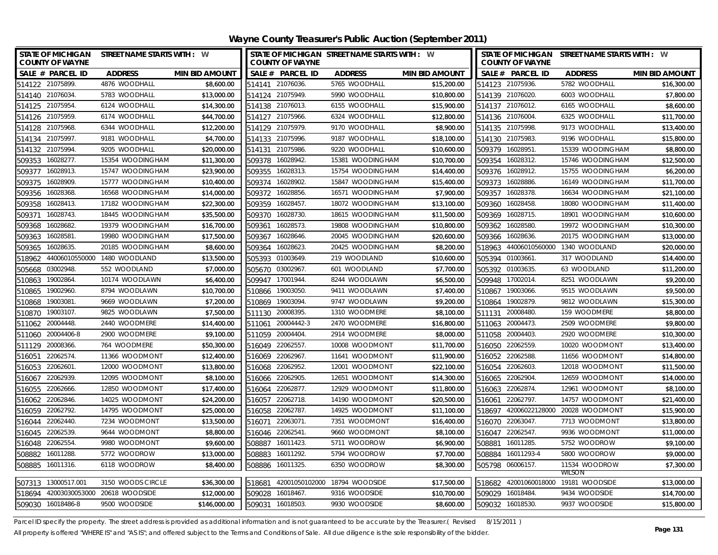| <b>STATE OF MICHIGAN</b><br><b>COUNTY OF WAYNE</b> |            | STREET NAME STARTS WITH : W                           |                       |        | <b>COUNTY OF WAYNE</b> | STATE OF MICHIGAN STREET NAME STARTS WITH : W |                       |        | <b>COUNTY OF WAYNE</b> | STATE OF MICHIGAN STREET NAME STARTS WITH : W |                       |
|----------------------------------------------------|------------|-------------------------------------------------------|-----------------------|--------|------------------------|-----------------------------------------------|-----------------------|--------|------------------------|-----------------------------------------------|-----------------------|
| SALE # PARCEL ID                                   |            | <b>ADDRESS</b>                                        | <b>MIN BID AMOUNT</b> |        | SALE # PARCEL ID       | <b>ADDRESS</b>                                | <b>MIN BID AMOUNT</b> |        | SALE # PARCEL ID       | <b>ADDRESS</b>                                | <b>MIN BID AMOUNT</b> |
| 514122 21075899.                                   |            | 4876 WOODHALL                                         | \$8,600.00            |        | 514141 21076036.       | 5765 WOODHALL                                 | \$15,200.00           |        | 514123 21075936.       | 5782 WOODHALL                                 | \$16,300.00           |
| 514140 21076034                                    |            | 5783 WOODHALL                                         | \$13,000.00           |        | 514124 21075949.       | 5990 WOODHALL                                 | \$10,800.00           |        | 514139 21076020.       | 6003 WOODHALL                                 | \$7,800.00            |
| 514125 21075954                                    |            | 6124 WOODHALL                                         | \$14,300.00           |        | 514138 21076013.       | 6155 WOODHALL                                 | \$15,900.00           |        | 514137 21076012.       | 6165 WOODHALL                                 | \$8,600.00            |
| 514126 21075959.                                   |            | 6174 WOODHALL                                         | \$44,700.00           |        | 514127 21075966.       | 6324 WOODHALL                                 | \$12,800.00           |        | 514136 21076004.       | 6325 WOODHALL                                 | \$11,700.00           |
| 514128 21075968.                                   |            | 6344 WOODHALL                                         | \$12,200.00           |        | 514129 21075979        | 9170 WOODHALL                                 | \$8,900.00            |        | 514135 21075998.       | 9173 WOODHALL                                 | \$13,400.00           |
| 514134 21075997.                                   |            | 9181 WOODHALL                                         | \$4,700.00            |        | 514133 21075996.       | 9187 WOODHALL                                 | \$18,100.00           |        | 514130 21075983.       | 9196 WOODHALL                                 | \$15,800.00           |
| 514132 21075994                                    |            | 9205 WOODHALL                                         | \$20,000.00           | 514131 | 21075986.              | 9220 WOODHALL                                 | \$10,600.00           | 509379 | 16028951               | 15339 WOODINGHAM                              | \$8,800.00            |
| 16028277.<br>509353                                |            | 15354 WOODINGHAM                                      | \$11,300.00           | 509378 | 16028942.              | 15381 WOODINGHAM                              | \$10,700.00           |        | 509354 16028312.       | 15746 WOODINGHAM                              | \$12,500.00           |
| 16028913.<br>509377                                |            | 15747 WOODINGHAM                                      | \$23,900.00           | 509355 | 16028313               | 15754 WOODINGHAM                              | \$14,400.00           |        | 509376 16028912.       | 15755 WOODINGHAM                              | \$6,200.00            |
| 16028909.<br>509375                                |            | 15777 WOODINGHAM                                      | \$10,400.00           | 509374 | 16028902.              | 15847 WOODINGHAM                              | \$15,400.00           | 509373 | 16028886.              | 16149 WOODINGHAM                              | \$11,700.00           |
| 16028368.<br>509356                                |            | 16568 WOODINGHAM                                      | \$14,000.00           | 509372 | 16028856.              | 16571 WOODINGHAM                              | \$7,900.00            | 509357 | 16028378.              | 16634 WOODINGHAM                              | \$21,100.00           |
| 16028413.<br>509358                                |            | 17182 WOODINGHAM                                      | \$22,300.00           | 509359 | 16028457               | 18072 WOODINGHAM                              | \$13,100.00           | 509360 | 16028458.              | 18080 WOODINGHAM                              | \$11,400.00           |
| 16028743.<br>509371                                |            | 18445 WOODINGHAM                                      | \$35,500.00           | 509370 | 16028730               | 18615 WOODINGHAM                              | \$11,500.00           | 509369 | 16028715.              | 18901 WOODINGHAM                              | \$10,600.00           |
| 16028682.<br>509368                                |            | 19379 WOODINGHAM                                      | \$16,700.00           | 509361 | 16028573               | 19808 WOODINGHAM                              | \$10,800.00           | 509362 | 16028580               | 19972 WOODINGHAM                              | \$10,300.00           |
| 16028581<br>509363                                 |            | 19980 WOODINGHAM                                      | \$17,500.00           | 509367 | 16028646.              | 20045 WOODINGHAM                              | \$20,600.00           | 509366 | 16028636.              | 20175 WOODINGHAM                              | \$13,000.00           |
| 16028635.<br>509365                                |            | 20185 WOODINGHAM                                      | \$8,600.00            | 509364 | 16028623               | 20425 WOODINGHAM                              | \$8,200.00            | 518963 |                        | 44006010560000 1340 WOODLAND                  | \$20,000.00           |
| 518962                                             |            | 44006010550000 1480 WOODLAND                          | \$13,500.00           | 505393 | 01003649               | 219 WOODLAND                                  | \$10,600.00           | 505394 | 01003661               | 317 WOODLAND                                  | \$14,400.00           |
| 03002948.<br>505668                                |            | 552 WOODLAND                                          | \$7,000.00            |        | 505670 03002967        | 601 WOODLAND                                  | \$7,700.00            | 505392 | 01003635               | 63 WOODLAND                                   | \$11,200.00           |
| 19002864.<br>510863                                |            | 10174 WOODLAWN                                        | \$6,400.00            |        | 509947 17001944.       | 8244 WOODLAWN                                 | \$6,500.00            | 509948 | 17002014               | 8251 WOODLAWN                                 | \$9,200.00            |
| 19002960.<br>510865                                |            | 8794 WOODLAWN                                         | \$10,700.00           | 510866 | 19003050.              | 9411 WOODLAWN                                 | \$7,400.00            | 510867 | 19003066.              | 9515 WOODLAWN                                 | \$9,500.00            |
| 19003081<br>510868                                 |            | 9669 WOODLAWN                                         | \$7,200.00            | 510869 | 19003094               | 9747 WOODLAWN                                 | \$9,200.00            |        | 510864 19002879.       | 9812 WOODLAWN                                 | \$15,300.00           |
| 19003107.<br>510870                                |            | 9825 WOODLAWN                                         | \$7,500.00            | 511130 | 20008395.              | 1310 WOODMERE                                 | \$8,100.00            | 511131 | 20008480.              | 159 WOODMERE                                  | \$8,800.00            |
| 20004448.<br>511062                                |            | 2440 WOODMERE                                         | \$14,400.00           | 511061 | 20004442-3             | 2470 WOODMERE                                 | \$16,800.00           | 511063 | 20004473               | 2509 WOODMERE                                 | \$9,800.00            |
| 511060                                             | 20004406-8 | 2900 WOODMERE                                         | \$9,100.00            |        | 511059 20004404.       | 2914 WOODMERE                                 | \$8,000.00            |        | 511058 20004403.       | 2920 WOODMERE                                 | \$10,300.00           |
| 20008366<br>511129                                 |            | 764 WOODMERE                                          | \$50,300.00           |        | 516049 22062557        | 10008 WOODMONT                                | \$11,700.00           |        | 516050 22062559.       | 10020 WOODMONT                                | \$13,400.00           |
| 22062574.<br>516051                                |            | 11366 WOODMONT                                        | \$12,400.00           | 516069 | 22062967               | 11641 WOODMONT                                | \$11,900.00           | 516052 | 22062588               | 11656 WOODMONT                                | \$14,800.00           |
| 516053 22062601                                    |            | 12000 WOODMONT                                        | \$13,800.00           |        | 516068 22062952.       | 12001 WOODMONT                                | \$22,100.00           |        | 516054 22062603.       | 12018 WOODMONT                                | \$11,500.00           |
| 516067 22062939.                                   |            | 12095 WOODMONT                                        | \$8,100.00            |        | 516066 22062905        | 12651 WOODMONT                                | \$14,300.00           |        | 516065 22062904        | 12659 WOODMONT                                | \$14,000.00           |
| 516055 22062666.                                   |            | 12850 WOODMONT                                        | \$17,400.00           |        | 516064 22062877        | 12929 WOODMONT                                | \$11,800.00           |        | 516063 22062874        | 12961 WOODMONT                                | \$8,100.00            |
| 22062846.<br>516062                                |            | 14025 WOODMONT                                        | \$24,200.00           | 516057 | 22062718.              | 14190 WOODMONT                                | \$20,500.00           | 516061 | 22062797               | 14757 WOODMONT                                | \$21,400.00           |
| 516059 22062792.                                   |            | 14795 WOODMONT                                        | \$25,000.00           |        | 516058 22062787        | 14925 WOODMONT                                | \$11,100.00           |        |                        | 518697 42006022128000 20028 WOODMONT          | \$15,900.00           |
| 516044 22062440.                                   |            | 7234 WOODMONT                                         | \$13,500.00           |        | 516071 22063071        | 7351 WOODMONT                                 | \$16,400.00           |        | 516070 22063047.       | 7713 WOODMONT                                 | \$13,800.00           |
| 516045 22062539.                                   |            | 9644 WOODMONT                                         | \$8,800.00            |        | 516046 22062541        | 9660 WOODMONT                                 | \$8,100.00            |        | 516047 22062547        | 9936 WOODMONT                                 | \$11,000.00           |
| 516048 22062554.                                   |            | 9980 WOODMONT                                         | \$9,600.00            | 508887 | 16011423.              | 5711 WOODROW                                  | \$6,900.00            | 508881 | 16011285.              | 5752 WOODROW                                  | \$9,100.00            |
| 508882 16011288.                                   |            | 5772 WOODROW                                          | \$13,000.00           | 508883 | 16011292.              | 5794 WOODROW                                  | \$7,700.00            | 508884 | 16011293-4             | 5800 WOODROW                                  | \$9,000.00            |
| 508885 16011316.                                   |            | 6118 WOODROW                                          | \$8,400.00            | 508886 | 16011325.              | 6350 WOODROW                                  | \$8,300.00            |        | 505798 06006157        | 11534 WOODROW                                 | \$7,300.00            |
| 507313 13000517.001                                |            | 3150 WOODS CIRCLE                                     | \$36,300.00           | 518681 | 42001050102000         | 18794 WOODSIDE                                | \$17,500.00           |        | 518682 42001060018000  | WILSON<br>19181 WOODSIDE                      | \$13,000.00           |
|                                                    |            |                                                       | \$12,000.00           |        | 509028 16018467.       | 9316 WOODSIDE                                 | \$10,700.00           |        | 509029 16018484        | 9434 WOODSIDE                                 | \$14,700.00           |
|                                                    |            | 518694 42003030053000 20618 WOODSIDE<br>9500 WOODSIDE | \$146,000.00          |        | 509031 16018503.       | 9930 WOODSIDE                                 | \$8,600.00            |        |                        | 9937 WOODSIDE                                 | \$15,800.00           |
| 509030 16018486-8                                  |            |                                                       |                       |        |                        |                                               |                       |        | 509032 16018530.       |                                               |                       |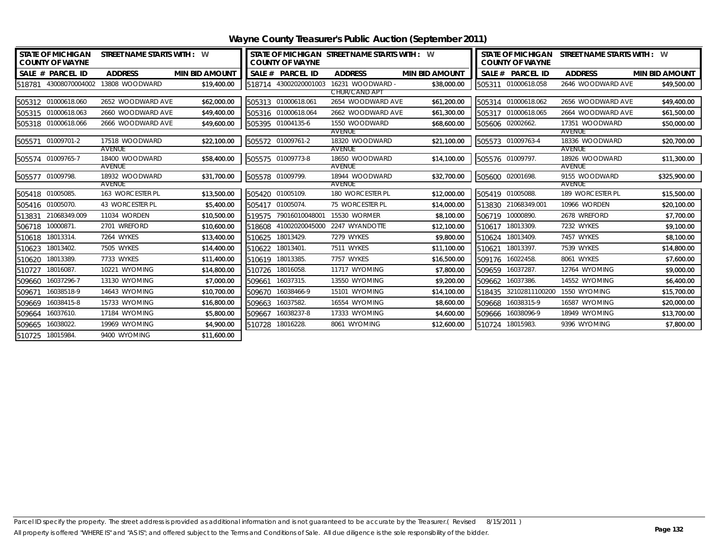| <b>STATE OF MICHIGAN</b><br>STREET NAME STARTS WITH : W<br><b>COUNTY OF WAYNE</b> |                       |                          |                       |        | <b>COUNTY OF WAYNE</b> | STATE OF MICHIGAN STREET NAME STARTS WITH : W |                       |        | <b>COUNTY OF WAYNE</b> | STATE OF MICHIGAN STREET NAME STARTS WITH : W |                       |
|-----------------------------------------------------------------------------------|-----------------------|--------------------------|-----------------------|--------|------------------------|-----------------------------------------------|-----------------------|--------|------------------------|-----------------------------------------------|-----------------------|
|                                                                                   | SALE # PARCEL ID      | <b>ADDRESS</b>           | <b>MIN BID AMOUNT</b> |        | SALE # PARCEL ID       | <b>ADDRESS</b>                                | <b>MIN BID AMOUNT</b> |        | SALE # PARCEL ID       | <b>ADDRESS</b>                                | <b>MIN BID AMOUNT</b> |
|                                                                                   | 518781 43008070004002 | 13808 WOODWARD           | \$19,400.00           |        | 518714 43002020001003  | 16231 WOODWARD -                              | \$38,000.00           |        | 505311 01000618.058    | 2646 WOODWARD AVE                             | \$49,500.00           |
|                                                                                   |                       |                          |                       |        |                        | CHUR/CAND API                                 |                       |        |                        |                                               |                       |
|                                                                                   | 505312 01000618.060   | 2652 WOODWARD AVE        | \$62,000.00           |        | 505313 01000618.061    | 2654 WOODWARD AVE                             | \$61,200.00           |        | 505314 01000618.062    | 2656 WOODWARD AVE                             | \$49,400.00           |
|                                                                                   | 505315 01000618.063   | 2660 WOODWARD AVE        | \$49,400.00           |        | 505316 01000618.064    | 2662 WOODWARD AVE                             | \$61,300.00           |        | 505317 01000618.065    | 2664 WOODWARD AVE                             | \$61,500.00           |
|                                                                                   | 505318 01000618.066   | 2666 WOODWARD AVE        | \$49,600.00           |        | 505395 01004135-6      | 1550 WOODWARD                                 | \$68,600.00           |        | 505606 02002662.       | 17351 WOODWARD                                | \$50,000.00           |
|                                                                                   | 505571 01009701-2     | 17518 WOODWARD           | \$22,100.00           |        | 505572 01009761-2      | AVENUE<br>18320 WOODWARD                      | \$21,100.00           |        | 505573 01009763-4      | AVENUE<br>18336 WOODWARD                      | \$20,700.00           |
|                                                                                   |                       | AVENUE                   |                       |        |                        | AVENUE                                        |                       |        |                        | AVENUE                                        |                       |
|                                                                                   | 505574 01009765-7     | 18400 WOODWARD           | \$58,400.00           |        | 505575 01009773-8      | 18650 WOODWARD                                | \$14,100.00           |        | 505576 01009797.       | 18926 WOODWARD                                | \$11,300.00           |
|                                                                                   |                       | AVENUE                   |                       |        |                        | AVENUE                                        |                       |        |                        | AVENUE                                        |                       |
|                                                                                   | 505577 01009798.      | 18932 WOODWARD<br>AVENUE | \$31,700.00           |        | 505578 01009799.       | 18944 WOODWARD<br>AVENUE                      | \$32,700.00           |        | 505600 02001698.       | 9155 WOODWARD<br>AVENUE                       | \$325,900.00          |
|                                                                                   | 505418 01005085.      | 163 WORCESTER PL         | \$13,500.00           |        | 505420 01005109.       | 180 WORCESTER PL                              | \$12,000.00           |        | 505419 01005088.       | 189 WORCESTER PL                              | \$15,500.00           |
|                                                                                   | 505416 01005070.      | 43 WORCESTER PL          | \$5,400.00            |        | 505417 01005074.       | 75 WORCESTER PL                               | \$14,000.00           |        | 513830 21068349.001    | 10966 WORDEN                                  | \$20,100.00           |
| 513831                                                                            | 21068349.009          | 11034 WORDEN             | \$10,500.00           |        | 519575 79016010048001  | 15530 WORMER                                  | \$8,100.00            |        | 506719 10000890.       | 2678 WREFORD                                  | \$7,700.00            |
| 506718                                                                            | 10000871.             | 2701 WREFORD             | \$10,600.00           | 518608 |                        | 41002020045000 2247 WYANDOTTE                 | \$12,100.00           |        | 510617 18013309.       | 7232 WYKES                                    | \$9,100.00            |
|                                                                                   | 510618 18013314.      | 7264 WYKES               | \$13,400.00           |        | 510625 18013429.       | 7279 WYKES                                    | \$9,800.00            |        | 510624 18013409.       | 7457 WYKES                                    | \$8,100.00            |
| 510623                                                                            | 18013402.             | 7505 WYKES               | \$14,400.00           | 510622 | 18013401               | 7511 WYKES                                    | \$11,100.00           | 510621 | 18013397.              | 7539 WYKES                                    | \$14,800.00           |
| 510620                                                                            | 18013389.             | 7733 WYKES               | \$11,400.00           |        | 510619 18013385.       | 7757 WYKES                                    | \$16,500.00           |        | 509176 16022458.       | 8061 WYKES                                    | \$7,600.00            |
|                                                                                   | 510727 18016087.      | 10221 WYOMING            | \$14,800.00           |        | 510726 18016058.       | 11717 WYOMING                                 | \$7,800.00            |        | 509659 16037287.       | 12764 WYOMING                                 | \$9,000.00            |
| 509660                                                                            | 16037296-7            | 13130 WYOMING            | \$7,000.00            | 509661 | 16037315.              | 13550 WYOMING                                 | \$9,200.00            |        | 509662 16037386.       | 14552 WYOMING                                 | \$6,400.00            |
| 509671                                                                            | 16038518-9            | 14643 WYOMING            | \$10,700.00           | 509670 | 16038466-9             | 15101 WYOMING                                 | \$14,100.00           |        |                        | 518435 32102811100200 1550 WYOMING            | \$15,700.00           |
| 509669                                                                            | 16038415-8            | 15733 WYOMING            | \$16,800.00           | 509663 | 16037582.              | 16554 WYOMING                                 | \$8,600.00            | 509668 | 16038315-9             | 16587 WYOMING                                 | \$20,000.00           |
|                                                                                   | 509664 16037610.      | 17184 WYOMING            | \$5,800.00            | 509667 | 16038237-8             | 17333 WYOMING                                 | \$4,600.00            |        | 509666 16038096-9      | 18949 WYOMING                                 | \$13,700.00           |
|                                                                                   | 509665 16038022.      | 19969 WYOMING            | \$4,900.00            |        | 510728 18016228.       | 8061 WYOMING                                  | \$12,600.00           |        | 510724 18015983.       | 9396 WYOMING                                  | \$7,800.00            |
|                                                                                   | 510725 18015984.      | 9400 WYOMING             | \$11,600.00           |        |                        |                                               |                       |        |                        |                                               |                       |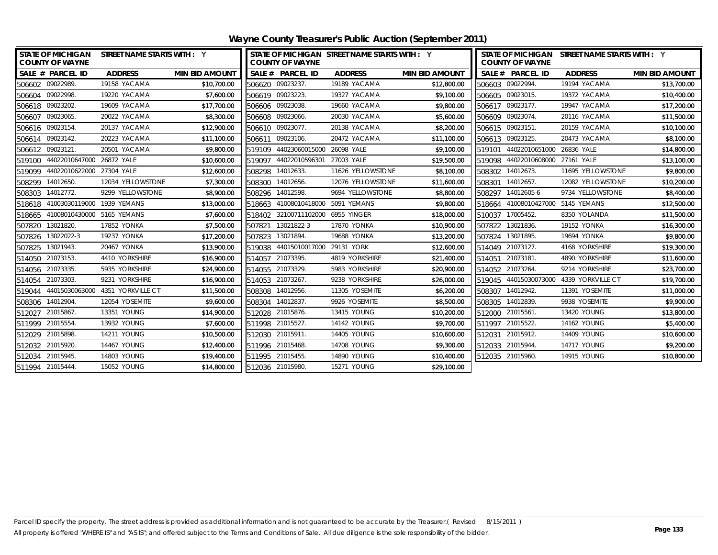| STATE OF MICHIGAN STREET NAME STARTS WITH : Y<br><b>COUNTY OF WAYNE</b> |           |                                         |                       | STATE OF MICHIGAN STREET NAME STARTS WITH : Y<br><b>COUNTY OF WAYNE</b> |                                   |                    |                       | STATE OF MICHIGAN STREET NAME STARTS WITH : Y<br><b>COUNTY OF WAYNE</b> |                                   |                                         |                       |
|-------------------------------------------------------------------------|-----------|-----------------------------------------|-----------------------|-------------------------------------------------------------------------|-----------------------------------|--------------------|-----------------------|-------------------------------------------------------------------------|-----------------------------------|-----------------------------------------|-----------------------|
| SALE # PARCEL ID                                                        |           | <b>ADDRESS</b>                          | <b>MIN BID AMOUNT</b> |                                                                         | SALE # PARCEL ID                  | <b>ADDRESS</b>     | <b>MIN BID AMOUNT</b> |                                                                         | SALE # PARCEL ID                  | <b>ADDRESS</b>                          | <b>MIN BID AMOUNT</b> |
| 506602 09022989.                                                        |           | 19158 YACAMA                            | \$10,700.00           |                                                                         | 506620 09023237.                  | 19189 YACAMA       | \$12,800.00           |                                                                         | 506603 09022994.                  | 19194 YACAMA                            | \$13,700.00           |
| 506604 09022998.                                                        |           | 19220 YACAMA                            | \$7,600.00            |                                                                         | 506619 09023223.                  | 19327 YACAMA       | \$9,100.00            |                                                                         | 506605 09023015.                  | 19372 YACAMA                            | \$10,400.00           |
| 506618 09023202.                                                        |           | 19609 YACAMA                            | \$17,700.00           |                                                                         | 506606 09023038.                  | 19660 YACAMA       | \$9,800.00            |                                                                         | 506617 09023177.                  | 19947 YACAMA                            | \$17,200.00           |
| 506607 09023065.                                                        |           | 20022 YACAMA                            | \$8,300.00            |                                                                         | 506608 09023066.                  | 20030 YACAMA       | \$5,600.00            |                                                                         | 506609 09023074.                  | 20116 YACAMA                            | \$11,500.00           |
| 506616 09023154.                                                        |           | 20137 YACAMA                            | \$12,900.00           |                                                                         | 506610 09023077.                  | 20138 YACAMA       | \$8,200.00            |                                                                         | 506615 09023151.                  | 20159 YACAMA                            | \$10,100.00           |
| 506614 09023142.                                                        |           | 20223 YACAMA                            | \$11,100.00           | 506611                                                                  | 09023106.                         | 20472 YACAMA       | \$11,100.00           |                                                                         | 506613 09023125.                  | 20473 YACAMA                            | \$8,100.00            |
| 506612 09023121.                                                        |           | 20501 YACAMA                            | \$9,800.00            | 519109                                                                  | 44023060015000                    | 26098 YALE         | \$9,100.00            |                                                                         | 519101 44022010651000             | 26836 YALE                              | \$14,800.00           |
| 519100 44022010647000                                                   |           | 26872 YALE                              | \$10,600.00           | 519097                                                                  | 44022010596301 27003 YALE         |                    | \$19,500.00           |                                                                         | 519098 44022010608000             | 27161 YALE                              | \$13,100.00           |
| 519099 44022010622000 27304 YALE                                        |           |                                         | \$12,600.00           |                                                                         | 508298 14012633.                  | 11626 YELLOWSTONE  | \$8,100.00            |                                                                         | 508302 14012673.                  | 11695 YELLOWSTONE                       | \$9,800.00            |
| 508299 14012650.                                                        |           | 12034 YELLOWSTONE                       | \$7,300.00            |                                                                         | 508300 14012656.                  | 12076 YELLOWSTONE  | \$11,600.00           |                                                                         | 508301 14012657.                  | 12082 YELLOWSTONE                       | \$10,200.00           |
| 508303 14012772.                                                        |           | 9299 YELLOWSTONE                        | \$8,900.00            |                                                                         | 508296 14012598.                  | 9694 YELLOWSTONE   | \$8,800.00            |                                                                         | 508297 14012605-6                 | 9734 YELLOWSTONE                        | \$8,400.00            |
|                                                                         |           | 518618 41003030119000 1939 YEMANS       | \$13,000.00           |                                                                         | 518663 41008010418000 5091 YEMANS |                    | \$9,800.00            |                                                                         | 518664 41008010427000 5145 YEMANS |                                         | \$12,500.00           |
|                                                                         |           | 518665 41008010430000 5165 YEMANS       | \$7,600.00            |                                                                         | 518402 32100711102000 6955 YINGER |                    | \$18,000.00           |                                                                         | 510037 17005452.                  | 8350 YOLANDA                            | \$11,500.00           |
| 507820 13021820.                                                        |           | <b>17852 YONKA</b>                      | \$7,500.00            | 507821                                                                  | 13021822-3                        | <b>17870 YONKA</b> | \$10,900.00           |                                                                         | 507822 13021836.                  | <b>19152 YONKA</b>                      | \$16,300.00           |
| 507826 13022022-3                                                       |           | 19237 YONKA                             | \$17,200.00           |                                                                         | 507823 13021894.                  | <b>19688 YONKA</b> | \$13,200.00           |                                                                         | 507824 13021895.                  | 19694 YONKA                             | \$9,800.00            |
| 507825 13021943.                                                        |           | 20467 YONKA                             | \$13,900.00           |                                                                         | 519038 44015010017000             | 29131 YORK         | \$12,600.00           |                                                                         | 514049 21073127.                  | 4168 YORKSHIRE                          | \$19,300.00           |
| 514050 21073153.                                                        |           | 4410 YORKSHIRE                          | \$16,900.00           |                                                                         | 514057 21073395.                  | 4819 YORKSHIRE     | \$21,400.00           |                                                                         | 514051 21073181.                  | 4890 YORKSHIRE                          | \$11,600.00           |
| 514056 21073335.                                                        |           | 5935 YORKSHIRE                          | \$24,900.00           |                                                                         | 514055 21073329.                  | 5983 YORKSHIRE     | \$20,900.00           |                                                                         | 514052 21073264.                  | 9214 YORKSHIRF                          | \$23,700.00           |
| 514054 21073303.                                                        |           | 9231 YORKSHIRE                          | \$16,900.00           |                                                                         | 514053 21073267.                  | 9238 YORKSHIRE     | \$26,000.00           |                                                                         |                                   | 519045 44015030073000 4339 YORKVILLE CT | \$19,700.00           |
|                                                                         |           | 519044 44015030063000 4351 YORKVILLE CT | \$11,500.00           |                                                                         | 508308 14012956.                  | 11305 YOSEMITE     | \$6,200.00            |                                                                         | 508307 14012942.                  | 11391 YOSEMITE                          | \$11,000.00           |
| 508306 14012904.                                                        |           | 12054 YOSEMITE                          | \$9,600.00            |                                                                         | 508304 14012837.                  | 9926 YOSEMITE      | \$8,500.00            |                                                                         | 508305 14012839.                  | 9938 YOSEMITE                           | \$9,900.00            |
| 512027                                                                  | 21015867. | 13351 YOUNG                             | \$14,900.00           |                                                                         | 512028 21015876.                  | <b>13415 YOUNG</b> | \$10,200.00           |                                                                         | 512000 21015561.                  | 13420 YOUNG                             | \$13,800.00           |
| 511999 21015554.                                                        |           | 13932 YOUNG                             | \$7,600.00            |                                                                         | 511998 21015527.                  | <b>14142 YOUNG</b> | \$9,700.00            |                                                                         | 511997 21015522.                  | <b>14162 YOUNG</b>                      | \$5,400.00            |
| 512029 21015898.                                                        |           | <b>14211 YOUNG</b>                      | \$10,500.00           |                                                                         | 512030 21015911.                  | <b>14405 YOUNG</b> | \$10,600.00           | 512031                                                                  | 21015912.                         | <b>14409 YOUNG</b>                      | \$10,600.00           |
| 512032 21015920.                                                        |           | <b>14467 YOUNG</b>                      | \$12,400.00           |                                                                         | 511996 21015468.                  | <b>14708 YOUNG</b> | \$9,300.00            |                                                                         | 512033 21015944.                  | <b>14717 YOUNG</b>                      | \$9,200.00            |
| 512034 21015945.                                                        |           | 14803 YOUNG                             | \$19,400.00           |                                                                         | 511995 21015455.                  | <b>14890 YOUNG</b> | \$10,400.00           |                                                                         | 512035 21015960.                  | <b>14915 YOUNG</b>                      | \$10,800.00           |
| 511994 21015444.                                                        |           | <b>15052 YOUNG</b>                      | \$14,800.00           |                                                                         | 512036 21015980.                  | 15271 YOUNG        | \$29,100.00           |                                                                         |                                   |                                         |                       |